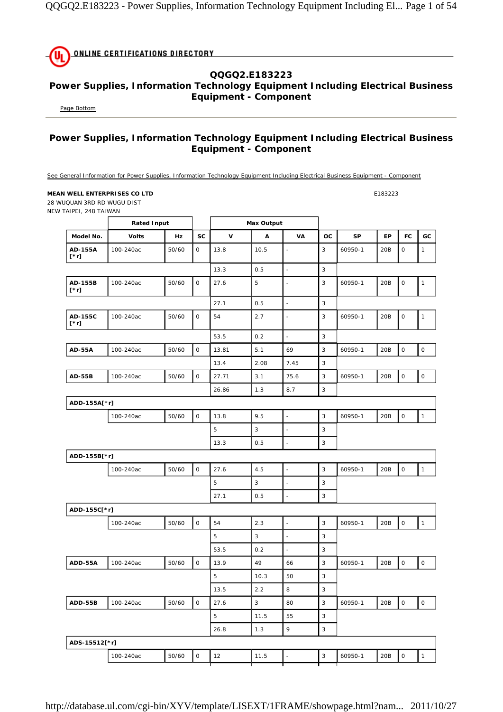|  | <b>UL ONLINE CERTIFICATIONS DIRECTORY</b> |  |
|--|-------------------------------------------|--|
|  |                                           |  |

## **QQGQ2.E183223 Power Supplies, Information Technology Equipment Including Electrical Business Equipment - Component**

Page Bottom

## **Power Supplies, Information Technology Equipment Including Electrical Business Equipment - Component**

See General Information for Power Supplies, Information Technology Equipment Including Electrical Business Equipment - Component

## **MEAN WELL ENTERPRISES CO LTD E183223**

28 WUQUAN 3RD RD WUGU DIST NEW TAIPEI, 248 TAIWAN

|                        | <b>Rated Input</b> |           |                     |             | <b>Max Output</b> |                          |              |           |     |                     |              |
|------------------------|--------------------|-----------|---------------------|-------------|-------------------|--------------------------|--------------|-----------|-----|---------------------|--------------|
| Model No.              | <b>Volts</b>       | <b>Hz</b> | <b>SC</b>           | $\mathbf v$ | A                 | VA                       | <b>OC</b>    | <b>SP</b> | EP  | FC                  | GC           |
| AD-155A<br>[*r]        | 100-240ac          | 50/60     | 0                   | 13.8        | 10.5              | $\blacksquare$           | 3            | 60950-1   | 20B | 0                   | 1            |
|                        |                    |           |                     | 13.3        | 0.5               | $\overline{a}$           | 3            |           |     |                     |              |
| AD-155B<br>$[\cdot r]$ | 100-240ac          | 50/60     | $\mathsf O$         | 27.6        | 5                 | $\overline{\phantom{a}}$ | 3            | 60950-1   | 20B | $\mathsf O$         | $\mathbf{1}$ |
|                        |                    |           |                     | 27.1        | 0.5               | $\blacksquare$           | 3            |           |     |                     |              |
| AD-155C<br>$[\cdot r]$ | 100-240ac          | 50/60     | 0                   | 54          | 2.7               | ÷,                       | 3            | 60950-1   | 20B | $\mathsf O$         | $\mathbf{1}$ |
|                        |                    |           |                     | 53.5        | 0.2               | $\overline{\phantom{a}}$ | 3            |           |     |                     |              |
| <b>AD-55A</b>          | 100-240ac          | 50/60     | 0                   | 13.81       | 5.1               | 69                       | 3            | 60950-1   | 20B | $\mathsf{O}\xspace$ | $\mathsf O$  |
|                        |                    |           |                     | 13.4        | 2.08              | 7.45                     | 3            |           |     |                     |              |
| <b>AD-55B</b>          | 100-240ac          | 50/60     | $\mathsf O$         | 27.71       | 3.1               | 75.6                     | 3            | 60950-1   | 20B | $\mathsf O$         | $\mathsf O$  |
|                        |                    |           |                     | 26.86       | 1.3               | 8.7                      | 3            |           |     |                     |              |
| ADD-155A[*r]           |                    |           |                     |             |                   |                          |              |           |     |                     |              |
|                        | 100-240ac          | 50/60     | $\mathsf{O}$        | 13.8        | 9.5               | $\overline{\phantom{a}}$ | 3            | 60950-1   | 20B | $\mathsf O$         | $\mathbf{1}$ |
|                        |                    |           |                     | 5           | 3                 | L,                       | 3            |           |     |                     |              |
|                        |                    |           |                     | 13.3        | 0.5               | $\overline{\phantom{a}}$ | 3            |           |     |                     |              |
| ADD-155B[*r]           |                    |           |                     |             |                   |                          |              |           |     |                     |              |
|                        | 100-240ac          | 50/60     | $\mathsf O$         | 27.6        | 4.5               | $\blacksquare$           | 3            | 60950-1   | 20B | $\mathsf O$         | $\mathbf{1}$ |
|                        |                    |           |                     | 5           | 3                 | Ĭ.                       | 3            |           |     |                     |              |
|                        |                    |           |                     | 27.1        | 0.5               | $\blacksquare$           | 3            |           |     |                     |              |
| ADD-155C[*r]           |                    |           |                     |             |                   |                          |              |           |     |                     |              |
|                        | 100-240ac          | 50/60     | $\mathsf{O}$        | 54          | 2.3               | $\Box$                   | 3            | 60950-1   | 20B | $\mathsf O$         | $\mathbf{1}$ |
|                        |                    |           |                     | 5           | 3                 | L,                       | 3            |           |     |                     |              |
|                        |                    |           |                     | 53.5        | 0.2               | $\blacksquare$           | 3            |           |     |                     |              |
| ADD-55A                | 100-240ac          | 50/60     | $\mathsf{O}\xspace$ | 13.9        | 49                | 66                       | 3            | 60950-1   | 20B | $\mathsf{O}\xspace$ | $\mathsf O$  |
|                        |                    |           |                     | 5           | 10.3              | 50                       | 3            |           |     |                     |              |
|                        |                    |           |                     | 13.5        | 2.2               | 8                        | 3            |           |     |                     |              |
| ADD-55B                | 100-240ac          | 50/60     | O                   | 27.6        | $\sqrt{3}$        | 80                       | $\mathsf 3$  | 60950-1   | 20B | $\mathsf O$         | $\mathsf O$  |
|                        |                    |           |                     | 5           | 11.5              | 55                       | $\mathsf 3$  |           |     |                     |              |
|                        |                    |           |                     | 26.8        | 1.3               | 9                        | $\mathbf{3}$ |           |     |                     |              |
| ADS-15512[*r]          |                    |           |                     |             |                   |                          |              |           |     |                     |              |
|                        | 100-240ac          | 50/60     | $\mathsf{O}\xspace$ | 12          | 11.5              | $\Box$                   | $\mathbf{3}$ | 60950-1   | 20B | $\mathsf O$         | $\mathbf{1}$ |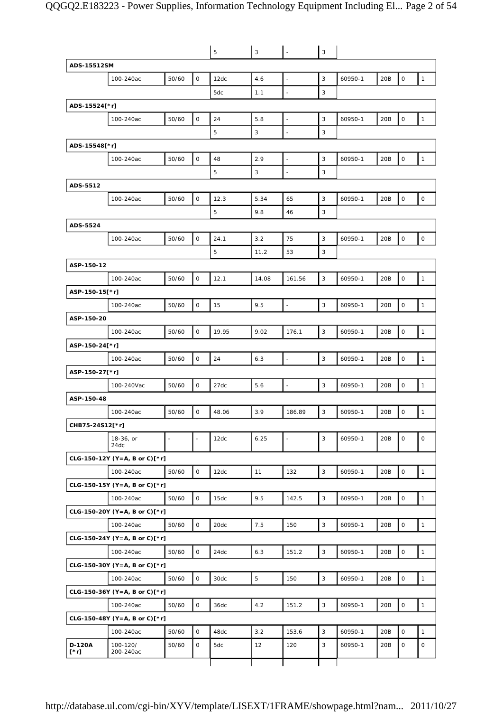|                       |                               |                |              | 5     | 3           |                | 3            |         |     |                     |              |
|-----------------------|-------------------------------|----------------|--------------|-------|-------------|----------------|--------------|---------|-----|---------------------|--------------|
| ADS-15512SM           |                               |                |              |       |             |                |              |         |     |                     |              |
|                       | 100-240ac                     | 50/60          | 0            | 12dc  | 4.6         |                | 3            | 60950-1 | 20B | $\mathbf 0$         | $\mathbf{1}$ |
|                       |                               |                |              | 5dc   | 1.1         |                | 3            |         |     |                     |              |
| ADS-15524[*r]         |                               |                |              |       |             |                |              |         |     |                     |              |
|                       | 100-240ac                     | 50/60          | $\mathsf O$  | 24    | 5.8         | ä,             | 3            | 60950-1 | 20B | $\mathsf O$         | $\mathbf{1}$ |
|                       |                               |                |              | 5     | 3           |                | 3            |         |     |                     |              |
| ADS-15548[*r]         |                               |                |              |       |             |                |              |         |     |                     |              |
|                       | 100-240ac                     | 50/60          | $\mathsf O$  | 48    | 2.9         | ä,             | 3            | 60950-1 | 20B | $\mathbf 0$         | $\mathbf{1}$ |
|                       |                               |                |              | 5     | 3           | $\blacksquare$ | 3            |         |     |                     |              |
| ADS-5512              |                               |                |              |       |             |                |              |         |     |                     |              |
|                       | 100-240ac                     | 50/60          | $\mathsf O$  | 12.3  | 5.34        | 65             | 3            | 60950-1 | 20B | $\mathsf O$         | $\mathsf O$  |
|                       |                               |                |              | 5     | 9.8         | 46             | 3            |         |     |                     |              |
| ADS-5524              |                               |                |              |       |             |                |              |         |     |                     |              |
|                       | 100-240ac                     | 50/60          | 0            | 24.1  | 3.2         | 75             | 3            | 60950-1 | 20B | $\mathsf O$         | $\mathsf O$  |
|                       |                               |                |              | 5     | 11.2        | 53             | 3            |         |     |                     |              |
| ASP-150-12            |                               |                |              |       |             |                |              |         |     |                     |              |
|                       | 100-240ac                     | 50/60          | $\mathsf{O}$ | 12.1  | 14.08       | 161.56         | 3            | 60950-1 | 20B | $\mathsf O$         | $\mathbf{1}$ |
| ASP-150-15[*r]        |                               |                |              |       |             |                |              |         |     |                     |              |
|                       | 100-240ac                     | 50/60          | $\mathbf 0$  | 15    | 9.5         |                | 3            | 60950-1 | 20B | $\mathsf O$         | $\mathbf{1}$ |
| ASP-150-20            |                               |                |              |       |             |                |              |         |     |                     |              |
|                       | 100-240ac                     | 50/60          | 0            | 19.95 | 9.02        | 176.1          | 3            | 60950-1 | 20B | $\mathsf O$         | $\mathbf{1}$ |
| ASP-150-24[*r]        |                               |                |              |       |             |                |              |         |     |                     |              |
|                       | 100-240ac                     | 50/60          | $\mathsf{O}$ | 24    | 6.3         | $\blacksquare$ | $\mathbf{3}$ | 60950-1 | 20B | $\mathsf O$         | $\mathbf{1}$ |
| ASP-150-27[*r]        |                               |                |              |       |             |                |              |         |     |                     |              |
|                       | 100-240Vac                    | 50/60          | $\mathsf{O}$ | 27dc  | 5.6         | ÷,             | 3            | 60950-1 | 20B | $\mathsf O$         | $\mathbf{1}$ |
| ASP-150-48            |                               |                |              |       |             |                |              |         |     |                     |              |
|                       | 100-240ac                     | 50/60          | $\mathsf{O}$ | 48.06 | 3.9         | 186.89         | 3            | 60950-1 | 20B | $\mathbf 0$         | $\mathbf{1}$ |
| CHB75-24S12[*r]       |                               |                |              |       |             |                |              |         |     |                     |              |
|                       | 18-36, or<br>24dc             | $\overline{a}$ |              | 12dc  | 6.25        | ÷,             | 3            | 60950-1 | 20B | $\mathsf{O}\xspace$ | $\mathsf O$  |
|                       | CLG-150-12Y (Y=A, B or C)[*r] |                |              |       |             |                |              |         |     |                     |              |
|                       | 100-240ac                     | 50/60          | $\mathsf{O}$ | 12dc  | 11          | 132            | $\mathsf 3$  | 60950-1 | 20B | $\mathsf O$         | $\mathbf{1}$ |
|                       | CLG-150-15Y (Y=A, B or C)[*r] |                |              |       |             |                |              |         |     |                     |              |
|                       | 100-240ac                     | 50/60          | $\mathsf{O}$ | 15dc  | 9.5         | 142.5          | $\mathsf 3$  | 60950-1 | 20B | $\mathsf O$         | $\mathbf{1}$ |
|                       | CLG-150-20Y (Y=A, B or C)[*r] |                |              |       |             |                |              |         |     |                     |              |
|                       | 100-240ac                     | 50/60          | 0            | 20dc  | 7.5         | 150            | 3            | 60950-1 | 20B | 0                   | $\mathbf{1}$ |
|                       | CLG-150-24Y (Y=A, B or C)[*r] |                |              |       |             |                |              |         |     |                     |              |
|                       | 100-240ac                     | 50/60          | $\mathsf{O}$ | 24dc  | 6.3         | 151.2          | $\mathsf 3$  | 60950-1 | 20B | $\mathsf O$         | $\mathbf{1}$ |
|                       | CLG-150-30Y (Y=A, B or C)[*r] |                |              |       |             |                |              |         |     |                     |              |
|                       | 100-240ac                     | 50/60          | $\mathsf{O}$ | 30dc  | $\mathbf 5$ | 150            | 3            | 60950-1 | 20B | $\mathsf O$         | $\mathbf{1}$ |
|                       | CLG-150-36Y (Y=A, B or C)[*r] |                |              |       |             |                |              |         |     |                     |              |
|                       | 100-240ac                     | 50/60          | $\mathsf O$  | 36dc  | 4.2         | 151.2          | 3            | 60950-1 | 20B | $\mathsf O$         | $\mathbf{1}$ |
|                       | CLG-150-48Y (Y=A, B or C)[*r] |                |              |       |             |                |              |         |     |                     |              |
|                       | 100-240ac                     | 50/60          | 0            | 48dc  | 3.2         | 153.6          | 3            | 60950-1 | 20B | $\mathsf O$         | $\mathbf{1}$ |
| D-120A<br>$[\cdot r]$ | 100-120/<br>200-240ac         | 50/60          | 0            | 5dc   | 12          | 120            | 3            | 60950-1 | 20B | $\mathsf O$         | 0            |
|                       |                               |                |              |       |             |                |              |         |     |                     |              |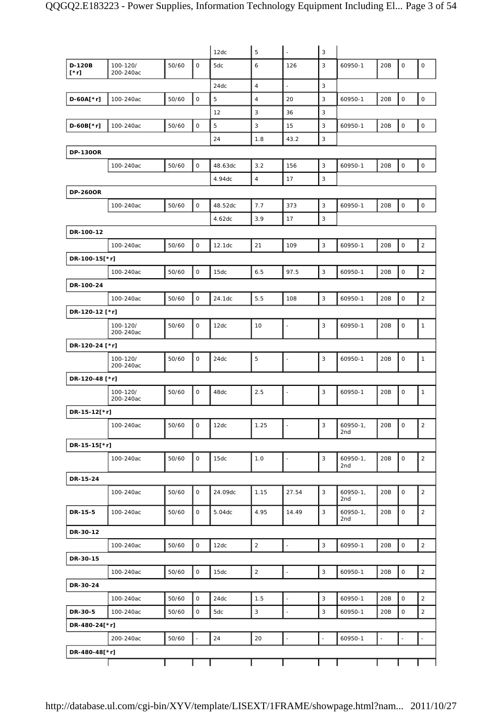|                       |                       |       |                     | 12dc    | 5              | $\overline{\phantom{a}}$ | 3            |                   |                          |                     |                |
|-----------------------|-----------------------|-------|---------------------|---------|----------------|--------------------------|--------------|-------------------|--------------------------|---------------------|----------------|
| D-120B<br>$[\cdot r]$ | 100-120/<br>200-240ac | 50/60 | $\mathsf{O}$        | 5dc     | 6              | 126                      | 3            | 60950-1           | 20B                      | $\mathbf 0$         | $\mathsf O$    |
|                       |                       |       |                     | 24dc    | $\overline{4}$ | $\overline{\phantom{a}}$ | 3            |                   |                          |                     |                |
| $D-60A[*r]$           | 100-240ac             | 50/60 | $\mathsf O$         | 5       | $\overline{4}$ | 20                       | 3            | 60950-1           | 20B                      | $\mathsf{O}\xspace$ | $\mathsf{O}$   |
|                       |                       |       |                     | 12      | 3              | 36                       | 3            |                   |                          |                     |                |
| D-60B[*r]             | 100-240ac             | 50/60 | $\mathsf O$         | 5       | 3              | 15                       | 3            | 60950-1           | 20B                      | $\mathsf{O}\xspace$ | $\mathsf O$    |
|                       |                       |       |                     | 24      | 1.8            | 43.2                     | 3            |                   |                          |                     |                |
| <b>DP-130OR</b>       |                       |       |                     |         |                |                          |              |                   |                          |                     |                |
|                       | 100-240ac             | 50/60 | $\mathsf O$         | 48.63dc | 3.2            | 156                      | 3            | 60950-1           | 20B                      | $\mathsf O$         | $\mathsf O$    |
|                       |                       |       |                     | 4.94dc  | $\overline{4}$ | 17                       | 3            |                   |                          |                     |                |
| <b>DP-260OR</b>       |                       |       |                     |         |                |                          |              |                   |                          |                     |                |
|                       | 100-240ac             | 50/60 | 0                   | 48.52dc | 7.7            | 373                      | 3            | 60950-1           | 20B                      | $\mathsf O$         | $\mathsf O$    |
|                       |                       |       |                     | 4.62dc  | 3.9            | 17                       | 3            |                   |                          |                     |                |
| DR-100-12             |                       |       |                     |         |                |                          |              |                   |                          |                     |                |
|                       | 100-240ac             | 50/60 | $\mathsf{O}$        | 12.1dc  | 21             | 109                      | $\mathbf{3}$ | 60950-1           | 20B                      | $\mathsf{O}\xspace$ | $\overline{2}$ |
| DR-100-15[*r]         |                       |       |                     |         |                |                          |              |                   |                          |                     |                |
|                       | 100-240ac             | 50/60 | $\mathsf O$         | 15dc    | 6.5            | 97.5                     | 3            | 60950-1           | 20B                      | $\mathsf O$         | 2              |
| DR-100-24             |                       |       |                     |         |                |                          |              |                   |                          |                     |                |
|                       | 100-240ac             | 50/60 | $\mathsf{O}\xspace$ | 24.1dc  | 5.5            | 108                      | 3            | 60950-1           | 20B                      | $\mathsf O$         | $\overline{2}$ |
| DR-120-12 [*r]        |                       |       |                     |         |                |                          |              |                   |                          |                     |                |
|                       | 100-120/              | 50/60 | 0                   | 12dc    | 10             | $\blacksquare$           | 3            | 60950-1           | 20B                      | 0                   | $\mathbf{1}$   |
|                       | 200-240ac             |       |                     |         |                |                          |              |                   |                          |                     |                |
| DR-120-24 [*r]        |                       |       |                     |         |                |                          |              |                   |                          |                     |                |
|                       | 100-120/<br>200-240ac | 50/60 | $\mathsf{O}$        | 24dc    | 5              | $\frac{1}{2}$            | 3            | 60950-1           | 20B                      | $\mathsf O$         | $\mathbf{1}$   |
| DR-120-48 [*r]        |                       |       |                     |         |                |                          |              |                   |                          |                     |                |
|                       | 100-120/<br>200-240ac | 50/60 | 0                   | 48dc    | 2.5            | $\blacksquare$           | 3            | 60950-1           | 20B                      | 0                   | 1              |
| DR-15-12[*r]          |                       |       |                     |         |                |                          |              |                   |                          |                     |                |
|                       | 100-240ac             | 50/60 | $\overline{0}$      | 12dc    | 1.25           |                          | 3            | 60950-1,<br>2nd   | 20B                      | $\overline{10}$     | 2              |
| DR-15-15[*r]          |                       |       |                     |         |                |                          |              |                   |                          |                     |                |
|                       | 100-240ac             | 50/60 | 0                   | 15dc    | 1.0            | $\blacksquare$           | 3            | 60950-1,<br>2nd   | 20B                      | 0                   | $\overline{2}$ |
| DR-15-24              |                       |       |                     |         |                |                          |              |                   |                          |                     |                |
|                       | 100-240ac             | 50/60 | O                   | 24.09dc | 1.15           | 27.54                    | 3            | $60950-1,$<br>2nd | 20B                      | $\mathsf{O}$        | $\overline{2}$ |
| DR-15-5               | 100-240ac             | 50/60 | 0                   | 5.04dc  | 4.95           | 14.49                    | 3            | 60950-1,<br>2nd   | 20B                      | 0                   | $\overline{2}$ |
| DR-30-12              |                       |       |                     |         |                |                          |              |                   |                          |                     |                |
|                       | 100-240ac             | 50/60 | $\mathsf{O}$        | 12dc    | $\overline{2}$ | $\ddot{\phantom{1}}$     | 3            | 60950-1           | 20B                      | $\mathsf{O}$        | $\overline{2}$ |
| DR-30-15              |                       |       |                     |         |                |                          |              |                   |                          |                     |                |
|                       | 100-240ac             | 50/60 | $\mathsf O$         | 15dc    | $\overline{2}$ | $\omega$                 | $\mathbf{3}$ | 60950-1           | 20B                      | $\mathsf O$         | $\overline{2}$ |
| DR-30-24              |                       |       |                     |         |                |                          |              |                   |                          |                     |                |
|                       | 100-240ac             | 50/60 | 0                   | 24dc    | 1.5            | $\blacksquare$           | 3            | 60950-1           | 20B                      | 0                   | $\overline{2}$ |
| DR-30-5               | 100-240ac             | 50/60 | $\mathsf O$         | 5dc     | 3              | $\overline{\phantom{a}}$ | 3            | 60950-1           | 20B                      | 0                   | $\overline{2}$ |
| DR-480-24[*r]         |                       |       |                     |         |                |                          |              |                   |                          |                     |                |
|                       | 200-240ac             | 50/60 | $\Box$              | 24      | 20             | $\Box$                   | $\omega$     | 60950-1           | $\overline{\phantom{a}}$ | $\Box$              | $\omega$       |
| DR-480-48[*r]         |                       |       |                     |         |                |                          |              |                   |                          |                     |                |
|                       |                       |       |                     |         |                |                          |              |                   |                          |                     |                |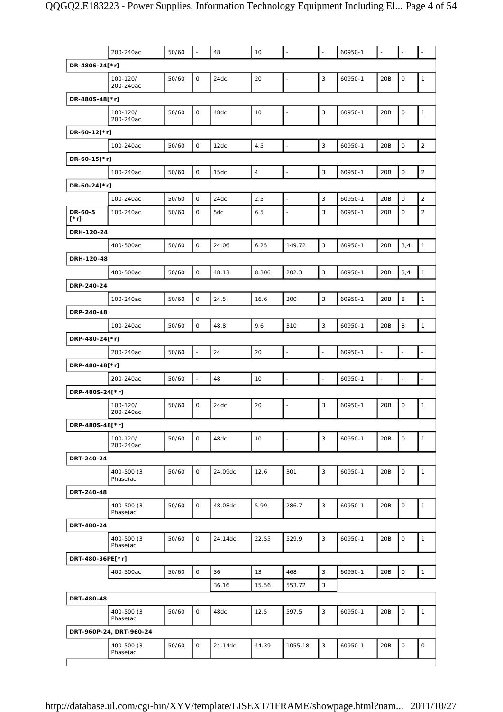|                        | 200-240ac               | 50/60 | L.           | 48      | 10             |                          | $\overline{a}$           | 60950-1 |     |                          |                |
|------------------------|-------------------------|-------|--------------|---------|----------------|--------------------------|--------------------------|---------|-----|--------------------------|----------------|
| DR-480S-24[*r]         |                         |       |              |         |                |                          |                          |         |     |                          |                |
|                        | 100-120/<br>200-240ac   | 50/60 | 0            | 24dc    | 20             | ÷,                       | $\mathsf 3$              | 60950-1 | 20B | $\mathsf O$              | $\mathbf{1}$   |
| DR-480S-48[*r]         |                         |       |              |         |                |                          |                          |         |     |                          |                |
|                        | 100-120/<br>200-240ac   | 50/60 | O            | 48dc    | 10             | $\overline{\phantom{a}}$ | 3                        | 60950-1 | 20B | $\mathsf{O}\xspace$      | $\mathbf{1}$   |
| DR-60-12[*r]           |                         |       |              |         |                |                          |                          |         |     |                          |                |
|                        | 100-240ac               | 50/60 | 0            | 12dc    | 4.5            | $\overline{\phantom{a}}$ | 3                        | 60950-1 | 20B | $\mathsf O$              | $\overline{2}$ |
| DR-60-15[*r]           |                         |       |              |         |                |                          |                          |         |     |                          |                |
|                        | 100-240ac               | 50/60 | 0            | 15dc    | $\overline{4}$ | $\ddot{\phantom{1}}$     | 3                        | 60950-1 | 20B | $\mathsf O$              | $\overline{2}$ |
| DR-60-24[*r]           |                         |       |              |         |                |                          |                          |         |     |                          |                |
|                        | 100-240ac               | 50/60 | 0            | 24dc    | 2.5            | $\overline{\phantom{a}}$ | 3                        | 60950-1 | 20B | $\mathsf O$              | $\overline{2}$ |
| DR-60-5<br>$[\cdot r]$ | 100-240ac               | 50/60 | $\mathsf{O}$ | 5dc     | 6.5            | ÷,                       | 3                        | 60950-1 | 20B | $\mathsf{O}$             | $\overline{2}$ |
| DRH-120-24             |                         |       |              |         |                |                          |                          |         |     |                          |                |
|                        | 400-500ac               | 50/60 | $\mathsf{O}$ | 24.06   | 6.25           | 149.72                   | 3                        | 60950-1 | 20B | 3,4                      | $\mathbf{1}$   |
| DRH-120-48             |                         |       |              |         |                |                          |                          |         |     |                          |                |
|                        | 400-500ac               | 50/60 | 0            | 48.13   | 8.306          | 202.3                    | 3                        | 60950-1 | 20B | 3,4                      | $\mathbf{1}$   |
| DRP-240-24             |                         |       |              |         |                |                          |                          |         |     |                          |                |
|                        | 100-240ac               | 50/60 | 0            | 24.5    | 16.6           | 300                      | 3                        | 60950-1 | 20B | 8                        | $\mathbf{1}$   |
| DRP-240-48             |                         |       |              |         |                |                          |                          |         |     |                          |                |
|                        | 100-240ac               | 50/60 | 0            | 48.8    | 9.6            | 310                      | $\overline{3}$           | 60950-1 | 20B | $\,$ 8                   | $\mathbf{1}$   |
| DRP-480-24[*r]         |                         |       |              |         |                |                          |                          |         |     |                          |                |
|                        | 200-240ac               | 50/60 | L.           | 24      | 20             | $\overline{a}$           | $\overline{\phantom{a}}$ | 60950-1 |     | $\blacksquare$           |                |
| DRP-480-48[*r]         |                         |       |              |         |                |                          |                          |         |     |                          |                |
|                        | 200-240ac               | 50/60 | ä,           | 48      | 10             | ÷,                       | $\overline{\phantom{a}}$ | 60950-1 |     | $\overline{\phantom{a}}$ |                |
| DRP-480S-24[*r]        |                         |       |              |         |                |                          |                          |         |     |                          |                |
|                        | 100-120/<br>200-240ac   | 50/60 | 0            | 24dc    | 20             | $\blacksquare$           | 3                        | 60950-1 | 20B | $\mathsf O$              | $\mathbf{1}$   |
| DRP-480S-48[*r]        |                         |       |              |         |                |                          |                          |         |     |                          |                |
|                        | 100-120/<br>200-240ac   | 50/60 | $\mathsf{O}$ | 48dc    | 10             | ÷,                       | 3                        | 60950-1 | 20B | $\mathbf 0$              | $\mathbf{1}$   |
| DRT-240-24             |                         |       |              |         |                |                          |                          |         |     |                          |                |
|                        | 400-500 (3<br>Phase)ac  | 50/60 | $\mathsf{O}$ | 24.09dc | 12.6           | 301                      | 3                        | 60950-1 | 20B | $\mathsf{O}\xspace$      | $\mathbf{1}$   |
| DRT-240-48             |                         |       |              |         |                |                          |                          |         |     |                          |                |
|                        | 400-500 (3<br>Phase) ac | 50/60 | 0            | 48.08dc | 5.99           | 286.7                    | 3                        | 60950-1 | 20B | $\mathsf O$              | $\mathbf{1}$   |
| DRT-480-24             |                         |       |              |         |                |                          |                          |         |     |                          |                |
|                        | 400-500 (3<br>Phase) ac | 50/60 | 0            | 24.14dc | 22.55          | 529.9                    | 3                        | 60950-1 | 20B | $\mathsf O$              | $\mathbf{1}$   |
| DRT-480-36PE[*r]       |                         |       |              |         |                |                          |                          |         |     |                          |                |
|                        | 400-500ac               | 50/60 | 0            | 36      | 13             | 468                      | 3                        | 60950-1 | 20B | $\mathsf O$              | $\mathbf{1}$   |
|                        |                         |       |              | 36.16   | 15.56          | 553.72                   | 3                        |         |     |                          |                |
| DRT-480-48             |                         |       |              |         |                |                          |                          |         |     |                          |                |
|                        | 400-500 (3<br>Phase) ac | 50/60 | 0            | 48dc    | 12.5           | 597.5                    | 3                        | 60950-1 | 20B | $\mathsf O$              | $\mathbf{1}$   |
|                        | DRT-960P-24, DRT-960-24 |       |              |         |                |                          |                          |         |     |                          |                |
|                        | 400-500 (3<br>Phase) ac | 50/60 | $\mathsf{O}$ | 24.14dc | 44.39          | 1055.18                  | 3                        | 60950-1 | 20B | $\mathsf{O}\xspace$      | $\mathsf O$    |
|                        |                         |       |              |         |                |                          |                          |         |     |                          |                |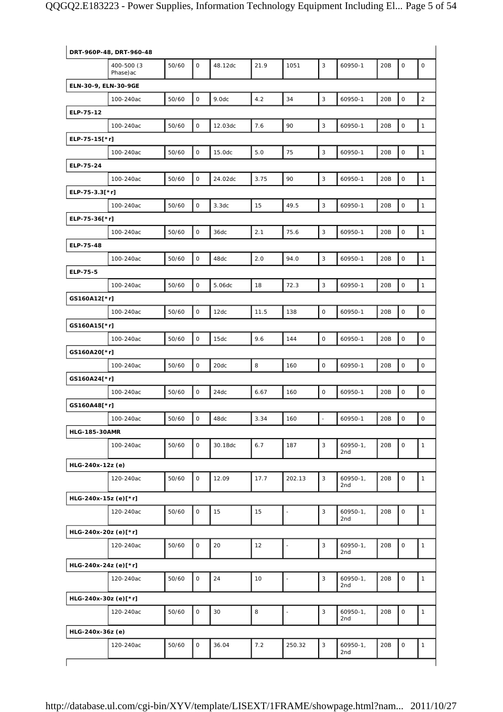|                      | DRT-960P-48, DRT-960-48 |       |              |         |      |                |                          |                     |     |                     |                     |
|----------------------|-------------------------|-------|--------------|---------|------|----------------|--------------------------|---------------------|-----|---------------------|---------------------|
|                      | 400-500 (3<br>Phase) ac | 50/60 | $\mathsf{O}$ | 48.12dc | 21.9 | 1051           | 3                        | 60950-1             | 20B | $\mathbf 0$         | $\mathsf O$         |
| ELN-30-9, ELN-30-9GE |                         |       |              |         |      |                |                          |                     |     |                     |                     |
|                      | 100-240ac               | 50/60 | $\mathsf O$  | 9.0dc   | 4.2  | 34             | $\mathsf 3$              | 60950-1             | 20B | $\mathbf 0$         | $\overline{c}$      |
| ELP-75-12            |                         |       |              |         |      |                |                          |                     |     |                     |                     |
|                      | 100-240ac               | 50/60 | 0            | 12.03dc | 7.6  | 90             | 3                        | 60950-1             | 20B | $\mathsf{O}\xspace$ | $\mathbf{1}$        |
| ELP-75-15[*r]        |                         |       |              |         |      |                |                          |                     |     |                     |                     |
|                      | 100-240ac               | 50/60 | 0            | 15.0dc  | 5.0  | 75             | 3                        | 60950-1             | 20B | $\mathsf O$         | $\mathbf{1}$        |
| ELP-75-24            |                         |       |              |         |      |                |                          |                     |     |                     |                     |
|                      | 100-240ac               | 50/60 | $\mathsf O$  | 24.02dc | 3.75 | 90             | $\mathbf{3}$             | 60950-1             | 20B | $\mathsf O$         | $\mathbf{1}$        |
| ELP-75-3.3[*r]       |                         |       |              |         |      |                |                          |                     |     |                     |                     |
|                      | 100-240ac               | 50/60 | $\mathsf O$  | 3.3dc   | 15   | 49.5           | 3                        | 60950-1             | 20B | $\mathsf O$         | $\mathbf{1}$        |
| ELP-75-36[*r]        |                         |       |              |         |      |                |                          |                     |     |                     |                     |
|                      | 100-240ac               | 50/60 | 0            | 36dc    | 2.1  | 75.6           | $\mathsf 3$              | 60950-1             | 20B | 0                   | $\mathbf{1}$        |
| ELP-75-48            |                         |       |              |         |      |                |                          |                     |     |                     |                     |
|                      | 100-240ac               | 50/60 | 0            | 48dc    | 2.0  | 94.0           | 3                        | 60950-1             | 20B | $\mathsf O$         | $\mathbf{1}$        |
| ELP-75-5             |                         |       |              |         |      |                |                          |                     |     |                     |                     |
|                      | 100-240ac               | 50/60 | $\mathsf O$  | 5.06dc  | 18   | 72.3           | $\mathsf 3$              | 60950-1             | 20B | $\mathsf{O}\xspace$ | $\mathbf{1}$        |
| GS160A12[*r]         |                         |       |              |         |      |                |                          |                     |     |                     |                     |
|                      |                         | 50/60 | $\mathsf O$  |         | 11.5 | 138            | $\mathsf O$              |                     | 20B | $\mathbf 0$         | $\mathsf O$         |
|                      | 100-240ac               |       |              | 12dc    |      |                |                          | 60950-1             |     |                     |                     |
| GS160A15[*r]         |                         |       |              |         |      |                |                          |                     |     |                     |                     |
|                      | 100-240ac               | 50/60 | $\mathsf O$  | 15dc    | 9.6  | 144            | $\mathsf O$              | 60950-1             | 20B | $\mathsf{O}\xspace$ | $\mathsf O$         |
| GS160A20[*r]         |                         |       |              |         |      |                |                          |                     |     |                     |                     |
|                      | 100-240ac               | 50/60 | 0            | 20dc    | 8    | 160            | $\mathsf O$              | 60950-1             | 20B | $\mathsf O$         | $\mathsf O$         |
| GS160A24[*r]         |                         |       |              |         |      |                |                          |                     |     |                     |                     |
|                      | 100-240ac               | 50/60 | $\mathsf O$  | 24dc    | 6.67 | 160            | $\mathsf{O}$             | 60950-1             | 20B | $\mathsf{O}\xspace$ | $\mathsf O$         |
| GS160A48[*r]         |                         |       |              |         |      |                |                          |                     |     |                     |                     |
|                      | 100-240ac               | 50/60 | 0            | 48dc    | 3.34 | 160            | $\overline{\phantom{a}}$ | 60950-1             | 20B | $\mathbf 0$         | $\mathsf{O}\xspace$ |
| <b>HLG-185-30AMR</b> |                         |       |              |         |      |                |                          |                     |     |                     |                     |
|                      | 100-240ac               | 50/60 | 0            | 30.18dc | 6.7  | 187            | 3                        | $60950 - 1,$<br>2nd | 20B | 0                   | $\mathbf{1}$        |
| HLG-240x-12z (e)     |                         |       |              |         |      |                |                          |                     |     |                     |                     |
|                      | 120-240ac               | 50/60 | 0            | 12.09   | 17.7 | 202.13         | 3                        | $60950 - 1,$<br>2nd | 20B | $\mathsf O$         | $\mathbf{1}$        |
| HLG-240x-15z (e)[*r] |                         |       |              |         |      |                |                          |                     |     |                     |                     |
|                      | 120-240ac               | 50/60 | 0            | 15      | 15   | $\overline{a}$ | $\mathsf 3$              | $60950-1,$<br>2nd   | 20B | $\mathsf O$         | $\mathbf{1}$        |
| HLG-240x-20z (e)[*r] |                         |       |              |         |      |                |                          |                     |     |                     |                     |
|                      | 120-240ac               | 50/60 | 0            | 20      | 12   | $\frac{1}{2}$  | 3                        | $60950-1,$<br>2nd   | 20B | $\mathsf O$         | $\mathbf{1}$        |
| HLG-240x-24z (e)[*r] |                         |       |              |         |      |                |                          |                     |     |                     |                     |
|                      | 120-240ac               | 50/60 | 0            | 24      | 10   | $\blacksquare$ | $\mathsf 3$              | $60950 - 1,$<br>2nd | 20B | $\mathsf O$         | $\mathbf{1}$        |
| HLG-240x-30z (e)[*r] |                         |       |              |         |      |                |                          |                     |     |                     |                     |
|                      | 120-240ac               | 50/60 | 0            | 30      | 8    | ÷,             | 3                        | $60950-1,$<br>2nd   | 20B | $\mathsf O$         | 1                   |
| HLG-240x-36z (e)     |                         |       |              |         |      |                |                          |                     |     |                     |                     |
|                      | 120-240ac               | 50/60 | 0            | 36.04   | 7.2  | 250.32         | $\mathsf 3$              | $60950-1,$<br>2nd   | 20B | $\mathsf{O}\xspace$ | 1                   |
|                      |                         |       |              |         |      |                |                          |                     |     |                     |                     |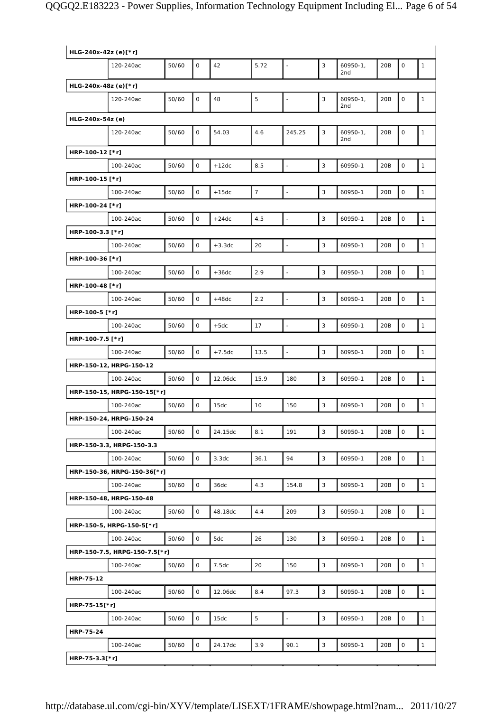| HLG-240x-42z (e)[*r] |                               |       |              |          |                |                          |   |                   |     |                     |              |
|----------------------|-------------------------------|-------|--------------|----------|----------------|--------------------------|---|-------------------|-----|---------------------|--------------|
|                      | 120-240ac                     | 50/60 | $\mathsf{O}$ | 42       | 5.72           | $\overline{\phantom{a}}$ | 3 | $60950-1,$<br>2nd | 20B | $\mathbf 0$         | $\mathbf{1}$ |
| HLG-240x-48z (e)[*r] |                               |       |              |          |                |                          |   |                   |     |                     |              |
|                      | 120-240ac                     | 50/60 | 0            | 48       | 5              | $\overline{\phantom{a}}$ | 3 | $60950-1,$<br>2nd | 20B | $\mathsf O$         | $\mathbf{1}$ |
| HLG-240x-54z (e)     |                               |       |              |          |                |                          |   |                   |     |                     |              |
|                      | 120-240ac                     | 50/60 | 0            | 54.03    | 4.6            | 245.25                   | 3 | $60950-1,$<br>2nd | 20B | $\mathsf O$         | $\mathbf{1}$ |
| HRP-100-12 [*r]      |                               |       |              |          |                |                          |   |                   |     |                     |              |
|                      | 100-240ac                     | 50/60 | $\mathsf O$  | $+12dc$  | 8.5            | $\frac{1}{2}$            | 3 | 60950-1           | 20B | 0                   | 1            |
| HRP-100-15 [*r]      |                               |       |              |          |                |                          |   |                   |     |                     |              |
|                      | 100-240ac                     | 50/60 | 0            | $+15dc$  | $\overline{7}$ | $\overline{a}$           | 3 | 60950-1           | 20B | 0                   | $\mathbf{1}$ |
| HRP-100-24 [*r]      |                               |       |              |          |                |                          |   |                   |     |                     |              |
|                      | 100-240ac                     | 50/60 | $\mathsf O$  | $+24dc$  | 4.5            | $\blacksquare$           | 3 | 60950-1           | 20B | 0                   | $\mathbf{1}$ |
| HRP-100-3.3 [*r]     |                               |       |              |          |                |                          |   |                   |     |                     |              |
|                      | 100-240ac                     | 50/60 | 0            | $+3.3dc$ | 20             | ÷,                       | 3 | 60950-1           | 20B | $\mathsf O$         | $\mathbf{1}$ |
| HRP-100-36 [*r]      |                               |       |              |          |                |                          |   |                   |     |                     |              |
|                      | 100-240ac                     | 50/60 | $\mathsf O$  | $+36dc$  | 2.9            | ÷,                       | 3 | 60950-1           | 20B | $\mathsf O$         | $\mathbf{1}$ |
| HRP-100-48 [*r]      |                               |       |              |          |                |                          |   |                   |     |                     |              |
|                      | 100-240ac                     | 50/60 | 0            | $+48dc$  | 2.2            | $\blacksquare$           | 3 | 60950-1           | 20B | $\mathsf O$         | $\mathbf{1}$ |
| HRP-100-5 [*r]       |                               |       |              |          |                |                          |   |                   |     |                     |              |
|                      | 100-240ac                     | 50/60 | 0            | $+5dc$   | 17             | $\blacksquare$           | 3 | 60950-1           | 20B | $\mathsf O$         | $\mathbf{1}$ |
| HRP-100-7.5 [*r]     |                               |       |              |          |                |                          |   |                   |     |                     |              |
|                      | 100-240ac                     | 50/60 | 0            | $+7.5dc$ | 13.5           | $\overline{\phantom{a}}$ | 3 | 60950-1           | 20B | $\mathsf O$         | $\mathbf{1}$ |
|                      | HRP-150-12, HRPG-150-12       |       |              |          |                |                          |   |                   |     |                     |              |
|                      | 100-240ac                     | 50/60 | $\mathsf O$  | 12.06dc  | 15.9           | 180                      | 3 | 60950-1           | 20B | 0                   | $\mathbf{1}$ |
|                      | HRP-150-15, HRPG-150-15[*r]   |       |              |          |                |                          |   |                   |     |                     |              |
|                      | 100-240ac                     | 50/60 | 0            | 15dc     | 10             | 150                      | 3 | 60950-1           | 20B | 0                   | $\mathbf{1}$ |
|                      | HRP-150-24, HRPG-150-24       |       |              |          |                |                          |   |                   |     |                     |              |
|                      | 100-240ac                     | 50/60 | 0            | 24.15dc  | 8.1            | 191                      | 3 | 60950-1           | 20B | $\mathsf{O}\xspace$ | $\mathbf{1}$ |
|                      | HRP-150-3.3, HRPG-150-3.3     |       |              |          |                |                          |   |                   |     |                     |              |
|                      | 100-240ac                     | 50/60 | $\mathsf{O}$ | 3.3dc    | 36.1           | 94                       | 3 | 60950-1           | 20B | $\mathsf O$         | $\mathbf{1}$ |
|                      | HRP-150-36, HRPG-150-36[*r]   |       |              |          |                |                          |   |                   |     |                     |              |
|                      | 100-240ac                     | 50/60 | 0            | 36dc     | 4.3            | 154.8                    | 3 | 60950-1           | 20B | $\mathsf{O}\xspace$ | 1            |
|                      | HRP-150-48, HRPG-150-48       |       |              |          |                |                          |   |                   |     |                     |              |
|                      | 100-240ac                     | 50/60 | 0            | 48.18dc  | 4.4            | 209                      | 3 | 60950-1           | 20B | $\mathsf O$         | $\mathbf{1}$ |
|                      | HRP-150-5, HRPG-150-5[*r]     |       |              |          |                |                          |   |                   |     |                     |              |
|                      | 100-240ac                     | 50/60 | 0            | 5dc      | 26             | 130                      | 3 | 60950-1           | 20B | $\mathsf O$         | $\mathbf{1}$ |
|                      | HRP-150-7.5, HRPG-150-7.5[*r] |       |              |          |                |                          |   |                   |     |                     |              |
|                      | 100-240ac                     | 50/60 | 0            | 7.5dc    | 20             | 150                      | 3 | 60950-1           | 20B | $\mathsf O$         | $\mathbf{1}$ |
| HRP-75-12            |                               |       |              |          |                |                          |   |                   |     |                     |              |
|                      | 100-240ac                     | 50/60 | 0            | 12.06dc  | 8.4            | 97.3                     | 3 | 60950-1           | 20B | $\mathsf O$         | $\mathbf{1}$ |
| HRP-75-15[*r]        |                               |       |              |          |                |                          |   |                   |     |                     |              |
|                      | 100-240ac                     | 50/60 | 0            | 15dc     | 5              | $\blacksquare$           | 3 | 60950-1           | 20B | $\mathsf O$         | $\mathbf{1}$ |
| HRP-75-24            |                               |       |              |          |                |                          |   |                   |     |                     |              |
|                      | 100-240ac                     | 50/60 | O            | 24.17dc  | 3.9            | 90.1                     | 3 | 60950-1           | 20B | $\mathsf O$         | $\mathbf{1}$ |
| HRP-75-3.3[*r]       |                               |       |              |          |                |                          |   |                   |     |                     |              |
|                      |                               |       |              |          |                |                          |   |                   |     |                     |              |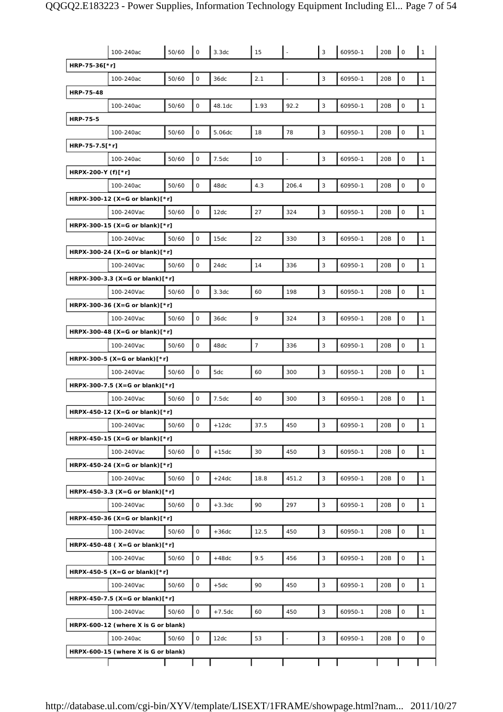|                    | 100-240ac                                        | 50/60 | $\mathsf O$         | 3.3dc    | 15             |                          | 3 | 60950-1 | 20B | $\mathsf{O}\xspace$ | 1                   |
|--------------------|--------------------------------------------------|-------|---------------------|----------|----------------|--------------------------|---|---------|-----|---------------------|---------------------|
| HRP-75-36[*r]      |                                                  |       |                     |          |                |                          |   |         |     |                     |                     |
|                    | 100-240ac                                        | 50/60 | $\mathsf{O}\xspace$ | 36dc     | 2.1            | $\overline{\phantom{a}}$ | 3 | 60950-1 | 20B | $\mathsf{O}\xspace$ | $\mathbf{1}$        |
| <b>HRP-75-48</b>   |                                                  |       |                     |          |                |                          |   |         |     |                     |                     |
|                    | 100-240ac                                        | 50/60 | 0                   | 48.1dc   | 1.93           | 92.2                     | 3 | 60950-1 | 20B | $\mathsf{O}\xspace$ | $\mathbf{1}$        |
| <b>HRP-75-5</b>    |                                                  |       |                     |          |                |                          |   |         |     |                     |                     |
|                    | 100-240ac                                        | 50/60 | O                   | 5.06dc   | 18             | 78                       | 3 | 60950-1 | 20B | $\mathsf{O}\xspace$ | $\mathbf{1}$        |
| HRP-75-7.5[*r]     |                                                  |       |                     |          |                |                          |   |         |     |                     |                     |
|                    | 100-240ac                                        | 50/60 | 0                   | 7.5dc    | 10             | $\overline{\phantom{a}}$ | 3 | 60950-1 | 20B | $\mathsf{O}\xspace$ | $\mathbf{1}$        |
| HRPX-200-Y (f)[*r] |                                                  |       |                     |          |                |                          |   |         |     |                     |                     |
|                    | 100-240ac                                        | 50/60 | $\mathsf O$         | 48dc     | 4.3            | 206.4                    | 3 | 60950-1 | 20B | $\mathsf{O}\xspace$ | $\mathsf{O}\xspace$ |
|                    | HRPX-300-12 (X=G or blank) $[*r]$                |       |                     |          |                |                          |   |         |     |                     |                     |
|                    | 100-240Vac                                       | 50/60 | 0                   | 12dc     | 27             | 324                      | 3 | 60950-1 | 20B | $\mathsf{O}\xspace$ | $\mathbf{1}$        |
|                    | HRPX-300-15 (X=G or blank) $[*r]$                |       |                     |          |                |                          |   |         |     |                     |                     |
|                    | 100-240Vac                                       | 50/60 | O                   | 15dc     | 22             | 330                      | 3 | 60950-1 | 20B | 0                   | $\mathbf{1}$        |
|                    | HRPX-300-24 (X=G or blank)[*r]                   |       |                     |          |                |                          |   |         |     |                     |                     |
|                    | 100-240Vac                                       | 50/60 | $\mathsf{O}$        | 24dc     | 14             | 336                      | 3 | 60950-1 | 20B | $\mathsf{O}\xspace$ | $\mathbf{1}$        |
|                    | HRPX-300-3.3 (X=G or blank) $[*r]$               |       |                     |          |                |                          |   |         |     |                     |                     |
|                    | 100-240Vac                                       | 50/60 | $\mathsf O$         | 3.3dc    | 60             | 198                      | 3 | 60950-1 | 20B | $\mathsf{O}\xspace$ | $\mathbf{1}$        |
|                    | HRPX-300-36 (X=G or blank) $[*r]$                |       |                     |          |                |                          |   |         |     |                     |                     |
|                    | 100-240Vac                                       | 50/60 | 0                   | 36dc     | 9              | 324                      | 3 | 60950-1 | 20B | $\mathsf{O}\xspace$ | $\mathbf{1}$        |
|                    | HRPX-300-48 (X=G or blank) $[*r]$                |       |                     |          |                |                          |   |         |     |                     |                     |
|                    | 100-240Vac                                       | 50/60 | O                   | 48dc     | $\overline{7}$ | 336                      | 3 | 60950-1 | 20B | $\mathsf{O}\xspace$ | $\mathbf{1}$        |
|                    | HRPX-300-5 (X=G or blank) $[*r]$                 |       |                     |          |                |                          |   |         |     |                     |                     |
|                    | 100-240Vac                                       | 50/60 | 0                   | 5dc      | 60             | 300                      | 3 | 60950-1 | 20B | $\mathsf{O}\xspace$ | $\mathbf{1}$        |
|                    | HRPX-300-7.5 (X=G or blank) $[*r]$               |       |                     |          |                |                          |   |         |     |                     |                     |
|                    |                                                  |       |                     | 7.5dc    | 40             |                          | 3 | 60950-1 |     | $\mathsf{O}\xspace$ |                     |
|                    | 100-240Vac                                       | 50/60 | 0                   |          |                | 300                      |   |         | 20B |                     | $\mathbf{1}$        |
|                    | HRPX-450-12 (X=G or blank) $[*r]$                |       |                     |          |                |                          |   |         |     |                     |                     |
|                    | 100-240Vac                                       | 50/60 | 0                   | +12dc    | 37.5           | 450                      | 3 | 60950-1 | 20B | 0                   | $\mathbf{1}$        |
|                    | HRPX-450-15 (X=G or blank)[*r]                   |       |                     |          |                |                          |   |         |     |                     |                     |
|                    | 100-240Vac                                       | 50/60 | 0                   | $+15dc$  | 30             | 450                      | 3 | 60950-1 | 20B | $\mathsf{O}\xspace$ | $\mathbf{1}$        |
|                    | HRPX-450-24 (X=G or blank)[*r]                   |       |                     |          |                |                          |   |         |     |                     |                     |
|                    | 100-240Vac                                       | 50/60 | 0                   | $+24dc$  | 18.8           | 451.2                    | 3 | 60950-1 | 20B | $\mathsf O$         | $\mathbf{1}$        |
|                    | HRPX-450-3.3 (X=G or blank) $[*r]$               |       |                     |          |                |                          |   |         |     |                     |                     |
|                    | 100-240Vac                                       | 50/60 | 0                   | $+3.3dc$ | 90             | 297                      | 3 | 60950-1 | 20B | $\mathsf{O}\xspace$ | $\mathbf{1}$        |
|                    | HRPX-450-36 (X=G or blank) $[*r]$                |       |                     |          |                |                          |   |         |     |                     |                     |
|                    | 100-240Vac                                       | 50/60 | 0                   | $+36dc$  | 12.5           | 450                      | 3 | 60950-1 | 20B | $\mathsf{O}\xspace$ | $\mathbf{1}$        |
|                    | HRPX-450-48 ( $X = G$ or blank) $[ *r]$          |       |                     |          |                |                          |   |         |     |                     |                     |
|                    | 100-240Vac                                       | 50/60 | 0                   | $+48dc$  | 9.5            | 456                      | 3 | 60950-1 | 20B | 0                   | $\mathbf{1}$        |
|                    | HRPX-450-5 (X=G or blank) $[*r]$                 |       |                     |          |                |                          |   |         |     |                     |                     |
|                    | 100-240Vac                                       | 50/60 | 0                   | $+5dc$   | 90             | 450                      | 3 | 60950-1 | 20B | 0                   | $\mathbf{1}$        |
|                    | HRPX-450-7.5 (X=G or blank)[*r]                  |       |                     |          |                |                          |   |         |     |                     |                     |
|                    | 100-240Vac                                       | 50/60 | 0                   | $+7.5dc$ | 60             | 450                      | 3 | 60950-1 | 20B | $\mathsf{O}\xspace$ | $\mathbf{1}$        |
|                    | HRPX-600-12 (where X is G or blank)              |       |                     |          |                |                          |   |         |     |                     |                     |
|                    | 100-240ac<br>HRPX-600-15 (where X is G or blank) | 50/60 | 0                   | 12dc     | 53             | $\overline{\phantom{a}}$ | 3 | 60950-1 | 20B | 0                   | 0                   |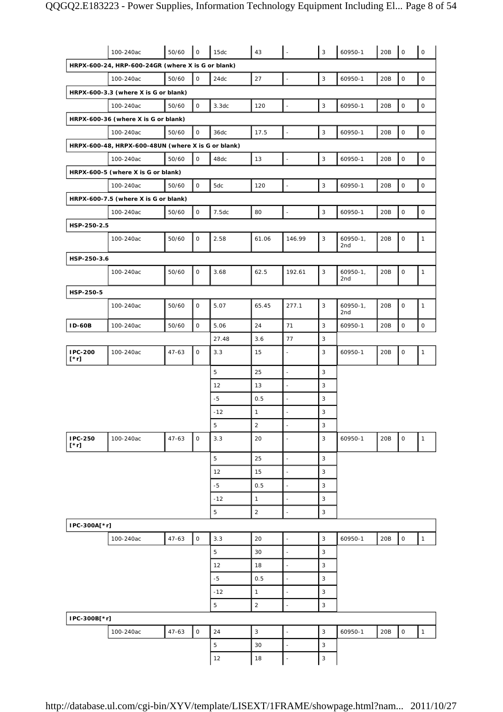|                        | 100-240ac                                          | 50/60     | $\mathsf O$  | 15dc        | 43             |                          | $\mathsf 3$               | 60950-1             | 20B | $\mathsf{O}\xspace$ | $\mathsf O$  |
|------------------------|----------------------------------------------------|-----------|--------------|-------------|----------------|--------------------------|---------------------------|---------------------|-----|---------------------|--------------|
|                        | HRPX-600-24, HRP-600-24GR (where X is G or blank)  |           |              |             |                |                          |                           |                     |     |                     |              |
|                        | 100-240ac                                          | 50/60     | $\mathsf O$  | 24dc        | 27             | $\overline{\phantom{a}}$ | 3                         | 60950-1             | 20B | $\mathsf{O}\xspace$ | $\mathsf O$  |
|                        | HRPX-600-3.3 (where X is G or blank)               |           |              |             |                |                          |                           |                     |     |                     |              |
|                        | 100-240ac                                          | 50/60     | 0            | 3.3dc       | 120            | $\blacksquare$           | $\mathsf 3$               | 60950-1             | 20B | 0                   | 0            |
|                        | HRPX-600-36 (where X is G or blank)                |           |              |             |                |                          |                           |                     |     |                     |              |
|                        | 100-240ac                                          | 50/60     | 0            | 36dc        | 17.5           | $\overline{\phantom{a}}$ | 3                         | 60950-1             | 20B | $\mathsf{O}\xspace$ | $\mathsf O$  |
|                        | HRPX-600-48, HRPX-600-48UN (where X is G or blank) |           |              |             |                |                          |                           |                     |     |                     |              |
|                        | 100-240ac                                          | 50/60     | 0            | 48dc        | 13             | $\overline{a}$           | $\mathbf{3}$              | 60950-1             | 20B | $\mathsf{O}\xspace$ | $\mathsf{O}$ |
|                        | HRPX-600-5 (where X is G or blank)                 |           |              |             |                |                          |                           |                     |     |                     |              |
|                        | 100-240ac                                          | 50/60     | $\mathbf 0$  | 5dc         | 120            | $\blacksquare$           | 3                         | 60950-1             | 20B | $\mathsf{O}\xspace$ | $\mathsf O$  |
|                        | HRPX-600-7.5 (where X is G or blank)               |           |              |             |                |                          |                           |                     |     |                     |              |
|                        | 100-240ac                                          | 50/60     | 0            | 7.5dc       | 80             | ÷,                       | $\mathsf 3$               | 60950-1             | 20B | 0                   | 0            |
| HSP-250-2.5            |                                                    |           |              |             |                |                          |                           |                     |     |                     |              |
|                        | 100-240ac                                          | 50/60     | 0            | 2.58        | 61.06          | 146.99                   | 3                         | $60950 - 1,$<br>2nd | 20B | $\mathsf{O}\xspace$ | $\mathbf{1}$ |
| HSP-250-3.6            |                                                    |           |              |             |                |                          |                           |                     |     |                     |              |
|                        | 100-240ac                                          | 50/60     | 0            | 3.68        | 62.5           | 192.61                   | 3                         | $60950-1,$<br>2nd   | 20B | 0                   | $\mathbf{1}$ |
| HSP-250-5              |                                                    |           |              |             |                |                          |                           |                     |     |                     |              |
|                        | 100-240ac                                          | 50/60     | 0            | 5.07        | 65.45          | 277.1                    | 3                         | $60950 - 1,$<br>2nd | 20B | $\mathsf O$         | $\mathbf{1}$ |
| <b>ID-60B</b>          | 100-240ac                                          | 50/60     | 0            | 5.06        | 24             | 71                       | 3                         | 60950-1             | 20B | $\mathsf{O}\xspace$ | 0            |
|                        |                                                    |           |              | 27.48       | 3.6            | 77                       | 3                         |                     |     |                     |              |
| IPC-200<br>$[\cdot r]$ | 100-240ac                                          | $47 - 63$ | 0            | 3.3         | 15             | $\overline{a}$           | 3                         | 60950-1             | 20B | $\mathsf{O}\xspace$ | $\mathbf{1}$ |
|                        |                                                    |           |              | 5           | 25             | $\blacksquare$           | 3                         |                     |     |                     |              |
|                        |                                                    |           |              | 12          | 13             | $\overline{\phantom{a}}$ | 3                         |                     |     |                     |              |
|                        |                                                    |           |              | $-5$        | 0.5            | $\overline{\phantom{a}}$ | 3                         |                     |     |                     |              |
|                        |                                                    |           |              | $-12$       | $\mathbf{1}$   | $\overline{a}$           | 3                         |                     |     |                     |              |
|                        |                                                    |           |              | 5           | 2              | $\overline{\phantom{a}}$ | 3                         |                     |     |                     |              |
| IPC-250<br>$[\cdot r]$ | 100-240ac                                          | $47 - 63$ | $\mathsf{O}$ | 3.3         | 20             |                          | 3                         | 60950-1             | 20B | $\mathsf O$         | $\mathbf{1}$ |
|                        |                                                    |           |              | 5           | 25             | $\overline{\phantom{a}}$ | 3                         |                     |     |                     |              |
|                        |                                                    |           |              | 12          | 15             | $\blacksquare$           | 3                         |                     |     |                     |              |
|                        |                                                    |           |              | $-5$        | 0.5            | $\overline{\phantom{a}}$ | $\overline{3}$            |                     |     |                     |              |
|                        |                                                    |           |              | $-12$       | $\mathbf{1}$   | J.                       | 3                         |                     |     |                     |              |
|                        |                                                    |           |              | 5           | $\overline{2}$ | $\blacksquare$           | $\mathsf 3$               |                     |     |                     |              |
| IPC-300A[*r]           |                                                    |           |              |             |                |                          |                           |                     |     |                     |              |
|                        | 100-240ac                                          | $47 - 63$ | $\mathsf{O}$ | 3.3         | 20             | $\overline{\phantom{a}}$ | $\overline{3}$            | 60950-1             | 20B | $\mathsf O$         | $\mathbf{1}$ |
|                        |                                                    |           |              | $\mathbf 5$ | 30             | ÷,                       | $\mathsf 3$               |                     |     |                     |              |
|                        |                                                    |           |              | 12          | 18             | $\blacksquare$           | 3                         |                     |     |                     |              |
|                        |                                                    |           |              | $-5$        | 0.5            | $\blacksquare$           | 3                         |                     |     |                     |              |
|                        |                                                    |           |              | $-12$       | $\mathbf{1}$   | $\blacksquare$           | $\overline{3}$            |                     |     |                     |              |
|                        |                                                    |           |              | 5           | $\overline{2}$ | ÷,                       | $\mathsf 3$               |                     |     |                     |              |
| IPC-300B[*r]           |                                                    |           |              |             |                |                          |                           |                     |     |                     |              |
|                        | 100-240ac                                          | $47 - 63$ | $\mathsf{O}$ | 24          | $\mathbf{3}$   | ÷,                       | 3                         | 60950-1             | 20B | $\mathsf O$         | $\mathbf{1}$ |
|                        |                                                    |           |              | 5           | 30             | $\blacksquare$           | 3                         |                     |     |                     |              |
|                        |                                                    |           |              | 12          | 18             | $\overline{\phantom{a}}$ | $\ensuremath{\mathsf{3}}$ |                     |     |                     |              |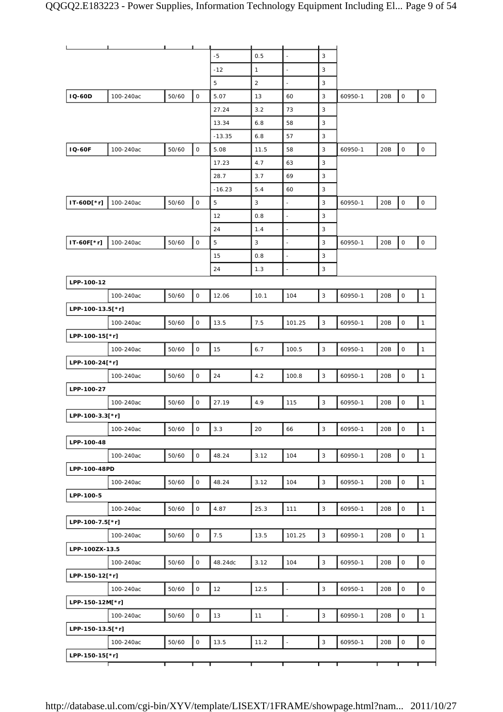|                  | ┸         | $\mathbf{L}$ and $\mathbf{L}$ |                     |          |              |                          |              |         |     |                     |              |
|------------------|-----------|-------------------------------|---------------------|----------|--------------|--------------------------|--------------|---------|-----|---------------------|--------------|
|                  |           |                               |                     | $-5$     | 0.5          | $\overline{\phantom{a}}$ | 3            |         |     |                     |              |
|                  |           |                               |                     | $-12$    | $\mathbf{1}$ | ÷,                       | 3            |         |     |                     |              |
|                  |           |                               |                     | 5        | 2            | $\frac{1}{2}$            | 3            |         |     |                     |              |
| <b>IQ-60D</b>    | 100-240ac | 50/60                         | $\mathsf O$         | 5.07     | 13           | 60                       | 3            | 60950-1 | 20B | $\mathsf O$         | $\mathsf O$  |
|                  |           |                               |                     | 27.24    | 3.2          | 73                       | 3            |         |     |                     |              |
|                  |           |                               |                     | 13.34    | 6.8          | 58                       | $\mathsf 3$  |         |     |                     |              |
|                  |           |                               |                     | $-13.35$ | 6.8          | 57                       | 3            |         |     |                     |              |
| <b>IQ-60F</b>    | 100-240ac | 50/60                         | $\mathsf{O}\xspace$ | 5.08     | 11.5         | 58                       | 3            | 60950-1 | 20B | $\mathsf O$         | $\mathsf{O}$ |
|                  |           |                               |                     | 17.23    | 4.7          | 63                       | 3            |         |     |                     |              |
|                  |           |                               |                     | 28.7     | 3.7          | 69                       | 3            |         |     |                     |              |
|                  |           |                               |                     | $-16.23$ | 5.4          | 60                       | 3            |         |     |                     |              |
| IT-60D[*r]       | 100-240ac | 50/60                         | $\mathsf{O}$        | 5        | $\mathbf{3}$ | $\overline{a}$           | 3            | 60950-1 | 20B | $\mathsf O$         | $\mathsf O$  |
|                  |           |                               |                     | 12       | 0.8          | $\overline{a}$           | 3            |         |     |                     |              |
|                  |           |                               |                     | 24       | 1.4          | $\overline{\phantom{a}}$ | 3            |         |     |                     |              |
| IT-60F[*r]       | 100-240ac | 50/60                         | $\mathsf O$         | 5        | 3            | ÷                        | 3            | 60950-1 | 20B | $\mathsf O$         | 0            |
|                  |           |                               |                     | 15       | 0.8          | ÷,                       | 3            |         |     |                     |              |
|                  |           |                               |                     | 24       | 1.3          | $\blacksquare$           | 3            |         |     |                     |              |
| LPP-100-12       |           |                               |                     |          |              |                          |              |         |     |                     |              |
|                  | 100-240ac | 50/60                         | 0                   | 12.06    | 10.1         | 104                      | $\mathbf{3}$ | 60950-1 | 20B | $\mathsf O$         | $\mathbf{1}$ |
| LPP-100-13.5[*r] |           |                               |                     |          |              |                          |              |         |     |                     |              |
|                  | 100-240ac | 50/60                         | $\mathsf O$         | 13.5     | 7.5          | 101.25                   | 3            | 60950-1 | 20B | $\mathsf O$         | $\mathbf{1}$ |
| LPP-100-15[*r]   |           |                               |                     |          |              |                          |              |         |     |                     |              |
|                  | 100-240ac | 50/60                         | 0                   | 15       | 6.7          | 100.5                    | $\mathsf 3$  | 60950-1 | 20B | $\mathsf O$         | $\mathbf{1}$ |
| LPP-100-24[*r]   |           |                               |                     |          |              |                          |              |         |     |                     |              |
|                  | 100-240ac | 50/60                         | $\mathsf{O}$        | 24       | 4.2          | 100.8                    | 3            | 60950-1 | 20B | $\mathsf O$         | $\mathbf{1}$ |
| LPP-100-27       |           |                               |                     |          |              |                          |              |         |     |                     |              |
|                  | 100-240ac | 50/60                         | 0                   | 27.19    | 4.9          | 115                      | 3            | 60950-1 | 20B | $\mathsf O$         | $\mathbf{1}$ |
| LPP-100-3.3[*r]  |           |                               |                     |          |              |                          |              |         |     |                     |              |
|                  | 100-240ac | 50/60                         | $\mathsf O$         | 3.3      | 20           | 66                       | $\mathsf 3$  | 60950-1 | 20B | $\mathsf{O}\xspace$ | $\mathbf{1}$ |
| LPP-100-48       |           |                               |                     |          |              |                          |              |         |     |                     |              |
|                  | 100-240ac | 50/60                         | $\mathsf{O}$        | 48.24    | 3.12         | 104                      | $\mathsf 3$  | 60950-1 | 20B | $\mathsf O$         | $\mathbf{1}$ |
| LPP-100-48PD     |           |                               |                     |          |              |                          |              |         |     |                     |              |
|                  | 100-240ac | 50/60                         | 0                   | 48.24    | 3.12         | 104                      | 3            | 60950-1 | 20B | $\mathsf{O}\xspace$ | $\mathbf{1}$ |
| LPP-100-5        |           |                               |                     |          |              |                          |              |         |     |                     |              |
|                  | 100-240ac | 50/60                         | $\mathsf{O}$        | 4.87     | 25.3         | 111                      | $\mathbf{3}$ | 60950-1 | 20B | $\mathsf O$         | $\mathbf{1}$ |
| LPP-100-7.5[*r]  |           |                               |                     |          |              |                          |              |         |     |                     |              |
|                  | 100-240ac | 50/60                         | $\mathsf{O}$        | 7.5      | 13.5         | 101.25                   | 3            | 60950-1 | 20B | $\mathsf O$         | $\mathbf{1}$ |
| LPP-100ZX-13.5   |           |                               |                     |          |              |                          |              |         |     |                     |              |
|                  | 100-240ac | 50/60                         | $\mathsf{O}$        | 48.24dc  | 3.12         | 104                      | $\mathbf{3}$ | 60950-1 | 20B | $\mathbf 0$         | $\mathsf O$  |
| LPP-150-12[*r]   |           |                               |                     |          |              |                          |              |         |     |                     |              |
|                  | 100-240ac | 50/60                         | 0                   | 12       | 12.5         | $\overline{\phantom{a}}$ | 3            | 60950-1 | 20B | $\mathsf O$         | $\mathsf O$  |
| LPP-150-12M[*r]  |           |                               |                     |          |              |                          |              |         |     |                     |              |
|                  | 100-240ac | 50/60                         | 0                   | 13       | 11           | $\overline{\phantom{a}}$ | $\mathbf{3}$ | 60950-1 | 20B | $\mathsf O$         | $\mathbf{1}$ |
| LPP-150-13.5[*r] |           |                               |                     |          |              |                          |              |         |     |                     |              |
|                  | 100-240ac | 50/60                         | $\mathsf{O}$        | 13.5     | 11.2         | $\overline{\phantom{a}}$ | 3            | 60950-1 | 20B | $\mathsf O$         | $\mathsf O$  |
| LPP-150-15[*r]   |           | г                             | т                   | т        |              | г                        |              | т       | т   | т                   | т            |
|                  |           |                               |                     |          |              |                          |              |         |     |                     |              |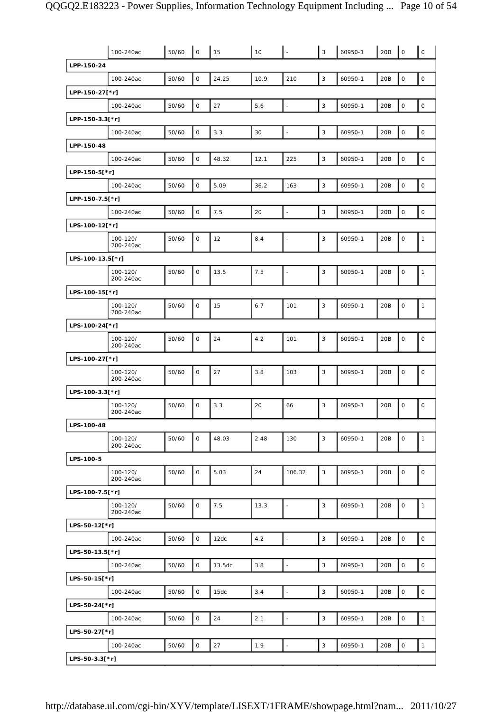|                  | 100-240ac             | 50/60 | $\mathsf{O}\xspace$ | 15     | 10   | L.                       | $\mathbf{3}$ | 60950-1 | 20B | $\mathsf O$         | $\mathsf{O}$ |
|------------------|-----------------------|-------|---------------------|--------|------|--------------------------|--------------|---------|-----|---------------------|--------------|
| LPP-150-24       |                       |       |                     |        |      |                          |              |         |     |                     |              |
|                  | 100-240ac             | 50/60 | $\mathsf O$         | 24.25  | 10.9 | 210                      | $\mathbf{3}$ | 60950-1 | 20B | $\mathsf{O}\xspace$ | $\mathsf O$  |
| LPP-150-27[*r]   |                       |       |                     |        |      |                          |              |         |     |                     |              |
|                  | 100-240ac             | 50/60 | $\mathsf O$         | 27     | 5.6  | $\Box$                   | $\mathsf 3$  | 60950-1 | 20B | $\mathsf O$         | $\mathsf O$  |
| LPP-150-3.3[*r]  |                       |       |                     |        |      |                          |              |         |     |                     |              |
|                  | 100-240ac             | 50/60 | $\mathsf O$         | 3.3    | 30   | $\Box$                   | $\mathsf 3$  | 60950-1 | 20B | $\mathsf O$         | $\mathsf O$  |
| LPP-150-48       |                       |       |                     |        |      |                          |              |         |     |                     |              |
|                  | 100-240ac             | 50/60 | $\mathsf O$         | 48.32  | 12.1 | 225                      | $\mathsf 3$  | 60950-1 | 20B | $\mathsf{O}\xspace$ | $\mathsf O$  |
| LPP-150-5[*r]    |                       |       |                     |        |      |                          |              |         |     |                     |              |
|                  | 100-240ac             | 50/60 | 0                   | 5.09   | 36.2 | 163                      | $\mathsf 3$  | 60950-1 | 20B | $\mathsf{O}\xspace$ | $\mathsf O$  |
| LPP-150-7.5[*r]  |                       |       |                     |        |      |                          |              |         |     |                     |              |
|                  | 100-240ac             | 50/60 | $\mathsf O$         | 7.5    | 20   | $\overline{\phantom{a}}$ | $\mathsf 3$  | 60950-1 | 20B | $\mathsf{O}\xspace$ | $\mathsf O$  |
| LPS-100-12[*r]   |                       |       |                     |        |      |                          |              |         |     |                     |              |
|                  | 100-120/<br>200-240ac | 50/60 | O                   | 12     | 8.4  | $\blacksquare$           | $\mathsf 3$  | 60950-1 | 20B | $\mathsf{O}\xspace$ | $\mathbf{1}$ |
| LPS-100-13.5[*r] |                       |       |                     |        |      |                          |              |         |     |                     |              |
|                  | 100-120/<br>200-240ac | 50/60 | 0                   | 13.5   | 7.5  | $\blacksquare$           | $\mathbf{3}$ | 60950-1 | 20B | $\mathsf O$         | $\mathbf{1}$ |
| LPS-100-15[*r]   |                       |       |                     |        |      |                          |              |         |     |                     |              |
|                  | 100-120/<br>200-240ac | 50/60 | 0                   | 15     | 6.7  | 101                      | 3            | 60950-1 | 20B | $\mathsf O$         | $\mathbf{1}$ |
| LPS-100-24[*r]   |                       |       |                     |        |      |                          |              |         |     |                     |              |
|                  | 100-120/<br>200-240ac | 50/60 | 0                   | 24     | 4.2  | 101                      | 3            | 60950-1 | 20B | $\mathsf{O}\xspace$ | $\mathsf O$  |
| LPS-100-27[*r]   |                       |       |                     |        |      |                          |              |         |     |                     |              |
|                  | 100-120/<br>200-240ac | 50/60 | 0                   | 27     | 3.8  | 103                      | $\mathbf{3}$ | 60950-1 | 20B | $\mathsf O$         | $\mathsf O$  |
| LPS-100-3.3[*r]  |                       |       |                     |        |      |                          |              |         |     |                     |              |
|                  | 100-120/<br>200-240ac | 50/60 | 0                   | 3.3    | 20   | 66                       | 3            | 60950-1 | 20B | $\mathbf 0$         | $\mathsf O$  |
| LPS-100-48       |                       |       |                     |        |      |                          |              |         |     |                     |              |
|                  | 100-120/<br>200-240ac | 50/60 | 0                   | 48.03  | 2.48 | 130                      | $\mathsf 3$  | 60950-1 | 20B | $\mathbf 0$         | $\mathbf{1}$ |
| LPS-100-5        |                       |       |                     |        |      |                          |              |         |     |                     |              |
|                  | 100-120/<br>200-240ac | 50/60 | 0                   | 5.03   | 24   | 106.32                   | 3            | 60950-1 | 20B | $\mathsf{O}\xspace$ | $\mathsf O$  |
| LPS-100-7.5[*r]  |                       |       |                     |        |      |                          |              |         |     |                     |              |
|                  | 100-120/<br>200-240ac | 50/60 | 0                   | 7.5    | 13.3 | $\blacksquare$           | $\mathbf{3}$ | 60950-1 | 20B | $\mathsf O$         | $\mathbf{1}$ |
| LPS-50-12[*r]    |                       |       |                     |        |      |                          |              |         |     |                     |              |
|                  | 100-240ac             | 50/60 | $\mathsf O$         | 12dc   | 4.2  | $\overline{a}$           | 3            | 60950-1 | 20B | $\mathsf{O}\xspace$ | $\mathsf O$  |
| LPS-50-13.5[*r]  |                       |       |                     |        |      |                          |              |         |     |                     |              |
|                  | 100-240ac             | 50/60 | $\mathsf O$         | 13.5dc | 3.8  | $\blacksquare$           | $\mathsf 3$  | 60950-1 | 20B | $\mathbf 0$         | $\mathsf O$  |
| LPS-50-15[*r]    |                       |       |                     |        |      |                          |              |         |     |                     |              |
|                  | 100-240ac             | 50/60 | $\mathsf O$         | 15dc   | 3.4  | ÷,                       | 3            | 60950-1 | 20B | $\mathsf O$         | $\mathsf O$  |
| LPS-50-24[*r]    |                       |       |                     |        |      |                          |              |         |     |                     |              |
|                  | 100-240ac             | 50/60 | $\mathsf O$         | 24     | 2.1  | $\blacksquare$           | $\mathsf 3$  | 60950-1 | 20B | $\mathsf O$         | $\mathbf{1}$ |
| LPS-50-27[*r]    |                       |       |                     |        |      |                          |              |         |     |                     |              |
|                  | 100-240ac             | 50/60 | $\mathsf{O}$        | 27     | 1.9  | ÷,                       | 3            | 60950-1 | 20B | $\mathsf{O}\xspace$ | $\mathbf{1}$ |
| LPS-50-3.3[*r]   |                       |       |                     |        |      |                          |              |         |     |                     |              |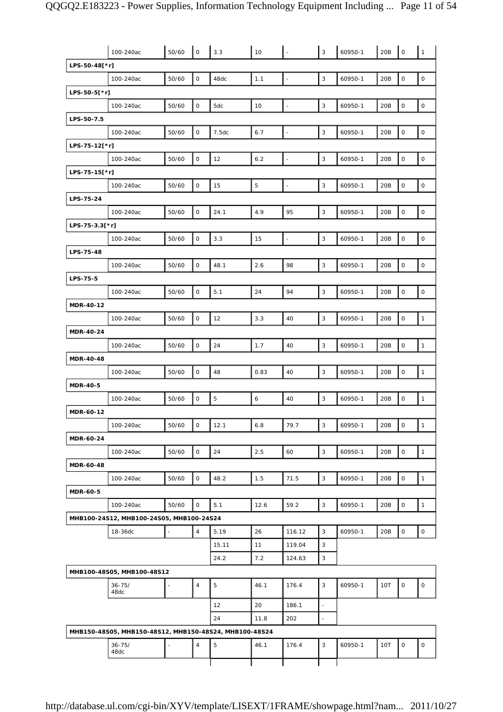|                 | 100-240ac                                              | 50/60 | $\mathsf O$         | 3.3   | 10             |                          | 3                         | 60950-1 | 20B | $\mathsf{O}\xspace$ | $\mathbf 1$         |
|-----------------|--------------------------------------------------------|-------|---------------------|-------|----------------|--------------------------|---------------------------|---------|-----|---------------------|---------------------|
| LPS-50-48[*r]   |                                                        |       |                     |       |                |                          |                           |         |     |                     |                     |
|                 | 100-240ac                                              | 50/60 | $\mathsf{O}\xspace$ | 48dc  | 1.1            | $\overline{\phantom{a}}$ | $\mathsf 3$               | 60950-1 | 20B | $\mathsf{O}\xspace$ | $\mathsf{O}$        |
| LPS-50-5[*r]    |                                                        |       |                     |       |                |                          |                           |         |     |                     |                     |
|                 | 100-240ac                                              | 50/60 | O                   | 5dc   | 10             | $\blacksquare$           | 3                         | 60950-1 | 20B | $\mathsf{O}\xspace$ | $\mathsf O$         |
| LPS-50-7.5      |                                                        |       |                     |       |                |                          |                           |         |     |                     |                     |
|                 | 100-240ac                                              | 50/60 | $\mathsf{O}\xspace$ | 7.5dc | 6.7            | $\overline{\phantom{a}}$ | $\ensuremath{\mathsf{3}}$ | 60950-1 | 20B | $\mathsf{O}\xspace$ | $\mathsf{O}\xspace$ |
| LPS-75-12[*r]   |                                                        |       |                     |       |                |                          |                           |         |     |                     |                     |
|                 | 100-240ac                                              | 50/60 | $\mathsf{O}$        | 12    | 6.2            | $\overline{\phantom{a}}$ | $\mathbf{3}$              | 60950-1 | 20B | $\mathsf{O}\xspace$ | $\mathsf O$         |
| LPS-75-15[*r]   |                                                        |       |                     |       |                |                          |                           |         |     |                     |                     |
|                 | 100-240ac                                              | 50/60 | $\mathsf{O}\xspace$ | 15    | $\overline{5}$ | $\overline{\phantom{a}}$ | $\ensuremath{\mathsf{3}}$ | 60950-1 | 20B | $\mathsf{O}\xspace$ | $\mathsf{O}\xspace$ |
| LPS-75-24       |                                                        |       |                     |       |                |                          |                           |         |     |                     |                     |
|                 | 100-240ac                                              | 50/60 | 0                   | 24.1  | 4.9            | 95                       | $\mathsf 3$               | 60950-1 | 20B | $\mathsf{O}\xspace$ | $\mathsf O$         |
| LPS-75-3.3[*r]  |                                                        |       |                     |       |                |                          |                           |         |     |                     |                     |
|                 | 100-240ac                                              | 50/60 | $\mathsf{O}\xspace$ | 3.3   | 15             | $\mathbb{Z}$             | $\mathbf{3}$              | 60950-1 | 20B | $\mathsf{O}\xspace$ | $\mathsf{O}\xspace$ |
| LPS-75-48       |                                                        |       |                     |       |                |                          |                           |         |     |                     |                     |
|                 | 100-240ac                                              | 50/60 | $\mathsf{O}\xspace$ | 48.1  | 2.6            | 98                       | $\mathbf{3}$              | 60950-1 | 20B | $\mathsf{O}\xspace$ | $\mathsf O$         |
| LPS-75-5        |                                                        |       |                     |       |                |                          |                           |         |     |                     |                     |
|                 | 100-240ac                                              | 50/60 | $\mathsf{O}\xspace$ | 5.1   | 24             | 94                       | 3                         | 60950-1 | 20B | $\mathsf{O}\xspace$ | $\mathsf{O}$        |
| MDR-40-12       |                                                        |       |                     |       |                |                          |                           |         |     |                     |                     |
|                 | 100-240ac                                              | 50/60 | $\mathsf{O}$        | 12    | 3.3            | 40                       | $\mathbf{3}$              | 60950-1 | 20B | $\mathsf O$         | $\mathbf{1}$        |
| MDR-40-24       |                                                        |       |                     |       |                |                          |                           |         |     |                     |                     |
|                 | 100-240ac                                              | 50/60 | $\mathsf{O}\xspace$ | 24    | 1.7            | 40                       | $\mathsf 3$               | 60950-1 | 20B | $\mathsf{O}\xspace$ | $\mathbf{1}$        |
| MDR-40-48       |                                                        |       |                     |       |                |                          |                           |         |     |                     |                     |
|                 | 100-240ac                                              | 50/60 | $\mathsf O$         | 48    | 0.83           | 40                       | 3                         | 60950-1 | 20B | $\mathsf{O}\xspace$ | $\mathbf{1}$        |
| <b>MDR-40-5</b> |                                                        |       |                     |       |                |                          |                           |         |     |                     |                     |
|                 | 100-240ac                                              | 50/60 | 0                   | 5     | 6              | 40                       | 3                         | 60950-1 | 20B | $\mathsf{O}\xspace$ | $\mathbf{1}$        |
| MDR-60-12       |                                                        |       |                     |       |                |                          |                           |         |     |                     |                     |
|                 | 100-240ac                                              | 50/60 | 0                   | 12.1  | 6.8            | 79.7                     | 3                         | 60950-1 | 20B | 0                   | $\mathbf{1}$        |
| MDR-60-24       |                                                        |       |                     |       |                |                          |                           |         |     |                     |                     |
|                 | 100-240ac                                              | 50/60 | $\mathsf{O}\xspace$ | 24    | 2.5            | 60                       | $\mathbf{3}$              | 60950-1 | 20B | $\mathsf O$         | $\mathbf{1}$        |
| MDR-60-48       |                                                        |       |                     |       |                |                          |                           |         |     |                     |                     |
|                 | 100-240ac                                              | 50/60 | 0                   | 48.2  | 1.5            | 71.5                     | 3                         | 60950-1 | 20B | $\mathsf O$         | $\mathbf{1}$        |
| MDR-60-5        |                                                        |       |                     |       |                |                          |                           |         |     |                     |                     |
|                 | 100-240ac                                              | 50/60 | 0                   | 5.1   | 12.6           | 59.2                     | 3                         | 60950-1 | 20B | $\mathsf O$         | $\mathbf{1}$        |
|                 | MHB100-24S12, MHB100-24S05, MHB100-24S24               |       |                     |       |                |                          |                           |         |     |                     |                     |
|                 | 18-36dc                                                |       | $\overline{4}$      | 5.19  | 26             | 116.12                   | 3                         | 60950-1 | 20B | 0                   | $\mathsf O$         |
|                 |                                                        |       |                     | 15.11 | 11             | 119.04                   | 3                         |         |     |                     |                     |
|                 |                                                        |       |                     | 24.2  | 7.2            | 124.63                   | 3                         |         |     |                     |                     |
|                 | MHB100-48S05, MHB100-48S12                             |       |                     |       |                |                          | 3                         |         |     |                     |                     |
|                 | $36 - 75/$<br>48dc                                     |       | 4                   | 5     | 46.1           | 176.4                    |                           | 60950-1 | 10T | 0                   | 0                   |
|                 |                                                        |       |                     | 12    | 20             | 186.1                    | L,                        |         |     |                     |                     |
|                 |                                                        |       |                     | 24    | 11.8           | 202                      | $\overline{\phantom{a}}$  |         |     |                     |                     |
|                 | MHB150-48S05, MHB150-48S12, MHB150-48S24, MHB100-48S24 |       |                     |       |                |                          |                           |         |     |                     |                     |
|                 | $36 - 75/$                                             |       | $\overline{4}$      | 5     | 46.1           | 176.4                    | 3                         | 60950-1 | 10T | 0                   | 0                   |
|                 | 48dc                                                   |       |                     |       |                |                          |                           |         |     |                     |                     |
|                 |                                                        |       |                     |       |                |                          |                           |         |     |                     |                     |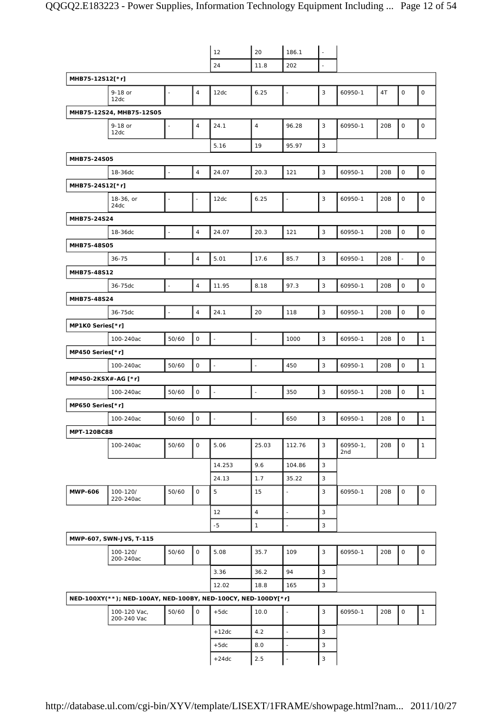|                     |                                                               |                          |                          | 12                       | 20             | 186.1                    | $\bar{z}$    |                   |     |                     |                     |
|---------------------|---------------------------------------------------------------|--------------------------|--------------------------|--------------------------|----------------|--------------------------|--------------|-------------------|-----|---------------------|---------------------|
|                     |                                                               |                          |                          | 24                       | 11.8           | 202                      | ä,           |                   |     |                     |                     |
| MHB75-12S12[*r]     |                                                               |                          |                          |                          |                |                          |              |                   |     |                     |                     |
|                     | 9-18 or<br>12dc                                               | $\Box$                   | $\overline{4}$           | 12dc                     | 6.25           | $\blacksquare$           | 3            | 60950-1           | 4T  | $\mathsf O$         | $\mathsf O$         |
|                     | MHB75-12S24, MHB75-12S05                                      |                          |                          |                          |                |                          |              |                   |     |                     |                     |
|                     | 9-18 or<br>12dc                                               | $\blacksquare$           | 4                        | 24.1                     | $\sqrt{4}$     | 96.28                    | 3            | 60950-1           | 20B | $\mathsf{O}\xspace$ | $\mathsf{O}\xspace$ |
|                     |                                                               |                          |                          | 5.16                     | 19             | 95.97                    | 3            |                   |     |                     |                     |
| MHB75-24S05         |                                                               |                          |                          |                          |                |                          |              |                   |     |                     |                     |
|                     | 18-36dc                                                       | $\overline{a}$           | $\overline{4}$           | 24.07                    | 20.3           | 121                      | 3            | 60950-1           | 20B | $\mathbf 0$         | $\mathsf O$         |
| MHB75-24S12[*r]     |                                                               |                          |                          |                          |                |                          |              |                   |     |                     |                     |
|                     | 18-36, or<br>24dc                                             | $\overline{\phantom{a}}$ | $\overline{\phantom{a}}$ | 12dc                     | 6.25           | $\ddot{\phantom{a}}$     | 3            | 60950-1           | 20B | $\mathsf O$         | $\mathsf O$         |
| MHB75-24S24         |                                                               |                          |                          |                          |                |                          |              |                   |     |                     |                     |
|                     | 18-36dc                                                       | $\overline{\phantom{a}}$ | $\overline{4}$           | 24.07                    | 20.3           | 121                      | 3            | 60950-1           | 20B | $\mathbf 0$         | $\mathsf{O}\xspace$ |
| MHB75-48S05         |                                                               |                          |                          |                          |                |                          |              |                   |     |                     |                     |
|                     | $36 - 75$                                                     | $\overline{\phantom{a}}$ | $\overline{4}$           | 5.01                     | 17.6           | 85.7                     | 3            | 60950-1           | 20B | ÷,                  | $\mathsf O$         |
| MHB75-48S12         |                                                               |                          |                          |                          |                |                          |              |                   |     |                     |                     |
|                     | 36-75dc                                                       | $\overline{\phantom{a}}$ | $\sqrt{4}$               | 11.95                    | 8.18           | 97.3                     | 3            | 60950-1           | 20B | $\mathsf{O}\xspace$ | $\mathsf O$         |
| MHB75-48S24         |                                                               |                          |                          |                          |                |                          |              |                   |     |                     |                     |
|                     | 36-75dc                                                       | $\overline{\phantom{a}}$ | $\overline{4}$           | 24.1                     | 20             | 118                      | 3            | 60950-1           | 20B | $\mathsf{O}\xspace$ | $\mathsf{O}\xspace$ |
| MP1K0 Series[*r]    |                                                               |                          |                          |                          |                |                          |              |                   |     |                     |                     |
|                     | 100-240ac                                                     | 50/60                    | $\mathsf O$              | $\overline{\phantom{a}}$ | $\Box$         | 1000                     | 3            | 60950-1           | 20B | $\mathsf{O}\xspace$ | $\mathbf{1}$        |
| MP450 Series[*r]    |                                                               |                          |                          |                          |                |                          |              |                   |     |                     |                     |
|                     | 100-240ac                                                     | 50/60                    | $\mathsf{O}\xspace$      | $\overline{\phantom{a}}$ | $\blacksquare$ | 450                      | 3            | 60950-1           | 20B | 0                   | $\mathbf{1}$        |
| MP450-2KSX#-AG [*r] |                                                               |                          |                          |                          |                |                          |              |                   |     |                     |                     |
|                     | 100-240ac                                                     | 50/60                    | 0                        | $\bar{\phantom{a}}$      | $\Box$         | 350                      | 3            | 60950-1           | 20B | $\mathsf{O}\xspace$ | $\mathbf{1}$        |
| MP650 Series[*r]    |                                                               |                          |                          |                          |                |                          |              |                   |     |                     |                     |
|                     | 100-240ac                                                     | 50/60                    | $\mathsf{O}\xspace$      | $\blacksquare$           |                | 650                      | 3            | 60950-1           | 20B | $\mathsf{O}\xspace$ | $\mathbf{1}$        |
| <b>MPT-120BC88</b>  |                                                               |                          |                          |                          |                |                          |              |                   |     |                     |                     |
|                     | 100-240ac                                                     | 50/60                    | $\mathbf 0$              | 5.06                     | 25.03          | 112.76                   | 3            | $60950-1,$<br>2nd | 20B | $\mathsf O$         | $\mathbf{1}$        |
|                     |                                                               |                          |                          | 14.253                   | 9.6            | 104.86                   | 3            |                   |     |                     |                     |
|                     |                                                               |                          |                          | 24.13                    | 1.7            | 35.22                    | $\mathbf{3}$ |                   |     |                     |                     |
| <b>MWP-606</b>      | 100-120/<br>220-240ac                                         | 50/60                    | $\mathbf 0$              | 5                        | 15             | ÷,                       | 3            | 60950-1           | 20B | $\mathsf O$         | $\mathsf{O}\xspace$ |
|                     |                                                               |                          |                          | 12                       | $\sqrt{4}$     | $\overline{\phantom{a}}$ | 3            |                   |     |                     |                     |
|                     |                                                               |                          |                          | $-5$                     | $\mathbf{1}$   | ÷,                       | 3            |                   |     |                     |                     |
|                     | MWP-607, SWN-JVS, T-115                                       |                          |                          |                          |                |                          |              |                   |     |                     |                     |
|                     | 100-120/<br>200-240ac                                         | 50/60                    | 0                        | 5.08                     | 35.7           | 109                      | 3            | 60950-1           | 20B | $\mathsf O$         | 0                   |
|                     |                                                               |                          |                          | 3.36                     | 36.2           | 94                       | $\mathbf{3}$ |                   |     |                     |                     |
|                     |                                                               |                          |                          | 12.02                    | 18.8           | 165                      | $\mathbf{3}$ |                   |     |                     |                     |
|                     | NED-100XY(**); NED-100AY, NED-100BY, NED-100CY, NED-100DY[*r] |                          |                          |                          |                |                          |              |                   |     |                     |                     |
|                     | 100-120 Vac,<br>200-240 Vac                                   | 50/60                    | 0                        | $+5dc$                   | 10.0           |                          | 3            | 60950-1           | 20B | $\mathsf{O}\xspace$ | $\mathbf{1}$        |
|                     |                                                               |                          |                          | $+12dc$                  | 4.2            | $\overline{a}$           | 3            |                   |     |                     |                     |
|                     |                                                               |                          |                          | $+5dc$                   | 8.0            | $\overline{\phantom{a}}$ | 3            |                   |     |                     |                     |
|                     |                                                               |                          |                          | $+24dc$                  | 2.5            | $\blacksquare$           | 3            |                   |     |                     |                     |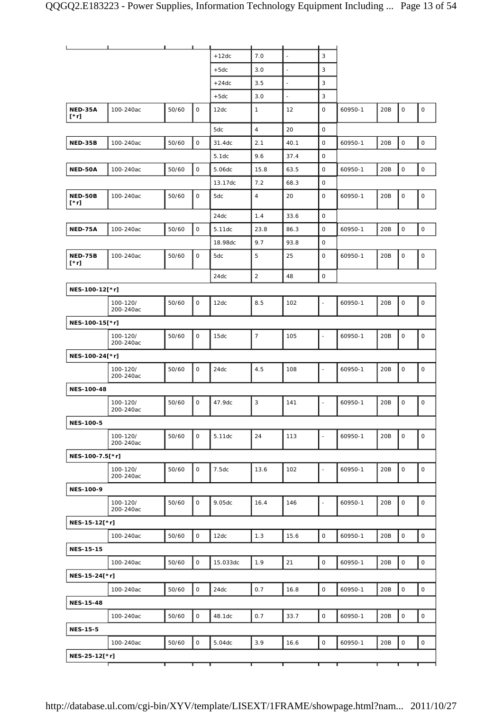|                        | ┸                     | $\mathbf{L}$ and $\mathbf{L}$ |                     |          |                |                          |                |         |     |             |                     |
|------------------------|-----------------------|-------------------------------|---------------------|----------|----------------|--------------------------|----------------|---------|-----|-------------|---------------------|
|                        |                       |                               |                     | $+12dc$  | 7.0            | $\overline{\phantom{a}}$ | $\mathbf{3}$   |         |     |             |                     |
|                        |                       |                               |                     | $+5dc$   | 3.0            |                          | 3              |         |     |             |                     |
|                        |                       |                               |                     | $+24dc$  | 3.5            | $\overline{\phantom{a}}$ | 3              |         |     |             |                     |
|                        |                       |                               |                     | $+5dc$   | 3.0            | $\overline{\phantom{a}}$ | 3              |         |     |             |                     |
| NED-35A<br>[*r]        | 100-240ac             | 50/60                         | $\mathsf{O}$        | 12dc     | $\mathbf{1}$   | 12                       | $\mathbf 0$    | 60950-1 | 20B | $\mathsf O$ | $\mathsf{O}\xspace$ |
|                        |                       |                               |                     | 5dc      | $\overline{4}$ | 20                       | $\mathsf{O}$   |         |     |             |                     |
| NED-35B                | 100-240ac             | 50/60                         | $\mathsf O$         | 31.4dc   | 2.1            | 40.1                     | $\mathsf O$    | 60950-1 | 20B | $\mathsf O$ | $\mathsf{O}\xspace$ |
|                        |                       |                               |                     | 5.1dc    | 9.6            | 37.4                     | 0              |         |     |             |                     |
| NED-50A                | 100-240ac             | 50/60                         | $\mathsf O$         | 5.06dc   | 15.8           | 63.5                     | $\mathsf{O}$   | 60950-1 | 20B | $\mathsf O$ | $\mathsf{O}$        |
|                        |                       |                               |                     | 13.17dc  | 7.2            | 68.3                     | $\mathsf{O}$   |         |     |             |                     |
| NED-50B<br>[*r]        | 100-240ac             | 50/60                         | $\mathsf O$         | 5dc      | $\overline{4}$ | 20                       | $\mathbf{O}$   | 60950-1 | 20B | $\mathsf O$ | 0                   |
|                        |                       |                               |                     | 24dc     | 1.4            | 33.6                     | $\mathbf 0$    |         |     |             |                     |
| NED-75A                | 100-240ac             | 50/60                         | $\mathsf O$         | 5.11dc   | 23.8           | 86.3                     | $\mathsf{O}$   | 60950-1 | 20B | $\mathsf O$ | $\mathsf{O}\xspace$ |
|                        |                       |                               |                     | 18.98dc  | 9.7            | 93.8                     | $\mathsf{O}$   |         |     |             |                     |
| NED-75B<br>$[\cdot r]$ | 100-240ac             | 50/60                         | $\mathsf O$         | 5dc      | 5              | 25                       | $\mathsf{O}$   | 60950-1 | 20B | 0           | 0                   |
|                        |                       |                               |                     | 24dc     | $\overline{2}$ | 48                       | $\mathsf O$    |         |     |             |                     |
| NES-100-12[*r]         |                       |                               |                     |          |                |                          |                |         |     |             |                     |
|                        | 100-120/<br>200-240ac | 50/60                         | $\mathsf O$         | 12dc     | 8.5            | 102                      |                | 60950-1 | 20B | $\mathsf O$ | $\mathsf O$         |
| NES-100-15[*r]         |                       |                               |                     |          |                |                          |                |         |     |             |                     |
|                        | 100-120/<br>200-240ac | 50/60                         | 0                   | 15dc     | $\overline{7}$ | 105                      | $\blacksquare$ | 60950-1 | 20B | $\mathsf O$ | 0                   |
| NES-100-24[*r]         |                       |                               |                     |          |                |                          |                |         |     |             |                     |
|                        | 100-120/<br>200-240ac | 50/60                         | 0                   | 24dc     | 4.5            | 108                      | $\sim$         | 60950-1 | 20B | $\mathsf O$ | $\mathsf O$         |
| NES-100-48             |                       |                               |                     |          |                |                          |                |         |     |             |                     |
|                        | 100-120/<br>200-240ac | 50/60                         | 0                   | 47.9dc   | 3              | 141                      |                | 60950-1 | 20B | $\mathsf O$ | $\mathsf O$         |
| <b>NES-100-5</b>       |                       |                               |                     |          |                |                          |                |         |     |             |                     |
|                        | 100-120/<br>200-240ac | 50/60                         | $\mathsf{O}$        | 5.11dc   | 24             | 113                      |                | 60950-1 | 20B | $\mathbf 0$ | 0                   |
| NES-100-7.5[*r]        |                       |                               |                     |          |                |                          |                |         |     |             |                     |
|                        | 100-120/<br>200-240ac | 50/60                         | 0                   | 7.5dc    | 13.6           | 102                      |                | 60950-1 | 20B | $\mathsf O$ | 0                   |
| <b>NES-100-9</b>       |                       |                               |                     |          |                |                          |                |         |     |             |                     |
|                        | 100-120/<br>200-240ac | 50/60                         | $\mathsf{O}$        | 9.05dc   | 16.4           | 146                      | $\blacksquare$ | 60950-1 | 20B | $\mathsf O$ | $\mathsf O$         |
| NES-15-12[*r]          |                       |                               |                     |          |                |                          |                |         |     |             |                     |
|                        | 100-240ac             | 50/60                         | $\mathsf O$         | 12dc     | 1.3            | 15.6                     | $\mathsf O$    | 60950-1 | 20B | $\mathsf O$ | $\mathsf{O}$        |
| <b>NES-15-15</b>       |                       |                               |                     |          |                |                          |                |         |     |             |                     |
|                        | 100-240ac             | 50/60                         | $\mathsf O$         | 15.033dc | 1.9            | 21                       | $\mathsf O$    | 60950-1 | 20B | $\mathsf O$ | $\mathsf{O}\xspace$ |
| NES-15-24[*r]          |                       |                               |                     |          |                |                          |                |         |     |             |                     |
|                        | 100-240ac             | 50/60                         | $\mathsf{O}\xspace$ | 24dc     | 0.7            | 16.8                     | $\mathsf{O}$   | 60950-1 | 20B | $\mathsf O$ | $\mathsf{O}$        |
| <b>NES-15-48</b>       |                       |                               |                     |          |                |                          |                |         |     |             |                     |
|                        | 100-240ac             | 50/60                         | $\mathsf O$         | 48.1dc   | 0.7            | 33.7                     | $\mathsf O$    | 60950-1 | 20B | $\mathsf O$ | $\circ$             |
| <b>NES-15-5</b>        |                       |                               |                     |          |                |                          |                |         |     |             |                     |
|                        | 100-240ac             | 50/60                         | $\mathsf O$         | 5.04dc   | 3.9            | 16.6                     | $\mathsf O$    | 60950-1 | 20B | $\mathsf O$ | $\mathsf{O}\xspace$ |
| NES-25-12[*r]          |                       |                               |                     |          |                |                          |                |         |     |             |                     |
|                        |                       |                               |                     |          |                |                          |                |         |     |             |                     |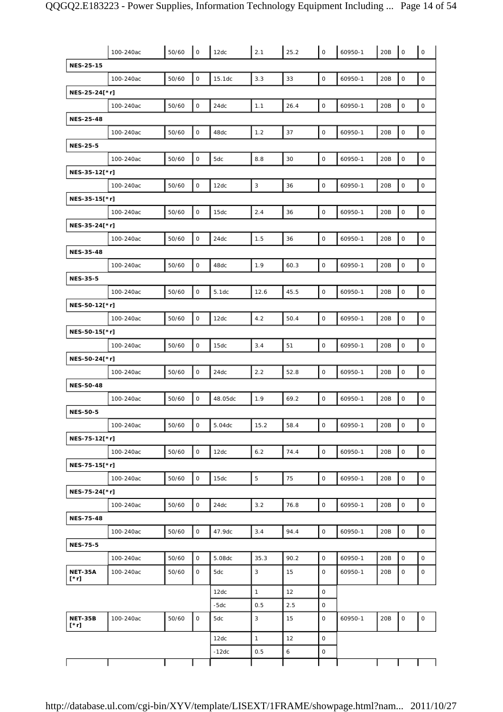|                               | 100-240ac | 50/60 | $\mathsf O$         | 12dc    | 2.1          | 25.2 | $\mathsf O$         | 60950-1 | 20B | $\mathsf O$         | $\mathsf{O}$        |
|-------------------------------|-----------|-------|---------------------|---------|--------------|------|---------------------|---------|-----|---------------------|---------------------|
| <b>NES-25-15</b>              |           |       |                     |         |              |      |                     |         |     |                     |                     |
|                               | 100-240ac | 50/60 | $\mathsf{O}\xspace$ | 15.1dc  | 3.3          | 33   | $\mathsf O$         | 60950-1 | 20B | $\mathsf{O}\xspace$ | $\mathsf{O}$        |
| NES-25-24[*r]                 |           |       |                     |         |              |      |                     |         |     |                     |                     |
|                               | 100-240ac | 50/60 | 0                   | 24dc    | 1.1          | 26.4 | 0                   | 60950-1 | 20B | 0                   | $\mathsf{O}$        |
| <b>NES-25-48</b>              |           |       |                     |         |              |      |                     |         |     |                     |                     |
|                               | 100-240ac | 50/60 | $\mathsf{O}\xspace$ | 48dc    | $1.2\,$      | 37   | $\mathsf{O}$        | 60950-1 | 20B | $\mathsf{O}\xspace$ | $\mathsf O$         |
| <b>NES-25-5</b>               |           |       |                     |         |              |      |                     |         |     |                     |                     |
|                               | 100-240ac | 50/60 | $\mathsf O$         | 5dc     | 8.8          | 30   | $\mathsf O$         | 60950-1 | 20B | $\mathsf O$         | $\mathsf{O}$        |
| NES-35-12[*r]                 |           |       |                     |         |              |      |                     |         |     |                     |                     |
|                               | 100-240ac | 50/60 | $\mathsf O$         | 12dc    | 3            | 36   | $\mathsf O$         | 60950-1 | 20B | $\mathsf O$         | $\mathsf O$         |
| NES-35-15[*r]                 |           |       |                     |         |              |      |                     |         |     |                     |                     |
|                               | 100-240ac | 50/60 | 0                   | 15dc    | 2.4          | 36   | $\mathsf{O}\xspace$ | 60950-1 | 20B | 0                   | $\mathsf O$         |
| NES-35-24[*r]                 |           |       |                     |         |              |      |                     |         |     |                     |                     |
|                               | 100-240ac | 50/60 | $\mathsf O$         | 24dc    | 1.5          | 36   | $\mathsf O$         | 60950-1 | 20B | $\mathsf O$         | $\mathsf{O}\xspace$ |
| <b>NES-35-48</b>              |           |       |                     |         |              |      |                     |         |     |                     |                     |
|                               | 100-240ac | 50/60 | $\mathsf O$         | 48dc    | 1.9          | 60.3 | $\mathsf O$         | 60950-1 | 20B | $\mathsf O$         | $\mathsf{O}$        |
| <b>NES-35-5</b>               |           |       |                     |         |              |      |                     |         |     |                     |                     |
|                               | 100-240ac | 50/60 | $\mathsf{O}\xspace$ | 5.1dc   | 12.6         | 45.5 | $\mathsf O$         | 60950-1 | 20B | $\mathsf{O}\xspace$ | $\mathsf O$         |
| NES-50-12[*r]                 |           |       |                     |         |              |      |                     |         |     |                     |                     |
|                               | 100-240ac | 50/60 | $\mathsf O$         | 12dc    | 4.2          | 50.4 | 0                   | 60950-1 | 20B | 0                   | $\mathsf{O}\xspace$ |
| NES-50-15[*r]                 |           |       |                     |         |              |      |                     |         |     |                     |                     |
|                               | 100-240ac | 50/60 | $\mathsf{O}\xspace$ | 15dc    | 3.4          | 51   | $\mathsf{O}$        | 60950-1 | 20B | $\mathsf{O}\xspace$ | $\mathsf O$         |
| NES-50-24[*r]                 |           |       |                     |         |              |      |                     |         |     |                     |                     |
|                               | 100-240ac | 50/60 | $\mathsf O$         | 24dc    | 2.2          | 52.8 | $\mathsf O$         | 60950-1 | 20B | $\mathsf O$         | $\mathsf O$         |
| <b>NES-50-48</b>              |           |       |                     |         |              |      |                     |         |     |                     |                     |
|                               | 100-240ac | 50/60 | 0                   | 48.05dc | 1.9          | 69.2 | $\mathsf O$         | 60950-1 | 20B | $\mathsf{O}\xspace$ | $\mathsf O$         |
| <b>NES-50-5</b>               |           |       |                     |         |              |      |                     |         |     |                     |                     |
|                               | 100-240ac | 50/60 | $\circ$             | 5.04dc  | 15.2         | 58.4 | 0                   | 60950-1 | 20B | $\overline{10}$     | $\circ$             |
| NES-75-12[*r]                 |           |       |                     |         |              |      |                     |         |     |                     |                     |
|                               | 100-240ac | 50/60 | $\mathsf O$         | 12dc    | 6.2          | 74.4 | $\circ$             | 60950-1 | 20B | $\mathsf O$         | $\mathsf{O}$        |
| NES-75-15[*r]                 |           |       |                     |         |              |      |                     |         |     |                     |                     |
|                               | 100-240ac | 50/60 | $\mathsf{O}$        | 15dc    | $\mathbf 5$  | 75   | $\mathsf{O}$        | 60950-1 | 20B | $\mathsf{O}\xspace$ | $\mathsf{O}$        |
| NES-75-24[*r]                 |           |       |                     |         |              |      |                     |         |     |                     |                     |
|                               | 100-240ac | 50/60 | $\mathsf O$         | 24dc    | 3.2          | 76.8 | $\mathsf O$         | 60950-1 | 20B | $\mathsf O$         | $\mathsf{O}$        |
| <b>NES-75-48</b>              |           |       |                     |         |              |      |                     |         |     |                     |                     |
|                               | 100-240ac | 50/60 | $\mathsf{O}$        | 47.9dc  | 3.4          | 94.4 | 0                   | 60950-1 | 20B | 0                   | $\mathsf{O}$        |
| <b>NES-75-5</b>               |           |       |                     |         |              |      |                     |         |     |                     |                     |
|                               | 100-240ac | 50/60 | 0                   | 5.08dc  | 35.3         | 90.2 | $\mathsf O$         | 60950-1 | 20B | 0                   | $\mathbf 0$         |
| NET-35A<br>$[\cdot r]$        | 100-240ac | 50/60 | 0                   | 5dc     | 3            | 15   | 0                   | 60950-1 | 20B | 0                   | $\mathsf{O}\xspace$ |
|                               |           |       |                     | 12dc    | $\mathbf{1}$ | 12   | $\mathsf O$         |         |     |                     |                     |
|                               |           |       |                     | $-5dc$  | 0.5          | 2.5  | 0                   |         |     |                     |                     |
| <b>NET-35B</b><br>$[\cdot r]$ | 100-240ac | 50/60 | $\mathsf{O}$        | 5dc     | 3            | 15   | 0                   | 60950-1 | 20B | $\mathsf O$         | $\mathsf{O}\xspace$ |
|                               |           |       |                     | 12dc    | $\mathbf{1}$ | 12   | 0                   |         |     |                     |                     |
|                               |           |       |                     | $-12dc$ | 0.5          | 6    | $\mathsf O$         |         |     |                     |                     |
|                               |           |       |                     |         |              |      |                     |         |     |                     |                     |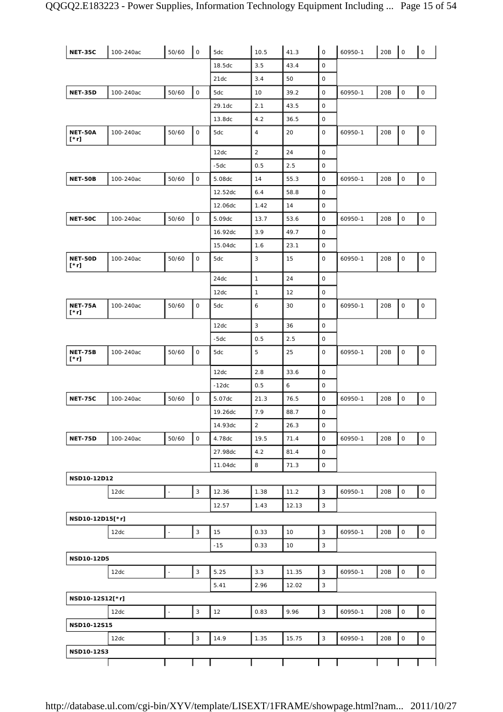| <b>NET-35C</b>                | 100-240ac | 50/60                    | $\mathsf{O}\xspace$ | 5dc     | 10.5           | 41.3  | $\mathsf O$  | 60950-1 | 20B | $\mathsf O$         | $\mathsf{O}\xspace$ |
|-------------------------------|-----------|--------------------------|---------------------|---------|----------------|-------|--------------|---------|-----|---------------------|---------------------|
|                               |           |                          |                     | 18.5dc  | 3.5            | 43.4  | $\mathsf O$  |         |     |                     |                     |
|                               |           |                          |                     | 21dc    | 3.4            | 50    | 0            |         |     |                     |                     |
| <b>NET-35D</b>                | 100-240ac | 50/60                    | $\mathsf O$         | 5dc     | 10             | 39.2  | $\mathsf O$  | 60950-1 | 20B | 0                   | $\mathsf O$         |
|                               |           |                          |                     | 29.1dc  | 2.1            | 43.5  | $\mathsf O$  |         |     |                     |                     |
|                               |           |                          |                     | 13.8dc  | 4.2            | 36.5  | $\mathsf O$  |         |     |                     |                     |
| <b>NET-50A</b><br>$[\cdot r]$ | 100-240ac | 50/60                    | $\mathsf{O}$        | 5dc     | $\overline{4}$ | 20    | 0            | 60950-1 | 20B | 0                   | 0                   |
|                               |           |                          |                     | 12dc    | $\overline{2}$ | 24    | 0            |         |     |                     |                     |
|                               |           |                          |                     | $-5dc$  | 0.5            | 2.5   | $\mathsf O$  |         |     |                     |                     |
| <b>NET-50B</b>                | 100-240ac | 50/60                    | $\mathsf O$         | 5.08dc  | 14             | 55.3  | 0            | 60950-1 | 20B | $\mathsf O$         | $\mathsf{O}\xspace$ |
|                               |           |                          |                     | 12.52dc | $6.4$          | 58.8  | $\mathsf O$  |         |     |                     |                     |
|                               |           |                          |                     | 12.06dc | 1.42           | 14    | 0            |         |     |                     |                     |
| <b>NET-50C</b>                | 100-240ac | 50/60                    | $\mathsf O$         | 5.09dc  | 13.7           | 53.6  | $\mathsf O$  | 60950-1 | 20B | $\mathsf{O}\xspace$ | $\mathsf{O}\xspace$ |
|                               |           |                          |                     | 16.92dc | 3.9            | 49.7  | $\mathsf O$  |         |     |                     |                     |
|                               |           |                          |                     | 15.04dc | 1.6            | 23.1  | $\mathsf O$  |         |     |                     |                     |
| NET-50D<br>$[\cdot r]$        | 100-240ac | 50/60                    | $\mathsf{O}$        | 5dc     | 3              | 15    | 0            | 60950-1 | 20B | 0                   | $\mathsf O$         |
|                               |           |                          |                     | 24dc    | $\mathbf{1}$   | 24    | $\mathsf O$  |         |     |                     |                     |
|                               |           |                          |                     | 12dc    | $\mathbf{1}$   | 12    | $\mathsf O$  |         |     |                     |                     |
| <b>NET-75A</b><br>[*r]        | 100-240ac | 50/60                    | $\mathsf O$         | 5dc     | 6              | 30    | $\mathsf O$  | 60950-1 | 20B | 0                   | 0                   |
|                               |           |                          |                     | 12dc    | $\sqrt{3}$     | 36    | $\mathsf O$  |         |     |                     |                     |
|                               |           |                          |                     | $-5dc$  | 0.5            | 2.5   | $\mathsf O$  |         |     |                     |                     |
| <b>NET-75B</b><br>[*r]        | 100-240ac | 50/60                    | $\mathsf O$         | 5dc     | 5              | 25    | $\mathsf O$  | 60950-1 | 20B | 0                   | $\mathsf O$         |
|                               |           |                          |                     | 12dc    | 2.8            | 33.6  | $\mathsf O$  |         |     |                     |                     |
|                               |           |                          |                     | $-12dc$ | 0.5            | 6     | 0            |         |     |                     |                     |
| <b>NET-75C</b>                | 100-240ac | 50/60                    | $\mathsf{O}$        | 5.07dc  | 21.3           | 76.5  | $\mathsf O$  | 60950-1 | 20B | $\mathsf O$         | $\mathsf O$         |
|                               |           |                          |                     | 19.26dc | 7.9            | 88.7  | 0            |         |     |                     |                     |
|                               |           |                          |                     | 14.93dc | 2              | 26.3  | 0            |         |     |                     |                     |
| <b>NET-75D</b>                | 100-240ac | 50/60                    | $\mathsf O$         | 4.78dc  | 19.5           | 71.4  | $\mathsf{O}$ | 60950-1 | 20B | $\mathsf O$         | $\mathsf O$         |
|                               |           |                          |                     | 27.98dc | 4.2            | 81.4  | 0            |         |     |                     |                     |
|                               |           |                          |                     | 11.04dc | 8              | 71.3  | $\mathsf O$  |         |     |                     |                     |
| NSD10-12D12                   |           |                          |                     |         |                |       |              |         |     |                     |                     |
|                               | 12dc      | $\overline{a}$           | $\mathbf{3}$        | 12.36   | 1.38           | 11.2  | $\mathbf{3}$ | 60950-1 | 20B | 0                   | $\mathsf{O}\xspace$ |
|                               |           |                          |                     | 12.57   | 1.43           | 12.13 | 3            |         |     |                     |                     |
| NSD10-12D15[*r]               |           |                          |                     |         |                |       |              |         |     |                     |                     |
|                               | 12dc      | $\overline{a}$           | $\mathsf 3$         | 15      | 0.33           | 10    | 3            | 60950-1 | 20B | $\mathsf O$         | $\mathsf{O}$        |
|                               |           |                          |                     | $-15$   | 0.33           | 10    | $\mathsf 3$  |         |     |                     |                     |
| NSD10-12D5                    |           |                          |                     |         |                |       |              |         |     |                     |                     |
|                               | 12dc      | $\overline{\phantom{a}}$ | $\mathbf{3}$        | 5.25    | 3.3            | 11.35 | $\mathsf 3$  | 60950-1 | 20B | 0                   | $\mathsf O$         |
|                               |           |                          |                     | 5.41    | 2.96           | 12.02 | $\mathbf{3}$ |         |     |                     |                     |
| NSD10-12S12[*r]               |           |                          |                     |         |                |       |              |         |     |                     |                     |
|                               | 12dc      | $\frac{1}{2}$            | 3                   | 12      | 0.83           | 9.96  | 3            | 60950-1 | 20B | $\mathsf O$         | $\mathsf{O}$        |
| NSD10-12S15                   |           |                          |                     |         |                |       |              |         |     |                     |                     |
|                               | 12dc      | $\Box$                   | $\mathbf{3}$        | 14.9    | 1.35           | 15.75 | $\mathbf{3}$ | 60950-1 | 20B | $\mathsf O$         | $\mathsf{O}$        |
| NSD10-12S3                    |           |                          |                     |         |                |       |              |         |     |                     |                     |
|                               |           |                          |                     |         |                |       |              |         |     |                     |                     |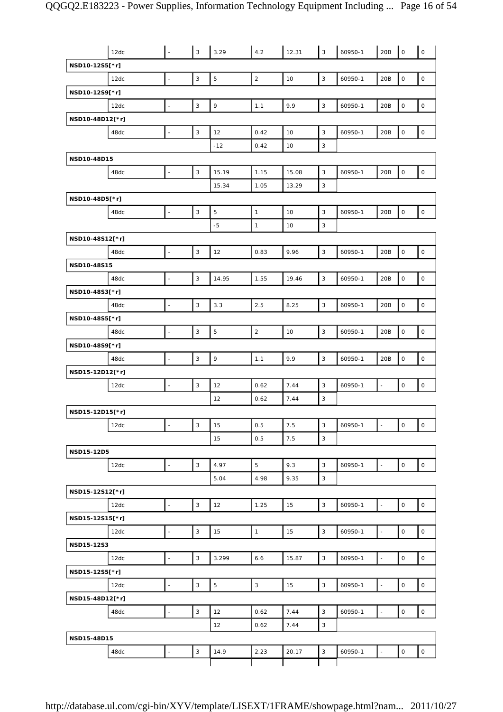|                 | 12dc | L.                       | $\mathsf 3$               | 3.29         | 4.2          | 12.31 | $\vert$ 3    | 60950-1 | 20B                      | $\mathsf{O}$        | $\mathsf{O}$        |
|-----------------|------|--------------------------|---------------------------|--------------|--------------|-------|--------------|---------|--------------------------|---------------------|---------------------|
| NSD10-12S5[*r]  |      |                          |                           |              |              |       |              |         |                          |                     |                     |
|                 | 12dc | $\bar{\phantom{a}}$      | $\mathsf 3$               | $\mathbf 5$  | $\sqrt{2}$   | 10    | $\mathsf 3$  | 60950-1 | 20B                      | 0                   | $\mathsf O$         |
| NSD10-12S9[*r]  |      |                          |                           |              |              |       |              |         |                          |                     |                     |
|                 | 12dc | $\mathbb{Z}^2$           | $\ensuremath{\mathsf{3}}$ | $\mathsf 9$  | 1.1          | 9.9   | $\mathsf 3$  | 60950-1 | 20B                      | $\mathsf{O}\xspace$ | $\mathsf O$         |
| NSD10-48D12[*r] |      |                          |                           |              |              |       |              |         |                          |                     |                     |
|                 | 48dc | $\blacksquare$           | $\mathsf 3$               | 12           | 0.42         | 10    | 3            | 60950-1 | 20B                      | $\mathsf{O}\xspace$ | $\mathsf{O}$        |
|                 |      |                          |                           | $-12$        | 0.42         | 10    | 3            |         |                          |                     |                     |
| NSD10-48D15     |      |                          |                           |              |              |       |              |         |                          |                     |                     |
|                 | 48dc | $\blacksquare$           | $\mathsf 3$               | 15.19        | 1.15         | 15.08 | 3            | 60950-1 | 20B                      | $\mathsf{O}\xspace$ | $\mathsf{O}\xspace$ |
|                 |      |                          |                           | 15.34        | 1.05         | 13.29 | 3            |         |                          |                     |                     |
| NSD10-48D5[*r]  |      |                          |                           |              |              |       |              |         |                          |                     |                     |
|                 | 48dc | $\Box$                   | $\ensuremath{\mathsf{3}}$ | $\mathbf 5$  | $\mathbf{1}$ | 10    | $\mathsf 3$  | 60950-1 | 20B                      | $\mathsf O$         | $\mathsf{O}\xspace$ |
|                 |      |                          |                           | $-5$         | $\mathbf{1}$ | 10    | 3            |         |                          |                     |                     |
| NSD10-48S12[*r] |      |                          |                           |              |              |       |              |         |                          |                     |                     |
|                 | 48dc | $\blacksquare$           | $\sqrt{3}$                | 12           | 0.83         | 9.96  | $\mathsf 3$  | 60950-1 | 20B                      | $\mathsf{O}\xspace$ | $\mathsf{O}\xspace$ |
| NSD10-48S15     |      |                          |                           |              |              |       |              |         |                          |                     |                     |
|                 | 48dc | $\bar{\phantom{a}}$      | $\mathsf 3$               | 14.95        | 1.55         | 19.46 | $\mathsf 3$  | 60950-1 | 20B                      | $\mathsf O$         | $\mathsf O$         |
| NSD10-48S3[*r]  |      |                          |                           |              |              |       |              |         |                          |                     |                     |
|                 | 48dc | $\Box$                   | $\sqrt{3}$                | 3.3          | 2.5          | 8.25  | $\mathbf{3}$ | 60950-1 | 20B                      | $\mathsf{O}\xspace$ | $\mathsf{O}$        |
| NSD10-48S5[*r]  |      |                          |                           |              |              |       |              |         |                          |                     |                     |
|                 | 48dc |                          | $\mathbf{3}$              | 5            | $\sqrt{2}$   | 10    | 3            | 60950-1 | 20B                      | $\mathsf{O}\xspace$ | $\mathsf{O}$        |
| NSD10-48S9[*r]  |      |                          |                           |              |              |       |              |         |                          |                     |                     |
|                 | 48dc | ä,                       | $\sqrt{3}$                | $\mathsf{q}$ | 1.1          | 9.9   | $\mathbf{3}$ | 60950-1 | 20B                      | $\mathsf O$         | $\mathsf{O}$        |
| NSD15-12D12[*r] |      |                          |                           |              |              |       |              |         |                          |                     |                     |
|                 | 12dc | $\blacksquare$           | $\ensuremath{\mathsf{3}}$ | 12           | 0.62         | 7.44  | $\mathsf 3$  | 60950-1 | $\blacksquare$           | $\mathsf O$         | $\mathsf{O}\xspace$ |
|                 |      |                          |                           | 12           | 0.62         | 7.44  | 3            |         |                          |                     |                     |
| NSD15-12D15[*r] |      |                          |                           |              |              |       |              |         |                          |                     |                     |
|                 | 12dc | $\blacksquare$           | $\ensuremath{\mathsf{3}}$ | 15           | 0.5          | 7.5   | 3            | 60950-1 | $\Box$                   | $\mathsf O$         | $\mathsf{O}$        |
|                 |      |                          |                           | 15           | 0.5          | 7.5   | 3            |         |                          |                     |                     |
| NSD15-12D5      |      |                          |                           |              |              |       |              |         |                          |                     |                     |
|                 | 12dc | ÷,                       | $\ensuremath{\mathsf{3}}$ | 4.97         | 5            | 9.3   | $\mathbf{3}$ | 60950-1 | $\Box$                   | $\mathsf{O}\xspace$ | $\mathsf O$         |
|                 |      |                          |                           | 5.04         | 4.98         | 9.35  | $\mathsf 3$  |         |                          |                     |                     |
| NSD15-12S12[*r] |      |                          |                           |              |              |       |              |         |                          |                     |                     |
|                 | 12dc | $\Box$                   | $\mathbf{3}$              | 12           | 1.25         | 15    | $\mathsf 3$  | 60950-1 | $\overline{\phantom{a}}$ | $\mathsf{O}\xspace$ | $\mathsf{O}\xspace$ |
| NSD15-12S15[*r] |      |                          |                           |              |              |       |              |         |                          |                     |                     |
|                 | 12dc | $\overline{\phantom{a}}$ | $\ensuremath{\mathsf{3}}$ | 15           | $\mathbf{1}$ | 15    | $\sqrt{3}$   | 60950-1 | $\overline{\phantom{a}}$ | $\mathsf O$         | $\mathsf O$         |
| NSD15-12S3      |      |                          |                           |              |              |       |              |         |                          |                     |                     |
|                 | 12dc | $\overline{\phantom{a}}$ | $\mathsf 3$               | 3.299        | 6.6          | 15.87 | $\mathbf{3}$ | 60950-1 | $\bar{\phantom{a}}$      | $\mathsf O$         | $\mathsf O$         |
| NSD15-12S5[*r]  |      |                          |                           |              |              |       |              |         |                          |                     |                     |
|                 | 12dc | $\sim$                   | $\ensuremath{\mathsf{3}}$ | 5            | 3            | 15    | $\mathsf 3$  | 60950-1 | $\overline{\phantom{a}}$ | $\mathsf O$         | $\mathsf O$         |
| NSD15-48D12[*r] |      |                          |                           |              |              |       |              |         |                          |                     |                     |
|                 | 48dc | $\blacksquare$           | $\mathsf 3$               | 12           | 0.62         | 7.44  | $\mathsf 3$  | 60950-1 | $\overline{\phantom{a}}$ | $\mathsf O$         | $\mathsf O$         |
|                 |      |                          |                           | 12           | 0.62         | 7.44  | $\mathbf{3}$ |         |                          |                     |                     |
| NSD15-48D15     |      |                          |                           |              |              |       |              |         |                          |                     |                     |
|                 | 48dc | ä,                       | $\mathsf 3$               | 14.9         | 2.23         | 20.17 | 3            | 60950-1 |                          | $\mathsf O$         | $\mathsf O$         |
|                 |      |                          |                           |              |              |       |              |         |                          |                     |                     |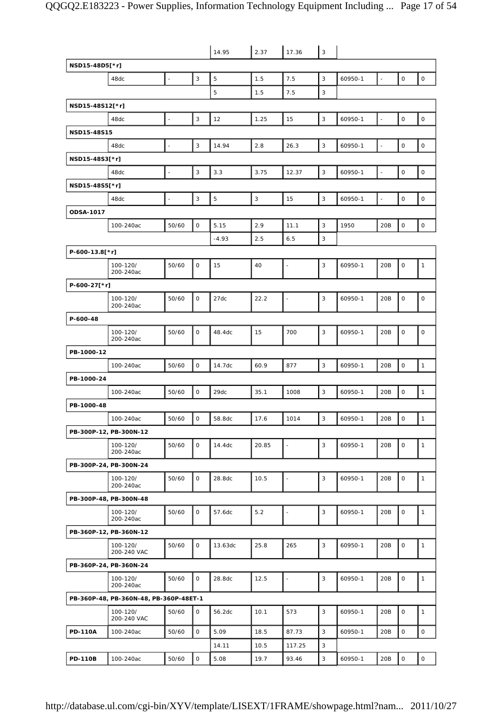|                 |                                        |                          |                | 14.95          | 2.37  | 17.36                | 3 |         |                          |                     |                     |
|-----------------|----------------------------------------|--------------------------|----------------|----------------|-------|----------------------|---|---------|--------------------------|---------------------|---------------------|
| NSD15-48D5[*r]  |                                        |                          |                |                |       |                      |   |         |                          |                     |                     |
|                 | 48dc                                   | $\overline{a}$           | $\overline{3}$ | 5              | 1.5   | 7.5                  | 3 | 60950-1 | L.                       | $\mathsf O$         | $\mathsf O$         |
|                 |                                        |                          |                | 5              | 1.5   | 7.5                  | 3 |         |                          |                     |                     |
| NSD15-48S12[*r] |                                        |                          |                |                |       |                      |   |         |                          |                     |                     |
|                 | 48dc                                   | $\overline{\phantom{a}}$ | $\mathbf{3}$   | 12             | 1.25  | 15                   | 3 | 60950-1 |                          | $\mathsf{O}\xspace$ | $\mathsf O$         |
| NSD15-48S15     |                                        |                          |                |                |       |                      |   |         |                          |                     |                     |
|                 | 48dc                                   | $\overline{\phantom{a}}$ | 3              | 14.94          | 2.8   | 26.3                 | 3 | 60950-1 | $\overline{\phantom{a}}$ | 0                   | $\mathsf O$         |
| NSD15-48S3[*r]  |                                        |                          |                |                |       |                      |   |         |                          |                     |                     |
|                 | 48dc                                   | $\Box$                   | $\mathsf 3$    | 3.3            | 3.75  | 12.37                | 3 | 60950-1 | $\overline{\phantom{a}}$ | $\mathsf{O}\xspace$ | $\mathsf O$         |
| NSD15-48S5[*r]  |                                        |                          |                |                |       |                      |   |         |                          |                     |                     |
|                 | 48dc                                   | $\overline{\phantom{a}}$ | $\mathsf 3$    | $\overline{5}$ | 3     | 15                   | 3 | 60950-1 | $\overline{a}$           | $\mathsf O$         | $\mathsf O$         |
| ODSA-1017       |                                        |                          |                |                |       |                      |   |         |                          |                     |                     |
|                 | 100-240ac                              | 50/60                    | $\mathbf 0$    | 5.15           | 2.9   | 11.1                 | 3 | 1950    | 20B                      | $\mathsf O$         | $\mathsf O$         |
|                 |                                        |                          |                | $-4.93$        | 2.5   | 6.5                  | 3 |         |                          |                     |                     |
| P-600-13.8[*r]  |                                        |                          |                |                |       |                      |   |         |                          |                     |                     |
|                 | 100-120/<br>200-240ac                  | 50/60                    | $\mathsf O$    | 15             | 40    | $\overline{a}$       | 3 | 60950-1 | 20B                      | $\mathsf O$         | $\mathbf{1}$        |
| P-600-27[*r]    |                                        |                          |                |                |       |                      |   |         |                          |                     |                     |
|                 | 100-120/<br>200-240ac                  | 50/60                    | $\mathsf O$    | 27dc           | 22.2  | $\blacksquare$       | 3 | 60950-1 | 20B                      | 0                   | 0                   |
| P-600-48        |                                        |                          |                |                |       |                      |   |         |                          |                     |                     |
|                 | 100-120/<br>200-240ac                  | 50/60                    | $\mathbf 0$    | 48.4dc         | 15    | 700                  | 3 | 60950-1 | 20B                      | 0                   | 0                   |
| PB-1000-12      |                                        |                          |                |                |       |                      |   |         |                          |                     |                     |
|                 | 100-240ac                              | 50/60                    | $\mathsf O$    | 14.7dc         | 60.9  | 877                  | 3 | 60950-1 | 20B                      | $\mathsf O$         | $\mathbf{1}$        |
| PB-1000-24      |                                        |                          |                |                |       |                      |   |         |                          |                     |                     |
|                 | 100-240ac                              | 50/60                    | $\mathsf O$    | 29dc           | 35.1  | 1008                 | 3 | 60950-1 | 20B                      | 0                   | $\mathbf{1}$        |
| PB-1000-48      |                                        |                          |                |                |       |                      |   |         |                          |                     |                     |
|                 | 100-240ac                              | 50/60                    | $\mathsf O$    | 58.8dc         | 17.6  | 1014                 | 3 | 60950-1 | 20B                      | $\mathsf O$         | $\mathbf{1}$        |
|                 | PB-300P-12, PB-300N-12                 |                          |                |                |       |                      |   |         |                          |                     |                     |
|                 | 100-120/<br>200-240ac                  | 50/60                    | $\mathsf{O}$   | 14.4dc         | 20.85 | $\omega$             | 3 | 60950-1 | 20B                      | $\mathsf O$         | $\mathbf{1}$        |
|                 | PB-300P-24, PB-300N-24                 |                          |                |                |       |                      |   |         |                          |                     |                     |
|                 | 100-120/<br>200-240ac                  | 50/60                    | $\mathsf O$    | 28.8dc         | 10.5  | $\blacksquare$       | 3 | 60950-1 | 20B                      | $\mathsf O$         | $\mathbf{1}$        |
|                 | PB-300P-48, PB-300N-48                 |                          |                |                |       |                      |   |         |                          |                     |                     |
|                 | 100-120/<br>200-240ac                  | 50/60                    | $\mathsf O$    | 57.6dc         | 5.2   | $\blacksquare$       | 3 | 60950-1 | 20B                      | 0                   | $\mathbf{1}$        |
|                 | PB-360P-12, PB-360N-12                 |                          |                |                |       |                      |   |         |                          |                     |                     |
|                 | 100-120/<br>200-240 VAC                | 50/60                    | $\mathsf O$    | 13.63dc        | 25.8  | 265                  | 3 | 60950-1 | 20B                      | $\mathsf O$         | $\mathbf{1}$        |
|                 | PB-360P-24, PB-360N-24                 |                          |                |                |       |                      |   |         |                          |                     |                     |
|                 | 100-120/<br>200-240ac                  | 50/60                    | $\mathsf{O}$   | 28.8dc         | 12.5  | $\ddot{\phantom{1}}$ | 3 | 60950-1 | 20B                      | 0                   | $\mathbf{1}$        |
|                 | PB-360P-48, PB-360N-48, PB-360P-48ET-1 |                          |                |                |       |                      |   |         |                          |                     |                     |
|                 | 100-120/<br>200-240 VAC                | 50/60                    | $\mathsf{O}$   | 56.2dc         | 10.1  | 573                  | 3 | 60950-1 | 20B                      | 0                   | $\mathbf{1}$        |
| <b>PD-110A</b>  | 100-240ac                              | 50/60                    | $\mathsf O$    | 5.09           | 18.5  | 87.73                | 3 | 60950-1 | 20B                      | $\mathsf O$         | $\mathsf O$         |
|                 |                                        |                          |                | 14.11          | 10.5  | 117.25               | 3 |         |                          |                     |                     |
| <b>PD-110B</b>  | 100-240ac                              | 50/60                    | $\mathsf O$    | 5.08           | 19.7  | 93.46                | 3 | 60950-1 | 20B                      | 0                   | $\mathsf{O}\xspace$ |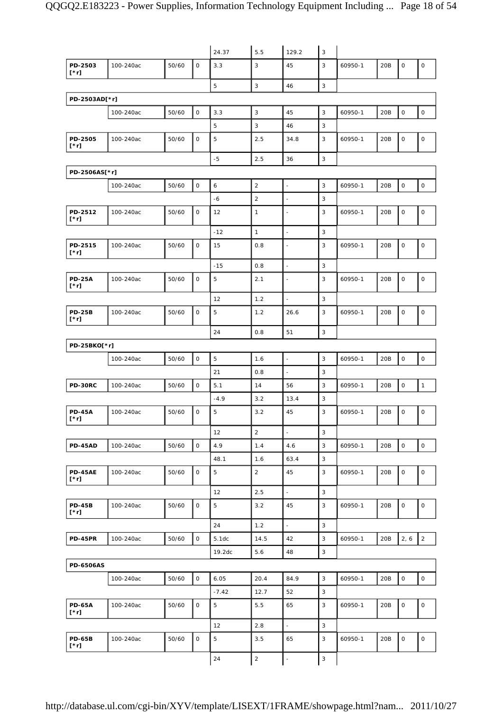|                              |           |       |              | 24.37   | 5.5            | 129.2                    | $\mathbf{3}$   |         |     |                     |                     |
|------------------------------|-----------|-------|--------------|---------|----------------|--------------------------|----------------|---------|-----|---------------------|---------------------|
| PD-2503<br>[*r]              | 100-240ac | 50/60 | $\mathbf 0$  | 3.3     | 3              | 45                       | 3              | 60950-1 | 20B | $\mathsf O$         | $\mathsf{O}\xspace$ |
|                              |           |       |              | 5       | $\mathbf{3}$   | 46                       | 3              |         |     |                     |                     |
| PD-2503AD[*r]                |           |       |              |         |                |                          |                |         |     |                     |                     |
|                              | 100-240ac | 50/60 | $\mathsf O$  | 3.3     | 3              | 45                       | 3              | 60950-1 | 20B | $\mathsf{O}\xspace$ | $\mathsf O$         |
|                              |           |       |              | 5       | $\mathbf{3}$   | 46                       | 3              |         |     |                     |                     |
| PD-2505<br>$[\cdot r]$       | 100-240ac | 50/60 | $\mathsf O$  | 5       | 2.5            | 34.8                     | 3              | 60950-1 | 20B | $\mathsf O$         | $\mathsf{O}$        |
|                              |           |       |              | $-5$    | 2.5            | 36                       | $\mathsf 3$    |         |     |                     |                     |
| PD-2506AS[*r]                |           |       |              |         |                |                          |                |         |     |                     |                     |
|                              | 100-240ac | 50/60 | $\mathsf O$  | 6       | $\overline{2}$ | $\blacksquare$           | 3              | 60950-1 | 20B | 0                   | $\mathsf O$         |
|                              |           |       |              | $-6$    | $\overline{2}$ | $\overline{a}$           | 3              |         |     |                     |                     |
| PD-2512<br>[*r]              | 100-240ac | 50/60 | 0            | 12      | $\mathbf{1}$   | $\overline{\phantom{a}}$ | 3              | 60950-1 | 20B | $\mathsf{O}\xspace$ | 0                   |
|                              |           |       |              | $-12$   | $\mathbf{1}$   | $\bar{\phantom{a}}$      | 3              |         |     |                     |                     |
| PD-2515<br>[*r]              | 100-240ac | 50/60 | $\mathbf 0$  | 15      | 0.8            | ä,                       | 3              | 60950-1 | 20B | $\mathsf O$         | $\mathsf O$         |
|                              |           |       |              | $-15$   | 0.8            | $\overline{\phantom{a}}$ | 3              |         |     |                     |                     |
| <b>PD-25A</b><br>[*r]        | 100-240ac | 50/60 | $\mathsf O$  | 5       | 2.1            | $\overline{\phantom{a}}$ | 3              | 60950-1 | 20B | $\mathsf{O}\xspace$ | $\mathsf O$         |
|                              |           |       |              | 12      | 1.2            | $\overline{\phantom{a}}$ | 3              |         |     |                     |                     |
| <b>PD-25B</b><br>$[\cdot r]$ | 100-240ac | 50/60 | 0            | 5       | 1.2            | 26.6                     | 3              | 60950-1 | 20B | $\mathsf O$         | 0                   |
|                              |           |       |              | 24      | 0.8            | 51                       | 3              |         |     |                     |                     |
| PD-25BKO[*r]                 |           |       |              |         |                |                          |                |         |     |                     |                     |
|                              | 100-240ac | 50/60 | $\mathsf{O}$ | 5       | 1.6            | $\omega$                 | $\mathsf 3$    | 60950-1 | 20B | $\mathsf O$         | $\mathsf{O}$        |
|                              |           |       |              | 21      | 0.8            | $\bar{z}$                | 3              |         |     |                     |                     |
| PD-30RC                      | 100-240ac | 50/60 | $\mathsf O$  | 5.1     | 14             | 56                       | 3              | 60950-1 | 20B | 0                   | $\mathbf{1}$        |
|                              |           |       |              | $-4.9$  | 3.2            | 13.4                     | 3              |         |     |                     |                     |
| <b>PD-45A</b><br>$[\cdot r]$ | 100-240ac | 50/60 | 0            | 5       | 3.2            | 45                       | 3              | 60950-1 | 20B | 0                   | 0                   |
|                              |           |       |              | 12      | $\overline{c}$ | $\blacksquare$           | 3              |         |     |                     |                     |
| <b>PD-45AD</b>               | 100-240ac | 50/60 | $\mathsf O$  | 4.9     | 1.4            | 4.6                      | $\mathbf{3}$   | 60950-1 | 20B | $\mathsf O$         | $\mathsf{O}\xspace$ |
|                              |           |       |              | 48.1    | 1.6            | 63.4                     | 3              |         |     |                     |                     |
| <b>PD-45AE</b><br>[*r]       | 100-240ac | 50/60 | 0            | 5       | $\overline{2}$ | 45                       | 3              | 60950-1 | 20B | 0                   | 0                   |
|                              |           |       |              | 12      | 2.5            | $\overline{\phantom{a}}$ | 3              |         |     |                     |                     |
| <b>PD-45B</b><br>[*r]        | 100-240ac | 50/60 | $\mathsf O$  | 5       | 3.2            | 45                       | 3              | 60950-1 | 20B | $\mathsf O$         | $\mathsf{O}\xspace$ |
|                              |           |       |              | 24      | 1.2            | $\Box$                   | 3              |         |     |                     |                     |
| <b>PD-45PR</b>               | 100-240ac | 50/60 | $\mathsf O$  | 5.1dc   | 14.5           | 42                       | 3              | 60950-1 | 20B | 2, 6                | $\overline{2}$      |
|                              |           |       |              | 19.2dc  | 5.6            | 48                       | 3              |         |     |                     |                     |
| <b>PD-6506AS</b>             |           |       |              |         |                |                          |                |         |     |                     |                     |
|                              | 100-240ac | 50/60 | $\mathsf O$  | 6.05    | 20.4           | 84.9                     | $\overline{3}$ | 60950-1 | 20B | $\mathsf{O}\xspace$ | $\mathsf{O}\xspace$ |
|                              |           |       |              | $-7.42$ | 12.7           | 52                       | 3              |         |     |                     |                     |
| <b>PD-65A</b><br>[*r]        | 100-240ac | 50/60 | 0            | 5       | 5.5            | 65                       | 3              | 60950-1 | 20B | $\mathsf O$         | $\mathsf{O}\xspace$ |
|                              |           |       |              | 12      | 2.8            | $\omega$                 | 3              |         |     |                     |                     |
| <b>PD-65B</b><br>[*r]        | 100-240ac | 50/60 | $\mathsf O$  | 5       | 3.5            | 65                       | 3              | 60950-1 | 20B | $\mathsf{O}\xspace$ | 0                   |
|                              |           |       |              | 24      | $\sqrt{2}$     | $\overline{\phantom{a}}$ | $\mathbf{3}$   |         |     |                     |                     |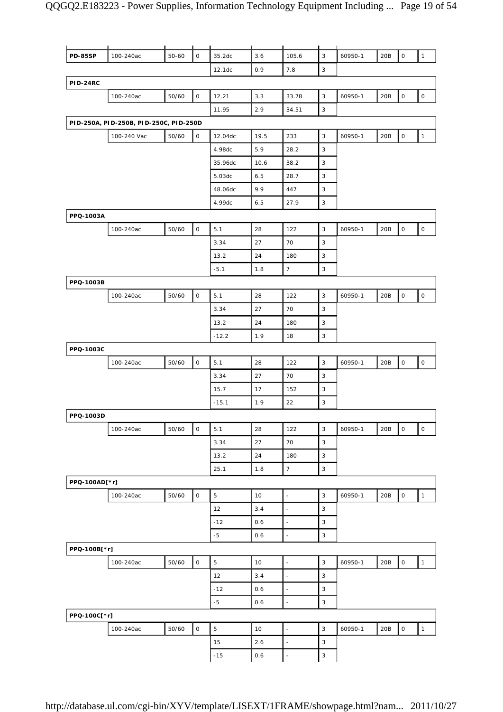| <b>PD-85SP</b>  | 100-240ac                              | $50 - 60$ | $\mathsf O$         | 35.2dc         | 3.6  | 105.6                    | 3                         | 60950-1 | 20B | $\mathsf O$         | $\mathbf{1}$        |
|-----------------|----------------------------------------|-----------|---------------------|----------------|------|--------------------------|---------------------------|---------|-----|---------------------|---------------------|
|                 |                                        |           |                     | 12.1dc         | 0.9  | 7.8                      | 3                         |         |     |                     |                     |
| <b>PID-24RC</b> |                                        |           |                     |                |      |                          |                           |         |     |                     |                     |
|                 | 100-240ac                              | 50/60     | $\mathsf O$         | 12.21          | 3.3  | 33.78                    | 3                         | 60950-1 | 20B | $\mathsf O$         | $\mathsf{O}\xspace$ |
|                 |                                        |           |                     | 11.95          | 2.9  | 34.51                    | 3                         |         |     |                     |                     |
|                 | PID-250A, PID-250B, PID-250C, PID-250D |           |                     |                |      |                          |                           |         |     |                     |                     |
|                 | 100-240 Vac                            | 50/60     | $\mathsf O$         | 12.04dc        | 19.5 | 233                      | $\mathsf 3$               | 60950-1 | 20B | $\mathsf O$         | $\mathbf{1}$        |
|                 |                                        |           |                     | 4.98dc         | 5.9  | 28.2                     | 3                         |         |     |                     |                     |
|                 |                                        |           |                     | 35.96dc        | 10.6 | 38.2                     | 3                         |         |     |                     |                     |
|                 |                                        |           |                     | 5.03dc         | 6.5  | 28.7                     | $\mathsf 3$               |         |     |                     |                     |
|                 |                                        |           |                     | 48.06dc        | 9.9  | 447                      | 3                         |         |     |                     |                     |
|                 |                                        |           |                     | 4.99dc         | 6.5  | 27.9                     | 3                         |         |     |                     |                     |
| PPQ-1003A       |                                        |           |                     |                |      |                          |                           |         |     |                     |                     |
|                 | 100-240ac                              | 50/60     | $\mathsf{O}\xspace$ | 5.1            | 28   | 122                      | $\mathsf 3$               | 60950-1 | 20B | $\mathsf O$         | $\mathsf{O}\xspace$ |
|                 |                                        |           |                     | 3.34           | 27   | 70                       | 3                         |         |     |                     |                     |
|                 |                                        |           |                     | 13.2           | 24   | 180                      | 3                         |         |     |                     |                     |
|                 |                                        |           |                     | $-5.1$         | 1.8  | $\overline{7}$           | 3                         |         |     |                     |                     |
| PPQ-1003B       |                                        |           |                     |                |      |                          |                           |         |     |                     |                     |
|                 | 100-240ac                              | 50/60     | $\mathsf{O}\xspace$ | 5.1            | 28   | 122                      | 3                         | 60950-1 | 20B | $\mathsf{O}\xspace$ | $\mathsf{O}\xspace$ |
|                 |                                        |           |                     | 3.34           | 27   | 70                       | 3                         |         |     |                     |                     |
|                 |                                        |           |                     | 13.2           | 24   | 180                      | 3                         |         |     |                     |                     |
|                 |                                        |           |                     | $-12.2$        | 1.9  | 18                       | $\ensuremath{\mathsf{3}}$ |         |     |                     |                     |
| PPQ-1003C       |                                        |           |                     |                |      |                          |                           |         |     |                     |                     |
|                 | 100-240ac                              | 50/60     | $\mathsf O$         | 5.1            | 28   | 122                      | $\mathsf 3$               | 60950-1 | 20B | $\mathsf O$         | $\mathsf O$         |
|                 |                                        |           |                     | 3.34           | 27   | 70                       | 3                         |         |     |                     |                     |
|                 |                                        |           |                     | 15.7           | 17   | 152                      | 3                         |         |     |                     |                     |
|                 |                                        |           |                     | $-15.1$        | 1.9  | 22                       | 3                         |         |     |                     |                     |
| PPQ-1003D       |                                        |           |                     |                |      |                          |                           |         |     |                     |                     |
|                 | 100-240ac                              | 50/60     | $\mathsf O$         | 5.1            | 28   | 122                      | $\mathsf 3$               | 60950-1 | 20B | $\mathsf O$         | $\mathsf{O}\xspace$ |
|                 |                                        |           |                     | 3.34           | 27   | 70                       | $\mathsf 3$               |         |     |                     |                     |
|                 |                                        |           |                     | 13.2           | 24   | 180                      | $\mathsf 3$               |         |     |                     |                     |
|                 |                                        |           |                     | 25.1           | 1.8  | $\overline{7}$           | $\mathsf 3$               |         |     |                     |                     |
| PPQ-100AD[*r]   |                                        |           |                     |                |      |                          |                           |         |     |                     |                     |
|                 | 100-240ac                              | 50/60     | $\mathsf O$         | 5              | 10   | $\Box$                   | $\mathsf 3$               | 60950-1 | 20B | $\mathsf O$         | $\mathbf{1}$        |
|                 |                                        |           |                     | 12             | 3.4  | $\mathbb{Z}$             | $\mathbf{3}$              |         |     |                     |                     |
|                 |                                        |           |                     | $-12$          | 0.6  | $\overline{\phantom{a}}$ | $\mathsf 3$               |         |     |                     |                     |
|                 |                                        |           |                     | $-5$           | 0.6  | $\overline{\phantom{a}}$ | 3                         |         |     |                     |                     |
| PPQ-100B[*r]    |                                        |           |                     |                |      |                          |                           |         |     |                     |                     |
|                 | 100-240ac                              | 50/60     | $\mathsf{O}\xspace$ | 5              | 10   | $\overline{\phantom{a}}$ | 3                         | 60950-1 | 20B | $\mathsf O$         | $\mathbf{1}$        |
|                 |                                        |           |                     | 12             | 3.4  | $\overline{\phantom{a}}$ | 3                         |         |     |                     |                     |
|                 |                                        |           |                     | $-12$          | 0.6  | $\overline{\phantom{a}}$ | $\mathbf{3}$              |         |     |                     |                     |
|                 |                                        |           |                     | $-5$           | 0.6  | $\overline{\phantom{a}}$ | 3                         |         |     |                     |                     |
| PPQ-100C[*r]    |                                        |           |                     |                |      |                          |                           |         |     |                     |                     |
|                 | 100-240ac                              | 50/60     | $\mathsf O$         | $\overline{5}$ | 10   | $\Box$                   | $\mathbf{3}$              | 60950-1 | 20B | $\mathsf{O}\xspace$ | $\mathbf{1}$        |
|                 |                                        |           |                     | 15             | 2.6  | $\mathbb{Z}$             | 3                         |         |     |                     |                     |
|                 |                                        |           |                     | $-15$          | 0.6  | $\bar{\gamma}$           | 3                         |         |     |                     |                     |
|                 |                                        |           |                     |                |      |                          |                           |         |     |                     |                     |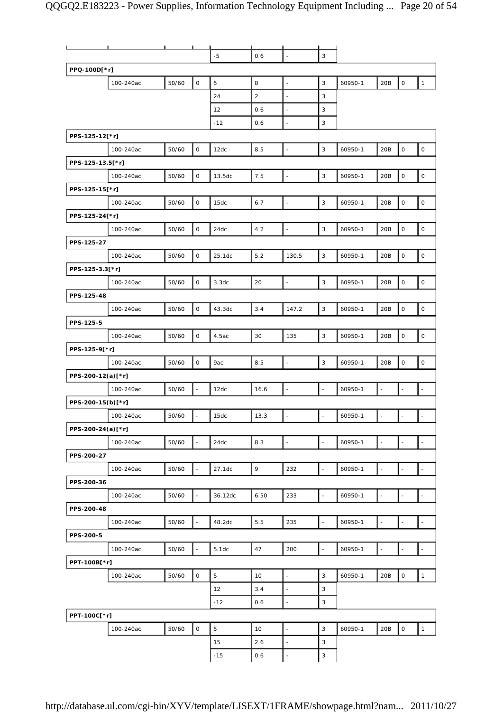|                   | п         |       | ┸                        |         |      |                          |                          |         |                          |                          |                          |
|-------------------|-----------|-------|--------------------------|---------|------|--------------------------|--------------------------|---------|--------------------------|--------------------------|--------------------------|
|                   |           |       |                          | $-5$    | 0.6  | $\overline{\phantom{a}}$ | $\mathbf{3}$             |         |                          |                          |                          |
| PPQ-100D[*r]      |           |       |                          |         |      |                          |                          |         |                          |                          |                          |
|                   | 100-240ac | 50/60 | $\mathsf O$              | 5       | 8    | $\overline{a}$           | 3                        | 60950-1 | 20B                      | $\mathsf O$              | $\mathbf{1}$             |
|                   |           |       |                          | 24      | 2    | $\overline{\phantom{a}}$ | 3                        |         |                          |                          |                          |
|                   |           |       |                          | 12      | 0.6  | ÷,                       | 3                        |         |                          |                          |                          |
|                   |           |       |                          | $-12$   | 0.6  | $\overline{\phantom{a}}$ | 3                        |         |                          |                          |                          |
| PPS-125-12[*r]    |           |       |                          |         |      |                          |                          |         |                          |                          |                          |
|                   |           | 50/60 | $\mathsf O$              |         | 8.5  | $\overline{\phantom{a}}$ | $\mathbf{3}$             | 60950-1 | 20B                      | $\mathsf O$              | $\mathsf O$              |
|                   | 100-240ac |       |                          | 12dc    |      |                          |                          |         |                          |                          |                          |
| PPS-125-13.5[*r]  |           |       |                          |         |      |                          |                          |         |                          |                          |                          |
|                   | 100-240ac | 50/60 | $\mathsf O$              | 13.5dc  | 7.5  | $\overline{\phantom{a}}$ | $\mathsf 3$              | 60950-1 | 20B                      | $\mathsf O$              | $\mathsf O$              |
| PPS-125-15[*r]    |           |       |                          |         |      |                          |                          |         |                          |                          |                          |
|                   | 100-240ac | 50/60 | $\mathsf O$              | 15dc    | 6.7  | $\overline{\phantom{a}}$ | $\mathsf 3$              | 60950-1 | 20B                      | $\mathsf O$              | $\mathsf O$              |
| PPS-125-24[*r]    |           |       |                          |         |      |                          |                          |         |                          |                          |                          |
|                   | 100-240ac | 50/60 | $\mathsf O$              | 24dc    | 4.2  | $\mathbb{Z}$             | $\mathsf 3$              | 60950-1 | 20B                      | $\mathsf O$              | $\mathsf{O}\xspace$      |
| PPS-125-27        |           |       |                          |         |      |                          |                          |         |                          |                          |                          |
|                   | 100-240ac | 50/60 | $\mathsf O$              | 25.1dc  | 5.2  | 130.5                    | 3                        | 60950-1 | 20B                      | $\mathsf O$              | $\mathsf O$              |
| PPS-125-3.3[*r]   |           |       |                          |         |      |                          |                          |         |                          |                          |                          |
|                   | 100-240ac | 50/60 | $\mathsf O$              | 3.3dc   | 20   | $\overline{a}$           | $\mathsf 3$              | 60950-1 | 20B                      | $\mathsf O$              | $\mathsf O$              |
| PPS-125-48        |           |       |                          |         |      |                          |                          |         |                          |                          |                          |
|                   | 100-240ac | 50/60 | $\mathsf O$              | 43.3dc  | 3.4  | 147.2                    | 3                        | 60950-1 | 20B                      | $\mathsf O$              | $\mathsf{O}\xspace$      |
| PPS-125-5         |           |       |                          |         |      |                          |                          |         |                          |                          |                          |
|                   | 100-240ac | 50/60 | $\mathsf{O}$             | 4.5ac   | 30   | 135                      | 3                        | 60950-1 | 20B                      | $\mathsf O$              | $\mathsf{O}\xspace$      |
| PPS-125-9[*r]     |           |       |                          |         |      |                          |                          |         |                          |                          |                          |
|                   | 100-240ac | 50/60 | $\mathsf O$              | 9ac     | 8.5  | $\mathbb{Z}$             | 3                        | 60950-1 | 20B                      | $\mathsf O$              | $\mathsf O$              |
|                   |           |       |                          |         |      |                          |                          |         |                          |                          |                          |
| PPS-200-12(a)[*r] |           |       |                          |         |      |                          |                          |         |                          |                          |                          |
|                   | 100-240ac | 50/60 | $\overline{\phantom{a}}$ | 12dc    | 16.6 | $\mathbb{Z}$             | $\Box$                   | 60950-1 | $\overline{\phantom{a}}$ | $\Box$                   | $\overline{\phantom{a}}$ |
| PPS-200-15(b)[*r] |           |       |                          |         |      |                          |                          |         |                          |                          |                          |
|                   | 100-240ac | 50/60 | $\overline{\phantom{a}}$ | 15dc    | 13.3 | $\overline{\phantom{a}}$ | $\overline{\phantom{a}}$ | 60950-1 | $\overline{\phantom{a}}$ | $\overline{\phantom{a}}$ |                          |
| PPS-200-24(a)[*r] |           |       |                          |         |      |                          |                          |         |                          |                          |                          |
|                   | 100-240ac | 50/60 | $\overline{\phantom{a}}$ | 24dc    | 8.3  | $\overline{\phantom{a}}$ | $\overline{\phantom{a}}$ | 60950-1 | $\bar{z}$                |                          |                          |
| PPS-200-27        |           |       |                          |         |      |                          |                          |         |                          |                          |                          |
|                   | 100-240ac | 50/60 | $\omega$                 | 27.1dc  | 9    | 232                      | $\overline{\phantom{a}}$ | 60950-1 | $\overline{\phantom{a}}$ | $\omega$                 | $\sim$                   |
| PPS-200-36        |           |       |                          |         |      |                          |                          |         |                          |                          |                          |
|                   | 100-240ac | 50/60 | $\overline{\phantom{a}}$ | 36.12dc | 6.50 | 233                      | $\overline{\phantom{a}}$ | 60950-1 | $\overline{\phantom{a}}$ | $\blacksquare$           |                          |
| PPS-200-48        |           |       |                          |         |      |                          |                          |         |                          |                          |                          |
|                   | 100-240ac | 50/60 | $\Box$                   | 48.2dc  | 5.5  | 235                      | $\overline{\phantom{a}}$ | 60950-1 | $\Box$                   | $\bar{\phantom{a}}$      | $\overline{\phantom{a}}$ |
| PPS-200-5         |           |       |                          |         |      |                          |                          |         |                          |                          |                          |
|                   | 100-240ac | 50/60 | $\omega$                 | 5.1dc   | 47   | 200                      | $\omega$                 | 60950-1 | $\overline{\phantom{a}}$ | $\bar{\phantom{a}}$      | $\sim$                   |
| PPT-100B[*r]      |           |       |                          |         |      |                          |                          |         |                          |                          |                          |
|                   | 100-240ac | 50/60 | $\mathsf O$              | 5       | 10   | $\overline{\phantom{a}}$ | 3                        | 60950-1 | 20B                      | $\mathsf O$              | $\mathbf{1}$             |
|                   |           |       |                          | 12      | 3.4  | $\Box$                   | 3                        |         |                          |                          |                          |
|                   |           |       |                          | $-12$   | 0.6  | $\overline{a}$           | 3                        |         |                          |                          |                          |
| PPT-100C[*r]      |           |       |                          |         |      |                          |                          |         |                          |                          |                          |
|                   |           |       | $\mathsf O$              |         |      |                          | $\mathsf 3$              |         |                          |                          | $\mathbf{1}$             |
|                   | 100-240ac | 50/60 |                          | 5       | 10   | $\overline{\phantom{a}}$ |                          | 60950-1 | 20B                      | $\mathsf{O}$             |                          |
|                   |           |       |                          | 15      | 2.6  | $\overline{\phantom{a}}$ | 3                        |         |                          |                          |                          |
|                   |           |       |                          | $-15$   | 0.6  | $\overline{\phantom{a}}$ | 3                        |         |                          |                          |                          |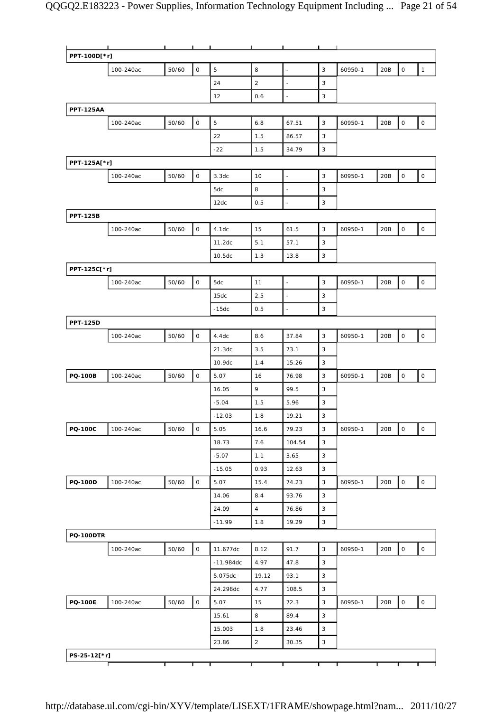|                  | л.        |       |              |                    |                |                          |                           |         |     |                     |                     |
|------------------|-----------|-------|--------------|--------------------|----------------|--------------------------|---------------------------|---------|-----|---------------------|---------------------|
| PPT-100D[*r]     |           |       |              |                    |                |                          |                           |         |     |                     |                     |
|                  | 100-240ac | 50/60 | $\mathsf{O}$ | 5                  | 8              | $\ddot{\phantom{a}}$     | $\mathsf 3$               | 60950-1 | 20B | 0                   | $\mathbf{1}$        |
|                  |           |       |              | 24                 | 2              | $\Box$                   | 3                         |         |     |                     |                     |
|                  |           |       |              | 12                 | 0.6            | $\overline{\phantom{a}}$ | 3                         |         |     |                     |                     |
| <b>PPT-125AA</b> |           |       |              |                    |                |                          |                           |         |     |                     |                     |
|                  | 100-240ac | 50/60 | $\mathsf O$  | 5                  | 6.8            | 67.51                    | 3                         | 60950-1 | 20B | $\mathsf O$         | $\mathsf O$         |
|                  |           |       |              | 22                 | 1.5            | 86.57                    | 3                         |         |     |                     |                     |
|                  |           |       |              | $-22$              | 1.5            | 34.79                    | 3                         |         |     |                     |                     |
| PPT-125A[*r]     |           |       |              |                    |                |                          |                           |         |     |                     |                     |
|                  | 100-240ac | 50/60 | $\mathsf O$  | 3.3dc              | 10             | $\Box$                   | 3                         | 60950-1 | 20B | $\mathsf O$         | $\mathsf{O}\xspace$ |
|                  |           |       |              | 5dc                | 8              | $\overline{\phantom{a}}$ | 3                         |         |     |                     |                     |
|                  |           |       |              | 12dc               | 0.5            | $\overline{\phantom{a}}$ | 3                         |         |     |                     |                     |
| <b>PPT-125B</b>  |           |       |              |                    |                |                          |                           |         |     |                     |                     |
|                  | 100-240ac | 50/60 | $\mathsf O$  | 4.1dc              | 15             | 61.5                     | $\mathbf{3}$              | 60950-1 | 20B | $\mathsf{O}\xspace$ | $\mathsf O$         |
|                  |           |       |              | 11.2dc             | 5.1            | 57.1                     | 3                         |         |     |                     |                     |
|                  |           |       |              | 10.5 <sub>dc</sub> | 1.3            | 13.8                     | 3                         |         |     |                     |                     |
| PPT-125C[*r]     |           |       |              |                    |                |                          |                           |         |     |                     |                     |
|                  | 100-240ac | 50/60 | $\mathsf O$  | 5dc                | 11             | $\ddot{\phantom{a}}$     | 3                         | 60950-1 | 20B | 0                   | 0                   |
|                  |           |       |              | 15dc               | 2.5            | $\overline{\phantom{a}}$ | 3                         |         |     |                     |                     |
|                  |           |       |              | $-15dc$            | 0.5            | $\overline{a}$           | 3                         |         |     |                     |                     |
| <b>PPT-125D</b>  |           |       |              |                    |                |                          |                           |         |     |                     |                     |
|                  | 100-240ac | 50/60 | $\mathsf O$  | 4.4dc              | 8.6            | 37.84                    | 3                         | 60950-1 | 20B | $\mathsf O$         | $\mathsf{O}\xspace$ |
|                  |           |       |              | 21.3dc             | 3.5            | 73.1                     | 3                         |         |     |                     |                     |
|                  |           |       |              | 10.9dc             | 1.4            | 15.26                    | 3                         |         |     |                     |                     |
| PQ-100B          | 100-240ac | 50/60 | $\mathsf O$  | 5.07               | 16             | 76.98                    | 3                         | 60950-1 | 20B | $\mathsf O$         | $\mathsf{O}\xspace$ |
|                  |           |       |              | 16.05              | 9              | 99.5                     | 3                         |         |     |                     |                     |
|                  |           |       |              | $-5.04$            | 1.5            | 5.96                     | 3                         |         |     |                     |                     |
|                  |           |       |              | $-12.03$           | 1.8            | 19.21                    | 3                         |         |     |                     |                     |
| <b>PQ-100C</b>   | 100-240ac | 50/60 | 0            | 5.05               | 16.6           | 79.23                    | 3                         | 60950-1 | 20B | $\mathsf{O}\xspace$ | 0                   |
|                  |           |       |              | 18.73              | 7.6            | 104.54                   | 3                         |         |     |                     |                     |
|                  |           |       |              | $-5.07$            | 1.1            | 3.65                     | $\mathbf{3}$              |         |     |                     |                     |
|                  |           |       |              | $-15.05$           | 0.93           | 12.63                    | 3                         |         |     |                     |                     |
| <b>PQ-100D</b>   | 100-240ac | 50/60 | $\mathsf O$  | 5.07               | 15.4           | 74.23                    | 3                         | 60950-1 | 20B | $\mathsf O$         | $\mathsf{O}\xspace$ |
|                  |           |       |              | 14.06              | 8.4            | 93.76                    | 3                         |         |     |                     |                     |
|                  |           |       |              | 24.09              | $\sqrt{4}$     | 76.86                    | $\ensuremath{\mathsf{3}}$ |         |     |                     |                     |
|                  |           |       |              | $-11.99$           | 1.8            | 19.29                    | $\mathsf 3$               |         |     |                     |                     |
| <b>PQ-100DTR</b> |           |       |              |                    |                |                          |                           |         |     |                     |                     |
|                  | 100-240ac | 50/60 | $\mathsf O$  | 11.677dc           | 8.12           | 91.7                     | $\mathbf{3}$              | 60950-1 | 20B | $\mathsf O$         | $\mathsf O$         |
|                  |           |       |              | $-11.984dc$        | 4.97           | 47.8                     | 3                         |         |     |                     |                     |
|                  |           |       |              | 5.075dc            | 19.12          | 93.1                     | 3                         |         |     |                     |                     |
|                  |           |       |              | 24.298dc           | 4.77           | 108.5                    | 3                         |         |     |                     |                     |
| <b>PQ-100E</b>   | 100-240ac | 50/60 | $\mathsf O$  | 5.07               | 15             | 72.3                     | $\ensuremath{\mathsf{3}}$ | 60950-1 | 20B | $\mathsf O$         | $\mathsf{O}$        |
|                  |           |       |              | 15.61              | 8              | 89.4                     | $\mathbf{3}$              |         |     |                     |                     |
|                  |           |       |              | 15.003             | 1.8            | 23.46                    | 3                         |         |     |                     |                     |
|                  |           |       |              | 23.86              | $\overline{2}$ | 30.35                    | 3                         |         |     |                     |                     |
| PS-25-12[*r]     |           |       |              |                    |                |                          |                           |         |     |                     |                     |
|                  |           |       |              |                    |                |                          |                           |         |     |                     |                     |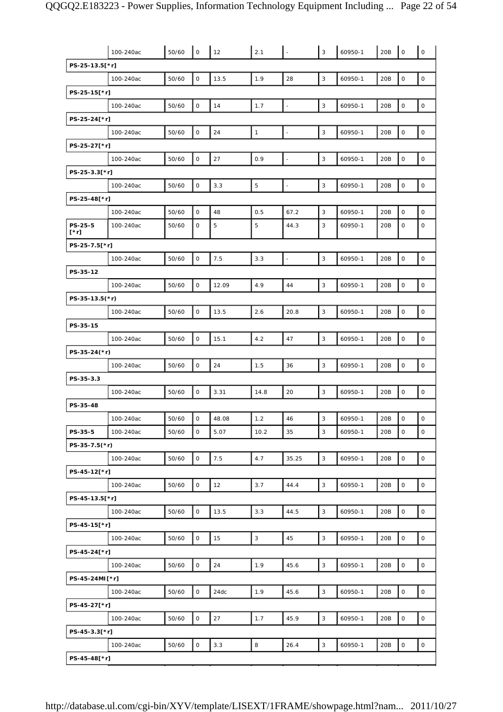|                        | 100-240ac | 50/60 | $\overline{\phantom{a}}$ | 12    | 2.1          |                          | $\mathbf{3}$ | 60950-1 | 20B | $\overline{\phantom{a}}$ | $\mathsf{O}\xspace$ |
|------------------------|-----------|-------|--------------------------|-------|--------------|--------------------------|--------------|---------|-----|--------------------------|---------------------|
| PS-25-13.5[*r]         |           |       |                          |       |              |                          |              |         |     |                          |                     |
|                        | 100-240ac | 50/60 | O                        | 13.5  | 1.9          | 28                       | $\mathsf 3$  | 60950-1 | 20B | $\mathsf{O}\xspace$      | $\mathsf O$         |
| PS-25-15[*r]           |           |       |                          |       |              |                          |              |         |     |                          |                     |
|                        | 100-240ac | 50/60 | $\mathsf O$              | 14    | 1.7          | ÷.                       | $\mathbf{3}$ | 60950-1 | 20B | $\mathsf{O}\xspace$      | $\mathsf{O}$        |
| PS-25-24[*r]           |           |       |                          |       |              |                          |              |         |     |                          |                     |
|                        | 100-240ac | 50/60 | $\mathsf O$              | 24    | $\mathbf{1}$ | $\overline{\phantom{a}}$ | $\mathsf 3$  | 60950-1 | 20B | $\mathsf{O}\xspace$      | $\mathsf O$         |
| PS-25-27[*r]           |           |       |                          |       |              |                          |              |         |     |                          |                     |
|                        | 100-240ac | 50/60 | $\mathsf{O}\xspace$      | 27    | 0.9          | $\overline{\phantom{a}}$ | 3            | 60950-1 | 20B | $\mathsf{O}\xspace$      | $\mathsf{O}$        |
| PS-25-3.3[*r]          |           |       |                          |       |              |                          |              |         |     |                          |                     |
|                        | 100-240ac | 50/60 | O                        | 3.3   | 5            | $\blacksquare$           | 3            | 60950-1 | 20B | 0                        | $\mathsf O$         |
| PS-25-48[*r]           |           |       |                          |       |              |                          |              |         |     |                          |                     |
|                        | 100-240ac | 50/60 | $\mathsf O$              | 48    | 0.5          | 67.2                     | 3            | 60950-1 | 20B | 0                        | $\mathsf O$         |
| PS-25-5<br>$[\cdot r]$ | 100-240ac | 50/60 | 0                        | 5     | 5            | 44.3                     | 3            | 60950-1 | 20B | $\mathsf O$              | $\mathsf O$         |
| PS-25-7.5[*r]          |           |       |                          |       |              |                          |              |         |     |                          |                     |
|                        | 100-240ac | 50/60 | $\mathsf O$              | 7.5   | 3.3          | $\overline{\phantom{a}}$ | 3            | 60950-1 | 20B | $\mathsf{O}\xspace$      | $\mathsf O$         |
| PS-35-12               |           |       |                          |       |              |                          |              |         |     |                          |                     |
|                        | 100-240ac | 50/60 | $\mathsf O$              | 12.09 | 4.9          | 44                       | 3            | 60950-1 | 20B | $\mathsf{O}\xspace$      | $\mathsf O$         |
| PS-35-13.5 $(*r)$      |           |       |                          |       |              |                          |              |         |     |                          |                     |
|                        | 100-240ac | 50/60 | $\mathsf O$              | 13.5  | 2.6          | 20.8                     | 3            | 60950-1 | 20B | 0                        | $\mathsf O$         |
| PS-35-15               |           |       |                          |       |              |                          |              |         |     |                          |                     |
|                        | 100-240ac | 50/60 | $\mathsf O$              | 15.1  | 4.2          | 47                       | $\mathsf 3$  | 60950-1 | 20B | $\mathsf{O}\xspace$      | $\mathsf O$         |
| PS-35-24(*r)           |           |       |                          |       |              |                          |              |         |     |                          |                     |
|                        | 100-240ac | 50/60 | $\mathsf O$              | 24    | 1.5          | 36                       | $\mathsf 3$  | 60950-1 | 20B | $\mathsf{O}\xspace$      | $\mathsf{O}\xspace$ |
| PS-35-3.3              |           |       |                          |       |              |                          |              |         |     |                          |                     |
|                        | 100-240ac | 50/60 | $\mathsf O$              | 3.31  | 14.8         | 20                       | 3            | 60950-1 | 20B | $\mathsf O$              | $\mathsf O$         |
| PS-35-48               |           |       |                          |       |              |                          |              |         |     |                          |                     |
|                        |           |       |                          |       |              |                          |              |         |     |                          |                     |
|                        | 100-240ac | 50/60 | $\mathsf O$              | 48.08 | 1.2          | 46                       | 3            | 60950-1 | 20B | $\mathsf O$              | $\mathsf O$         |
| PS-35-5                | 100-240ac | 50/60 | $\mathsf{O}$             | 5.07  | 10.2         | 35                       | 3            | 60950-1 | 20B | 0                        | $\mathsf O$         |
| $PS-35-7.5(*)$         |           |       |                          |       |              |                          |              |         |     |                          |                     |
|                        | 100-240ac | 50/60 | $\mathsf O$              | 7.5   | 4.7          | 35.25                    | $\mathbf{3}$ | 60950-1 | 20B | $\mathsf{O}\xspace$      | $\mathsf O$         |
| PS-45-12[*r]           |           |       |                          |       |              |                          |              |         |     |                          |                     |
|                        | 100-240ac | 50/60 | 0                        | 12    | 3.7          | 44.4                     | 3            | 60950-1 | 20B | $\mathsf{O}\xspace$      | $\mathsf O$         |
| PS-45-13.5[*r]         |           |       |                          |       |              |                          |              |         |     |                          |                     |
|                        | 100-240ac | 50/60 | $\mathsf O$              | 13.5  | 3.3          | 44.5                     | $\mathsf 3$  | 60950-1 | 20B | $\mathsf{O}\xspace$      | $\mathsf{O}\xspace$ |
| PS-45-15[*r]           |           |       |                          |       |              |                          |              |         |     |                          |                     |
|                        | 100-240ac | 50/60 | $\mathsf{O}$             | 15    | $\mathbf{3}$ | 45                       | $\mathbf{3}$ | 60950-1 | 20B | $\mathsf{O}\xspace$      | $\mathsf O$         |
| PS-45-24[*r]           |           |       |                          |       |              |                          |              |         |     |                          |                     |
|                        | 100-240ac | 50/60 | O                        | 24    | 1.9          | 45.6                     | $\mathbf{3}$ | 60950-1 | 20B | $\mathsf{O}\xspace$      | $\mathsf O$         |
| PS-45-24MI[*r]         |           |       |                          |       |              |                          |              |         |     |                          |                     |
|                        | 100-240ac | 50/60 | 0                        | 24dc  | 1.9          | 45.6                     | $\mathsf 3$  | 60950-1 | 20B | $\mathsf{O}\xspace$      | $\mathsf O$         |
| PS-45-27[*r]           |           |       |                          |       |              |                          |              |         |     |                          |                     |
|                        | 100-240ac | 50/60 | $\mathsf O$              | 27    | 1.7          | 45.9                     | $\mathbf{3}$ | 60950-1 | 20B | $\mathsf O$              | $\mathsf{O}\xspace$ |
| PS-45-3.3[*r]          |           |       |                          |       |              |                          |              |         |     |                          |                     |
| PS-45-48[*r]           | 100-240ac | 50/60 | 0                        | 3.3   | 8            | 26.4                     | $\mathbf{3}$ | 60950-1 | 20B | $\mathsf{O}\xspace$      | $\mathsf O$         |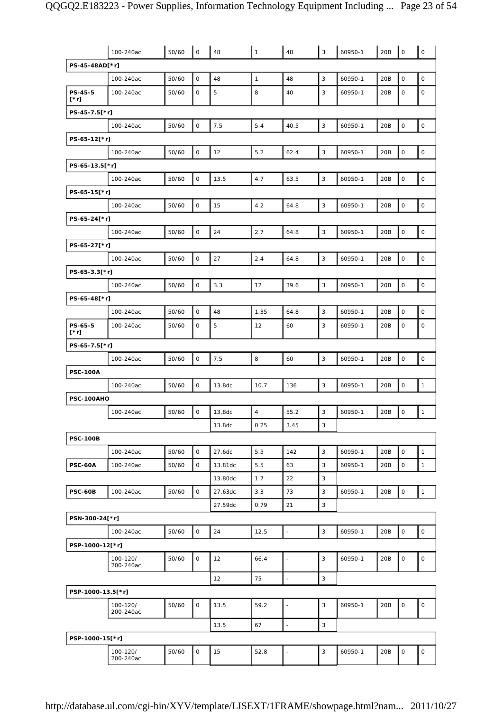|                        | 100-240ac             | 50/60 | $\mathsf O$         | 48      | $\mathbf{1}$ | 48                       | 3            | 60950-1 | 20B | $\mathsf O$         | $\mathsf O$         |
|------------------------|-----------------------|-------|---------------------|---------|--------------|--------------------------|--------------|---------|-----|---------------------|---------------------|
| PS-45-48AD[*r]         |                       |       |                     |         |              |                          |              |         |     |                     |                     |
|                        | 100-240ac             | 50/60 | $\mathsf O$         | 48      | $\mathbf{1}$ | 48                       | 3            | 60950-1 | 20B | $\mathsf O$         | $\mathbf 0$         |
| PS-45-5<br>$[\cdot r]$ | 100-240ac             | 50/60 | 0                   | 5       | 8            | 40                       | 3            | 60950-1 | 20B | $\mathsf O$         | 0                   |
| PS-45-7.5[*r]          |                       |       |                     |         |              |                          |              |         |     |                     |                     |
|                        | 100-240ac             | 50/60 | 0                   | 7.5     | 5.4          | 40.5                     | 3            | 60950-1 | 20B | $\mathsf O$         | $\mathsf O$         |
| PS-65-12[*r]           |                       |       |                     |         |              |                          |              |         |     |                     |                     |
|                        | 100-240ac             | 50/60 | 0                   | 12      | 5.2          | 62.4                     | 3            | 60950-1 | 20B | $\mathsf{O}\xspace$ | $\mathsf O$         |
| PS-65-13.5[*r]         |                       |       |                     |         |              |                          |              |         |     |                     |                     |
|                        | 100-240ac             | 50/60 | 0                   | 13.5    | 4.7          | 63.5                     | $\mathbf{3}$ | 60950-1 | 20B | $\mathsf O$         | $\mathsf{O}\xspace$ |
| PS-65-15[*r]           |                       |       |                     |         |              |                          |              |         |     |                     |                     |
|                        | 100-240ac             | 50/60 | 0                   | 15      | 4.2          | 64.8                     | 3            | 60950-1 | 20B | $\mathsf O$         | $\mathsf O$         |
| PS-65-24[*r]           |                       |       |                     |         |              |                          |              |         |     |                     |                     |
|                        | 100-240ac             | 50/60 | $\mathsf{O}\xspace$ | 24      | 2.7          | 64.8                     | 3            | 60950-1 | 20B | $\mathsf{O}\xspace$ | $\mathsf O$         |
| PS-65-27[*r]           |                       |       |                     |         |              |                          |              |         |     |                     |                     |
|                        | 100-240ac             | 50/60 | 0                   | 27      | 2.4          | 64.8                     | 3            | 60950-1 | 20B | $\mathsf O$         | $\mathsf O$         |
| PS-65-3.3[*r]          |                       |       |                     |         |              |                          |              |         |     |                     |                     |
|                        | 100-240ac             | 50/60 | $\mathsf{O}$        | 3.3     | 12           | 39.6                     | 3            | 60950-1 | 20B | $\mathsf O$         | $\mathsf{O}\xspace$ |
| PS-65-48[*r]           |                       |       |                     |         |              |                          |              |         |     |                     |                     |
|                        | 100-240ac             | 50/60 | $\mathsf{O}$        | 48      | 1.35         | 64.8                     | 3            | 60950-1 | 20B | $\mathsf O$         | $\mathbf 0$         |
| PS-65-5<br>$[\cdot r]$ | 100-240ac             | 50/60 | 0                   | 5       | 12           | 60                       | 3            | 60950-1 | 20B | $\mathsf O$         | 0                   |
| PS-65-7.5[*r]          |                       |       |                     |         |              |                          |              |         |     |                     |                     |
|                        | 100-240ac             | 50/60 | 0                   | 7.5     | 8            | 60                       | 3            | 60950-1 | 20B | $\mathsf{O}\xspace$ | $\mathsf O$         |
| <b>PSC-100A</b>        |                       |       |                     |         |              |                          |              |         |     |                     |                     |
|                        | 100-240ac             | 50/60 | 0                   | 13.8dc  | 10.7         | 136                      | 3            | 60950-1 | 20B | $\mathsf O$         | $\mathbf{1}$        |
| PSC-100AHO             |                       |       |                     |         |              |                          |              |         |     |                     |                     |
|                        | 100-240ac             | 50/60 | O                   | 13.8dc  | $\sqrt{4}$   | 55.2                     | 3            | 60950-1 | 20B | 0                   | $\mathbf{1}$        |
|                        |                       |       |                     | 13.8dc  | 0.25         | 3.45                     | 3            |         |     |                     |                     |
| <b>PSC-100B</b>        |                       |       |                     |         |              |                          |              |         |     |                     |                     |
|                        | 100-240ac             | 50/60 | 0                   | 27.6dc  | 5.5          | 142                      | $\mathsf 3$  | 60950-1 | 20B | $\mathsf O$         | $\mathbf{1}$        |
| <b>PSC-60A</b>         | 100-240ac             | 50/60 | 0                   | 13.81dc | 5.5          | 63                       | 3            | 60950-1 | 20B | 0                   | $\mathbf{1}$        |
|                        |                       |       |                     | 13.80dc | 1.7          | 22                       | 3            |         |     |                     |                     |
| <b>PSC-60B</b>         | 100-240ac             | 50/60 | 0                   | 27.63dc | 3.3          | 73                       | 3            | 60950-1 | 20B | $\mathsf O$         | $\mathbf{1}$        |
|                        |                       |       |                     | 27.59dc | 0.79         | 21                       | 3            |         |     |                     |                     |
| PSN-300-24[*r]         |                       |       |                     |         |              |                          |              |         |     |                     |                     |
|                        | 100-240ac             | 50/60 | 0                   | 24      | 12.5         | $\overline{a}$           | 3            | 60950-1 | 20B | $\mathsf O$         | $\mathsf O$         |
| PSP-1000-12[*r]        |                       |       |                     |         |              |                          |              |         |     |                     |                     |
|                        | 100-120/<br>200-240ac | 50/60 | O                   | 12      | 66.4         | $\overline{\phantom{a}}$ | 3            | 60950-1 | 20B | $\mathsf O$         | 0                   |
|                        |                       |       |                     | 12      | 75           | $\overline{\phantom{a}}$ | $\mathbf{3}$ |         |     |                     |                     |
| PSP-1000-13.5[*r]      |                       |       |                     |         |              |                          |              |         |     |                     |                     |
|                        | 100-120/<br>200-240ac | 50/60 | 0                   | 13.5    | 59.2         | ä,                       | 3            | 60950-1 | 20B | 0                   | $\mathsf O$         |
|                        |                       |       |                     | 13.5    | 67           | $\overline{\phantom{a}}$ | 3            |         |     |                     |                     |
| PSP-1000-15[*r]        |                       |       |                     |         |              |                          |              |         |     |                     |                     |
|                        | 100-120/<br>200-240ac | 50/60 | 0                   | 15      | 52.8         | $\blacksquare$           | 3            | 60950-1 | 20B | 0                   | $\mathsf{O}\xspace$ |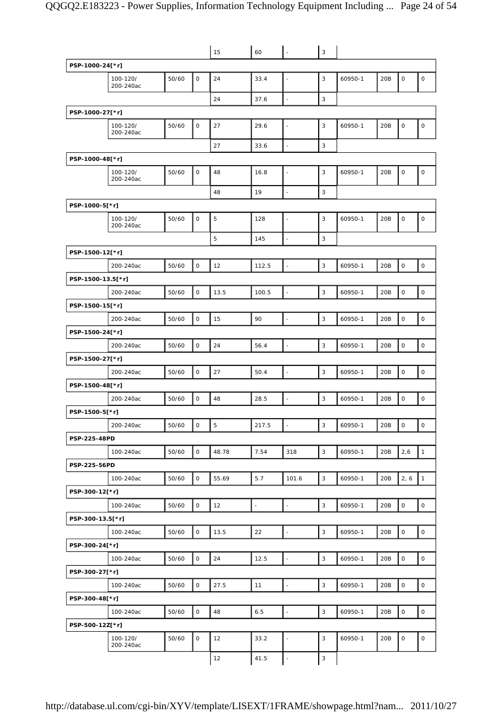|                     |                       |       |              | 15    | 60                       | $\omega$                 | 3           |         |     |                     |                     |
|---------------------|-----------------------|-------|--------------|-------|--------------------------|--------------------------|-------------|---------|-----|---------------------|---------------------|
| PSP-1000-24[*r]     |                       |       |              |       |                          |                          |             |         |     |                     |                     |
|                     | 100-120/<br>200-240ac | 50/60 | $\mathsf O$  | 24    | 33.4                     | $\blacksquare$           | 3           | 60950-1 | 20B | $\mathsf O$         | $\mathsf O$         |
|                     |                       |       |              | 24    | 37.6                     | $\overline{\phantom{a}}$ | 3           |         |     |                     |                     |
| PSP-1000-27[*r]     |                       |       |              |       |                          |                          |             |         |     |                     |                     |
|                     | 100-120/<br>200-240ac | 50/60 | $\mathsf O$  | 27    | 29.6                     | $\blacksquare$           | 3           | 60950-1 | 20B | $\mathsf{O}\xspace$ | $\mathsf{O}\xspace$ |
|                     |                       |       |              | 27    | 33.6                     | $\overline{\phantom{a}}$ | 3           |         |     |                     |                     |
| PSP-1000-48[*r]     |                       |       |              |       |                          |                          |             |         |     |                     |                     |
|                     | 100-120/<br>200-240ac | 50/60 | $\mathsf O$  | 48    | 16.8                     | $\overline{a}$           | 3           | 60950-1 | 20B | $\mathsf O$         | $\mathsf O$         |
|                     |                       |       |              | 48    | 19                       | $\overline{\phantom{a}}$ | 3           |         |     |                     |                     |
| PSP-1000-5[*r]      |                       |       |              |       |                          |                          |             |         |     |                     |                     |
|                     | 100-120/<br>200-240ac | 50/60 | $\mathsf O$  | 5     | 128                      | $\blacksquare$           | 3           | 60950-1 | 20B | $\mathsf O$         | $\mathsf O$         |
|                     |                       |       |              | 5     | 145                      | $\overline{\phantom{a}}$ | 3           |         |     |                     |                     |
| PSP-1500-12[*r]     |                       |       |              |       |                          |                          |             |         |     |                     |                     |
|                     | 200-240ac             | 50/60 | $\mathsf O$  | 12    | 112.5                    | $\bar{\phantom{a}}$      | 3           | 60950-1 | 20B | $\mathsf O$         | $\mathsf O$         |
| PSP-1500-13.5[*r]   |                       |       |              |       |                          |                          |             |         |     |                     |                     |
|                     | 200-240ac             | 50/60 | $\mathsf O$  | 13.5  | 100.5                    | $\overline{\phantom{a}}$ | 3           | 60950-1 | 20B | $\mathsf O$         | $\mathsf O$         |
| PSP-1500-15[*r]     |                       |       |              |       |                          |                          |             |         |     |                     |                     |
|                     | 200-240ac             | 50/60 | $\mathsf O$  | 15    | 90                       | $\mathbb{Z}$             | 3           | 60950-1 | 20B | $\mathsf O$         | $\mathsf O$         |
| PSP-1500-24[*r]     |                       |       |              |       |                          |                          |             |         |     |                     |                     |
|                     | 200-240ac             | 50/60 | $\mathsf O$  | 24    | 56.4                     | $\Box$                   | 3           | 60950-1 | 20B | $\mathsf O$         | $\mathsf O$         |
| PSP-1500-27[*r]     |                       |       |              |       |                          |                          |             |         |     |                     |                     |
|                     | 200-240ac             | 50/60 | $\mathsf O$  | 27    | 50.4                     | $\overline{\phantom{a}}$ | 3           | 60950-1 | 20B | $\mathsf O$         | $\mathsf O$         |
| PSP-1500-48[*r]     |                       |       |              |       |                          |                          |             |         |     |                     |                     |
|                     | 200-240ac             | 50/60 | $\mathsf{O}$ | 48    | 28.5                     | $\overline{\phantom{a}}$ | 3           | 60950-1 | 20B | $\mathsf O$         | $\mathsf O$         |
| PSP-1500-5[*r]      |                       |       |              |       |                          |                          |             |         |     |                     |                     |
|                     | 200-240ac             | 50/60 | $\mathsf O$  | 5     | 217.5                    | $\overline{\phantom{a}}$ | 3           | 60950-1 | 20B | $\mathsf O$         | $\mathsf O$         |
| <b>PSP-225-48PD</b> |                       |       |              |       |                          |                          |             |         |     |                     |                     |
|                     | 100-240ac             | 50/60 | $\mathsf O$  | 48.78 | 7.54                     | 318                      | 3           | 60950-1 | 20B | 2,6                 | $\mathbf{1}$        |
| PSP-225-56PD        |                       |       |              |       |                          |                          |             |         |     |                     |                     |
|                     | 100-240ac             | 50/60 | $\mathsf O$  | 55.69 | 5.7                      | 101.6                    | $\mathsf 3$ | 60950-1 | 20B | 2, 6                | $\mathbf{1}$        |
| PSP-300-12[*r]      |                       |       |              |       |                          |                          |             |         |     |                     |                     |
|                     | 100-240ac             | 50/60 | 0            | 12    | $\overline{\phantom{a}}$ | $\sim$                   | $\mathsf 3$ | 60950-1 | 20B | $\mathsf O$         | $\mathsf{O}$        |
| PSP-300-13.5[*r]    |                       |       |              |       |                          |                          |             |         |     |                     |                     |
|                     | 100-240ac             | 50/60 | $\circ$      | 13.5  | 22                       | $\overline{\phantom{a}}$ | $\mathsf 3$ | 60950-1 | 20B | $\mathsf{O}\xspace$ | $\mathsf{O}$        |
| PSP-300-24[*r]      |                       |       |              |       |                          |                          |             |         |     |                     |                     |
|                     | 100-240ac             | 50/60 | $\mathsf O$  | 24    | 12.5                     | $\mathbb{Z}$             | 3           | 60950-1 | 20B | $\mathsf O$         | $\mathsf O$         |
| PSP-300-27[*r]      |                       |       |              |       |                          |                          |             |         |     |                     |                     |
|                     | 100-240ac             | 50/60 | $\mathsf O$  | 27.5  | 11                       | $\overline{\phantom{a}}$ | $\mathsf 3$ | 60950-1 | 20B | $\mathsf O$         | $\mathsf{O}$        |
| PSP-300-48[*r]      |                       |       |              |       |                          |                          |             |         |     |                     |                     |
|                     | 100-240ac             | 50/60 | $\mathsf O$  | 48    | 6.5                      | $\overline{\phantom{a}}$ | 3           | 60950-1 | 20B | $\mathsf O$         | $\mathsf O$         |
| PSP-500-12Z[*r]     |                       |       |              |       |                          |                          |             |         |     |                     |                     |
|                     | 100-120/<br>200-240ac | 50/60 | $\mathsf{O}$ | 12    | 33.2                     | $\Box$                   | 3           | 60950-1 | 20B | 0                   | $\mathsf O$         |
|                     |                       |       |              | 12    | 41.5                     | $\Box$                   | 3           |         |     |                     |                     |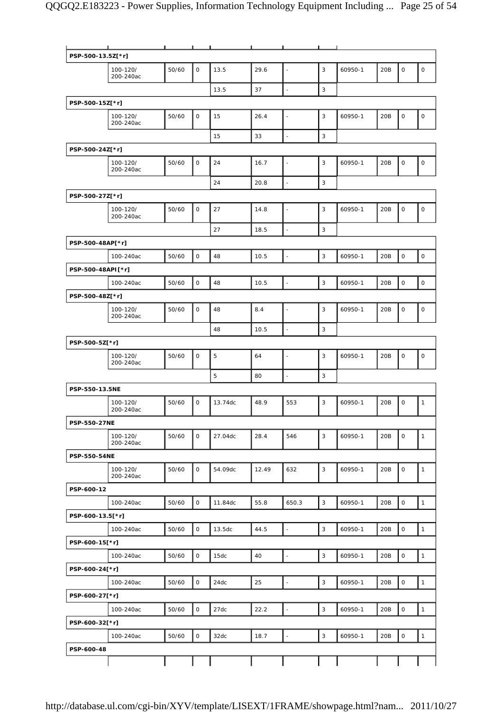|                   | $\mathbf{I}$          |       | $\blacksquare$ | п       | $\blacksquare$ | $\mathbf{I}$             | п.             |         |     |                     |              |
|-------------------|-----------------------|-------|----------------|---------|----------------|--------------------------|----------------|---------|-----|---------------------|--------------|
| PSP-500-13.5Z[*r] |                       |       |                |         |                |                          |                |         |     |                     |              |
|                   | 100-120/<br>200-240ac | 50/60 | 0              | 13.5    | 29.6           | $\overline{a}$           | 3              | 60950-1 | 20B | $\mathsf{O}\xspace$ | $\mathsf O$  |
|                   |                       |       |                | 13.5    | 37             | $\blacksquare$           | 3              |         |     |                     |              |
| PSP-500-15Z[*r]   |                       |       |                |         |                |                          |                |         |     |                     |              |
|                   | 100-120/<br>200-240ac | 50/60 | $\mathsf{O}$   | 15      | 26.4           | $\blacksquare$           | 3              | 60950-1 | 20B | $\mathsf O$         | $\mathsf O$  |
|                   |                       |       |                | 15      | 33             | $\blacksquare$           | $\mathsf 3$    |         |     |                     |              |
| PSP-500-24Z[*r]   |                       |       |                |         |                |                          |                |         |     |                     |              |
|                   | 100-120/<br>200-240ac | 50/60 | 0              | 24      | 16.7           |                          | 3              | 60950-1 | 20B | $\mathsf O$         | $\mathsf O$  |
|                   |                       |       |                | 24      | 20.8           | ÷,                       | 3              |         |     |                     |              |
| PSP-500-27Z[*r]   |                       |       |                |         |                |                          |                |         |     |                     |              |
|                   | 100-120/<br>200-240ac | 50/60 | $\mathsf O$    | 27      | 14.8           | ÷,                       | 3              | 60950-1 | 20B | $\mathsf{O}\xspace$ | $\mathsf O$  |
|                   |                       |       |                | 27      | 18.5           | $\overline{a}$           | $\mathsf 3$    |         |     |                     |              |
| PSP-500-48AP[*r]  |                       |       |                |         |                |                          |                |         |     |                     |              |
|                   | 100-240ac             | 50/60 | $\mathsf O$    | 48      | 10.5           | ÷,                       | $\mathsf 3$    | 60950-1 | 20B | $\mathsf O$         | $\mathsf{O}$ |
| PSP-500-48API[*r] |                       |       |                |         |                |                          |                |         |     |                     |              |
|                   | 100-240ac             | 50/60 | $\mathsf O$    | 48      | 10.5           | $\bar{z}$                | $\mathsf 3$    | 60950-1 | 20B | $\mathsf{O}\xspace$ | $\mathsf{O}$ |
| PSP-500-48Z[*r]   |                       |       |                |         |                |                          |                |         |     |                     |              |
|                   | 100-120/<br>200-240ac | 50/60 | $\mathsf{O}$   | 48      | 8.4            |                          | 3              | 60950-1 | 20B | $\mathsf O$         | $\mathsf O$  |
|                   |                       |       |                | 48      | 10.5           | $\overline{a}$           | 3              |         |     |                     |              |
| PSP-500-5Z[*r]    |                       |       |                |         |                |                          |                |         |     |                     |              |
|                   | 100-120/<br>200-240ac | 50/60 | $\mathsf{O}$   | 5       | 64             |                          | 3              | 60950-1 | 20B | $\mathsf O$         | $\mathsf O$  |
|                   |                       |       |                | 5       | 80             | $\overline{a}$           | 3              |         |     |                     |              |
| PSP-550-13.5NE    |                       |       |                |         |                |                          |                |         |     |                     |              |
|                   | 100-120/<br>200-240ac | 50/60 | $\mathsf{O}$   | 13.74dc | 48.9           | 553                      | 3              | 60950-1 | 20B | $\mathsf O$         | $\mathbf{1}$ |
| PSP-550-27NE      |                       |       |                |         |                |                          |                |         |     |                     |              |
|                   | 100-120/<br>200-240ac | 50/60 | $\mathsf{O}$   | 27.04dc | 28.4           | 546                      | 3              | 60950-1 | 20B | $\mathsf O$         | $\mathbf{1}$ |
| PSP-550-54NE      |                       |       |                |         |                |                          |                |         |     |                     |              |
|                   | 100-120/<br>200-240ac | 50/60 | 0              | 54.09dc | 12.49          | 632                      | 3              | 60950-1 | 20B | $\mathsf{O}$        | $\mathbf{1}$ |
| PSP-600-12        |                       |       |                |         |                |                          |                |         |     |                     |              |
|                   | 100-240ac             | 50/60 | $\mathsf{O}$   | 11.84dc | 55.8           | 650.3                    | 3              | 60950-1 | 20B | $\mathsf O$         | $\mathbf{1}$ |
| PSP-600-13.5[*r]  |                       |       |                |         |                |                          |                |         |     |                     |              |
|                   | 100-240ac             | 50/60 | $\mathsf{O}$   | 13.5dc  | 44.5           | $\overline{\phantom{a}}$ | 3              | 60950-1 | 20B | $\mathsf O$         | $\mathbf{1}$ |
| PSP-600-15[*r]    |                       |       |                |         |                |                          |                |         |     |                     |              |
|                   | 100-240ac             | 50/60 | $\mathsf{O}$   | 15dc    | 40             | $\blacksquare$           | 3              | 60950-1 | 20B | $\mathsf O$         | $\mathbf{1}$ |
| PSP-600-24[*r]    |                       |       |                |         |                |                          |                |         |     |                     |              |
|                   | 100-240ac             | 50/60 | $\mathsf{O}$   | 24dc    | 25             | $\overline{\phantom{a}}$ | $\overline{3}$ | 60950-1 | 20B | $\mathsf O$         | $\mathbf{1}$ |
| PSP-600-27[*r]    |                       |       |                |         |                |                          |                |         |     |                     |              |
|                   | 100-240ac             | 50/60 | $\mathsf O$    | 27dc    | 22.2           | $\overline{\phantom{a}}$ | $\overline{3}$ | 60950-1 | 20B | $\mathsf O$         | $\mathbf{1}$ |
| PSP-600-32[*r]    |                       |       |                |         |                |                          |                |         |     |                     |              |
|                   | 100-240ac             | 50/60 | $\mathsf{O}$   | 32dc    | 18.7           | $\blacksquare$           | 3              | 60950-1 | 20B | $\mathsf O$         | $\mathbf{1}$ |
| PSP-600-48        |                       |       |                |         |                |                          |                |         |     |                     |              |
|                   |                       |       |                |         |                |                          |                |         |     |                     |              |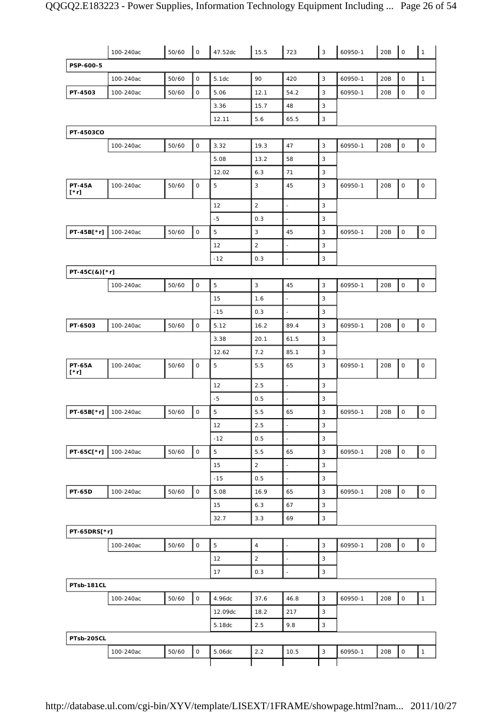|                              | 100-240ac | 50/60 | $\mathsf O$  | 47.52dc | 15.5           | 723                                        | $\sqrt{3}$                   | 60950-1 | 20B | $\mathsf O$         | $\mathbf{1}$        |
|------------------------------|-----------|-------|--------------|---------|----------------|--------------------------------------------|------------------------------|---------|-----|---------------------|---------------------|
| PSP-600-5                    |           |       |              |         |                |                                            |                              |         |     |                     |                     |
|                              | 100-240ac | 50/60 | $\mathsf{O}$ | 5.1dc   | 90             | 420                                        | 3                            | 60950-1 | 20B | $\mathsf O$         | $\mathbf{1}$        |
| PT-4503                      | 100-240ac | 50/60 | $\mathsf{O}$ | 5.06    | 12.1           | 54.2                                       | 3                            | 60950-1 | 20B | 0                   | 0                   |
|                              |           |       |              | 3.36    | 15.7           | 48                                         | 3                            |         |     |                     |                     |
|                              |           |       |              | 12.11   | 5.6            | 65.5                                       | 3                            |         |     |                     |                     |
| PT-4503CO                    |           |       |              |         |                |                                            |                              |         |     |                     |                     |
|                              | 100-240ac | 50/60 | $\mathsf{O}$ | 3.32    | 19.3           | 47                                         | 3                            | 60950-1 | 20B | $\mathsf O$         | $\mathsf{O}\xspace$ |
|                              |           |       |              | 5.08    | 13.2           | 58                                         | $\mathsf 3$                  |         |     |                     |                     |
|                              |           |       |              | 12.02   | 6.3            | 71                                         | 3                            |         |     |                     |                     |
| <b>PT-45A</b><br>$[\cdot r]$ | 100-240ac | 50/60 | 0            | 5       | 3              | 45                                         | 3                            | 60950-1 | 20B | 0                   | $\mathsf O$         |
|                              |           |       |              | 12      | $\overline{2}$ | $\overline{\phantom{a}}$                   | 3                            |         |     |                     |                     |
|                              |           |       |              | $-5$    | 0.3            | $\blacksquare$                             | 3                            |         |     |                     |                     |
| PT-45B[*r]                   | 100-240ac | 50/60 | $\mathsf O$  | 5       | 3              | 45                                         | 3                            | 60950-1 | 20B | $\mathsf O$         | $\mathsf O$         |
|                              |           |       |              | 12      | $\overline{2}$ | $\overline{\phantom{a}}$                   | 3                            |         |     |                     |                     |
|                              |           |       |              | $-12$   | 0.3            |                                            | 3                            |         |     |                     |                     |
| PT-45C(&)[*r]                |           |       |              |         |                |                                            |                              |         |     |                     |                     |
|                              | 100-240ac | 50/60 | $\mathsf O$  | 5       | $\mathbf{3}$   | 45                                         | $\mathbf{3}$                 | 60950-1 | 20B | $\mathsf O$         | 0                   |
|                              |           |       |              | 15      | 1.6            | $\bar{\phantom{a}}$                        | 3                            |         |     |                     |                     |
|                              |           |       |              | $-15$   | 0.3            | $\blacksquare$                             | 3                            |         |     |                     |                     |
| PT-6503                      | 100-240ac | 50/60 | $\mathsf O$  | 5.12    | 16.2           | 89.4                                       | 3                            | 60950-1 | 20B | $\mathsf O$         | $\mathsf O$         |
|                              |           |       |              | 3.38    | 20.1           | 61.5                                       | 3                            |         |     |                     |                     |
|                              |           |       |              | 12.62   | 7.2            | 85.1                                       | 3                            |         |     |                     |                     |
| <b>PT-65A</b><br>$[\cdot r]$ | 100-240ac | 50/60 | $\mathsf{O}$ | 5       | 5.5            | 65                                         | 3                            | 60950-1 | 20B | 0                   | $\mathsf O$         |
|                              |           |       |              | 12      | 2.5            | $\overline{\phantom{a}}$                   | 3                            |         |     |                     |                     |
|                              |           |       |              | $-5$    | 0.5            | ÷,                                         | 3                            |         |     |                     |                     |
| PT-65B[*r]                   | 100-240ac | 50/60 | $\mathsf{O}$ | 5       | 5.5            | 65                                         | 3                            | 60950-1 | 20B | $\mathsf O$         | $\mathsf{O}\xspace$ |
|                              |           |       |              | $12\,$  | 2.5            |                                            | 3                            |         |     |                     |                     |
|                              |           |       |              | $-12$   | 0.5            | L,                                         | 3                            |         |     |                     |                     |
| PT-65C[*r]                   | 100-240ac | 50/60 | $\mathsf{O}$ | 5       | 5.5            | 65                                         | $\mathsf 3$                  | 60950-1 | 20B | $\mathsf{O}\xspace$ | $\mathsf{O}\xspace$ |
|                              |           |       |              | 15      | $\overline{2}$ | $\Box$                                     | $\sqrt{3}$                   |         |     |                     |                     |
|                              |           |       |              | $-15$   | 0.5            | $\omega$                                   | $\mathsf 3$                  |         |     |                     |                     |
| PT-65D                       | 100-240ac | 50/60 | $\mathsf O$  | 5.08    | 16.9           | 65                                         | $\mathsf 3$                  | 60950-1 | 20B | $\mathsf{O}\xspace$ | $\mathsf{O}\xspace$ |
|                              |           |       |              | 15      | 6.3            | 67                                         | 3                            |         |     |                     |                     |
|                              |           |       |              | 32.7    | 3.3            | 69                                         | $\mathsf 3$                  |         |     |                     |                     |
| PT-65DRS[*r]                 |           |       |              |         |                |                                            |                              |         |     |                     |                     |
|                              | 100-240ac | 50/60 | $\mathsf O$  | 5       | $\overline{4}$ | $\overline{\phantom{a}}$                   | $\overline{3}$               | 60950-1 | 20B | $\mathsf{O}\xspace$ | $\mathsf{O}\xspace$ |
|                              |           |       |              | 12      | $\overline{2}$ | $\blacksquare$<br>$\overline{\phantom{a}}$ | $\sqrt{3}$<br>$\overline{3}$ |         |     |                     |                     |
|                              |           |       |              | 17      | 0.3            |                                            |                              |         |     |                     |                     |
| PTsb-181CL                   | 100-240ac | 50/60 | 0            | 4.96dc  | 37.6           | 46.8                                       | 3                            | 60950-1 | 20B | $\mathsf{O}\xspace$ | $\mathbf{1}$        |
|                              |           |       |              | 12.09dc | 18.2           | 217                                        | 3                            |         |     |                     |                     |
|                              |           |       |              | 5.18dc  | 2.5            | 9.8                                        | $\mathsf 3$                  |         |     |                     |                     |
| PTsb-205CL                   |           |       |              |         |                |                                            |                              |         |     |                     |                     |
|                              | 100-240ac | 50/60 | $\mathsf O$  | 5.06dc  | 2.2            | 10.5                                       | $\ensuremath{\mathsf{3}}$    | 60950-1 | 20B | $\mathsf{O}$        | $\mathbf{1}$        |
|                              |           |       |              |         |                |                                            |                              |         |     |                     |                     |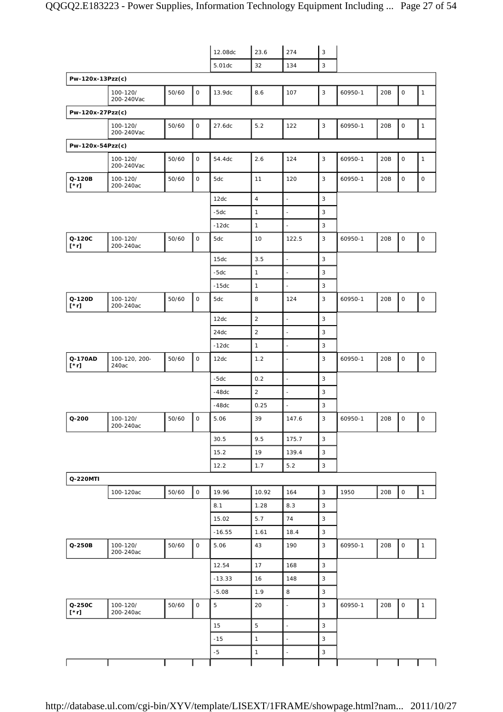|                       |                        |       |              | 12.08dc  | 23.6           | 274                      | $\sqrt{3}$                |         |     |                          |                     |
|-----------------------|------------------------|-------|--------------|----------|----------------|--------------------------|---------------------------|---------|-----|--------------------------|---------------------|
|                       |                        |       |              | 5.01dc   | 32             | 134                      | $\sqrt{3}$                |         |     |                          |                     |
| Pw-120x-13Pzz(c)      |                        |       |              |          |                |                          |                           |         |     |                          |                     |
|                       | 100-120/<br>200-240Vac | 50/60 | $\mathsf O$  | 13.9dc   | 8.6            | 107                      | 3                         | 60950-1 | 20B | 0                        | 1                   |
| Pw-120x-27Pzz(c)      |                        |       |              |          |                |                          |                           |         |     |                          |                     |
|                       | 100-120/<br>200-240Vac | 50/60 | $\mathsf{O}$ | 27.6dc   | 5.2            | 122                      | 3                         | 60950-1 | 20B | O                        | $\mathbf{1}$        |
| Pw-120x-54Pzz(c)      |                        |       |              |          |                |                          |                           |         |     |                          |                     |
|                       | 100-120/<br>200-240Vac | 50/60 | $\mathsf O$  | 54.4dc   | 2.6            | 124                      | 3                         | 60950-1 | 20B | 0                        | 1                   |
| Q-120B<br>$[\cdot r]$ | 100-120/<br>200-240ac  | 50/60 | $\mathsf{O}$ | 5dc      | 11             | 120                      | 3                         | 60950-1 | 20B | 0                        | $\mathsf O$         |
|                       |                        |       |              | 12dc     | $\overline{4}$ | $\overline{\phantom{a}}$ | 3                         |         |     |                          |                     |
|                       |                        |       |              | $-5dc$   | $\mathbf{1}$   | ÷,                       | $\mathsf 3$               |         |     |                          |                     |
|                       |                        |       |              | $-12dc$  | $\mathbf{1}$   | $\blacksquare$           | 3                         |         |     |                          |                     |
| Q-120C<br>$[\cdot r]$ | 100-120/<br>200-240ac  | 50/60 | $\mathsf{O}$ | 5dc      | 10             | 122.5                    | 3                         | 60950-1 | 20B | $\mathsf{O}\xspace$      | $\mathsf O$         |
|                       |                        |       |              | 15dc     | 3.5            | $\frac{1}{2}$            | 3                         |         |     |                          |                     |
|                       |                        |       |              | $-5dc$   | $\mathbf{1}$   | $\overline{\phantom{a}}$ | 3                         |         |     |                          |                     |
|                       |                        |       |              | $-15dc$  | $\mathbf{1}$   |                          | 3                         |         |     |                          |                     |
| Q-120D<br>$[\cdot r]$ | 100-120/<br>200-240ac  | 50/60 | $\mathsf{O}$ | 5dc      | 8              | 124                      | 3                         | 60950-1 | 20B | 0                        | $\mathsf{O}\xspace$ |
|                       |                        |       |              | 12dc     | 2              | $\overline{a}$           | 3                         |         |     |                          |                     |
|                       |                        |       |              | 24dc     | $\sqrt{2}$     | $\overline{a}$           | 3                         |         |     |                          |                     |
|                       |                        |       |              | $-12dc$  | $\mathbf{1}$   | ÷,                       | $\mathsf 3$               |         |     |                          |                     |
| Q-170AD<br>$[^*r]$    | 100-120, 200-<br>240ac | 50/60 | $\mathsf O$  | 12dc     | 1.2            | $\blacksquare$           | 3                         | 60950-1 | 20B | 0                        | $\mathsf O$         |
|                       |                        |       |              | $-5dc$   | 0.2            | $\overline{\phantom{a}}$ | $\mathsf 3$               |         |     |                          |                     |
|                       |                        |       |              | $-48dc$  | $\overline{c}$ | $\overline{\phantom{a}}$ | $\mathsf 3$               |         |     |                          |                     |
|                       |                        |       |              | $-48dc$  | 0.25           | $\overline{\phantom{a}}$ | 3                         |         |     |                          |                     |
| $Q - 200$             | 100-120/<br>200-240ac  | 50/60 | $\mathsf{O}$ | 5.06     | 39             | 147.6                    | $\ensuremath{\mathsf{3}}$ | 60950-1 | 20B | $\overline{\phantom{a}}$ | $\circ$             |
|                       |                        |       |              | 30.5     | 9.5            | 175.7                    | 3                         |         |     |                          |                     |
|                       |                        |       |              | 15.2     | 19             | 139.4                    | 3                         |         |     |                          |                     |
|                       |                        |       |              | 12.2     | 1.7            | 5.2                      | 3                         |         |     |                          |                     |
| Q-220MTI              |                        |       |              |          |                |                          |                           |         |     |                          |                     |
|                       | 100-120ac              | 50/60 | $\mathsf{O}$ | 19.96    | 10.92          | 164                      | 3                         | 1950    | 20B | $\mathsf{O}\xspace$      | $\mathbf{1}$        |
|                       |                        |       |              | 8.1      | 1.28           | 8.3                      | 3                         |         |     |                          |                     |
|                       |                        |       |              | 15.02    | 5.7            | 74                       | 3                         |         |     |                          |                     |
|                       |                        |       |              | $-16.55$ | 1.61           | 18.4                     | $\mathsf 3$               |         |     |                          |                     |
| Q-250B                | 100-120/<br>200-240ac  | 50/60 | $\mathsf{O}$ | 5.06     | 43             | 190                      | 3                         | 60950-1 | 20B | $\mathsf O$              | $\mathbf{1}$        |
|                       |                        |       |              | 12.54    | 17             | 168                      | 3                         |         |     |                          |                     |
|                       |                        |       |              | $-13.33$ | 16             | 148                      | $\sqrt{3}$                |         |     |                          |                     |
|                       |                        |       |              | $-5.08$  | 1.9            | 8                        | 3                         |         |     |                          |                     |
| Q-250C<br>$[\cdot r]$ | 100-120/<br>200-240ac  | 50/60 | $\mathsf{O}$ | 5        | 20             | ä,                       | 3                         | 60950-1 | 20B | 0                        | 1                   |
|                       |                        |       |              | 15       | 5              |                          | 3                         |         |     |                          |                     |
|                       |                        |       |              | $-15$    | $\mathbf{1}$   | $\ddot{\phantom{1}}$     | 3                         |         |     |                          |                     |
|                       |                        |       |              | $-5$     | $\mathbf{1}$   | $\overline{\phantom{a}}$ | 3                         |         |     |                          |                     |
|                       |                        |       |              |          |                |                          |                           |         |     |                          |                     |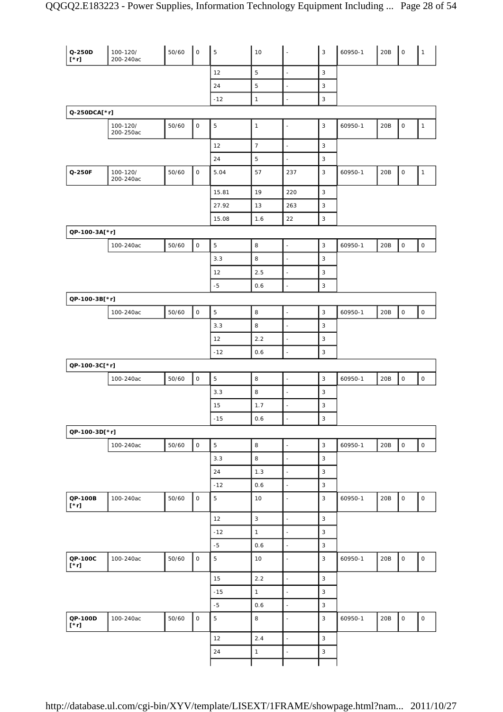| Q-250D<br>$[\cdot r]$  | 100-120/<br>200-240ac | 50/60 | $\overline{\phantom{a}}$ | $\mathbf 5$    | 10             | $\overline{\phantom{a}}$ | $\mathsf 3$               | 60950-1 | 20B | $\overline{\phantom{a}}$ | $\mathbf{1}$        |
|------------------------|-----------------------|-------|--------------------------|----------------|----------------|--------------------------|---------------------------|---------|-----|--------------------------|---------------------|
|                        |                       |       |                          | 12             | 5              | $\overline{a}$           | $\mathbf{3}$              |         |     |                          |                     |
|                        |                       |       |                          | 24             | 5              | $\overline{a}$           | $\sqrt{3}$                |         |     |                          |                     |
|                        |                       |       |                          | $-12$          | $\mathbf{1}$   | ÷,                       | $\mathsf 3$               |         |     |                          |                     |
| Q-250DCA[*r]           |                       |       |                          |                |                |                          |                           |         |     |                          |                     |
|                        | 100-120/<br>200-250ac | 50/60 | $\mathsf{O}$             | 5              | $\overline{1}$ | $\blacksquare$           | 3                         | 60950-1 | 20B | 0                        | $\mathbf{1}$        |
|                        |                       |       |                          | 12             | $\overline{7}$ | $\overline{a}$           | $\sqrt{3}$                |         |     |                          |                     |
|                        |                       |       |                          | 24             | 5              | $\overline{a}$           | $\sqrt{3}$                |         |     |                          |                     |
| Q-250F                 | 100-120/<br>200-240ac | 50/60 | $\mathsf O$              | 5.04           | 57             | 237                      | $\sqrt{3}$                | 60950-1 | 20B | 0                        | $\mathbf{1}$        |
|                        |                       |       |                          | 15.81          | 19             | 220                      | $\mathsf 3$               |         |     |                          |                     |
|                        |                       |       |                          | 27.92          | 13             | 263                      | $\sqrt{3}$                |         |     |                          |                     |
|                        |                       |       |                          | 15.08          | 1.6            | 22                       | 3                         |         |     |                          |                     |
| QP-100-3A[*r]          |                       |       |                          |                |                |                          |                           |         |     |                          |                     |
|                        | 100-240ac             | 50/60 | $\mathsf O$              | 5              | 8              | $\bar{\phantom{a}}$      | $\mathbf{3}$              | 60950-1 | 20B | $\mathsf O$              | $\mathsf O$         |
|                        |                       |       |                          | 3.3            | 8              | $\overline{a}$           | $\sqrt{3}$                |         |     |                          |                     |
|                        |                       |       |                          | 12             | 2.5            | $\overline{\phantom{a}}$ | 3                         |         |     |                          |                     |
|                        |                       |       |                          | $-5$           | 0.6            | $\overline{a}$           | 3                         |         |     |                          |                     |
| QP-100-3B[*r]          |                       |       |                          |                |                |                          |                           |         |     |                          |                     |
|                        | 100-240ac             | 50/60 | $\mathsf O$              | 5              | 8              | ÷,                       | 3                         | 60950-1 | 20B | 0                        | $\mathsf O$         |
|                        |                       |       |                          | 3.3            | 8              | ÷,                       | 3                         |         |     |                          |                     |
|                        |                       |       |                          | 12             | 2.2            | $\blacksquare$           | $\mathsf 3$               |         |     |                          |                     |
|                        |                       |       |                          | $-12$          | 0.6            | $\overline{\phantom{a}}$ | $\mathsf 3$               |         |     |                          |                     |
| QP-100-3C[*r]          |                       |       |                          |                |                |                          |                           |         |     |                          |                     |
|                        | 100-240ac             | 50/60 | $\mathsf O$              | 5              | 8              | $\overline{\phantom{a}}$ | $\mathbf{3}$              | 60950-1 | 20B | $\mathsf O$              | $\mathsf{O}\xspace$ |
|                        |                       |       |                          | 3.3            | 8              | $\overline{\phantom{a}}$ | 3                         |         |     |                          |                     |
|                        |                       |       |                          | 15             | 1.7            | $\bar{\phantom{a}}$      | $\mathsf 3$               |         |     |                          |                     |
|                        |                       |       |                          | $-15$          | 0.6            | $\overline{a}$           | 3                         |         |     |                          |                     |
| QP-100-3D[*r]          |                       |       |                          |                |                |                          |                           |         |     |                          |                     |
|                        | 100-240ac             | 50/60 | $\mathsf{O}\xspace$      | $\mathbf 5$    | $\,$ 8 $\,$    | $\Box$                   | $\mathsf 3$               | 60950-1 | 20B | $\mathsf{O}\xspace$      | $\mathsf{O}\xspace$ |
|                        |                       |       |                          | 3.3            | 8              | $\overline{\phantom{a}}$ | $\mathsf 3$               |         |     |                          |                     |
|                        |                       |       |                          | 24             | 1.3            | $\overline{a}$           | $\mathsf 3$               |         |     |                          |                     |
|                        |                       |       |                          | $-12$          | 0.6            | $\overline{\phantom{a}}$ | 3                         |         |     |                          |                     |
| QP-100B<br>$[\cdot r]$ | 100-240ac             | 50/60 | $\mathsf O$              | $\overline{5}$ | 10             | $\overline{\phantom{a}}$ | $\mathsf 3$               | 60950-1 | 20B | $\mathsf{O}\xspace$      | $\mathsf O$         |
|                        |                       |       |                          | 12             | $\sqrt{3}$     | l,                       | $\overline{3}$            |         |     |                          |                     |
|                        |                       |       |                          | $-12$          | $\mathbf{1}$   | $\overline{\phantom{a}}$ | $\mathsf 3$               |         |     |                          |                     |
|                        |                       |       |                          | $-5$           | 0.6            | $\overline{\phantom{a}}$ | $\mathsf 3$               |         |     |                          |                     |
| QP-100C<br>$[\cdot r]$ | 100-240ac             | 50/60 | $\mathsf O$              | $\overline{5}$ | 10             | $\blacksquare$           | $\mathbf{3}$              | 60950-1 | 20B | $\mathsf{O}\xspace$      | $\mathsf O$         |
|                        |                       |       |                          | 15             | 2.2            | $\overline{a}$           | $\mathsf 3$               |         |     |                          |                     |
|                        |                       |       |                          | $-15$          | $\mathbf{1}$   | $\frac{1}{2}$            | $\mathsf 3$               |         |     |                          |                     |
|                        |                       |       |                          | $-5$           | 0.6            | $\overline{\phantom{a}}$ | $\mathsf 3$               |         |     |                          |                     |
| QP-100D<br>$[\cdot r]$ | 100-240ac             | 50/60 | $\mathsf O$              | $\mathbf 5$    | 8              | $\blacksquare$           | $\mathsf 3$               | 60950-1 | 20B | 0                        | $\mathsf{O}\xspace$ |
|                        |                       |       |                          | 12             | 2.4            | $\overline{\phantom{a}}$ | $\mathsf 3$               |         |     |                          |                     |
|                        |                       |       |                          | 24             | $\mathbf{1}$   | ÷                        | $\ensuremath{\mathsf{3}}$ |         |     |                          |                     |
|                        |                       |       |                          |                |                |                          |                           |         |     |                          |                     |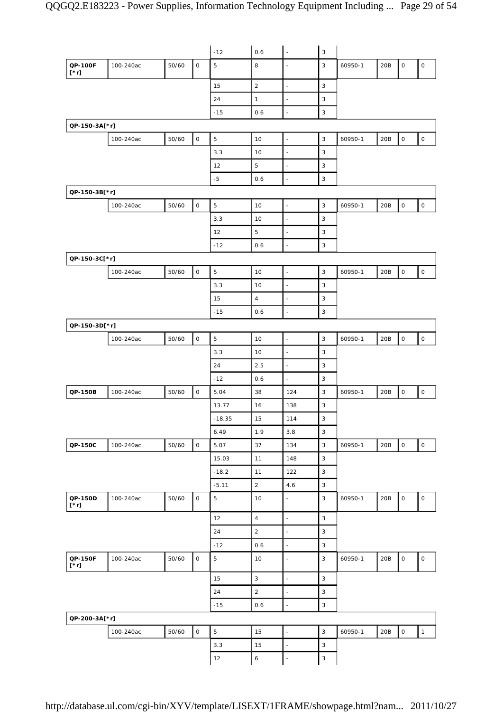|                        |           |       |             | $-12$          | 0.6              | $\overline{\phantom{a}}$ | $\sqrt{3}$                |         |     |                     |                     |
|------------------------|-----------|-------|-------------|----------------|------------------|--------------------------|---------------------------|---------|-----|---------------------|---------------------|
| QP-100F<br>$[\cdot r]$ | 100-240ac | 50/60 | $\mathsf O$ | 5              | $\,8\,$          | ÷,                       | 3                         | 60950-1 | 20B | $\mathsf O$         | $\mathsf O$         |
|                        |           |       |             | 15             | 2                | $\overline{\phantom{a}}$ | 3                         |         |     |                     |                     |
|                        |           |       |             | 24             | $\mathbf{1}$     | ÷,                       | $\mathsf 3$               |         |     |                     |                     |
|                        |           |       |             | $-15$          | 0.6              | $\blacksquare$           | 3                         |         |     |                     |                     |
| QP-150-3A[*r]          |           |       |             |                |                  |                          |                           |         |     |                     |                     |
|                        | 100-240ac | 50/60 | $\mathsf O$ | 5              | 10               | $\blacksquare$           | $\mathbf{3}$              | 60950-1 | 20B | $\mathsf{O}\xspace$ | $\mathsf O$         |
|                        |           |       |             | 3.3            | 10               | ÷,                       | $\mathbf{3}$              |         |     |                     |                     |
|                        |           |       |             | 12             | 5                | $\overline{\phantom{a}}$ | 3                         |         |     |                     |                     |
|                        |           |       |             | $-5$           | 0.6              | ä,                       | $\mathbf{3}$              |         |     |                     |                     |
| QP-150-3B[*r]          |           |       |             |                |                  |                          |                           |         |     |                     |                     |
|                        | 100-240ac | 50/60 | $\mathsf O$ | 5              | 10               | $\blacksquare$           | $\mathsf 3$               | 60950-1 | 20B | $\mathsf O$         | $\mathsf{O}\xspace$ |
|                        |           |       |             | 3.3            | 10               | $\blacksquare$           | $\mathbf{3}$              |         |     |                     |                     |
|                        |           |       |             | 12             | 5                | $\overline{\phantom{a}}$ | $\mathbf{3}$              |         |     |                     |                     |
|                        |           |       |             | $-12$          | 0.6              | $\overline{a}$           | $\mathsf 3$               |         |     |                     |                     |
| QP-150-3C[*r]          |           |       |             |                |                  |                          |                           |         |     |                     |                     |
|                        | 100-240ac | 50/60 | $\mathsf O$ | 5              | 10               | $\blacksquare$           | $\mathbf{3}$              | 60950-1 | 20B | $\mathsf O$         | $\mathsf{O}\xspace$ |
|                        |           |       |             | 3.3            | 10               | $\overline{\phantom{a}}$ | $\mathbf{3}$              |         |     |                     |                     |
|                        |           |       |             | 15             | $\overline{4}$   | $\overline{\phantom{a}}$ | $\mathsf 3$               |         |     |                     |                     |
|                        |           |       |             | $-15$          | 0.6              | ÷,                       | $\mathsf 3$               |         |     |                     |                     |
| QP-150-3D[*r]          |           |       |             |                |                  |                          |                           |         |     |                     |                     |
|                        | 100-240ac | 50/60 | $\mathsf O$ | 5              | 10               | $\overline{\phantom{a}}$ | $\mathbf{3}$              | 60950-1 | 20B | $\mathsf{O}\xspace$ | $\mathsf{O}\xspace$ |
|                        |           |       |             | 3.3            | 10               | $\blacksquare$           | $\mathbf{3}$              |         |     |                     |                     |
|                        |           |       |             | 24             | 2.5              | $\blacksquare$           | 3                         |         |     |                     |                     |
|                        |           |       |             | $-12$          | 0.6              | $\blacksquare$           | 3                         |         |     |                     |                     |
| QP-150B                | 100-240ac | 50/60 | $\mathsf O$ | 5.04           | 38               | 124                      | $\mathbf{3}$              | 60950-1 | 20B | $\mathsf{O}\xspace$ | $\mathsf{O}\xspace$ |
|                        |           |       |             | 13.77          | 16               | 138                      | $\mathsf 3$               |         |     |                     |                     |
|                        |           |       |             | $-18.35$       | 15               | 114                      | $\mathsf 3$               |         |     |                     |                     |
|                        |           |       |             | 6.49           | 1.9              | 3.8                      | $\mathbf{3}$              |         |     |                     |                     |
| QP-150C                | 100-240ac | 50/60 | $\mathsf O$ | 5.07           | 37               | 134                      | $\mathsf 3$               | 60950-1 | 20B | $\mathsf{O}\xspace$ | $\mathsf{O}\xspace$ |
|                        |           |       |             | 15.03          | 11               | 148                      | $\mathsf 3$               |         |     |                     |                     |
|                        |           |       |             | $-18.2$        | 11               | 122                      | $\mathsf 3$               |         |     |                     |                     |
|                        |           |       |             | $-5.11$        | $\overline{2}$   | 4.6                      | $\mathbf{3}$              |         |     |                     |                     |
| QP-150D<br>$[\cdot r]$ | 100-240ac | 50/60 | $\mathsf O$ | $\overline{5}$ | 10               | $\blacksquare$           | $\mathsf 3$               | 60950-1 | 20B | $\mathsf{O}\xspace$ | $\mathsf O$         |
|                        |           |       |             | 12             | $\sqrt{4}$       | $\overline{\phantom{a}}$ | $\mathbf{3}$              |         |     |                     |                     |
|                        |           |       |             | 24             | $\sqrt{2}$       | $\overline{\phantom{a}}$ | $\ensuremath{\mathsf{3}}$ |         |     |                     |                     |
|                        |           |       |             | $-12$          | 0.6              | $\frac{1}{2}$            | $\ensuremath{\mathsf{3}}$ |         |     |                     |                     |
| QP-150F<br>$[\cdot r]$ | 100-240ac | 50/60 | $\mathsf O$ | 5              | 10               | $\frac{1}{2}$            | $\mathsf 3$               | 60950-1 | 20B | $\mathsf O$         | $\mathsf O$         |
|                        |           |       |             | 15             | 3                | $\overline{\phantom{a}}$ | 3                         |         |     |                     |                     |
|                        |           |       |             | 24             | $\sqrt{2}$       | $\overline{\phantom{a}}$ | $\ensuremath{\mathsf{3}}$ |         |     |                     |                     |
|                        |           |       |             | $-15$          | 0.6              | $\blacksquare$           | $\ensuremath{\mathsf{3}}$ |         |     |                     |                     |
| QP-200-3A[*r]          |           |       |             |                |                  |                          |                           |         |     |                     |                     |
|                        | 100-240ac | 50/60 | $\mathsf O$ | $\overline{5}$ | 15               | $\blacksquare$           | $\mathsf 3$               | 60950-1 | 20B | $\mathsf O$         | $\mathbf{1}$        |
|                        |           |       |             | 3.3            | 15               | $\blacksquare$           | $\ensuremath{\mathsf{3}}$ |         |     |                     |                     |
|                        |           |       |             | 12             | $\boldsymbol{6}$ | ÷                        | $\ensuremath{\mathsf{3}}$ |         |     |                     |                     |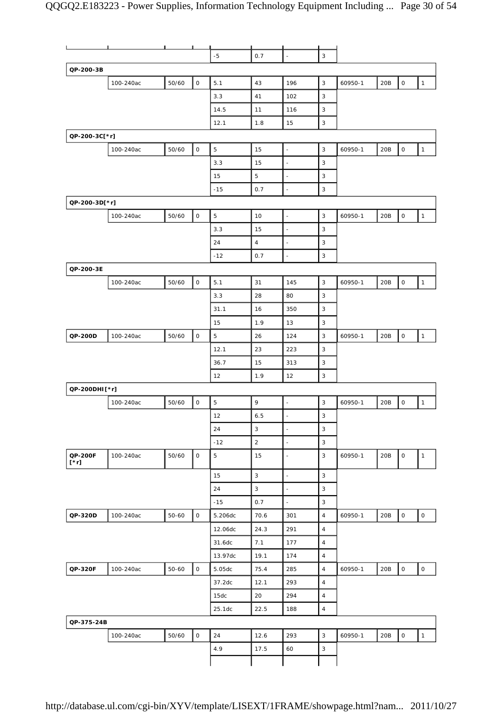|                        | п         |           | ட                   |                |                |                          |                           |         |     |                     |                     |
|------------------------|-----------|-----------|---------------------|----------------|----------------|--------------------------|---------------------------|---------|-----|---------------------|---------------------|
|                        |           |           |                     | $-5$           | 0.7            | $\bar{\phantom{a}}$      | 3                         |         |     |                     |                     |
| QP-200-3B              |           |           |                     |                |                |                          |                           |         |     |                     |                     |
|                        | 100-240ac | 50/60     | $\mathsf O$         | 5.1            | 43             | 196                      | $\mathsf 3$               | 60950-1 | 20B | $\mathsf{O}\xspace$ | $\mathbf{1}$        |
|                        |           |           |                     | 3.3            | 41             | 102                      | 3                         |         |     |                     |                     |
|                        |           |           |                     | 14.5           | 11             | 116                      | 3                         |         |     |                     |                     |
|                        |           |           |                     | 12.1           | 1.8            | 15                       | 3                         |         |     |                     |                     |
| QP-200-3C[*r]          |           |           |                     |                |                |                          |                           |         |     |                     |                     |
|                        | 100-240ac | 50/60     | $\mathsf O$         | 5              | 15             | $\overline{\phantom{a}}$ | 3                         | 60950-1 | 20B | $\mathsf O$         | $\mathbf{1}$        |
|                        |           |           |                     | 3.3            | 15             | $\bar{z}$                | 3                         |         |     |                     |                     |
|                        |           |           |                     | 15             | 5              | $\blacksquare$           | 3                         |         |     |                     |                     |
|                        |           |           |                     | $-15$          | 0.7            | ÷,                       | 3                         |         |     |                     |                     |
| QP-200-3D[*r]          |           |           |                     |                |                |                          |                           |         |     |                     |                     |
|                        | 100-240ac | 50/60     | $\mathsf O$         | 5              | 10             | ÷,                       | 3                         | 60950-1 | 20B | $\mathsf{O}\xspace$ | $\mathbf{1}$        |
|                        |           |           |                     | 3.3            | 15             | $\overline{\phantom{a}}$ | 3                         |         |     |                     |                     |
|                        |           |           |                     | 24             | $\overline{4}$ | $\sim$                   | 3                         |         |     |                     |                     |
|                        |           |           |                     |                |                |                          | 3                         |         |     |                     |                     |
|                        |           |           |                     | $-12$          | 0.7            | $\blacksquare$           |                           |         |     |                     |                     |
| QP-200-3E              |           |           |                     |                |                |                          |                           |         |     |                     |                     |
|                        | 100-240ac | 50/60     | $\mathsf O$         | 5.1            | 31             | 145                      | 3                         | 60950-1 | 20B | $\mathsf O$         | $\mathbf{1}$        |
|                        |           |           |                     | 3.3            | 28             | 80                       | 3                         |         |     |                     |                     |
|                        |           |           |                     | 31.1           | 16             | 350                      | 3                         |         |     |                     |                     |
|                        |           |           |                     | 15             | 1.9            | 13                       | 3                         |         |     |                     |                     |
| QP-200D                | 100-240ac | 50/60     | $\mathsf O$         | 5              | 26             | 124                      | 3                         | 60950-1 | 20B | $\mathsf O$         | $\mathbf{1}$        |
|                        |           |           |                     | 12.1           | 23             | 223                      | 3                         |         |     |                     |                     |
|                        |           |           |                     | 36.7           | 15             | 313                      | 3                         |         |     |                     |                     |
|                        |           |           |                     | 12             | 1.9            | 12                       | 3                         |         |     |                     |                     |
| QP-200DHI[*r]          |           |           |                     |                |                |                          |                           |         |     |                     |                     |
|                        | 100-240ac | 50/60     | $\mathsf O$         | 5              | 9              | ÷,                       | 3                         | 60950-1 | 20B | $\mathsf O$         | $\mathbf{1}$        |
|                        |           |           |                     | 12             | 6.5            | $\blacksquare$           | 3                         |         |     |                     |                     |
|                        |           |           |                     | 24             | 3              | $\blacksquare$           | $\ensuremath{\mathsf{3}}$ |         |     |                     |                     |
|                        |           |           |                     | $-12$          | $\overline{a}$ | $\overline{\phantom{a}}$ | $\mathsf 3$               |         |     |                     |                     |
| QP-200F<br>$[\cdot r]$ | 100-240ac | 50/60     | $\mathsf O$         | $\overline{5}$ | 15             | ÷,                       | $\mathbf{3}$              | 60950-1 | 20B | 0                   | $\mathbf{1}$        |
|                        |           |           |                     | 15             | 3              | $\blacksquare$           | 3                         |         |     |                     |                     |
|                        |           |           |                     | 24             | $\mathbf{3}$   | $\overline{\phantom{a}}$ | $\mathsf 3$               |         |     |                     |                     |
|                        |           |           |                     | $-15$          | 0.7            | $\overline{\phantom{a}}$ | 3                         |         |     |                     |                     |
| QP-320D                | 100-240ac | $50 - 60$ | $\mathsf O$         | 5.206dc        | 70.6           | 301                      | $\sqrt{4}$                | 60950-1 | 20B | $\mathsf{O}\xspace$ | $\mathsf O$         |
|                        |           |           |                     |                |                | 291                      | $\sqrt{4}$                |         |     |                     |                     |
|                        |           |           |                     | 12.06dc        | 24.3           |                          | $\sqrt{4}$                |         |     |                     |                     |
|                        |           |           |                     | 31.6dc         | 7.1            | 177                      |                           |         |     |                     |                     |
|                        |           |           |                     | 13.97dc        | 19.1           | 174                      | $\sqrt{4}$                |         |     |                     |                     |
| QP-320F                | 100-240ac | $50 - 60$ | $\mathsf{O}\xspace$ | 5.05dc         | 75.4           | 285                      | $\sqrt{4}$                | 60950-1 | 20B | $\mathsf{O}\xspace$ | $\mathsf{O}\xspace$ |
|                        |           |           |                     | 37.2dc         | 12.1           | 293                      | $\sqrt{4}$                |         |     |                     |                     |
|                        |           |           |                     | 15dc           | 20             | 294                      | $\overline{4}$            |         |     |                     |                     |
|                        |           |           |                     | 25.1dc         | 22.5           | 188                      | $\overline{4}$            |         |     |                     |                     |
| QP-375-24B             |           |           |                     |                |                |                          |                           |         |     |                     |                     |
|                        | 100-240ac | 50/60     | $\mathsf O$         | 24             | 12.6           | 293                      | $\mathbf{3}$              | 60950-1 | 20B | $\mathsf{O}\xspace$ | $\mathbf{1}$        |
|                        |           |           |                     | 4.9            | 17.5           | 60                       | 3                         |         |     |                     |                     |
|                        |           |           |                     |                |                |                          |                           |         |     |                     |                     |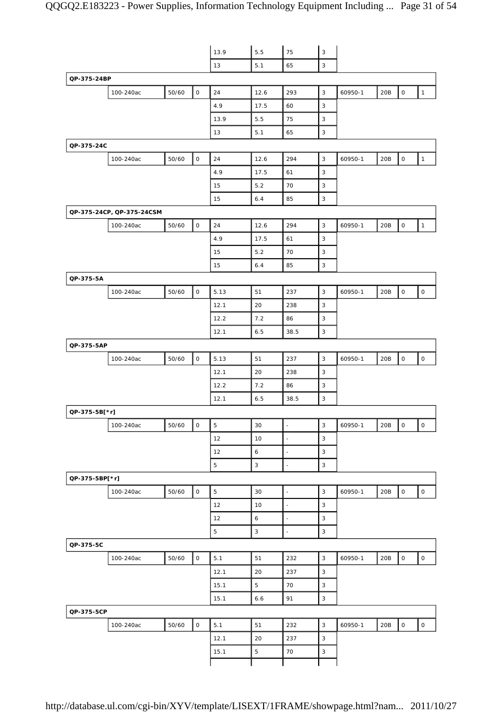|                |                           |       |                     | 13.9        | 5.5          | 75                       | $\mathbf{3}$   |         |     |                          |                     |
|----------------|---------------------------|-------|---------------------|-------------|--------------|--------------------------|----------------|---------|-----|--------------------------|---------------------|
|                |                           |       |                     | 13          | 5.1          | 65                       | 3              |         |     |                          |                     |
| QP-375-24BP    |                           |       |                     |             |              |                          |                |         |     |                          |                     |
|                | 100-240ac                 | 50/60 | $\circ$             | 24          | 12.6         | 293                      | $\overline{3}$ | 60950-1 | 20B | $\mathsf O$              | $\mathbf{1}$        |
|                |                           |       |                     | 4.9         | 17.5         | 60                       | 3              |         |     |                          |                     |
|                |                           |       |                     | 13.9        | 5.5          | 75                       | 3              |         |     |                          |                     |
|                |                           |       |                     | 13          | 5.1          | 65                       | $\sqrt{3}$     |         |     |                          |                     |
| QP-375-24C     |                           |       |                     |             |              |                          |                |         |     |                          |                     |
|                | 100-240ac                 | 50/60 | $\mathsf O$         | 24          | 12.6         | 294                      | $\sqrt{3}$     | 60950-1 | 20B | $\mathsf O$              | $\mathbf{1}$        |
|                |                           |       |                     | 4.9         | 17.5         | 61                       | 3              |         |     |                          |                     |
|                |                           |       |                     | 15          | 5.2          | 70                       | $\mathsf 3$    |         |     |                          |                     |
|                |                           |       |                     | 15          | 6.4          | 85                       | 3              |         |     |                          |                     |
|                | QP-375-24CP, QP-375-24CSM |       |                     |             |              |                          |                |         |     |                          |                     |
|                | 100-240ac                 | 50/60 | $\mathsf O$         | 24          | 12.6         | 294                      | $\mathbf{3}$   | 60950-1 | 20B | $\mathsf O$              | $\mathbf{1}$        |
|                |                           |       |                     | 4.9         | 17.5         | 61                       | $\mathsf 3$    |         |     |                          |                     |
|                |                           |       |                     | 15          | 5.2          | 70                       | 3              |         |     |                          |                     |
|                |                           |       |                     | 15          | 6.4          | 85                       | $\sqrt{3}$     |         |     |                          |                     |
| QP-375-5A      |                           |       |                     |             |              |                          |                |         |     |                          |                     |
|                | 100-240ac                 | 50/60 | $\mathsf O$         | 5.13        | 51           | 237                      | $\mathsf 3$    | 60950-1 | 20B | $\mathsf{O}\xspace$      | 0                   |
|                |                           |       |                     | 12.1        | 20           | 238                      | 3              |         |     |                          |                     |
|                |                           |       |                     | 12.2        | 7.2          | 86                       | 3              |         |     |                          |                     |
|                |                           |       |                     | 12.1        | 6.5          | 38.5                     | 3              |         |     |                          |                     |
| QP-375-5AP     |                           |       |                     |             |              |                          |                |         |     |                          |                     |
|                | 100-240ac                 | 50/60 | $\mathsf{O}$        | 5.13        | 51           | 237                      | $\mathbf{3}$   | 60950-1 | 20B | $\mathsf{O}\xspace$      | $\mathsf{O}$        |
|                |                           |       |                     | 12.1        | 20           | 238                      | 3              |         |     |                          |                     |
|                |                           |       |                     | 12.2        | 7.2          | 86                       | 3              |         |     |                          |                     |
|                |                           |       |                     | 12.1        | 6.5          | 38.5                     | $\sqrt{3}$     |         |     |                          |                     |
| QP-375-5B[*r]  |                           |       |                     |             |              |                          |                |         |     |                          |                     |
|                | 100-240ac                 | 50/60 | 0                   | 5           | 30           | $\blacksquare$           | 3              | 60950-1 | 20B | $\overline{\phantom{0}}$ | $\circ$             |
|                |                           |       |                     | 12          | 10           | $\overline{a}$           | $\overline{3}$ |         |     |                          |                     |
|                |                           |       |                     | 12          | 6            | $\Box$                   | $\mathsf 3$    |         |     |                          |                     |
|                |                           |       |                     | $\mathbf 5$ | $\mathbf{3}$ | $\overline{a}$           | $\mathbf{3}$   |         |     |                          |                     |
| QP-375-5BP[*r] |                           |       |                     |             |              |                          |                |         |     |                          |                     |
|                | 100-240ac                 | 50/60 | $\mathsf{O}\xspace$ | 5           | 30           | $\Box$                   | $\overline{3}$ | 60950-1 | 20B | 0                        | $\mathsf{O}\xspace$ |
|                |                           |       |                     | 12          | 10           | $\overline{\phantom{a}}$ | $\mathsf 3$    |         |     |                          |                     |
|                |                           |       |                     | 12          | 6            | $\overline{\phantom{a}}$ | $\mathsf 3$    |         |     |                          |                     |
|                |                           |       |                     | 5           | $\mathbf{3}$ | $\overline{\phantom{a}}$ | $\sqrt{3}$     |         |     |                          |                     |
| QP-375-5C      |                           |       |                     |             |              |                          |                |         |     |                          |                     |
|                | 100-240ac                 | 50/60 | $\mathsf{O}\xspace$ | 5.1         | 51           | 232                      | $\mathsf 3$    | 60950-1 | 20B | $\mathsf O$              | $\mathsf{O}\xspace$ |
|                |                           |       |                     | 12.1        | 20           | 237                      | $\overline{3}$ |         |     |                          |                     |
|                |                           |       |                     | 15.1        | 5            | 70                       | $\sqrt{3}$     |         |     |                          |                     |
|                |                           |       |                     | 15.1        | 6.6          | 91                       | $\mathsf 3$    |         |     |                          |                     |
| QP-375-5CP     |                           |       |                     |             |              |                          |                |         |     |                          |                     |
|                | 100-240ac                 | 50/60 | $\mathsf{O}\xspace$ | 5.1         | 51           | 232                      | $\overline{3}$ | 60950-1 | 20B | $\mathsf{O}\xspace$      | $\mathsf{O}$        |
|                |                           |       |                     | 12.1        | 20           | 237                      | $\mathbf{3}$   |         |     |                          |                     |
|                |                           |       |                     | 15.1        | 5            | 70                       | $\mathsf 3$    |         |     |                          |                     |
|                |                           |       |                     |             |              |                          |                |         |     |                          |                     |
|                |                           |       |                     |             |              |                          |                |         |     |                          |                     |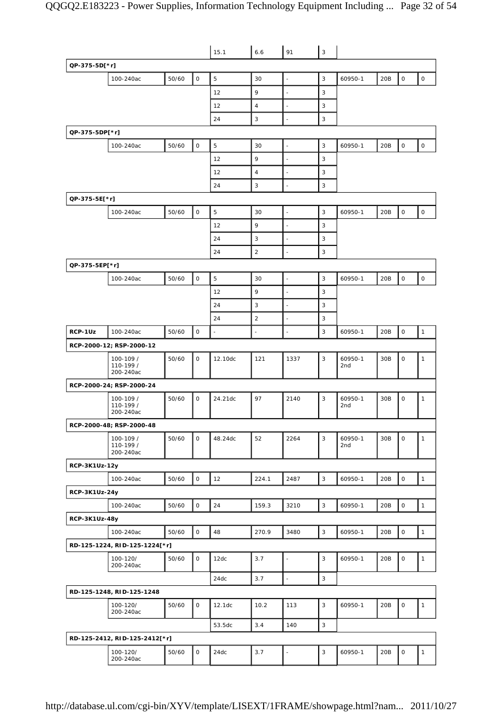|                |                                     |       |              | 15.1                     | 6.6            | 91                       | 3                         |                            |     |                     |              |
|----------------|-------------------------------------|-------|--------------|--------------------------|----------------|--------------------------|---------------------------|----------------------------|-----|---------------------|--------------|
| QP-375-5D[*r]  |                                     |       |              |                          |                |                          |                           |                            |     |                     |              |
|                | 100-240ac                           | 50/60 | $\mathsf O$  | 5                        | 30             | $\overline{\phantom{a}}$ | 3                         | 60950-1                    | 20B | $\mathsf O$         | $\mathsf O$  |
|                |                                     |       |              | 12                       | 9              | $\bar{z}$                | 3                         |                            |     |                     |              |
|                |                                     |       |              | 12                       | $\overline{4}$ | $\blacksquare$           | 3                         |                            |     |                     |              |
|                |                                     |       |              | 24                       | 3              | ÷,                       | 3                         |                            |     |                     |              |
| QP-375-5DP[*r] |                                     |       |              |                          |                |                          |                           |                            |     |                     |              |
|                | 100-240ac                           | 50/60 | $\mathbf 0$  | 5                        | 30             | $\overline{\phantom{a}}$ | 3                         | 60950-1                    | 20B | $\mathsf O$         | $\mathsf O$  |
|                |                                     |       |              | 12                       | 9              | $\Box$                   | 3                         |                            |     |                     |              |
|                |                                     |       |              | 12                       | $\overline{4}$ | ÷,                       | 3                         |                            |     |                     |              |
|                |                                     |       |              | 24                       | 3              | $\blacksquare$           | 3                         |                            |     |                     |              |
| QP-375-5E[*r]  |                                     |       |              |                          |                |                          |                           |                            |     |                     |              |
|                | 100-240ac                           | 50/60 | $\mathsf O$  | 5                        | 30             | $\overline{\phantom{a}}$ | 3                         | 60950-1                    | 20B | $\mathsf{O}\xspace$ | $\mathsf O$  |
|                |                                     |       |              | 12                       | 9              | J.                       | 3                         |                            |     |                     |              |
|                |                                     |       |              | 24                       | 3              | $\overline{\phantom{a}}$ | 3                         |                            |     |                     |              |
|                |                                     |       |              | 24                       | 2              | Ĭ.                       | 3                         |                            |     |                     |              |
| QP-375-5EP[*r] |                                     |       |              |                          |                |                          |                           |                            |     |                     |              |
|                | 100-240ac                           | 50/60 | 0            | 5                        | 30             | $\overline{\phantom{a}}$ | 3                         | 60950-1                    | 20B | $\mathsf{O}\xspace$ | 0            |
|                |                                     |       |              | 12                       | 9              | $\overline{\phantom{a}}$ | 3                         |                            |     |                     |              |
|                |                                     |       |              | 24                       | 3              | $\bar{z}$                | 3                         |                            |     |                     |              |
|                |                                     |       |              | 24                       | 2              | $\blacksquare$           | 3                         |                            |     |                     |              |
| RCP-1Uz        | 100-240ac                           | 50/60 | $\mathsf O$  | $\overline{\phantom{a}}$ | ÷,             | Ĭ.                       | 3                         | 60950-1                    | 20B | $\mathsf O$         | $\mathbf{1}$ |
|                | RCP-2000-12; RSP-2000-12            |       |              |                          |                |                          |                           |                            |     |                     |              |
|                | 100-109 /<br>110-199 /<br>200-240ac | 50/60 | $\mathbf{O}$ | 12.10dc                  | 121            | 1337                     | 3                         | 60950-1<br>2nd             | 30B | $\mathsf O$         | $\mathbf{1}$ |
|                | RCP-2000-24; RSP-2000-24            |       |              |                          |                |                          |                           |                            |     |                     |              |
|                | 100-109 /<br>110-199 /<br>200-240ac | 50/60 | $\mathsf O$  | 24.21dc                  | 97             | 2140                     | 3                         | 60950-1<br>2 <sub>nd</sub> | 30B | 0                   | $\mathbf{1}$ |
|                | RCP-2000-48; RSP-2000-48            |       |              |                          |                |                          |                           |                            |     |                     |              |
|                | 100-109 /<br>110-199 /<br>200-240ac | 50/60 | $\mathsf O$  | 48.24dc                  | 52             | 2264                     | 3                         | 60950-1<br>2nd             | 30B | $\mathbf 0$         | $\mathbf{1}$ |
| RCP-3K1Uz-12y  |                                     |       |              |                          |                |                          |                           |                            |     |                     |              |
|                | 100-240ac                           | 50/60 | $\mathsf O$  | 12                       | 224.1          | 2487                     | 3                         | 60950-1                    | 20B | $\mathsf{O}\xspace$ | $\mathbf{1}$ |
| RCP-3K1Uz-24y  |                                     |       |              |                          |                |                          |                           |                            |     |                     |              |
|                | 100-240ac                           | 50/60 | $\mathsf O$  | 24                       | 159.3          | 3210                     | 3                         | 60950-1                    | 20B | $\mathsf O$         | $\mathbf{1}$ |
| RCP-3K1Uz-48y  |                                     |       |              |                          |                |                          |                           |                            |     |                     |              |
|                | 100-240ac                           | 50/60 | $\mathsf O$  | 48                       | 270.9          | 3480                     | 3                         | 60950-1                    | 20B | $\mathsf{O}\xspace$ | $\mathbf{1}$ |
|                | RD-125-1224, RID-125-1224[*r]       |       |              |                          |                |                          |                           |                            |     |                     |              |
|                | 100-120/                            | 50/60 | $\mathsf O$  | 12dc                     | 3.7            | $\overline{\phantom{a}}$ | 3                         | 60950-1                    | 20B | $\mathsf{O}\xspace$ | $\mathbf{1}$ |
|                | 200-240ac                           |       |              |                          |                |                          |                           |                            |     |                     |              |
|                |                                     |       |              | 24dc                     | 3.7            | $\Box$                   | 3                         |                            |     |                     |              |
|                | RD-125-1248, RID-125-1248           |       |              |                          |                |                          |                           |                            |     |                     |              |
|                | 100-120/<br>200-240ac               | 50/60 | $\mathsf{O}$ | 12.1dc                   | 10.2           | 113                      | 3                         | 60950-1                    | 20B | $\mathsf{O}\xspace$ | $\mathbf{1}$ |
|                |                                     |       |              | 53.5dc                   | 3.4            | 140                      | $\ensuremath{\mathsf{3}}$ |                            |     |                     |              |
|                | RD-125-2412, RID-125-2412[*r]       |       |              |                          |                |                          |                           |                            |     |                     |              |
|                | 100-120/<br>200-240ac               | 50/60 | 0            | 24dc                     | 3.7            | $\overline{\phantom{a}}$ | 3                         | 60950-1                    | 20B | $\mathsf{O}\xspace$ | $\mathbf{1}$ |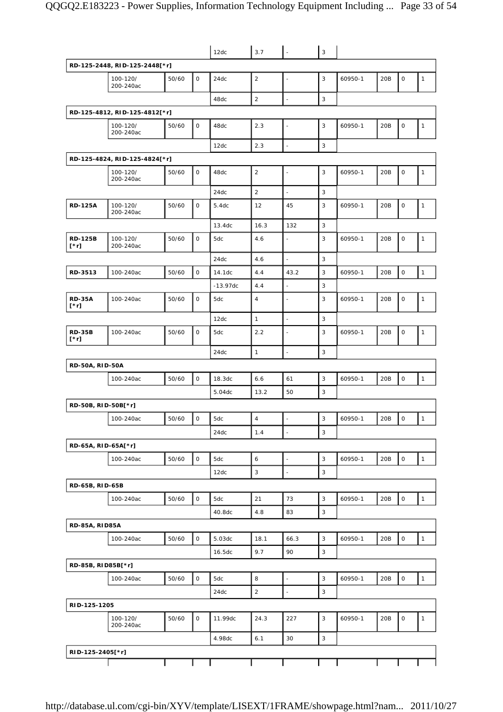|                        |                               |       |              | 12dc       | 3.7            | $\overline{\phantom{a}}$ | 3            |         |     |             |              |
|------------------------|-------------------------------|-------|--------------|------------|----------------|--------------------------|--------------|---------|-----|-------------|--------------|
|                        | RD-125-2448, RID-125-2448[*r] |       |              |            |                |                          |              |         |     |             |              |
|                        | 100-120/<br>200-240ac         | 50/60 | $\mathsf{O}$ | 24dc       | $\overline{2}$ |                          | 3            | 60950-1 | 20B | $\mathsf O$ | $\mathbf{1}$ |
|                        |                               |       |              | 48dc       | $\sqrt{2}$     | $\overline{\phantom{a}}$ | 3            |         |     |             |              |
|                        | RD-125-4812, RID-125-4812[*r] |       |              |            |                |                          |              |         |     |             |              |
|                        | 100-120/<br>200-240ac         | 50/60 | 0            | 48dc       | 2.3            | $\overline{a}$           | 3            | 60950-1 | 20B | $\mathsf O$ | $\mathbf{1}$ |
|                        |                               |       |              | 12dc       | 2.3            | L.                       | 3            |         |     |             |              |
|                        | RD-125-4824, RID-125-4824[*r] |       |              |            |                |                          |              |         |     |             |              |
|                        | 100-120/<br>200-240ac         | 50/60 | $\mathsf O$  | 48dc       | $\sqrt{2}$     | ÷,                       | 3            | 60950-1 | 20B | $\mathsf O$ | $\mathbf{1}$ |
|                        |                               |       |              | 24dc       | $\overline{2}$ |                          | 3            |         |     |             |              |
| <b>RD-125A</b>         | 100-120/<br>200-240ac         | 50/60 | $\mathsf O$  | 5.4dc      | 12             | 45                       | 3            | 60950-1 | 20B | $\mathsf O$ | $\mathbf{1}$ |
|                        |                               |       |              | 13.4dc     | 16.3           | 132                      | 3            |         |     |             |              |
| <b>RD-125B</b><br>[*r] | 100-120/<br>200-240ac         | 50/60 | $\mathsf O$  | 5dc        | 4.6            | L,                       | 3            | 60950-1 | 20B | $\mathsf O$ | $\mathbf{1}$ |
|                        |                               |       |              | 24dc       | 4.6            | $\overline{a}$           | 3            |         |     |             |              |
| RD-3513                | 100-240ac                     | 50/60 | $\mathsf O$  | 14.1dc     | 4.4            | 43.2                     | 3            | 60950-1 | 20B | $\mathbf 0$ | $\mathbf{1}$ |
|                        |                               |       |              | $-13.97dc$ | 4.4            | ÷,                       | 3            |         |     |             |              |
| <b>RD-35A</b><br>[*r]  | 100-240ac                     | 50/60 | $\mathsf O$  | 5dc        | $\sqrt{4}$     |                          | 3            | 60950-1 | 20B | $\mathsf O$ | $\mathbf{1}$ |
|                        |                               |       |              | 12dc       | $\mathbf{1}$   |                          | 3            |         |     |             |              |
| <b>RD-35B</b><br>[*r]  | 100-240ac                     | 50/60 | 0            | 5dc        | 2.2            |                          | 3            | 60950-1 | 20B | $\mathsf O$ | $\mathbf{1}$ |
|                        |                               |       |              | 24dc       | $\mathbf{1}$   | ä,                       | 3            |         |     |             |              |
| <b>RD-50A, RID-50A</b> |                               |       |              |            |                |                          |              |         |     |             |              |
|                        | 100-240ac                     | 50/60 | $\mathbf 0$  | 18.3dc     | 6.6            | 61                       | 3            | 60950-1 | 20B | $\mathsf O$ | $\mathbf{1}$ |
|                        |                               |       |              | 5.04dc     | 13.2           | 50                       | 3            |         |     |             |              |
| RD-50B, RID-50B[*r]    |                               |       |              |            |                |                          |              |         |     |             |              |
|                        | 100-240ac                     | 50/60 | $\mathsf O$  | 5dc        | $\overline{4}$ |                          | 3            | 60950-1 | 20B | $\mathbf 0$ | $\mathbf{1}$ |
|                        |                               |       |              | 24dc       | 1.4            | $\blacksquare$           | $\mathbf{3}$ |         |     |             |              |
| RD-65A, RID-65A[*r]    |                               |       |              |            |                |                          |              |         |     |             |              |
|                        | 100-240ac                     | 50/60 | $\mathsf O$  | 5dc        | 6              | L,                       | $\mathbf{3}$ | 60950-1 | 20B | $\mathsf O$ | $\mathbf{1}$ |
|                        |                               |       |              | 12dc       | 3              | $\overline{a}$           | 3            |         |     |             |              |
| RD-65B, RID-65B        |                               |       |              |            |                |                          |              |         |     |             |              |
|                        | 100-240ac                     | 50/60 | $\mathsf O$  | 5dc        | 21             | 73                       | 3            | 60950-1 | 20B | $\mathsf O$ | $\mathbf{1}$ |
|                        |                               |       |              | 40.8dc     | 4.8            | 83                       | 3            |         |     |             |              |
| <b>RD-85A, RID85A</b>  |                               |       |              |            |                |                          |              |         |     |             |              |
|                        | 100-240ac                     | 50/60 | $\mathsf{O}$ | 5.03dc     | 18.1           | 66.3                     | $\mathbf{3}$ | 60950-1 | 20B | $\mathsf O$ | $\mathbf{1}$ |
|                        |                               |       |              | 16.5dc     | 9.7            | 90                       | 3            |         |     |             |              |
| RD-85B, RID85B[*r]     |                               |       |              |            |                |                          |              |         |     |             |              |
|                        | 100-240ac                     | 50/60 | $\mathsf O$  | 5dc        | 8              | $\frac{1}{2}$            | 3            | 60950-1 | 20B | $\mathsf O$ | $\mathbf{1}$ |
|                        |                               |       |              | 24dc       | $\mathbf 2$    |                          | 3            |         |     |             |              |
| RID-125-1205           |                               |       |              |            |                |                          |              |         |     |             |              |
|                        | 100-120/<br>200-240ac         | 50/60 | $\mathsf O$  | 11.99dc    | 24.3           | 227                      | 3            | 60950-1 | 20B | $\mathsf O$ | $\mathbf{1}$ |
|                        |                               |       |              | 4.98dc     | 6.1            | 30                       | 3            |         |     |             |              |
| RID-125-2405[*r]       |                               |       |              |            |                |                          |              |         |     |             |              |
|                        |                               |       |              |            |                |                          |              |         |     |             |              |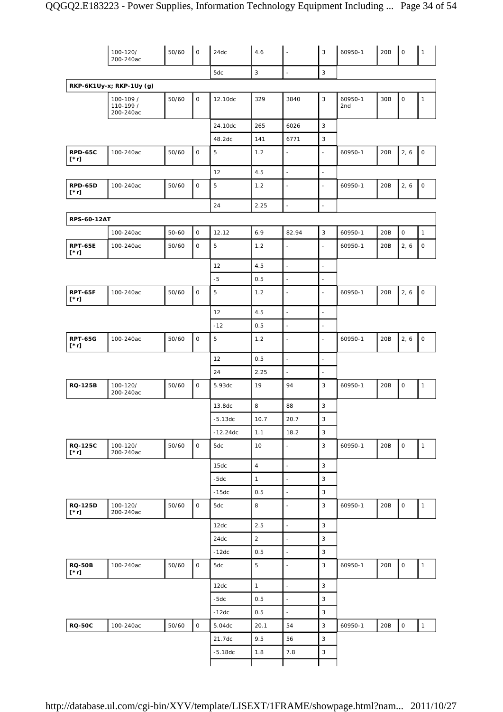|                               | 100-120/<br>200-240ac               | 50/60     | $\mathsf O$         | 24dc       | 4.6            |                          | 3                        | 60950-1        | 20B | $\mathsf O$         | $\mathbf{1}$        |
|-------------------------------|-------------------------------------|-----------|---------------------|------------|----------------|--------------------------|--------------------------|----------------|-----|---------------------|---------------------|
|                               |                                     |           |                     | 5dc        | $\mathbf{3}$   | $\Box$                   | 3                        |                |     |                     |                     |
|                               | RKP-6K1Uy-x; RKP-1Uy (g)            |           |                     |            |                |                          |                          |                |     |                     |                     |
|                               | 100-109 /<br>110-199 /<br>200-240ac | 50/60     | 0                   | 12.10dc    | 329            | 3840                     | 3                        | 60950-1<br>2nd | 30B | $\mathsf O$         | $\mathbf{1}$        |
|                               |                                     |           |                     | 24.10dc    | 265            | 6026                     | 3                        |                |     |                     |                     |
|                               |                                     |           |                     | 48.2dc     | 141            | 6771                     | 3                        |                |     |                     |                     |
| <b>RPD-65C</b><br>[*r]        | 100-240ac                           | 50/60     | $\mathsf O$         | 5          | 1.2            | $\overline{\phantom{a}}$ | $\blacksquare$           | 60950-1        | 20B | 2, 6                | $\mathsf O$         |
|                               |                                     |           |                     | 12         | 4.5            | $\frac{1}{2}$            | $\blacksquare$           |                |     |                     |                     |
| RPD-65D<br>[*r]               | 100-240ac                           | 50/60     | $\mathsf O$         | 5          | 1.2            | ٠                        | $\sim$                   | 60950-1        | 20B | 2, 6                | $\mathsf{O}\xspace$ |
|                               |                                     |           |                     | 24         | 2.25           | L,                       | ÷,                       |                |     |                     |                     |
| <b>RPS-60-12AT</b>            |                                     |           |                     |            |                |                          |                          |                |     |                     |                     |
|                               | 100-240ac                           | $50 - 60$ | $\mathsf O$         | 12.12      | 6.9            | 82.94                    | 3                        | 60950-1        | 20B | $\mathsf{O}\xspace$ | $\mathbf{1}$        |
| <b>RPT-65E</b><br>$[\cdot r]$ | 100-240ac                           | 50/60     | 0                   | 5          | 1.2            |                          | ÷,                       | 60950-1        | 20B | 2, 6                | 0                   |
|                               |                                     |           |                     | 12         | 4.5            | $\overline{\phantom{a}}$ | L.                       |                |     |                     |                     |
|                               |                                     |           |                     | $-5$       | 0.5            | $\blacksquare$           | $\blacksquare$           |                |     |                     |                     |
| RPT-65F<br>$[\cdot r]$        | 100-240ac                           | 50/60     | $\mathsf O$         | 5          | 1.2            | ÷,                       | ÷,                       | 60950-1        | 20B | 2, 6                | $\mathsf{O}\xspace$ |
|                               |                                     |           |                     | 12         | 4.5            | $\blacksquare$           | $\overline{\phantom{a}}$ |                |     |                     |                     |
|                               |                                     |           |                     | $-12$      | 0.5            | $\blacksquare$           | $\overline{\phantom{a}}$ |                |     |                     |                     |
| <b>RPT-65G</b><br>$[\cdot r]$ | 100-240ac                           | 50/60     | $\mathsf O$         | 5          | 1.2            | ٠                        |                          | 60950-1        | 20B | 2, 6                | $\mathsf O$         |
|                               |                                     |           |                     | 12         | 0.5            | $\blacksquare$           | $\blacksquare$           |                |     |                     |                     |
|                               |                                     |           |                     | 24         | 2.25           | ÷,                       | L.                       |                |     |                     |                     |
| <b>RQ-125B</b>                | 100-120/<br>200-240ac               | 50/60     | $\mathsf{O}$        | 5.93dc     | 19             | 94                       | 3                        | 60950-1        | 20B | $\mathsf O$         | $\mathbf{1}$        |
|                               |                                     |           |                     | 13.8dc     | 8              | 88                       | 3                        |                |     |                     |                     |
|                               |                                     |           |                     | $-5.13dc$  | 10.7           | 20.7                     | 3                        |                |     |                     |                     |
|                               |                                     |           |                     | $-12.24dc$ | 1.1            | 18.2                     | $\mathsf 3$              |                |     |                     |                     |
| <b>RQ-125C</b><br>$[\cdot r]$ | 100-120/<br>200-240ac               | 50/60     | $\mathsf O$         | 5dc        | 10             |                          | 3                        | 60950-1        | 20B | $\mathsf O$         | $\mathbf{1}$        |
|                               |                                     |           |                     | 15dc       | $\overline{4}$ | $\overline{a}$           | 3                        |                |     |                     |                     |
|                               |                                     |           |                     | $-5dc$     | $\mathbf{1}$   | $\sim$                   | 3                        |                |     |                     |                     |
|                               |                                     |           |                     | $-15dc$    | 0.5            | $\blacksquare$           | 3                        |                |     |                     |                     |
| <b>RQ-125D</b><br>$[\cdot r]$ | 100-120/<br>200-240ac               | 50/60     | O                   | 5dc        | 8              | $\overline{\phantom{a}}$ | 3                        | 60950-1        | 20B | $\mathsf O$         | $\mathbf{1}$        |
|                               |                                     |           |                     | 12dc       | 2.5            | ä,                       | $\mathsf 3$              |                |     |                     |                     |
|                               |                                     |           |                     | 24dc       | $\overline{2}$ | $\blacksquare$           | 3                        |                |     |                     |                     |
|                               |                                     |           |                     | $-12dc$    | 0.5            | $\blacksquare$           | $\mathsf 3$              |                |     |                     |                     |
| <b>RQ-50B</b><br>$[\cdot r]$  | 100-240ac                           | 50/60     | $\mathsf O$         | 5dc        | 5              | ÷,                       | 3                        | 60950-1        | 20B | $\mathsf O$         | $\mathbf{1}$        |
|                               |                                     |           |                     | 12dc       | $\mathbf{1}$   | $\blacksquare$           | 3                        |                |     |                     |                     |
|                               |                                     |           |                     | $-5dc$     | 0.5            | $\blacksquare$           | $\mathsf 3$              |                |     |                     |                     |
|                               |                                     |           |                     | $-12dc$    | 0.5            | $\blacksquare$           | $\mathsf 3$              |                |     |                     |                     |
| <b>RQ-50C</b>                 | 100-240ac                           | 50/60     | $\mathsf{O}\xspace$ | 5.04dc     | 20.1           | 54                       | 3                        | 60950-1        | 20B | $\mathsf O$         | $\mathbf{1}$        |
|                               |                                     |           |                     | 21.7dc     | 9.5            | 56                       | $\mathbf{3}$             |                |     |                     |                     |
|                               |                                     |           |                     | $-5.18dc$  | 1.8            | 7.8                      | $\mathsf 3$              |                |     |                     |                     |
|                               |                                     |           |                     |            |                |                          |                          |                |     |                     |                     |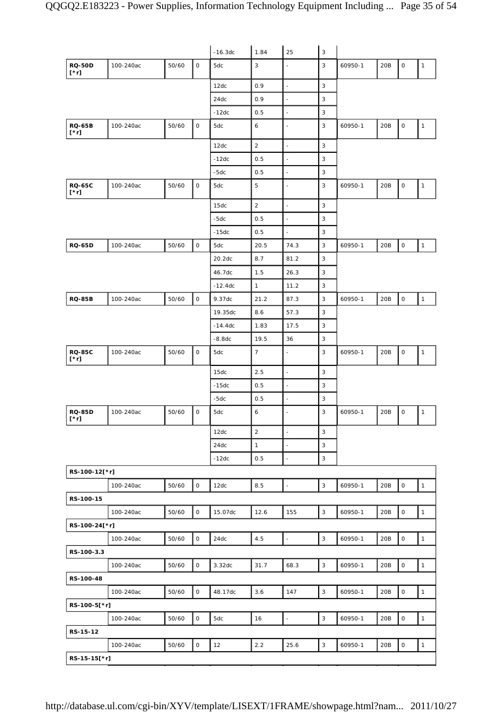|                              |           |       |              | $-16.3dc$ | 1.84           | 25                       | $\mathbf{3}$              |         |     |                     |              |
|------------------------------|-----------|-------|--------------|-----------|----------------|--------------------------|---------------------------|---------|-----|---------------------|--------------|
| <b>RQ-50D</b><br>$[\cdot r]$ | 100-240ac | 50/60 | $\mathsf{O}$ | 5dc       | $\mathbf{3}$   | $\overline{a}$           | 3                         | 60950-1 | 20B | $\mathsf{O}\xspace$ | $\mathbf{1}$ |
|                              |           |       |              | 12dc      | 0.9            | $\frac{1}{2}$            | $\mathsf 3$               |         |     |                     |              |
|                              |           |       |              | 24dc      | 0.9            | $\overline{a}$           | 3                         |         |     |                     |              |
|                              |           |       |              | $-12dc$   | 0.5            | $\frac{1}{2}$            | $\ensuremath{\mathsf{3}}$ |         |     |                     |              |
| <b>RQ-65B</b><br>$[\cdot r]$ | 100-240ac | 50/60 | $\mathsf O$  | 5dc       | 6              | $\overline{\phantom{a}}$ | 3                         | 60950-1 | 20B | $\mathsf O$         | $\mathbf{1}$ |
|                              |           |       |              | 12dc      | $\sqrt{2}$     | L.                       | $\mathsf 3$               |         |     |                     |              |
|                              |           |       |              | $-12dc$   | 0.5            | $\blacksquare$           | $\mathsf 3$               |         |     |                     |              |
|                              |           |       |              | $-5dc$    | 0.5            | $\overline{a}$           | 3                         |         |     |                     |              |
| <b>RQ-65C</b><br>[*r]        | 100-240ac | 50/60 | $\mathsf O$  | 5dc       | 5              | $\overline{a}$           | 3                         | 60950-1 | 20B | $\mathsf O$         | $\mathbf{1}$ |
|                              |           |       |              | 15dc      | $\overline{2}$ | $\overline{a}$           | $\mathsf 3$               |         |     |                     |              |
|                              |           |       |              | -5dc      | 0.5            | $\frac{1}{2}$            | 3                         |         |     |                     |              |
|                              |           |       |              | $-15dc$   | 0.5            | ÷,                       | $\mathsf 3$               |         |     |                     |              |
| <b>RQ-65D</b>                | 100-240ac | 50/60 | $\mathsf O$  | 5dc       | 20.5           | 74.3                     | $\mathsf 3$               | 60950-1 | 20B | $\mathsf O$         | $\mathbf{1}$ |
|                              |           |       |              | 20.2dc    | 8.7            | 81.2                     | 3                         |         |     |                     |              |
|                              |           |       |              | 46.7dc    | 1.5            | 26.3                     | $\mathsf 3$               |         |     |                     |              |
|                              |           |       |              | $-12.4dc$ | $\mathbf{1}$   | 11.2                     | $\ensuremath{\mathsf{3}}$ |         |     |                     |              |
| <b>RQ-85B</b>                | 100-240ac | 50/60 | $\mathsf O$  | 9.37dc    | 21.2           | 87.3                     | 3                         | 60950-1 | 20B | $\mathsf{O}\xspace$ | $\mathbf{1}$ |
|                              |           |       |              | 19.35dc   | 8.6            | 57.3                     | $\mathsf 3$               |         |     |                     |              |
|                              |           |       |              | $-14.4dc$ | 1.83           | 17.5                     | $\mathsf 3$               |         |     |                     |              |
|                              |           |       |              | $-8.8dc$  | 19.5           | 36                       | 3                         |         |     |                     |              |
| <b>RQ-85C</b><br>$[\cdot r]$ | 100-240ac | 50/60 | $\mathsf O$  | 5dc       | $\overline{7}$ | ÷,                       | $\mathsf 3$               | 60950-1 | 20B | $\mathsf{O}\xspace$ | $\mathbf{1}$ |
|                              |           |       |              | 15dc      | 2.5            | $\overline{a}$           | $\mathsf 3$               |         |     |                     |              |
|                              |           |       |              | $-15dc$   | 0.5            | $\frac{1}{2}$            | 3                         |         |     |                     |              |
|                              |           |       |              | $-5dc$    | 0.5            | $\frac{1}{2}$            | 3                         |         |     |                     |              |
| <b>RQ-85D</b><br>$[\cdot r]$ | 100-240ac | 50/60 | 0            | 5dc       | 6              | $\frac{1}{2}$            | 3                         | 60950-1 | 20B | 0                   | $\mathbf{1}$ |
|                              |           |       |              | 12dc      | $\sqrt{2}$     | $\blacksquare$           | $\mathsf 3$               |         |     |                     |              |
|                              |           |       |              | 24dc      | $\mathbf{1}$   | $\blacksquare$           | $\mathbf{3}$              |         |     |                     |              |
|                              |           |       |              | $-12dc$   | 0.5            | ÷,                       | $\mathsf 3$               |         |     |                     |              |
| RS-100-12[*r]                |           |       |              |           |                |                          |                           |         |     |                     |              |
|                              | 100-240ac | 50/60 | $\mathsf O$  | 12dc      | 8.5            | $\overline{\phantom{a}}$ | $\ensuremath{\mathsf{3}}$ | 60950-1 | 20B | $\mathsf O$         | $\mathbf{1}$ |
| RS-100-15                    |           |       |              |           |                |                          |                           |         |     |                     |              |
|                              | 100-240ac | 50/60 | $\mathsf{O}$ | 15.07dc   | 12.6           | 155                      | $\mathbf{3}$              | 60950-1 | 20B | $\mathsf O$         | $\mathbf{1}$ |
| RS-100-24[*r]                |           |       |              |           |                |                          |                           |         |     |                     |              |
|                              | 100-240ac | 50/60 | $\mathsf O$  | 24dc      | 4.5            | $\omega$                 | $\mathbf{3}$              | 60950-1 | 20B | $\mathsf O$         | $\mathbf{1}$ |
| RS-100-3.3                   |           |       |              |           |                |                          |                           |         |     |                     |              |
|                              | 100-240ac | 50/60 | $\mathsf O$  | 3.32dc    | 31.7           | 68.3                     | $\mathbf{3}$              | 60950-1 | 20B | $\mathsf O$         | $\mathbf{1}$ |
| RS-100-48                    |           |       |              |           |                |                          |                           |         |     |                     |              |
|                              | 100-240ac | 50/60 | $\mathsf{O}$ | 48.17dc   | 3.6            | 147                      | $\mathsf 3$               | 60950-1 | 20B | $\mathsf{O}\xspace$ | $\mathbf{1}$ |
| RS-100-5[*r]                 |           |       |              |           |                |                          |                           |         |     |                     |              |
|                              | 100-240ac | 50/60 | $\mathsf O$  | 5dc       | 16             | $\overline{\phantom{a}}$ | $\mathbf{3}$              | 60950-1 | 20B | $\mathsf O$         | $\mathbf{1}$ |
| RS-15-12                     |           |       |              |           |                |                          |                           |         |     |                     |              |
|                              | 100-240ac | 50/60 | $\mathsf O$  | 12        | 2.2            | 25.6                     | $\sqrt{3}$                | 60950-1 | 20B | $\mathsf{O}\xspace$ | $\mathbf{1}$ |
| RS-15-15[*r]                 |           |       |              |           |                |                          |                           |         |     |                     |              |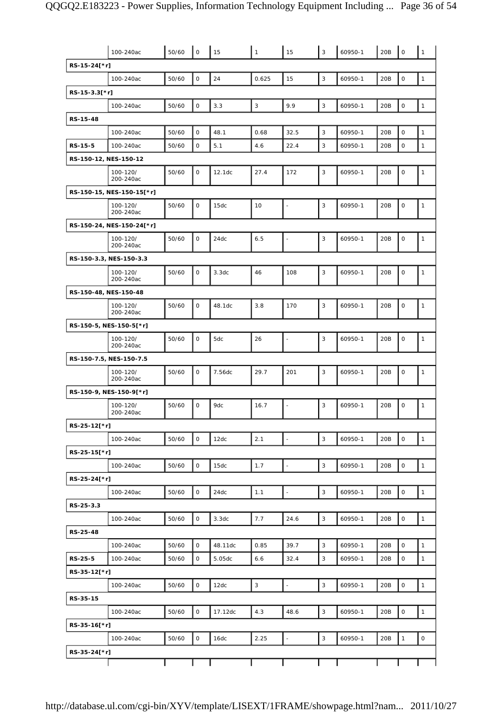|                           | 100-240ac             | 50/60 | $\mathbf 0$  | 15      | $\mathbf{1}$ | 15                       | 3            | 60950-1 | 20B             | $\mathbf 0$  | $\mathbf{1}$        |
|---------------------------|-----------------------|-------|--------------|---------|--------------|--------------------------|--------------|---------|-----------------|--------------|---------------------|
| RS-15-24[*r]              |                       |       |              |         |              |                          |              |         |                 |              |                     |
|                           | 100-240ac             | 50/60 | $\mathsf O$  | 24      | 0.625        | 15                       | 3            | 60950-1 | 20B             | $\mathbf 0$  | $\mathbf{1}$        |
| RS-15-3.3[*r]             |                       |       |              |         |              |                          |              |         |                 |              |                     |
|                           | 100-240ac             | 50/60 | $\mathsf O$  | 3.3     | $\mathbf{3}$ | 9.9                      | $\mathsf 3$  | 60950-1 | 20B             | $\mathsf O$  | $\mathbf{1}$        |
| RS-15-48                  |                       |       |              |         |              |                          |              |         |                 |              |                     |
|                           | 100-240ac             | 50/60 | $\mathsf O$  | 48.1    | 0.68         | 32.5                     | 3            | 60950-1 | 20B             | $\mathsf O$  | $\mathbf{1}$        |
| RS-15-5                   | 100-240ac             | 50/60 | $\mathsf{O}$ | 5.1     | 4.6          | 22.4                     | 3            | 60950-1 | 20B             | $\mathbf 0$  | $\mathbf{1}$        |
| RS-150-12, NES-150-12     |                       |       |              |         |              |                          |              |         |                 |              |                     |
|                           | 100-120/<br>200-240ac | 50/60 | $\mathsf O$  | 12.1dc  | 27.4         | 172                      | $\mathsf 3$  | 60950-1 | 20B             | $\mathsf O$  | $\mathbf{1}$        |
| RS-150-15, NES-150-15[*r] |                       |       |              |         |              |                          |              |         |                 |              |                     |
|                           | 100-120/<br>200-240ac | 50/60 | 0            | 15dc    | 10           | ÷,                       | 3            | 60950-1 | 20B             | $\mathbf 0$  | $\mathbf{1}$        |
| RS-150-24, NES-150-24[*r] |                       |       |              |         |              |                          |              |         |                 |              |                     |
|                           | 100-120/<br>200-240ac | 50/60 | $\mathsf O$  | 24dc    | 6.5          |                          | 3            | 60950-1 | 20B             | $\mathbf 0$  | $\mathbf{1}$        |
| RS-150-3.3, NES-150-3.3   |                       |       |              |         |              |                          |              |         |                 |              |                     |
|                           | 100-120/<br>200-240ac | 50/60 | 0            | 3.3dc   | 46           | 108                      | 3            | 60950-1 | 20B             | $\mathbf 0$  | $\mathbf{1}$        |
| RS-150-48, NES-150-48     |                       |       |              |         |              |                          |              |         |                 |              |                     |
|                           | 100-120/<br>200-240ac | 50/60 | 0            | 48.1dc  | 3.8          | 170                      | 3            | 60950-1 | 20B             | $\mathbf 0$  | $\mathbf{1}$        |
| RS-150-5, NES-150-5[*r]   |                       |       |              |         |              |                          |              |         |                 |              |                     |
|                           | 100-120/<br>200-240ac | 50/60 | 0            | 5dc     | 26           | $\overline{\phantom{a}}$ | 3            | 60950-1 | 20B             | $\mathbf 0$  | $\mathbf{1}$        |
| RS-150-7.5, NES-150-7.5   |                       |       |              |         |              |                          |              |         |                 |              |                     |
|                           | 100-120/<br>200-240ac | 50/60 | $\mathsf O$  | 7.56dc  | 29.7         | 201                      | 3            | 60950-1 | 20B             | $\mathbf 0$  | $\mathbf{1}$        |
| RS-150-9, NES-150-9[*r]   |                       |       |              |         |              |                          |              |         |                 |              |                     |
|                           | 100-120/<br>200-240ac | 50/60 | 0            | 9dc     | 16.7         | $\overline{\phantom{a}}$ | 3            | 60950-1 | 20B             | $\mathsf O$  | $\mathbf{1}$        |
| RS-25-12[*r]              |                       |       |              |         |              |                          |              |         |                 |              |                     |
|                           | 100-240ac             | 50/60 | $\mathsf O$  | 12dc    | 2.1          |                          | 3            | 60950-1 | 20B             | $\mathsf O$  | $\mathbf{1}$        |
| RS-25-15[*r]              |                       |       |              |         |              |                          |              |         |                 |              |                     |
|                           | 100-240ac             | 50/60 | $\mathsf O$  | 15dc    | 1.7          | $\Box$                   | 3            | 60950-1 | 20B             | $\mathsf O$  | $\mathbf{1}$        |
| RS-25-24[*r]              |                       |       |              |         |              |                          |              |         |                 |              |                     |
|                           | 100-240ac             | 50/60 | $\mathsf{O}$ | 24dc    | 1.1          | $\ddot{\phantom{1}}$     | 3            | 60950-1 | 20B             | $\mathsf O$  | $\mathbf{1}$        |
| RS-25-3.3                 |                       |       |              |         |              |                          |              |         |                 |              |                     |
|                           | 100-240ac             | 50/60 | $\mathsf O$  | 3.3dc   | 7.7          | 24.6                     | 3            | 60950-1 | 20B             | $\mathsf O$  | $\mathbf{1}$        |
| RS-25-48                  |                       |       |              |         |              |                          |              |         |                 |              |                     |
|                           | 100-240ac             | 50/60 | $\mathsf{O}$ | 48.11dc | 0.85         | 39.7                     | 3            | 60950-1 | 20B             | $\mathsf O$  | $\mathbf{1}$        |
| RS-25-5                   | 100-240ac             | 50/60 | 0            | 5.05dc  | 6.6          | 32.4                     | 3            | 60950-1 | 20 <sub>B</sub> | $\mathsf O$  | $\mathbf{1}$        |
| RS-35-12[*r]              |                       |       |              |         |              |                          |              |         |                 |              |                     |
|                           | 100-240ac             | 50/60 | $\mathsf O$  | 12dc    | 3            | $\overline{\phantom{a}}$ | 3            | 60950-1 | 20B             | 0            | $\mathbf{1}$        |
| RS-35-15                  |                       |       |              |         |              |                          |              |         |                 |              |                     |
|                           | 100-240ac             | 50/60 | $\mathsf O$  | 17.12dc | 4.3          | 48.6                     | 3            | 60950-1 | 20B             | $\mathsf O$  | $\mathbf{1}$        |
| RS-35-16[*r]              |                       |       |              |         |              |                          |              |         |                 |              |                     |
|                           | 100-240ac             | 50/60 | $\mathsf{O}$ | 16dc    | 2.25         | $\Box$                   | $\mathbf{3}$ | 60950-1 | 20B             | $\mathbf{1}$ | $\mathsf{O}\xspace$ |
| RS-35-24[*r]              |                       |       |              |         |              |                          |              |         |                 |              |                     |
|                           |                       |       |              |         |              |                          |              |         |                 |              |                     |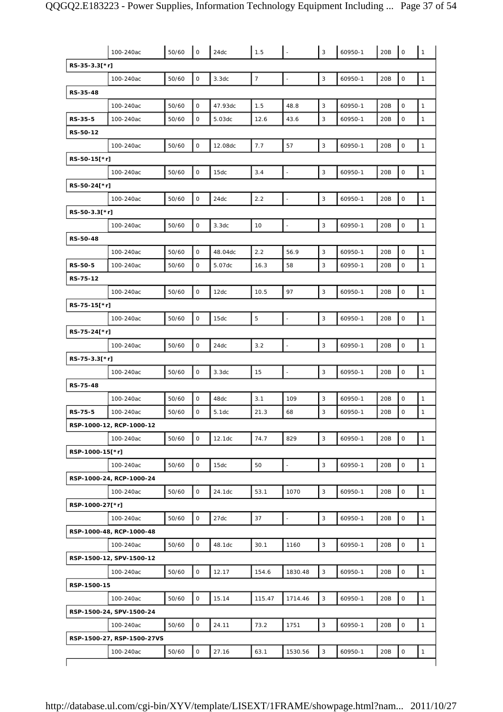| RS-35-3.3[*r]<br>$\boldsymbol{7}$<br>$\mathbf{3}$<br>0<br>$\mathsf O$<br>$\mathbf{1}$<br>50/60<br>3.3dc<br>60950-1<br>20B<br>100-240ac<br>$\frac{1}{2}$<br>RS-35-48<br>0<br>3<br>$\mathbf{1}$<br>50/60<br>47.93dc<br>1.5<br>48.8<br>60950-1<br>20B<br>$\mathsf O$<br>100-240ac<br>0<br>3<br>$\mathbf{1}$<br>$\mathbf 0$<br>RS-35-5<br>50/60<br>5.03dc<br>12.6<br>43.6<br>60950-1<br>20B<br>100-240ac<br>RS-50-12<br>$\mathbf{3}$<br>$\mathsf O$<br>7.7<br>57<br>$\mathsf O$<br>$\mathbf{1}$<br>50/60<br>12.08dc<br>60950-1<br>20B<br>100-240ac<br>RS-50-15[*r]<br>3<br>$\mathsf{O}$<br>3.4<br>$\mathsf O$<br>$\mathbf{1}$<br>50/60<br>60950-1<br>20B<br>100-240ac<br>15dc<br>RS-50-24[*r]<br>$\mathsf O$<br>$\mathsf 3$<br>2.2<br>$\mathbf 0$<br>$\mathbf{1}$<br>24dc<br>20B<br>100-240ac<br>50/60<br>$\blacksquare$<br>60950-1<br>RS-50-3.3[*r]<br>$\mathsf O$<br>3<br>$\mathsf O$<br>10<br>20B<br>$\mathbf{1}$<br>100-240ac<br>50/60<br>3.3dc<br>60950-1<br>$\overline{\phantom{0}}$<br>RS-50-48<br>$\mathsf O$<br>2.2<br>3<br>$\mathbf 0$<br>$\mathbf{1}$<br>50/60<br>56.9<br>20B<br>100-240ac<br>48.04dc<br>60950-1<br>3<br>RS-50-5<br>0<br>5.07dc<br>58<br>$\mathsf O$<br>$\mathbf{1}$<br>100-240ac<br>50/60<br>16.3<br>60950-1<br>20B<br>RS-75-12<br>0<br>97<br>3<br>$\mathsf O$<br>$\mathbf{1}$<br>10.5<br>60950-1<br>20B<br>100-240ac<br>50/60<br>12dc<br>RS-75-15[*r]<br>$\mathsf O$<br>$\mathbf 5$<br>$\mathbf{3}$<br>$\overline{\phantom{a}}$<br>$\mathsf O$<br>$\mathbf{1}$<br>100-240ac<br>50/60<br>15dc<br>60950-1<br>20B<br>RS-75-24[*r]<br>$\mathsf O$<br>3<br>$\mathsf{O}\xspace$<br>$\mathbf{1}$<br>50/60<br>24dc<br>3.2<br>60950-1<br>20B<br>100-240ac<br>RS-75-3.3[*r]<br>0<br>3<br>15<br>60950-1<br>20B<br>0<br>$\mathbf{1}$<br>100-240ac<br>50/60<br>3.3dc<br>RS-75-48<br>0<br>3.1<br>109<br>3<br>60950-1<br>$\mathsf O$<br>$\mathbf{1}$<br>100-240ac<br>50/60<br>48dc<br>20B<br>3<br>$\mathbf{1}$<br>O<br>21.3<br>$\mathbf 0$<br><b>RS-75-5</b><br>50/60<br>5.1dc<br>68<br>20 <sub>B</sub><br>100-240ac<br>60950-1<br>RSP-1000-12, RCP-1000-12<br>3<br>0<br>74.7<br>$\circ$<br>$\mathbf{1}$<br>50/60<br>829<br>60950-1<br>20B<br>100-240ac<br>12.1dc<br>RSP-1000-15[*r]<br>$\mathbf{3}$<br>$\mathsf O$<br>$\mathsf O$<br>$\mathbf{1}$<br>50/60<br>15dc<br>50<br>60950-1<br>20B<br>100-240ac<br>÷,<br>RSP-1000-24, RCP-1000-24<br>0<br>3<br>$\mathsf O$<br>$\mathbf{1}$<br>50/60<br>24.1dc<br>53.1<br>1070<br>60950-1<br>20B<br>100-240ac<br>RSP-1000-27[*r]<br>$\mathsf O$<br>$\mathsf 3$<br>27dc<br>37<br>$\mathbf 0$<br>$\mathbf{1}$<br>50/60<br>20B<br>100-240ac<br>60950-1<br>$\frac{1}{2}$<br>RSP-1000-48, RCP-1000-48<br>0<br>3<br>$\mathsf O$<br>30.1<br>20B<br>$\mathbf{1}$<br>100-240ac<br>50/60<br>48.1dc<br>1160<br>60950-1<br>RSP-1500-12, SPV-1500-12<br>$\mathsf O$<br>3<br>$\mathsf O$<br>$\mathbf{1}$<br>50/60<br>12.17<br>60950-1<br>20B<br>100-240ac<br>154.6<br>1830.48<br>RSP-1500-15<br>$\circ$<br>3<br>$\mathbf 0$<br>20B<br>$\mathbf{1}$<br>50/60<br>15.14<br>115.47<br>60950-1<br>100-240ac<br>1714.46<br>RSP-1500-24, SPV-1500-24<br>$\mathsf O$<br>3<br>$\mathsf O$<br>$\mathbf{1}$<br>50/60<br>24.11<br>73.2<br>20B<br>100-240ac<br>1751<br>60950-1<br>RSP-1500-27, RSP-1500-27VS<br>0<br>3<br>$\mathbf 0$<br>20B<br>$\mathbf{1}$<br>100-240ac<br>50/60<br>27.16<br>63.1<br>1530.56<br>60950-1 | 100-240ac | 50/60 | $\mathsf{O}$ | 24dc | 1.5 | $\mathbf{3}$ | 60950-1 | 20B | $\mathsf O$ | $\mathbf{1}$ |
|--------------------------------------------------------------------------------------------------------------------------------------------------------------------------------------------------------------------------------------------------------------------------------------------------------------------------------------------------------------------------------------------------------------------------------------------------------------------------------------------------------------------------------------------------------------------------------------------------------------------------------------------------------------------------------------------------------------------------------------------------------------------------------------------------------------------------------------------------------------------------------------------------------------------------------------------------------------------------------------------------------------------------------------------------------------------------------------------------------------------------------------------------------------------------------------------------------------------------------------------------------------------------------------------------------------------------------------------------------------------------------------------------------------------------------------------------------------------------------------------------------------------------------------------------------------------------------------------------------------------------------------------------------------------------------------------------------------------------------------------------------------------------------------------------------------------------------------------------------------------------------------------------------------------------------------------------------------------------------------------------------------------------------------------------------------------------------------------------------------------------------------------------------------------------------------------------------------------------------------------------------------------------------------------------------------------------------------------------------------------------------------------------------------------------------------------------------------------------------------------------------------------------------------------------------------------------------------------------------------------------------------------------------------------------------------------------------------------------------------------------------------------------------------------------------------------------------------------------------------------------------------------------------------------------------------------------------------------------------------------------------------------------------------------------------------------------------------------------------------------------------------------------------------------------------------------------------------------------------------------------------------------------------------------------------------------------------------------------|-----------|-------|--------------|------|-----|--------------|---------|-----|-------------|--------------|
|                                                                                                                                                                                                                                                                                                                                                                                                                                                                                                                                                                                                                                                                                                                                                                                                                                                                                                                                                                                                                                                                                                                                                                                                                                                                                                                                                                                                                                                                                                                                                                                                                                                                                                                                                                                                                                                                                                                                                                                                                                                                                                                                                                                                                                                                                                                                                                                                                                                                                                                                                                                                                                                                                                                                                                                                                                                                                                                                                                                                                                                                                                                                                                                                                                                                                                                                                  |           |       |              |      |     |              |         |     |             |              |
|                                                                                                                                                                                                                                                                                                                                                                                                                                                                                                                                                                                                                                                                                                                                                                                                                                                                                                                                                                                                                                                                                                                                                                                                                                                                                                                                                                                                                                                                                                                                                                                                                                                                                                                                                                                                                                                                                                                                                                                                                                                                                                                                                                                                                                                                                                                                                                                                                                                                                                                                                                                                                                                                                                                                                                                                                                                                                                                                                                                                                                                                                                                                                                                                                                                                                                                                                  |           |       |              |      |     |              |         |     |             |              |
|                                                                                                                                                                                                                                                                                                                                                                                                                                                                                                                                                                                                                                                                                                                                                                                                                                                                                                                                                                                                                                                                                                                                                                                                                                                                                                                                                                                                                                                                                                                                                                                                                                                                                                                                                                                                                                                                                                                                                                                                                                                                                                                                                                                                                                                                                                                                                                                                                                                                                                                                                                                                                                                                                                                                                                                                                                                                                                                                                                                                                                                                                                                                                                                                                                                                                                                                                  |           |       |              |      |     |              |         |     |             |              |
|                                                                                                                                                                                                                                                                                                                                                                                                                                                                                                                                                                                                                                                                                                                                                                                                                                                                                                                                                                                                                                                                                                                                                                                                                                                                                                                                                                                                                                                                                                                                                                                                                                                                                                                                                                                                                                                                                                                                                                                                                                                                                                                                                                                                                                                                                                                                                                                                                                                                                                                                                                                                                                                                                                                                                                                                                                                                                                                                                                                                                                                                                                                                                                                                                                                                                                                                                  |           |       |              |      |     |              |         |     |             |              |
|                                                                                                                                                                                                                                                                                                                                                                                                                                                                                                                                                                                                                                                                                                                                                                                                                                                                                                                                                                                                                                                                                                                                                                                                                                                                                                                                                                                                                                                                                                                                                                                                                                                                                                                                                                                                                                                                                                                                                                                                                                                                                                                                                                                                                                                                                                                                                                                                                                                                                                                                                                                                                                                                                                                                                                                                                                                                                                                                                                                                                                                                                                                                                                                                                                                                                                                                                  |           |       |              |      |     |              |         |     |             |              |
|                                                                                                                                                                                                                                                                                                                                                                                                                                                                                                                                                                                                                                                                                                                                                                                                                                                                                                                                                                                                                                                                                                                                                                                                                                                                                                                                                                                                                                                                                                                                                                                                                                                                                                                                                                                                                                                                                                                                                                                                                                                                                                                                                                                                                                                                                                                                                                                                                                                                                                                                                                                                                                                                                                                                                                                                                                                                                                                                                                                                                                                                                                                                                                                                                                                                                                                                                  |           |       |              |      |     |              |         |     |             |              |
|                                                                                                                                                                                                                                                                                                                                                                                                                                                                                                                                                                                                                                                                                                                                                                                                                                                                                                                                                                                                                                                                                                                                                                                                                                                                                                                                                                                                                                                                                                                                                                                                                                                                                                                                                                                                                                                                                                                                                                                                                                                                                                                                                                                                                                                                                                                                                                                                                                                                                                                                                                                                                                                                                                                                                                                                                                                                                                                                                                                                                                                                                                                                                                                                                                                                                                                                                  |           |       |              |      |     |              |         |     |             |              |
|                                                                                                                                                                                                                                                                                                                                                                                                                                                                                                                                                                                                                                                                                                                                                                                                                                                                                                                                                                                                                                                                                                                                                                                                                                                                                                                                                                                                                                                                                                                                                                                                                                                                                                                                                                                                                                                                                                                                                                                                                                                                                                                                                                                                                                                                                                                                                                                                                                                                                                                                                                                                                                                                                                                                                                                                                                                                                                                                                                                                                                                                                                                                                                                                                                                                                                                                                  |           |       |              |      |     |              |         |     |             |              |
|                                                                                                                                                                                                                                                                                                                                                                                                                                                                                                                                                                                                                                                                                                                                                                                                                                                                                                                                                                                                                                                                                                                                                                                                                                                                                                                                                                                                                                                                                                                                                                                                                                                                                                                                                                                                                                                                                                                                                                                                                                                                                                                                                                                                                                                                                                                                                                                                                                                                                                                                                                                                                                                                                                                                                                                                                                                                                                                                                                                                                                                                                                                                                                                                                                                                                                                                                  |           |       |              |      |     |              |         |     |             |              |
|                                                                                                                                                                                                                                                                                                                                                                                                                                                                                                                                                                                                                                                                                                                                                                                                                                                                                                                                                                                                                                                                                                                                                                                                                                                                                                                                                                                                                                                                                                                                                                                                                                                                                                                                                                                                                                                                                                                                                                                                                                                                                                                                                                                                                                                                                                                                                                                                                                                                                                                                                                                                                                                                                                                                                                                                                                                                                                                                                                                                                                                                                                                                                                                                                                                                                                                                                  |           |       |              |      |     |              |         |     |             |              |
|                                                                                                                                                                                                                                                                                                                                                                                                                                                                                                                                                                                                                                                                                                                                                                                                                                                                                                                                                                                                                                                                                                                                                                                                                                                                                                                                                                                                                                                                                                                                                                                                                                                                                                                                                                                                                                                                                                                                                                                                                                                                                                                                                                                                                                                                                                                                                                                                                                                                                                                                                                                                                                                                                                                                                                                                                                                                                                                                                                                                                                                                                                                                                                                                                                                                                                                                                  |           |       |              |      |     |              |         |     |             |              |
|                                                                                                                                                                                                                                                                                                                                                                                                                                                                                                                                                                                                                                                                                                                                                                                                                                                                                                                                                                                                                                                                                                                                                                                                                                                                                                                                                                                                                                                                                                                                                                                                                                                                                                                                                                                                                                                                                                                                                                                                                                                                                                                                                                                                                                                                                                                                                                                                                                                                                                                                                                                                                                                                                                                                                                                                                                                                                                                                                                                                                                                                                                                                                                                                                                                                                                                                                  |           |       |              |      |     |              |         |     |             |              |
|                                                                                                                                                                                                                                                                                                                                                                                                                                                                                                                                                                                                                                                                                                                                                                                                                                                                                                                                                                                                                                                                                                                                                                                                                                                                                                                                                                                                                                                                                                                                                                                                                                                                                                                                                                                                                                                                                                                                                                                                                                                                                                                                                                                                                                                                                                                                                                                                                                                                                                                                                                                                                                                                                                                                                                                                                                                                                                                                                                                                                                                                                                                                                                                                                                                                                                                                                  |           |       |              |      |     |              |         |     |             |              |
|                                                                                                                                                                                                                                                                                                                                                                                                                                                                                                                                                                                                                                                                                                                                                                                                                                                                                                                                                                                                                                                                                                                                                                                                                                                                                                                                                                                                                                                                                                                                                                                                                                                                                                                                                                                                                                                                                                                                                                                                                                                                                                                                                                                                                                                                                                                                                                                                                                                                                                                                                                                                                                                                                                                                                                                                                                                                                                                                                                                                                                                                                                                                                                                                                                                                                                                                                  |           |       |              |      |     |              |         |     |             |              |
|                                                                                                                                                                                                                                                                                                                                                                                                                                                                                                                                                                                                                                                                                                                                                                                                                                                                                                                                                                                                                                                                                                                                                                                                                                                                                                                                                                                                                                                                                                                                                                                                                                                                                                                                                                                                                                                                                                                                                                                                                                                                                                                                                                                                                                                                                                                                                                                                                                                                                                                                                                                                                                                                                                                                                                                                                                                                                                                                                                                                                                                                                                                                                                                                                                                                                                                                                  |           |       |              |      |     |              |         |     |             |              |
|                                                                                                                                                                                                                                                                                                                                                                                                                                                                                                                                                                                                                                                                                                                                                                                                                                                                                                                                                                                                                                                                                                                                                                                                                                                                                                                                                                                                                                                                                                                                                                                                                                                                                                                                                                                                                                                                                                                                                                                                                                                                                                                                                                                                                                                                                                                                                                                                                                                                                                                                                                                                                                                                                                                                                                                                                                                                                                                                                                                                                                                                                                                                                                                                                                                                                                                                                  |           |       |              |      |     |              |         |     |             |              |
|                                                                                                                                                                                                                                                                                                                                                                                                                                                                                                                                                                                                                                                                                                                                                                                                                                                                                                                                                                                                                                                                                                                                                                                                                                                                                                                                                                                                                                                                                                                                                                                                                                                                                                                                                                                                                                                                                                                                                                                                                                                                                                                                                                                                                                                                                                                                                                                                                                                                                                                                                                                                                                                                                                                                                                                                                                                                                                                                                                                                                                                                                                                                                                                                                                                                                                                                                  |           |       |              |      |     |              |         |     |             |              |
|                                                                                                                                                                                                                                                                                                                                                                                                                                                                                                                                                                                                                                                                                                                                                                                                                                                                                                                                                                                                                                                                                                                                                                                                                                                                                                                                                                                                                                                                                                                                                                                                                                                                                                                                                                                                                                                                                                                                                                                                                                                                                                                                                                                                                                                                                                                                                                                                                                                                                                                                                                                                                                                                                                                                                                                                                                                                                                                                                                                                                                                                                                                                                                                                                                                                                                                                                  |           |       |              |      |     |              |         |     |             |              |
|                                                                                                                                                                                                                                                                                                                                                                                                                                                                                                                                                                                                                                                                                                                                                                                                                                                                                                                                                                                                                                                                                                                                                                                                                                                                                                                                                                                                                                                                                                                                                                                                                                                                                                                                                                                                                                                                                                                                                                                                                                                                                                                                                                                                                                                                                                                                                                                                                                                                                                                                                                                                                                                                                                                                                                                                                                                                                                                                                                                                                                                                                                                                                                                                                                                                                                                                                  |           |       |              |      |     |              |         |     |             |              |
|                                                                                                                                                                                                                                                                                                                                                                                                                                                                                                                                                                                                                                                                                                                                                                                                                                                                                                                                                                                                                                                                                                                                                                                                                                                                                                                                                                                                                                                                                                                                                                                                                                                                                                                                                                                                                                                                                                                                                                                                                                                                                                                                                                                                                                                                                                                                                                                                                                                                                                                                                                                                                                                                                                                                                                                                                                                                                                                                                                                                                                                                                                                                                                                                                                                                                                                                                  |           |       |              |      |     |              |         |     |             |              |
|                                                                                                                                                                                                                                                                                                                                                                                                                                                                                                                                                                                                                                                                                                                                                                                                                                                                                                                                                                                                                                                                                                                                                                                                                                                                                                                                                                                                                                                                                                                                                                                                                                                                                                                                                                                                                                                                                                                                                                                                                                                                                                                                                                                                                                                                                                                                                                                                                                                                                                                                                                                                                                                                                                                                                                                                                                                                                                                                                                                                                                                                                                                                                                                                                                                                                                                                                  |           |       |              |      |     |              |         |     |             |              |
|                                                                                                                                                                                                                                                                                                                                                                                                                                                                                                                                                                                                                                                                                                                                                                                                                                                                                                                                                                                                                                                                                                                                                                                                                                                                                                                                                                                                                                                                                                                                                                                                                                                                                                                                                                                                                                                                                                                                                                                                                                                                                                                                                                                                                                                                                                                                                                                                                                                                                                                                                                                                                                                                                                                                                                                                                                                                                                                                                                                                                                                                                                                                                                                                                                                                                                                                                  |           |       |              |      |     |              |         |     |             |              |
|                                                                                                                                                                                                                                                                                                                                                                                                                                                                                                                                                                                                                                                                                                                                                                                                                                                                                                                                                                                                                                                                                                                                                                                                                                                                                                                                                                                                                                                                                                                                                                                                                                                                                                                                                                                                                                                                                                                                                                                                                                                                                                                                                                                                                                                                                                                                                                                                                                                                                                                                                                                                                                                                                                                                                                                                                                                                                                                                                                                                                                                                                                                                                                                                                                                                                                                                                  |           |       |              |      |     |              |         |     |             |              |
|                                                                                                                                                                                                                                                                                                                                                                                                                                                                                                                                                                                                                                                                                                                                                                                                                                                                                                                                                                                                                                                                                                                                                                                                                                                                                                                                                                                                                                                                                                                                                                                                                                                                                                                                                                                                                                                                                                                                                                                                                                                                                                                                                                                                                                                                                                                                                                                                                                                                                                                                                                                                                                                                                                                                                                                                                                                                                                                                                                                                                                                                                                                                                                                                                                                                                                                                                  |           |       |              |      |     |              |         |     |             |              |
|                                                                                                                                                                                                                                                                                                                                                                                                                                                                                                                                                                                                                                                                                                                                                                                                                                                                                                                                                                                                                                                                                                                                                                                                                                                                                                                                                                                                                                                                                                                                                                                                                                                                                                                                                                                                                                                                                                                                                                                                                                                                                                                                                                                                                                                                                                                                                                                                                                                                                                                                                                                                                                                                                                                                                                                                                                                                                                                                                                                                                                                                                                                                                                                                                                                                                                                                                  |           |       |              |      |     |              |         |     |             |              |
|                                                                                                                                                                                                                                                                                                                                                                                                                                                                                                                                                                                                                                                                                                                                                                                                                                                                                                                                                                                                                                                                                                                                                                                                                                                                                                                                                                                                                                                                                                                                                                                                                                                                                                                                                                                                                                                                                                                                                                                                                                                                                                                                                                                                                                                                                                                                                                                                                                                                                                                                                                                                                                                                                                                                                                                                                                                                                                                                                                                                                                                                                                                                                                                                                                                                                                                                                  |           |       |              |      |     |              |         |     |             |              |
|                                                                                                                                                                                                                                                                                                                                                                                                                                                                                                                                                                                                                                                                                                                                                                                                                                                                                                                                                                                                                                                                                                                                                                                                                                                                                                                                                                                                                                                                                                                                                                                                                                                                                                                                                                                                                                                                                                                                                                                                                                                                                                                                                                                                                                                                                                                                                                                                                                                                                                                                                                                                                                                                                                                                                                                                                                                                                                                                                                                                                                                                                                                                                                                                                                                                                                                                                  |           |       |              |      |     |              |         |     |             |              |
|                                                                                                                                                                                                                                                                                                                                                                                                                                                                                                                                                                                                                                                                                                                                                                                                                                                                                                                                                                                                                                                                                                                                                                                                                                                                                                                                                                                                                                                                                                                                                                                                                                                                                                                                                                                                                                                                                                                                                                                                                                                                                                                                                                                                                                                                                                                                                                                                                                                                                                                                                                                                                                                                                                                                                                                                                                                                                                                                                                                                                                                                                                                                                                                                                                                                                                                                                  |           |       |              |      |     |              |         |     |             |              |
|                                                                                                                                                                                                                                                                                                                                                                                                                                                                                                                                                                                                                                                                                                                                                                                                                                                                                                                                                                                                                                                                                                                                                                                                                                                                                                                                                                                                                                                                                                                                                                                                                                                                                                                                                                                                                                                                                                                                                                                                                                                                                                                                                                                                                                                                                                                                                                                                                                                                                                                                                                                                                                                                                                                                                                                                                                                                                                                                                                                                                                                                                                                                                                                                                                                                                                                                                  |           |       |              |      |     |              |         |     |             |              |
|                                                                                                                                                                                                                                                                                                                                                                                                                                                                                                                                                                                                                                                                                                                                                                                                                                                                                                                                                                                                                                                                                                                                                                                                                                                                                                                                                                                                                                                                                                                                                                                                                                                                                                                                                                                                                                                                                                                                                                                                                                                                                                                                                                                                                                                                                                                                                                                                                                                                                                                                                                                                                                                                                                                                                                                                                                                                                                                                                                                                                                                                                                                                                                                                                                                                                                                                                  |           |       |              |      |     |              |         |     |             |              |
|                                                                                                                                                                                                                                                                                                                                                                                                                                                                                                                                                                                                                                                                                                                                                                                                                                                                                                                                                                                                                                                                                                                                                                                                                                                                                                                                                                                                                                                                                                                                                                                                                                                                                                                                                                                                                                                                                                                                                                                                                                                                                                                                                                                                                                                                                                                                                                                                                                                                                                                                                                                                                                                                                                                                                                                                                                                                                                                                                                                                                                                                                                                                                                                                                                                                                                                                                  |           |       |              |      |     |              |         |     |             |              |
|                                                                                                                                                                                                                                                                                                                                                                                                                                                                                                                                                                                                                                                                                                                                                                                                                                                                                                                                                                                                                                                                                                                                                                                                                                                                                                                                                                                                                                                                                                                                                                                                                                                                                                                                                                                                                                                                                                                                                                                                                                                                                                                                                                                                                                                                                                                                                                                                                                                                                                                                                                                                                                                                                                                                                                                                                                                                                                                                                                                                                                                                                                                                                                                                                                                                                                                                                  |           |       |              |      |     |              |         |     |             |              |
|                                                                                                                                                                                                                                                                                                                                                                                                                                                                                                                                                                                                                                                                                                                                                                                                                                                                                                                                                                                                                                                                                                                                                                                                                                                                                                                                                                                                                                                                                                                                                                                                                                                                                                                                                                                                                                                                                                                                                                                                                                                                                                                                                                                                                                                                                                                                                                                                                                                                                                                                                                                                                                                                                                                                                                                                                                                                                                                                                                                                                                                                                                                                                                                                                                                                                                                                                  |           |       |              |      |     |              |         |     |             |              |
|                                                                                                                                                                                                                                                                                                                                                                                                                                                                                                                                                                                                                                                                                                                                                                                                                                                                                                                                                                                                                                                                                                                                                                                                                                                                                                                                                                                                                                                                                                                                                                                                                                                                                                                                                                                                                                                                                                                                                                                                                                                                                                                                                                                                                                                                                                                                                                                                                                                                                                                                                                                                                                                                                                                                                                                                                                                                                                                                                                                                                                                                                                                                                                                                                                                                                                                                                  |           |       |              |      |     |              |         |     |             |              |
|                                                                                                                                                                                                                                                                                                                                                                                                                                                                                                                                                                                                                                                                                                                                                                                                                                                                                                                                                                                                                                                                                                                                                                                                                                                                                                                                                                                                                                                                                                                                                                                                                                                                                                                                                                                                                                                                                                                                                                                                                                                                                                                                                                                                                                                                                                                                                                                                                                                                                                                                                                                                                                                                                                                                                                                                                                                                                                                                                                                                                                                                                                                                                                                                                                                                                                                                                  |           |       |              |      |     |              |         |     |             |              |
|                                                                                                                                                                                                                                                                                                                                                                                                                                                                                                                                                                                                                                                                                                                                                                                                                                                                                                                                                                                                                                                                                                                                                                                                                                                                                                                                                                                                                                                                                                                                                                                                                                                                                                                                                                                                                                                                                                                                                                                                                                                                                                                                                                                                                                                                                                                                                                                                                                                                                                                                                                                                                                                                                                                                                                                                                                                                                                                                                                                                                                                                                                                                                                                                                                                                                                                                                  |           |       |              |      |     |              |         |     |             |              |
|                                                                                                                                                                                                                                                                                                                                                                                                                                                                                                                                                                                                                                                                                                                                                                                                                                                                                                                                                                                                                                                                                                                                                                                                                                                                                                                                                                                                                                                                                                                                                                                                                                                                                                                                                                                                                                                                                                                                                                                                                                                                                                                                                                                                                                                                                                                                                                                                                                                                                                                                                                                                                                                                                                                                                                                                                                                                                                                                                                                                                                                                                                                                                                                                                                                                                                                                                  |           |       |              |      |     |              |         |     |             |              |
|                                                                                                                                                                                                                                                                                                                                                                                                                                                                                                                                                                                                                                                                                                                                                                                                                                                                                                                                                                                                                                                                                                                                                                                                                                                                                                                                                                                                                                                                                                                                                                                                                                                                                                                                                                                                                                                                                                                                                                                                                                                                                                                                                                                                                                                                                                                                                                                                                                                                                                                                                                                                                                                                                                                                                                                                                                                                                                                                                                                                                                                                                                                                                                                                                                                                                                                                                  |           |       |              |      |     |              |         |     |             |              |
|                                                                                                                                                                                                                                                                                                                                                                                                                                                                                                                                                                                                                                                                                                                                                                                                                                                                                                                                                                                                                                                                                                                                                                                                                                                                                                                                                                                                                                                                                                                                                                                                                                                                                                                                                                                                                                                                                                                                                                                                                                                                                                                                                                                                                                                                                                                                                                                                                                                                                                                                                                                                                                                                                                                                                                                                                                                                                                                                                                                                                                                                                                                                                                                                                                                                                                                                                  |           |       |              |      |     |              |         |     |             |              |
|                                                                                                                                                                                                                                                                                                                                                                                                                                                                                                                                                                                                                                                                                                                                                                                                                                                                                                                                                                                                                                                                                                                                                                                                                                                                                                                                                                                                                                                                                                                                                                                                                                                                                                                                                                                                                                                                                                                                                                                                                                                                                                                                                                                                                                                                                                                                                                                                                                                                                                                                                                                                                                                                                                                                                                                                                                                                                                                                                                                                                                                                                                                                                                                                                                                                                                                                                  |           |       |              |      |     |              |         |     |             |              |
|                                                                                                                                                                                                                                                                                                                                                                                                                                                                                                                                                                                                                                                                                                                                                                                                                                                                                                                                                                                                                                                                                                                                                                                                                                                                                                                                                                                                                                                                                                                                                                                                                                                                                                                                                                                                                                                                                                                                                                                                                                                                                                                                                                                                                                                                                                                                                                                                                                                                                                                                                                                                                                                                                                                                                                                                                                                                                                                                                                                                                                                                                                                                                                                                                                                                                                                                                  |           |       |              |      |     |              |         |     |             |              |
|                                                                                                                                                                                                                                                                                                                                                                                                                                                                                                                                                                                                                                                                                                                                                                                                                                                                                                                                                                                                                                                                                                                                                                                                                                                                                                                                                                                                                                                                                                                                                                                                                                                                                                                                                                                                                                                                                                                                                                                                                                                                                                                                                                                                                                                                                                                                                                                                                                                                                                                                                                                                                                                                                                                                                                                                                                                                                                                                                                                                                                                                                                                                                                                                                                                                                                                                                  |           |       |              |      |     |              |         |     |             |              |
|                                                                                                                                                                                                                                                                                                                                                                                                                                                                                                                                                                                                                                                                                                                                                                                                                                                                                                                                                                                                                                                                                                                                                                                                                                                                                                                                                                                                                                                                                                                                                                                                                                                                                                                                                                                                                                                                                                                                                                                                                                                                                                                                                                                                                                                                                                                                                                                                                                                                                                                                                                                                                                                                                                                                                                                                                                                                                                                                                                                                                                                                                                                                                                                                                                                                                                                                                  |           |       |              |      |     |              |         |     |             |              |
|                                                                                                                                                                                                                                                                                                                                                                                                                                                                                                                                                                                                                                                                                                                                                                                                                                                                                                                                                                                                                                                                                                                                                                                                                                                                                                                                                                                                                                                                                                                                                                                                                                                                                                                                                                                                                                                                                                                                                                                                                                                                                                                                                                                                                                                                                                                                                                                                                                                                                                                                                                                                                                                                                                                                                                                                                                                                                                                                                                                                                                                                                                                                                                                                                                                                                                                                                  |           |       |              |      |     |              |         |     |             |              |
|                                                                                                                                                                                                                                                                                                                                                                                                                                                                                                                                                                                                                                                                                                                                                                                                                                                                                                                                                                                                                                                                                                                                                                                                                                                                                                                                                                                                                                                                                                                                                                                                                                                                                                                                                                                                                                                                                                                                                                                                                                                                                                                                                                                                                                                                                                                                                                                                                                                                                                                                                                                                                                                                                                                                                                                                                                                                                                                                                                                                                                                                                                                                                                                                                                                                                                                                                  |           |       |              |      |     |              |         |     |             |              |
|                                                                                                                                                                                                                                                                                                                                                                                                                                                                                                                                                                                                                                                                                                                                                                                                                                                                                                                                                                                                                                                                                                                                                                                                                                                                                                                                                                                                                                                                                                                                                                                                                                                                                                                                                                                                                                                                                                                                                                                                                                                                                                                                                                                                                                                                                                                                                                                                                                                                                                                                                                                                                                                                                                                                                                                                                                                                                                                                                                                                                                                                                                                                                                                                                                                                                                                                                  |           |       |              |      |     |              |         |     |             |              |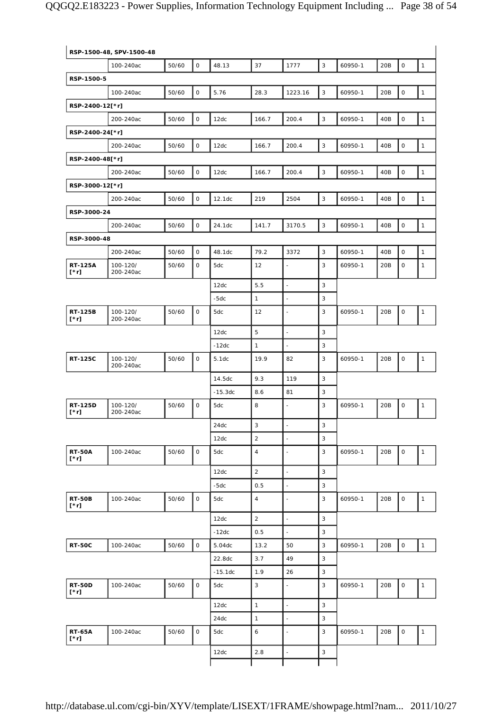|                               | RSP-1500-48, SPV-1500-48 |       |                     |           |                |                          |                           |         |     |                     |              |
|-------------------------------|--------------------------|-------|---------------------|-----------|----------------|--------------------------|---------------------------|---------|-----|---------------------|--------------|
|                               | 100-240ac                | 50/60 | $\circ$             | 48.13     | 37             | 1777                     | $\mathsf 3$               | 60950-1 | 20B | $\mathsf{O}$        | $\mathbf{1}$ |
| RSP-1500-5                    |                          |       |                     |           |                |                          |                           |         |     |                     |              |
|                               | 100-240ac                | 50/60 | $\mathsf O$         | 5.76      | 28.3           | 1223.16                  | $\mathsf 3$               | 60950-1 | 20B | $\mathsf{O}\xspace$ | $\mathbf{1}$ |
| RSP-2400-12[*r]               |                          |       |                     |           |                |                          |                           |         |     |                     |              |
|                               | 200-240ac                | 50/60 | 0                   | 12dc      | 166.7          | 200.4                    | $\mathsf 3$               | 60950-1 | 40B | $\mathsf O$         | $\mathbf{1}$ |
| RSP-2400-24[*r]               |                          |       |                     |           |                |                          |                           |         |     |                     |              |
|                               | 200-240ac                | 50/60 | $\mathsf O$         | 12dc      | 166.7          | 200.4                    | $\mathsf 3$               | 60950-1 | 40B | 0                   | $\mathbf{1}$ |
| RSP-2400-48[*r]               |                          |       |                     |           |                |                          |                           |         |     |                     |              |
|                               | 200-240ac                | 50/60 | $\circ$             | 12dc      | 166.7          | 200.4                    | $\mathsf 3$               | 60950-1 | 40B | $\mathsf O$         | $\mathbf{1}$ |
| RSP-3000-12[*r]               |                          |       |                     |           |                |                          |                           |         |     |                     |              |
|                               | 200-240ac                | 50/60 | 0                   | 12.1dc    | 219            | 2504                     | $\mathsf 3$               | 60950-1 | 40B | $\mathsf O$         | $\mathbf{1}$ |
| RSP-3000-24                   |                          |       |                     |           |                |                          |                           |         |     |                     |              |
|                               | 200-240ac                | 50/60 | 0                   | 24.1dc    | 141.7          | 3170.5                   | 3                         | 60950-1 | 40B | $\mathsf O$         | $\mathbf{1}$ |
| RSP-3000-48                   |                          |       |                     |           |                |                          |                           |         |     |                     |              |
|                               | 200-240ac                | 50/60 | $\mathsf O$         | 48.1dc    | 79.2           | 3372                     | 3                         | 60950-1 | 40B | $\mathsf{O}\xspace$ | $\mathbf{1}$ |
| <b>RT-125A</b><br>$[\cdot r]$ | 100-120/<br>200-240ac    | 50/60 | 0                   | 5dc       | 12             | $\blacksquare$           | 3                         | 60950-1 | 20B | 0                   | $\mathbf{1}$ |
|                               |                          |       |                     | 12dc      | 5.5            | $\blacksquare$           | 3                         |         |     |                     |              |
|                               |                          |       |                     | $-5dc$    | $\mathbf{1}$   | $\overline{a}$           | 3                         |         |     |                     |              |
| <b>RT-125B</b><br>$[\cdot r]$ | 100-120/<br>200-240ac    | 50/60 | 0                   | 5dc       | 12             | $\sim$                   | 3                         | 60950-1 | 20B | 0                   | $\mathbf{1}$ |
|                               |                          |       |                     | 12dc      | 5              | $\overline{\phantom{a}}$ | 3                         |         |     |                     |              |
|                               |                          |       |                     | $-12dc$   | $\mathbf{1}$   | $\blacksquare$           | 3                         |         |     |                     |              |
| <b>RT-125C</b>                | 100-120/<br>200-240ac    | 50/60 | $\mathsf{O}$        | 5.1dc     | 19.9           | 82                       | 3                         | 60950-1 | 20B | 0                   | $\mathbf{1}$ |
|                               |                          |       |                     | 14.5dc    | 9.3            | 119                      | 3                         |         |     |                     |              |
|                               |                          |       |                     | $-15.3dc$ | 8.6            | 81                       | 3                         |         |     |                     |              |
| <b>RT-125D</b><br>$[\cdot r]$ | 100-120/<br>200-240ac    | 50/60 | $\circ$             | 5dc       | 8              | ÷,                       | 3                         | 60950-1 | 20B | 0                   | $\mathbf{1}$ |
|                               |                          |       |                     | 24dc      | 3              |                          | 3                         |         |     |                     |              |
|                               |                          |       |                     | 12dc      | $\sqrt{2}$     | ä,                       | 3                         |         |     |                     |              |
| <b>RT-50A</b><br>$[\cdot r]$  | 100-240ac                | 50/60 | 0                   | 5dc       | $\sqrt{4}$     | $\blacksquare$           | $\mathbf{3}$              | 60950-1 | 20B | $\mathsf O$         | $\mathbf{1}$ |
|                               |                          |       |                     | 12dc      | $\sqrt{2}$     | $\blacksquare$           | $\mathsf 3$               |         |     |                     |              |
|                               |                          |       |                     | $-5dc$    | 0.5            | ä,                       | $\sqrt{3}$                |         |     |                     |              |
| <b>RT-50B</b><br>$[\cdot r]$  | 100-240ac                | 50/60 | $\mathsf O$         | 5dc       | $\overline{4}$ | $\frac{1}{2}$            | 3                         | 60950-1 | 20B | 0                   | $\mathbf{1}$ |
|                               |                          |       |                     | 12dc      | $\overline{2}$ | ä,                       | $\mathsf 3$               |         |     |                     |              |
|                               |                          |       |                     | $-12dc$   | 0.5            |                          | 3                         |         |     |                     |              |
| <b>RT-50C</b>                 | 100-240ac                | 50/60 | $\mathsf{O}\xspace$ | 5.04dc    | 13.2           | 50                       | 3                         | 60950-1 | 20B | $\mathsf{O}\xspace$ | $\mathbf{1}$ |
|                               |                          |       |                     | 22.8dc    | 3.7            | 49                       | 3                         |         |     |                     |              |
|                               |                          |       |                     | $-15.1dc$ | 1.9            | 26                       | $\ensuremath{\mathsf{3}}$ |         |     |                     |              |
| <b>RT-50D</b><br>[*r]         | 100-240ac                | 50/60 | $\mathsf{O}$        | 5dc       | 3              | ÷,                       | 3                         | 60950-1 | 20B | 0                   | $\mathbf{1}$ |
|                               |                          |       |                     | 12dc      | $\mathbf{1}$   | $\overline{\phantom{a}}$ | $\ensuremath{\mathsf{3}}$ |         |     |                     |              |
|                               |                          |       |                     | 24dc      | $\mathbf{1}$   | $\blacksquare$           | 3                         |         |     |                     |              |
| <b>RT-65A</b><br>$[\cdot r]$  | 100-240ac                | 50/60 | $\mathsf{O}$        | 5dc       | 6              | ä,                       | 3                         | 60950-1 | 20B | 0                   | $\mathbf{1}$ |
|                               |                          |       |                     | 12dc      | 2.8            | $\blacksquare$           | $\ensuremath{\mathsf{3}}$ |         |     |                     |              |
|                               |                          |       |                     |           |                |                          |                           |         |     |                     |              |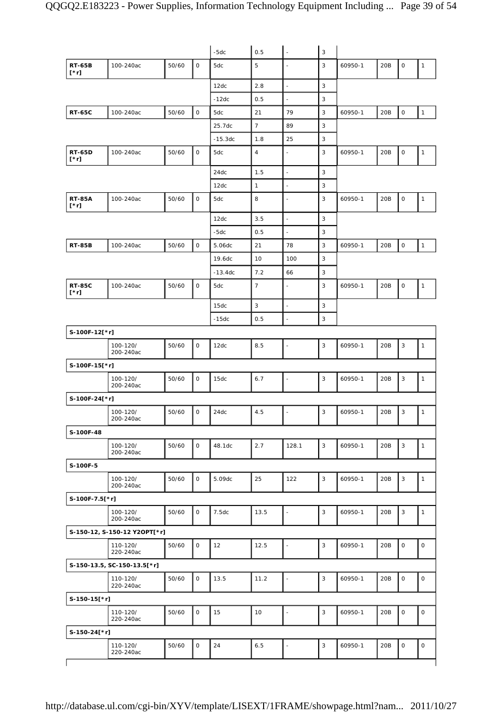|                              |                              |       |              | $-5dc$    | 0.5            | $\overline{\phantom{a}}$ | 3              |         |     |                     |                     |
|------------------------------|------------------------------|-------|--------------|-----------|----------------|--------------------------|----------------|---------|-----|---------------------|---------------------|
| <b>RT-65B</b><br>$[\cdot r]$ | 100-240ac                    | 50/60 | $\mathsf{O}$ | 5dc       | 5              |                          | 3              | 60950-1 | 20B | $\mathsf O$         | $\mathbf{1}$        |
|                              |                              |       |              | 12dc      | 2.8            | ÷,                       | 3              |         |     |                     |                     |
|                              |                              |       |              | $-12dc$   | 0.5            | $\overline{a}$           | 3              |         |     |                     |                     |
| <b>RT-65C</b>                | 100-240ac                    | 50/60 | $\mathsf O$  | 5dc       | 21             | 79                       | $\sqrt{3}$     | 60950-1 | 20B | $\mathbf 0$         | $\mathbf{1}$        |
|                              |                              |       |              | 25.7dc    | $\overline{7}$ | 89                       | 3              |         |     |                     |                     |
|                              |                              |       |              | $-15.3dc$ | 1.8            | 25                       | 3              |         |     |                     |                     |
| <b>RT-65D</b><br>$[\cdot r]$ | 100-240ac                    | 50/60 | 0            | 5dc       | $\overline{4}$ | L,                       | 3              | 60950-1 | 20B | $\mathsf O$         | $\mathbf{1}$        |
|                              |                              |       |              | 24dc      | 1.5            | ÷,                       | 3              |         |     |                     |                     |
|                              |                              |       |              | 12dc      | $\mathbf{1}$   | $\overline{\phantom{a}}$ | 3              |         |     |                     |                     |
| <b>RT-85A</b><br>[*r]        | 100-240ac                    | 50/60 | 0            | 5dc       | 8              | ÷,                       | 3              | 60950-1 | 20B | $\mathsf{O}\xspace$ | $\mathbf{1}$        |
|                              |                              |       |              | 12dc      | 3.5            | $\blacksquare$           | 3              |         |     |                     |                     |
|                              |                              |       |              | $-5dc$    | 0.5            | $\overline{a}$           | 3              |         |     |                     |                     |
| <b>RT-85B</b>                | 100-240ac                    | 50/60 | $\mathsf O$  | 5.06dc    | 21             | 78                       | 3              | 60950-1 | 20B | $\mathsf O$         | $\mathbf{1}$        |
|                              |                              |       |              | 19.6dc    | 10             | 100                      | 3              |         |     |                     |                     |
|                              |                              |       |              | $-13.4dc$ | 7.2            | 66                       | 3              |         |     |                     |                     |
| <b>RT-85C</b><br>[*r]        | 100-240ac                    | 50/60 | 0            | 5dc       | $\overline{7}$ | L,                       | 3              | 60950-1 | 20B | $\mathsf{O}\xspace$ | $\mathbf{1}$        |
|                              |                              |       |              | 15dc      | $\sqrt{3}$     | $\overline{\phantom{a}}$ | 3              |         |     |                     |                     |
|                              |                              |       |              | $-15dc$   | 0.5            |                          | 3              |         |     |                     |                     |
| S-100F-12[*r]                |                              |       |              |           |                |                          |                |         |     |                     |                     |
|                              | 100-120/<br>200-240ac        | 50/60 | 0            | 12dc      | 8.5            | $\blacksquare$           | 3              | 60950-1 | 20B | 3                   | $\mathbf{1}$        |
| S-100F-15[*r]                |                              |       |              |           |                |                          |                |         |     |                     |                     |
|                              | 100-120/<br>200-240ac        | 50/60 | 0            | 15dc      | 6.7            | L,                       | 3              | 60950-1 | 20B | 3                   | $\mathbf{1}$        |
| S-100F-24[*r]                |                              |       |              |           |                |                          |                |         |     |                     |                     |
|                              | 100-120/<br>200-240ac        | 50/60 | 0            | 24dc      | 4.5            | $\blacksquare$           | $\sqrt{3}$     | 60950-1 | 20B | 3                   | $\mathbf{1}$        |
| S-100F-48                    |                              |       |              |           |                |                          |                |         |     |                     |                     |
|                              | 100-120/<br>200-240ac        | 50/60 | $\circ$      | 48.1dc    | 2.7            | 128.1                    | $\overline{3}$ | 60950-1 | 20B | 3                   | $\mathbf{1}$        |
| S-100F-5                     |                              |       |              |           |                |                          |                |         |     |                     |                     |
|                              | 100-120/<br>200-240ac        | 50/60 | 0            | 5.09dc    | 25             | 122                      | 3              | 60950-1 | 20B | 3                   | $\mathbf{1}$        |
| S-100F-7.5[*r]               |                              |       |              |           |                |                          |                |         |     |                     |                     |
|                              | 100-120/<br>200-240ac        | 50/60 | 0            | 7.5dc     | 13.5           | $\overline{a}$           | 3              | 60950-1 | 20B | 3                   | $\mathbf{1}$        |
|                              | S-150-12, S-150-12 Y2OPT[*r] |       |              |           |                |                          |                |         |     |                     |                     |
|                              | 110-120/<br>220-240ac        | 50/60 | 0            | 12        | 12.5           | $\frac{1}{2}$            | 3              | 60950-1 | 20B | $\mathsf O$         | $\mathsf O$         |
|                              | S-150-13.5, SC-150-13.5[*r]  |       |              |           |                |                          |                |         |     |                     |                     |
|                              | 110-120/<br>220-240ac        | 50/60 | 0            | 13.5      | 11.2           | $\blacksquare$           | $\mathsf 3$    | 60950-1 | 20B | $\mathbf 0$         | $\mathsf O$         |
| $S-150-15[*r]$               |                              |       |              |           |                |                          |                |         |     |                     |                     |
|                              | 110-120/<br>220-240ac        | 50/60 | $\mathsf{O}$ | 15        | 10             | L,                       | $\sqrt{3}$     | 60950-1 | 20B | $\mathbf 0$         | $\mathsf O$         |
| S-150-24[*r]                 |                              |       |              |           |                |                          |                |         |     |                     |                     |
|                              | 110-120/<br>220-240ac        | 50/60 | 0            | 24        | $6.5\,$        | $\blacksquare$           | $\mathsf 3$    | 60950-1 | 20B | $\mathsf{O}\xspace$ | $\mathsf{O}\xspace$ |
|                              |                              |       |              |           |                |                          |                |         |     |                     |                     |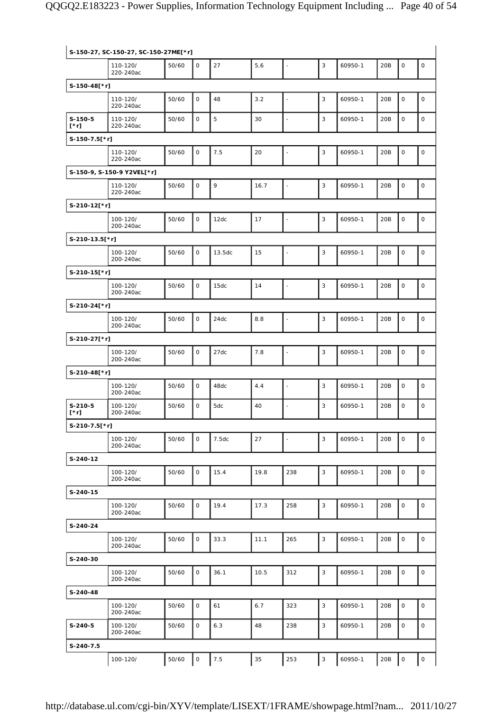|                          | S-150-27, SC-150-27, SC-150-27ME[*r] |       |              |        |      |                          |                           |         |     |              |              |
|--------------------------|--------------------------------------|-------|--------------|--------|------|--------------------------|---------------------------|---------|-----|--------------|--------------|
|                          | 110-120/<br>220-240ac                | 50/60 | $\mathbf 0$  | 27     | 5.6  | $\overline{\phantom{a}}$ | 3                         | 60950-1 | 20B | $\mathsf{O}$ | $\mathsf{O}$ |
| S-150-48[*r]             |                                      |       |              |        |      |                          |                           |         |     |              |              |
|                          | 110-120/<br>220-240ac                | 50/60 | $\mathbf 0$  | 48     | 3.2  | L,                       | 3                         | 60950-1 | 20B | $\mathsf O$  | $\circ$      |
| $S-150-5$<br>[*r]        | 110-120/<br>220-240ac                | 50/60 | $\mathsf O$  | 5      | 30   | $\frac{1}{2}$            | 3                         | 60950-1 | 20B | $\mathsf O$  | $\mathsf O$  |
| $S-150-7.5$ [*r]         |                                      |       |              |        |      |                          |                           |         |     |              |              |
|                          | 110-120/<br>220-240ac                | 50/60 | 0            | 7.5    | 20   | $\blacksquare$           | 3                         | 60950-1 | 20B | $\mathsf O$  | $\mathsf O$  |
|                          | S-150-9, S-150-9 Y2VEL[*r]           |       |              |        |      |                          |                           |         |     |              |              |
|                          | 110-120/<br>220-240ac                | 50/60 | $\mathsf O$  | 9      | 16.7 | $\overline{\phantom{a}}$ | 3                         | 60950-1 | 20B | $\mathsf O$  | $\mathsf O$  |
| S-210-12[*r]             |                                      |       |              |        |      |                          |                           |         |     |              |              |
|                          | 100-120/<br>200-240ac                | 50/60 | $\mathbf 0$  | 12dc   | 17   | $\blacksquare$           | 3                         | 60950-1 | 20B | $\mathsf O$  | $\mathsf O$  |
| S-210-13.5[*r]           |                                      |       |              |        |      |                          |                           |         |     |              |              |
|                          | 100-120/<br>200-240ac                | 50/60 | $\mathbf 0$  | 13.5dc | 15   | L,                       | 3                         | 60950-1 | 20B | $\mathsf{O}$ | $\mathsf O$  |
| S-210-15[*r]             |                                      |       |              |        |      |                          |                           |         |     |              |              |
|                          | 100-120/<br>200-240ac                | 50/60 | $\mathsf O$  | 15dc   | 14   | $\blacksquare$           | 3                         | 60950-1 | 20B | 0            | $\mathsf O$  |
| S-210-24[*r]             |                                      |       |              |        |      |                          |                           |         |     |              |              |
|                          | 100-120/<br>200-240ac                | 50/60 | $\mathsf O$  | 24dc   | 8.8  | $\overline{\phantom{a}}$ | 3                         | 60950-1 | 20B | $\mathsf O$  | $\mathsf O$  |
| S-210-27[*r]             |                                      |       |              |        |      |                          |                           |         |     |              |              |
|                          | 100-120/<br>200-240ac                | 50/60 | $\mathsf O$  | 27dc   | 7.8  | ä,                       | 3                         | 60950-1 | 20B | 0            | $\mathsf O$  |
| S-210-48[*r]             |                                      |       |              |        |      |                          |                           |         |     |              |              |
|                          | 100-120/<br>200-240ac                | 50/60 | $\mathbf 0$  | 48dc   | 4.4  | $\overline{\phantom{a}}$ | 3                         | 60950-1 | 20B | $\mathsf O$  | $\mathsf O$  |
| $S-210-5$<br>$[\cdot r]$ | 100-120/<br>200-240ac                | 50/60 | $\mathbf 0$  | 5dc    | 40   | ä,                       | 3                         | 60950-1 | 20B | $\mathsf O$  | $\mathsf O$  |
| S-210-7.5[*r]            |                                      |       |              |        |      |                          |                           |         |     |              |              |
|                          | 100-120/<br>200-240ac                | 50/60 | $\mathsf{O}$ | 7.5dc  | 27   | ÷,                       | 3                         | 60950-1 | 20B | 0            | $\mathsf O$  |
| S-240-12                 |                                      |       |              |        |      |                          |                           |         |     |              |              |
|                          | 100-120/<br>200-240ac                | 50/60 | $\mathsf{O}$ | 15.4   | 19.8 | 238                      | 3                         | 60950-1 | 20B | 0            | $\mathsf O$  |
| S-240-15                 |                                      |       |              |        |      |                          |                           |         |     |              |              |
|                          | 100-120/<br>200-240ac                | 50/60 | 0            | 19.4   | 17.3 | 258                      | 3                         | 60950-1 | 20B | 0            | $\mathsf O$  |
| S-240-24                 |                                      |       |              |        |      |                          |                           |         |     |              |              |
|                          | 100-120/<br>200-240ac                | 50/60 | $\mathsf{O}$ | 33.3   | 11.1 | 265                      | 3                         | 60950-1 | 20B | 0            | $\mathsf O$  |
| S-240-30                 |                                      |       |              |        |      |                          |                           |         |     |              |              |
|                          | 100-120/<br>200-240ac                | 50/60 | 0            | 36.1   | 10.5 | 312                      | 3                         | 60950-1 | 20B | 0            | $\mathsf O$  |
| S-240-48                 |                                      |       |              |        |      |                          |                           |         |     |              |              |
|                          | 100-120/<br>200-240ac                | 50/60 | $\mathsf{O}$ | 61     | 6.7  | 323                      | 3                         | 60950-1 | 20B | 0            | $\mathbf 0$  |
| $S-240-5$                | 100-120/<br>200-240ac                | 50/60 | 0            | 6.3    | 48   | 238                      | 3                         | 60950-1 | 20B | 0            | 0            |
| S-240-7.5                |                                      |       |              |        |      |                          |                           |         |     |              |              |
|                          | 100-120/                             | 50/60 | $\mathsf O$  | 7.5    | 35   | 253                      | $\ensuremath{\mathsf{3}}$ | 60950-1 | 20B | 0            | 0            |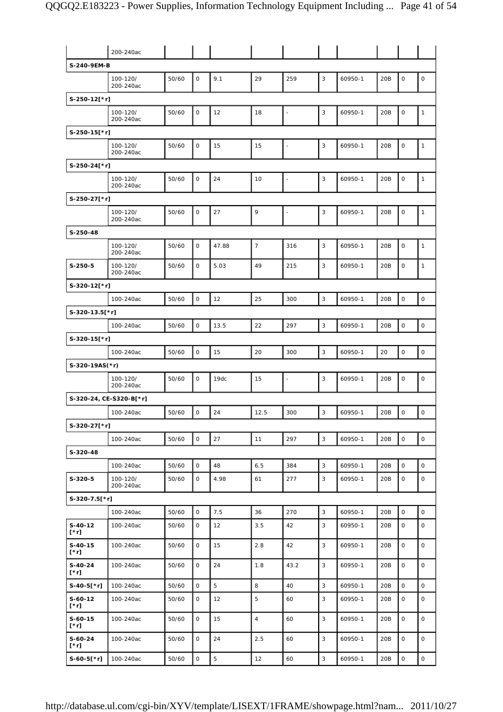|                          | 200-240ac               |       |              |       |                |                          |              |         |     |                     |                     |
|--------------------------|-------------------------|-------|--------------|-------|----------------|--------------------------|--------------|---------|-----|---------------------|---------------------|
| S-240-9EM-B              |                         |       |              |       |                |                          |              |         |     |                     |                     |
|                          | 100-120/<br>200-240ac   | 50/60 | $\mathbf 0$  | 9.1   | 29             | 259                      | 3            | 60950-1 | 20B | $\mathbf 0$         | $\mathsf O$         |
| S-250-12[*r]             |                         |       |              |       |                |                          |              |         |     |                     |                     |
|                          | 100-120/<br>200-240ac   | 50/60 | $\mathbf 0$  | 12    | 18             | ÷,                       | 3            | 60950-1 | 20B | 0                   | $\mathbf{1}$        |
| S-250-15[*r]             |                         |       |              |       |                |                          |              |         |     |                     |                     |
|                          | 100-120/<br>200-240ac   | 50/60 | 0            | 15    | 15             | $\overline{\phantom{a}}$ | 3            | 60950-1 | 20B | $\mathsf O$         | $\mathbf{1}$        |
| S-250-24[*r]             |                         |       |              |       |                |                          |              |         |     |                     |                     |
|                          | 100-120/<br>200-240ac   | 50/60 | 0            | 24    | 10             | $\overline{\phantom{a}}$ | 3            | 60950-1 | 20B | $\mathsf O$         | $\mathbf{1}$        |
| S-250-27[*r]             |                         |       |              |       |                |                          |              |         |     |                     |                     |
|                          | 100-120/<br>200-240ac   | 50/60 | 0            | 27    | 9              | $\ddot{\phantom{1}}$     | 3            | 60950-1 | 20B | $\mathsf{O}\xspace$ | $\mathbf{1}$        |
| S-250-48                 |                         |       |              |       |                |                          |              |         |     |                     |                     |
|                          | 100-120/<br>200-240ac   | 50/60 | 0            | 47.88 | $\overline{7}$ | 316                      | 3            | 60950-1 | 20B | $\mathsf O$         | $\mathbf{1}$        |
| $S-250-5$                | 100-120/<br>200-240ac   | 50/60 | $\mathsf{O}$ | 5.03  | 49             | 215                      | 3            | 60950-1 | 20B | 0                   | $\mathbf{1}$        |
| S-320-12[*r]             |                         |       |              |       |                |                          |              |         |     |                     |                     |
|                          | 100-240ac               | 50/60 | 0            | 12    | 25             | 300                      | $\mathbf{3}$ | 60950-1 | 20B | $\mathsf{O}\xspace$ | $\mathsf O$         |
| S-320-13.5[*r]           |                         |       |              |       |                |                          |              |         |     |                     |                     |
|                          | 100-240ac               | 50/60 | $\mathsf O$  | 13.5  | 22             | 297                      | 3            | 60950-1 | 20B | $\mathsf O$         | $\mathsf O$         |
| S-320-15[*r]             |                         |       |              |       |                |                          |              |         |     |                     |                     |
|                          | 100-240ac               | 50/60 | 0            | 15    | 20             | 300                      | 3            | 60950-1 | 20  | $\mathsf{O}\xspace$ | $\mathsf O$         |
| S-320-19AS(*r)           |                         |       |              |       |                |                          |              |         |     |                     |                     |
|                          | 100-120/<br>200-240ac   | 50/60 | 0            | 19dc  | 15             | $\overline{\phantom{a}}$ | 3            | 60950-1 | 20B | $\mathsf O$         | $\mathsf O$         |
|                          | S-320-24, CE-S320-B[*r] |       |              |       |                |                          |              |         |     |                     |                     |
|                          | 100-240ac               | 50/60 | $\mathbf{O}$ | 24    | 12.5           | 300                      | 3            | 60950-1 | 20B | $\mathsf O$         | $\mathsf O$         |
| S-320-27[*r]             |                         |       |              |       |                |                          |              |         |     |                     |                     |
|                          | 100-240ac               | 50/60 | $\mathsf{O}$ | 27    | 11             | 297                      | 3            | 60950-1 | 20B | $\mathsf O$         | $\mathsf{o}$        |
| S-320-48                 |                         |       |              |       |                |                          |              |         |     |                     |                     |
|                          | 100-240ac               | 50/60 | $\mathsf{O}$ | 48    | 6.5            | 384                      | 3            | 60950-1 | 20B | $\mathsf{O}$        | $\mathsf{O}\xspace$ |
| $S-320-5$                | 100-120/<br>200-240ac   | 50/60 | 0            | 4.98  | 61             | 277                      | 3            | 60950-1 | 20B | $\mathsf{O}$        | $\mathbf 0$         |
| S-320-7.5[*r]            |                         |       |              |       |                |                          |              |         |     |                     |                     |
|                          | 100-240ac               | 50/60 | 0            | 7.5   | 36             | 270                      | $\mathbf{3}$ | 60950-1 | 20B | $\mathsf O$         | $\circ$             |
| $S-40-12$<br>$[\cdot r]$ | 100-240ac               | 50/60 | 0            | 12    | 3.5            | 42                       | 3            | 60950-1 | 20B | $\mathsf{O}$        | 0                   |
| $S-40-15$<br>[*r]        | 100-240ac               | 50/60 | $\mathsf{O}$ | 15    | 2.8            | 42                       | 3            | 60950-1 | 20B | $\mathsf{O}$        | $\mathsf{O}$        |
| S-40-24<br>$[\cdot r]$   | 100-240ac               | 50/60 | 0            | 24    | 1.8            | 43.2                     | 3            | 60950-1 | 20B | $\mathsf{O}$        | 0                   |
| $S-40-5$ [*r]            | 100-240ac               | 50/60 | 0            | 5     | 8              | 40                       | 3            | 60950-1 | 20B | $\mathsf{O}$        | 0                   |
| $S-60-12$<br>[*r]        | 100-240ac               | 50/60 | 0            | 12    | 5              | 60                       | 3            | 60950-1 | 20B | 0                   | 0                   |
| $S-60-15$<br>[*r]        | 100-240ac               | 50/60 | 0            | 15    | $\overline{4}$ | 60                       | 3            | 60950-1 | 20B | 0                   | 0                   |
| S-60-24<br>[*r]          | 100-240ac               | 50/60 | 0            | 24    | 2.5            | 60                       | 3            | 60950-1 | 20B | 0                   | 0                   |
| S-60-5[*r]               | 100-240ac               | 50/60 | O            | 5     | 12             | 60                       | 3            | 60950-1 | 20B | 0                   | 0                   |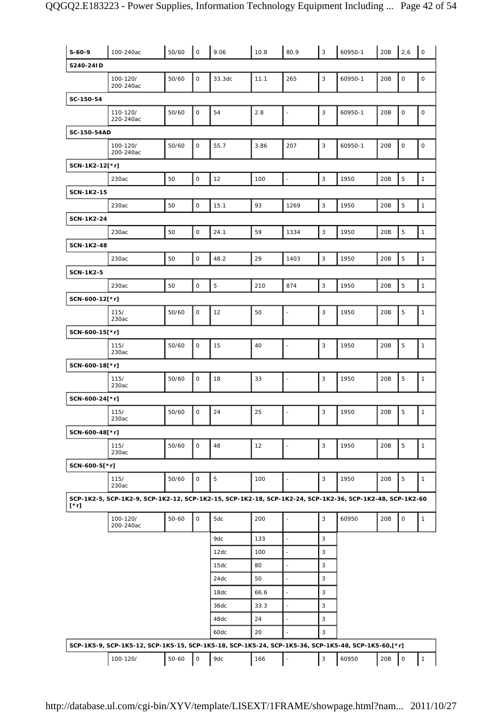| $S-60-9$          | 100-240ac                                                                                                | 50/60 | $\mathsf O$  | 9.06           | 10.8 | 80.9                     | $\mathsf 3$  | 60950-1 | 20B | 2,6                 | $\mathsf{O}$        |
|-------------------|----------------------------------------------------------------------------------------------------------|-------|--------------|----------------|------|--------------------------|--------------|---------|-----|---------------------|---------------------|
| S240-24ID         |                                                                                                          |       |              |                |      |                          |              |         |     |                     |                     |
|                   | 100-120/<br>200-240ac                                                                                    | 50/60 | $\mathsf O$  | 33.3dc         | 11.1 | 265                      | 3            | 60950-1 | 20B | $\mathsf{O}\xspace$ | $\mathsf{O}\xspace$ |
| SC-150-54         |                                                                                                          |       |              |                |      |                          |              |         |     |                     |                     |
|                   | 110-120/<br>220-240ac                                                                                    | 50/60 | $\mathsf{O}$ | 54             | 2.8  | $\blacksquare$           | 3            | 60950-1 | 20B | 0                   | $\mathsf O$         |
| SC-150-54AD       |                                                                                                          |       |              |                |      |                          |              |         |     |                     |                     |
|                   | 100-120/<br>200-240ac                                                                                    | 50/60 | $\mathsf O$  | 55.7           | 3.86 | 207                      | 3            | 60950-1 | 20B | $\mathsf O$         | $\mathsf O$         |
| SCN-1K2-12[*r]    |                                                                                                          |       |              |                |      |                          |              |         |     |                     |                     |
|                   | 230ac                                                                                                    | 50    | $\mathsf{O}$ | 12             | 100  | $\bar{\phantom{a}}$      | $\mathsf 3$  | 1950    | 20B | 5                   | $\mathbf{1}$        |
| <b>SCN-1K2-15</b> |                                                                                                          |       |              |                |      |                          |              |         |     |                     |                     |
|                   | 230ac                                                                                                    | 50    | $\mathsf O$  | 15.1           | 93   | 1269                     | 3            | 1950    | 20B | 5                   | $\mathbf{1}$        |
| <b>SCN-1K2-24</b> |                                                                                                          |       |              |                |      |                          |              |         |     |                     |                     |
|                   | 230ac                                                                                                    | 50    | $\mathsf O$  | 24.1           | 59   | 1334                     | 3            | 1950    | 20B | 5                   | $\mathbf{1}$        |
| <b>SCN-1K2-48</b> |                                                                                                          |       |              |                |      |                          |              |         |     |                     |                     |
|                   | 230ac                                                                                                    | 50    | $\mathsf O$  | 48.2           | 29   | 1403                     | $\mathsf 3$  | 1950    | 20B | $\mathbf 5$         | $\mathbf 1$         |
| <b>SCN-1K2-5</b>  |                                                                                                          |       |              |                |      |                          |              |         |     |                     |                     |
|                   | 230ac                                                                                                    | 50    | $\mathsf O$  | $\overline{5}$ | 210  | 874                      | $\mathsf 3$  | 1950    | 20B | 5                   | $\mathbf 1$         |
| SCN-600-12[*r]    |                                                                                                          |       |              |                |      |                          |              |         |     |                     |                     |
|                   | 115/<br>230ac                                                                                            | 50/60 | $\mathsf O$  | 12             | 50   | $\frac{1}{2}$            | 3            | 1950    | 20B | 5                   | $\mathbf{1}$        |
| SCN-600-15[*r]    |                                                                                                          |       |              |                |      |                          |              |         |     |                     |                     |
|                   | 115/<br>230ac                                                                                            | 50/60 | $\mathsf O$  | 15             | 40   | $\blacksquare$           | 3            | 1950    | 20B | 5                   | $\mathbf{1}$        |
| SCN-600-18[*r]    |                                                                                                          |       |              |                |      |                          |              |         |     |                     |                     |
|                   | 115/<br>230ac                                                                                            | 50/60 | $\mathsf O$  | 18             | 33   | $\blacksquare$           | 3            | 1950    | 20B | 5                   | $\mathbf{1}$        |
| SCN-600-24[*r]    |                                                                                                          |       |              |                |      |                          |              |         |     |                     |                     |
|                   | 115/<br>230ac                                                                                            | 50/60 | $\mathsf O$  | 24             | 25   | ä,                       | 3            | 1950    | 20B | 5                   | $\mathbf{1}$        |
| SCN-600-48[*r]    |                                                                                                          |       |              |                |      |                          |              |         |     |                     |                     |
|                   | 115/<br>230ac                                                                                            | 50/60 | $\mathsf{O}$ | 48             | 12   | ÷,                       | 3            | 1950    | 20B | 5                   | $\mathbf{1}$        |
| SCN-600-5[*r]     |                                                                                                          |       |              |                |      |                          |              |         |     |                     |                     |
|                   | 115/<br>230ac                                                                                            | 50/60 | 0            | $\mathbf 5$    | 100  | $\blacksquare$           | 3            | 1950    | 20B | 5                   | $\mathbf{1}$        |
| $[\cdot r]$       | SCP-1K2-5, SCP-1K2-9, SCP-1K2-12, SCP-1K2-15, SCP-1K2-18, SCP-1K2-24, SCP-1K2-36, SCP-1K2-48, SCP-1K2-60 |       |              |                |      |                          |              |         |     |                     |                     |
|                   | 100-120/<br>200-240ac                                                                                    | 50-60 | $\mathsf{O}$ | 5dc            | 200  | ÷,                       | 3            | 60950   | 20B | $\mathsf{O}\xspace$ | $\mathbf{1}$        |
|                   |                                                                                                          |       |              | 9dc            | 133  | $\overline{\phantom{a}}$ | 3            |         |     |                     |                     |
|                   |                                                                                                          |       |              | 12dc           | 100  | $\blacksquare$           | 3            |         |     |                     |                     |
|                   |                                                                                                          |       |              | 15dc           | 80   | $\frac{1}{2}$            | 3            |         |     |                     |                     |
|                   |                                                                                                          |       |              | 24dc           | 50   | $\overline{\phantom{a}}$ | 3            |         |     |                     |                     |
|                   |                                                                                                          |       |              | 18dc           | 66.6 | $\frac{1}{2}$            | 3            |         |     |                     |                     |
|                   |                                                                                                          |       |              | 36dc           | 33.3 | ÷,                       | 3            |         |     |                     |                     |
|                   |                                                                                                          |       |              | 48dc           | 24   | $\blacksquare$           | 3            |         |     |                     |                     |
|                   |                                                                                                          |       |              | 60dc           | 20   | ä,                       | 3            |         |     |                     |                     |
|                   | SCP-1K5-9, SCP-1K5-12, SCP-1K5-15, SCP-1K5-18, SCP-1K5-24, SCP-1K5-36, SCP-1K5-48, SCP-1K5-60,[*r]       |       |              |                |      |                          |              |         |     |                     |                     |
|                   | 100-120/                                                                                                 | 50-60 | 0            | 9dc            | 166  | $\blacksquare$           | $\mathbf{3}$ | 60950   | 20B | 0                   | $\mathbf{1}$        |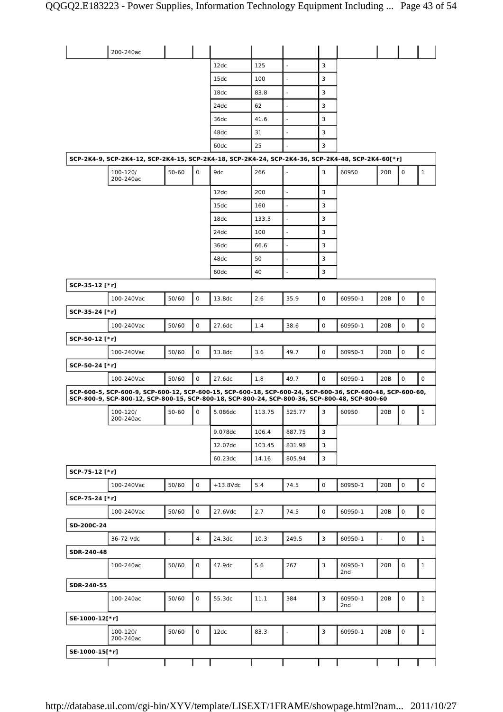|                | 200-240ac                                                                                                                                                                                                  |                     |              |             |        |                          |   |                |                 |             |              |
|----------------|------------------------------------------------------------------------------------------------------------------------------------------------------------------------------------------------------------|---------------------|--------------|-------------|--------|--------------------------|---|----------------|-----------------|-------------|--------------|
|                |                                                                                                                                                                                                            |                     |              | 12dc        | 125    | $\overline{\phantom{a}}$ | 3 |                |                 |             |              |
|                |                                                                                                                                                                                                            |                     |              | 15dc        | 100    | $\blacksquare$           | 3 |                |                 |             |              |
|                |                                                                                                                                                                                                            |                     |              | 18dc        | 83.8   | $\blacksquare$           | 3 |                |                 |             |              |
|                |                                                                                                                                                                                                            |                     |              | 24dc        | 62     | $\blacksquare$           | 3 |                |                 |             |              |
|                |                                                                                                                                                                                                            |                     |              | 36dc        | 41.6   | ÷,                       | 3 |                |                 |             |              |
|                |                                                                                                                                                                                                            |                     |              | 48dc        | 31     | $\ddot{\phantom{1}}$     | 3 |                |                 |             |              |
|                |                                                                                                                                                                                                            |                     |              | 60dc        | 25     | $\overline{\phantom{a}}$ | 3 |                |                 |             |              |
|                | SCP-2K4-9, SCP-2K4-12, SCP-2K4-15, SCP-2K4-18, SCP-2K4-24, SCP-2K4-36, SCP-2K4-48, SCP-2K4-60[*r]                                                                                                          |                     |              |             |        |                          |   |                |                 |             |              |
|                | 100-120/                                                                                                                                                                                                   | 50-60               | 0            | 9dc         | 266    |                          | 3 | 60950          | 20B             | 0           | $\mathbf{1}$ |
|                | 200-240ac                                                                                                                                                                                                  |                     |              |             |        |                          |   |                |                 |             |              |
|                |                                                                                                                                                                                                            |                     |              | 12dc        | 200    | $\overline{\phantom{a}}$ | 3 |                |                 |             |              |
|                |                                                                                                                                                                                                            |                     |              | 15dc        | 160    | ä,                       | 3 |                |                 |             |              |
|                |                                                                                                                                                                                                            |                     |              | 18dc        | 133.3  | $\blacksquare$           | 3 |                |                 |             |              |
|                |                                                                                                                                                                                                            |                     |              | 24dc        | 100    | ä,                       | 3 |                |                 |             |              |
|                |                                                                                                                                                                                                            |                     |              | 36dc        | 66.6   | $\blacksquare$           | 3 |                |                 |             |              |
|                |                                                                                                                                                                                                            |                     |              | 48dc        | 50     | ä,                       | 3 |                |                 |             |              |
|                |                                                                                                                                                                                                            |                     |              | 60dc        | 40     | $\blacksquare$           | 3 |                |                 |             |              |
| SCP-35-12 [*r] |                                                                                                                                                                                                            |                     |              |             |        |                          |   |                |                 |             |              |
|                | 100-240Vac                                                                                                                                                                                                 | 50/60               | 0            | 13.8dc      | 2.6    | 35.9                     | 0 | 60950-1        | 20B             | $\mathsf O$ | $\mathsf{O}$ |
| SCP-35-24 [*r] |                                                                                                                                                                                                            |                     |              |             |        |                          |   |                |                 |             |              |
|                | 100-240Vac                                                                                                                                                                                                 | 50/60               | 0            | 27.6dc      | 1.4    | 38.6                     | 0 | 60950-1        | 20B             | 0           | 0            |
| SCP-50-12 [*r] |                                                                                                                                                                                                            |                     |              |             |        |                          |   |                |                 |             |              |
|                | 100-240Vac                                                                                                                                                                                                 | 50/60               | $\mathsf O$  | 13.8dc      | 3.6    | 49.7                     | 0 | 60950-1        | 20 <sub>B</sub> | $\mathsf O$ | $\mathsf O$  |
| SCP-50-24 [*r] |                                                                                                                                                                                                            |                     |              |             |        |                          |   |                |                 |             |              |
|                | 100-240Vac                                                                                                                                                                                                 | 50/60               | 0            | 27.6dc      | 1.8    | 49.7                     | 0 | 60950-1        | 20B             | $\mathsf O$ | $\circ$      |
|                | SCP-600-5, SCP-600-9, SCP-600-12, SCP-600-15, SCP-600-18, SCP-600-24, SCP-600-36, SCP-600-48, SCP-600-60,<br>SCP-800-9, SCP-800-12, SCP-800-15, SCP-800-18, SCP-800-24, SCP-800-36, SCP-800-48, SCP-800-60 |                     |              |             |        |                          |   |                |                 |             |              |
|                | 100-120/<br>200-240ac                                                                                                                                                                                      | 50-60               | 0            | 5.086dc     | 113.75 | 525.77                   | 3 | 60950          | 20B             | 0           | $\mathbf{1}$ |
|                |                                                                                                                                                                                                            |                     |              | 9.078dc     | 106.4  | 887.75                   | 3 |                |                 |             |              |
|                |                                                                                                                                                                                                            |                     |              | 12.07dc     | 103.45 | 831.98                   | 3 |                |                 |             |              |
|                |                                                                                                                                                                                                            |                     |              | 60.23dc     | 14.16  | 805.94                   | 3 |                |                 |             |              |
| SCP-75-12 [*r] |                                                                                                                                                                                                            |                     |              |             |        |                          |   |                |                 |             |              |
|                | 100-240Vac                                                                                                                                                                                                 | 50/60               | 0            | $+13.8$ Vdc | 5.4    | 74.5                     | 0 | 60950-1        | 20B             | $\mathsf O$ | $\circ$      |
| SCP-75-24 [*r] |                                                                                                                                                                                                            |                     |              |             |        |                          |   |                |                 |             |              |
|                | 100-240Vac                                                                                                                                                                                                 | 50/60               | $\mathsf{O}$ | 27.6Vdc     | 2.7    | 74.5                     | 0 | 60950-1        | 20B             | 0           | $\mathsf{O}$ |
| SD-200C-24     |                                                                                                                                                                                                            |                     |              |             |        |                          |   |                |                 |             |              |
|                | 36-72 Vdc                                                                                                                                                                                                  | $\bar{\phantom{a}}$ | $4-$         | 24.3dc      | 10.3   | 249.5                    | 3 | 60950-1        | $\blacksquare$  | $\mathsf O$ | $\mathbf{1}$ |
| SDR-240-48     |                                                                                                                                                                                                            |                     |              |             |        |                          |   |                |                 |             |              |
|                | 100-240ac                                                                                                                                                                                                  | 50/60               | $\mathbf{O}$ | 47.9dc      | 5.6    | 267                      | 3 | 60950-1        | 20B             | $\mathsf O$ | $\mathbf{1}$ |
|                |                                                                                                                                                                                                            |                     |              |             |        |                          |   | 2nd            |                 |             |              |
| SDR-240-55     |                                                                                                                                                                                                            |                     |              |             |        |                          |   |                |                 |             |              |
|                | 100-240ac                                                                                                                                                                                                  | 50/60               | O            | 55.3dc      | 11.1   | 384                      | 3 | 60950-1<br>2nd | 20B             | 0           | $\mathbf{1}$ |
| SE-1000-12[*r] |                                                                                                                                                                                                            |                     |              |             |        |                          |   |                |                 |             |              |
|                | 100-120/<br>200-240ac                                                                                                                                                                                      | 50/60               | 0            | 12dc        | 83.3   | $\frac{1}{2}$            | 3 | 60950-1        | 20B             | 0           | $\mathbf{1}$ |
| SE-1000-15[*r] |                                                                                                                                                                                                            |                     |              |             |        |                          |   |                |                 |             |              |
|                |                                                                                                                                                                                                            |                     |              |             |        |                          |   |                |                 |             |              |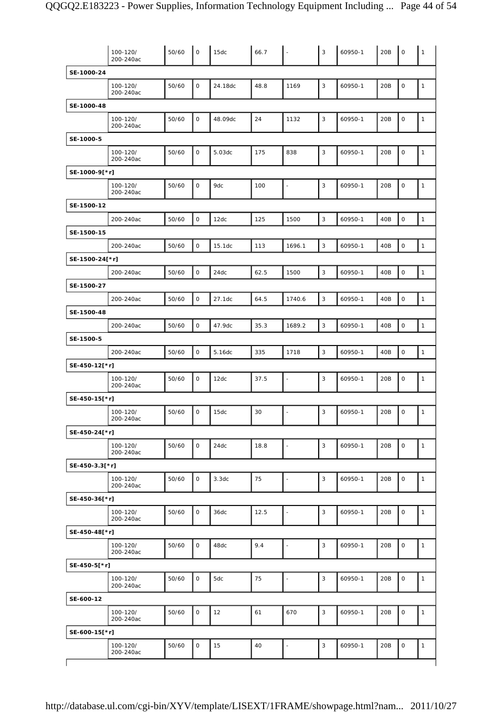| SE-1000-24<br>3<br>$\mathsf{O}$<br>20B<br>$\mathsf O$<br>50/60<br>24.18dc<br>48.8<br>1169<br>60950-1<br>100-120/<br>$\mathbf{1}$<br>200-240ac<br>SE-1000-48<br>0<br>3<br>100-120/<br>50/60<br>48.09dc<br>24<br>1132<br>60950-1<br>20B<br>0<br>$\mathbf{1}$<br>200-240ac<br>SE-1000-5<br>3<br>50/60<br>0<br>838<br>$\mathsf{O}\xspace$<br>5.03dc<br>175<br>60950-1<br>20B<br>$\mathbf{1}$<br>100-120/<br>200-240ac<br>SE-1000-9[*r]<br>3<br>$\mathsf O$<br>50/60<br>$\mathsf{O}$<br>9dc<br>100<br>60950-1<br>20B<br>$\mathbf{1}$<br>100-120/<br>$\blacksquare$<br>200-240ac<br>SE-1500-12<br>$\mathsf O$<br>3<br>$\mathsf O$<br>$\mathbf{1}$<br>200-240ac<br>50/60<br>12dc<br>125<br>1500<br>60950-1<br>40B<br>SE-1500-15<br>$\mathsf{O}$<br>3<br>$\mathsf O$<br>50/60<br>15.1dc<br>113<br>1696.1<br>60950-1<br>40B<br>$\mathbf{1}$<br>200-240ac<br>SE-1500-24[*r]<br>$\mathsf 3$<br>0<br>$\mathsf O$<br>$\mathbf{1}$<br>200-240ac<br>50/60<br>24dc<br>62.5<br>1500<br>60950-1<br>40B<br>SE-1500-27<br>$\mathbf{3}$<br>$\mathsf O$<br>$\mathsf O$<br>200-240ac<br>50/60<br>27.1dc<br>64.5<br>1740.6<br>60950-1<br>40B<br>$\mathbf{1}$<br>SE-1500-48<br>3<br>$\mathsf{O}$<br>$\mathsf O$<br>200-240ac<br>50/60<br>47.9dc<br>35.3<br>1689.2<br>60950-1<br>40B<br>$\mathbf{1}$<br>SE-1500-5<br>$\mathsf 3$<br>0<br>$\mathsf{O}\xspace$<br>200-240ac<br>50/60<br>5.16dc<br>335<br>60950-1<br>40B<br>$\mathbf{1}$<br>1718<br>SE-450-12[*r]<br>0<br>3<br>$\mathsf O$<br>100-120/<br>50/60<br>12dc<br>37.5<br>60950-1<br>20B<br>$\mathbf{1}$<br>$\blacksquare$<br>200-240ac<br>SE-450-15[*r]<br>0<br>3<br>50/60<br>30<br>60950-1<br>20B<br>0<br>$\mathbf{1}$<br>100-120/<br>15dc<br>200-240ac<br>SE-450-24[*r]<br>$\mathsf 3$<br>$\mathbf 0$<br>50/60<br>$\mathsf{O}$<br>24dc<br>18.8<br>60950-1<br>20B<br>$\mathbf{1}$<br>100-120/<br>$\blacksquare$<br>200-240ac<br>SE-450-3.3[*r]<br>$\mathsf O$<br>$\mathsf 3$<br>$\mathbf 0$<br>100-120/<br>50/60<br>20B<br>3.3dc<br>75<br>60950-1<br>$\mathbf{1}$<br>$\blacksquare$<br>200-240ac<br>SE-450-36[*r]<br>$\overline{3}$<br>$\circ$<br>50/60<br>36dc<br>60950-1<br>20B<br>$\mathsf{O}\xspace$<br>100-120/<br>12.5<br>$\mathbf{1}$<br>$\blacksquare$<br>200-240ac<br>SE-450-48[*r]<br>9.4<br>3<br>50/60<br>$\mathsf{O}$<br>48dc<br>60950-1<br>20B<br>$\mathsf O$<br>100-120/<br>$\mathbf{1}$<br>$\blacksquare$<br>200-240ac<br>SE-450-5[*r]<br>$\mathbf{3}$<br>50/60<br>0<br>5dc<br>$\mathsf O$<br>100-120/<br>75<br>60950-1<br>20B<br>$\mathbf{1}$<br>ä,<br>200-240ac<br>SE-600-12<br>61<br>3<br>50/60<br>0<br>12<br>670<br>20B<br>$\mathsf O$<br>$\mathbf{1}$<br>100-120/<br>60950-1<br>200-240ac<br>SE-600-15[*r]<br>50/60<br>0<br>15<br>40<br>3<br>60950-1<br>20B<br>$\mathsf O$<br>100-120/<br>$\mathbf{1}$<br>$\blacksquare$<br>200-240ac | 100-120/<br>200-240ac | 50/60 | $\mathbf 0$ | 15dc | 66.7 | $\blacksquare$ | 3 | 60950-1 | 20B | $\circ$ | $\mathbf{1}$ |
|-----------------------------------------------------------------------------------------------------------------------------------------------------------------------------------------------------------------------------------------------------------------------------------------------------------------------------------------------------------------------------------------------------------------------------------------------------------------------------------------------------------------------------------------------------------------------------------------------------------------------------------------------------------------------------------------------------------------------------------------------------------------------------------------------------------------------------------------------------------------------------------------------------------------------------------------------------------------------------------------------------------------------------------------------------------------------------------------------------------------------------------------------------------------------------------------------------------------------------------------------------------------------------------------------------------------------------------------------------------------------------------------------------------------------------------------------------------------------------------------------------------------------------------------------------------------------------------------------------------------------------------------------------------------------------------------------------------------------------------------------------------------------------------------------------------------------------------------------------------------------------------------------------------------------------------------------------------------------------------------------------------------------------------------------------------------------------------------------------------------------------------------------------------------------------------------------------------------------------------------------------------------------------------------------------------------------------------------------------------------------------------------------------------------------------------------------------------------------------------------------------------------------------------------------------------------------------------------------------------------------------------------------------------------------------------------------------------------------------------------------------------------------------------------|-----------------------|-------|-------------|------|------|----------------|---|---------|-----|---------|--------------|
|                                                                                                                                                                                                                                                                                                                                                                                                                                                                                                                                                                                                                                                                                                                                                                                                                                                                                                                                                                                                                                                                                                                                                                                                                                                                                                                                                                                                                                                                                                                                                                                                                                                                                                                                                                                                                                                                                                                                                                                                                                                                                                                                                                                                                                                                                                                                                                                                                                                                                                                                                                                                                                                                                                                                                                                         |                       |       |             |      |      |                |   |         |     |         |              |
|                                                                                                                                                                                                                                                                                                                                                                                                                                                                                                                                                                                                                                                                                                                                                                                                                                                                                                                                                                                                                                                                                                                                                                                                                                                                                                                                                                                                                                                                                                                                                                                                                                                                                                                                                                                                                                                                                                                                                                                                                                                                                                                                                                                                                                                                                                                                                                                                                                                                                                                                                                                                                                                                                                                                                                                         |                       |       |             |      |      |                |   |         |     |         |              |
|                                                                                                                                                                                                                                                                                                                                                                                                                                                                                                                                                                                                                                                                                                                                                                                                                                                                                                                                                                                                                                                                                                                                                                                                                                                                                                                                                                                                                                                                                                                                                                                                                                                                                                                                                                                                                                                                                                                                                                                                                                                                                                                                                                                                                                                                                                                                                                                                                                                                                                                                                                                                                                                                                                                                                                                         |                       |       |             |      |      |                |   |         |     |         |              |
|                                                                                                                                                                                                                                                                                                                                                                                                                                                                                                                                                                                                                                                                                                                                                                                                                                                                                                                                                                                                                                                                                                                                                                                                                                                                                                                                                                                                                                                                                                                                                                                                                                                                                                                                                                                                                                                                                                                                                                                                                                                                                                                                                                                                                                                                                                                                                                                                                                                                                                                                                                                                                                                                                                                                                                                         |                       |       |             |      |      |                |   |         |     |         |              |
|                                                                                                                                                                                                                                                                                                                                                                                                                                                                                                                                                                                                                                                                                                                                                                                                                                                                                                                                                                                                                                                                                                                                                                                                                                                                                                                                                                                                                                                                                                                                                                                                                                                                                                                                                                                                                                                                                                                                                                                                                                                                                                                                                                                                                                                                                                                                                                                                                                                                                                                                                                                                                                                                                                                                                                                         |                       |       |             |      |      |                |   |         |     |         |              |
|                                                                                                                                                                                                                                                                                                                                                                                                                                                                                                                                                                                                                                                                                                                                                                                                                                                                                                                                                                                                                                                                                                                                                                                                                                                                                                                                                                                                                                                                                                                                                                                                                                                                                                                                                                                                                                                                                                                                                                                                                                                                                                                                                                                                                                                                                                                                                                                                                                                                                                                                                                                                                                                                                                                                                                                         |                       |       |             |      |      |                |   |         |     |         |              |
|                                                                                                                                                                                                                                                                                                                                                                                                                                                                                                                                                                                                                                                                                                                                                                                                                                                                                                                                                                                                                                                                                                                                                                                                                                                                                                                                                                                                                                                                                                                                                                                                                                                                                                                                                                                                                                                                                                                                                                                                                                                                                                                                                                                                                                                                                                                                                                                                                                                                                                                                                                                                                                                                                                                                                                                         |                       |       |             |      |      |                |   |         |     |         |              |
|                                                                                                                                                                                                                                                                                                                                                                                                                                                                                                                                                                                                                                                                                                                                                                                                                                                                                                                                                                                                                                                                                                                                                                                                                                                                                                                                                                                                                                                                                                                                                                                                                                                                                                                                                                                                                                                                                                                                                                                                                                                                                                                                                                                                                                                                                                                                                                                                                                                                                                                                                                                                                                                                                                                                                                                         |                       |       |             |      |      |                |   |         |     |         |              |
|                                                                                                                                                                                                                                                                                                                                                                                                                                                                                                                                                                                                                                                                                                                                                                                                                                                                                                                                                                                                                                                                                                                                                                                                                                                                                                                                                                                                                                                                                                                                                                                                                                                                                                                                                                                                                                                                                                                                                                                                                                                                                                                                                                                                                                                                                                                                                                                                                                                                                                                                                                                                                                                                                                                                                                                         |                       |       |             |      |      |                |   |         |     |         |              |
|                                                                                                                                                                                                                                                                                                                                                                                                                                                                                                                                                                                                                                                                                                                                                                                                                                                                                                                                                                                                                                                                                                                                                                                                                                                                                                                                                                                                                                                                                                                                                                                                                                                                                                                                                                                                                                                                                                                                                                                                                                                                                                                                                                                                                                                                                                                                                                                                                                                                                                                                                                                                                                                                                                                                                                                         |                       |       |             |      |      |                |   |         |     |         |              |
|                                                                                                                                                                                                                                                                                                                                                                                                                                                                                                                                                                                                                                                                                                                                                                                                                                                                                                                                                                                                                                                                                                                                                                                                                                                                                                                                                                                                                                                                                                                                                                                                                                                                                                                                                                                                                                                                                                                                                                                                                                                                                                                                                                                                                                                                                                                                                                                                                                                                                                                                                                                                                                                                                                                                                                                         |                       |       |             |      |      |                |   |         |     |         |              |
|                                                                                                                                                                                                                                                                                                                                                                                                                                                                                                                                                                                                                                                                                                                                                                                                                                                                                                                                                                                                                                                                                                                                                                                                                                                                                                                                                                                                                                                                                                                                                                                                                                                                                                                                                                                                                                                                                                                                                                                                                                                                                                                                                                                                                                                                                                                                                                                                                                                                                                                                                                                                                                                                                                                                                                                         |                       |       |             |      |      |                |   |         |     |         |              |
|                                                                                                                                                                                                                                                                                                                                                                                                                                                                                                                                                                                                                                                                                                                                                                                                                                                                                                                                                                                                                                                                                                                                                                                                                                                                                                                                                                                                                                                                                                                                                                                                                                                                                                                                                                                                                                                                                                                                                                                                                                                                                                                                                                                                                                                                                                                                                                                                                                                                                                                                                                                                                                                                                                                                                                                         |                       |       |             |      |      |                |   |         |     |         |              |
|                                                                                                                                                                                                                                                                                                                                                                                                                                                                                                                                                                                                                                                                                                                                                                                                                                                                                                                                                                                                                                                                                                                                                                                                                                                                                                                                                                                                                                                                                                                                                                                                                                                                                                                                                                                                                                                                                                                                                                                                                                                                                                                                                                                                                                                                                                                                                                                                                                                                                                                                                                                                                                                                                                                                                                                         |                       |       |             |      |      |                |   |         |     |         |              |
|                                                                                                                                                                                                                                                                                                                                                                                                                                                                                                                                                                                                                                                                                                                                                                                                                                                                                                                                                                                                                                                                                                                                                                                                                                                                                                                                                                                                                                                                                                                                                                                                                                                                                                                                                                                                                                                                                                                                                                                                                                                                                                                                                                                                                                                                                                                                                                                                                                                                                                                                                                                                                                                                                                                                                                                         |                       |       |             |      |      |                |   |         |     |         |              |
|                                                                                                                                                                                                                                                                                                                                                                                                                                                                                                                                                                                                                                                                                                                                                                                                                                                                                                                                                                                                                                                                                                                                                                                                                                                                                                                                                                                                                                                                                                                                                                                                                                                                                                                                                                                                                                                                                                                                                                                                                                                                                                                                                                                                                                                                                                                                                                                                                                                                                                                                                                                                                                                                                                                                                                                         |                       |       |             |      |      |                |   |         |     |         |              |
|                                                                                                                                                                                                                                                                                                                                                                                                                                                                                                                                                                                                                                                                                                                                                                                                                                                                                                                                                                                                                                                                                                                                                                                                                                                                                                                                                                                                                                                                                                                                                                                                                                                                                                                                                                                                                                                                                                                                                                                                                                                                                                                                                                                                                                                                                                                                                                                                                                                                                                                                                                                                                                                                                                                                                                                         |                       |       |             |      |      |                |   |         |     |         |              |
|                                                                                                                                                                                                                                                                                                                                                                                                                                                                                                                                                                                                                                                                                                                                                                                                                                                                                                                                                                                                                                                                                                                                                                                                                                                                                                                                                                                                                                                                                                                                                                                                                                                                                                                                                                                                                                                                                                                                                                                                                                                                                                                                                                                                                                                                                                                                                                                                                                                                                                                                                                                                                                                                                                                                                                                         |                       |       |             |      |      |                |   |         |     |         |              |
|                                                                                                                                                                                                                                                                                                                                                                                                                                                                                                                                                                                                                                                                                                                                                                                                                                                                                                                                                                                                                                                                                                                                                                                                                                                                                                                                                                                                                                                                                                                                                                                                                                                                                                                                                                                                                                                                                                                                                                                                                                                                                                                                                                                                                                                                                                                                                                                                                                                                                                                                                                                                                                                                                                                                                                                         |                       |       |             |      |      |                |   |         |     |         |              |
|                                                                                                                                                                                                                                                                                                                                                                                                                                                                                                                                                                                                                                                                                                                                                                                                                                                                                                                                                                                                                                                                                                                                                                                                                                                                                                                                                                                                                                                                                                                                                                                                                                                                                                                                                                                                                                                                                                                                                                                                                                                                                                                                                                                                                                                                                                                                                                                                                                                                                                                                                                                                                                                                                                                                                                                         |                       |       |             |      |      |                |   |         |     |         |              |
|                                                                                                                                                                                                                                                                                                                                                                                                                                                                                                                                                                                                                                                                                                                                                                                                                                                                                                                                                                                                                                                                                                                                                                                                                                                                                                                                                                                                                                                                                                                                                                                                                                                                                                                                                                                                                                                                                                                                                                                                                                                                                                                                                                                                                                                                                                                                                                                                                                                                                                                                                                                                                                                                                                                                                                                         |                       |       |             |      |      |                |   |         |     |         |              |
|                                                                                                                                                                                                                                                                                                                                                                                                                                                                                                                                                                                                                                                                                                                                                                                                                                                                                                                                                                                                                                                                                                                                                                                                                                                                                                                                                                                                                                                                                                                                                                                                                                                                                                                                                                                                                                                                                                                                                                                                                                                                                                                                                                                                                                                                                                                                                                                                                                                                                                                                                                                                                                                                                                                                                                                         |                       |       |             |      |      |                |   |         |     |         |              |
|                                                                                                                                                                                                                                                                                                                                                                                                                                                                                                                                                                                                                                                                                                                                                                                                                                                                                                                                                                                                                                                                                                                                                                                                                                                                                                                                                                                                                                                                                                                                                                                                                                                                                                                                                                                                                                                                                                                                                                                                                                                                                                                                                                                                                                                                                                                                                                                                                                                                                                                                                                                                                                                                                                                                                                                         |                       |       |             |      |      |                |   |         |     |         |              |
|                                                                                                                                                                                                                                                                                                                                                                                                                                                                                                                                                                                                                                                                                                                                                                                                                                                                                                                                                                                                                                                                                                                                                                                                                                                                                                                                                                                                                                                                                                                                                                                                                                                                                                                                                                                                                                                                                                                                                                                                                                                                                                                                                                                                                                                                                                                                                                                                                                                                                                                                                                                                                                                                                                                                                                                         |                       |       |             |      |      |                |   |         |     |         |              |
|                                                                                                                                                                                                                                                                                                                                                                                                                                                                                                                                                                                                                                                                                                                                                                                                                                                                                                                                                                                                                                                                                                                                                                                                                                                                                                                                                                                                                                                                                                                                                                                                                                                                                                                                                                                                                                                                                                                                                                                                                                                                                                                                                                                                                                                                                                                                                                                                                                                                                                                                                                                                                                                                                                                                                                                         |                       |       |             |      |      |                |   |         |     |         |              |
|                                                                                                                                                                                                                                                                                                                                                                                                                                                                                                                                                                                                                                                                                                                                                                                                                                                                                                                                                                                                                                                                                                                                                                                                                                                                                                                                                                                                                                                                                                                                                                                                                                                                                                                                                                                                                                                                                                                                                                                                                                                                                                                                                                                                                                                                                                                                                                                                                                                                                                                                                                                                                                                                                                                                                                                         |                       |       |             |      |      |                |   |         |     |         |              |
|                                                                                                                                                                                                                                                                                                                                                                                                                                                                                                                                                                                                                                                                                                                                                                                                                                                                                                                                                                                                                                                                                                                                                                                                                                                                                                                                                                                                                                                                                                                                                                                                                                                                                                                                                                                                                                                                                                                                                                                                                                                                                                                                                                                                                                                                                                                                                                                                                                                                                                                                                                                                                                                                                                                                                                                         |                       |       |             |      |      |                |   |         |     |         |              |
|                                                                                                                                                                                                                                                                                                                                                                                                                                                                                                                                                                                                                                                                                                                                                                                                                                                                                                                                                                                                                                                                                                                                                                                                                                                                                                                                                                                                                                                                                                                                                                                                                                                                                                                                                                                                                                                                                                                                                                                                                                                                                                                                                                                                                                                                                                                                                                                                                                                                                                                                                                                                                                                                                                                                                                                         |                       |       |             |      |      |                |   |         |     |         |              |
|                                                                                                                                                                                                                                                                                                                                                                                                                                                                                                                                                                                                                                                                                                                                                                                                                                                                                                                                                                                                                                                                                                                                                                                                                                                                                                                                                                                                                                                                                                                                                                                                                                                                                                                                                                                                                                                                                                                                                                                                                                                                                                                                                                                                                                                                                                                                                                                                                                                                                                                                                                                                                                                                                                                                                                                         |                       |       |             |      |      |                |   |         |     |         |              |
|                                                                                                                                                                                                                                                                                                                                                                                                                                                                                                                                                                                                                                                                                                                                                                                                                                                                                                                                                                                                                                                                                                                                                                                                                                                                                                                                                                                                                                                                                                                                                                                                                                                                                                                                                                                                                                                                                                                                                                                                                                                                                                                                                                                                                                                                                                                                                                                                                                                                                                                                                                                                                                                                                                                                                                                         |                       |       |             |      |      |                |   |         |     |         |              |
|                                                                                                                                                                                                                                                                                                                                                                                                                                                                                                                                                                                                                                                                                                                                                                                                                                                                                                                                                                                                                                                                                                                                                                                                                                                                                                                                                                                                                                                                                                                                                                                                                                                                                                                                                                                                                                                                                                                                                                                                                                                                                                                                                                                                                                                                                                                                                                                                                                                                                                                                                                                                                                                                                                                                                                                         |                       |       |             |      |      |                |   |         |     |         |              |
|                                                                                                                                                                                                                                                                                                                                                                                                                                                                                                                                                                                                                                                                                                                                                                                                                                                                                                                                                                                                                                                                                                                                                                                                                                                                                                                                                                                                                                                                                                                                                                                                                                                                                                                                                                                                                                                                                                                                                                                                                                                                                                                                                                                                                                                                                                                                                                                                                                                                                                                                                                                                                                                                                                                                                                                         |                       |       |             |      |      |                |   |         |     |         |              |
|                                                                                                                                                                                                                                                                                                                                                                                                                                                                                                                                                                                                                                                                                                                                                                                                                                                                                                                                                                                                                                                                                                                                                                                                                                                                                                                                                                                                                                                                                                                                                                                                                                                                                                                                                                                                                                                                                                                                                                                                                                                                                                                                                                                                                                                                                                                                                                                                                                                                                                                                                                                                                                                                                                                                                                                         |                       |       |             |      |      |                |   |         |     |         |              |
|                                                                                                                                                                                                                                                                                                                                                                                                                                                                                                                                                                                                                                                                                                                                                                                                                                                                                                                                                                                                                                                                                                                                                                                                                                                                                                                                                                                                                                                                                                                                                                                                                                                                                                                                                                                                                                                                                                                                                                                                                                                                                                                                                                                                                                                                                                                                                                                                                                                                                                                                                                                                                                                                                                                                                                                         |                       |       |             |      |      |                |   |         |     |         |              |
|                                                                                                                                                                                                                                                                                                                                                                                                                                                                                                                                                                                                                                                                                                                                                                                                                                                                                                                                                                                                                                                                                                                                                                                                                                                                                                                                                                                                                                                                                                                                                                                                                                                                                                                                                                                                                                                                                                                                                                                                                                                                                                                                                                                                                                                                                                                                                                                                                                                                                                                                                                                                                                                                                                                                                                                         |                       |       |             |      |      |                |   |         |     |         |              |
|                                                                                                                                                                                                                                                                                                                                                                                                                                                                                                                                                                                                                                                                                                                                                                                                                                                                                                                                                                                                                                                                                                                                                                                                                                                                                                                                                                                                                                                                                                                                                                                                                                                                                                                                                                                                                                                                                                                                                                                                                                                                                                                                                                                                                                                                                                                                                                                                                                                                                                                                                                                                                                                                                                                                                                                         |                       |       |             |      |      |                |   |         |     |         |              |
|                                                                                                                                                                                                                                                                                                                                                                                                                                                                                                                                                                                                                                                                                                                                                                                                                                                                                                                                                                                                                                                                                                                                                                                                                                                                                                                                                                                                                                                                                                                                                                                                                                                                                                                                                                                                                                                                                                                                                                                                                                                                                                                                                                                                                                                                                                                                                                                                                                                                                                                                                                                                                                                                                                                                                                                         |                       |       |             |      |      |                |   |         |     |         |              |
|                                                                                                                                                                                                                                                                                                                                                                                                                                                                                                                                                                                                                                                                                                                                                                                                                                                                                                                                                                                                                                                                                                                                                                                                                                                                                                                                                                                                                                                                                                                                                                                                                                                                                                                                                                                                                                                                                                                                                                                                                                                                                                                                                                                                                                                                                                                                                                                                                                                                                                                                                                                                                                                                                                                                                                                         |                       |       |             |      |      |                |   |         |     |         |              |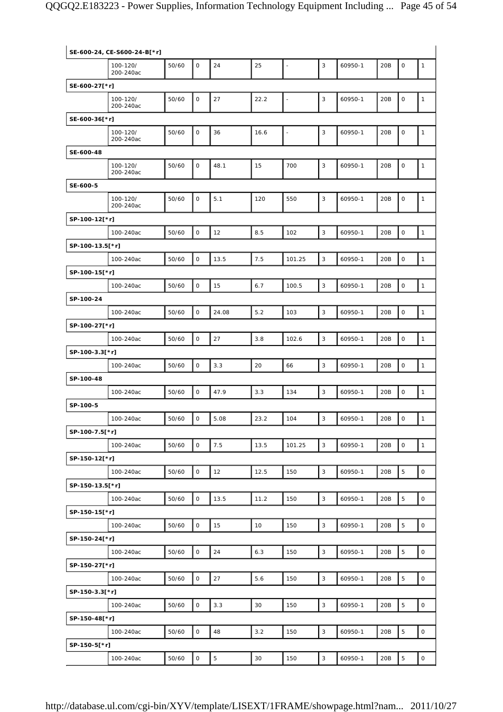|                 | SE-600-24, CE-S600-24-B[*r] |       |              |                |      |                          |              |         |     |                     |                     |
|-----------------|-----------------------------|-------|--------------|----------------|------|--------------------------|--------------|---------|-----|---------------------|---------------------|
|                 | 100-120/<br>200-240ac       | 50/60 | $\mathbf{O}$ | 24             | 25   | $\overline{\phantom{a}}$ | 3            | 60950-1 | 20B | $\mathsf O$         | $\mathbf{1}$        |
| SE-600-27[*r]   |                             |       |              |                |      |                          |              |         |     |                     |                     |
|                 | 100-120/<br>200-240ac       | 50/60 | $\mathsf O$  | 27             | 22.2 | $\overline{a}$           | 3            | 60950-1 | 20B | $\mathsf O$         | $\mathbf{1}$        |
| SE-600-36[*r]   |                             |       |              |                |      |                          |              |         |     |                     |                     |
|                 | 100-120/<br>200-240ac       | 50/60 | 0            | 36             | 16.6 | $\ddot{\phantom{1}}$     | 3            | 60950-1 | 20B | $\mathsf{O}\xspace$ | $\mathbf{1}$        |
| SE-600-48       |                             |       |              |                |      |                          |              |         |     |                     |                     |
|                 | 100-120/<br>200-240ac       | 50/60 | $\mathsf O$  | 48.1           | 15   | 700                      | 3            | 60950-1 | 20B | $\mathsf O$         | $\mathbf{1}$        |
| SE-600-5        |                             |       |              |                |      |                          |              |         |     |                     |                     |
|                 | 100-120/<br>200-240ac       | 50/60 | $\mathsf O$  | 5.1            | 120  | 550                      | 3            | 60950-1 | 20B | $\mathsf{O}\xspace$ | $\mathbf{1}$        |
| SP-100-12[*r]   |                             |       |              |                |      |                          |              |         |     |                     |                     |
|                 | 100-240ac                   | 50/60 | 0            | 12             | 8.5  | 102                      | $\mathsf 3$  | 60950-1 | 20B | $\mathsf{O}\xspace$ | $\mathbf{1}$        |
| SP-100-13.5[*r] |                             |       |              |                |      |                          |              |         |     |                     |                     |
|                 | 100-240ac                   | 50/60 | $\mathsf{O}$ | 13.5           | 7.5  | 101.25                   | $\mathsf 3$  | 60950-1 | 20B | $\mathsf{O}\xspace$ | $\mathbf{1}$        |
| SP-100-15[*r]   |                             |       |              |                |      |                          |              |         |     |                     |                     |
|                 | 100-240ac                   | 50/60 | $\mathsf O$  | 15             | 6.7  | 100.5                    | 3            | 60950-1 | 20B | $\mathsf{O}\xspace$ | $\mathbf{1}$        |
| SP-100-24       |                             |       |              |                |      |                          |              |         |     |                     |                     |
|                 | 100-240ac                   | 50/60 | $\mathsf O$  | 24.08          | 5.2  | 103                      | $\mathsf 3$  | 60950-1 | 20B | $\mathsf{O}\xspace$ | $\mathbf{1}$        |
| SP-100-27[*r]   |                             |       |              |                |      |                          |              |         |     |                     |                     |
|                 | 100-240ac                   | 50/60 | $\mathsf{O}$ | 27             | 3.8  | 102.6                    | $\mathsf 3$  | 60950-1 | 20B | $\mathsf{O}\xspace$ | $\mathbf{1}$        |
| SP-100-3.3[*r]  |                             |       |              |                |      |                          |              |         |     |                     |                     |
|                 | 100-240ac                   | 50/60 | $\mathsf O$  | 3.3            | 20   | 66                       | 3            | 60950-1 | 20B | $\mathsf{O}\xspace$ | $\mathbf{1}$        |
| SP-100-48       |                             |       |              |                |      |                          |              |         |     |                     |                     |
|                 | 100-240ac                   | 50/60 | $\mathsf O$  | 47.9           | 3.3  | 134                      | 3            | 60950-1 | 20B | $\mathsf{O}\xspace$ | $\mathbf{1}$        |
| SP-100-5        |                             |       |              |                |      |                          |              |         |     |                     |                     |
|                 | 100-240ac                   | 50/60 | $\mathsf{O}$ | 5.08           | 23.2 | 104                      | 3            | 60950-1 | 20B | $\mathsf O$         | $\mathbf{1}$        |
| SP-100-7.5[*r]  |                             |       |              |                |      |                          |              |         |     |                     |                     |
|                 | 100-240ac                   | 50/60 | $\mathsf{O}$ | 7.5            | 13.5 | 101.25                   | $\mathbf{3}$ | 60950-1 | 20B | $\mathsf{O}\xspace$ | $\mathbf{1}$        |
| SP-150-12[*r]   |                             |       |              |                |      |                          |              |         |     |                     |                     |
|                 | 100-240ac                   | 50/60 | $\mathsf O$  | 12             | 12.5 | 150                      | $\mathbf{3}$ | 60950-1 | 20B | $\overline{5}$      | $\mathsf{o}$        |
| SP-150-13.5[*r] |                             |       |              |                |      |                          |              |         |     |                     |                     |
|                 | 100-240ac                   | 50/60 | $\mathsf O$  | 13.5           | 11.2 | 150                      | 3            | 60950-1 | 20B | $\overline{5}$      | $\mathsf{o}$        |
| SP-150-15[*r]   |                             |       |              |                |      |                          |              |         |     |                     |                     |
|                 | 100-240ac                   | 50/60 | $\mathsf O$  | 15             | 10   | 150                      | $\mathbf{3}$ | 60950-1 | 20B | 5                   | $\mathsf{O}\xspace$ |
| SP-150-24[*r]   |                             |       |              |                |      |                          |              |         |     |                     |                     |
|                 | 100-240ac                   | 50/60 | $\mathsf O$  | 24             | 6.3  | 150                      | $\mathbf{3}$ | 60950-1 | 20B | $\mathbf 5$         | $\mathsf{O}$        |
| SP-150-27[*r]   |                             |       |              |                |      |                          |              |         |     |                     |                     |
|                 | 100-240ac                   | 50/60 | $\mathsf O$  | 27             | 5.6  | 150                      | $\mathbf{3}$ | 60950-1 | 20B | $\mathbf 5$         | $\circ$             |
| SP-150-3.3[*r]  |                             |       |              |                |      |                          |              |         |     |                     |                     |
|                 | 100-240ac                   | 50/60 | $\mathsf{O}$ | 3.3            | 30   | 150                      | 3            | 60950-1 | 20B | $\mathbf 5$         | $\circ$             |
| SP-150-48[*r]   |                             |       | $\mathsf O$  |                |      |                          | $\mathsf 3$  |         |     | 5                   | $\mathsf O$         |
|                 | 100-240ac                   | 50/60 |              | 48             | 3.2  | 150                      |              | 60950-1 | 20B |                     |                     |
| SP-150-5[*r]    |                             |       |              |                |      |                          |              |         |     |                     |                     |
|                 | 100-240ac                   | 50/60 | $\mathsf O$  | $\overline{5}$ | 30   | 150                      | 3            | 60950-1 | 20B | $\mathbf 5$         | $\mathsf{O}\xspace$ |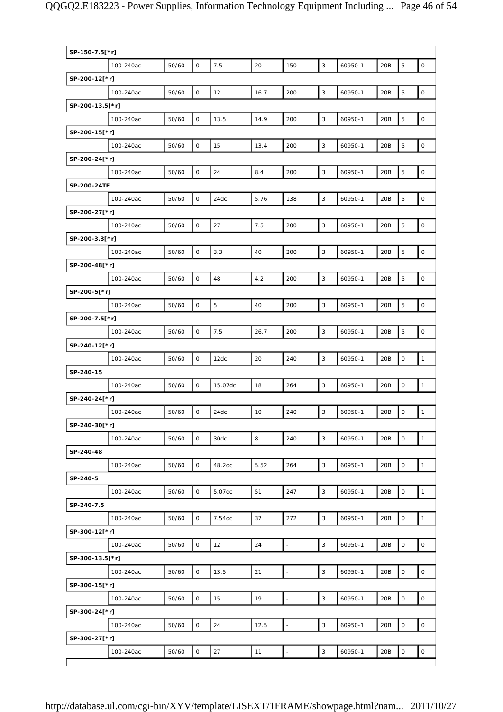| SP-150-7.5[*r]  |           |       |              |         |      |                          |              |         |     |                |                     |
|-----------------|-----------|-------|--------------|---------|------|--------------------------|--------------|---------|-----|----------------|---------------------|
|                 | 100-240ac | 50/60 | $\mathbf 0$  | 7.5     | 20   | 150                      | 3            | 60950-1 | 20B | 5              | $\mathsf{O}\xspace$ |
| SP-200-12[*r]   |           |       |              |         |      |                          |              |         |     |                |                     |
|                 | 100-240ac | 50/60 | $\mathsf{O}$ | 12      | 16.7 | 200                      | $\mathbf{3}$ | 60950-1 | 20B | $\overline{5}$ | $\mathsf O$         |
| SP-200-13.5[*r] |           |       |              |         |      |                          |              |         |     |                |                     |
|                 | 100-240ac | 50/60 | $\mathsf{O}$ | 13.5    | 14.9 | 200                      | 3            | 60950-1 | 20B | 5              | $\mathsf O$         |
| SP-200-15[*r]   |           |       |              |         |      |                          |              |         |     |                |                     |
|                 | 100-240ac | 50/60 | $\mathsf O$  | 15      | 13.4 | 200                      | $\sqrt{3}$   | 60950-1 | 20B | 5              | $\mathsf O$         |
| SP-200-24[*r]   |           |       |              |         |      |                          |              |         |     |                |                     |
|                 | 100-240ac | 50/60 | 0            | 24      | 8.4  | 200                      | $\mathbf{3}$ | 60950-1 | 20B | 5              | $\mathsf O$         |
| SP-200-24TE     |           |       |              |         |      |                          |              |         |     |                |                     |
|                 | 100-240ac | 50/60 | 0            | 24dc    | 5.76 | 138                      | $\mathbf{3}$ | 60950-1 | 20B | 5              | $\mathsf O$         |
| SP-200-27[*r]   |           |       |              |         |      |                          |              |         |     |                |                     |
|                 | 100-240ac | 50/60 | $\mathbf 0$  | 27      | 7.5  | 200                      | $\mathbf{3}$ | 60950-1 | 20B | 5              | $\mathsf O$         |
| SP-200-3.3[*r]  |           |       |              |         |      |                          |              |         |     |                |                     |
|                 | 100-240ac | 50/60 | 0            | 3.3     | 40   | 200                      | 3            | 60950-1 | 20B | 5              | $\mathsf O$         |
| SP-200-48[*r]   |           |       |              |         |      |                          |              |         |     |                |                     |
|                 | 100-240ac | 50/60 | 0            | 48      | 4.2  | 200                      | 3            | 60950-1 | 20B | 5              | $\mathsf{O}\xspace$ |
| SP-200-5[*r]    |           |       |              |         |      |                          |              |         |     |                |                     |
|                 | 100-240ac | 50/60 | $\mathsf{O}$ | 5       | 40   | 200                      | $\mathbf{3}$ | 60950-1 | 20B | $\overline{5}$ | $\mathsf O$         |
| SP-200-7.5[*r]  |           |       |              |         |      |                          |              |         |     |                |                     |
|                 | 100-240ac | 50/60 | $\mathbf 0$  | 7.5     | 26.7 | 200                      | 3            | 60950-1 | 20B | 5              | $\mathsf O$         |
| SP-240-12[*r]   |           |       |              |         |      |                          |              |         |     |                |                     |
|                 | 100-240ac | 50/60 | $\mathsf{O}$ | 12dc    | 20   | 240                      | $\mathbf{3}$ | 60950-1 | 20B | $\mathsf O$    | $\mathbf{1}$        |
| SP-240-15       |           |       |              |         |      |                          |              |         |     |                |                     |
|                 | 100-240ac | 50/60 | $\mathsf{O}$ | 15.07dc | 18   | 264                      | $\mathbf{3}$ | 60950-1 | 20B | $\mathsf O$    | $\mathbf{1}$        |
| SP-240-24[*r]   |           |       |              |         |      |                          |              |         |     |                |                     |
|                 | 100-240ac | 50/60 | 0            | 24dc    | 10   | 240                      | 3            | 60950-1 | 20B | $\mathsf O$    | $\mathbf{1}$        |
| SP-240-30[*r]   |           |       |              |         |      |                          |              |         |     |                |                     |
|                 | 100-240ac | 50/60 | $\mathsf{O}$ | 30dc    | 8    | 240                      | 3            | 60950-1 | 20B | $\mathsf O$    | $\mathbf{1}$        |
| SP-240-48       |           |       |              |         |      |                          |              |         |     |                |                     |
|                 | 100-240ac | 50/60 | $\mathsf{O}$ | 48.2dc  | 5.52 | 264                      | $\mathsf 3$  | 60950-1 | 20B | $\mathsf O$    | $\mathbf{1}$        |
| SP-240-5        |           |       |              |         |      |                          |              |         |     |                |                     |
|                 | 100-240ac | 50/60 | 0            | 5.07dc  | 51   | 247                      | 3            | 60950-1 | 20B | $\mathsf O$    | $\mathbf{1}$        |
| SP-240-7.5      |           |       |              |         |      |                          |              |         |     |                |                     |
|                 | 100-240ac | 50/60 | 0            | 7.54dc  | 37   | 272                      | 3            | 60950-1 | 20B | $\mathsf O$    | $\mathbf{1}$        |
| SP-300-12[*r]   |           |       |              |         |      |                          |              |         |     |                |                     |
|                 | 100-240ac | 50/60 | $\mathsf{O}$ | 12      | 24   | $\overline{a}$           | 3            | 60950-1 | 20B | $\mathsf O$    | $\mathsf O$         |
| SP-300-13.5[*r] |           |       |              |         |      |                          |              |         |     |                |                     |
|                 | 100-240ac | 50/60 | 0            | 13.5    | 21   | $\overline{a}$           | 3            | 60950-1 | 20B | $\mathsf O$    | $\mathsf O$         |
| SP-300-15[*r]   |           |       |              |         |      |                          |              |         |     |                |                     |
|                 | 100-240ac | 50/60 | 0            | 15      | 19   | $\Box$                   | 3            | 60950-1 | 20B | $\mathsf O$    | $\mathsf{O}\xspace$ |
| SP-300-24[*r]   |           |       |              |         |      |                          |              |         |     |                |                     |
|                 | 100-240ac | 50/60 | $\mathsf{O}$ | 24      | 12.5 | $\overline{\phantom{a}}$ | $\mathbf{3}$ | 60950-1 | 20B | $\mathsf O$    | $\mathsf{O}\xspace$ |
| SP-300-27[*r]   |           |       |              |         |      |                          |              |         |     |                |                     |
|                 | 100-240ac | 50/60 | $\mathsf{O}$ | 27      | 11   | $\overline{a}$           | $\mathbf{3}$ | 60950-1 | 20B | $\mathsf O$    | 0                   |
|                 |           |       |              |         |      |                          |              |         |     |                |                     |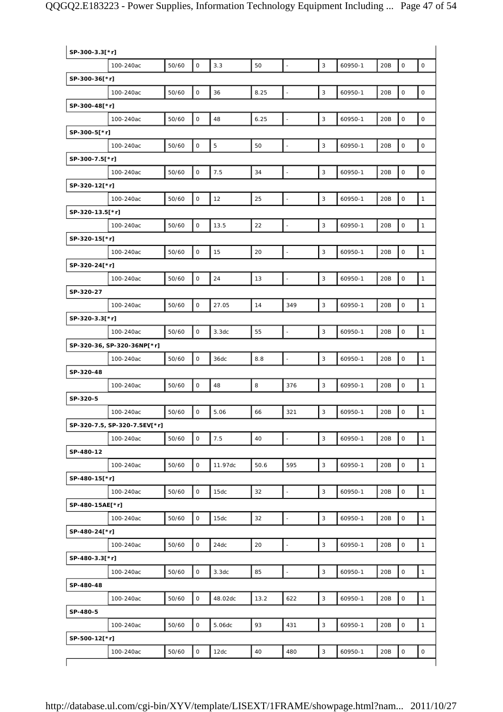| SP-300-3.3[*r]  |                              |       |                     |         |      |                          |              |         |     |                     |                     |
|-----------------|------------------------------|-------|---------------------|---------|------|--------------------------|--------------|---------|-----|---------------------|---------------------|
|                 | 100-240ac                    | 50/60 | $\mathsf{O}$        | 3.3     | 50   | $\blacksquare$           | 3            | 60950-1 | 20B | $\mathbf 0$         | $\mathsf O$         |
| SP-300-36[*r]   |                              |       |                     |         |      |                          |              |         |     |                     |                     |
|                 | 100-240ac                    | 50/60 | $\mathsf O$         | 36      | 8.25 | $\blacksquare$           | $\mathbf{3}$ | 60950-1 | 20B | $\mathsf O$         | $\mathsf O$         |
| SP-300-48[*r]   |                              |       |                     |         |      |                          |              |         |     |                     |                     |
|                 | 100-240ac                    | 50/60 | $\mathsf O$         | 48      | 6.25 | $\overline{\phantom{a}}$ | 3            | 60950-1 | 20B | $\mathsf{O}\xspace$ | $\mathsf O$         |
| SP-300-5[*r]    |                              |       |                     |         |      |                          |              |         |     |                     |                     |
|                 | 100-240ac                    | 50/60 | 0                   | 5       | 50   | $\blacksquare$           | 3            | 60950-1 | 20B | $\mathsf O$         | $\mathsf{O}\xspace$ |
| SP-300-7.5[*r]  |                              |       |                     |         |      |                          |              |         |     |                     |                     |
|                 | 100-240ac                    | 50/60 | 0                   | 7.5     | 34   | $\blacksquare$           | 3            | 60950-1 | 20B | $\mathsf O$         | $\mathsf O$         |
| SP-320-12[*r]   |                              |       |                     |         |      |                          |              |         |     |                     |                     |
|                 | 100-240ac                    | 50/60 | $\mathsf O$         | 12      | 25   | $\blacksquare$           | $\mathbf{3}$ | 60950-1 | 20B | $\mathsf O$         | $\mathbf{1}$        |
| SP-320-13.5[*r] |                              |       |                     |         |      |                          |              |         |     |                     |                     |
|                 | 100-240ac                    | 50/60 | $\mathsf O$         | 13.5    | 22   |                          | 3            | 60950-1 | 20B | $\mathsf{O}\xspace$ | $\mathbf{1}$        |
| SP-320-15[*r]   |                              |       |                     |         |      |                          |              |         |     |                     |                     |
|                 | 100-240ac                    | 50/60 | $\mathsf O$         | 15      | 20   | $\frac{1}{2}$            | 3            | 60950-1 | 20B | $\mathsf O$         | $\mathbf{1}$        |
| SP-320-24[*r]   |                              |       |                     |         |      |                          |              |         |     |                     |                     |
|                 | 100-240ac                    | 50/60 | $\mathsf{O}$        | 24      | 13   | $\blacksquare$           | 3            | 60950-1 | 20B | $\mathsf O$         | $\mathbf{1}$        |
| SP-320-27       |                              |       |                     |         |      |                          |              |         |     |                     |                     |
|                 | 100-240ac                    | 50/60 | $\mathsf O$         | 27.05   | 14   | 349                      | $\mathbf{3}$ | 60950-1 | 20B | $\mathsf O$         | $\mathbf{1}$        |
| SP-320-3.3[*r]  |                              |       |                     |         |      |                          |              |         |     |                     |                     |
|                 | 100-240ac                    | 50/60 | $\mathsf O$         | 3.3dc   | 55   | $\frac{1}{2}$            | 3            | 60950-1 | 20B | $\mathbf 0$         | $\mathbf{1}$        |
|                 | SP-320-36, SP-320-36NP[*r]   |       |                     |         |      |                          |              |         |     |                     |                     |
|                 | 100-240ac                    | 50/60 | 0                   | 36dc    | 8.8  | $\blacksquare$           | $\mathsf 3$  | 60950-1 | 20B | $\mathsf O$         | $\mathbf{1}$        |
| SP-320-48       |                              |       |                     |         |      |                          |              |         |     |                     |                     |
|                 | 100-240ac                    | 50/60 | 0                   | 48      | 8    | 376                      | 3            | 60950-1 | 20B | $\mathbf 0$         | $\mathbf{1}$        |
| SP-320-5        |                              |       |                     |         |      |                          |              |         |     |                     |                     |
|                 | 100-240ac                    | 50/60 | $\mathsf O$         | 5.06    | 66   | 321                      | 3            | 60950-1 | 20B | $\mathsf O$         | $\mathbf{1}$        |
|                 | SP-320-7.5, SP-320-7.5EV[*r] |       |                     |         |      |                          |              |         |     |                     |                     |
|                 | 100-240ac                    | 50/60 | $\mathsf O$         | 7.5     | 40   | L,                       | 3            | 60950-1 | 20B | $\mathbf 0$         | $\mathbf{1}$        |
| SP-480-12       |                              |       |                     |         |      |                          |              |         |     |                     |                     |
|                 | 100-240ac                    | 50/60 | 0                   | 11.97dc | 50.6 | 595                      | 3            | 60950-1 | 20B | $\mathsf O$         | $\mathbf{1}$        |
| SP-480-15[*r]   |                              |       |                     |         |      |                          |              |         |     |                     |                     |
|                 | 100-240ac                    | 50/60 | $\mathsf O$         | 15dc    | 32   | $\blacksquare$           | 3            | 60950-1 | 20B | $\mathsf O$         | $\mathbf{1}$        |
| SP-480-15AE[*r] |                              |       |                     |         |      |                          |              |         |     |                     |                     |
|                 | 100-240ac                    | 50/60 | $\mathsf O$         | 15dc    | 32   | $\overline{\phantom{a}}$ | 3            | 60950-1 | 20B | $\mathsf O$         | $\mathbf{1}$        |
| SP-480-24[*r]   |                              |       |                     |         |      |                          |              |         |     |                     |                     |
|                 | 100-240ac                    | 50/60 | $\mathsf{O}$        | 24dc    | 20   |                          | 3            | 60950-1 | 20B | $\mathsf O$         | $\mathbf{1}$        |
| SP-480-3.3[*r]  |                              |       |                     |         |      |                          |              |         |     |                     |                     |
|                 | 100-240ac                    | 50/60 | $\mathsf{O}\xspace$ | 3.3dc   | 85   | $\overline{\phantom{a}}$ | $\mathsf 3$  | 60950-1 | 20B | $\mathsf O$         | $\mathbf{1}$        |
| SP-480-48       |                              |       |                     |         |      |                          |              |         |     |                     |                     |
|                 | 100-240ac                    | 50/60 | $\mathsf{O}$        | 48.02dc | 13.2 | 622                      | 3            | 60950-1 | 20B | $\mathsf O$         | $\mathbf{1}$        |
| SP-480-5        |                              |       |                     |         |      |                          |              |         |     |                     |                     |
|                 | 100-240ac                    | 50/60 | $\mathsf O$         | 5.06dc  | 93   | 431                      | 3            | 60950-1 | 20B | $\mathsf O$         | $\mathbf{1}$        |
| SP-500-12[*r]   |                              |       |                     |         |      |                          |              |         |     |                     |                     |
|                 | 100-240ac                    | 50/60 | $\mathsf O$         | 12dc    | 40   | 480                      | $\mathbf{3}$ | 60950-1 | 20B | $\mathsf{O}\xspace$ | $\mathsf O$         |
|                 |                              |       |                     |         |      |                          |              |         |     |                     |                     |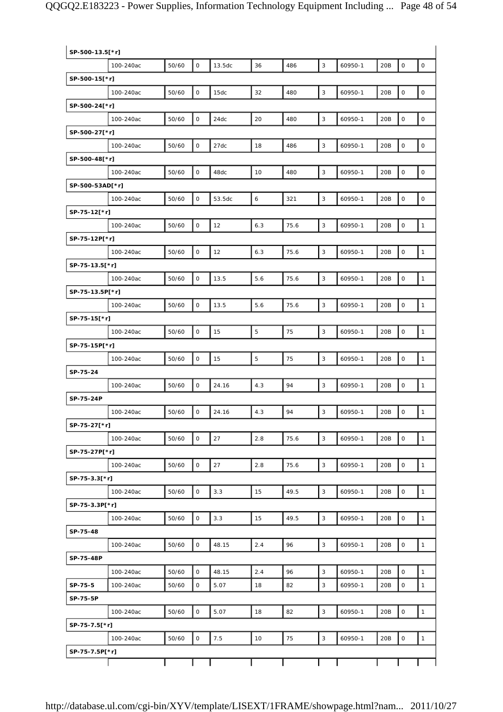|                 | SP-500-13.5[*r] |       |                     |        |                |      |              |         |     |                     |                     |  |
|-----------------|-----------------|-------|---------------------|--------|----------------|------|--------------|---------|-----|---------------------|---------------------|--|
|                 | 100-240ac       | 50/60 | $\mathbf 0$         | 13.5dc | 36             | 486  | 3            | 60950-1 | 20B | $\mathbf 0$         | $\mathsf O$         |  |
| SP-500-15[*r]   |                 |       |                     |        |                |      |              |         |     |                     |                     |  |
|                 | 100-240ac       | 50/60 | $\mathsf{O}\xspace$ | 15dc   | 32             | 480  | $\mathbf{3}$ | 60950-1 | 20B | $\mathsf{O}\xspace$ | $\mathsf{O}\xspace$ |  |
| SP-500-24[*r]   |                 |       |                     |        |                |      |              |         |     |                     |                     |  |
|                 | 100-240ac       | 50/60 | $\mathsf O$         | 24dc   | 20             | 480  | $\mathbf{3}$ | 60950-1 | 20B | $\mathsf{O}\xspace$ | $\mathsf O$         |  |
| SP-500-27[*r]   |                 |       |                     |        |                |      |              |         |     |                     |                     |  |
|                 | 100-240ac       | 50/60 | $\mathsf{O}\xspace$ | 27dc   | 18             | 486  | 3            | 60950-1 | 20B | $\mathsf{O}\xspace$ | $\mathsf{O}\xspace$ |  |
| SP-500-48[*r]   |                 |       |                     |        |                |      |              |         |     |                     |                     |  |
|                 | 100-240ac       | 50/60 | $\mathsf O$         | 48dc   | 10             | 480  | 3            | 60950-1 | 20B | $\mathsf O$         | $\mathsf O$         |  |
| SP-500-53AD[*r] |                 |       |                     |        |                |      |              |         |     |                     |                     |  |
|                 | 100-240ac       | 50/60 | $\mathsf O$         | 53.5dc | $\epsilon$     | 321  | $\mathbf{3}$ | 60950-1 | 20B | $\mathsf{O}\xspace$ | $\mathsf{O}\xspace$ |  |
| SP-75-12[*r]    |                 |       |                     |        |                |      |              |         |     |                     |                     |  |
|                 | 100-240ac       | 50/60 | $\mathsf O$         | 12     | 6.3            | 75.6 | 3            | 60950-1 | 20B | $\mathsf O$         | $\mathbf{1}$        |  |
| SP-75-12P[*r]   |                 |       |                     |        |                |      |              |         |     |                     |                     |  |
|                 | 100-240ac       | 50/60 | $\mathsf O$         | 12     | 6.3            | 75.6 | $\mathsf 3$  | 60950-1 | 20B | $\mathbf 0$         | $\mathbf{1}$        |  |
| SP-75-13.5[*r]  |                 |       |                     |        |                |      |              |         |     |                     |                     |  |
|                 | 100-240ac       | 50/60 | $\mathsf O$         | 13.5   | 5.6            | 75.6 | 3            | 60950-1 | 20B | $\mathsf O$         | $\mathbf{1}$        |  |
| SP-75-13.5P[*r] |                 |       |                     |        |                |      |              |         |     |                     |                     |  |
|                 | 100-240ac       | 50/60 | $\mathsf O$         | 13.5   | 5.6            | 75.6 | $\mathbf{3}$ | 60950-1 | 20B | $\mathsf{O}\xspace$ | $\mathbf{1}$        |  |
| SP-75-15[*r]    |                 |       |                     |        |                |      |              |         |     |                     |                     |  |
|                 | 100-240ac       | 50/60 | $\mathsf O$         | 15     | $\overline{5}$ | 75   | 3            | 60950-1 | 20B | $\mathbf 0$         | $\mathbf{1}$        |  |
| SP-75-15P[*r]   |                 |       |                     |        |                |      |              |         |     |                     |                     |  |
|                 | 100-240ac       | 50/60 | $\mathsf{O}\xspace$ | 15     | $\overline{5}$ | 75   | $\mathbf{3}$ | 60950-1 | 20B | $\mathsf{O}\xspace$ | $\mathbf{1}$        |  |
| SP-75-24        |                 |       |                     |        |                |      |              |         |     |                     |                     |  |
|                 | 100-240ac       | 50/60 | $\mathsf O$         | 24.16  | 4.3            | 94   | 3            | 60950-1 | 20B | $\mathsf O$         | $\mathbf{1}$        |  |
| SP-75-24P       |                 |       |                     |        |                |      |              |         |     |                     |                     |  |
|                 | 100-240ac       | 50/60 | $\mathsf O$         | 24.16  | 4.3            | 94   | $\mathbf{3}$ | 60950-1 | 20B | $\mathsf{O}\xspace$ | $\mathbf{1}$        |  |
| SP-75-27[*r]    |                 |       |                     |        |                |      |              |         |     |                     |                     |  |
|                 | 100-240ac       | 50/60 | $\mathsf O$         | 27     | 2.8            | 75.6 | 3            | 60950-1 | 20B | $\mathsf O$         | $\mathbf{1}$        |  |
| SP-75-27P[*r]   |                 |       |                     |        |                |      |              |         |     |                     |                     |  |
|                 | 100-240ac       | 50/60 | 0                   | 27     | 2.8            | 75.6 | $\mathbf{3}$ | 60950-1 | 20B | $\mathsf{O}\xspace$ | $\mathbf{1}$        |  |
| SP-75-3.3[*r]   |                 |       |                     |        |                |      |              |         |     |                     |                     |  |
|                 | 100-240ac       | 50/60 | $\mathsf O$         | 3.3    | 15             | 49.5 | 3            | 60950-1 | 20B | $\mathsf O$         | $\mathbf{1}$        |  |
| SP-75-3.3P[*r]  |                 |       |                     |        |                |      |              |         |     |                     |                     |  |
|                 | 100-240ac       | 50/60 | $\mathsf O$         | 3.3    | 15             | 49.5 | $\mathbf{3}$ | 60950-1 | 20B | $\mathsf O$         | $\mathbf{1}$        |  |
| SP-75-48        |                 |       |                     |        |                |      |              |         |     |                     |                     |  |
|                 | 100-240ac       | 50/60 | $\mathsf O$         | 48.15  | 2.4            | 96   | 3            | 60950-1 | 20B | $\mathsf O$         | $\mathbf{1}$        |  |
| SP-75-48P       |                 |       |                     |        |                |      |              |         |     |                     |                     |  |
|                 | 100-240ac       | 50/60 | $\mathsf{O}\xspace$ | 48.15  | 2.4            | 96   | $\mathbf{3}$ | 60950-1 | 20B | $\mathbf 0$         | $\mathbf{1}$        |  |
| SP-75-5         | 100-240ac       | 50/60 | $\mathsf O$         | 5.07   | 18             | 82   | 3            | 60950-1 | 20B | $\mathsf O$         | $\mathbf{1}$        |  |
| SP-75-5P        |                 |       |                     |        |                |      |              |         |     |                     |                     |  |
|                 | 100-240ac       | 50/60 | $\mathsf O$         | 5.07   | 18             | 82   | 3            | 60950-1 | 20B | $\mathbf 0$         | $\mathbf{1}$        |  |
| SP-75-7.5[*r]   |                 |       |                     |        |                |      |              |         |     |                     |                     |  |
|                 | 100-240ac       | 50/60 | $\mathsf O$         | 7.5    | 10             | 75   | 3            | 60950-1 | 20B | $\mathsf O$         | $\mathbf{1}$        |  |
| SP-75-7.5P[*r]  |                 |       |                     |        |                |      |              |         |     |                     |                     |  |
|                 |                 |       |                     |        |                |      |              |         |     |                     |                     |  |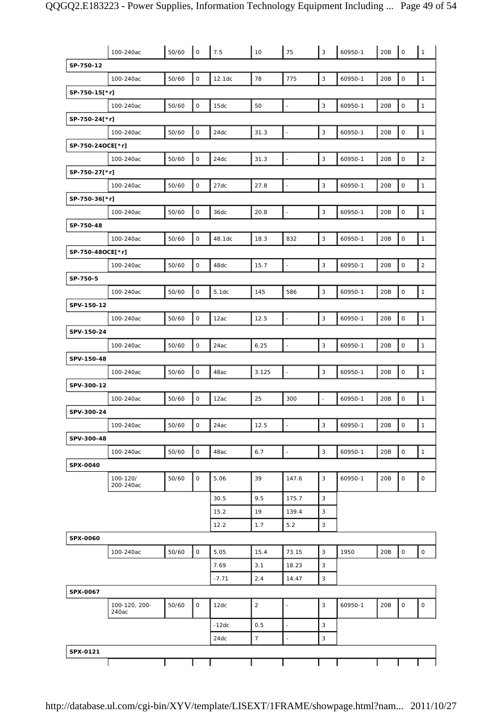|                  | 100-240ac              | 50/60 | $\mathsf{O}$        | 7.5     | 10             | 75                       | 3              | 60950-1 | 20B | $\mathsf O$         | $\mathbf{1}$        |
|------------------|------------------------|-------|---------------------|---------|----------------|--------------------------|----------------|---------|-----|---------------------|---------------------|
| SP-750-12        |                        |       |                     |         |                |                          |                |         |     |                     |                     |
|                  | 100-240ac              | 50/60 | $\mathsf O$         | 12.1dc  | 78             | 775                      | $\mathbf{3}$   | 60950-1 | 20B | $\mathsf O$         | $\mathbf{1}$        |
| SP-750-15[*r]    |                        |       |                     |         |                |                          |                |         |     |                     |                     |
|                  | 100-240ac              | 50/60 | $\mathsf O$         | 15dc    | 50             | ÷                        | $\mathsf 3$    | 60950-1 | 20B | 0                   | $\mathbf{1}$        |
| SP-750-24[*r]    |                        |       |                     |         |                |                          |                |         |     |                     |                     |
|                  | 100-240ac              | 50/60 | $\mathsf{O}$        | 24dc    | 31.3           | $\overline{\phantom{a}}$ | $\mathbf{3}$   | 60950-1 | 20B | $\mathsf O$         | $\mathbf{1}$        |
| SP-750-24OCE[*r] |                        |       |                     |         |                |                          |                |         |     |                     |                     |
|                  | 100-240ac              | 50/60 | $\mathsf{O}$        | 24dc    | 31.3           | $\overline{\phantom{a}}$ | 3              | 60950-1 | 20B | $\mathsf O$         | $\sqrt{2}$          |
| SP-750-27[*r]    |                        |       |                     |         |                |                          |                |         |     |                     |                     |
|                  | 100-240ac              | 50/60 | $\mathsf O$         | 27dc    | 27.8           | $\blacksquare$           | $\mathsf 3$    | 60950-1 | 20B | $\mathsf O$         | $\mathbf{1}$        |
| SP-750-36[*r]    |                        |       |                     |         |                |                          |                |         |     |                     |                     |
|                  | 100-240ac              | 50/60 | $\mathsf{O}\xspace$ | 36dc    | 20.8           | ÷,                       | 3              | 60950-1 | 20B | $\mathsf O$         | $\mathbf{1}$        |
| SP-750-48        |                        |       |                     |         |                |                          |                |         |     |                     |                     |
|                  | 100-240ac              | 50/60 | $\mathsf O$         | 48.1dc  | 18.3           | 832                      | $\mathbf{3}$   | 60950-1 | 20B | $\mathsf O$         | $\mathbf{1}$        |
| SP-750-48OCE[*r] |                        |       |                     |         |                |                          |                |         |     |                     |                     |
|                  | 100-240ac              | 50/60 | $\mathsf{O}$        | 48dc    | 15.7           | $\frac{1}{2}$            | 3              | 60950-1 | 20B | $\mathsf O$         | $\overline{2}$      |
| SP-750-5         |                        |       |                     |         |                |                          |                |         |     |                     |                     |
|                  | 100-240ac              | 50/60 | $\mathsf O$         | 5.1dc   | 145            | 586                      | $\mathsf 3$    | 60950-1 | 20B | $\mathsf O$         | $\mathbf{1}$        |
| SPV-150-12       |                        |       |                     |         |                |                          |                |         |     |                     |                     |
|                  | 100-240ac              | 50/60 | $\mathsf O$         | 12ac    | 12.5           | ÷,                       | 3              | 60950-1 | 20B | 0                   | $\mathbf{1}$        |
| SPV-150-24       |                        |       |                     |         |                |                          |                |         |     |                     |                     |
|                  | 100-240ac              | 50/60 | $\mathsf{O}$        | 24ac    | 6.25           | $\overline{\phantom{a}}$ | $\mathsf 3$    | 60950-1 | 20B | $\mathsf{O}\xspace$ | $\mathbf{1}$        |
| SPV-150-48       |                        |       |                     |         |                |                          |                |         |     |                     |                     |
|                  | 100-240ac              | 50/60 | $\mathsf O$         | 48ac    | 3.125          | $\overline{a}$           | 3              | 60950-1 | 20B | $\mathsf O$         | $\mathbf{1}$        |
| SPV-300-12       |                        |       |                     |         |                |                          |                |         |     |                     |                     |
|                  | 100-240ac              | 50/60 | $\mathsf O$         | 12ac    | 25             | 300                      | $\blacksquare$ | 60950-1 | 20B | 0                   | $\mathbf{1}$        |
| SPV-300-24       |                        |       |                     |         |                |                          |                |         |     |                     |                     |
|                  | 100-240ac              | 50/60 | 0                   | 24ac    | 12.5           |                          | 3              | 60950-1 | 20B | $\circ$             | $\mathbf{1}$        |
| SPV-300-48       |                        |       |                     |         |                |                          |                |         |     |                     |                     |
|                  | 100-240ac              | 50/60 | $\mathsf O$         | 48ac    | 6.7            | $\blacksquare$           | $\mathsf 3$    | 60950-1 | 20B | $\mathsf O$         | $\mathbf{1}$        |
| SPX-0040         |                        |       |                     |         |                |                          |                |         |     |                     |                     |
|                  | 100-120/<br>200-240ac  | 50/60 | 0                   | 5.06    | 39             | 147.6                    | 3              | 60950-1 | 20B | 0                   | $\mathsf{O}\xspace$ |
|                  |                        |       |                     | 30.5    | 9.5            | 175.7                    | $\overline{3}$ |         |     |                     |                     |
|                  |                        |       |                     | 15.2    | 19             | 139.4                    | 3              |         |     |                     |                     |
|                  |                        |       |                     | 12.2    | 1.7            | 5.2                      | 3              |         |     |                     |                     |
| SPX-0060         |                        |       |                     |         |                |                          |                |         |     |                     |                     |
|                  | 100-240ac              | 50/60 | $\mathsf O$         | 5.05    | 15.4           | 73.15                    | $\mathbf{3}$   | 1950    | 20B | $\mathsf O$         | $\mathsf{O}\xspace$ |
|                  |                        |       |                     | 7.69    | 3.1            | 18.23                    | 3              |         |     |                     |                     |
|                  |                        |       |                     | $-7.71$ | 2.4            | 14.47                    | 3              |         |     |                     |                     |
| SPX-0067         |                        |       |                     |         |                |                          |                |         |     |                     |                     |
|                  | 100-120, 200-<br>240ac | 50/60 | $\mathsf{O}$        | 12dc    | $\overline{2}$ | $\overline{\phantom{a}}$ | 3              | 60950-1 | 20B | 0                   | $\mathsf O$         |
|                  |                        |       |                     | $-12dc$ | 0.5            | $\overline{\phantom{a}}$ | $\mathsf 3$    |         |     |                     |                     |
|                  |                        |       |                     | 24dc    | $\overline{7}$ |                          | $\mathsf 3$    |         |     |                     |                     |
| SPX-0121         |                        |       |                     |         |                |                          |                |         |     |                     |                     |
|                  |                        |       |                     |         |                |                          |                |         |     |                     |                     |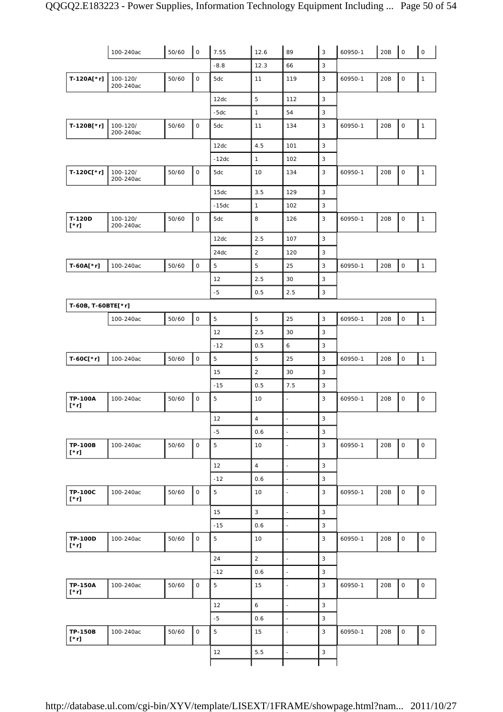|                               | 100-240ac             | 50/60 | $\mathsf{O}$ | 7.55        | 12.6                      | 89                       | $\mathsf 3$    | 60950-1 | 20B | $\overline{\phantom{a}}$ | $\mathsf{O}\xspace$ |
|-------------------------------|-----------------------|-------|--------------|-------------|---------------------------|--------------------------|----------------|---------|-----|--------------------------|---------------------|
|                               |                       |       |              | $-8.8$      | 12.3                      | 66                       | 3              |         |     |                          |                     |
| $T-120A[^*r]$                 | 100-120/<br>200-240ac | 50/60 | 0            | 5dc         | 11                        | 119                      | 3              | 60950-1 | 20B | 0                        | $\mathbf{1}$        |
|                               |                       |       |              | 12dc        | 5                         | 112                      | 3              |         |     |                          |                     |
|                               |                       |       |              | $-5dc$      | $\mathbf{1}$              | 54                       | $\mathsf 3$    |         |     |                          |                     |
| T-120B[*r]                    | 100-120/<br>200-240ac | 50/60 | $\mathsf{O}$ | 5dc         | 11                        | 134                      | 3              | 60950-1 | 20B | 0                        | $\mathbf{1}$        |
|                               |                       |       |              | 12dc        | 4.5                       | 101                      | 3              |         |     |                          |                     |
|                               |                       |       |              | $-12dc$     | $\mathbf{1}$              | 102                      | 3              |         |     |                          |                     |
| T-120C[*r]                    | 100-120/<br>200-240ac | 50/60 | 0            | 5dc         | 10                        | 134                      | $\mathsf 3$    | 60950-1 | 20B | 0                        | $\mathbf{1}$        |
|                               |                       |       |              | 15dc        | 3.5                       | 129                      | 3              |         |     |                          |                     |
|                               |                       |       |              | $-15dc$     | $\mathbf{1}$              | 102                      | $\mathsf 3$    |         |     |                          |                     |
| T-120D<br>$[\cdot r]$         | 100-120/<br>200-240ac | 50/60 | $\mathsf{O}$ | 5dc         | 8                         | 126                      | 3              | 60950-1 | 20B | 0                        | $\mathbf{1}$        |
|                               |                       |       |              | 12dc        | 2.5                       | 107                      | $\mathsf 3$    |         |     |                          |                     |
|                               |                       |       |              | 24dc        | $\sqrt{2}$                | 120                      | 3              |         |     |                          |                     |
| T-60A[*r]                     | 100-240ac             | 50/60 | $\circ$      | 5           | 5                         | 25                       | 3              | 60950-1 | 20B | $\mathsf{O}\xspace$      | $\overline{1}$      |
|                               |                       |       |              | 12          | 2.5                       | 30                       | 3              |         |     |                          |                     |
|                               |                       |       |              | $-5$        | 0.5                       | 2.5                      | $\mathsf 3$    |         |     |                          |                     |
| T-60B, T-60BTE[*r]            |                       |       |              |             |                           |                          |                |         |     |                          |                     |
|                               | 100-240ac             | 50/60 | $\mathsf{O}$ | 5           | 5                         | 25                       | 3              | 60950-1 | 20B | $\mathsf{O}\xspace$      | $\mathbf{1}$        |
|                               |                       |       |              | 12          | 2.5                       | 30                       | $\mathsf 3$    |         |     |                          |                     |
|                               |                       |       |              | $-12$       | 0.5                       | 6                        | 3              |         |     |                          |                     |
| T-60C[*r]                     | 100-240ac             | 50/60 | $\mathsf{O}$ | 5           | $\mathbf 5$               | 25                       | 3              | 60950-1 | 20B | $\mathsf O$              | $\mathbf{1}$        |
|                               |                       |       |              | 15          | $\overline{2}$            | 30                       | 3              |         |     |                          |                     |
|                               |                       |       |              | $-15$       | 0.5                       | 7.5                      | $\mathsf 3$    |         |     |                          |                     |
| <b>TP-100A</b><br>$[^*r]$     | 100-240ac             | 50/60 | $\mathsf{O}$ | 5           | 10                        | $\blacksquare$           | 3              | 60950-1 | 20B | 0                        | $\mathsf O$         |
|                               |                       |       |              | 12          | $\sqrt{4}$                | $\sim$                   | 3              |         |     |                          |                     |
|                               |                       |       |              | $-5$        | 0.6                       | $\blacksquare$           | 3              |         |     |                          |                     |
| <b>TP-100B</b><br>$[\cdot r]$ | 100-240ac             | 50/60 | 0            | $\mathbf 5$ | 10                        | $\blacksquare$           | 3              | 60950-1 | 20B | 0                        | $\mathsf{O}\xspace$ |
|                               |                       |       |              | 12          | $\overline{\mathbf{4}}$   | $\overline{\phantom{a}}$ | $\mathsf 3$    |         |     |                          |                     |
|                               |                       |       |              | $-12$       | 0.6                       | $\blacksquare$           | 3              |         |     |                          |                     |
| <b>TP-100C</b><br>$[\cdot r]$ | 100-240ac             | 50/60 | $\mathsf O$  | 5           | 10                        | $\blacksquare$           | 3              | 60950-1 | 20B | 0                        | $\mathsf O$         |
|                               |                       |       |              | 15          | $\ensuremath{\mathsf{3}}$ | $\blacksquare$           | $\mathsf 3$    |         |     |                          |                     |
|                               |                       |       |              | $-15$       | 0.6                       | $\blacksquare$           | $\sqrt{3}$     |         |     |                          |                     |
| <b>TP-100D</b><br>$[\cdot r]$ | 100-240ac             | 50/60 | $\mathsf{O}$ | 5           | 10                        | $\overline{\phantom{a}}$ | 3              | 60950-1 | 20B | 0                        | $\mathsf{O}$        |
|                               |                       |       |              | 24          | $\overline{2}$            | $\ddot{\phantom{a}}$     | $\overline{3}$ |         |     |                          |                     |
|                               |                       |       |              | $-12$       | 0.6                       | $\overline{\phantom{a}}$ | 3              |         |     |                          |                     |
| <b>TP-150A</b><br>$[\cdot r]$ | 100-240ac             | 50/60 | $\mathsf{O}$ | 5           | 15                        | $\blacksquare$           | 3              | 60950-1 | 20B | 0                        | $\mathsf O$         |
|                               |                       |       |              | 12          | 6                         | $\overline{a}$           | 3              |         |     |                          |                     |
|                               |                       |       |              | $-5$        | 0.6                       | $\blacksquare$           | 3              |         |     |                          |                     |
| <b>TP-150B</b><br>$[\cdot r]$ | 100-240ac             | 50/60 | 0            | $\mathbf 5$ | 15                        | $\overline{\phantom{a}}$ | 3              | 60950-1 | 20B | 0                        | 0                   |
|                               |                       |       |              | 12          | 5.5                       | $\bar{\phantom{a}}$      | $\mathbf{3}$   |         |     |                          |                     |
|                               |                       |       |              |             |                           |                          |                |         |     |                          |                     |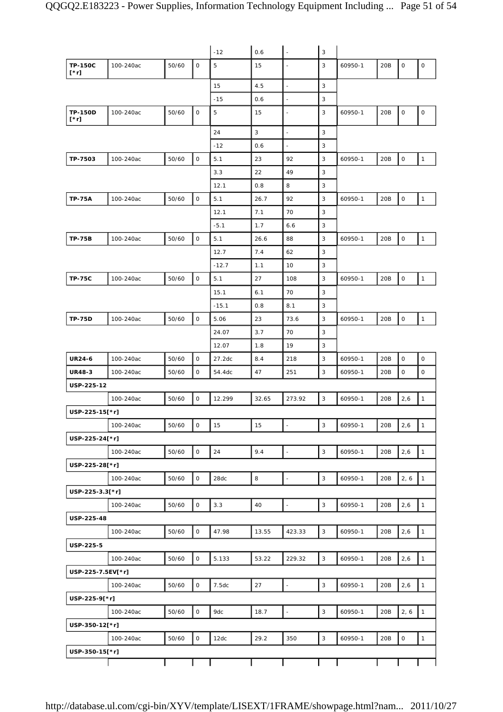|                               |           |       |              | $-12$   | 0.6   | $\overline{\phantom{a}}$ | 3              |         |     |      |              |
|-------------------------------|-----------|-------|--------------|---------|-------|--------------------------|----------------|---------|-----|------|--------------|
| <b>TP-150C</b><br>$[\cdot r]$ | 100-240ac | 50/60 | $\mathbf 0$  | 5       | 15    | $\overline{\phantom{a}}$ | 3              | 60950-1 | 20B | 0    | $\mathsf O$  |
|                               |           |       |              | 15      | 4.5   | $\overline{a}$           | 3              |         |     |      |              |
|                               |           |       |              | $-15$   | 0.6   | $\sim$                   | 3              |         |     |      |              |
| <b>TP-150D</b><br>[*r]        | 100-240ac | 50/60 | $\mathsf O$  | 5       | 15    | $\overline{\phantom{a}}$ | 3              | 60950-1 | 20B | 0    | $\mathsf O$  |
|                               |           |       |              | 24      | 3     | $\overline{\phantom{a}}$ | 3              |         |     |      |              |
|                               |           |       |              | $-12$   | 0.6   | ÷.                       | 3              |         |     |      |              |
| TP-7503                       | 100-240ac | 50/60 | $\mathsf O$  | 5.1     | 23    | 92                       | 3              | 60950-1 | 20B | 0    | $\mathbf{1}$ |
|                               |           |       |              | 3.3     | 22    | 49                       | 3              |         |     |      |              |
|                               |           |       |              | 12.1    | 0.8   | 8                        | 3              |         |     |      |              |
| <b>TP-75A</b>                 | 100-240ac | 50/60 | $\mathsf O$  | 5.1     | 26.7  | 92                       | 3              | 60950-1 | 20B | 0    | $\mathbf{1}$ |
|                               |           |       |              | 12.1    | 7.1   | 70                       | 3              |         |     |      |              |
|                               |           |       |              | $-5.1$  | 1.7   | 6.6                      | 3              |         |     |      |              |
| <b>TP-75B</b>                 | 100-240ac | 50/60 | $\mathsf{O}$ | 5.1     | 26.6  | 88                       | 3              | 60950-1 | 20B | 0    | $\mathbf{1}$ |
|                               |           |       |              | 12.7    | 7.4   | 62                       | 3              |         |     |      |              |
|                               |           |       |              | $-12.7$ | 1.1   | 10                       | 3              |         |     |      |              |
| <b>TP-75C</b>                 | 100-240ac | 50/60 | $\mathsf O$  | 5.1     | 27    | 108                      | 3              | 60950-1 | 20B | 0    | $\mathbf{1}$ |
|                               |           |       |              | 15.1    | 6.1   | 70                       | 3              |         |     |      |              |
|                               |           |       |              | $-15.1$ | 0.8   | 8.1                      | 3              |         |     |      |              |
| <b>TP-75D</b>                 | 100-240ac | 50/60 | $\mathsf O$  | 5.06    | 23    | 73.6                     | 3              | 60950-1 | 20B | 0    | $\mathbf{1}$ |
|                               |           |       |              | 24.07   | 3.7   | 70                       | 3              |         |     |      |              |
|                               |           |       |              | 12.07   | 1.8   | 19                       | 3              |         |     |      |              |
| <b>UR24-6</b>                 | 100-240ac | 50/60 | $\mathsf O$  | 27.2dc  | 8.4   | 218                      | 3              | 60950-1 | 20B | 0    | 0            |
| <b>UR48-3</b>                 | 100-240ac | 50/60 | $\mathsf{O}$ | 54.4dc  | 47    | 251                      | 3              | 60950-1 | 20B | 0    | 0            |
| USP-225-12                    |           |       |              |         |       |                          |                |         |     |      |              |
|                               | 100-240ac | 50/60 | $\mathsf{O}$ | 12.299  | 32.65 | 273.92                   | 3              | 60950-1 | 20B | 2,6  | $\mathbf{1}$ |
| USP-225-15[*r]                |           |       |              |         |       |                          |                |         |     |      |              |
|                               | 100-240ac | 50/60 | 0            | 15      | 15    | $\overline{\phantom{a}}$ | $\sqrt{3}$     | 60950-1 | 20B | 2,6  | $\mathbf{1}$ |
| USP-225-24[*r]                |           |       |              |         |       |                          |                |         |     |      |              |
|                               | 100-240ac | 50/60 | $\mathsf O$  | 24      | 9.4   | $\overline{\phantom{a}}$ | $\mathsf 3$    | 60950-1 | 20B | 2,6  | $\mathbf{1}$ |
| USP-225-28[*r]                |           |       |              |         |       |                          |                |         |     |      |              |
|                               | 100-240ac | 50/60 | $\mathsf O$  | 28dc    | 8     | $\overline{\phantom{a}}$ | $\overline{3}$ | 60950-1 | 20B | 2, 6 | $\mathbf{1}$ |
| USP-225-3.3[*r]               |           |       |              |         |       |                          |                |         |     |      |              |
|                               | 100-240ac | 50/60 | $\mathsf{O}$ | 3.3     | 40    | $\overline{\phantom{a}}$ | 3              | 60950-1 | 20B | 2,6  | $\mathbf{1}$ |
| USP-225-48                    |           |       |              |         |       |                          |                |         |     |      |              |
|                               | 100-240ac | 50/60 | $\mathsf O$  | 47.98   | 13.55 | 423.33                   | 3              | 60950-1 | 20B | 2,6  | $\mathbf{1}$ |
| USP-225-5                     |           |       |              |         |       |                          |                |         |     |      |              |
|                               | 100-240ac | 50/60 | $\mathsf O$  | 5.133   | 53.22 | 229.32                   | $\mathbf{3}$   | 60950-1 | 20B | 2,6  | $\mathbf{1}$ |
| USP-225-7.5EV[*r]             |           |       |              |         |       |                          |                |         |     |      |              |
|                               | 100-240ac | 50/60 | $\mathsf O$  | 7.5dc   | 27    | $\overline{a}$           | $\overline{3}$ | 60950-1 | 20B | 2,6  | $\mathbf{1}$ |
| USP-225-9[*r]                 |           |       |              |         |       |                          |                |         |     |      |              |
|                               | 100-240ac | 50/60 | $\mathsf O$  | 9dc     | 18.7  | $\overline{\phantom{a}}$ | $\overline{3}$ | 60950-1 | 20B | 2, 6 | $\mathbf{1}$ |
| USP-350-12[*r]                |           |       |              |         |       |                          |                |         |     |      |              |
|                               | 100-240ac | 50/60 | $\mathsf{O}$ | 12dc    | 29.2  | 350                      | $\mathsf 3$    | 60950-1 | 20B | 0    | $\mathbf{1}$ |
| USP-350-15[*r]                |           |       |              |         |       |                          |                |         |     |      |              |
|                               |           |       |              |         |       |                          |                |         |     |      |              |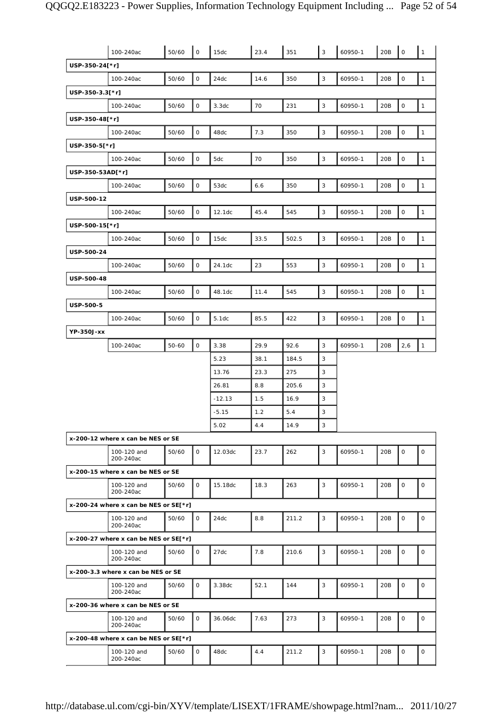|                  | 100-240ac                               | 50/60 | $\mathsf O$         | 15dc     | 23.4 | 351   | 3           | 60950-1 | 20B | $\mathsf O$         | $\mathbf{1}$ |
|------------------|-----------------------------------------|-------|---------------------|----------|------|-------|-------------|---------|-----|---------------------|--------------|
| USP-350-24[*r]   |                                         |       |                     |          |      |       |             |         |     |                     |              |
|                  | 100-240ac                               | 50/60 | $\mathsf{O}\xspace$ | 24dc     | 14.6 | 350   | 3           | 60950-1 | 20B | $\mathsf{O}\xspace$ | $\mathbf{1}$ |
| USP-350-3.3[*r]  |                                         |       |                     |          |      |       |             |         |     |                     |              |
|                  | 100-240ac                               | 50/60 | 0                   | 3.3dc    | 70   | 231   | 3           | 60950-1 | 20B | 0                   | $\mathbf{1}$ |
| USP-350-48[*r]   |                                         |       |                     |          |      |       |             |         |     |                     |              |
|                  | 100-240ac                               | 50/60 | $\mathsf{O}\xspace$ | 48dc     | 7.3  | 350   | $\mathsf 3$ | 60950-1 | 20B | $\mathsf{O}\xspace$ | $\mathbf{1}$ |
| USP-350-5[*r]    |                                         |       |                     |          |      |       |             |         |     |                     |              |
|                  | 100-240ac                               | 50/60 | $\mathsf{O}$        | 5dc      | 70   | 350   | 3           | 60950-1 | 20B | $\mathsf O$         | $\mathbf{1}$ |
| USP-350-53AD[*r] |                                         |       |                     |          |      |       |             |         |     |                     |              |
|                  | 100-240ac                               | 50/60 | 0                   | 53dc     | 6.6  | 350   | 3           | 60950-1 | 20B | $\mathsf{O}\xspace$ | $\mathbf{1}$ |
| USP-500-12       |                                         |       |                     |          |      |       |             |         |     |                     |              |
|                  | 100-240ac                               | 50/60 | 0                   | 12.1dc   | 45.4 | 545   | 3           | 60950-1 | 20B | 0                   | $\mathbf{1}$ |
| USP-500-15[*r]   |                                         |       |                     |          |      |       |             |         |     |                     |              |
|                  | 100-240ac                               | 50/60 | O                   | 15dc     | 33.5 | 502.5 | $\mathsf 3$ | 60950-1 | 20B | $\mathsf{O}\xspace$ | $\mathbf{1}$ |
| USP-500-24       |                                         |       |                     |          |      |       |             |         |     |                     |              |
|                  | 100-240ac                               | 50/60 | 0                   | 24.1dc   | 23   | 553   | 3           | 60950-1 | 20B | $\mathsf{O}\xspace$ | $\mathbf{1}$ |
| USP-500-48       |                                         |       |                     |          |      |       |             |         |     |                     |              |
|                  | 100-240ac                               | 50/60 | $\mathsf{O}$        | 48.1dc   | 11.4 | 545   | 3           | 60950-1 | 20B | $\mathsf{O}\xspace$ | $\mathbf{1}$ |
| USP-500-5        |                                         |       |                     |          |      |       |             |         |     |                     |              |
|                  | 100-240ac                               | 50/60 | 0                   | 5.1dc    | 85.5 | 422   | 3           | 60950-1 | 20B | 0                   | $\mathbf{1}$ |
| YP-350J-xx       |                                         |       |                     |          |      |       |             |         |     |                     |              |
|                  | 100-240ac                               | 50-60 | $\mathsf{O}\xspace$ | 3.38     | 29.9 | 92.6  | 3           | 60950-1 | 20B | 2,6                 | $\mathbf{1}$ |
|                  |                                         |       |                     | 5.23     | 38.1 | 184.5 | 3           |         |     |                     |              |
|                  |                                         |       |                     | 13.76    | 23.3 | 275   | 3           |         |     |                     |              |
|                  |                                         |       |                     | 26.81    | 8.8  | 205.6 | 3           |         |     |                     |              |
|                  |                                         |       |                     | $-12.13$ | 1.5  | 16.9  | 3           |         |     |                     |              |
|                  |                                         |       |                     | $-5.15$  | 1.2  | 5.4   | 3           |         |     |                     |              |
|                  |                                         |       |                     | 5.02     | 4.4  | 14.9  | 3           |         |     |                     |              |
|                  | x-200-12 where x can be NES or SE       |       |                     |          |      |       |             |         |     |                     |              |
|                  | 100-120 and<br>200-240ac                | 50/60 | $\mathsf{O}$        | 12.03dc  | 23.7 | 262   | 3           | 60950-1 | 20B | 0                   | $\mathbf 0$  |
|                  | x-200-15 where x can be NES or SE       |       |                     |          |      |       |             |         |     |                     |              |
|                  | 100-120 and<br>200-240ac                | 50/60 | 0                   | 15.18dc  | 18.3 | 263   | 3           | 60950-1 | 20B | $\mathsf O$         | 0            |
|                  | x-200-24 where x can be NES or $SE[*r]$ |       |                     |          |      |       |             |         |     |                     |              |
|                  | 100-120 and<br>200-240ac                | 50/60 | 0                   | 24dc     | 8.8  | 211.2 | 3           | 60950-1 | 20B | $\mathsf O$         | $\mathsf O$  |
|                  | x-200-27 where x can be NES or $SE[*r]$ |       |                     |          |      |       |             |         |     |                     |              |
|                  | 100-120 and<br>200-240ac                | 50/60 | $\mathsf{O}$        | 27dc     | 7.8  | 210.6 | 3           | 60950-1 | 20B | $\mathsf{O}$        | 0            |
|                  | x-200-3.3 where x can be NES or SE      |       |                     |          |      |       |             |         |     |                     |              |
|                  | 100-120 and<br>200-240ac                | 50/60 | 0                   | 3.38dc   | 52.1 | 144   | 3           | 60950-1 | 20B | $\mathsf O$         | 0            |
|                  | x-200-36 where x can be NES or SE       |       |                     |          |      |       |             |         |     |                     |              |
|                  | 100-120 and<br>200-240ac                | 50/60 | 0                   | 36.06dc  | 7.63 | 273   | 3           | 60950-1 | 20B | $\mathsf O$         | $\mathsf O$  |
|                  | x-200-48 where x can be NES or SE[*r]   |       |                     |          |      |       |             |         |     |                     |              |
|                  | 100-120 and<br>200-240ac                | 50/60 | 0                   | 48dc     | 4.4  | 211.2 | 3           | 60950-1 | 20B | $\mathsf O$         | 0            |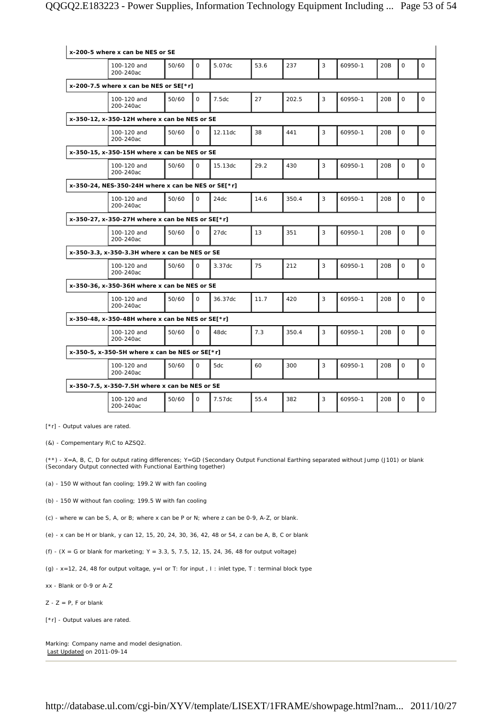| x-200-5 where x can be NES or SE                   |       |              |         |      |       |   |         |                 |              |              |
|----------------------------------------------------|-------|--------------|---------|------|-------|---|---------|-----------------|--------------|--------------|
| 100-120 and<br>200-240ac                           | 50/60 | $\Omega$     | 5.07dc  | 53.6 | 237   | 3 | 60950-1 | 20 <sub>B</sub> | $\Omega$     | $\Omega$     |
| x-200-7.5 where x can be NES or SE[ $*$ r]         |       |              |         |      |       |   |         |                 |              |              |
| 100-120 and<br>200-240ac                           | 50/60 | $\mathbf 0$  | 7.5dc   | 27   | 202.5 | 3 | 60950-1 | 20B             | $\mathsf{O}$ | $\mathsf O$  |
| x-350-12, x-350-12H where x can be NES or SE       |       |              |         |      |       |   |         |                 |              |              |
| 100-120 and<br>200-240ac                           | 50/60 | $\Omega$     | 12.11dc | 38   | 441   | 3 | 60950-1 | 20B             | $\mathsf{O}$ | $\mathbf 0$  |
| x-350-15, x-350-15H where x can be NES or SE       |       |              |         |      |       |   |         |                 |              |              |
| 100-120 and<br>200-240ac                           | 50/60 | $\mathsf{O}$ | 15.13dc | 29.2 | 430   | 3 | 60950-1 | 20B             | $\mathsf{O}$ | $\mathbf 0$  |
| x-350-24, NES-350-24H where x can be NES or SE[*r] |       |              |         |      |       |   |         |                 |              |              |
| 100-120 and<br>200-240ac                           | 50/60 | $\Omega$     | 24dc    | 14.6 | 350.4 | 3 | 60950-1 | 20B             | $\mathsf{O}$ | $\mathbf 0$  |
| x-350-27, x-350-27H where x can be NES or SE[*r]   |       |              |         |      |       |   |         |                 |              |              |
| 100-120 and<br>200-240ac                           | 50/60 | $\Omega$     | 27dc    | 13   | 351   | 3 | 60950-1 | 20B             | $\Omega$     | $\Omega$     |
| x-350-3.3, x-350-3.3H where x can be NES or SE     |       |              |         |      |       |   |         |                 |              |              |
| 100-120 and<br>200-240ac                           | 50/60 | $\Omega$     | 3.37dc  | 75   | 212   | 3 | 60950-1 | 20B             | 0            | $\mathbf{O}$ |
| x-350-36, x-350-36H where x can be NES or SE       |       |              |         |      |       |   |         |                 |              |              |
| 100-120 and<br>200-240ac                           | 50/60 | $\Omega$     | 36.37dc | 11.7 | 420   | 3 | 60950-1 | 20B             | $\mathsf{O}$ | $\mathbf 0$  |
| x-350-48, x-350-48H where x can be NES or SE[*r]   |       |              |         |      |       |   |         |                 |              |              |
| 100-120 and<br>200-240ac                           | 50/60 | $\mathbf 0$  | 48dc    | 7.3  | 350.4 | 3 | 60950-1 | 20B             | 0            | $\mathbf 0$  |
| x-350-5, x-350-5H where x can be NES or SE[ $*$ r] |       |              |         |      |       |   |         |                 |              |              |
| 100-120 and<br>200-240ac                           | 50/60 | $\Omega$     | 5dc     | 60   | 300   | 3 | 60950-1 | 20B             | $\mathsf{O}$ | $\Omega$     |
| x-350-7.5, x-350-7.5H where x can be NES or SE     |       |              |         |      |       |   |         |                 |              |              |
| 100-120 and<br>200-240ac                           | 50/60 | $\mathbf{O}$ | 7.57dc  | 55.4 | 382   | 3 | 60950-1 | 20B             | 0            | $\mathbf 0$  |

[\*r] - Output values are rated.

(&) - Compementary R\C to AZSQ2.

(\*\*) - X=A, B, C, D for output rating differences; Y=GD (Secondary Output Functional Earthing separated without Jump (J101) or blank (Secondary Output connected with Functional Earthing together)

(a) - 150 W without fan cooling; 199.2 W with fan cooling

(b) - 150 W without fan cooling; 199.5 W with fan cooling

(c) - where w can be S, A, or B; where x can be P or N; where z can be 0-9, A-Z, or blank.

(e) - x can be H or blank, y can 12, 15, 20, 24, 30, 36, 42, 48 or 54, z can be A, B, C or blank

(f) -  $(X = G \text{ or blank for marketing}; Y = 3.3, 5, 7.5, 12, 15, 24, 36, 48 \text{ for output voltage})$ 

(g) - x=12, 24, 48 for output voltage, y=I or T: for input , I : inlet type, T : terminal block type

xx - Blank or 0-9 or A-Z

 $Z - Z = P$ , F or blank

[\*r] - Output values are rated.

Marking: Company name and model designation. Last Updated on 2011-09-14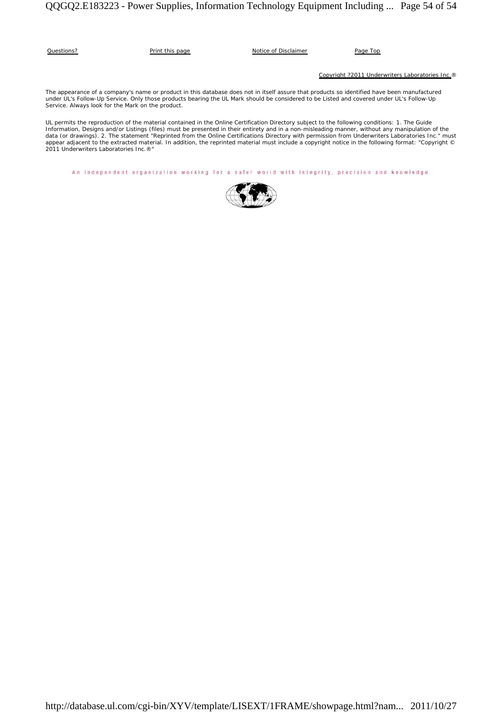| Questions? | Print this page | Notice of Disclaimer | Page Top |
|------------|-----------------|----------------------|----------|
|            |                 |                      |          |

Copyright ?2011 Underwriters Laboratories Inc.®

The appearance of a company's name or product in this database does not in itself assure that products so identified have been manufactured under UL's Follow-Up Service. Only those products bearing the UL Mark should be considered to be Listed and covered under UL's Follow-Up Service. Always look for the Mark on the product.

UL permits the reproduction of the material contained in the Online Certification Directory subject to the following conditions: 1. The Guide Information, Designs and/or Listings (files) must be presented in their entirety and in a non-misleading manner, without any manipulation of the<br>data (or drawings). 2. The statement "Reprinted from the Online Certification able a copyright notice in the following format: "Copyright" communications were reprinted material must include a copyright notice in the following format: "Copyright" © 2011 Underwriters Laboratories Inc.®"

An independent organization working for a safer world with integrity, precision and knowledge.

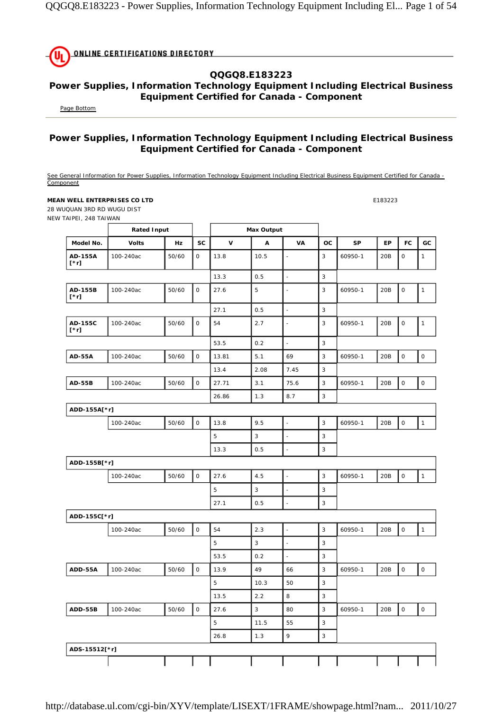| UL ONLINE CERTIFICATIONS DIRECTORY |  |
|------------------------------------|--|
|                                    |  |

### **QQGQ8.E183223**

#### **Power Supplies, Information Technology Equipment Including Electrical Business Equipment Certified for Canada - Component**

Page Bottom

### **Power Supplies, Information Technology Equipment Including Electrical Business Equipment Certified for Canada - Component**

See General Information for Power Supplies, Information Technology Equipment Including Electrical Business Equipment Certified for Canada -Component

**MEAN WELL ENTERPRISES CO LTD** E183223

28 WUQUAN 3RD RD WUGU DIST NEW TAIPEI, 248 TAIWAN

|                        | <b>Rated Input</b> |       |             | <b>Max Output</b> |              |                          |                           |           |           |             |                     |
|------------------------|--------------------|-------|-------------|-------------------|--------------|--------------------------|---------------------------|-----------|-----------|-------------|---------------------|
| Model No.              | <b>Volts</b>       | Hz    | <b>SC</b>   | $\mathbf v$       | Α            | VA                       | ОC                        | <b>SP</b> | <b>EP</b> | <b>FC</b>   | GC                  |
| AD-155A<br>$[\cdot r]$ | 100-240ac          | 50/60 | $\mathsf O$ | 13.8              | 10.5         | $\overline{\phantom{a}}$ | 3                         | 60950-1   | 20B       | $\mathsf O$ | $\mathbf{1}$        |
|                        |                    |       |             | 13.3              | 0.5          | $\overline{\phantom{a}}$ | 3                         |           |           |             |                     |
| AD-155B<br>$[\cdot r]$ | 100-240ac          | 50/60 | $\mathsf O$ | 27.6              | 5            | $\blacksquare$           | 3                         | 60950-1   | 20B       | $\mathsf O$ | $\mathbf{1}$        |
|                        |                    |       |             | 27.1              | 0.5          | $\blacksquare$           | 3                         |           |           |             |                     |
| AD-155C<br>$[\cdot r]$ | 100-240ac          | 50/60 | $\mathsf O$ | 54                | 2.7          | $\overline{\phantom{a}}$ | 3                         | 60950-1   | 20B       | $\mathsf O$ | $\mathbf{1}$        |
|                        |                    |       |             | 53.5              | 0.2          | $\overline{\phantom{a}}$ | 3                         |           |           |             |                     |
| <b>AD-55A</b>          | 100-240ac          | 50/60 | $\mathsf O$ | 13.81             | 5.1          | 69                       | 3                         | 60950-1   | 20B       | $\mathsf O$ | 0                   |
|                        |                    |       |             | 13.4              | 2.08         | 7.45                     | 3                         |           |           |             |                     |
| <b>AD-55B</b>          | 100-240ac          | 50/60 | $\mathsf O$ | 27.71             | 3.1          | 75.6                     | 3                         | 60950-1   | 20B       | $\mathsf O$ | $\mathsf{O}\xspace$ |
|                        |                    |       |             | 26.86             | 1.3          | 8.7                      | 3                         |           |           |             |                     |
| ADD-155A[*r]           |                    |       |             |                   |              |                          |                           |           |           |             |                     |
|                        | 100-240ac          | 50/60 | $\mathsf O$ | 13.8              | 9.5          | $\overline{\phantom{a}}$ | 3                         | 60950-1   | 20B       | $\mathsf O$ | $\mathbf{1}$        |
|                        |                    |       |             | 5                 | 3            | ÷,                       | 3                         |           |           |             |                     |
|                        |                    |       |             | 13.3              | 0.5          | $\ddot{\phantom{a}}$     | 3                         |           |           |             |                     |
| ADD-155B[*r]           |                    |       |             |                   |              |                          |                           |           |           |             |                     |
|                        | 100-240ac          | 50/60 | $\mathsf O$ | 27.6              | 4.5          | $\overline{\phantom{a}}$ | 3                         | 60950-1   | 20B       | $\mathsf O$ | $\mathbf{1}$        |
|                        |                    |       |             | 5                 | $\mathbf{3}$ | $\blacksquare$           | 3                         |           |           |             |                     |
|                        |                    |       |             | 27.1              | 0.5          | $\overline{\phantom{a}}$ | 3                         |           |           |             |                     |
| ADD-155C[*r]           |                    |       |             |                   |              |                          |                           |           |           |             |                     |
|                        | 100-240ac          | 50/60 | $\mathsf O$ | 54                | 2.3          | $\overline{\phantom{a}}$ | 3                         | 60950-1   | 20B       | $\mathsf O$ | $\mathbf{1}$        |
|                        |                    |       |             | 5                 | 3            | ÷,                       | 3                         |           |           |             |                     |
|                        |                    |       |             | 53.5              | 0.2          | $\Box$                   | 3                         |           |           |             |                     |
| ADD-55A                | 100-240ac          | 50/60 | $\mathsf O$ | 13.9              | 49           | 66                       | 3                         | 60950-1   | 20B       | $\mathsf O$ | $\mathsf O$         |
|                        |                    |       |             | 5                 | 10.3         | 50                       | 3                         |           |           |             |                     |
|                        |                    |       |             | 13.5              | 2.2          | 8                        | 3                         |           |           |             |                     |
| ADD-55B                | 100-240ac          | 50/60 | $\mathsf O$ | 27.6              | $\sqrt{3}$   | 80                       | 3                         | 60950-1   | 20B       | $\mathsf O$ | $\mathsf O$         |
|                        |                    |       |             | 5                 | 11.5         | 55                       | 3                         |           |           |             |                     |
|                        |                    |       |             | 26.8              | 1.3          | $\mathsf{q}$             | $\ensuremath{\mathsf{3}}$ |           |           |             |                     |
| ADS-15512[*r]          |                    |       |             |                   |              |                          |                           |           |           |             |                     |
|                        |                    |       |             |                   |              |                          |                           |           |           |             |                     |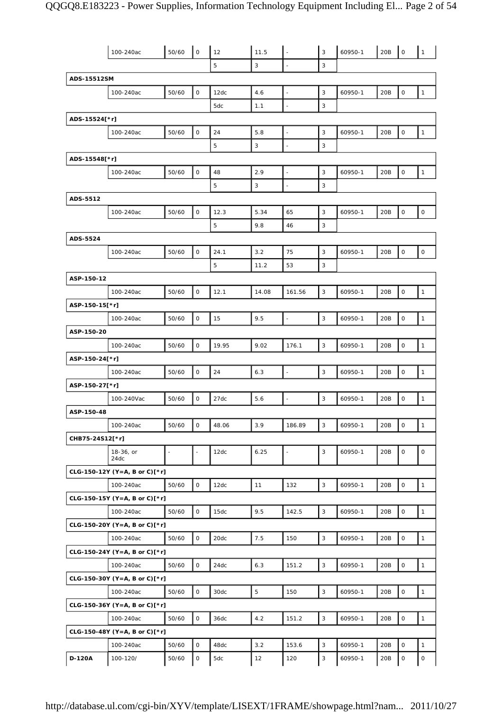|                 | 100-240ac                     | 50/60          | $\mathsf O$         | 12    | 11.5        |                          | 3                         | 60950-1 | 20B | $\mathsf O$         | $\mathbf{1}$ |
|-----------------|-------------------------------|----------------|---------------------|-------|-------------|--------------------------|---------------------------|---------|-----|---------------------|--------------|
|                 |                               |                |                     | 5     | 3           | $\blacksquare$           | 3                         |         |     |                     |              |
| ADS-15512SM     |                               |                |                     |       |             |                          |                           |         |     |                     |              |
|                 | 100-240ac                     | 50/60          | $\mathsf O$         | 12dc  | 4.6         | $\overline{a}$           | $\overline{3}$            | 60950-1 | 20B | $\mathsf O$         | $\mathbf{1}$ |
|                 |                               |                |                     | 5dc   | 1.1         |                          | 3                         |         |     |                     |              |
| ADS-15524[*r]   |                               |                |                     |       |             |                          |                           |         |     |                     |              |
|                 | 100-240ac                     | 50/60          | $\mathsf O$         | 24    | 5.8         | $\overline{\phantom{a}}$ | 3                         | 60950-1 | 20B | 0                   | $\mathbf{1}$ |
|                 |                               |                |                     | 5     | 3           | ÷,                       | 3                         |         |     |                     |              |
| ADS-15548[*r]   |                               |                |                     |       |             |                          |                           |         |     |                     |              |
|                 | 100-240ac                     | 50/60          | $\mathsf O$         | 48    | 2.9         | $\overline{\phantom{a}}$ | 3                         | 60950-1 | 20B | $\mathsf O$         | $\mathbf{1}$ |
|                 |                               |                |                     | 5     | $\sqrt{3}$  | ÷,                       | 3                         |         |     |                     |              |
| ADS-5512        |                               |                |                     |       |             |                          |                           |         |     |                     |              |
|                 | 100-240ac                     | 50/60          | $\mathsf O$         | 12.3  | 5.34        | 65                       | 3                         | 60950-1 | 20B | 0                   | $\mathsf O$  |
|                 |                               |                |                     | 5     | 9.8         | 46                       | 3                         |         |     |                     |              |
| ADS-5524        |                               |                |                     |       |             |                          |                           |         |     |                     |              |
|                 | 100-240ac                     | 50/60          | $\mathsf O$         | 24.1  | 3.2         | 75                       | 3                         | 60950-1 | 20B | $\mathsf O$         | $\mathsf O$  |
|                 |                               |                |                     | 5     | 11.2        | 53                       | 3                         |         |     |                     |              |
| ASP-150-12      |                               |                |                     |       |             |                          |                           |         |     |                     |              |
|                 | 100-240ac                     | 50/60          | $\mathsf O$         | 12.1  | 14.08       | 161.56                   | 3                         | 60950-1 | 20B | $\mathsf O$         | $\mathbf{1}$ |
| ASP-150-15[*r]  |                               |                |                     |       |             |                          |                           |         |     |                     |              |
|                 | 100-240ac                     | 50/60          | $\mathsf{O}$        | 15    | 9.5         | $\overline{a}$           | 3                         | 60950-1 | 20B | 0                   | $\mathbf{1}$ |
| ASP-150-20      |                               |                |                     |       |             |                          |                           |         |     |                     |              |
|                 | 100-240ac                     | 50/60          | $\mathsf O$         | 19.95 | 9.02        | 176.1                    | 3                         | 60950-1 | 20B | 0                   | $\mathbf{1}$ |
| ASP-150-24[*r]  |                               |                |                     |       |             |                          |                           |         |     |                     |              |
|                 | 100-240ac                     | 50/60          | $\mathsf O$         | 24    | 6.3         | $\overline{a}$           | 3                         | 60950-1 | 20B | 0                   | $\mathbf{1}$ |
| ASP-150-27[*r]  |                               |                |                     |       |             |                          |                           |         |     |                     |              |
|                 | 100-240Vac                    | 50/60          | $\mathsf O$         | 27dc  | 5.6         | $\overline{a}$           | 3                         | 60950-1 | 20B | 0                   | $\mathbf{1}$ |
| ASP-150-48      |                               |                |                     |       |             |                          |                           |         |     |                     |              |
|                 | 100-240ac                     | 50/60          | 0                   | 48.06 | 3.9         | 186.89                   | 3                         | 60950-1 | 20B | 0                   | $\mathbf{1}$ |
| CHB75-24S12[*r] |                               |                |                     |       |             |                          |                           |         |     |                     |              |
|                 | 18-36, or<br>24dc             | $\blacksquare$ | $\blacksquare$      | 12dc  | 6.25        | $\overline{\phantom{a}}$ | $\mathsf 3$               | 60950-1 | 20B | $\mathsf{O}\xspace$ | 0            |
|                 | CLG-150-12Y (Y=A, B or C)[*r] |                |                     |       |             |                          |                           |         |     |                     |              |
|                 | 100-240ac                     | 50/60          | $\mathsf O$         | 12dc  | 11          | 132                      | $\mathsf 3$               | 60950-1 | 20B | 0                   | $\mathbf{1}$ |
|                 | CLG-150-15Y (Y=A, B or C)[*r] |                |                     |       |             |                          |                           |         |     |                     |              |
|                 | 100-240ac                     | 50/60          | $\mathsf{O}$        | 15dc  | 9.5         | 142.5                    | 3                         | 60950-1 | 20B | $\mathsf{O}\xspace$ | $\mathbf{1}$ |
|                 | CLG-150-20Y (Y=A, B or C)[*r] |                |                     |       |             |                          |                           |         |     |                     |              |
|                 | 100-240ac                     | 50/60          | $\mathsf{O}\xspace$ | 20dc  | 7.5         | 150                      | $\sqrt{3}$                | 60950-1 | 20B | $\mathsf O$         | $\mathbf{1}$ |
|                 | CLG-150-24Y (Y=A, B or C)[*r] |                |                     |       |             |                          |                           |         |     |                     |              |
|                 | 100-240ac                     | 50/60          | $\mathsf O$         | 24dc  | 6.3         | 151.2                    | $\mathsf 3$               | 60950-1 | 20B | 0                   | $\mathbf{1}$ |
|                 | CLG-150-30Y (Y=A, B or C)[*r] |                |                     |       |             |                          |                           |         |     |                     |              |
|                 | 100-240ac                     | 50/60          | $\mathsf O$         | 30dc  | $\mathbf 5$ | 150                      | $\mathsf 3$               | 60950-1 | 20B | $\mathsf{O}\xspace$ | $\mathbf{1}$ |
|                 | CLG-150-36Y (Y=A, B or C)[*r] |                |                     |       |             |                          |                           |         |     |                     |              |
|                 | 100-240ac                     | 50/60          | $\mathsf{O}$        | 36dc  | 4.2         | 151.2                    | $\mathsf 3$               | 60950-1 | 20B | 0                   | $\mathbf{1}$ |
|                 | CLG-150-48Y (Y=A, B or C)[*r] |                |                     |       |             |                          |                           |         |     |                     |              |
|                 |                               |                | $\mathsf O$         |       |             |                          | $\mathsf 3$               |         |     |                     |              |
|                 | 100-240ac                     | 50/60          |                     | 48dc  | 3.2         | 153.6                    |                           | 60950-1 | 20B | 0                   | $\mathbf{1}$ |
| D-120A          | 100-120/                      | 50/60          | $\mathsf O$         | 5dc   | 12          | 120                      | $\ensuremath{\mathsf{3}}$ | 60950-1 | 20B | $\mathsf{O}\xspace$ | 0            |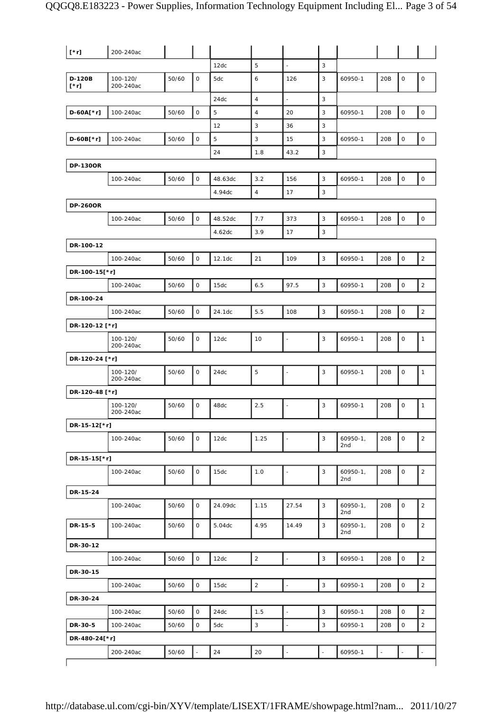| $[\cdot r]$     | 200-240ac             |       |                     |         |                |                          |             |                      |                |                     |                     |
|-----------------|-----------------------|-------|---------------------|---------|----------------|--------------------------|-------------|----------------------|----------------|---------------------|---------------------|
|                 |                       |       |                     | 12dc    | 5              | $\frac{1}{2}$            | 3           |                      |                |                     |                     |
| D-120B<br>[*r]  | 100-120/<br>200-240ac | 50/60 | 0                   | 5dc     | 6              | 126                      | 3           | 60950-1              | 20B            | 0                   | 0                   |
|                 |                       |       |                     | 24dc    | $\overline{4}$ | L,                       | 3           |                      |                |                     |                     |
| $D-60A[*r]$     | 100-240ac             | 50/60 | $\mathsf{O}\xspace$ | 5       | $\sqrt{4}$     | 20                       | $\sqrt{3}$  | 60950-1              | 20B            | $\mathsf{O}\xspace$ | $\mathsf{O}\xspace$ |
|                 |                       |       |                     | 12      | 3              | 36                       | 3           |                      |                |                     |                     |
| D-60B[*r]       | 100-240ac             | 50/60 | $\mathsf O$         | 5       | 3              | 15                       | 3           | 60950-1              | 20B            | $\mathsf{O}\xspace$ | $\mathsf O$         |
|                 |                       |       |                     | 24      | 1.8            | 43.2                     | 3           |                      |                |                     |                     |
| <b>DP-1300R</b> |                       |       |                     |         |                |                          |             |                      |                |                     |                     |
|                 | 100-240ac             | 50/60 | 0                   | 48.63dc | 3.2            | 156                      | 3           | 60950-1              | 20B            | $\mathsf O$         | $\mathsf O$         |
|                 |                       |       |                     | 4.94dc  | $\sqrt{4}$     | 17                       | 3           |                      |                |                     |                     |
| <b>DP-260OR</b> |                       |       |                     |         |                |                          |             |                      |                |                     |                     |
|                 | 100-240ac             | 50/60 | 0                   | 48.52dc | $7.7\,$        | 373                      | $\mathsf 3$ | 60950-1              | 20B            | $\mathsf{O}\xspace$ | $\mathsf O$         |
|                 |                       |       |                     | 4.62dc  | 3.9            | 17                       | 3           |                      |                |                     |                     |
| DR-100-12       |                       |       |                     |         |                |                          |             |                      |                |                     |                     |
|                 | 100-240ac             | 50/60 | 0                   | 12.1dc  | 21             | 109                      | $\mathsf 3$ | 60950-1              | 20B            | $\mathsf{O}\xspace$ | $\overline{2}$      |
| DR-100-15[*r]   |                       |       |                     |         |                |                          |             |                      |                |                     |                     |
|                 | 100-240ac             | 50/60 | 0                   | 15dc    | 6.5            | 97.5                     | 3           | 60950-1              | 20B            | $\mathsf{O}\xspace$ | $\overline{2}$      |
| DR-100-24       |                       |       |                     |         |                |                          |             |                      |                |                     |                     |
|                 | 100-240ac             | 50/60 | $\mathsf O$         | 24.1dc  | 5.5            | 108                      | 3           | 60950-1              | 20B            | $\mathsf{O}$        | 2                   |
| DR-120-12 [*r]  |                       |       |                     |         |                |                          |             |                      |                |                     |                     |
|                 | 100-120/<br>200-240ac | 50/60 | 0                   | 12dc    | 10             | ÷,                       | 3           | 60950-1              | 20B            | $\mathsf O$         | $\mathbf{1}$        |
| DR-120-24 [*r]  |                       |       |                     |         |                |                          |             |                      |                |                     |                     |
|                 | 100-120/<br>200-240ac | 50/60 | 0                   | 24dc    | 5              |                          | 3           | 60950-1              | 20B            | 0                   | 1                   |
| DR-120-48 [*r]  |                       |       |                     |         |                |                          |             |                      |                |                     |                     |
|                 | 100-120/<br>200-240ac | 50/60 | 0                   | 48dc    | 2.5            | $\overline{\phantom{a}}$ | 3           | 60950-1              | 20B            | $\mathsf O$         | $\mathbf{1}$        |
| DR-15-12[*r]    |                       |       |                     |         |                |                          |             |                      |                |                     |                     |
|                 | 100-240ac             | 50/60 | 0                   | 12dc    | 1.25           | ÷,                       | $\mathsf 3$ | $60950 - 1,$<br>2nd  | 20B            | 0                   | $\overline{2}$      |
| DR-15-15[*r]    |                       |       |                     |         |                |                          |             |                      |                |                     |                     |
|                 | 100-240ac             | 50/60 | $\mathsf O$         | 15dc    | 1.0            | $\frac{1}{2}$            | $\sqrt{3}$  | $60950 - 1$ ,<br>2nd | 20B            | $\mathsf{O}\xspace$ | $\overline{2}$      |
| DR-15-24        |                       |       |                     |         |                |                          |             |                      |                |                     |                     |
|                 | 100-240ac             | 50/60 | 0                   | 24.09dc | 1.15           | 27.54                    | 3           | $60950-1,$<br>2nd    | 20B            | 0                   | $\overline{2}$      |
| DR-15-5         | 100-240ac             | 50/60 | 0                   | 5.04dc  | 4.95           | 14.49                    | 3           | $60950-1,$<br>2nd    | 20B            | 0                   | $\overline{2}$      |
| DR-30-12        |                       |       |                     |         |                |                          |             |                      |                |                     |                     |
|                 | 100-240ac             | 50/60 | $\mathsf{O}\xspace$ | 12dc    | $\sqrt{2}$     | $\overline{a}$           | $\sqrt{3}$  | 60950-1              | 20B            | $\mathsf{O}\xspace$ | $\overline{2}$      |
| DR-30-15        |                       |       |                     |         |                |                          |             |                      |                |                     |                     |
|                 | 100-240ac             | 50/60 | $\mathsf{O}$        | 15dc    | $\sqrt{2}$     | L,                       | 3           | 60950-1              | 20B            | $\mathsf O$         | $\overline{2}$      |
| DR-30-24        |                       |       |                     |         |                |                          |             |                      |                |                     |                     |
|                 | 100-240ac             | 50/60 | $\mathsf{O}\xspace$ | 24dc    | 1.5            | $\frac{1}{2}$            | $\sqrt{3}$  | 60950-1              | 20B            | 0                   | $\overline{2}$      |
| DR-30-5         | 100-240ac             | 50/60 | 0                   | 5dc     | $\mathbf{3}$   |                          | 3           | 60950-1              | 20B            | $\mathsf{O}\xspace$ | $\overline{2}$      |
| DR-480-24[*r]   |                       |       |                     |         |                |                          |             |                      |                |                     |                     |
|                 | 200-240ac             | 50/60 |                     | 24      | 20             | $\overline{a}$           |             | 60950-1              | $\blacksquare$ |                     |                     |
|                 |                       |       |                     |         |                |                          |             |                      |                |                     |                     |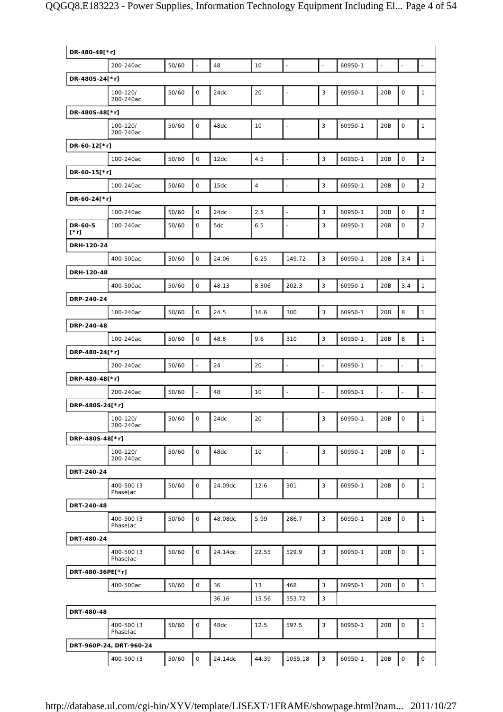## QQGQ8.E183223 - Power Supplies, Information Technology Equipment Including El... Page 4 of 54

| DR-480-48[*r]      |                          |       |                |         |                |                          |                |         |                          |                     |                |
|--------------------|--------------------------|-------|----------------|---------|----------------|--------------------------|----------------|---------|--------------------------|---------------------|----------------|
|                    | 200-240ac                | 50/60 | $\Box$         | 48      | 10             | $\Box$                   | $\Box$         | 60950-1 | $\overline{\phantom{a}}$ | $\Box$              | $\Box$         |
| DR-480S-24[*r]     |                          |       |                |         |                |                          |                |         |                          |                     |                |
|                    | 100-120/<br>200-240ac    | 50/60 | 0              | 24dc    | 20             | $\blacksquare$           | 3              | 60950-1 | 20B                      | 0                   | $\mathbf{1}$   |
| DR-480S-48[*r]     |                          |       |                |         |                |                          |                |         |                          |                     |                |
|                    | 100-120/<br>200-240ac    | 50/60 | 0              | 48dc    | 10             | $\blacksquare$           | 3              | 60950-1 | 20B                      | $\mathsf O$         | $\mathbf{1}$   |
| DR-60-12[*r]       |                          |       |                |         |                |                          |                |         |                          |                     |                |
|                    | 100-240ac                | 50/60 | $\mathsf O$    | 12dc    | 4.5            | $\blacksquare$           | 3              | 60950-1 | 20B                      | $\mathsf O$         | $\sqrt{2}$     |
| DR-60-15[*r]       |                          |       |                |         |                |                          |                |         |                          |                     |                |
|                    | 100-240ac                | 50/60 | 0              | 15dc    | $\overline{4}$ | $\blacksquare$           | 3              | 60950-1 | 20B                      | $\mathsf O$         | $\overline{c}$ |
| DR-60-24[*r]       |                          |       |                |         |                |                          |                |         |                          |                     |                |
|                    | 100-240ac                | 50/60 | $\mathsf O$    | 24dc    | 2.5            | $\blacksquare$           | 3              | 60950-1 | 20B                      | $\mathsf O$         | $\mathbf 2$    |
| DR-60-5<br>$[^*r]$ | 100-240ac                | 50/60 | 0              | 5dc     | 6.5            | $\overline{\phantom{a}}$ | 3              | 60950-1 | 20B                      | 0                   | $\overline{c}$ |
| DRH-120-24         |                          |       |                |         |                |                          |                |         |                          |                     |                |
|                    | 400-500ac                | 50/60 | $\mathsf O$    | 24.06   | 6.25           | 149.72                   | 3              | 60950-1 | 20B                      | 3,4                 | $\mathbf{1}$   |
| DRH-120-48         |                          |       |                |         |                |                          |                |         |                          |                     |                |
|                    | 400-500ac                | 50/60 | $\mathsf O$    | 48.13   | 8.306          | 202.3                    | 3              | 60950-1 | 20B                      | 3,4                 | $\mathbf{1}$   |
| DRP-240-24         |                          |       |                |         |                |                          |                |         |                          |                     |                |
|                    | 100-240ac                | 50/60 | $\mathsf O$    | 24.5    | 16.6           | 300                      | 3              | 60950-1 | 20B                      | 8                   | $\mathbf{1}$   |
| DRP-240-48         |                          |       |                |         |                |                          |                |         |                          |                     |                |
|                    | 100-240ac                | 50/60 | $\mathsf O$    | 48.8    | 9.6            | 310                      | $\mathsf 3$    | 60950-1 | 20B                      | 8                   | $\mathbf{1}$   |
| DRP-480-24[*r]     |                          |       |                |         |                |                          |                |         |                          |                     |                |
|                    | 200-240ac                | 50/60 | ÷,             | 24      | 20             | $\overline{\phantom{a}}$ | $\Box$         | 60950-1 | $\overline{a}$           |                     |                |
| DRP-480-48[*r]     |                          |       |                |         |                |                          |                |         |                          |                     |                |
|                    | 200-240ac                | 50/60 | $\blacksquare$ | 48      | 10             | $\blacksquare$           | $\blacksquare$ | 60950-1 | $\blacksquare$           | $\blacksquare$      | $\blacksquare$ |
| DRP-480S-24[*r]    |                          |       |                |         |                |                          |                |         |                          |                     |                |
|                    | 100-120/<br>200-240ac    | 50/60 | $\mathbf 0$    | 24dc    | 20             | $\blacksquare$           | 3              | 60950-1 | 20B                      | $\mathsf O$         | $\mathbf{1}$   |
| DRP-480S-48[*r]    |                          |       |                |         |                |                          |                |         |                          |                     |                |
|                    | 100-120/<br>200-240ac    | 50/60 | $\mathbf 0$    | 48dc    | 10             | $\blacksquare$           | 3              | 60950-1 | 20B                      | $\mathsf O$         | $\mathbf{1}$   |
| DRT-240-24         |                          |       |                |         |                |                          |                |         |                          |                     |                |
|                    | 400-500 (3)<br>Phase)ac  | 50/60 | $\mathsf{O}$   | 24.09dc | 12.6           | 301                      | 3              | 60950-1 | 20B                      | 0                   | $\mathbf{1}$   |
| DRT-240-48         |                          |       |                |         |                |                          |                |         |                          |                     |                |
|                    | 400-500 (3)<br>Phase) ac | 50/60 | $\mathsf{O}$   | 48.08dc | 5.99           | 286.7                    | 3              | 60950-1 | 20B                      | 0                   | $\mathbf{1}$   |
| DRT-480-24         |                          |       |                |         |                |                          |                |         |                          |                     |                |
|                    | 400-500 (3)<br>Phase)ac  | 50/60 | $\mathbf 0$    | 24.14dc | 22.55          | 529.9                    | 3              | 60950-1 | 20B                      | 0                   | $\mathbf{1}$   |
| DRT-480-36PE[*r]   |                          |       |                |         |                |                          |                |         |                          |                     |                |
|                    | 400-500ac                | 50/60 | $\mathsf{O}$   | 36      | 13             | 468                      | 3              | 60950-1 | 20B                      | $\mathsf{O}$        | $\mathbf{1}$   |
|                    |                          |       |                | 36.16   | 15.56          | 553.72                   | 3              |         |                          |                     |                |
| DRT-480-48         |                          |       |                |         |                |                          |                |         |                          |                     |                |
|                    | 400-500 (3)<br>Phase) ac | 50/60 | $\mathsf{O}$   | 48dc    | 12.5           | 597.5                    | 3              | 60950-1 | 20B                      | 0                   | $\mathbf{1}$   |
|                    | DRT-960P-24, DRT-960-24  |       |                |         |                |                          |                |         |                          |                     |                |
|                    | 400-500 (3)              | 50/60 | $\mathsf O$    | 24.14dc | 44.39          | 1055.18                  | $\mathbf{3}$   | 60950-1 | 20B                      | $\mathsf{O}\xspace$ | $\mathsf O$    |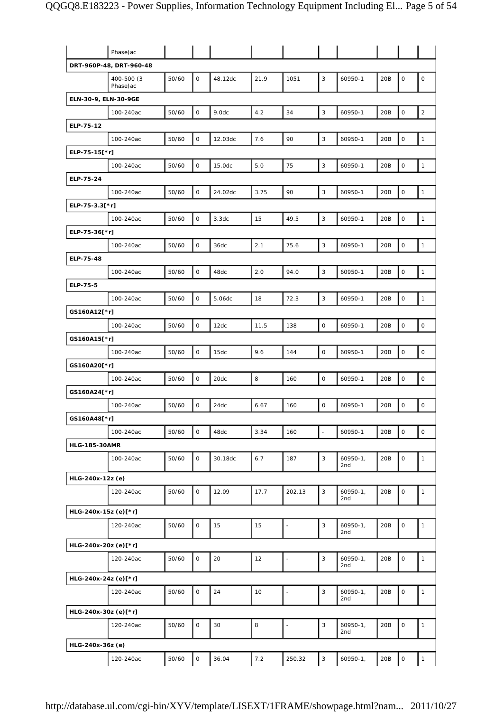|                      | Phase) ac               |       |                     |         |      |                          |                           |                      |     |                     |              |
|----------------------|-------------------------|-------|---------------------|---------|------|--------------------------|---------------------------|----------------------|-----|---------------------|--------------|
|                      | DRT-960P-48, DRT-960-48 |       |                     |         |      |                          |                           |                      |     |                     |              |
|                      | 400-500 (3<br>Phase) ac | 50/60 | $\mathsf{O}$        | 48.12dc | 21.9 | 1051                     | 3                         | 60950-1              | 20B | $\mathbf 0$         | $\mathsf O$  |
| ELN-30-9, ELN-30-9GE |                         |       |                     |         |      |                          |                           |                      |     |                     |              |
|                      | 100-240ac               | 50/60 | $\mathsf{O}\xspace$ | 9.0dc   | 4.2  | 34                       | 3                         | 60950-1              | 20B | $\mathsf O$         | $\sqrt{2}$   |
| ELP-75-12            |                         |       |                     |         |      |                          |                           |                      |     |                     |              |
|                      | 100-240ac               | 50/60 | $\mathsf O$         | 12.03dc | 7.6  | 90                       | 3                         | 60950-1              | 20B | $\mathsf O$         | $\mathbf{1}$ |
| ELP-75-15[*r]        |                         |       |                     |         |      |                          |                           |                      |     |                     |              |
|                      | 100-240ac               | 50/60 | 0                   | 15.0dc  | 5.0  | 75                       | 3                         | 60950-1              | 20B | 0                   | $\mathbf{1}$ |
| ELP-75-24            |                         |       |                     |         |      |                          |                           |                      |     |                     |              |
|                      | 100-240ac               | 50/60 | $\mathsf O$         | 24.02dc | 3.75 | 90                       | 3                         | 60950-1              | 20B | $\mathsf O$         | $\mathbf{1}$ |
| ELP-75-3.3[*r]       |                         |       |                     |         |      |                          |                           |                      |     |                     |              |
|                      | 100-240ac               | 50/60 | $\mathsf O$         | 3.3dc   | 15   | 49.5                     | 3                         | 60950-1              | 20B | $\mathsf O$         | $\mathbf{1}$ |
| ELP-75-36[*r]        |                         |       |                     |         |      |                          |                           |                      |     |                     |              |
|                      | 100-240ac               | 50/60 | $\mathsf O$         | 36dc    | 2.1  | 75.6                     | 3                         | 60950-1              | 20B | $\mathsf O$         | $\mathbf{1}$ |
| ELP-75-48            |                         |       |                     |         |      |                          |                           |                      |     |                     |              |
|                      | 100-240ac               | 50/60 | $\mathsf O$         | 48dc    | 2.0  | 94.0                     | 3                         | 60950-1              | 20B | $\mathsf O$         | $\mathbf{1}$ |
| ELP-75-5             |                         |       |                     |         |      |                          |                           |                      |     |                     |              |
|                      | 100-240ac               | 50/60 | 0                   | 5.06dc  | 18   | 72.3                     | 3                         | 60950-1              | 20B | $\mathsf O$         | $\mathbf{1}$ |
| GS160A12[*r]         |                         |       |                     |         |      |                          |                           |                      |     |                     |              |
|                      | 100-240ac               | 50/60 | $\mathsf{O}\xspace$ | 12dc    | 11.5 | 138                      | 0                         | 60950-1              | 20B | $\mathsf O$         | $\mathsf O$  |
| GS160A15[*r]         |                         |       |                     |         |      |                          |                           |                      |     |                     |              |
|                      | 100-240ac               | 50/60 | 0                   | 15dc    | 9.6  | 144                      | $\mathsf{O}\xspace$       | 60950-1              | 20B | $\mathsf O$         | $\mathsf O$  |
| GS160A20[*r]         |                         |       |                     |         |      |                          |                           |                      |     |                     |              |
|                      | 100-240ac               | 50/60 | 0                   | 20dc    | 8    | 160                      | 0                         | 60950-1              | 20B | 0                   | 0            |
| GS160A24[*r]         |                         |       |                     |         |      |                          |                           |                      |     |                     |              |
|                      | 100-240ac               | 50/60 | $\mathsf O$         | 24dc    | 6.67 | 160                      | 0                         | 60950-1              | 20B | 0                   | $\mathsf O$  |
| GS160A48[*r]         |                         |       |                     |         |      |                          |                           |                      |     |                     |              |
|                      | 100-240ac               | 50/60 | 0                   | 48dc    | 3.34 | 160                      | L,                        | 60950-1              | 20B | $\mathsf{O}\xspace$ | $\mathsf O$  |
| <b>HLG-185-30AMR</b> |                         |       |                     |         |      |                          |                           |                      |     |                     |              |
|                      | 100-240ac               | 50/60 | 0                   | 30.18dc | 6.7  | 187                      | 3                         | $60950-1,$<br>2nd    | 20B | $\mathsf O$         | $\mathbf{1}$ |
| HLG-240x-12z (e)     |                         |       |                     |         |      |                          |                           |                      |     |                     |              |
|                      | 120-240ac               | 50/60 | $\mathsf O$         | 12.09   | 17.7 | 202.13                   | 3                         | $60950 - 1$ ,<br>2nd | 20B | $\mathsf O$         | $\mathbf{1}$ |
| HLG-240x-15z (e)[*r] |                         |       |                     |         |      |                          |                           |                      |     |                     |              |
|                      | 120-240ac               | 50/60 | $\mathsf{O}$        | 15      | 15   | $\blacksquare$           | 3                         | $60950-1,$<br>2nd    | 20B | $\mathsf O$         | 1            |
| HLG-240x-20z (e)[*r] |                         |       |                     |         |      |                          |                           |                      |     |                     |              |
|                      | 120-240ac               | 50/60 | 0                   | 20      | 12   | $\blacksquare$           | 3                         | $60950-1,$<br>2nd    | 20B | $\mathsf O$         | $\mathbf{1}$ |
| HLG-240x-24z (e)[*r] |                         |       |                     |         |      |                          |                           |                      |     |                     |              |
|                      | 120-240ac               | 50/60 | 0                   | 24      | 10   | $\blacksquare$           | 3                         | $60950-1,$<br>2nd    | 20B | $\mathsf O$         | $\mathbf{1}$ |
| HLG-240x-30z (e)[*r] |                         |       |                     |         |      |                          |                           |                      |     |                     |              |
|                      | 120-240ac               | 50/60 | 0                   | 30      | 8    | $\overline{\phantom{a}}$ | 3                         | $60950-1,$<br>2nd    | 20B | $\mathsf O$         | $\mathbf{1}$ |
| HLG-240x-36z (e)     |                         |       |                     |         |      |                          |                           |                      |     |                     |              |
|                      | 120-240ac               | 50/60 | O                   | 36.04   | 7.2  | 250.32                   | $\ensuremath{\mathsf{3}}$ | $60950-1,$           | 20B | $\mathsf O$         | $\mathbf{1}$ |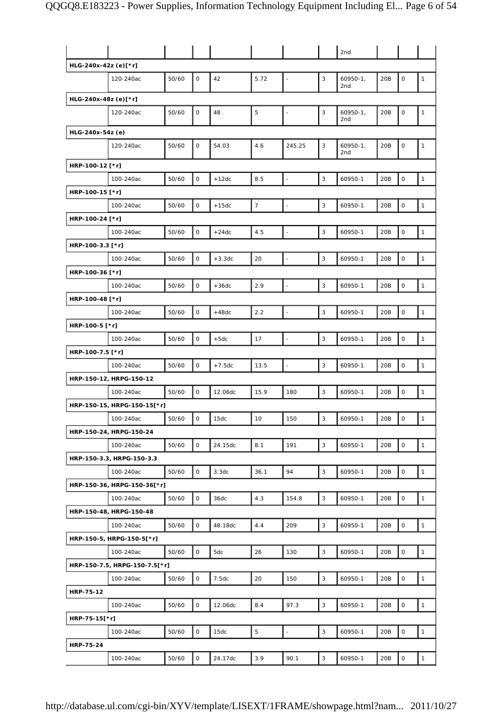|                      |                               |       |              |          |                |                          |   | 2nd                 |                 |             |              |
|----------------------|-------------------------------|-------|--------------|----------|----------------|--------------------------|---|---------------------|-----------------|-------------|--------------|
| HLG-240x-42z (e)[*r] |                               |       |              |          |                |                          |   |                     |                 |             |              |
|                      | 120-240ac                     | 50/60 | 0            | 42       | 5.72           | $\frac{1}{2}$            | 3 | $60950-1,$<br>2nd   | 20B             | 0           | 1            |
| HLG-240x-48z (e)[*r] |                               |       |              |          |                |                          |   |                     |                 |             |              |
|                      | 120-240ac                     | 50/60 | 0            | 48       | 5              | $\blacksquare$           | 3 | $60950 - 1,$<br>2nd | 20B             | 0           | 1            |
| HLG-240x-54z (e)     |                               |       |              |          |                |                          |   |                     |                 |             |              |
|                      | 120-240ac                     | 50/60 | 0            | 54.03    | 4.6            | 245.25                   | 3 | $60950-1,$<br>2nd   | 20 <sub>B</sub> | 0           | 1            |
| HRP-100-12 [*r]      |                               |       |              |          |                |                          |   |                     |                 |             |              |
|                      | 100-240ac                     | 50/60 | 0            | $+12dc$  | 8.5            | $\overline{\phantom{a}}$ | 3 | 60950-1             | 20B             | 0           | $\mathbf{1}$ |
| HRP-100-15 [*r]      |                               |       |              |          |                |                          |   |                     |                 |             |              |
|                      | 100-240ac                     | 50/60 | $\mathsf{O}$ | $+15dc$  | $\overline{7}$ | $\Box$                   | 3 | 60950-1             | 20B             | $\mathsf O$ | $\mathbf{1}$ |
| HRP-100-24 [*r]      |                               |       |              |          |                |                          |   |                     |                 |             |              |
|                      | 100-240ac                     | 50/60 | 0            | $+24dc$  | 4.5            | $\overline{\phantom{a}}$ | 3 | 60950-1             | 20B             | 0           | $\mathbf{1}$ |
| HRP-100-3.3 [*r]     |                               |       |              |          |                |                          |   |                     |                 |             |              |
|                      | 100-240ac                     | 50/60 | 0            | $+3.3dc$ | 20             | $\Box$                   | 3 | 60950-1             | 20B             | 0           | $\mathbf{1}$ |
| HRP-100-36 [*r]      |                               |       |              |          |                |                          |   |                     |                 |             |              |
|                      | 100-240ac                     | 50/60 | 0            | $+36dc$  | 2.9            | $\overline{\phantom{a}}$ | 3 | 60950-1             | 20B             | O           | $\mathbf{1}$ |
| HRP-100-48 [*r]      |                               |       |              |          |                |                          |   |                     |                 |             |              |
|                      | 100-240ac                     | 50/60 | 0            | $+48dc$  | 2.2            | $\overline{\phantom{a}}$ | 3 | 60950-1             | 20B             | 0           | $\mathbf{1}$ |
| HRP-100-5 [*r]       |                               |       |              |          |                |                          |   |                     |                 |             |              |
|                      | 100-240ac                     | 50/60 | $\mathsf{O}$ | $+5dc$   | 17             | $\frac{1}{2}$            | 3 | 60950-1             | 20B             | 0           | $\mathbf{1}$ |
| HRP-100-7.5 [*r]     |                               |       |              |          |                |                          |   |                     |                 |             |              |
|                      | 100-240ac                     | 50/60 | 0            | $+7.5dc$ | 13.5           | $\Box$                   | 3 | 60950-1             | 20B             | 0           | $\mathbf{1}$ |
|                      | HRP-150-12, HRPG-150-12       |       |              |          |                |                          |   |                     |                 |             |              |
|                      | 100-240ac                     | 50/60 | 0            | 12.06dc  | 15.9           | 180                      | 3 | 60950-1             | 20B             | 0           | $\mathbf{1}$ |
|                      | HRP-150-15, HRPG-150-15[*r]   |       |              |          |                |                          |   |                     |                 |             |              |
|                      | 100-240ac                     | 50/60 | 0            | 15dc     | 10             | 150                      | 3 | 60950-1             | 20B             | 0           | $\mathbf{1}$ |
|                      | HRP-150-24, HRPG-150-24       |       |              |          |                |                          |   |                     |                 |             |              |
|                      | 100-240ac                     | 50/60 | 0            | 24.15dc  | 8.1            | 191                      | 3 | 60950-1             | 20B             | 0           | $\mathbf{1}$ |
|                      | HRP-150-3.3, HRPG-150-3.3     |       |              |          |                |                          |   |                     |                 |             |              |
|                      | 100-240ac                     | 50/60 | 0            | 3.3dc    | 36.1           | 94                       | 3 | 60950-1             | 20B             | 0           | $\mathbf{1}$ |
|                      | HRP-150-36, HRPG-150-36[*r]   |       |              |          |                |                          |   |                     |                 |             |              |
|                      | 100-240ac                     | 50/60 | 0            | 36dc     | 4.3            | 154.8                    | 3 | 60950-1             | 20B             | 0           | $\mathbf{1}$ |
|                      | HRP-150-48, HRPG-150-48       |       |              |          |                |                          |   |                     |                 |             |              |
|                      | 100-240ac                     | 50/60 | 0            | 48.18dc  | 4.4            | 209                      | 3 | 60950-1             | 20B             | 0           | $\mathbf{1}$ |
|                      | HRP-150-5, HRPG-150-5[*r]     |       |              |          |                |                          |   |                     |                 |             |              |
|                      | 100-240ac                     | 50/60 | 0            | 5dc      | 26             | 130                      | 3 | 60950-1             | 20B             | 0           | $\mathbf{1}$ |
|                      | HRP-150-7.5, HRPG-150-7.5[*r] |       |              |          |                |                          |   |                     |                 |             |              |
|                      | 100-240ac                     | 50/60 | 0            | 7.5dc    | 20             | 150                      | 3 | 60950-1             | 20B             | 0           | $\mathbf{1}$ |
| HRP-75-12            |                               |       |              |          |                |                          |   |                     |                 |             |              |
|                      | 100-240ac                     | 50/60 | 0            | 12.06dc  | 8.4            | 97.3                     | 3 | 60950-1             | 20B             | 0           | $\mathbf{1}$ |
| HRP-75-15[*r]        |                               |       |              |          |                |                          |   |                     |                 |             |              |
|                      | 100-240ac                     | 50/60 | 0            | 15dc     | 5              | $\Box$                   | 3 | 60950-1             | 20B             | 0           | $\mathbf{1}$ |
| HRP-75-24            |                               |       |              |          |                |                          |   |                     |                 |             |              |
|                      | 100-240ac                     | 50/60 | 0            | 24.17dc  | 3.9            | 90.1                     | 3 | 60950-1             | 20B             | O           | $\mathbf{1}$ |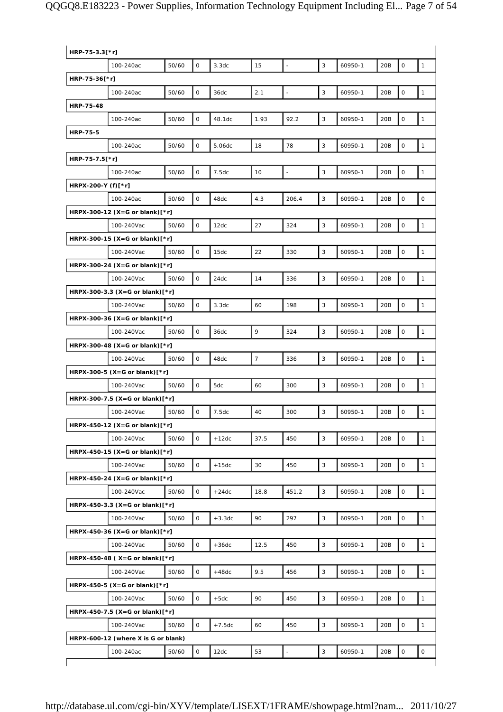# QQGQ8.E183223 - Power Supplies, Information Technology Equipment Including El... Page 7 of 54

| HRP-75-3.3[*r]     |                                     |       |             |          |                |       |   |         |     |                     |                     |
|--------------------|-------------------------------------|-------|-------------|----------|----------------|-------|---|---------|-----|---------------------|---------------------|
|                    | 100-240ac                           | 50/60 | $\mathbf 0$ | 3.3dc    | 15             |       | 3 | 60950-1 | 20B | $\mathsf O$         | $\mathbf{1}$        |
| HRP-75-36[*r]      |                                     |       |             |          |                |       |   |         |     |                     |                     |
|                    | 100-240ac                           | 50/60 | $\mathbf 0$ | 36dc     | 2.1            |       | 3 | 60950-1 | 20B | $\mathsf{O}\xspace$ | 1                   |
| <b>HRP-75-48</b>   |                                     |       |             |          |                |       |   |         |     |                     |                     |
|                    | 100-240ac                           | 50/60 | 0           | 48.1dc   | 1.93           | 92.2  | 3 | 60950-1 | 20B | $\mathbf 0$         | $\mathbf{1}$        |
| <b>HRP-75-5</b>    |                                     |       |             |          |                |       |   |         |     |                     |                     |
|                    | 100-240ac                           | 50/60 | $\mathsf O$ | 5.06dc   | 18             | 78    | 3 | 60950-1 | 20B | $\mathsf{O}\xspace$ | $\mathbf{1}$        |
| HRP-75-7.5[*r]     |                                     |       |             |          |                |       |   |         |     |                     |                     |
|                    | 100-240ac                           | 50/60 | $\mathsf O$ | 7.5dc    | 10             |       | 3 | 60950-1 | 20B | $\mathsf{O}\xspace$ | $\mathbf{1}$        |
| HRPX-200-Y (f)[*r] |                                     |       |             |          |                |       |   |         |     |                     |                     |
|                    | 100-240ac                           | 50/60 | $\mathbf 0$ | 48dc     | 4.3            | 206.4 | 3 | 60950-1 | 20B | $\mathbf 0$         | $\mathsf{O}$        |
|                    | HRPX-300-12 (X=G or blank) $[*r]$   |       |             |          |                |       |   |         |     |                     |                     |
|                    | 100-240Vac                          | 50/60 | $\mathbf 0$ | 12dc     | 27             | 324   | 3 | 60950-1 | 20B | $\mathbf 0$         | $\mathbf{1}$        |
|                    | HRPX-300-15 (X=G or blank) $[*r]$   |       |             |          |                |       |   |         |     |                     |                     |
|                    | 100-240Vac                          | 50/60 | $\mathsf O$ | 15dc     | 22             | 330   | 3 | 60950-1 | 20B | $\mathsf{O}\xspace$ | $\mathbf{1}$        |
|                    | HRPX-300-24 (X=G or blank)[*r]      |       |             |          |                |       |   |         |     |                     |                     |
|                    | 100-240Vac                          | 50/60 | 0           | 24dc     | 14             | 336   | 3 | 60950-1 | 20B | $\mathsf O$         | $\mathbf{1}$        |
|                    | HRPX-300-3.3 (X=G or blank)[*r]     |       |             |          |                |       |   |         |     |                     |                     |
|                    | 100-240Vac                          | 50/60 | $\circ$     | 3.3dc    | 60             | 198   | 3 | 60950-1 | 20B | $\mathsf{O}\xspace$ | $\mathbf{1}$        |
|                    | HRPX-300-36 (X=G or blank)[*r]      |       |             |          |                |       |   |         |     |                     |                     |
|                    | 100-240Vac                          | 50/60 | 0           | 36dc     | 9              | 324   | 3 | 60950-1 | 20B | 0                   | 1                   |
|                    | HRPX-300-48 (X=G or blank) $[*r]$   |       |             |          |                |       |   |         |     |                     |                     |
|                    | 100-240Vac                          | 50/60 | $\mathsf O$ | 48dc     | $\overline{7}$ | 336   | 3 | 60950-1 | 20B | $\mathbf 0$         | $\mathbf{1}$        |
|                    | HRPX-300-5 (X=G or blank)[*r]       |       |             |          |                |       |   |         |     |                     |                     |
|                    | 100-240Vac                          | 50/60 | $\mathsf O$ | 5dc      | 60             | 300   | 3 | 60950-1 | 20B | $\mathsf{O}\xspace$ | $\mathbf{1}$        |
|                    | HRPX-300-7.5 (X=G or blank)[*r]     |       |             |          |                |       |   |         |     |                     |                     |
|                    | 100-240Vac                          | 50/60 | 0           | 7.5dc    | 40             | 300   | 3 | 60950-1 | 20B | 0                   | 1                   |
|                    | HRPX-450-12 (X=G or blank)[*r]      |       |             |          |                |       |   |         |     |                     |                     |
|                    | 100-240Vac                          | 50/60 | 0           | $+12dc$  | 37.5           | 450   | 3 | 60950-1 | 20B | 0                   | 1                   |
|                    | HRPX-450-15 (X=G or blank) $[*r]$   |       |             |          |                |       |   |         |     |                     |                     |
|                    | 100-240Vac                          | 50/60 | $\mathsf O$ | $+15dc$  | 30             | 450   | 3 | 60950-1 | 20B | $\mathsf{O}\xspace$ | $\mathbf{1}$        |
|                    | HRPX-450-24 (X=G or blank)[*r]      |       |             |          |                |       |   |         |     |                     |                     |
|                    | 100-240Vac                          | 50/60 | $\mathsf O$ | $+24dc$  | 18.8           | 451.2 | 3 | 60950-1 | 20B | $\mathsf{O}\xspace$ | $\mathbf{1}$        |
|                    | HRPX-450-3.3 (X=G or blank)[*r]     |       |             |          |                |       |   |         |     |                     |                     |
|                    | 100-240Vac                          | 50/60 | $\mathsf O$ | $+3.3dc$ | 90             | 297   | 3 | 60950-1 | 20B | $\mathbf 0$         | $\mathbf{1}$        |
|                    | HRPX-450-36 (X=G or blank)[*r]      |       |             |          |                |       |   |         |     |                     |                     |
|                    | 100-240Vac                          | 50/60 | 0           | $+36dc$  | 12.5           | 450   | 3 | 60950-1 | 20B | $\mathbf 0$         | $\mathbf{1}$        |
|                    | HRPX-450-48 (X=G or blank)[*r]      |       |             |          |                |       |   |         |     |                     |                     |
|                    | 100-240Vac                          | 50/60 | $\mathsf O$ | $+48dc$  | 9.5            | 456   | 3 | 60950-1 | 20B | $\mathsf{O}\xspace$ | $\mathbf{1}$        |
|                    | HRPX-450-5 (X=G or blank) $[*r]$    |       |             |          |                |       |   |         |     |                     |                     |
|                    | 100-240Vac                          | 50/60 | 0           | $+5dc$   | 90             | 450   | 3 | 60950-1 | 20B | $\mathsf O$         | $\mathbf{1}$        |
|                    | HRPX-450-7.5 (X=G or blank)[*r]     |       |             |          |                |       |   |         |     |                     |                     |
|                    | 100-240Vac                          | 50/60 | $\circ$     | $+7.5dc$ | 60             | 450   | 3 | 60950-1 | 20B | $\mathsf{O}\xspace$ | $\mathbf{1}$        |
|                    | HRPX-600-12 (where X is G or blank) |       |             |          |                |       |   |         |     |                     |                     |
|                    | 100-240ac                           | 50/60 | 0           | 12dc     | 53             |       | 3 | 60950-1 | 20B | 0                   | $\mathsf{O}\xspace$ |
|                    |                                     |       |             |          |                |       |   |         |     |                     |                     |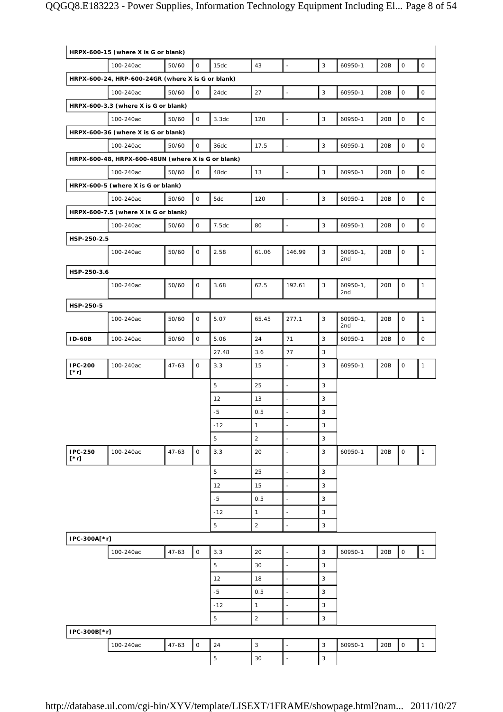| HRPX-600-15 (where X is G or blank) |                                                    |           |              |             |                |                          |                |                               |     |                     |                     |
|-------------------------------------|----------------------------------------------------|-----------|--------------|-------------|----------------|--------------------------|----------------|-------------------------------|-----|---------------------|---------------------|
|                                     | 100-240ac                                          | 50/60     | $\mathbf 0$  | 15dc        | 43             |                          | 3              | 60950-1                       | 20B | $\mathsf O$         | $\mathsf O$         |
|                                     | HRPX-600-24, HRP-600-24GR (where X is G or blank)  |           |              |             |                |                          |                |                               |     |                     |                     |
|                                     | 100-240ac                                          | 50/60     | 0            | 24dc        | 27             | $\overline{\phantom{a}}$ | 3              | 60950-1                       | 20B | $\mathsf{O}\xspace$ | $\mathsf O$         |
|                                     | HRPX-600-3.3 (where X is G or blank)               |           |              |             |                |                          |                |                               |     |                     |                     |
|                                     | 100-240ac                                          | 50/60     | $\mathsf{O}$ | 3.3dc       | 120            | $\overline{\phantom{a}}$ | $\mathsf 3$    | 60950-1                       | 20B | $\mathsf O$         | $\mathsf{O}\xspace$ |
|                                     | HRPX-600-36 (where X is G or blank)                |           |              |             |                |                          |                |                               |     |                     |                     |
|                                     | 100-240ac                                          | 50/60     | $\mathsf O$  | 36dc        | 17.5           | $\overline{a}$           | 3              | 60950-1                       | 20B | $\mathsf O$         | $\mathsf O$         |
|                                     | HRPX-600-48, HRPX-600-48UN (where X is G or blank) |           |              |             |                |                          |                |                               |     |                     |                     |
|                                     | 100-240ac                                          | 50/60     | $\mathsf O$  | 48dc        | 13             | ÷,                       | 3              | 60950-1                       | 20B | $\mathsf O$         | $\mathsf O$         |
|                                     | HRPX-600-5 (where X is G or blank)                 |           |              |             |                |                          |                |                               |     |                     |                     |
|                                     | 100-240ac                                          | 50/60     | $\mathsf{O}$ | 5dc         | 120            | $\overline{\phantom{a}}$ | $\mathsf 3$    | 60950-1                       | 20B | $\mathsf{O}\xspace$ | $\mathsf O$         |
|                                     | HRPX-600-7.5 (where X is G or blank)               |           |              |             |                |                          |                |                               |     |                     |                     |
|                                     | 100-240ac                                          | 50/60     | 0            | 7.5dc       | 80             | ä,                       | $\mathsf 3$    | 60950-1                       | 20B | $\mathsf{O}\xspace$ | $\mathsf{O}\xspace$ |
| HSP-250-2.5                         |                                                    |           |              |             |                |                          |                |                               |     |                     |                     |
|                                     | 100-240ac                                          | 50/60     | 0            | 2.58        | 61.06          | 146.99                   | 3              | $60950-1,$<br>2 <sub>nd</sub> | 20B | $\mathbf 0$         | $\mathbf{1}$        |
| HSP-250-3.6                         |                                                    |           |              |             |                |                          |                |                               |     |                     |                     |
|                                     | 100-240ac                                          | 50/60     | 0            | 3.68        | 62.5           | 192.61                   | 3              | $60950 - 1$ ,                 | 20B | $\mathsf{O}\xspace$ | $\mathbf{1}$        |
|                                     |                                                    |           |              |             |                |                          |                | 2nd                           |     |                     |                     |
| HSP-250-5                           |                                                    |           |              |             |                |                          |                |                               |     |                     |                     |
|                                     | 100-240ac                                          | 50/60     | 0            | 5.07        | 65.45          | 277.1                    | 3              | $60950-1,$<br>2nd             | 20B | $\mathsf{O}\xspace$ | $\mathbf{1}$        |
| <b>ID-60B</b>                       | 100-240ac                                          | 50/60     | 0            | 5.06        | 24             | 71                       | 3              | 60950-1                       | 20B | $\mathsf{O}\xspace$ | 0                   |
|                                     |                                                    |           |              | 27.48       | 3.6            | 77                       | 3              |                               |     |                     |                     |
| <b>IPC-200</b><br>$[\cdot r]$       | 100-240ac                                          | $47 - 63$ | 0            | 3.3         | 15             | $\blacksquare$           | 3              | 60950-1                       | 20B | $\mathsf{O}\xspace$ | $\mathbf{1}$        |
|                                     |                                                    |           |              | 5           | 25             | ÷,                       | 3              |                               |     |                     |                     |
|                                     |                                                    |           |              | 12          | 13             | $\overline{a}$           | 3              |                               |     |                     |                     |
|                                     |                                                    |           |              | $-5$        | 0.5            | $\overline{\phantom{a}}$ | 3              |                               |     |                     |                     |
|                                     |                                                    |           |              | -12         | 1              |                          | 3              |                               |     |                     |                     |
|                                     |                                                    |           |              | 5           | $\overline{2}$ | $\overline{a}$           | $\mathsf 3$    |                               |     |                     |                     |
| IPC-250<br>$[\cdot r]$              | 100-240ac                                          | $47 - 63$ | $\mathsf{O}$ | 3.3         | 20             | $\overline{\phantom{a}}$ | $\overline{3}$ | 60950-1                       | 20B | 0                   | $\mathbf{1}$        |
|                                     |                                                    |           |              | 5           | 25             | $\blacksquare$           | $\mathsf 3$    |                               |     |                     |                     |
|                                     |                                                    |           |              | 12          | 15             | $\overline{\phantom{a}}$ | 3              |                               |     |                     |                     |
|                                     |                                                    |           |              | $-5$        | 0.5            | $\sim$                   | $\mathsf 3$    |                               |     |                     |                     |
|                                     |                                                    |           |              | $-12$       | $\mathbf{1}$   | $\blacksquare$           | 3              |                               |     |                     |                     |
|                                     |                                                    |           |              | 5           | $\overline{2}$ | $\overline{\phantom{a}}$ | $\mathsf 3$    |                               |     |                     |                     |
| IPC-300A[*r]                        |                                                    |           |              |             |                |                          |                |                               |     |                     |                     |
|                                     | 100-240ac                                          | $47 - 63$ | $\mathsf{O}$ | 3.3         | 20             | $\overline{\phantom{a}}$ | $\mathsf 3$    | 60950-1                       | 20B | $\mathsf{O}\xspace$ | $\mathbf{1}$        |
|                                     |                                                    |           |              | 5           | 30             | $\overline{\phantom{a}}$ | 3              |                               |     |                     |                     |
|                                     |                                                    |           |              | 12          | 18             | $\overline{\phantom{a}}$ | $\mathsf 3$    |                               |     |                     |                     |
|                                     |                                                    |           |              | $-5$        | 0.5            | $\overline{\phantom{a}}$ | 3              |                               |     |                     |                     |
|                                     |                                                    |           |              | $-12$       | $\mathbf{1}$   | $\overline{\phantom{a}}$ | $\mathsf 3$    |                               |     |                     |                     |
|                                     |                                                    |           |              | 5           | $\overline{2}$ |                          | $\mathsf 3$    |                               |     |                     |                     |
| IPC-300B[*r]                        |                                                    |           |              |             |                |                          |                |                               |     |                     |                     |
|                                     | 100-240ac                                          | $47 - 63$ | $\mathsf{O}$ | 24          | $\mathbf{3}$   | $\overline{\phantom{a}}$ | $\mathsf 3$    | 60950-1                       | 20B | 0                   | $\mathbf{1}$        |
|                                     |                                                    |           |              | $\mathbf 5$ | 30             | $\overline{\phantom{a}}$ | $\mathsf 3$    |                               |     |                     |                     |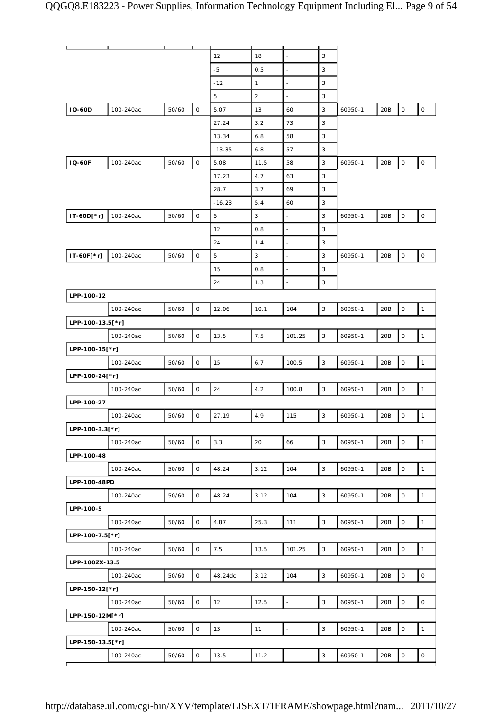|                  |           |       | Ш                   |          |              |                          |              |         |     |                     |                     |
|------------------|-----------|-------|---------------------|----------|--------------|--------------------------|--------------|---------|-----|---------------------|---------------------|
|                  |           |       |                     | 12       | 18           | $\overline{\phantom{a}}$ | 3            |         |     |                     |                     |
|                  |           |       |                     | $-5$     | 0.5          | ÷,                       | 3            |         |     |                     |                     |
|                  |           |       |                     | $-12$    | $\mathbf{1}$ | $\overline{\phantom{a}}$ | 3            |         |     |                     |                     |
|                  |           |       |                     | 5        | $\sqrt{2}$   |                          | 3            |         |     |                     |                     |
| <b>IQ-60D</b>    | 100-240ac | 50/60 | $\mathsf{O}\xspace$ | 5.07     | 13           | 60                       | 3            | 60950-1 | 20B | $\mathsf O$         | $\mathsf O$         |
|                  |           |       |                     | 27.24    | 3.2          | 73                       | 3            |         |     |                     |                     |
|                  |           |       |                     | 13.34    | 6.8          | 58                       | 3            |         |     |                     |                     |
|                  |           |       |                     | $-13.35$ | 6.8          | 57                       | 3            |         |     |                     |                     |
| <b>IQ-60F</b>    | 100-240ac | 50/60 | $\mathsf{O}$        | 5.08     | 11.5         | 58                       | 3            | 60950-1 | 20B | $\mathsf O$         | $\mathsf{O}\xspace$ |
|                  |           |       |                     | 17.23    | 4.7          | 63                       | 3            |         |     |                     |                     |
|                  |           |       |                     | 28.7     | 3.7          | 69                       | 3            |         |     |                     |                     |
|                  |           |       |                     | $-16.23$ | 5.4          | 60                       | 3            |         |     |                     |                     |
| IT-60D[*r]       | 100-240ac | 50/60 | $\mathsf O$         | 5        | 3            | $\blacksquare$           | 3            | 60950-1 | 20B | $\mathsf O$         | $\mathsf O$         |
|                  |           |       |                     | 12       | 0.8          | $\overline{\phantom{a}}$ | 3            |         |     |                     |                     |
|                  |           |       |                     | 24       | 1.4          | $\frac{1}{2}$            | 3            |         |     |                     |                     |
| IT-60F[*r]       | 100-240ac | 50/60 | $\mathsf O$         | 5        | 3            | ä,                       | 3            | 60950-1 | 20B | $\mathsf{O}\xspace$ | $\mathsf O$         |
|                  |           |       |                     | 15       | 0.8          | $\frac{1}{2}$            | 3            |         |     |                     |                     |
|                  |           |       |                     | 24       | 1.3          |                          | $\mathsf 3$  |         |     |                     |                     |
| LPP-100-12       |           |       |                     |          |              |                          |              |         |     |                     |                     |
|                  | 100-240ac | 50/60 | $\mathsf{O}$        | 12.06    | 10.1         | 104                      | 3            | 60950-1 | 20B | $\mathsf O$         | $\mathbf{1}$        |
| LPP-100-13.5[*r] |           |       |                     |          |              |                          |              |         |     |                     |                     |
|                  | 100-240ac | 50/60 | $\mathsf O$         | 13.5     | 7.5          | 101.25                   | $\mathsf 3$  | 60950-1 | 20B | $\mathsf{O}\xspace$ | $\mathbf{1}$        |
| LPP-100-15[*r]   |           |       |                     |          |              |                          |              |         |     |                     |                     |
|                  | 100-240ac | 50/60 | $\mathsf O$         | 15       | 6.7          | 100.5                    | $\mathsf 3$  | 60950-1 | 20B | $\mathsf O$         | $\mathbf{1}$        |
| LPP-100-24[*r]   |           |       |                     |          |              |                          |              |         |     |                     |                     |
|                  | 100-240ac | 50/60 | $\mathsf O$         | 24       | 4.2          | 100.8                    | 3            | 60950-1 | 20B | $\mathsf O$         | $\mathbf{1}$        |
| LPP-100-27       |           |       |                     |          |              |                          |              |         |     |                     |                     |
|                  | 100-240ac | 50/60 | 0                   | 27.19    | 4.9          | 115                      | 3            | 60950-1 | 20B | $\mathsf O$         | $\mathbf{1}$        |
| LPP-100-3.3[*r]  |           |       |                     |          |              |                          |              |         |     |                     |                     |
|                  | 100-240ac | 50/60 | $\mathsf O$         | 3.3      | 20           | 66                       | $\mathsf 3$  | 60950-1 | 20B | $\mathsf O$         | $\mathbf{1}$        |
| LPP-100-48       |           |       |                     |          |              |                          |              |         |     |                     |                     |
|                  | 100-240ac | 50/60 | $\mathsf{O}$        | 48.24    | 3.12         | 104                      | $\mathbf{3}$ | 60950-1 | 20B | $\mathsf O$         | $\mathbf{1}$        |
| LPP-100-48PD     |           |       |                     |          |              |                          |              |         |     |                     |                     |
|                  | 100-240ac | 50/60 | $\mathsf O$         | 48.24    | 3.12         | 104                      | $\mathsf 3$  | 60950-1 | 20B | $\mathsf{O}\xspace$ | $\mathbf{1}$        |
| LPP-100-5        |           |       |                     |          |              |                          |              |         |     |                     |                     |
|                  | 100-240ac | 50/60 | $\mathsf{O}$        | 4.87     | 25.3         | 111                      | $\mathsf 3$  | 60950-1 | 20B | $\mathsf O$         | $\mathbf{1}$        |
| LPP-100-7.5[*r]  |           |       |                     |          |              |                          |              |         |     |                     |                     |
|                  | 100-240ac | 50/60 | $\mathsf O$         | 7.5      | 13.5         | 101.25                   | $\mathbf{3}$ | 60950-1 | 20B | $\mathsf{O}\xspace$ | $\mathbf{1}$        |
| LPP-100ZX-13.5   |           |       |                     |          |              |                          |              |         |     |                     |                     |
|                  | 100-240ac | 50/60 | $\mathsf{O}$        | 48.24dc  | 3.12         | 104                      | $\mathbf{3}$ | 60950-1 | 20B | $\mathsf O$         | $\mathsf{O}\xspace$ |
| LPP-150-12[*r]   |           |       |                     |          |              |                          |              |         |     |                     |                     |
|                  | 100-240ac | 50/60 | $\mathsf O$         | 12       | 12.5         | $\overline{\phantom{a}}$ | $\mathsf 3$  | 60950-1 | 20B | $\mathbf 0$         | $\mathsf O$         |
| LPP-150-12M[*r]  |           |       |                     |          |              |                          |              |         |     |                     |                     |
|                  | 100-240ac | 50/60 | $\mathsf{O}$        | 13       | 11           | $\blacksquare$           | $\mathbf{3}$ | 60950-1 | 20B | $\mathsf O$         | $\mathbf{1}$        |
| LPP-150-13.5[*r] |           |       |                     |          |              |                          |              |         |     |                     |                     |
|                  | 100-240ac | 50/60 | $\mathsf O$         | 13.5     | 11.2         | $\overline{\phantom{a}}$ | $\sqrt{3}$   | 60950-1 | 20B | $\mathsf O$         | $\mathsf O$         |
| ┍                |           |       |                     |          |              |                          |              |         |     |                     |                     |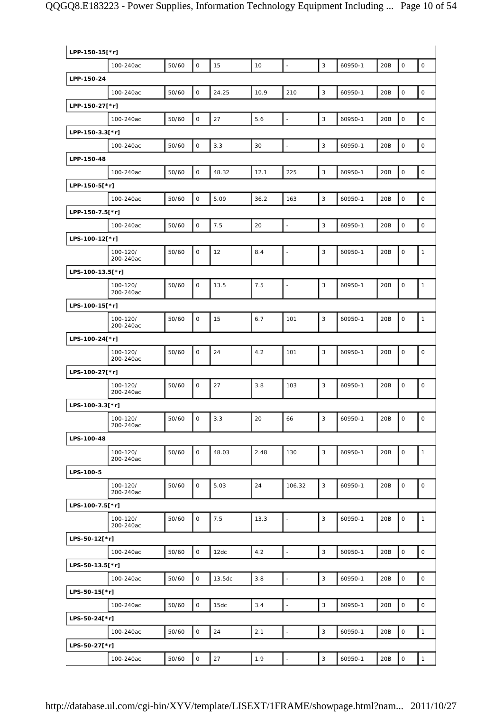| LPP-150-15[*r]   |                       |       |              |        |      |                          |              |         |     |                     |                     |
|------------------|-----------------------|-------|--------------|--------|------|--------------------------|--------------|---------|-----|---------------------|---------------------|
|                  | 100-240ac             | 50/60 | $\mathbf 0$  | 15     | 10   | $\Box$                   | $\mathbf{3}$ | 60950-1 | 20B | $\mathsf O$         | $\mathsf{O}$        |
| LPP-150-24       |                       |       |              |        |      |                          |              |         |     |                     |                     |
|                  | 100-240ac             | 50/60 | $\mathsf O$  | 24.25  | 10.9 | 210                      | 3            | 60950-1 | 20B | $\mathsf O$         | $\mathsf{O}\xspace$ |
| LPP-150-27[*r]   |                       |       |              |        |      |                          |              |         |     |                     |                     |
|                  | 100-240ac             | 50/60 | $\mathsf{O}$ | 27     | 5.6  | $\Box$                   | $\mathbf{3}$ | 60950-1 | 20B | $\mathsf{O}\xspace$ | $\mathsf O$         |
| LPP-150-3.3[*r]  |                       |       |              |        |      |                          |              |         |     |                     |                     |
|                  | 100-240ac             | 50/60 | $\mathsf O$  | 3.3    | 30   | $\Box$                   | 3            | 60950-1 | 20B | 0                   | $\mathsf O$         |
| LPP-150-48       |                       |       |              |        |      |                          |              |         |     |                     |                     |
|                  | 100-240ac             | 50/60 | $\mathsf{O}$ | 48.32  | 12.1 | 225                      | 3            | 60950-1 | 20B | $\mathsf{O}\xspace$ | $\mathsf O$         |
| LPP-150-5[*r]    |                       |       |              |        |      |                          |              |         |     |                     |                     |
|                  | 100-240ac             | 50/60 | $\mathsf O$  | 5.09   | 36.2 | 163                      | 3            | 60950-1 | 20B | 0                   | $\mathsf{O}\xspace$ |
| LPP-150-7.5[*r]  |                       |       |              |        |      |                          |              |         |     |                     |                     |
|                  | 100-240ac             | 50/60 | $\mathsf O$  | 7.5    | 20   | $\overline{\phantom{a}}$ | 3            | 60950-1 | 20B | $\mathsf O$         | $\mathsf O$         |
| LPS-100-12[*r]   |                       |       |              |        |      |                          |              |         |     |                     |                     |
|                  | 100-120/<br>200-240ac | 50/60 | $\mathsf O$  | 12     | 8.4  | $\blacksquare$           | 3            | 60950-1 | 20B | 0                   | $\mathbf{1}$        |
| LPS-100-13.5[*r] |                       |       |              |        |      |                          |              |         |     |                     |                     |
|                  | 100-120/<br>200-240ac | 50/60 | $\mathsf O$  | 13.5   | 7.5  | $\overline{\phantom{a}}$ | 3            | 60950-1 | 20B | 0                   | $\mathbf{1}$        |
| LPS-100-15[*r]   |                       |       |              |        |      |                          |              |         |     |                     |                     |
|                  | 100-120/<br>200-240ac | 50/60 | $\mathbf 0$  | 15     | 6.7  | 101                      | 3            | 60950-1 | 20B | $\mathsf O$         | $\mathbf{1}$        |
| LPS-100-24[*r]   |                       |       |              |        |      |                          |              |         |     |                     |                     |
|                  | 100-120/<br>200-240ac | 50/60 | $\mathsf O$  | 24     | 4.2  | 101                      | 3            | 60950-1 | 20B | $\mathsf O$         | $\mathsf O$         |
| LPS-100-27[*r]   |                       |       |              |        |      |                          |              |         |     |                     |                     |
|                  | 100-120/<br>200-240ac | 50/60 | $\mathsf O$  | 27     | 3.8  | 103                      | 3            | 60950-1 | 20B | $\mathsf O$         | $\mathsf O$         |
| LPS-100-3.3[*r]  |                       |       |              |        |      |                          |              |         |     |                     |                     |
|                  | 100-120/<br>200-240ac | 50/60 | $\mathsf O$  | 3.3    | 20   | 66                       | 3            | 60950-1 | 20B | $\mathsf O$         | $\mathsf O$         |
| LPS-100-48       |                       |       |              |        |      |                          |              |         |     |                     |                     |
|                  | 100-120/<br>200-240ac | 50/60 | $\mathsf O$  | 48.03  | 2.48 | 130                      | $\mathsf 3$  | 60950-1 | 20B | $\mathsf O$         | $\mathbf{1}$        |
| LPS-100-5        |                       |       |              |        |      |                          |              |         |     |                     |                     |
|                  | 100-120/<br>200-240ac | 50/60 | 0            | 5.03   | 24   | 106.32                   | 3            | 60950-1 | 20B | 0                   | $\mathsf O$         |
| LPS-100-7.5[*r]  |                       |       |              |        |      |                          |              |         |     |                     |                     |
|                  | 100-120/<br>200-240ac | 50/60 | $\mathsf{O}$ | 7.5    | 13.3 | $\overline{\phantom{a}}$ | 3            | 60950-1 | 20B | 0                   | $\mathbf{1}$        |
| LPS-50-12[*r]    |                       |       |              |        |      |                          |              |         |     |                     |                     |
|                  | 100-240ac             | 50/60 | 0            | 12dc   | 4.2  | $\ddot{\phantom{1}}$     | $\mathsf 3$  | 60950-1 | 20B | $\mathsf O$         | $\mathsf{O}$        |
| LPS-50-13.5[*r]  |                       |       |              |        |      |                          |              |         |     |                     |                     |
|                  | 100-240ac             | 50/60 | $\mathsf O$  | 13.5dc | 3.8  | $\omega$                 | $\mathbf{3}$ | 60950-1 | 20B | $\mathsf{O}$        | $\mathsf{O}$        |
| LPS-50-15[*r]    |                       |       |              |        |      |                          |              |         |     |                     |                     |
|                  | 100-240ac             | 50/60 | $\mathsf O$  | 15dc   | 3.4  | $\overline{\phantom{a}}$ | 3            | 60950-1 | 20B | $\mathsf{O}\xspace$ | $\mathsf{O}$        |
| LPS-50-24[*r]    |                       |       |              |        |      |                          |              |         |     |                     |                     |
|                  | 100-240ac             | 50/60 | $\mathsf O$  | 24     | 2.1  | $\overline{\phantom{a}}$ | 3            | 60950-1 | 20B | $\mathsf O$         | $\mathbf{1}$        |
| LPS-50-27[*r]    |                       |       |              |        |      |                          |              |         |     |                     |                     |
|                  | 100-240ac             | 50/60 | $\mathsf{O}$ | 27     | 1.9  | $\overline{\phantom{a}}$ | $\mathbf{3}$ | 60950-1 | 20B | 0                   | $\mathbf{1}$        |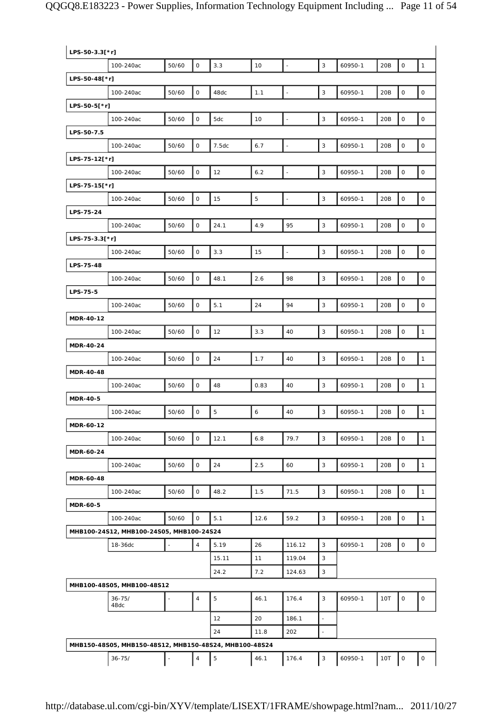| LPS-50-3.3[*r]   |                                                        |                |                |             |                |                          |                           |         |     |                     |                     |
|------------------|--------------------------------------------------------|----------------|----------------|-------------|----------------|--------------------------|---------------------------|---------|-----|---------------------|---------------------|
|                  | 100-240ac                                              | 50/60          | $\mathsf{O}$   | 3.3         | 10             | $\overline{\phantom{a}}$ | $\mathsf 3$               | 60950-1 | 20B | 0                   | $\mathbf{1}$        |
| LPS-50-48[*r]    |                                                        |                |                |             |                |                          |                           |         |     |                     |                     |
|                  | 100-240ac                                              | 50/60          | $\mathsf O$    | 48dc        | 1.1            | $\Box$                   | $\sqrt{3}$                | 60950-1 | 20B | 0                   | $\mathsf{O}\xspace$ |
| LPS-50-5[*r]     |                                                        |                |                |             |                |                          |                           |         |     |                     |                     |
|                  | 100-240ac                                              | 50/60          | $\mathsf O$    | 5dc         | 10             | $\Box$                   | $\mathbf{3}$              | 60950-1 | 20B | 0                   | $\mathsf{O}\xspace$ |
| LPS-50-7.5       |                                                        |                |                |             |                |                          |                           |         |     |                     |                     |
|                  | 100-240ac                                              | 50/60          | $\mathsf O$    | 7.5dc       | 6.7            | $\blacksquare$           | 3                         | 60950-1 | 20B | 0                   | $\mathsf O$         |
| LPS-75-12[*r]    |                                                        |                |                |             |                |                          |                           |         |     |                     |                     |
|                  | 100-240ac                                              | 50/60          | $\mathsf{O}$   | 12          | 6.2            | $\overline{\phantom{a}}$ | $\mathsf 3$               | 60950-1 | 20B | 0                   | $\mathsf{O}\xspace$ |
| LPS-75-15[*r]    |                                                        |                |                |             |                |                          |                           |         |     |                     |                     |
|                  | 100-240ac                                              | 50/60          | $\mathsf O$    | 15          | $\overline{5}$ | $\omega_{\rm c}$         | $\mathbf{3}$              | 60950-1 | 20B | 0                   | $\mathsf{O}\xspace$ |
| LPS-75-24        |                                                        |                |                |             |                |                          |                           |         |     |                     |                     |
|                  | 100-240ac                                              | 50/60          | $\mathsf O$    | 24.1        | 4.9            | 95                       | $\mathsf 3$               | 60950-1 | 20B | $\mathsf O$         | $\mathsf{O}\xspace$ |
| LPS-75-3.3[*r]   |                                                        |                |                |             |                |                          |                           |         |     |                     |                     |
|                  | 100-240ac                                              | 50/60          | $\mathsf O$    | 3.3         | 15             | $\overline{a}$           | $\mathsf 3$               | 60950-1 | 20B | 0                   | $\mathsf O$         |
| LPS-75-48        |                                                        |                |                |             |                |                          |                           |         |     |                     |                     |
|                  | 100-240ac                                              | 50/60          | $\mathsf O$    | 48.1        | 2.6            | 98                       | $\mathbf{3}$              | 60950-1 | 20B | 0                   | $\mathsf{O}\xspace$ |
| LPS-75-5         |                                                        |                |                |             |                |                          |                           |         |     |                     |                     |
|                  | 100-240ac                                              | 50/60          | $\mathsf O$    | 5.1         | 24             | 94                       | $\mathbf{3}$              | 60950-1 | 20B | 0                   | $\mathsf O$         |
| MDR-40-12        |                                                        |                |                |             |                |                          |                           |         |     |                     |                     |
|                  | 100-240ac                                              | 50/60          | $\mathsf O$    | 12          | 3.3            | 40                       | 3                         | 60950-1 | 20B | $\mathsf{O}\xspace$ | $\mathbf{1}$        |
| MDR-40-24        |                                                        |                |                |             |                |                          |                           |         |     |                     |                     |
|                  | 100-240ac                                              | 50/60          | $\mathsf O$    | 24          | 1.7            | 40                       | $\mathsf 3$               | 60950-1 | 20B | 0                   | $\mathbf{1}$        |
| <b>MDR-40-48</b> |                                                        |                |                |             |                |                          |                           |         |     |                     |                     |
|                  | 100-240ac                                              | 50/60          | $\mathsf O$    | 48          | 0.83           | 40                       | 3                         | 60950-1 | 20B | 0                   | $\mathbf{1}$        |
| <b>MDR-40-5</b>  |                                                        |                |                |             |                |                          |                           |         |     |                     |                     |
|                  | 100-240ac                                              | 50/60          | $\mathsf O$    | $\mathbf 5$ | 6              | 40                       | $\mathsf 3$               | 60950-1 | 20B | 0                   | $\mathbf{1}$        |
| <b>MDR-60-12</b> |                                                        |                |                |             |                |                          |                           |         |     |                     |                     |
|                  | 100-240ac                                              | 50/60          | $\mathsf{O}$   | 12.1        | $6.8\,$        | 79.7                     | 3                         | 60950-1 | 20B | 0                   | $\mathbf{1}$        |
| MDR-60-24        |                                                        |                |                |             |                |                          |                           |         |     |                     |                     |
|                  | 100-240ac                                              | 50/60          | $\mathsf O$    | 24          | 2.5            | 60                       | $\mathsf 3$               | 60950-1 | 20B | 0                   | $\mathbf{1}$        |
| MDR-60-48        |                                                        |                |                |             |                |                          |                           |         |     |                     |                     |
|                  | 100-240ac                                              | 50/60          | $\mathsf{O}$   | 48.2        | 1.5            | 71.5                     | 3                         | 60950-1 | 20B | 0                   | $\mathbf{1}$        |
| <b>MDR-60-5</b>  |                                                        |                |                |             |                |                          |                           |         |     |                     |                     |
|                  | 100-240ac                                              | 50/60          | $\mathsf O$    | 5.1         | 12.6           | 59.2                     | $\mathbf{3}$              | 60950-1 | 20B | 0                   | $\mathbf{1}$        |
|                  | MHB100-24S12, MHB100-24S05, MHB100-24S24               |                |                |             |                |                          |                           |         |     |                     |                     |
|                  | 18-36dc                                                |                | $\overline{4}$ | 5.19        | 26             | 116.12                   | 3                         | 60950-1 | 20B | $\mathsf{O}\xspace$ | $\mathsf O$         |
|                  |                                                        |                |                | 15.11       | 11             | 119.04                   | 3                         |         |     |                     |                     |
|                  |                                                        |                |                | 24.2        | 7.2            | 124.63                   | 3                         |         |     |                     |                     |
|                  | MHB100-48S05, MHB100-48S12                             |                |                |             |                |                          |                           |         |     |                     |                     |
|                  | $36 - 75/$<br>48dc                                     | $\blacksquare$ | $\overline{4}$ | 5           | 46.1           | 176.4                    | 3                         | 60950-1 | 10T | 0                   | 0                   |
|                  |                                                        |                |                | 12          | 20             | 186.1                    | ä,                        |         |     |                     |                     |
|                  |                                                        |                |                | 24          | 11.8           | 202                      | $\bar{\phantom{a}}$       |         |     |                     |                     |
|                  | MHB150-48S05, MHB150-48S12, MHB150-48S24, MHB100-48S24 |                |                |             |                |                          |                           |         |     |                     |                     |
|                  | $36 - 75/$                                             | $\blacksquare$ | $\sqrt{4}$     | 5           | 46.1           | 176.4                    | $\ensuremath{\mathsf{3}}$ | 60950-1 | 10T | $\mathsf{O}\xspace$ | 0                   |
|                  |                                                        |                |                |             |                |                          |                           |         |     |                     |                     |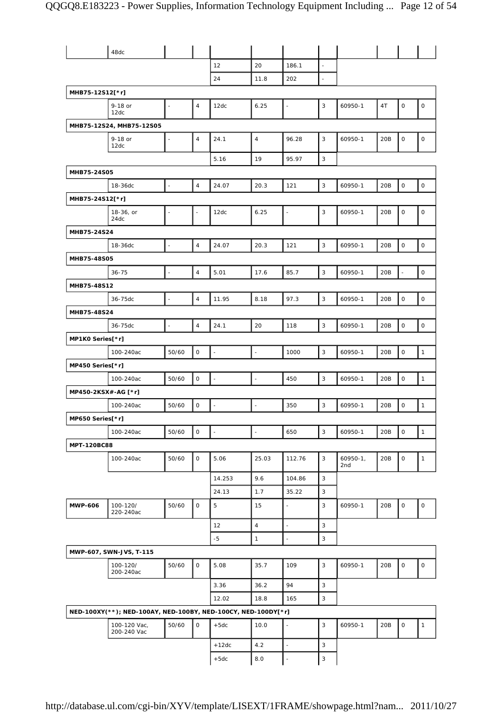|                     | 48dc                                                          |                          |                |                          |                |                          |                          |                   |     |                     |                     |
|---------------------|---------------------------------------------------------------|--------------------------|----------------|--------------------------|----------------|--------------------------|--------------------------|-------------------|-----|---------------------|---------------------|
|                     |                                                               |                          |                | 12                       | 20             | 186.1                    |                          |                   |     |                     |                     |
|                     |                                                               |                          |                | 24                       | 11.8           | 202                      | $\overline{\phantom{a}}$ |                   |     |                     |                     |
| MHB75-12S12[*r]     |                                                               |                          |                |                          |                |                          |                          |                   |     |                     |                     |
|                     | 9-18 or<br>12dc                                               | $\blacksquare$           | $\overline{4}$ | 12dc                     | 6.25           | $\ddot{\phantom{1}}$     | 3                        | 60950-1           | 4T  | $\mathsf{O}\xspace$ | $\mathsf O$         |
|                     | MHB75-12S24, MHB75-12S05                                      |                          |                |                          |                |                          |                          |                   |     |                     |                     |
|                     | 9-18 or<br>12dc                                               | ÷,                       | $\overline{4}$ | 24.1                     | $\sqrt{4}$     | 96.28                    | 3                        | 60950-1           | 20B | $\mathsf O$         | $\mathsf O$         |
|                     |                                                               |                          |                | 5.16                     | 19             | 95.97                    | 3                        |                   |     |                     |                     |
| MHB75-24S05         |                                                               |                          |                |                          |                |                          |                          |                   |     |                     |                     |
|                     | 18-36dc                                                       | $\bar{\phantom{a}}$      | $\overline{4}$ | 24.07                    | 20.3           | 121                      | 3                        | 60950-1           | 20B | $\mathsf O$         | $\mathsf{O}\xspace$ |
| MHB75-24S12[*r]     |                                                               |                          |                |                          |                |                          |                          |                   |     |                     |                     |
|                     | 18-36, or<br>24dc                                             | ÷,                       | ÷,             | 12dc                     | 6.25           | $\blacksquare$           | 3                        | 60950-1           | 20B | $\mathsf{O}\xspace$ | 0                   |
| MHB75-24S24         |                                                               |                          |                |                          |                |                          |                          |                   |     |                     |                     |
|                     | 18-36dc                                                       | ÷,                       | $\overline{4}$ | 24.07                    | 20.3           | 121                      | 3                        | 60950-1           | 20B | $\mathsf O$         | $\mathsf O$         |
| MHB75-48S05         |                                                               |                          |                |                          |                |                          |                          |                   |     |                     |                     |
|                     | $36 - 75$                                                     | $\overline{\phantom{a}}$ | $\overline{4}$ | 5.01                     | 17.6           | 85.7                     | 3                        | 60950-1           | 20B | $\bar{\phantom{a}}$ | $\mathsf{O}$        |
| MHB75-48S12         |                                                               |                          |                |                          |                |                          |                          |                   |     |                     |                     |
|                     | 36-75dc                                                       | $\overline{a}$           | $\overline{4}$ | 11.95                    | 8.18           | 97.3                     | 3                        | 60950-1           | 20B | $\mathsf O$         | $\mathsf{O}$        |
| MHB75-48S24         |                                                               |                          |                |                          |                |                          |                          |                   |     |                     |                     |
|                     | 36-75dc                                                       | $\bar{\phantom{a}}$      | $\overline{4}$ | 24.1                     | 20             | 118                      | 3                        | 60950-1           | 20B | $\mathsf O$         | $\mathsf O$         |
| MP1K0 Series[*r]    |                                                               |                          |                |                          |                |                          |                          |                   |     |                     |                     |
|                     | 100-240ac                                                     | 50/60                    | $\mathsf O$    | $\overline{a}$           |                | 1000                     | 3                        | 60950-1           | 20B | $\mathsf O$         | $\mathbf{1}$        |
| MP450 Series[*r]    |                                                               |                          |                |                          |                |                          |                          |                   |     |                     |                     |
|                     | 100-240ac                                                     | 50/60                    | 0              | $\Box$                   | $\blacksquare$ | 450                      | 3                        | 60950-1           | 20B | $\mathsf O$         | $\mathbf{1}$        |
| MP450-2KSX#-AG [*r] |                                                               |                          |                |                          |                |                          |                          |                   |     |                     |                     |
|                     | 100-240ac                                                     | 50/60                    | $\mathsf{O}$   | $\overline{\phantom{a}}$ |                | 350                      | 3                        | 60950-1           | 20B | $\mathsf{O}\xspace$ | $\mathbf{1}$        |
| MP650 Series[*r]    |                                                               |                          |                |                          |                |                          |                          |                   |     |                     |                     |
|                     | 100-240ac                                                     | 50/60                    | $\mathsf O$    | $\bar{\phantom{a}}$      | ÷,             | 650                      | 3                        | 60950-1           | 20B | $\mathsf O$         | $\mathbf{1}$        |
| MPT-120BC88         |                                                               |                          |                |                          |                |                          |                          |                   |     |                     |                     |
|                     | 100-240ac                                                     | 50/60                    | $\mathsf{O}$   | 5.06                     | 25.03          | 112.76                   | 3                        | $60950-1,$<br>2nd | 20B | $\mathsf O$         | $\mathbf{1}$        |
|                     |                                                               |                          |                | 14.253                   | 9.6            | 104.86                   | 3                        |                   |     |                     |                     |
|                     |                                                               |                          |                | 24.13                    | 1.7            | 35.22                    | 3                        |                   |     |                     |                     |
| <b>MWP-606</b>      | 100-120/<br>220-240ac                                         | 50/60                    | 0              | 5                        | 15             | $\ddot{\phantom{1}}$     | 3                        | 60950-1           | 20B | $\mathsf O$         | $\mathsf O$         |
|                     |                                                               |                          |                | 12                       | $\overline{4}$ | $\overline{\phantom{a}}$ | 3                        |                   |     |                     |                     |
|                     |                                                               |                          |                | $-5$                     | 1              | $\blacksquare$           | 3                        |                   |     |                     |                     |
|                     | MWP-607, SWN-JVS, T-115                                       |                          |                |                          |                |                          |                          |                   |     |                     |                     |
|                     | 100-120/<br>200-240ac                                         | 50/60                    | $\mathsf{O}$   | 5.08                     | 35.7           | 109                      | 3                        | 60950-1           | 20B | $\mathsf O$         | $\mathsf{O}\xspace$ |
|                     |                                                               |                          |                | 3.36                     | 36.2           | 94                       | 3                        |                   |     |                     |                     |
|                     |                                                               |                          |                | 12.02                    | 18.8           | 165                      | 3                        |                   |     |                     |                     |
|                     | NED-100XY(**); NED-100AY, NED-100BY, NED-100CY, NED-100DY[*r] |                          |                |                          |                |                          |                          |                   |     |                     |                     |
|                     | 100-120 Vac,<br>200-240 Vac                                   | 50/60                    | 0              | $+5dc$                   | 10.0           | $\blacksquare$           | 3                        | 60950-1           | 20B | $\mathsf O$         | $\mathbf{1}$        |
|                     |                                                               |                          |                | $+12dc$                  | 4.2            | $\Box$                   | 3                        |                   |     |                     |                     |
|                     |                                                               |                          |                | $+5dc$                   | 8.0            | $\blacksquare$           | 3                        |                   |     |                     |                     |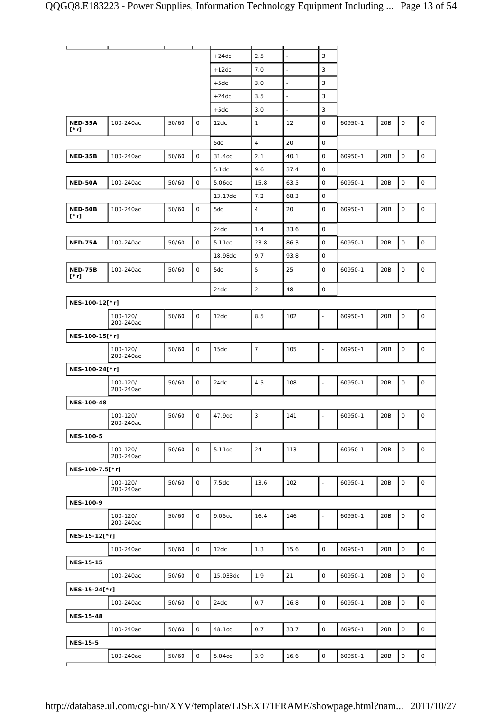|                               | п                     |       | ┸            |          |                |                          |                          |         |     |                     |                     |
|-------------------------------|-----------------------|-------|--------------|----------|----------------|--------------------------|--------------------------|---------|-----|---------------------|---------------------|
|                               |                       |       |              | $+24dc$  | 2.5            | $\overline{\phantom{a}}$ | 3                        |         |     |                     |                     |
|                               |                       |       |              | $+12dc$  | 7.0            | $\Box$                   | 3                        |         |     |                     |                     |
|                               |                       |       |              | $+5dc$   | 3.0            | $\overline{\phantom{a}}$ | 3                        |         |     |                     |                     |
|                               |                       |       |              | $+24dc$  | 3.5            | $\blacksquare$           | 3                        |         |     |                     |                     |
|                               |                       |       |              | $+5dc$   | 3.0            | $\Box$                   | 3                        |         |     |                     |                     |
| NED-35A<br>$[^*r]$            | 100-240ac             | 50/60 | 0            | 12dc     | $\mathbf{1}$   | 12                       | 0                        | 60950-1 | 20B | $\mathsf O$         | $\mathsf O$         |
|                               |                       |       |              | 5dc      | $\overline{4}$ | 20                       | 0                        |         |     |                     |                     |
| <b>NED-35B</b>                | 100-240ac             | 50/60 | $\mathsf O$  | 31.4dc   | 2.1            | 40.1                     | $\mathsf{O}$             | 60950-1 | 20B | $\mathsf O$         | 0                   |
|                               |                       |       |              | 5.1dc    | 9.6            | 37.4                     | 0                        |         |     |                     |                     |
| NED-50A                       | 100-240ac             | 50/60 | 0            | 5.06dc   | 15.8           | 63.5                     | $\mathsf{O}$             | 60950-1 | 20B | $\mathsf O$         | $\mathsf O$         |
|                               |                       |       |              | 13.17dc  | 7.2            | 68.3                     | 0                        |         |     |                     |                     |
| NED-50B<br>$[\cdot r]$        | 100-240ac             | 50/60 | 0            | 5dc      | $\overline{4}$ | 20                       | $\mathsf{O}$             | 60950-1 | 20B | $\mathsf{O}\xspace$ | $\mathsf O$         |
|                               |                       |       |              | 24dc     | 1.4            | 33.6                     | $\mathsf{O}$             |         |     |                     |                     |
| <b>NED-75A</b>                | 100-240ac             | 50/60 | 0            | 5.11dc   | 23.8           | 86.3                     | 0                        | 60950-1 | 20B | $\mathsf O$         | $\mathsf O$         |
|                               |                       |       |              | 18.98dc  | 9.7            | 93.8                     | 0                        |         |     |                     |                     |
| <b>NED-75B</b><br>$[\cdot r]$ | 100-240ac             | 50/60 | $\mathsf O$  | 5dc      | 5              | 25                       | 0                        | 60950-1 | 20B | $\mathsf O$         | $\mathsf O$         |
|                               |                       |       |              | 24dc     | $\overline{2}$ | 48                       | 0                        |         |     |                     |                     |
| NES-100-12[*r]                |                       |       |              |          |                |                          |                          |         |     |                     |                     |
|                               | 100-120/<br>200-240ac | 50/60 | 0            | 12dc     | 8.5            | 102                      | $\overline{\phantom{a}}$ | 60950-1 | 20B | 0                   | $\mathsf O$         |
| NES-100-15[*r]                |                       |       |              |          |                |                          |                          |         |     |                     |                     |
|                               | 100-120/<br>200-240ac | 50/60 | 0            | 15dc     | $\overline{7}$ | 105                      | $\overline{\phantom{a}}$ | 60950-1 | 20B | $\mathsf O$         | $\mathsf O$         |
| NES-100-24[*r]                |                       |       |              |          |                |                          |                          |         |     |                     |                     |
|                               | 100-120/<br>200-240ac | 50/60 | 0            | 24dc     | 4.5            | 108                      |                          | 60950-1 | 20B | 0                   | $\mathsf O$         |
| <b>NES-100-48</b>             |                       |       |              |          |                |                          |                          |         |     |                     |                     |
|                               | 100-120/<br>200-240ac | 50/60 | 0            | 47.9dc   | $\sqrt{3}$     | 141                      |                          | 60950-1 | 20B | 0                   | $\mathsf O$         |
| <b>NES-100-5</b>              |                       |       |              |          |                |                          |                          |         |     |                     |                     |
|                               | 100-120/<br>200-240ac | 50/60 | 0            | 5.11dc   | 24             | 113                      | $\overline{\phantom{a}}$ | 60950-1 | 20B | $\mathsf O$         | $\mathsf O$         |
| NES-100-7.5[*r]               |                       |       |              |          |                |                          |                          |         |     |                     |                     |
|                               | 100-120/<br>200-240ac | 50/60 | 0            | 7.5dc    | 13.6           | 102                      | $\overline{\phantom{a}}$ | 60950-1 | 20B | $\mathsf O$         | $\mathsf O$         |
| <b>NES-100-9</b>              |                       |       |              |          |                |                          |                          |         |     |                     |                     |
|                               | 100-120/<br>200-240ac | 50/60 | $\mathbf 0$  | 9.05dc   | 16.4           | 146                      | $\overline{\phantom{a}}$ | 60950-1 | 20B | $\mathsf O$         | 0                   |
| NES-15-12[*r]                 |                       |       |              |          |                |                          |                          |         |     |                     |                     |
|                               | 100-240ac             | 50/60 | $\mathsf O$  | 12dc     | 1.3            | 15.6                     | 0                        | 60950-1 | 20B | $\mathsf O$         | $\mathsf{O}\xspace$ |
| <b>NES-15-15</b>              |                       |       |              |          |                |                          |                          |         |     |                     |                     |
|                               | 100-240ac             | 50/60 | $\mathsf{O}$ | 15.033dc | 1.9            | 21                       | 0                        | 60950-1 | 20B | $\mathsf O$         | $\mathsf{O}\xspace$ |
| NES-15-24[*r]                 |                       |       |              |          |                |                          |                          |         |     |                     |                     |
|                               | 100-240ac             | 50/60 | $\mathsf{O}$ | 24dc     | 0.7            | 16.8                     | 0                        | 60950-1 | 20B | $\mathsf O$         | $\mathsf{O}\xspace$ |
| <b>NES-15-48</b>              |                       |       |              |          |                |                          |                          |         |     |                     |                     |
|                               | 100-240ac             | 50/60 | 0            | 48.1dc   | 0.7            | 33.7                     | 0                        | 60950-1 | 20B | $\mathsf{O}\xspace$ | $\mathsf{O}$        |
| <b>NES-15-5</b>               |                       |       |              |          |                |                          |                          |         |     |                     |                     |
|                               | 100-240ac             | 50/60 | $\mathsf O$  | 5.04dc   | 3.9            | 16.6                     | 0                        | 60950-1 | 20B | $\mathsf O$         | $\mathsf O$         |
|                               |                       |       |              |          |                |                          |                          |         |     |                     |                     |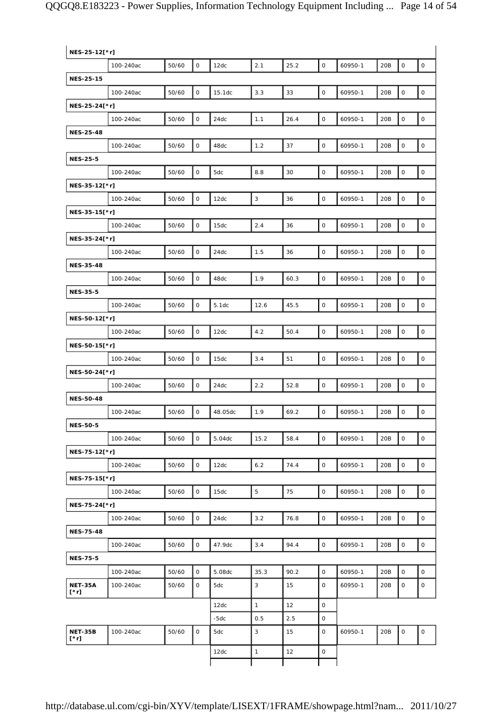|                        | NES-25-12[*r] |       |                     |         |              |      |                     |         |     |                     |                     |  |  |
|------------------------|---------------|-------|---------------------|---------|--------------|------|---------------------|---------|-----|---------------------|---------------------|--|--|
|                        | 100-240ac     | 50/60 | 0                   | 12dc    | 2.1          | 25.2 | $\mathsf{O}$        | 60950-1 | 20B | $\mathsf{O}\xspace$ | $\mathsf O$         |  |  |
| <b>NES-25-15</b>       |               |       |                     |         |              |      |                     |         |     |                     |                     |  |  |
|                        | 100-240ac     | 50/60 | $\mathsf{O}\xspace$ | 15.1dc  | 3.3          | 33   | $\mathsf{O}\xspace$ | 60950-1 | 20B | $\mathsf{O}\xspace$ | $\mathsf O$         |  |  |
| NES-25-24[*r]          |               |       |                     |         |              |      |                     |         |     |                     |                     |  |  |
|                        | 100-240ac     | 50/60 | 0                   | 24dc    | 1.1          | 26.4 | $\mathsf{O}$        | 60950-1 | 20B | $\mathsf{O}\xspace$ | $\mathsf O$         |  |  |
| <b>NES-25-48</b>       |               |       |                     |         |              |      |                     |         |     |                     |                     |  |  |
|                        | 100-240ac     | 50/60 | 0                   | 48dc    | 1.2          | 37   | O                   | 60950-1 | 20B | $\mathsf{O}\xspace$ | $\mathsf O$         |  |  |
| <b>NES-25-5</b>        |               |       |                     |         |              |      |                     |         |     |                     |                     |  |  |
|                        | 100-240ac     | 50/60 | 0                   | 5dc     | 8.8          | 30   | 0                   | 60950-1 | 20B | $\mathsf{O}\xspace$ | $\mathsf O$         |  |  |
| NES-35-12[*r]          |               |       |                     |         |              |      |                     |         |     |                     |                     |  |  |
|                        | 100-240ac     | 50/60 | 0                   | 12dc    | $\mathbf{3}$ | 36   | 0                   | 60950-1 | 20B | $\mathsf O$         | $\mathsf{O}$        |  |  |
| NES-35-15[*r]          |               |       |                     |         |              |      |                     |         |     |                     |                     |  |  |
|                        | 100-240ac     | 50/60 | $\mathsf{O}$        | 15dc    | 2.4          | 36   | $\mathsf{O}$        | 60950-1 | 20B | $\mathsf{O}\xspace$ | $\mathsf O$         |  |  |
| NES-35-24[*r]          |               |       |                     |         |              |      |                     |         |     |                     |                     |  |  |
|                        | 100-240ac     | 50/60 | $\mathsf{O}$        | 24dc    | 1.5          | 36   | 0                   | 60950-1 | 20B | $\mathsf{O}\xspace$ | $\mathsf O$         |  |  |
| <b>NES-35-48</b>       |               |       |                     |         |              |      |                     |         |     |                     |                     |  |  |
|                        | 100-240ac     | 50/60 | 0                   | 48dc    | 1.9          | 60.3 | $\mathsf{O}\xspace$ | 60950-1 | 20B | $\mathsf O$         | $\mathsf{O}\xspace$ |  |  |
| <b>NES-35-5</b>        |               |       |                     |         |              |      |                     |         |     |                     |                     |  |  |
|                        | 100-240ac     | 50/60 | $\mathsf{O}\xspace$ | 5.1dc   | 12.6         | 45.5 | $\mathsf{O}\xspace$ | 60950-1 | 20B | $\mathsf{O}\xspace$ | $\mathsf O$         |  |  |
| NES-50-12[*r]          |               |       |                     |         |              |      |                     |         |     |                     |                     |  |  |
|                        | 100-240ac     | 50/60 | $\mathsf O$         | 12dc    | 4.2          | 50.4 | $\mathsf{O}$        | 60950-1 | 20B | $\mathsf{O}\xspace$ | $\mathsf{O}\xspace$ |  |  |
| NES-50-15[*r]          |               |       |                     |         |              |      |                     |         |     |                     |                     |  |  |
|                        | 100-240ac     | 50/60 | $\mathsf{O}\xspace$ | 15dc    | 3.4          | 51   | 0                   | 60950-1 | 20B | $\mathsf O$         | $\mathsf O$         |  |  |
| NES-50-24[*r]          |               |       |                     |         |              |      |                     |         |     |                     |                     |  |  |
|                        | 100-240ac     | 50/60 | 0                   | 24dc    | 2.2          | 52.8 | 0                   | 60950-1 | 20B | O                   | $\mathsf O$         |  |  |
| <b>NES-50-48</b>       |               |       |                     |         |              |      |                     |         |     |                     |                     |  |  |
|                        | 100-240ac     | 50/60 | 0                   | 48.05dc | 1.9          | 69.2 | 0                   | 60950-1 | 20B | $\mathsf{O}\xspace$ | $\mathsf O$         |  |  |
| <b>NES-50-5</b>        |               |       |                     |         |              |      |                     |         |     |                     |                     |  |  |
|                        | 100-240ac     | 50/60 | $\mathsf{O}$        | 5.04dc  | 15.2         | 58.4 | $\mathsf{O}$        | 60950-1 | 20B | $\mathsf{O}$        | $\mathbf 0$         |  |  |
| NES-75-12[*r]          |               |       |                     |         |              |      |                     |         |     |                     |                     |  |  |
|                        | 100-240ac     | 50/60 | 0                   | 12dc    | 6.2          | 74.4 | 0                   | 60950-1 | 20B | $\mathsf{O}\xspace$ | $\mathsf O$         |  |  |
| NES-75-15[*r]          |               |       |                     |         |              |      |                     |         |     |                     |                     |  |  |
|                        | 100-240ac     | 50/60 | 0                   | 15dc    | 5            | 75   | O                   | 60950-1 | 20B | $\mathsf{O}$        | $\mathsf{O}\xspace$ |  |  |
| NES-75-24[*r]          |               |       |                     |         |              |      |                     |         |     |                     |                     |  |  |
|                        | 100-240ac     | 50/60 | 0                   | 24dc    | 3.2          | 76.8 | 0                   | 60950-1 | 20B | $\mathsf{O}$        | $\mathsf{O}\xspace$ |  |  |
| <b>NES-75-48</b>       |               |       |                     |         |              |      |                     |         |     |                     |                     |  |  |
|                        | 100-240ac     | 50/60 | 0                   | 47.9dc  | 3.4          | 94.4 | 0                   | 60950-1 | 20B | $\mathsf{O}$        | $\circ$             |  |  |
| <b>NES-75-5</b>        |               |       |                     |         |              |      |                     |         |     |                     |                     |  |  |
|                        | 100-240ac     | 50/60 | $\mathsf O$         | 5.08dc  | 35.3         | 90.2 | $\circ$             | 60950-1 | 20B | $\mathsf{O}$        | $\mathsf{O}$        |  |  |
| <b>NET-35A</b><br>[*r] | 100-240ac     | 50/60 | 0                   | 5dc     | 3            | 15   | 0                   | 60950-1 | 20B | 0                   | 0                   |  |  |
|                        |               |       |                     | 12dc    | $\mathbf{1}$ | 12   | 0                   |         |     |                     |                     |  |  |
|                        |               |       |                     | -5dc    | 0.5          | 2.5  | 0                   |         |     |                     |                     |  |  |
| <b>NET-35B</b><br>[*r] | 100-240ac     | 50/60 | $\mathsf O$         | 5dc     | 3            | 15   | 0                   | 60950-1 | 20B | $\mathsf O$         | $\mathsf{O}\xspace$ |  |  |
|                        |               |       |                     | 12dc    | $\mathbf{1}$ | 12   | 0                   |         |     |                     |                     |  |  |
|                        |               |       |                     |         |              |      |                     |         |     |                     |                     |  |  |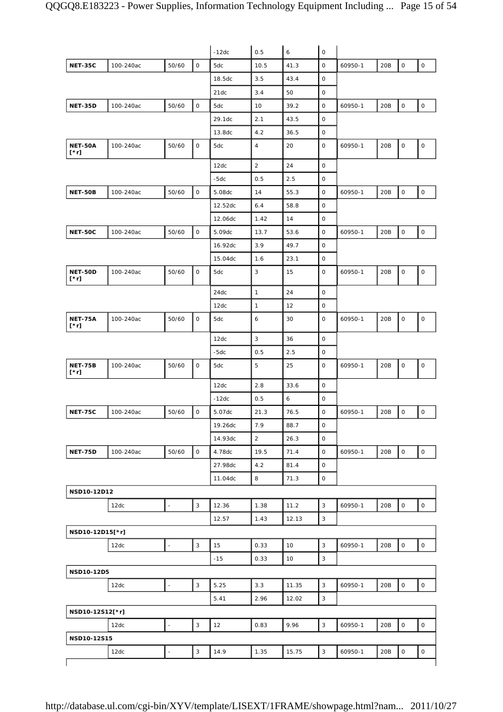|                        |           |                |                     | $-12dc$ | 0.5            | $\boldsymbol{6}$ | $\mathsf O$  |         |     |                     |                     |
|------------------------|-----------|----------------|---------------------|---------|----------------|------------------|--------------|---------|-----|---------------------|---------------------|
| <b>NET-35C</b>         | 100-240ac | 50/60          | $\mathsf{O}\xspace$ | 5dc     | 10.5           | 41.3             | 0            | 60950-1 | 20B | $\mathsf O$         | $\mathsf{O}\xspace$ |
|                        |           |                |                     | 18.5dc  | 3.5            | 43.4             | $\mathsf O$  |         |     |                     |                     |
|                        |           |                |                     | 21dc    | 3.4            | 50               | 0            |         |     |                     |                     |
| <b>NET-35D</b>         | 100-240ac | 50/60          | $\mathsf O$         | 5dc     | 10             | 39.2             | 0            | 60950-1 | 20B | $\mathsf O$         | $\mathsf{O}\xspace$ |
|                        |           |                |                     | 29.1dc  | 2.1            | 43.5             | 0            |         |     |                     |                     |
|                        |           |                |                     | 13.8dc  | 4.2            | 36.5             | $\mathsf O$  |         |     |                     |                     |
| <b>NET-50A</b><br>[*r] | 100-240ac | 50/60          | $\mathsf{O}$        | 5dc     | $\overline{4}$ | 20               | $\mathsf{O}$ | 60950-1 | 20B | $\mathsf{O}\xspace$ | $\mathsf{O}$        |
|                        |           |                |                     | 12dc    | $\overline{2}$ | 24               | 0            |         |     |                     |                     |
|                        |           |                |                     | $-5dc$  | 0.5            | 2.5              | $\mathsf O$  |         |     |                     |                     |
| <b>NET-50B</b>         | 100-240ac | 50/60          | $\mathsf O$         | 5.08dc  | 14             | 55.3             | 0            | 60950-1 | 20B | $\mathsf O$         | $\mathsf{O}$        |
|                        |           |                |                     | 12.52dc | 6.4            | 58.8             | 0            |         |     |                     |                     |
|                        |           |                |                     | 12.06dc | 1.42           | 14               | 0            |         |     |                     |                     |
| <b>NET-50C</b>         | 100-240ac | 50/60          | $\mathsf O$         | 5.09dc  | 13.7           | 53.6             | 0            | 60950-1 | 20B | $\mathsf O$         | $\mathsf O$         |
|                        |           |                |                     | 16.92dc | 3.9            | 49.7             | $\mathsf O$  |         |     |                     |                     |
|                        |           |                |                     | 15.04dc | 1.6            | 23.1             | 0            |         |     |                     |                     |
| NET-50D<br>[*r]        | 100-240ac | 50/60          | 0                   | 5dc     | $\sqrt{3}$     | 15               | 0            | 60950-1 | 20B | $\mathsf{O}\xspace$ | $\mathsf{O}\xspace$ |
|                        |           |                |                     | 24dc    | $\mathbf{1}$   | 24               | $\mathsf O$  |         |     |                     |                     |
|                        |           |                |                     | 12dc    | $\mathbf{1}$   | 12               | 0            |         |     |                     |                     |
| <b>NET-75A</b><br>[*r] | 100-240ac | 50/60          | 0                   | 5dc     | 6              | 30               | 0            | 60950-1 | 20B | $\mathsf O$         | $\mathsf{O}\xspace$ |
|                        |           |                |                     | 12dc    | $\sqrt{3}$     | 36               | 0            |         |     |                     |                     |
|                        |           |                |                     | $-5dc$  | 0.5            | 2.5              | 0            |         |     |                     |                     |
| <b>NET-75B</b><br>[*r] | 100-240ac | 50/60          | $\mathsf O$         | 5dc     | 5              | 25               | 0            | 60950-1 | 20B | $\mathsf O$         | $\mathsf{O}\xspace$ |
|                        |           |                |                     | 12dc    | 2.8            | 33.6             | 0            |         |     |                     |                     |
|                        |           |                |                     | $-12dc$ | 0.5            | 6                | 0            |         |     |                     |                     |
| <b>NET-75C</b>         | 100-240ac | 50/60          | 0                   | 5.07dc  | 21.3           | 76.5             | 0            | 60950-1 | 20B | 0                   | $\mathsf O$         |
|                        |           |                |                     | 19.26dc | 7.9            | 88.7             | $\mathsf O$  |         |     |                     |                     |
|                        |           |                |                     | 14.93dc | $\overline{2}$ | 26.3             | 0            |         |     |                     |                     |
| <b>NET-75D</b>         | 100-240ac | 50/60          | $\mathsf O$         | 4.78dc  | 19.5           | 71.4             | $\mathsf{O}$ | 60950-1 | 20B | $\mathsf{O}\xspace$ | $\mathsf{O}$        |
|                        |           |                |                     | 27.98dc | 4.2            | 81.4             | 0            |         |     |                     |                     |
|                        |           |                |                     | 11.04dc | 8              | 71.3             | $\mathsf O$  |         |     |                     |                     |
| NSD10-12D12            |           |                |                     |         |                |                  |              |         |     |                     |                     |
|                        | 12dc      |                | $\mathsf 3$         | 12.36   | 1.38           | 11.2             | 3            | 60950-1 | 20B | $\mathsf O$         | $\mathsf{O}$        |
|                        |           |                |                     | 12.57   | 1.43           | 12.13            | 3            |         |     |                     |                     |
| NSD10-12D15[*r]        |           |                |                     |         |                |                  |              |         |     |                     |                     |
|                        | 12dc      | $\blacksquare$ | 3                   | 15      | 0.33           | 10               | 3            | 60950-1 | 20B | $\mathsf{O}\xspace$ | 0                   |
|                        |           |                |                     | $-15$   | 0.33           | 10               | $\mathsf 3$  |         |     |                     |                     |
| NSD10-12D5             |           |                |                     |         |                |                  |              |         |     |                     |                     |
|                        | 12dc      | $\blacksquare$ | $\mathbf{3}$        | 5.25    | 3.3            | 11.35            | 3            | 60950-1 | 20B | $\mathsf O$         | $\mathsf{O}$        |
|                        |           |                |                     | 5.41    | 2.96           | 12.02            | 3            |         |     |                     |                     |
| NSD10-12S12[*r]        |           |                |                     |         |                |                  |              |         |     |                     |                     |
|                        | 12dc      | ÷,             | 3                   | 12      | 0.83           | 9.96             | 3            | 60950-1 | 20B | $\mathsf O$         | 0                   |
| NSD10-12S15            |           |                |                     |         |                |                  |              |         |     |                     |                     |
|                        | 12dc      | $\overline{a}$ | 3                   | 14.9    | 1.35           | 15.75            | 3            | 60950-1 | 20B | $\mathsf O$         | $\mathsf{O}\xspace$ |
|                        |           |                |                     |         |                |                  |              |         |     |                     |                     |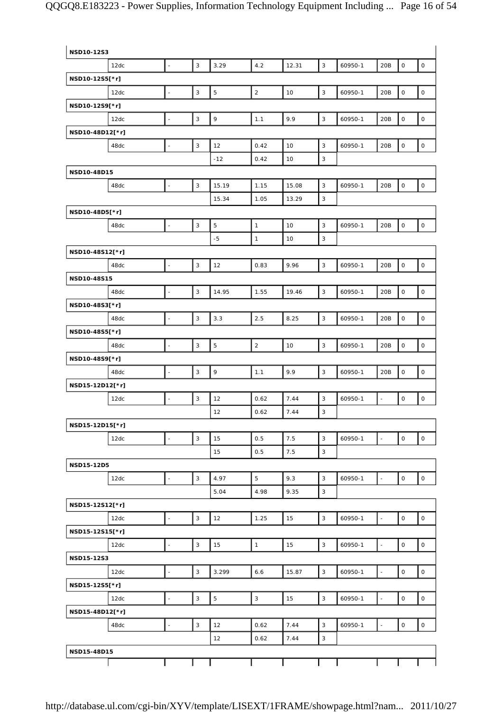| NSD10-12S3        |      |                          |                           |              |                |       |              |         |                          |                     |                     |
|-------------------|------|--------------------------|---------------------------|--------------|----------------|-------|--------------|---------|--------------------------|---------------------|---------------------|
|                   | 12dc | $\mathbb{L}$             | $\mathbf{3}$              | 3.29         | 4.2            | 12.31 | 3            | 60950-1 | 20B                      | $\mathsf O$         | $\mathsf{O}\xspace$ |
| NSD10-12S5[*r]    |      |                          |                           |              |                |       |              |         |                          |                     |                     |
|                   | 12dc | $\overline{\phantom{a}}$ | $\mathsf 3$               | $\mathbf 5$  | $\overline{2}$ | 10    | $\mathsf 3$  | 60950-1 | 20B                      | $\mathsf O$         | $\mathsf{O}\xspace$ |
| NSD10-12S9[*r]    |      |                          |                           |              |                |       |              |         |                          |                     |                     |
|                   | 12dc | $\bar{\phantom{a}}$      | $\mathsf 3$               | $\mathbf{9}$ | 1.1            | 9.9   | 3            | 60950-1 | 20B                      | $\mathsf O$         | $\mathsf O$         |
| NSD10-48D12[*r]   |      |                          |                           |              |                |       |              |         |                          |                     |                     |
|                   | 48dc | $\Box$                   | $\mathsf 3$               | 12           | 0.42           | 10    | $\mathbf{3}$ | 60950-1 | 20B                      | $\mathsf O$         | $\mathsf O$         |
|                   |      |                          |                           | $-12$        | 0.42           | 10    | 3            |         |                          |                     |                     |
| NSD10-48D15       |      |                          |                           |              |                |       |              |         |                          |                     |                     |
|                   | 48dc | $\Box$                   | $\mathsf 3$               | 15.19        | 1.15           | 15.08 | 3            | 60950-1 | 20B                      | $\mathsf O$         | $\mathsf O$         |
|                   |      |                          |                           | 15.34        | 1.05           | 13.29 | 3            |         |                          |                     |                     |
| NSD10-48D5[*r]    |      |                          |                           |              |                |       |              |         |                          |                     |                     |
|                   | 48dc | $\bar{\phantom{a}}$      | $\mathbf{3}$              | 5            | $\mathbf{1}$   | 10    | 3            | 60950-1 | 20B                      | $\mathsf O$         | $\mathsf O$         |
|                   |      |                          |                           | $-5$         | $\mathbf{1}$   | 10    | 3            |         |                          |                     |                     |
| NSD10-48S12[*r]   |      |                          |                           |              |                |       |              |         |                          |                     |                     |
|                   | 48dc | $\overline{\phantom{a}}$ | $\mathsf 3$               | 12           | 0.83           | 9.96  | $\mathsf 3$  | 60950-1 | 20B                      | $\mathsf O$         | $\mathsf O$         |
| NSD10-48S15       |      |                          |                           |              |                |       |              |         |                          |                     |                     |
|                   | 48dc | $\overline{\phantom{a}}$ | $\mathbf{3}$              | 14.95        | 1.55           | 19.46 | 3            | 60950-1 | 20B                      | $\mathsf{O}\xspace$ | $\mathsf{O}\xspace$ |
| NSD10-48S3[*r]    |      |                          |                           |              |                |       |              |         |                          |                     |                     |
|                   | 48dc | $\Box$                   | $\mathsf 3$               | 3.3          | 2.5            | 8.25  | $\mathsf 3$  | 60950-1 | 20B                      | $\mathsf{O}\xspace$ | $\mathsf{O}\xspace$ |
| NSD10-48S5[*r]    |      |                          |                           |              |                |       |              |         |                          |                     |                     |
|                   | 48dc | $\overline{\phantom{a}}$ | $\ensuremath{\mathsf{3}}$ | $\mathbf 5$  | $\overline{2}$ | 10    | 3            | 60950-1 | 20B                      | $\mathsf{O}\xspace$ | $\mathsf{O}\xspace$ |
| NSD10-48S9[*r]    |      |                          |                           |              |                |       |              |         |                          |                     |                     |
|                   | 48dc | $\overline{\phantom{a}}$ | $\mathsf 3$               | 9            | 1.1            | 9.9   | 3            | 60950-1 | 20B                      | $\mathsf O$         | $\mathsf O$         |
| NSD15-12D12[*r]   |      |                          |                           |              |                |       |              |         |                          |                     |                     |
|                   | 12dc | $\Box$                   | $\mathsf 3$               | 12           | 0.62           | 7.44  | 3            | 60950-1 | $\overline{\phantom{a}}$ | $\mathsf O$         | $\mathsf O$         |
|                   |      |                          |                           | 12           | 0.62           | 7.44  | 3            |         |                          |                     |                     |
| NSD15-12D15[*r]   |      |                          |                           |              |                |       |              |         |                          |                     |                     |
|                   | 12dc | $\Box$                   | $\mathbf{3}$              | 15           | 0.5            | 7.5   | 3            | 60950-1 | $\overline{\phantom{a}}$ | $\mathsf O$         | $\mathsf{O}$        |
|                   |      |                          |                           | 15           | 0.5            | 7.5   | $\mathsf 3$  |         |                          |                     |                     |
| <b>NSD15-12D5</b> |      |                          |                           |              |                |       |              |         |                          |                     |                     |
|                   | 12dc | $\overline{\phantom{a}}$ | $\mathbf{3}$              | 4.97         | 5              | 9.3   | 3            | 60950-1 | ÷,                       | $\mathsf O$         | $\mathsf{O}$        |
|                   |      |                          |                           | 5.04         | 4.98           | 9.35  | 3            |         |                          |                     |                     |
| NSD15-12S12[*r]   |      |                          |                           |              |                |       |              |         |                          |                     |                     |
|                   | 12dc | $\mathbb{L}$             | $\sqrt{3}$                | 12           | 1.25           | 15    | $\mathbf{3}$ | 60950-1 | $\overline{\phantom{a}}$ | $\circ$             | $\circ$             |
| NSD15-12S15[*r]   |      |                          |                           |              |                |       |              |         |                          |                     |                     |
|                   | 12dc | $\bar{\phantom{a}}$      | 3                         | 15           | $\mathbf{1}$   | 15    | 3            | 60950-1 | $\overline{\phantom{a}}$ | $\mathsf O$         | $\mathsf{O}\xspace$ |
| NSD15-12S3        |      |                          |                           |              |                |       |              |         |                          |                     |                     |
|                   | 12dc | $\overline{a}$           | $\mathsf 3$               | 3.299        | 6.6            | 15.87 | $\mathsf 3$  | 60950-1 | $\blacksquare$           | $\mathsf O$         | $\mathsf{O}$        |
| NSD15-12S5[*r]    |      |                          |                           |              |                |       |              |         |                          |                     |                     |
|                   | 12dc | $\mathbb{Z}^2$           | $\mathbf{3}$              | 5            | 3              | 15    | 3            | 60950-1 | $\Box$                   | $\mathsf O$         | $\mathsf{O}$        |
| NSD15-48D12[*r]   |      |                          |                           |              |                |       |              |         |                          |                     |                     |
|                   | 48dc | $\bar{\phantom{a}}$      | $\sqrt{3}$                | 12           | 0.62           | 7.44  | 3            | 60950-1 | $\overline{\phantom{a}}$ | $\mathsf O$         | $\mathsf{O}$        |
|                   |      |                          |                           | 12           | 0.62           | 7.44  | 3            |         |                          |                     |                     |
| NSD15-48D15       |      |                          |                           |              |                |       |              |         |                          |                     |                     |
|                   |      |                          |                           |              |                |       |              |         |                          |                     |                     |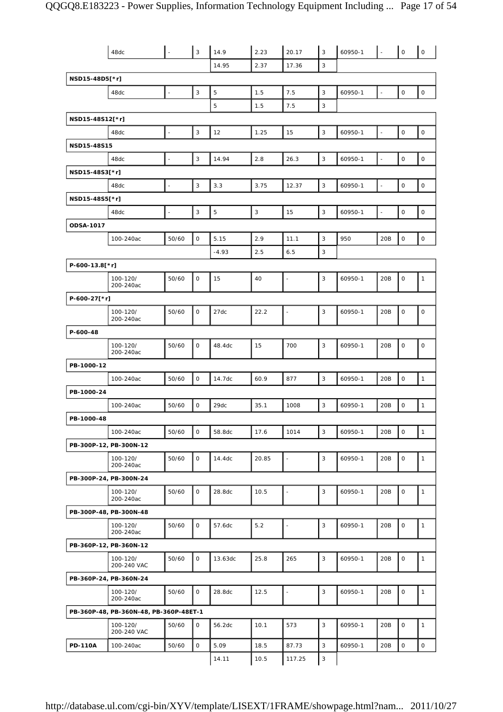|                 | 48dc                                   | ä,                       | $\vert$ 3                 | 14.9        | 2.23  | 20.17                    | $\mathsf 3$               | 60950-1 |                          | $\mathsf{O}$        | $\mathsf{O}$   |
|-----------------|----------------------------------------|--------------------------|---------------------------|-------------|-------|--------------------------|---------------------------|---------|--------------------------|---------------------|----------------|
|                 |                                        |                          |                           | 14.95       | 2.37  | 17.36                    | 3                         |         |                          |                     |                |
| NSD15-48D5[*r]  |                                        |                          |                           |             |       |                          |                           |         |                          |                     |                |
|                 | 48dc                                   | $\blacksquare$           | $\mathsf 3$               | 5           | 1.5   | 7.5                      | 3                         | 60950-1 | $\blacksquare$           | $\mathsf O$         | $\mathsf O$    |
|                 |                                        |                          |                           | 5           | 1.5   | 7.5                      | $\ensuremath{\mathsf{3}}$ |         |                          |                     |                |
| NSD15-48S12[*r] |                                        |                          |                           |             |       |                          |                           |         |                          |                     |                |
|                 | 48dc                                   | $\Box$                   | 3                         | 12          | 1.25  | 15                       | 3                         | 60950-1 | $\overline{\phantom{a}}$ | $\mathsf{O}\xspace$ | $\mathsf O$    |
| NSD15-48S15     |                                        |                          |                           |             |       |                          |                           |         |                          |                     |                |
|                 | 48dc                                   | $\overline{\phantom{a}}$ | $\mathsf 3$               | 14.94       | 2.8   | 26.3                     | 3                         | 60950-1 | ÷,                       | 0                   | $\mathsf O$    |
| NSD15-48S3[*r]  |                                        |                          |                           |             |       |                          |                           |         |                          |                     |                |
|                 | 48dc                                   | $\blacksquare$           | 3                         | 3.3         | 3.75  | 12.37                    | 3                         | 60950-1 | $\overline{\phantom{a}}$ | $\mathsf O$         | $\mathsf O$    |
| NSD15-48S5[*r]  |                                        |                          |                           |             |       |                          |                           |         |                          |                     |                |
|                 | 48dc                                   | $\blacksquare$           | $\ensuremath{\mathsf{3}}$ | $\mathbf 5$ | 3     | 15                       | 3                         | 60950-1 | $\Box$                   | $\mathsf O$         | $\mathsf O$    |
| ODSA-1017       |                                        |                          |                           |             |       |                          |                           |         |                          |                     |                |
|                 | 100-240ac                              | 50/60                    | $\mathsf O$               | 5.15        | 2.9   | 11.1                     | 3                         | 950     | 20B                      | $\mathsf{O}\xspace$ | $\mathsf O$    |
|                 |                                        |                          |                           | $-4.93$     | 2.5   | 6.5                      | 3                         |         |                          |                     |                |
| P-600-13.8[*r]  |                                        |                          |                           |             |       |                          |                           |         |                          |                     |                |
|                 | 100-120/<br>200-240ac                  | 50/60                    | 0                         | 15          | 40    | $\blacksquare$           | 3                         | 60950-1 | 20B                      | $\mathsf O$         | $\mathbf{1}$   |
| P-600-27[*r]    |                                        |                          |                           |             |       |                          |                           |         |                          |                     |                |
|                 | 100-120/<br>200-240ac                  | 50/60                    | 0                         | 27dc        | 22.2  | $\blacksquare$           | 3                         | 60950-1 | 20B                      | $\mathsf O$         | 0              |
| P-600-48        |                                        |                          |                           |             |       |                          |                           |         |                          |                     |                |
|                 | 100-120/<br>200-240ac                  | 50/60                    | 0                         | 48.4dc      | 15    | 700                      | 3                         | 60950-1 | 20B                      | $\mathsf{O}\xspace$ | $\mathsf O$    |
| PB-1000-12      |                                        |                          |                           |             |       |                          |                           |         |                          |                     |                |
|                 | 100-240ac                              | 50/60                    | $\mathsf O$               | 14.7dc      | 60.9  | 877                      | 3                         | 60950-1 | 20B                      | $\mathsf O$         | $\overline{1}$ |
| PB-1000-24      |                                        |                          |                           |             |       |                          |                           |         |                          |                     |                |
|                 | 100-240ac                              | 50/60                    | $\mathsf O$               | 29dc        | 35.1  | 1008                     | 3                         | 60950-1 | 20B                      | $\mathsf{O}\xspace$ | $\mathbf{1}$   |
| PB-1000-48      |                                        |                          |                           |             |       |                          |                           |         |                          |                     |                |
|                 | 100-240ac                              | 50/60                    | $\mathbf 0$               | 58.8dc      | 17.6  | 1014                     | 3                         | 60950-1 | 20B                      | $\mathsf O$         | $\mathbf{1}$   |
|                 | PB-300P-12, PB-300N-12                 |                          |                           |             |       |                          |                           |         |                          |                     |                |
|                 | 100-120/<br>200-240ac                  | 50/60                    | 0                         | 14.4dc      | 20.85 | $\overline{\phantom{a}}$ | 3                         | 60950-1 | 20B                      | $\mathsf{O}\xspace$ | $\mathbf{1}$   |
|                 | PB-300P-24, PB-300N-24                 |                          |                           |             |       |                          |                           |         |                          |                     |                |
|                 | 100-120/<br>200-240ac                  | 50/60                    | 0                         | 28.8dc      | 10.5  | $\blacksquare$           | 3                         | 60950-1 | 20B                      | O                   | $\mathbf{1}$   |
|                 | PB-300P-48, PB-300N-48                 |                          |                           |             |       |                          |                           |         |                          |                     |                |
|                 | 100-120/<br>200-240ac                  | 50/60                    | O                         | 57.6dc      | 5.2   | $\blacksquare$           | 3                         | 60950-1 | 20B                      | O                   | $\mathbf{1}$   |
|                 | PB-360P-12, PB-360N-12                 |                          |                           |             |       |                          |                           |         |                          |                     |                |
|                 | 100-120/<br>200-240 VAC                | 50/60                    | 0                         | 13.63dc     | 25.8  | 265                      | 3                         | 60950-1 | 20B                      | $\mathsf O$         | $\mathbf{1}$   |
|                 | PB-360P-24, PB-360N-24                 |                          |                           |             |       |                          |                           |         |                          |                     |                |
|                 | 100-120/<br>200-240ac                  | 50/60                    | 0                         | 28.8dc      | 12.5  | $\overline{\phantom{a}}$ | 3                         | 60950-1 | 20B                      | 0                   | $\mathbf{1}$   |
|                 | PB-360P-48, PB-360N-48, PB-360P-48ET-1 |                          |                           |             |       |                          |                           |         |                          |                     |                |
|                 | 100-120/<br>200-240 VAC                | 50/60                    | 0                         | 56.2dc      | 10.1  | 573                      | 3                         | 60950-1 | 20B                      | 0                   | $\mathbf{1}$   |
| <b>PD-110A</b>  | 100-240ac                              | 50/60                    | $\mathsf O$               | 5.09        | 18.5  | 87.73                    | 3                         | 60950-1 | 20B                      | 0                   | $\mathsf{O}$   |
|                 |                                        |                          |                           | 14.11       | 10.5  | 117.25                   | 3                         |         |                          |                     |                |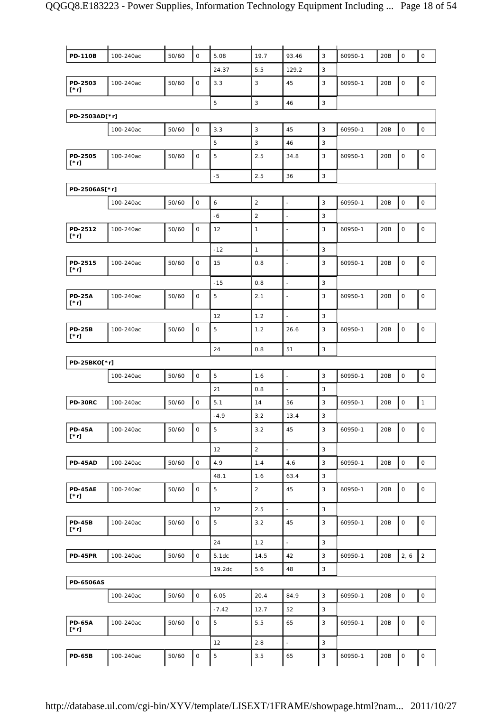| <b>PD-110B</b>               | 100-240ac | 50/60 | $\mathsf{O}$        | 5.08    | 19.7           | 93.46                    | 3            | 60950-1 | 20B   | 0                   | $\mathsf O$         |
|------------------------------|-----------|-------|---------------------|---------|----------------|--------------------------|--------------|---------|-------|---------------------|---------------------|
|                              |           |       |                     | 24.37   | 5.5            | 129.2                    | 3            |         |       |                     |                     |
| PD-2503<br>[*r]              | 100-240ac | 50/60 | $\mathsf{O}\xspace$ | 3.3     | 3              | 45                       | 3            | 60950-1 | 20B   | 0                   | $\mathsf O$         |
|                              |           |       |                     | 5       | $\mathbf{3}$   | 46                       | 3            |         |       |                     |                     |
| PD-2503AD[*r]                |           |       |                     |         |                |                          |              |         |       |                     |                     |
|                              | 100-240ac | 50/60 | $\mathsf O$         | 3.3     | 3              | 45                       | 3            | 60950-1 | 20B   | $\mathsf O$         | $\mathsf{O}\xspace$ |
|                              |           |       |                     | 5       | $\sqrt{3}$     | 46                       | 3            |         |       |                     |                     |
| PD-2505<br>[*r]              | 100-240ac | 50/60 | $\mathsf O$         | 5       | 2.5            | 34.8                     | 3            | 60950-1 | 20B   | 0                   | $\mathsf O$         |
|                              |           | $-5$  | 2.5                 | 36      | 3              |                          |              |         |       |                     |                     |
| PD-2506AS[*r]                |           |       |                     |         |                |                          |              |         |       |                     |                     |
|                              | 100-240ac | 50/60 | $\mathsf O$         | 6       | 2              | $\overline{\phantom{a}}$ | 3            | 60950-1 | 20B   | $\mathsf O$         | $\mathsf O$         |
|                              |           |       |                     | $-6$    | $\overline{2}$ | $\overline{a}$           | 3            |         |       |                     |                     |
| PD-2512<br>[*r]              | 100-240ac | 50/60 | $\mathsf{O}$        | 12      | $\mathbf{1}$   | $\overline{\phantom{a}}$ | 3            | 60950-1 | 20B   | 0                   | $\mathsf{O}\xspace$ |
|                              |           |       |                     | $-12$   | $\mathbf{1}$   | $\overline{\phantom{a}}$ | 3            |         |       |                     |                     |
| PD-2515<br>[*r]              | 100-240ac | 50/60 | $\mathsf O$         | 15      | 0.8            | ÷,                       | 3            | 60950-1 | 20B   | $\mathsf{O}\xspace$ | $\mathsf O$         |
|                              |           |       |                     | $-15$   | 0.8            | $\overline{\phantom{a}}$ | 3            |         |       |                     |                     |
| <b>PD-25A</b><br>[*r]        | 100-240ac | 50/60 | $\mathsf O$         | 5       | 2.1            | $\blacksquare$           | 3            | 60950-1 | 20B   | 0                   | 0                   |
|                              |           |       |                     | 12      | 1.2            | $\omega$                 | 3            |         |       |                     |                     |
| <b>PD-25B</b><br>$[\cdot r]$ | 100-240ac | 50/60 | $\mathsf O$         | 5       | 1.2            | 26.6                     | 3            | 60950-1 | 20B   | 0                   | $\mathsf O$         |
|                              |           |       |                     | 24      | 0.8            | 51                       | $\sqrt{3}$   |         |       |                     |                     |
| PD-25BKO[*r]                 |           |       |                     |         |                |                          |              |         |       |                     |                     |
|                              | 100-240ac | 50/60 | $\mathsf O$         | 5       | 1.6            | $\overline{\phantom{a}}$ | 3            | 60950-1 | 20B   | 0                   | $\mathsf O$         |
|                              |           |       |                     | 21      | 0.8            | $\overline{\phantom{a}}$ | 3            |         |       |                     |                     |
| PD-30RC                      | 100-240ac | 50/60 | $\mathsf O$         | 5.1     | 14             | 56                       | $\mathsf 3$  | 60950-1 | 20B   | $\mathsf O$         | $\mathbf{1}$        |
|                              |           |       |                     | $-4.9$  | 3.2            | 13.4                     | 3            |         |       |                     |                     |
| <b>PD-45A</b><br>$[\cdot r]$ | 100-240ac | 50/60 | $\mathsf{O}$        | 5       | 3.2            | 45                       | 3            | 60950-1 | 20B   | 0                   | 0                   |
|                              |           |       |                     | 12      | $\overline{2}$ | $\overline{\phantom{a}}$ | 3            |         |       |                     |                     |
| <b>PD-45AD</b>               | 100-240ac | 50/60 | $\mathsf{O}$        | 4.9     | 1.4            | 4.6                      | 3            | 60950-1 | 20B   | 0                   | $\mathsf{O}$        |
|                              |           |       |                     | 48.1    | 1.6            | 63.4                     | 3            |         |       |                     |                     |
| PD-45AE<br>[*r]              | 100-240ac | 50/60 | $\mathsf O$         | 5       | $\overline{2}$ | 45                       | 3            | 60950-1 | 20B   | 0                   | $\mathsf{O}\xspace$ |
|                              |           |       |                     | 12      | 2.5            | $\omega_{\rm c}$         | $\mathbf{3}$ |         |       |                     |                     |
| <b>PD-45B</b><br>$[\cdot r]$ | 100-240ac | 50/60 | $\mathsf{O}$        | 5       | 3.2            | 45                       | 3            | 60950-1 | 20B   | 0                   | 0                   |
|                              |           |       |                     | 24      | 1.2            |                          | 3            |         |       |                     |                     |
| <b>PD-45PR</b>               | 100-240ac | 50/60 | $\mathsf O$         | 5.1dc   | 14.5           | 42                       | 3            | 60950-1 | 20B   | 2, 6                | 2                   |
|                              |           |       |                     | 19.2dc  | 5.6            | 48                       | 3            |         |       |                     |                     |
| <b>PD-6506AS</b>             |           |       |                     |         |                |                          |              |         |       |                     |                     |
|                              | 100-240ac | 50/60 | $\mathsf{O}$        | 6.05    | 20.4           | 84.9                     | 3            | 60950-1 | 20B   | $\mathsf O$         | $\mathsf{O}\xspace$ |
|                              |           |       |                     | $-7.42$ | 12.7           | 52                       | 3            |         |       |                     |                     |
| <b>PD-65A</b><br>[*r]        | 100-240ac | 50/60 | $\mathsf O$         | 5       | 5.5            | 65                       | 3            | 60950-1 | 20B   | 0                   | 0                   |
|                              |           |       |                     | 12      | 2.8            | $\overline{\phantom{a}}$ | 3            |         |       |                     |                     |
| <b>PD-65B</b>                | 100-240ac | 50/60 | $\mathsf O$         | 5       | 3.5            | 65                       | $\mathbf{3}$ | 60950-1 | $20B$ | $\mathsf O$         | $\mathsf{O}\xspace$ |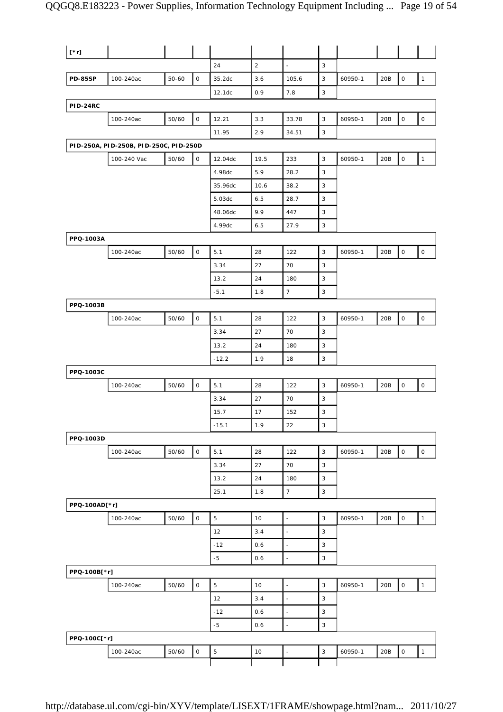| $[\cdot r]$     |                                        |           |              |                |                |                          |             |         |     |                     |                     |
|-----------------|----------------------------------------|-----------|--------------|----------------|----------------|--------------------------|-------------|---------|-----|---------------------|---------------------|
|                 |                                        |           |              | 24             | $\overline{2}$ | $\omega$                 | 3           |         |     |                     |                     |
| <b>PD-85SP</b>  | 100-240ac                              | $50 - 60$ | $\mathsf O$  | 35.2dc         | 3.6            | 105.6                    | 3           | 60950-1 | 20B | $\mathsf O$         | $\mathbf{1}$        |
|                 |                                        |           |              | 12.1dc         | 0.9            | 7.8                      | 3           |         |     |                     |                     |
| <b>PID-24RC</b> |                                        |           |              |                |                |                          |             |         |     |                     |                     |
|                 | 100-240ac                              | 50/60     | O            | 12.21          | 3.3            | 33.78                    | $\mathsf 3$ | 60950-1 | 20B | $\mathsf{O}\xspace$ | $\mathsf O$         |
|                 |                                        |           |              | 11.95          | 2.9            | 34.51                    | 3           |         |     |                     |                     |
|                 | PID-250A, PID-250B, PID-250C, PID-250D |           |              |                |                |                          |             |         |     |                     |                     |
|                 | 100-240 Vac                            | 50/60     | $\mathsf O$  | 12.04dc        | 19.5           | 233                      | 3           | 60950-1 | 20B | $\mathsf O$         | $\mathbf{1}$        |
|                 |                                        |           |              | 4.98dc         | 5.9            | 28.2                     | 3           |         |     |                     |                     |
|                 |                                        |           |              | 35.96dc        | 10.6           | 38.2                     | 3           |         |     |                     |                     |
|                 |                                        |           |              | 5.03dc         | 6.5            | 28.7                     | 3           |         |     |                     |                     |
|                 |                                        |           |              | 48.06dc        | 9.9            | 447                      | 3           |         |     |                     |                     |
|                 |                                        |           |              | 4.99dc         | 6.5            | 27.9                     | 3           |         |     |                     |                     |
| PPQ-1003A       |                                        |           |              |                |                |                          |             |         |     |                     |                     |
|                 | 100-240ac                              | 50/60     | $\mathsf O$  | 5.1            | 28             | 122                      | $\mathsf 3$ | 60950-1 | 20B | $\mathsf O$         | $\mathsf O$         |
|                 |                                        |           |              | 3.34           | 27             | 70                       | 3           |         |     |                     |                     |
|                 |                                        |           |              | 13.2           | 24             | 180                      | 3           |         |     |                     |                     |
|                 |                                        |           |              | $-5.1$         | 1.8            | $\overline{7}$           | 3           |         |     |                     |                     |
| PPQ-1003B       |                                        |           |              |                |                |                          |             |         |     |                     |                     |
|                 | 100-240ac                              | 50/60     | $\mathsf O$  | 5.1            | 28             | 122                      | 3           | 60950-1 | 20B | $\mathsf O$         | $\mathsf O$         |
|                 |                                        |           |              | 3.34           | 27             | 70                       | 3           |         |     |                     |                     |
|                 |                                        |           |              | 13.2           | 24             | 180                      | 3           |         |     |                     |                     |
|                 |                                        |           |              | $-12.2$        | 1.9            | 18                       | 3           |         |     |                     |                     |
| PPQ-1003C       |                                        |           |              |                |                |                          |             |         |     |                     |                     |
|                 | 100-240ac                              | 50/60     | $\mathsf O$  | 5.1            | 28             | 122                      | 3           | 60950-1 | 20B | $\mathsf O$         | $\mathsf O$         |
|                 |                                        |           |              | 3.34           | 27             | 70                       | 3           |         |     |                     |                     |
|                 |                                        |           |              | 15.7           | 17             | 152                      | 3           |         |     |                     |                     |
|                 |                                        |           |              | $-15.1$        | 1.9            | 22                       | 3           |         |     |                     |                     |
| PPQ-1003D       |                                        |           |              |                |                |                          |             |         |     |                     |                     |
|                 | 100-240ac                              | 50/60     | $\mathsf O$  | 5.1            | 28             | 122                      | 3           | 60950-1 | 20B | $\mathsf{O}\xspace$ | $\mathsf{O}\xspace$ |
|                 |                                        |           |              | 3.34           | 27             | 70                       | 3           |         |     |                     |                     |
|                 |                                        |           |              | 13.2           | 24             | 180                      | 3           |         |     |                     |                     |
|                 |                                        |           |              | 25.1           | 1.8            | $\overline{7}$           | 3           |         |     |                     |                     |
| PPQ-100AD[*r]   |                                        |           |              |                |                |                          |             |         |     |                     |                     |
|                 | 100-240ac                              | 50/60     | $\mathsf{O}$ | 5              | 10             | $\blacksquare$           | 3           | 60950-1 | 20B | $\circ$             | $\mathbf{1}$        |
|                 |                                        |           |              | 12             | 3.4            | $\overline{\phantom{a}}$ | 3           |         |     |                     |                     |
|                 |                                        |           |              | $-12$          | 0.6            | $\blacksquare$           | 3           |         |     |                     |                     |
|                 |                                        |           |              | $-5$           | 0.6            | $\blacksquare$           | 3           |         |     |                     |                     |
| PPQ-100B[*r]    |                                        |           |              |                |                |                          |             |         |     |                     |                     |
|                 | 100-240ac                              | 50/60     | $\mathsf O$  | 5              | 10             | $\Box$                   | 3           | 60950-1 | 20B | $\mathsf{O}\xspace$ | $\mathbf{1}$        |
|                 |                                        |           |              | 12             | 3.4            | ÷,                       | 3           |         |     |                     |                     |
|                 |                                        |           |              | $-12$          | 0.6            | $\ddot{\phantom{1}}$     | 3           |         |     |                     |                     |
|                 |                                        |           |              | $-5$           | 0.6            | ä,                       | $\mathsf 3$ |         |     |                     |                     |
| PPQ-100C[*r]    |                                        |           |              |                |                |                          |             |         |     |                     |                     |
|                 |                                        |           | 0            | $\overline{5}$ | 10             |                          | 3           |         | 20B | 0                   | $\mathbf{1}$        |
|                 | 100-240ac                              | 50/60     |              |                |                | $\overline{\phantom{a}}$ |             | 60950-1 |     |                     |                     |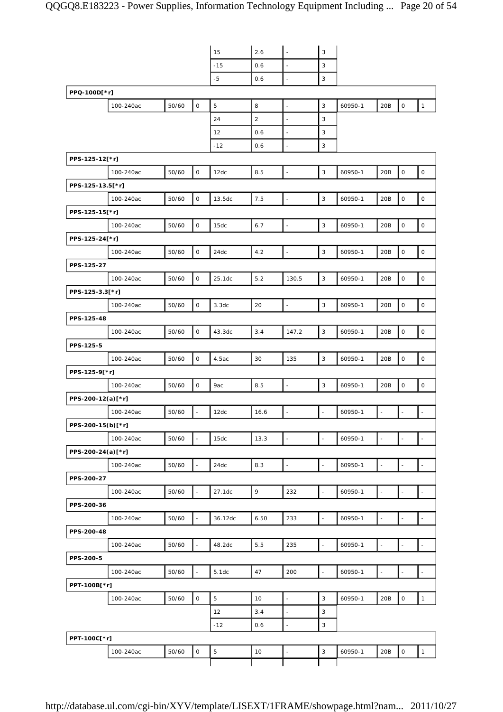|                   |           |       |                          | 15          | 2.6            | $\bar{\phantom{a}}$      | 3                         |         |                          |                          |                          |
|-------------------|-----------|-------|--------------------------|-------------|----------------|--------------------------|---------------------------|---------|--------------------------|--------------------------|--------------------------|
|                   |           |       |                          | $-15$       | 0.6            | $\Box$                   | 3                         |         |                          |                          |                          |
|                   |           |       |                          | $-5$        | 0.6            | $\Box$                   | 3                         |         |                          |                          |                          |
| PPQ-100D[*r]      |           |       |                          |             |                |                          |                           |         |                          |                          |                          |
|                   | 100-240ac | 50/60 | $\mathsf O$              | 5           | 8              | $\overline{\phantom{a}}$ | 3                         | 60950-1 | 20B                      | $\mathsf O$              | $\mathbf{1}$             |
|                   |           |       |                          | 24          | $\overline{2}$ | ÷,                       | 3                         |         |                          |                          |                          |
|                   |           |       |                          | 12          | 0.6            | $\Box$                   | 3                         |         |                          |                          |                          |
|                   |           |       |                          | $-12$       | 0.6            | $\overline{\phantom{a}}$ | 3                         |         |                          |                          |                          |
| PPS-125-12[*r]    |           |       |                          |             |                |                          |                           |         |                          |                          |                          |
|                   | 100-240ac | 50/60 | 0                        | 12dc        | 8.5            | $\ddot{\phantom{1}}$     | 3                         | 60950-1 | 20B                      | $\mathsf{O}\xspace$      | $\mathsf O$              |
| PPS-125-13.5[*r]  |           |       |                          |             |                |                          |                           |         |                          |                          |                          |
|                   | 100-240ac | 50/60 | $\mathsf O$              | 13.5dc      | 7.5            | $\Box$                   | $\mathbf{3}$              | 60950-1 | 20B                      | $\mathsf O$              | $\mathsf{O}$             |
| PPS-125-15[*r]    |           |       |                          |             |                |                          |                           |         |                          |                          |                          |
|                   | 100-240ac | 50/60 | $\mathsf O$              | 15dc        | 6.7            | $\overline{\phantom{a}}$ | $\mathbf{3}$              | 60950-1 | 20B                      | $\mathsf{O}\xspace$      | $\mathsf O$              |
| PPS-125-24[*r]    |           |       |                          |             |                |                          |                           |         |                          |                          |                          |
|                   | 100-240ac | 50/60 | $\mathsf O$              | 24dc        | 4.2            | $\overline{\phantom{a}}$ | $\mathsf 3$               | 60950-1 | 20B                      | $\mathsf{O}\xspace$      | $\mathsf O$              |
| PPS-125-27        |           |       |                          |             |                |                          |                           |         |                          |                          |                          |
|                   | 100-240ac | 50/60 | 0                        | 25.1dc      | 5.2            | 130.5                    | $\mathbf{3}$              | 60950-1 | 20B                      | $\mathsf O$              | $\mathsf O$              |
| PPS-125-3.3[*r]   |           |       |                          |             |                |                          |                           |         |                          |                          |                          |
|                   | 100-240ac | 50/60 | $\mathsf{O}\xspace$      | 3.3dc       | 20             | $\Box$                   | $\mathsf 3$               | 60950-1 | 20B                      | $\mathsf{O}\xspace$      | $\mathsf O$              |
| PPS-125-48        |           |       |                          |             |                |                          |                           |         |                          |                          |                          |
|                   |           |       | $\mathsf O$              |             | 3.4            | 147.2                    | $\mathbf{3}$              |         | 20B                      | $\mathsf{O}\xspace$      | $\mathsf O$              |
|                   | 100-240ac | 50/60 |                          | 43.3dc      |                |                          |                           | 60950-1 |                          |                          |                          |
| PPS-125-5         |           |       |                          |             |                |                          |                           |         |                          |                          |                          |
|                   | 100-240ac | 50/60 | $\mathsf O$              | 4.5ac       | 30             | 135                      | $\mathbf{3}$              | 60950-1 | 20B                      | $\mathsf O$              | $\mathsf O$              |
| PPS-125-9[*r]     |           |       |                          |             |                |                          |                           |         |                          |                          |                          |
|                   | 100-240ac | 50/60 | 0                        | 9ac         | 8.5            | $\ddot{\phantom{1}}$     | 3                         | 60950-1 | 20B                      | $\mathsf{O}\xspace$      | $\mathsf O$              |
| PPS-200-12(a)[*r] |           |       |                          |             |                |                          |                           |         |                          |                          |                          |
|                   | 100-240ac | 50/60 | $\overline{\phantom{a}}$ | 12dc        | 16.6           | $\overline{\phantom{a}}$ | $\overline{\phantom{a}}$  | 60950-1 | $\overline{\phantom{a}}$ | $\overline{\phantom{a}}$ | $\omega$                 |
| PPS-200-15(b)[*r] |           |       |                          |             |                |                          |                           |         |                          |                          |                          |
|                   | 100-240ac | 50/60 | $\bar{\phantom{a}}$      | 15dc        | 13.3           | $\overline{\phantom{a}}$ | $\overline{\phantom{a}}$  | 60950-1 | L.                       | ÷,                       | $\omega$                 |
| PPS-200-24(a)[*r] |           |       |                          |             |                |                          |                           |         |                          |                          |                          |
|                   | 100-240ac | 50/60 | $\bar{\phantom{a}}$      | 24dc        | 8.3            | $\ddot{\phantom{1}}$     | $\sim$                    | 60950-1 | $\overline{\phantom{a}}$ | $\blacksquare$           | $\overline{\phantom{a}}$ |
| PPS-200-27        |           |       |                          |             |                |                          |                           |         |                          |                          |                          |
|                   | 100-240ac | 50/60 | $\ddot{\phantom{1}}$     | 27.1dc      | 9              | 232                      | $\overline{\phantom{a}}$  | 60950-1 | $\blacksquare$           | $\blacksquare$           | $\overline{\phantom{a}}$ |
| PPS-200-36        |           |       |                          |             |                |                          |                           |         |                          |                          |                          |
|                   | 100-240ac | 50/60 | $\omega$                 | 36.12dc     | 6.50           | 233                      | $\omega$                  | 60950-1 | $\Box$                   | $\Box$                   | $\omega$                 |
| PPS-200-48        |           |       |                          |             |                |                          |                           |         |                          |                          |                          |
|                   | 100-240ac | 50/60 | $\blacksquare$           | 48.2dc      | 5.5            | 235                      | $\blacksquare$            | 60950-1 | $\overline{\phantom{a}}$ | $\blacksquare$           | $\blacksquare$           |
| PPS-200-5         |           |       |                          |             |                |                          |                           |         |                          |                          |                          |
|                   | 100-240ac | 50/60 | $\overline{\phantom{a}}$ | 5.1dc       | 47             | 200                      | $\overline{a}$            | 60950-1 | $\overline{\phantom{a}}$ | $\overline{\phantom{a}}$ | $\Box$                   |
| PPT-100B[*r]      |           |       |                          |             |                |                          |                           |         |                          |                          |                          |
|                   | 100-240ac | 50/60 | 0                        | 5           | 10             | $\overline{\phantom{a}}$ | 3                         | 60950-1 | 20B                      | 0                        | $\mathbf{1}$             |
|                   |           |       |                          | 12          | 3.4            | $\mathbb{Z}$             | 3                         |         |                          |                          |                          |
|                   |           |       |                          | $-12$       | 0.6            | $\overline{\phantom{a}}$ | $\ensuremath{\mathsf{3}}$ |         |                          |                          |                          |
| PPT-100C[*r]      |           |       |                          |             |                |                          |                           |         |                          |                          |                          |
|                   | 100-240ac | 50/60 | O                        | $\mathbf 5$ | 10             | $\overline{\phantom{a}}$ | 3                         | 60950-1 | 20B                      | $\mathsf{O}$             | $\mathbf{1}$             |
|                   |           |       |                          |             |                |                          |                           |         |                          |                          |                          |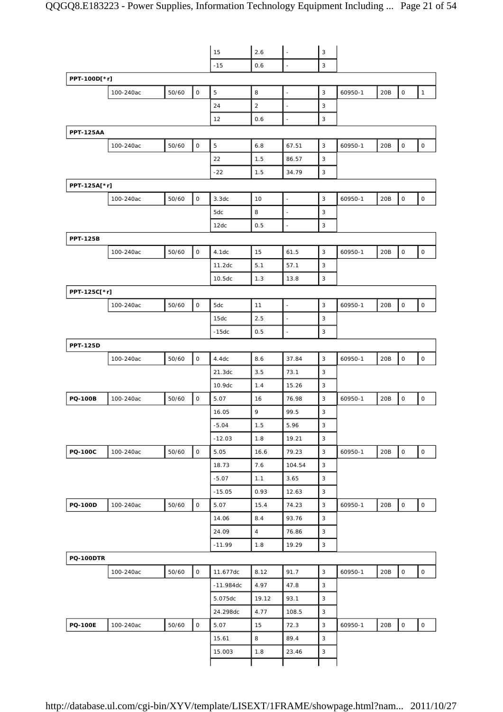|                  |           |       |                     | 15          | 2.6            | $\overline{\phantom{a}}$ | $\sqrt{3}$                |         |     |                     |                     |
|------------------|-----------|-------|---------------------|-------------|----------------|--------------------------|---------------------------|---------|-----|---------------------|---------------------|
|                  |           |       |                     |             |                |                          | 3                         |         |     |                     |                     |
|                  |           |       |                     | $-15$       | 0.6            | $\overline{\phantom{a}}$ |                           |         |     |                     |                     |
| PPT-100D[*r]     |           |       |                     |             |                |                          |                           |         |     |                     |                     |
|                  | 100-240ac | 50/60 | $\mathsf O$         | 5           | 8              | $\overline{\phantom{a}}$ | $\mathsf 3$               | 60950-1 | 20B | $\mathsf O$         | $\mathbf{1}$        |
|                  |           |       |                     | 24          | 2              | $\overline{\phantom{a}}$ | 3                         |         |     |                     |                     |
|                  |           |       |                     | 12          | 0.6            | $\overline{\phantom{a}}$ | 3                         |         |     |                     |                     |
| <b>PPT-125AA</b> |           |       |                     |             |                |                          |                           |         |     |                     |                     |
|                  | 100-240ac | 50/60 | $\mathsf O$         | 5           | 6.8            | 67.51                    | 3                         | 60950-1 | 20B | $\mathsf O$         | 0                   |
|                  |           |       |                     | 22          | 1.5            | 86.57                    | 3                         |         |     |                     |                     |
|                  |           |       |                     | $-22$       | 1.5            | 34.79                    | 3                         |         |     |                     |                     |
| PPT-125A[*r]     |           |       |                     |             |                |                          |                           |         |     |                     |                     |
|                  | 100-240ac | 50/60 | $\mathsf O$         | 3.3dc       | 10             | $\overline{\phantom{a}}$ | $\mathsf 3$               | 60950-1 | 20B | $\mathsf O$         | $\mathsf O$         |
|                  |           |       |                     | 5dc         | 8              | $\overline{\phantom{a}}$ | 3                         |         |     |                     |                     |
|                  |           |       |                     | 12dc        | 0.5            | ÷,                       | 3                         |         |     |                     |                     |
| <b>PPT-125B</b>  |           |       |                     |             |                |                          |                           |         |     |                     |                     |
|                  | 100-240ac | 50/60 | $\mathsf O$         | 4.1dc       | 15             | 61.5                     | 3                         | 60950-1 | 20B | $\mathsf O$         | 0                   |
|                  |           |       |                     | 11.2dc      | 5.1            | 57.1                     | 3                         |         |     |                     |                     |
|                  |           |       |                     | 10.5dc      | 1.3            | 13.8                     | 3                         |         |     |                     |                     |
| PPT-125C[*r]     |           |       |                     |             |                |                          |                           |         |     |                     |                     |
|                  | 100-240ac | 50/60 | $\mathsf O$         | 5dc         | 11             | $\overline{\phantom{a}}$ | $\mathsf 3$               | 60950-1 | 20B | $\mathsf O$         | $\mathsf O$         |
|                  |           |       |                     | 15dc        | 2.5            | $\overline{\phantom{a}}$ | 3                         |         |     |                     |                     |
|                  |           |       |                     | $-15dc$     | 0.5            | ÷,                       | 3                         |         |     |                     |                     |
| <b>PPT-125D</b>  |           |       |                     |             |                |                          |                           |         |     |                     |                     |
|                  | 100-240ac | 50/60 | $\mathsf O$         | 4.4dc       | 8.6            | 37.84                    | 3                         | 60950-1 | 20B | $\mathsf O$         | $\mathsf O$         |
|                  |           |       |                     | 21.3dc      | 3.5            | 73.1                     | 3                         |         |     |                     |                     |
|                  |           |       |                     | 10.9dc      | 1.4            | 15.26                    | 3                         |         |     |                     |                     |
| <b>PQ-100B</b>   | 100-240ac | 50/60 | $\mathsf O$         | 5.07        | 16             | 76.98                    | 3                         | 60950-1 | 20B | $\mathsf O$         | $\mathsf O$         |
|                  |           |       |                     | 16.05       | 9              | 99.5                     | 3                         |         |     |                     |                     |
|                  |           |       |                     | $-5.04$     | 1.5            | 5.96                     | 3                         |         |     |                     |                     |
|                  |           |       |                     | $-12.03$    | 1.8            | 19.21                    | 3                         |         |     |                     |                     |
| <b>PQ-100C</b>   | 100-240ac | 50/60 | $\mathsf O$         | 5.05        | 16.6           | 79.23                    | $\ensuremath{\mathsf{3}}$ | 60950-1 | 20B | $\mathsf O$         | $\mathsf{O}\xspace$ |
|                  |           |       |                     | 18.73       | 7.6            | 104.54                   | $\mathbf{3}$              |         |     |                     |                     |
|                  |           |       |                     | $-5.07$     | 1.1            | 3.65                     | $\mathsf 3$               |         |     |                     |                     |
|                  |           |       |                     |             |                |                          | $\ensuremath{\mathsf{3}}$ |         |     |                     |                     |
|                  |           |       | $\mathsf{O}\xspace$ | $-15.05$    | 0.93           | 12.63                    | $\mathsf 3$               |         |     |                     |                     |
| <b>PQ-100D</b>   | 100-240ac | 50/60 |                     | 5.07        | 15.4           | 74.23                    |                           | 60950-1 | 20B | $\mathsf{O}\xspace$ | $\mathsf{O}\xspace$ |
|                  |           |       |                     | 14.06       | 8.4            | 93.76                    | $\mathbf{3}$              |         |     |                     |                     |
|                  |           |       |                     | 24.09       | $\overline{4}$ | 76.86                    | $\ensuremath{\mathsf{3}}$ |         |     |                     |                     |
|                  |           |       |                     | $-11.99$    | 1.8            | 19.29                    | $\ensuremath{\mathsf{3}}$ |         |     |                     |                     |
| <b>PQ-100DTR</b> |           |       |                     |             |                |                          |                           |         |     |                     |                     |
|                  | 100-240ac | 50/60 | $\mathsf{O}\xspace$ | 11.677dc    | 8.12           | 91.7                     | $\mathsf 3$               | 60950-1 | 20B | $\mathsf O$         | $\mathsf O$         |
|                  |           |       |                     | $-11.984dc$ | 4.97           | 47.8                     | $\mathsf 3$               |         |     |                     |                     |
|                  |           |       |                     | 5.075dc     | 19.12          | 93.1                     | $\ensuremath{\mathsf{3}}$ |         |     |                     |                     |
|                  |           |       |                     | 24.298dc    | 4.77           | 108.5                    | $\ensuremath{\mathsf{3}}$ |         |     |                     |                     |
| <b>PQ-100E</b>   | 100-240ac | 50/60 | $\mathsf{O}\xspace$ | 5.07        | 15             | 72.3                     | $\sqrt{3}$                | 60950-1 | 20B | $\mathsf O$         | $\mathsf{O}\xspace$ |
|                  |           |       |                     | 15.61       | 8              | 89.4                     | 3                         |         |     |                     |                     |
|                  |           |       |                     | 15.003      | 1.8            | 23.46                    | $\ensuremath{\mathsf{3}}$ |         |     |                     |                     |
|                  |           |       |                     |             |                |                          |                           |         |     |                     |                     |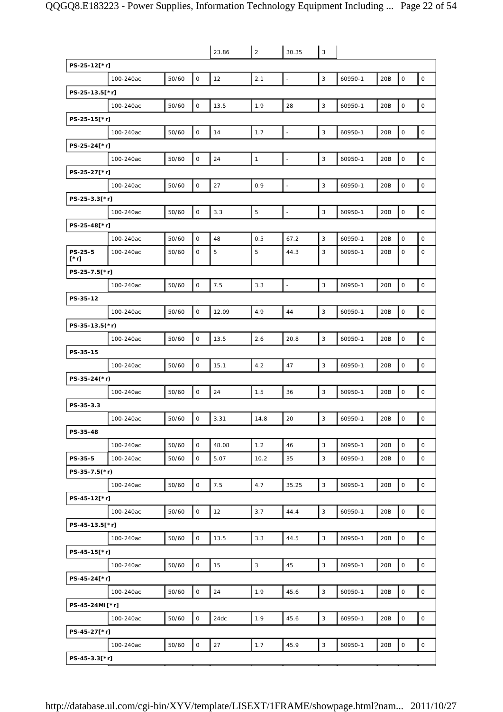|                        |           |       |              | 23.86 | 2            | 30.35                    | $\sqrt{3}$   |         |     |                     |                     |
|------------------------|-----------|-------|--------------|-------|--------------|--------------------------|--------------|---------|-----|---------------------|---------------------|
| PS-25-12[*r]           |           |       |              |       |              |                          |              |         |     |                     |                     |
|                        | 100-240ac | 50/60 | $\mathsf O$  | 12    | 2.1          | $\overline{\phantom{a}}$ | 3            | 60950-1 | 20B | $\mathsf{O}\xspace$ | $\mathsf O$         |
| PS-25-13.5[*r]         |           |       |              |       |              |                          |              |         |     |                     |                     |
|                        | 100-240ac | 50/60 | 0            | 13.5  | 1.9          | 28                       | 3            | 60950-1 | 20B | $\mathsf{O}\xspace$ | $\mathsf O$         |
| PS-25-15[*r]           |           |       |              |       |              |                          |              |         |     |                     |                     |
|                        | 100-240ac | 50/60 | $\mathsf O$  | 14    | 1.7          | $\Box$                   | $\mathsf 3$  | 60950-1 | 20B | $\mathsf{O}\xspace$ | $\mathsf O$         |
| PS-25-24[*r]           |           |       |              |       |              |                          |              |         |     |                     |                     |
|                        | 100-240ac | 50/60 | $\mathsf{O}$ | 24    | $\mathbf{1}$ | $\overline{\phantom{a}}$ | 3            | 60950-1 | 20B | $\mathsf O$         | $\mathsf O$         |
| PS-25-27[*r]           |           |       |              |       |              |                          |              |         |     |                     |                     |
|                        | 100-240ac | 50/60 | $\mathsf O$  | 27    | 0.9          | $\overline{\phantom{a}}$ | 3            | 60950-1 | 20B | $\mathsf{O}\xspace$ | $\mathsf O$         |
| PS-25-3.3[*r]          |           |       |              |       |              |                          |              |         |     |                     |                     |
|                        | 100-240ac | 50/60 | 0            | 3.3   | 5            | $\overline{\phantom{a}}$ | 3            | 60950-1 | 20B | 0                   | $\mathsf O$         |
| PS-25-48[*r]           |           |       |              |       |              |                          |              |         |     |                     |                     |
|                        | 100-240ac | 50/60 | 0            | 48    | 0.5          | 67.2                     | 3            | 60950-1 | 20B | O                   | $\mathsf{O}$        |
| PS-25-5<br>$[\cdot r]$ | 100-240ac | 50/60 | 0            | 5     | 5            | 44.3                     | 3            | 60950-1 | 20B | 0                   | $\mathsf O$         |
| PS-25-7.5[*r]          |           |       |              |       |              |                          |              |         |     |                     |                     |
|                        | 100-240ac | 50/60 | $\mathsf{O}$ | 7.5   | 3.3          | $\overline{\phantom{a}}$ | 3            | 60950-1 | 20B | $\mathsf{O}\xspace$ | $\mathsf{O}$        |
| PS-35-12               |           |       |              |       |              |                          |              |         |     |                     |                     |
|                        | 100-240ac | 50/60 | $\mathsf O$  | 12.09 | 4.9          | 44                       | 3            | 60950-1 | 20B | $\mathbf 0$         | $\mathsf O$         |
| PS-35-13.5(*r)         |           |       |              |       |              |                          |              |         |     |                     |                     |
|                        | 100-240ac | 50/60 | 0            | 13.5  | 2.6          | 20.8                     | 3            | 60950-1 | 20B | $\mathsf O$         | $\mathsf O$         |
| PS-35-15               |           |       |              |       |              |                          |              |         |     |                     |                     |
|                        | 100-240ac | 50/60 | $\mathsf O$  | 15.1  | 4.2          | 47                       | 3            | 60950-1 | 20B | $\mathsf{O}\xspace$ | $\mathsf O$         |
| PS-35-24(*r)           |           |       |              |       |              |                          |              |         |     |                     |                     |
|                        | 100-240ac | 50/60 | $\mathsf{O}$ | 24    | 1.5          | 36                       | 3            | 60950-1 | 20B | $\mathsf O$         | $\mathsf O$         |
| PS-35-3.3              |           |       |              |       |              |                          |              |         |     |                     |                     |
|                        | 100-240ac | 50/60 | $\mathsf{O}$ | 3.31  | 14.8         | 20                       | 3            | 60950-1 | 20B | $\mathsf O$         | $\mathsf O$         |
| PS-35-48               |           |       |              |       |              |                          |              |         |     |                     |                     |
|                        | 100-240ac | 50/60 | 0            | 48.08 | 1.2          | 46                       | 3            | 60950-1 | 20B | $\mathsf O$         | $\mathbf 0$         |
| PS-35-5                | 100-240ac | 50/60 | $\mathsf{O}$ | 5.07  | 10.2         | 35                       | $\mathsf 3$  | 60950-1 | 20B | $\mathsf O$         | $\mathsf O$         |
| $PS-35-7.5(*)$         |           |       |              |       |              |                          |              |         |     |                     |                     |
|                        | 100-240ac | 50/60 | $\mathsf{O}$ | 7.5   | 4.7          | 35.25                    | 3            | 60950-1 | 20B | $\mathsf O$         | $\mathsf O$         |
| PS-45-12[*r]           |           |       |              |       |              |                          |              |         |     |                     |                     |
|                        | 100-240ac | 50/60 | $\mathsf{O}$ | 12    | 3.7          | 44.4                     | $\mathsf 3$  | 60950-1 | 20B | $\mathsf O$         | $\mathsf O$         |
| PS-45-13.5[*r]         |           |       |              |       |              |                          |              |         |     |                     |                     |
|                        | 100-240ac | 50/60 | $\mathsf O$  | 13.5  | 3.3          | 44.5                     | $\mathbf{3}$ | 60950-1 | 20B | $\mathsf O$         | $\mathsf{O}\xspace$ |
| PS-45-15[*r]           |           |       |              |       |              |                          |              |         |     |                     |                     |
|                        | 100-240ac | 50/60 | $\mathsf{O}$ | 15    | 3            | 45                       | $\mathbf{3}$ | 60950-1 | 20B | $\mathsf O$         | $\mathsf O$         |
| PS-45-24[*r]           |           |       |              |       |              |                          |              |         |     |                     |                     |
|                        | 100-240ac | 50/60 | $\mathsf O$  | 24    | 1.9          | 45.6                     | $\mathsf 3$  | 60950-1 | 20B | $\mathsf{O}\xspace$ | $\mathsf O$         |
| PS-45-24MI[*r]         |           |       |              |       |              |                          |              |         |     |                     |                     |
|                        | 100-240ac | 50/60 | $\mathsf{O}$ | 24dc  | 1.9          | 45.6                     | $\mathbf{3}$ | 60950-1 | 20B | $\mathsf O$         | $\mathsf O$         |
| PS-45-27[*r]           |           |       |              |       |              |                          |              |         |     |                     |                     |
|                        | 100-240ac | 50/60 | $\mathsf O$  | 27    | 1.7          | 45.9                     | 3            | 60950-1 | 20B | $\mathsf O$         | $\mathsf{O}\xspace$ |
| PS-45-3.3[*r]          |           |       |              |       |              |                          |              |         |     |                     |                     |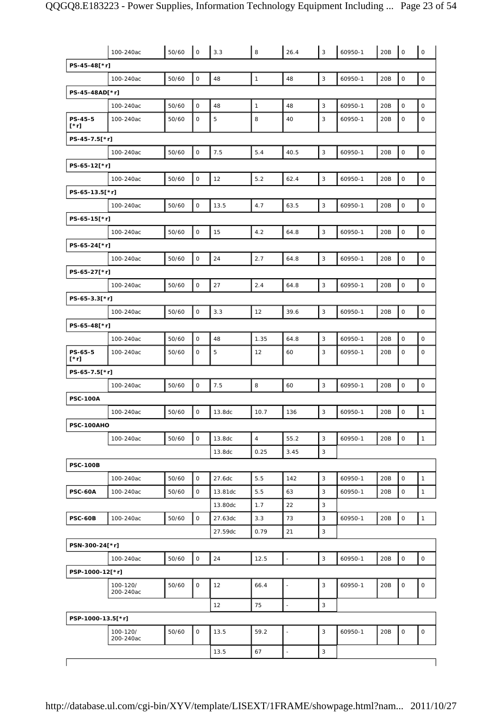|                   | 100-240ac             | 50/60 | $\mathsf{O}$ | 3.3     | 8              | 26.4          | 3            | 60950-1 | 20B | $\mathsf O$         | $\circ$             |
|-------------------|-----------------------|-------|--------------|---------|----------------|---------------|--------------|---------|-----|---------------------|---------------------|
| PS-45-48[*r]      |                       |       |              |         |                |               |              |         |     |                     |                     |
|                   | 100-240ac             | 50/60 | $\mathsf O$  | 48      | $\mathbf{1}$   | 48            | $\mathsf 3$  | 60950-1 | 20B | $\mathsf O$         | $\mathsf O$         |
| PS-45-48AD[*r]    |                       |       |              |         |                |               |              |         |     |                     |                     |
|                   | 100-240ac             | 50/60 | $\mathbf 0$  | 48      | $\mathbf{1}$   | 48            | 3            | 60950-1 | 20B | $\mathsf O$         | $\mathsf O$         |
| PS-45-5<br>[*r]   | 100-240ac             | 50/60 | 0            | 5       | 8              | 40            | 3            | 60950-1 | 20B | $\mathbf 0$         | $\circ$             |
| PS-45-7.5[*r]     |                       |       |              |         |                |               |              |         |     |                     |                     |
|                   | 100-240ac             | 50/60 | $\mathsf O$  | 7.5     | 5.4            | 40.5          | $\mathbf{3}$ | 60950-1 | 20B | $\mathsf{O}\xspace$ | $\mathsf{O}\xspace$ |
| PS-65-12[*r]      |                       |       |              |         |                |               |              |         |     |                     |                     |
|                   | 100-240ac             | 50/60 | $\mathsf O$  | 12      | 5.2            | 62.4          | 3            | 60950-1 | 20B | $\mathbf 0$         | $\mathsf O$         |
| PS-65-13.5[*r]    |                       |       |              |         |                |               |              |         |     |                     |                     |
|                   | 100-240ac             | 50/60 | 0            | 13.5    | 4.7            | 63.5          | 3            | 60950-1 | 20B | $\mathsf O$         | 0                   |
| PS-65-15[*r]      |                       |       |              |         |                |               |              |         |     |                     |                     |
|                   | 100-240ac             | 50/60 | 0            | 15      | 4.2            | 64.8          | 3            | 60950-1 | 20B | $\mathbf 0$         | $\mathsf O$         |
| PS-65-24[*r]      |                       |       |              |         |                |               |              |         |     |                     |                     |
|                   | 100-240ac             | 50/60 | $\mathsf O$  | 24      | 2.7            | 64.8          | $\mathbf{3}$ | 60950-1 | 20B | $\mathsf{O}\xspace$ | $\mathsf{O}$        |
| PS-65-27[*r]      |                       |       |              |         |                |               |              |         |     |                     |                     |
|                   | 100-240ac             | 50/60 | $\mathsf O$  | 27      | 2.4            | 64.8          | 3            | 60950-1 | 20B | $\mathbf 0$         | $\mathsf O$         |
| PS-65-3.3[*r]     |                       |       |              |         |                |               |              |         |     |                     |                     |
|                   | 100-240ac             | 50/60 | 0            | 3.3     | 12             | 39.6          | 3            | 60950-1 | 20B | $\mathbf 0$         | $\mathsf O$         |
| PS-65-48[*r]      |                       |       |              |         |                |               |              |         |     |                     |                     |
|                   | 100-240ac             | 50/60 | $\mathbf 0$  | 48      | 1.35           | 64.8          | 3            | 60950-1 | 20B | $\mathsf O$         | $\mathsf O$         |
| PS-65-5           | 100-240ac             | 50/60 | 0            | 5       | 12             | 60            | 3            | 60950-1 | 20B | $\mathbf 0$         | $\mathbf{O}$        |
| [*r]              |                       |       |              |         |                |               |              |         |     |                     |                     |
| PS-65-7.5[*r]     |                       |       |              |         |                |               |              |         |     |                     |                     |
|                   | 100-240ac             | 50/60 | $\mathsf O$  | 7.5     | 8              | 60            | $\mathbf{3}$ | 60950-1 | 20B | $\mathsf O$         | $\mathsf O$         |
| <b>PSC-100A</b>   |                       |       |              |         |                |               |              |         |     |                     |                     |
|                   | 100-240ac             | 50/60 | $\mathbf 0$  | 13.8dc  | 10.7           | 136           | 3            | 60950-1 | 20B | $\mathsf O$         | $\mathbf{1}$        |
| PSC-100AHO        |                       |       |              |         |                |               |              |         |     |                     |                     |
|                   | 100-240ac             | 50/60 | $\mathsf{O}$ | 13.8dc  | $\overline{4}$ | 55.2          | 3            | 60950-1 | 20B | $\mathbf 0$         | $\mathbf{1}$        |
|                   |                       |       |              | 13.8dc  | 0.25           | 3.45          | 3            |         |     |                     |                     |
| <b>PSC-100B</b>   |                       |       |              |         |                |               |              |         |     |                     |                     |
|                   | 100-240ac             | 50/60 | $\mathbf 0$  | 27.6dc  | 5.5            | 142           | 3            | 60950-1 | 20B | $\mathsf O$         | $\mathbf{1}$        |
| <b>PSC-60A</b>    | 100-240ac             | 50/60 | O            | 13.81dc | 5.5            | 63            | 3            | 60950-1 | 20B | 0                   | $\mathbf{1}$        |
|                   |                       |       |              | 13.80dc | 1.7            | 22            | 3            |         |     |                     |                     |
| <b>PSC-60B</b>    | 100-240ac             | 50/60 | $\mathsf{O}$ | 27.63dc | 3.3            | 73            | 3            | 60950-1 | 20B | $\mathsf O$         | $\mathbf{1}$        |
|                   |                       |       |              | 27.59dc | 0.79           | 21            | 3            |         |     |                     |                     |
| PSN-300-24[*r]    |                       |       |              |         |                |               |              |         |     |                     |                     |
|                   | 100-240ac             | 50/60 | 0            | 24      | 12.5           | $\frac{1}{2}$ | 3            | 60950-1 | 20B | $\mathsf O$         | $\mathbf 0$         |
| PSP-1000-12[*r]   |                       |       |              |         |                |               |              |         |     |                     |                     |
|                   | 100-120/<br>200-240ac | 50/60 | $\mathbf 0$  | 12      | 66.4           |               | 3            | 60950-1 | 20B | 0                   | 0                   |
|                   |                       |       |              | 12      | 75             |               | 3            |         |     |                     |                     |
| PSP-1000-13.5[*r] |                       |       |              |         |                |               |              |         |     |                     |                     |
|                   | 100-120/<br>200-240ac | 50/60 | 0            | 13.5    | 59.2           | ÷,            | 3            | 60950-1 | 20B | $\mathsf O$         | 0                   |
|                   |                       |       |              | 13.5    | 67             |               | 3            |         |     |                     |                     |
|                   |                       |       |              |         |                |               |              |         |     |                     |                     |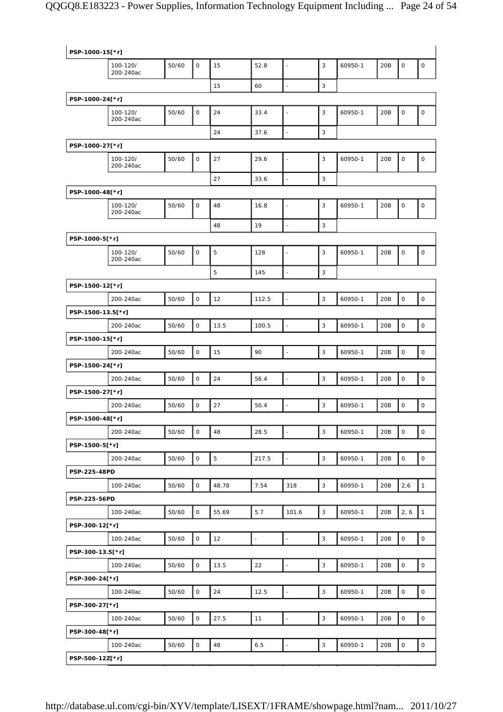| 3<br>$\mathsf O$<br>$\mathsf{O}\xspace$<br>50/60<br>15<br>52.8<br>60950-1<br>20B<br>$\mathsf O$<br>100-120/<br>$\overline{\phantom{a}}$<br>200-240ac<br>$\Box$<br>3<br>15<br>60<br>PSP-1000-24[*r]<br>$\mathsf O$<br>24<br>3<br>$\mathsf O$<br>$\mathsf O$<br>100-120/<br>50/60<br>33.4<br>60950-1<br>20B<br>$\blacksquare$<br>200-240ac<br>24<br>3<br>37.6<br>$\overline{\phantom{a}}$<br>PSP-1000-27[*r]<br>$\mathsf{O}$<br>3<br>27<br>$\mathbf 0$<br>$\mathsf O$<br>100-120/<br>50/60<br>29.6<br>60950-1<br>20B<br>$\overline{\phantom{a}}$<br>200-240ac<br>27<br>33.6<br>3<br>$\overline{a}$<br>PSP-1000-48[*r]<br>$\mathbf 0$<br>3<br>$\mathbf 0$<br>$\mathsf O$<br>50/60<br>48<br>16.8<br>60950-1<br>20B<br>100-120/<br>$\overline{\phantom{a}}$<br>200-240ac<br>$\mathbf{3}$<br>19<br>48<br>$\overline{a}$<br>PSP-1000-5[*r]<br>$\mathsf{O}$<br>5<br>3<br>$\mathsf{O}\xspace$<br>50/60<br>60950-1<br>20B<br>$\mathsf O$<br>100-120/<br>128<br>$\ddot{\phantom{1}}$<br>200-240ac<br>5<br>3<br>145<br>$\overline{\phantom{a}}$<br>PSP-1500-12[*r]<br>$\mathsf{O}$<br>$\overline{\phantom{a}}$<br>3<br>$\mathsf O$<br>$\mathsf{O}\xspace$<br>50/60<br>12<br>60950-1<br>20B<br>200-240ac<br>112.5<br>PSP-1500-13.5[*r]<br>$\mathbf 0$<br>3<br>$\mathsf O$<br>50/60<br>60950-1<br>20B<br>$\mathsf O$<br>200-240ac<br>13.5<br>100.5<br>$\overline{\phantom{a}}$<br>PSP-1500-15[*r]<br>$\mathsf O$<br>$\mathbf{3}$<br>$\mathsf O$<br>$\mathsf O$<br>90<br>200-240ac<br>50/60<br>15<br>$\overline{\phantom{a}}$<br>60950-1<br>20B<br>PSP-1500-24[*r]<br>$\mathsf{O}$<br>3<br>$\mathsf O$<br>50/60<br>24<br>60950-1<br>$\mathsf{O}\xspace$<br>200-240ac<br>56.4<br>$\overline{\phantom{a}}$<br>20B<br>PSP-1500-27[*r]<br>$\mathsf{O}$<br>3<br>$\mathsf O$<br>50/60<br>27<br>60950-1<br>$\mathsf{O}\xspace$<br>200-240ac<br>50.4<br>$\overline{\phantom{a}}$<br>20B<br>PSP-1500-48[*r]<br>3<br>50/60<br>$\mathsf O$<br>48<br>28.5<br>$\overline{\phantom{a}}$<br>60950-1<br>20B<br>$\mathsf O$<br>$\mathsf O$<br>200-240ac<br>PSP-1500-5[*r]<br>$\overline{5}$<br>$\mathsf O$<br>$\overline{\phantom{a}}$<br>$\mathsf 3$<br>$\mathsf O$<br>$\mathsf{O}$<br>50/60<br>217.5<br>60950-1<br>20B<br>200-240ac<br>PSP-225-48PD<br>$\mathsf 3$<br>$\mathbf{1}$<br>50/60<br>$\mathsf{O}$<br>48.78<br>7.54<br>318<br>60950-1<br>20B<br>2,6<br>100-240ac<br>PSP-225-56PD<br>$\circ$<br>$\mathsf 3$<br>2, 6<br>$\mathbf{1}$<br>50/60<br>55.69<br>5.7<br>101.6<br>60950-1<br>20B<br>100-240ac<br>PSP-300-12[*r]<br>$\mathsf O$<br>12<br>3<br>$\mathsf O$<br>$\mathsf{O}$<br>50/60<br>$\Box$<br>60950-1<br>20B<br>100-240ac<br>$\bar{\phantom{a}}$<br>PSP-300-13.5[*r]<br>$\mathsf O$<br>$\mathsf 3$<br>$\mathsf O$<br>$\mathsf{O}$<br>50/60<br>13.5<br>22<br>$\overline{\phantom{a}}$<br>60950-1<br>20B<br>100-240ac<br>PSP-300-24[*r]<br>$\mathsf O$<br>$\mathsf 3$<br>$\mathsf O$<br>50/60<br>24<br>12.5<br>$\Box$<br>60950-1<br>20B<br>$\mathsf{O}\xspace$<br>100-240ac<br>PSP-300-27[*r]<br>$\mathbb{Z}$<br>$\mathbf{3}$<br>$\mathsf{O}$<br>$\mathsf O$<br>$\mathsf{O}$<br>50/60<br>27.5<br>11<br>60950-1<br>20B<br>100-240ac<br>PSP-300-48[*r]<br>$\mathsf O$<br>50/60<br>$\mathsf O$<br>48<br>6.5<br>3<br>60950-1<br>20B<br>$\mathsf{O}\xspace$<br>100-240ac<br>$\Box$<br>PSP-500-12Z[*r] | PSP-1000-15[*r] |  |  |  |  |  |  |
|----------------------------------------------------------------------------------------------------------------------------------------------------------------------------------------------------------------------------------------------------------------------------------------------------------------------------------------------------------------------------------------------------------------------------------------------------------------------------------------------------------------------------------------------------------------------------------------------------------------------------------------------------------------------------------------------------------------------------------------------------------------------------------------------------------------------------------------------------------------------------------------------------------------------------------------------------------------------------------------------------------------------------------------------------------------------------------------------------------------------------------------------------------------------------------------------------------------------------------------------------------------------------------------------------------------------------------------------------------------------------------------------------------------------------------------------------------------------------------------------------------------------------------------------------------------------------------------------------------------------------------------------------------------------------------------------------------------------------------------------------------------------------------------------------------------------------------------------------------------------------------------------------------------------------------------------------------------------------------------------------------------------------------------------------------------------------------------------------------------------------------------------------------------------------------------------------------------------------------------------------------------------------------------------------------------------------------------------------------------------------------------------------------------------------------------------------------------------------------------------------------------------------------------------------------------------------------------------------------------------------------------------------------------------------------------------------------------------------------------------------------------------------------------------------------------------------------------------------------------------------------------------------------------------------------------------------------------------------------------------------------------------------------------------------------------------------------------------------------------------------------------------------------------------------------------------------------------------------------------------------------------------------------|-----------------|--|--|--|--|--|--|
|                                                                                                                                                                                                                                                                                                                                                                                                                                                                                                                                                                                                                                                                                                                                                                                                                                                                                                                                                                                                                                                                                                                                                                                                                                                                                                                                                                                                                                                                                                                                                                                                                                                                                                                                                                                                                                                                                                                                                                                                                                                                                                                                                                                                                                                                                                                                                                                                                                                                                                                                                                                                                                                                                                                                                                                                                                                                                                                                                                                                                                                                                                                                                                                                                                                                                  |                 |  |  |  |  |  |  |
|                                                                                                                                                                                                                                                                                                                                                                                                                                                                                                                                                                                                                                                                                                                                                                                                                                                                                                                                                                                                                                                                                                                                                                                                                                                                                                                                                                                                                                                                                                                                                                                                                                                                                                                                                                                                                                                                                                                                                                                                                                                                                                                                                                                                                                                                                                                                                                                                                                                                                                                                                                                                                                                                                                                                                                                                                                                                                                                                                                                                                                                                                                                                                                                                                                                                                  |                 |  |  |  |  |  |  |
|                                                                                                                                                                                                                                                                                                                                                                                                                                                                                                                                                                                                                                                                                                                                                                                                                                                                                                                                                                                                                                                                                                                                                                                                                                                                                                                                                                                                                                                                                                                                                                                                                                                                                                                                                                                                                                                                                                                                                                                                                                                                                                                                                                                                                                                                                                                                                                                                                                                                                                                                                                                                                                                                                                                                                                                                                                                                                                                                                                                                                                                                                                                                                                                                                                                                                  |                 |  |  |  |  |  |  |
|                                                                                                                                                                                                                                                                                                                                                                                                                                                                                                                                                                                                                                                                                                                                                                                                                                                                                                                                                                                                                                                                                                                                                                                                                                                                                                                                                                                                                                                                                                                                                                                                                                                                                                                                                                                                                                                                                                                                                                                                                                                                                                                                                                                                                                                                                                                                                                                                                                                                                                                                                                                                                                                                                                                                                                                                                                                                                                                                                                                                                                                                                                                                                                                                                                                                                  |                 |  |  |  |  |  |  |
|                                                                                                                                                                                                                                                                                                                                                                                                                                                                                                                                                                                                                                                                                                                                                                                                                                                                                                                                                                                                                                                                                                                                                                                                                                                                                                                                                                                                                                                                                                                                                                                                                                                                                                                                                                                                                                                                                                                                                                                                                                                                                                                                                                                                                                                                                                                                                                                                                                                                                                                                                                                                                                                                                                                                                                                                                                                                                                                                                                                                                                                                                                                                                                                                                                                                                  |                 |  |  |  |  |  |  |
|                                                                                                                                                                                                                                                                                                                                                                                                                                                                                                                                                                                                                                                                                                                                                                                                                                                                                                                                                                                                                                                                                                                                                                                                                                                                                                                                                                                                                                                                                                                                                                                                                                                                                                                                                                                                                                                                                                                                                                                                                                                                                                                                                                                                                                                                                                                                                                                                                                                                                                                                                                                                                                                                                                                                                                                                                                                                                                                                                                                                                                                                                                                                                                                                                                                                                  |                 |  |  |  |  |  |  |
|                                                                                                                                                                                                                                                                                                                                                                                                                                                                                                                                                                                                                                                                                                                                                                                                                                                                                                                                                                                                                                                                                                                                                                                                                                                                                                                                                                                                                                                                                                                                                                                                                                                                                                                                                                                                                                                                                                                                                                                                                                                                                                                                                                                                                                                                                                                                                                                                                                                                                                                                                                                                                                                                                                                                                                                                                                                                                                                                                                                                                                                                                                                                                                                                                                                                                  |                 |  |  |  |  |  |  |
|                                                                                                                                                                                                                                                                                                                                                                                                                                                                                                                                                                                                                                                                                                                                                                                                                                                                                                                                                                                                                                                                                                                                                                                                                                                                                                                                                                                                                                                                                                                                                                                                                                                                                                                                                                                                                                                                                                                                                                                                                                                                                                                                                                                                                                                                                                                                                                                                                                                                                                                                                                                                                                                                                                                                                                                                                                                                                                                                                                                                                                                                                                                                                                                                                                                                                  |                 |  |  |  |  |  |  |
|                                                                                                                                                                                                                                                                                                                                                                                                                                                                                                                                                                                                                                                                                                                                                                                                                                                                                                                                                                                                                                                                                                                                                                                                                                                                                                                                                                                                                                                                                                                                                                                                                                                                                                                                                                                                                                                                                                                                                                                                                                                                                                                                                                                                                                                                                                                                                                                                                                                                                                                                                                                                                                                                                                                                                                                                                                                                                                                                                                                                                                                                                                                                                                                                                                                                                  |                 |  |  |  |  |  |  |
|                                                                                                                                                                                                                                                                                                                                                                                                                                                                                                                                                                                                                                                                                                                                                                                                                                                                                                                                                                                                                                                                                                                                                                                                                                                                                                                                                                                                                                                                                                                                                                                                                                                                                                                                                                                                                                                                                                                                                                                                                                                                                                                                                                                                                                                                                                                                                                                                                                                                                                                                                                                                                                                                                                                                                                                                                                                                                                                                                                                                                                                                                                                                                                                                                                                                                  |                 |  |  |  |  |  |  |
|                                                                                                                                                                                                                                                                                                                                                                                                                                                                                                                                                                                                                                                                                                                                                                                                                                                                                                                                                                                                                                                                                                                                                                                                                                                                                                                                                                                                                                                                                                                                                                                                                                                                                                                                                                                                                                                                                                                                                                                                                                                                                                                                                                                                                                                                                                                                                                                                                                                                                                                                                                                                                                                                                                                                                                                                                                                                                                                                                                                                                                                                                                                                                                                                                                                                                  |                 |  |  |  |  |  |  |
|                                                                                                                                                                                                                                                                                                                                                                                                                                                                                                                                                                                                                                                                                                                                                                                                                                                                                                                                                                                                                                                                                                                                                                                                                                                                                                                                                                                                                                                                                                                                                                                                                                                                                                                                                                                                                                                                                                                                                                                                                                                                                                                                                                                                                                                                                                                                                                                                                                                                                                                                                                                                                                                                                                                                                                                                                                                                                                                                                                                                                                                                                                                                                                                                                                                                                  |                 |  |  |  |  |  |  |
|                                                                                                                                                                                                                                                                                                                                                                                                                                                                                                                                                                                                                                                                                                                                                                                                                                                                                                                                                                                                                                                                                                                                                                                                                                                                                                                                                                                                                                                                                                                                                                                                                                                                                                                                                                                                                                                                                                                                                                                                                                                                                                                                                                                                                                                                                                                                                                                                                                                                                                                                                                                                                                                                                                                                                                                                                                                                                                                                                                                                                                                                                                                                                                                                                                                                                  |                 |  |  |  |  |  |  |
|                                                                                                                                                                                                                                                                                                                                                                                                                                                                                                                                                                                                                                                                                                                                                                                                                                                                                                                                                                                                                                                                                                                                                                                                                                                                                                                                                                                                                                                                                                                                                                                                                                                                                                                                                                                                                                                                                                                                                                                                                                                                                                                                                                                                                                                                                                                                                                                                                                                                                                                                                                                                                                                                                                                                                                                                                                                                                                                                                                                                                                                                                                                                                                                                                                                                                  |                 |  |  |  |  |  |  |
|                                                                                                                                                                                                                                                                                                                                                                                                                                                                                                                                                                                                                                                                                                                                                                                                                                                                                                                                                                                                                                                                                                                                                                                                                                                                                                                                                                                                                                                                                                                                                                                                                                                                                                                                                                                                                                                                                                                                                                                                                                                                                                                                                                                                                                                                                                                                                                                                                                                                                                                                                                                                                                                                                                                                                                                                                                                                                                                                                                                                                                                                                                                                                                                                                                                                                  |                 |  |  |  |  |  |  |
|                                                                                                                                                                                                                                                                                                                                                                                                                                                                                                                                                                                                                                                                                                                                                                                                                                                                                                                                                                                                                                                                                                                                                                                                                                                                                                                                                                                                                                                                                                                                                                                                                                                                                                                                                                                                                                                                                                                                                                                                                                                                                                                                                                                                                                                                                                                                                                                                                                                                                                                                                                                                                                                                                                                                                                                                                                                                                                                                                                                                                                                                                                                                                                                                                                                                                  |                 |  |  |  |  |  |  |
|                                                                                                                                                                                                                                                                                                                                                                                                                                                                                                                                                                                                                                                                                                                                                                                                                                                                                                                                                                                                                                                                                                                                                                                                                                                                                                                                                                                                                                                                                                                                                                                                                                                                                                                                                                                                                                                                                                                                                                                                                                                                                                                                                                                                                                                                                                                                                                                                                                                                                                                                                                                                                                                                                                                                                                                                                                                                                                                                                                                                                                                                                                                                                                                                                                                                                  |                 |  |  |  |  |  |  |
|                                                                                                                                                                                                                                                                                                                                                                                                                                                                                                                                                                                                                                                                                                                                                                                                                                                                                                                                                                                                                                                                                                                                                                                                                                                                                                                                                                                                                                                                                                                                                                                                                                                                                                                                                                                                                                                                                                                                                                                                                                                                                                                                                                                                                                                                                                                                                                                                                                                                                                                                                                                                                                                                                                                                                                                                                                                                                                                                                                                                                                                                                                                                                                                                                                                                                  |                 |  |  |  |  |  |  |
|                                                                                                                                                                                                                                                                                                                                                                                                                                                                                                                                                                                                                                                                                                                                                                                                                                                                                                                                                                                                                                                                                                                                                                                                                                                                                                                                                                                                                                                                                                                                                                                                                                                                                                                                                                                                                                                                                                                                                                                                                                                                                                                                                                                                                                                                                                                                                                                                                                                                                                                                                                                                                                                                                                                                                                                                                                                                                                                                                                                                                                                                                                                                                                                                                                                                                  |                 |  |  |  |  |  |  |
|                                                                                                                                                                                                                                                                                                                                                                                                                                                                                                                                                                                                                                                                                                                                                                                                                                                                                                                                                                                                                                                                                                                                                                                                                                                                                                                                                                                                                                                                                                                                                                                                                                                                                                                                                                                                                                                                                                                                                                                                                                                                                                                                                                                                                                                                                                                                                                                                                                                                                                                                                                                                                                                                                                                                                                                                                                                                                                                                                                                                                                                                                                                                                                                                                                                                                  |                 |  |  |  |  |  |  |
|                                                                                                                                                                                                                                                                                                                                                                                                                                                                                                                                                                                                                                                                                                                                                                                                                                                                                                                                                                                                                                                                                                                                                                                                                                                                                                                                                                                                                                                                                                                                                                                                                                                                                                                                                                                                                                                                                                                                                                                                                                                                                                                                                                                                                                                                                                                                                                                                                                                                                                                                                                                                                                                                                                                                                                                                                                                                                                                                                                                                                                                                                                                                                                                                                                                                                  |                 |  |  |  |  |  |  |
|                                                                                                                                                                                                                                                                                                                                                                                                                                                                                                                                                                                                                                                                                                                                                                                                                                                                                                                                                                                                                                                                                                                                                                                                                                                                                                                                                                                                                                                                                                                                                                                                                                                                                                                                                                                                                                                                                                                                                                                                                                                                                                                                                                                                                                                                                                                                                                                                                                                                                                                                                                                                                                                                                                                                                                                                                                                                                                                                                                                                                                                                                                                                                                                                                                                                                  |                 |  |  |  |  |  |  |
|                                                                                                                                                                                                                                                                                                                                                                                                                                                                                                                                                                                                                                                                                                                                                                                                                                                                                                                                                                                                                                                                                                                                                                                                                                                                                                                                                                                                                                                                                                                                                                                                                                                                                                                                                                                                                                                                                                                                                                                                                                                                                                                                                                                                                                                                                                                                                                                                                                                                                                                                                                                                                                                                                                                                                                                                                                                                                                                                                                                                                                                                                                                                                                                                                                                                                  |                 |  |  |  |  |  |  |
|                                                                                                                                                                                                                                                                                                                                                                                                                                                                                                                                                                                                                                                                                                                                                                                                                                                                                                                                                                                                                                                                                                                                                                                                                                                                                                                                                                                                                                                                                                                                                                                                                                                                                                                                                                                                                                                                                                                                                                                                                                                                                                                                                                                                                                                                                                                                                                                                                                                                                                                                                                                                                                                                                                                                                                                                                                                                                                                                                                                                                                                                                                                                                                                                                                                                                  |                 |  |  |  |  |  |  |
|                                                                                                                                                                                                                                                                                                                                                                                                                                                                                                                                                                                                                                                                                                                                                                                                                                                                                                                                                                                                                                                                                                                                                                                                                                                                                                                                                                                                                                                                                                                                                                                                                                                                                                                                                                                                                                                                                                                                                                                                                                                                                                                                                                                                                                                                                                                                                                                                                                                                                                                                                                                                                                                                                                                                                                                                                                                                                                                                                                                                                                                                                                                                                                                                                                                                                  |                 |  |  |  |  |  |  |
|                                                                                                                                                                                                                                                                                                                                                                                                                                                                                                                                                                                                                                                                                                                                                                                                                                                                                                                                                                                                                                                                                                                                                                                                                                                                                                                                                                                                                                                                                                                                                                                                                                                                                                                                                                                                                                                                                                                                                                                                                                                                                                                                                                                                                                                                                                                                                                                                                                                                                                                                                                                                                                                                                                                                                                                                                                                                                                                                                                                                                                                                                                                                                                                                                                                                                  |                 |  |  |  |  |  |  |
|                                                                                                                                                                                                                                                                                                                                                                                                                                                                                                                                                                                                                                                                                                                                                                                                                                                                                                                                                                                                                                                                                                                                                                                                                                                                                                                                                                                                                                                                                                                                                                                                                                                                                                                                                                                                                                                                                                                                                                                                                                                                                                                                                                                                                                                                                                                                                                                                                                                                                                                                                                                                                                                                                                                                                                                                                                                                                                                                                                                                                                                                                                                                                                                                                                                                                  |                 |  |  |  |  |  |  |
|                                                                                                                                                                                                                                                                                                                                                                                                                                                                                                                                                                                                                                                                                                                                                                                                                                                                                                                                                                                                                                                                                                                                                                                                                                                                                                                                                                                                                                                                                                                                                                                                                                                                                                                                                                                                                                                                                                                                                                                                                                                                                                                                                                                                                                                                                                                                                                                                                                                                                                                                                                                                                                                                                                                                                                                                                                                                                                                                                                                                                                                                                                                                                                                                                                                                                  |                 |  |  |  |  |  |  |
|                                                                                                                                                                                                                                                                                                                                                                                                                                                                                                                                                                                                                                                                                                                                                                                                                                                                                                                                                                                                                                                                                                                                                                                                                                                                                                                                                                                                                                                                                                                                                                                                                                                                                                                                                                                                                                                                                                                                                                                                                                                                                                                                                                                                                                                                                                                                                                                                                                                                                                                                                                                                                                                                                                                                                                                                                                                                                                                                                                                                                                                                                                                                                                                                                                                                                  |                 |  |  |  |  |  |  |
|                                                                                                                                                                                                                                                                                                                                                                                                                                                                                                                                                                                                                                                                                                                                                                                                                                                                                                                                                                                                                                                                                                                                                                                                                                                                                                                                                                                                                                                                                                                                                                                                                                                                                                                                                                                                                                                                                                                                                                                                                                                                                                                                                                                                                                                                                                                                                                                                                                                                                                                                                                                                                                                                                                                                                                                                                                                                                                                                                                                                                                                                                                                                                                                                                                                                                  |                 |  |  |  |  |  |  |
|                                                                                                                                                                                                                                                                                                                                                                                                                                                                                                                                                                                                                                                                                                                                                                                                                                                                                                                                                                                                                                                                                                                                                                                                                                                                                                                                                                                                                                                                                                                                                                                                                                                                                                                                                                                                                                                                                                                                                                                                                                                                                                                                                                                                                                                                                                                                                                                                                                                                                                                                                                                                                                                                                                                                                                                                                                                                                                                                                                                                                                                                                                                                                                                                                                                                                  |                 |  |  |  |  |  |  |
|                                                                                                                                                                                                                                                                                                                                                                                                                                                                                                                                                                                                                                                                                                                                                                                                                                                                                                                                                                                                                                                                                                                                                                                                                                                                                                                                                                                                                                                                                                                                                                                                                                                                                                                                                                                                                                                                                                                                                                                                                                                                                                                                                                                                                                                                                                                                                                                                                                                                                                                                                                                                                                                                                                                                                                                                                                                                                                                                                                                                                                                                                                                                                                                                                                                                                  |                 |  |  |  |  |  |  |
|                                                                                                                                                                                                                                                                                                                                                                                                                                                                                                                                                                                                                                                                                                                                                                                                                                                                                                                                                                                                                                                                                                                                                                                                                                                                                                                                                                                                                                                                                                                                                                                                                                                                                                                                                                                                                                                                                                                                                                                                                                                                                                                                                                                                                                                                                                                                                                                                                                                                                                                                                                                                                                                                                                                                                                                                                                                                                                                                                                                                                                                                                                                                                                                                                                                                                  |                 |  |  |  |  |  |  |
|                                                                                                                                                                                                                                                                                                                                                                                                                                                                                                                                                                                                                                                                                                                                                                                                                                                                                                                                                                                                                                                                                                                                                                                                                                                                                                                                                                                                                                                                                                                                                                                                                                                                                                                                                                                                                                                                                                                                                                                                                                                                                                                                                                                                                                                                                                                                                                                                                                                                                                                                                                                                                                                                                                                                                                                                                                                                                                                                                                                                                                                                                                                                                                                                                                                                                  |                 |  |  |  |  |  |  |
|                                                                                                                                                                                                                                                                                                                                                                                                                                                                                                                                                                                                                                                                                                                                                                                                                                                                                                                                                                                                                                                                                                                                                                                                                                                                                                                                                                                                                                                                                                                                                                                                                                                                                                                                                                                                                                                                                                                                                                                                                                                                                                                                                                                                                                                                                                                                                                                                                                                                                                                                                                                                                                                                                                                                                                                                                                                                                                                                                                                                                                                                                                                                                                                                                                                                                  |                 |  |  |  |  |  |  |
|                                                                                                                                                                                                                                                                                                                                                                                                                                                                                                                                                                                                                                                                                                                                                                                                                                                                                                                                                                                                                                                                                                                                                                                                                                                                                                                                                                                                                                                                                                                                                                                                                                                                                                                                                                                                                                                                                                                                                                                                                                                                                                                                                                                                                                                                                                                                                                                                                                                                                                                                                                                                                                                                                                                                                                                                                                                                                                                                                                                                                                                                                                                                                                                                                                                                                  |                 |  |  |  |  |  |  |
|                                                                                                                                                                                                                                                                                                                                                                                                                                                                                                                                                                                                                                                                                                                                                                                                                                                                                                                                                                                                                                                                                                                                                                                                                                                                                                                                                                                                                                                                                                                                                                                                                                                                                                                                                                                                                                                                                                                                                                                                                                                                                                                                                                                                                                                                                                                                                                                                                                                                                                                                                                                                                                                                                                                                                                                                                                                                                                                                                                                                                                                                                                                                                                                                                                                                                  |                 |  |  |  |  |  |  |
|                                                                                                                                                                                                                                                                                                                                                                                                                                                                                                                                                                                                                                                                                                                                                                                                                                                                                                                                                                                                                                                                                                                                                                                                                                                                                                                                                                                                                                                                                                                                                                                                                                                                                                                                                                                                                                                                                                                                                                                                                                                                                                                                                                                                                                                                                                                                                                                                                                                                                                                                                                                                                                                                                                                                                                                                                                                                                                                                                                                                                                                                                                                                                                                                                                                                                  |                 |  |  |  |  |  |  |
|                                                                                                                                                                                                                                                                                                                                                                                                                                                                                                                                                                                                                                                                                                                                                                                                                                                                                                                                                                                                                                                                                                                                                                                                                                                                                                                                                                                                                                                                                                                                                                                                                                                                                                                                                                                                                                                                                                                                                                                                                                                                                                                                                                                                                                                                                                                                                                                                                                                                                                                                                                                                                                                                                                                                                                                                                                                                                                                                                                                                                                                                                                                                                                                                                                                                                  |                 |  |  |  |  |  |  |
|                                                                                                                                                                                                                                                                                                                                                                                                                                                                                                                                                                                                                                                                                                                                                                                                                                                                                                                                                                                                                                                                                                                                                                                                                                                                                                                                                                                                                                                                                                                                                                                                                                                                                                                                                                                                                                                                                                                                                                                                                                                                                                                                                                                                                                                                                                                                                                                                                                                                                                                                                                                                                                                                                                                                                                                                                                                                                                                                                                                                                                                                                                                                                                                                                                                                                  |                 |  |  |  |  |  |  |
|                                                                                                                                                                                                                                                                                                                                                                                                                                                                                                                                                                                                                                                                                                                                                                                                                                                                                                                                                                                                                                                                                                                                                                                                                                                                                                                                                                                                                                                                                                                                                                                                                                                                                                                                                                                                                                                                                                                                                                                                                                                                                                                                                                                                                                                                                                                                                                                                                                                                                                                                                                                                                                                                                                                                                                                                                                                                                                                                                                                                                                                                                                                                                                                                                                                                                  |                 |  |  |  |  |  |  |
|                                                                                                                                                                                                                                                                                                                                                                                                                                                                                                                                                                                                                                                                                                                                                                                                                                                                                                                                                                                                                                                                                                                                                                                                                                                                                                                                                                                                                                                                                                                                                                                                                                                                                                                                                                                                                                                                                                                                                                                                                                                                                                                                                                                                                                                                                                                                                                                                                                                                                                                                                                                                                                                                                                                                                                                                                                                                                                                                                                                                                                                                                                                                                                                                                                                                                  |                 |  |  |  |  |  |  |
|                                                                                                                                                                                                                                                                                                                                                                                                                                                                                                                                                                                                                                                                                                                                                                                                                                                                                                                                                                                                                                                                                                                                                                                                                                                                                                                                                                                                                                                                                                                                                                                                                                                                                                                                                                                                                                                                                                                                                                                                                                                                                                                                                                                                                                                                                                                                                                                                                                                                                                                                                                                                                                                                                                                                                                                                                                                                                                                                                                                                                                                                                                                                                                                                                                                                                  |                 |  |  |  |  |  |  |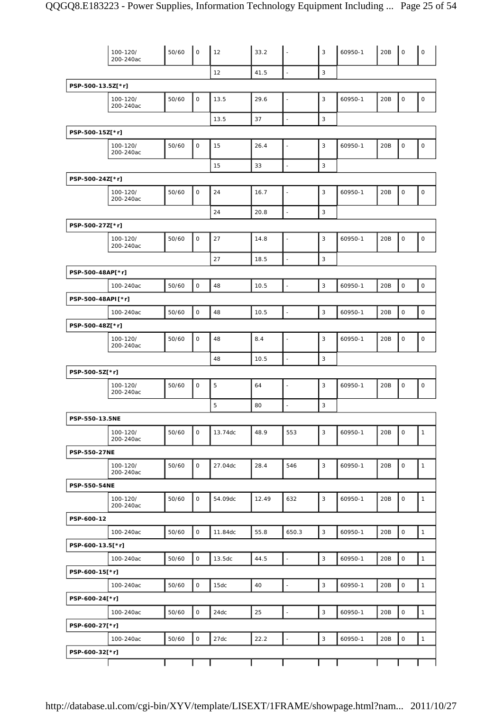|                     | 100-120/<br>200-240ac | 50/60 | $\mathsf{O}$ | 12      | 33.2  |                          | 3           | 60950-1 | 20B | $\mathsf O$ | $\mathsf O$  |
|---------------------|-----------------------|-------|--------------|---------|-------|--------------------------|-------------|---------|-----|-------------|--------------|
|                     |                       |       |              | 12      | 41.5  | L,                       | 3           |         |     |             |              |
| PSP-500-13.5Z[*r]   |                       |       |              |         |       |                          |             |         |     |             |              |
|                     | 100-120/<br>200-240ac | 50/60 | 0            | 13.5    | 29.6  |                          | 3           | 60950-1 | 20B | $\mathbf 0$ | $\mathbf 0$  |
|                     |                       |       |              | 13.5    | 37    | $\overline{\phantom{a}}$ | 3           |         |     |             |              |
| PSP-500-15Z[*r]     |                       |       |              |         |       |                          |             |         |     |             |              |
|                     | 100-120/<br>200-240ac | 50/60 | 0            | 15      | 26.4  | ä,                       | 3           | 60950-1 | 20B | $\mathsf O$ | $\mathsf O$  |
|                     |                       |       |              | 15      | 33    | $\overline{a}$           | 3           |         |     |             |              |
| PSP-500-24Z[*r]     |                       |       |              |         |       |                          |             |         |     |             |              |
|                     | 100-120/<br>200-240ac | 50/60 | 0            | 24      | 16.7  | L,                       | 3           | 60950-1 | 20B | $\mathbf 0$ | $\mathsf O$  |
|                     |                       |       |              | 24      | 20.8  |                          | 3           |         |     |             |              |
| PSP-500-27Z[*r]     |                       |       |              |         |       |                          |             |         |     |             |              |
|                     | 100-120/<br>200-240ac | 50/60 | 0            | 27      | 14.8  | L.                       | 3           | 60950-1 | 20B | $\mathsf O$ | $\mathsf O$  |
|                     |                       |       |              | 27      | 18.5  | $\overline{\phantom{a}}$ | 3           |         |     |             |              |
| PSP-500-48AP[*r]    |                       |       |              |         |       |                          |             |         |     |             |              |
|                     | 100-240ac             | 50/60 | $\mathsf O$  | 48      | 10.5  | ÷,                       | 3           | 60950-1 | 20B | $\mathsf O$ | $\mathsf O$  |
| PSP-500-48API[*r]   |                       |       |              |         |       |                          |             |         |     |             |              |
|                     | 100-240ac             | 50/60 | $\mathsf{O}$ | 48      | 10.5  | L.                       | 3           | 60950-1 | 20B | $\mathbf 0$ | $\mathsf O$  |
| PSP-500-48Z[*r]     |                       |       |              |         |       |                          |             |         |     |             |              |
|                     | 100-120/<br>200-240ac | 50/60 | 0            | 48      | 8.4   |                          | 3           | 60950-1 | 20B | $\mathsf O$ | $\mathsf O$  |
|                     |                       |       |              | 48      | 10.5  |                          | 3           |         |     |             |              |
| PSP-500-5Z[*r]      |                       |       |              |         |       |                          |             |         |     |             |              |
|                     | 100-120/<br>200-240ac | 50/60 | 0            | 5       | 64    | L,                       | 3           | 60950-1 | 20B | $\mathsf O$ | $\mathsf O$  |
|                     |                       |       |              | 5       | 80    | $\blacksquare$           | 3           |         |     |             |              |
| PSP-550-13.5NE      |                       |       |              |         |       |                          |             |         |     |             |              |
|                     | 100-120/<br>200-240ac | 50/60 | 0            | 13.74dc | 48.9  | 553                      | 3           | 60950-1 | 20B | $\mathsf O$ | $\mathbf{1}$ |
| PSP-550-27NE        |                       |       |              |         |       |                          |             |         |     |             |              |
|                     | 100-120/<br>200-240ac | 50/60 | 0            | 27.04dc | 28.4  | 546                      | 3           | 60950-1 | 20B | $\mathsf O$ | $\mathbf{1}$ |
| <b>PSP-550-54NE</b> |                       |       |              |         |       |                          |             |         |     |             |              |
|                     | 100-120/<br>200-240ac | 50/60 | 0            | 54.09dc | 12.49 | 632                      | $\mathsf 3$ | 60950-1 | 20B | $\mathsf O$ | $\mathbf{1}$ |
| PSP-600-12          |                       |       |              |         |       |                          |             |         |     |             |              |
|                     | 100-240ac             | 50/60 | 0            | 11.84dc | 55.8  | 650.3                    | 3           | 60950-1 | 20B | $\mathsf O$ | $\mathbf{1}$ |
| PSP-600-13.5[*r]    |                       |       |              |         |       |                          |             |         |     |             |              |
|                     | 100-240ac             | 50/60 | $\mathsf{O}$ | 13.5dc  | 44.5  | $\overline{\phantom{a}}$ | 3           | 60950-1 | 20B | $\mathsf O$ | $\mathbf{1}$ |
| PSP-600-15[*r]      |                       |       |              |         |       |                          |             |         |     |             |              |
|                     | 100-240ac             | 50/60 | $\mathsf O$  | 15dc    | 40    | $\blacksquare$           | 3           | 60950-1 | 20B | $\mathsf O$ | $\mathbf{1}$ |
| PSP-600-24[*r]      |                       |       |              |         |       |                          |             |         |     |             |              |
|                     | 100-240ac             | 50/60 | $\mathsf{O}$ | 24dc    | 25    | $\overline{\phantom{a}}$ | 3           | 60950-1 | 20B | $\mathsf O$ | $\mathbf{1}$ |
| PSP-600-27[*r]      |                       |       |              |         |       |                          |             |         |     |             |              |
|                     | 100-240ac             | 50/60 | $\mathsf{O}$ | 27dc    | 22.2  | $\Box$                   | 3           | 60950-1 | 20B | $\mathsf O$ | $\mathbf{1}$ |
| PSP-600-32[*r]      |                       |       |              |         |       |                          |             |         |     |             |              |
|                     |                       |       |              |         |       |                          |             |         |     |             |              |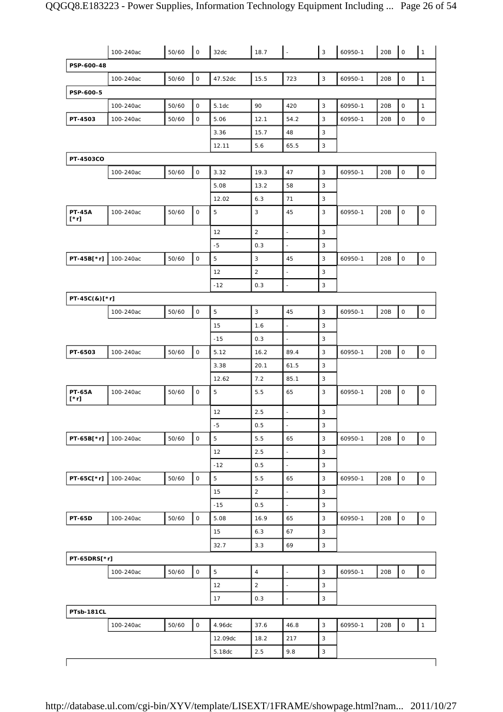|                              | 100-240ac | 50/60 | l o                 | 32dc           | 18.7           | $\overline{\phantom{a}}$ | $\mathbf{3}$              | 60950-1 | 20B | $\overline{\phantom{a}}$ | $\overline{1}$      |
|------------------------------|-----------|-------|---------------------|----------------|----------------|--------------------------|---------------------------|---------|-----|--------------------------|---------------------|
| PSP-600-48                   |           |       |                     |                |                |                          |                           |         |     |                          |                     |
|                              | 100-240ac | 50/60 | $\mathsf O$         | 47.52dc        | 15.5           | 723                      | $\sqrt{3}$                | 60950-1 | 20B | $\mathsf O$              | $\mathbf{1}$        |
| PSP-600-5                    |           |       |                     |                |                |                          |                           |         |     |                          |                     |
|                              | 100-240ac | 50/60 | $\mathsf{O}$        | 5.1dc          | 90             | 420                      | 3                         | 60950-1 | 20B | $\mathsf O$              | $\mathbf{1}$        |
| PT-4503                      | 100-240ac | 50/60 | $\mathsf{O}$        | 5.06           | 12.1           | 54.2                     | 3                         | 60950-1 | 20B | $\mathsf O$              | $\mathsf O$         |
|                              |           |       |                     | 3.36           | 15.7           | 48                       | 3                         |         |     |                          |                     |
|                              |           |       |                     | 12.11          | 5.6            | 65.5                     | 3                         |         |     |                          |                     |
| PT-4503CO                    |           |       |                     |                |                |                          |                           |         |     |                          |                     |
|                              | 100-240ac | 50/60 | $\mathsf{O}$        | 3.32           | 19.3           | 47                       | $\mathbf{3}$              | 60950-1 | 20B | $\mathsf O$              | $\mathsf O$         |
|                              |           |       |                     | 5.08           | 13.2           | 58                       | 3                         |         |     |                          |                     |
|                              |           |       |                     | 12.02          | 6.3            | 71                       | 3                         |         |     |                          |                     |
| <b>PT-45A</b><br>$[\cdot r]$ | 100-240ac | 50/60 | $\mathsf{O}$        | 5              | 3              | 45                       | 3                         | 60950-1 | 20B | $\mathsf O$              | $\mathsf O$         |
|                              |           |       |                     | 12             | $\overline{2}$ | ÷,                       | 3                         |         |     |                          |                     |
|                              |           |       |                     | $-5$           | 0.3            | $\blacksquare$           | 3                         |         |     |                          |                     |
| PT-45B[*r]                   | 100-240ac | 50/60 | $\mathsf O$         | 5              | 3              | 45                       | $\sqrt{3}$                | 60950-1 | 20B | $\mathsf O$              | $\mathsf{O}$        |
|                              |           |       |                     | 12             | $\overline{2}$ | $\overline{\phantom{a}}$ | 3                         |         |     |                          |                     |
|                              |           |       |                     | $-12$          | 0.3            | ÷,                       | 3                         |         |     |                          |                     |
| PT-45C(&)[*r]                |           |       |                     |                |                |                          |                           |         |     |                          |                     |
|                              | 100-240ac | 50/60 | $\mathsf O$         | 5              | $\sqrt{3}$     | 45                       | 3                         | 60950-1 | 20B | $\mathsf O$              | $\mathsf O$         |
|                              |           |       |                     | 15             | 1.6            | $\blacksquare$           | 3                         |         |     |                          |                     |
|                              |           |       |                     | $-15$          | 0.3            | $\bar{z}$                | 3                         |         |     |                          |                     |
| PT-6503                      | 100-240ac | 50/60 | $\mathsf O$         | 5.12           | 16.2           | 89.4                     | 3                         | 60950-1 | 20B | $\mathsf O$              | $\mathsf{O}\xspace$ |
|                              |           |       |                     | 3.38           | 20.1           | 61.5                     | $\sqrt{3}$                |         |     |                          |                     |
|                              |           |       |                     | 12.62          | 7.2            | 85.1                     | 3                         |         |     |                          |                     |
| <b>PT-65A</b><br>[*r]        | 100-240ac | 50/60 | 0                   | 5              | 5.5            | 65                       | 3                         | 60950-1 | 20B | $\mathsf O$              | $\mathsf{O}\xspace$ |
|                              |           |       |                     | 12             | 2.5            | $\overline{\phantom{a}}$ | 3                         |         |     |                          |                     |
|                              |           |       |                     | $-5$           | 0.5            | $\frac{1}{2}$            | 3                         |         |     |                          |                     |
| PT-65B[*r]                   | 100-240ac | 50/60 | $\mathsf O$         | 5              | 5.5            | 65                       | $\mathbf{3}$              | 60950-1 | 20B | $\mathsf O$              | $\mathsf{O}\xspace$ |
|                              |           |       |                     | 12             | 2.5            | $\blacksquare$           | $\mathsf 3$               |         |     |                          |                     |
|                              |           |       |                     | $-12$          | 0.5            | $\Box$                   | $\sqrt{3}$                |         |     |                          |                     |
| PT-65C[*r]                   | 100-240ac | 50/60 | $\mathsf{O}\xspace$ | $\overline{5}$ | 5.5            | 65                       | $\sqrt{3}$                | 60950-1 | 20B | $\mathsf{O}\xspace$      | $\mathsf{O}$        |
|                              |           |       |                     | 15             | $\overline{2}$ | $\blacksquare$           | $\sqrt{3}$                |         |     |                          |                     |
|                              |           |       |                     | $-15$          | 0.5            | ä,                       | $\ensuremath{\mathsf{3}}$ |         |     |                          |                     |
| <b>PT-65D</b>                | 100-240ac | 50/60 | $\mathsf O$         | 5.08           | 16.9           | 65                       | $\sqrt{3}$                | 60950-1 | 20B | $\mathsf O$              | $\mathsf{O}\xspace$ |
|                              |           |       |                     | 15             | 6.3            | 67                       | $\sqrt{3}$                |         |     |                          |                     |
|                              |           |       |                     | 32.7           | 3.3            | 69                       | $\ensuremath{\mathsf{3}}$ |         |     |                          |                     |
| PT-65DRS[*r]                 |           |       |                     |                |                |                          |                           |         |     |                          |                     |
|                              | 100-240ac | 50/60 | $\mathsf O$         | $\mathbf 5$    | $\overline{4}$ | $\blacksquare$           | $\sqrt{3}$                | 60950-1 | 20B | $\mathsf O$              | $\mathsf{O}\xspace$ |
|                              |           |       |                     | 12             | $\overline{2}$ | $\overline{\phantom{a}}$ | $\mathsf 3$               |         |     |                          |                     |
| PTsb-181CL                   |           |       |                     | 17             | 0.3            | $\overline{\phantom{a}}$ | $\ensuremath{\mathsf{3}}$ |         |     |                          |                     |
|                              | 100-240ac | 50/60 | $\mathsf O$         | 4.96dc         | 37.6           | 46.8                     | $\ensuremath{\mathsf{3}}$ | 60950-1 | 20B | $\mathsf{O}\xspace$      | $\mathbf{1}$        |
|                              |           |       |                     | 12.09dc        | 18.2           | 217                      | $\sqrt{3}$                |         |     |                          |                     |
|                              |           |       |                     | 5.18dc         | 2.5            | 9.8                      | $\ensuremath{\mathsf{3}}$ |         |     |                          |                     |
|                              |           |       |                     |                |                |                          |                           |         |     |                          |                     |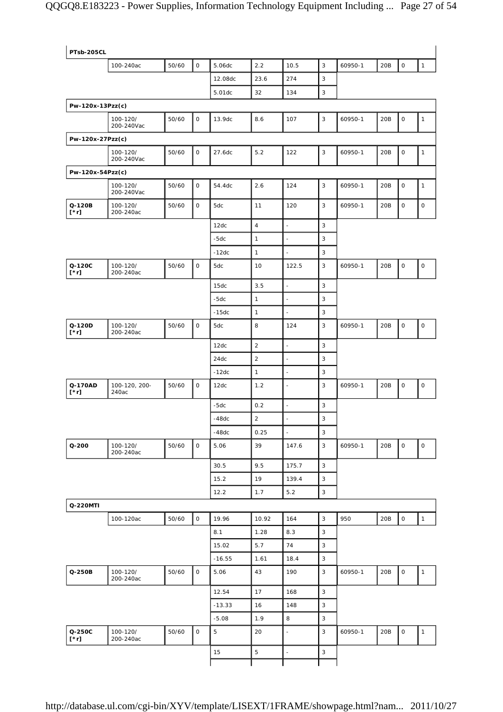| PTsb-205CL             |                        |       |              |          |                |                          |              |         |     |                     |                     |
|------------------------|------------------------|-------|--------------|----------|----------------|--------------------------|--------------|---------|-----|---------------------|---------------------|
|                        | 100-240ac              | 50/60 | $\mathsf O$  | 5.06dc   | 2.2            | 10.5                     | 3            | 60950-1 | 20B | $\mathsf{O}\xspace$ | $\mathbf{1}$        |
|                        |                        |       |              | 12.08dc  | 23.6           | 274                      | 3            |         |     |                     |                     |
|                        |                        |       |              | 5.01dc   | 32             | 134                      | 3            |         |     |                     |                     |
| Pw-120x-13Pzz(c)       |                        |       |              |          |                |                          |              |         |     |                     |                     |
|                        | 100-120/<br>200-240Vac | 50/60 | 0            | 13.9dc   | 8.6            | 107                      | $\mathsf 3$  | 60950-1 | 20B | $\mathsf O$         | $\mathbf{1}$        |
| Pw-120x-27Pzz(c)       |                        |       |              |          |                |                          |              |         |     |                     |                     |
|                        | 100-120/<br>200-240Vac | 50/60 | 0            | 27.6dc   | $5.2$          | 122                      | 3            | 60950-1 | 20B | 0                   | $\mathbf{1}$        |
| Pw-120x-54Pzz(c)       |                        |       |              |          |                |                          |              |         |     |                     |                     |
|                        | 100-120/<br>200-240Vac | 50/60 | 0            | 54.4dc   | 2.6            | 124                      | 3            | 60950-1 | 20B | $\mathsf O$         | $\mathbf{1}$        |
| Q-120B<br>$[\cdot r]$  | 100-120/<br>200-240ac  | 50/60 | 0            | 5dc      | 11             | 120                      | 3            | 60950-1 | 20B | 0                   | 0                   |
|                        |                        |       |              | 12dc     | $\overline{4}$ | $\overline{\phantom{a}}$ | 3            |         |     |                     |                     |
|                        |                        |       |              | $-5dc$   | $\mathbf{1}$   | $\overline{\phantom{a}}$ | 3            |         |     |                     |                     |
|                        |                        |       |              | $-12dc$  | $\mathbf{1}$   | $\blacksquare$           | 3            |         |     |                     |                     |
| Q-120C<br>$[\cdot r]$  | 100-120/<br>200-240ac  | 50/60 | $\mathsf O$  | 5dc      | 10             | 122.5                    | 3            | 60950-1 | 20B | $\mathsf O$         | $\mathsf O$         |
|                        |                        |       |              | 15dc     | 3.5            | $\blacksquare$           | 3            |         |     |                     |                     |
|                        |                        |       |              | $-5dc$   | $\mathbf{1}$   | ÷,                       | 3            |         |     |                     |                     |
|                        |                        |       |              | $-15dc$  | $\mathbf{1}$   | $\overline{\phantom{a}}$ | 3            |         |     |                     |                     |
| Q-120D<br>$[\cdot r]$  | 100-120/<br>200-240ac  | 50/60 | $\mathsf O$  | 5dc      | 8              | 124                      | 3            | 60950-1 | 20B | 0                   | $\mathsf O$         |
|                        |                        |       |              | 12dc     | $\overline{2}$ | $\blacksquare$           | 3            |         |     |                     |                     |
|                        |                        |       |              | 24dc     | $\overline{2}$ | $\blacksquare$           | 3            |         |     |                     |                     |
|                        |                        |       |              | $-12dc$  | $\mathbf{1}$   | $\blacksquare$           | 3            |         |     |                     |                     |
| Q-170AD<br>$[\cdot r]$ | 100-120, 200-<br>240ac | 50/60 | $\mathsf{O}$ | 12dc     | 1.2            | $\overline{\phantom{a}}$ | 3            | 60950-1 | 20B | 0                   | 0                   |
|                        |                        |       |              | $-5dc$   | 0.2            | ÷,                       | 3            |         |     |                     |                     |
|                        |                        |       |              | $-48dc$  | $\overline{2}$ |                          | 3            |         |     |                     |                     |
|                        |                        |       |              | $-48dc$  | 0.25           | ÷,                       | 3            |         |     |                     |                     |
| $Q - 200$              | 100-120/<br>200-240ac  | 50/60 | $\mathsf O$  | 5.06     | 39             | 147.6                    | 3            | 60950-1 | 20B | $\mathsf{O}\xspace$ | $\mathsf{O}\xspace$ |
|                        |                        |       |              | 30.5     | 9.5            | 175.7                    | $\mathbf{3}$ |         |     |                     |                     |
|                        |                        |       |              | 15.2     | 19             | 139.4                    | 3            |         |     |                     |                     |
|                        |                        |       |              | 12.2     | 1.7            | 5.2                      | $\mathbf{3}$ |         |     |                     |                     |
| Q-220MTI               |                        |       |              |          |                |                          |              |         |     |                     |                     |
|                        | 100-120ac              | 50/60 | $\circ$      | 19.96    | 10.92          | 164                      | $\mathsf 3$  | 950     | 20B | $\mathsf{O}\xspace$ | $\mathbf{1}$        |
|                        |                        |       |              | 8.1      | 1.28           | 8.3                      | 3            |         |     |                     |                     |
|                        |                        |       |              | 15.02    | 5.7            | 74                       | 3            |         |     |                     |                     |
|                        |                        |       |              | $-16.55$ | 1.61           | 18.4                     | $\mathsf 3$  |         |     |                     |                     |
| Q-250B                 | 100-120/<br>200-240ac  | 50/60 | $\mathsf O$  | 5.06     | 43             | 190                      | $\mathbf{3}$ | 60950-1 | 20B | 0                   | $\mathbf{1}$        |
|                        |                        |       |              | 12.54    | 17             | 168                      | $\mathsf 3$  |         |     |                     |                     |
|                        |                        |       |              | $-13.33$ | 16             | 148                      | $\mathsf 3$  |         |     |                     |                     |
|                        |                        |       |              | $-5.08$  | 1.9            | 8                        | 3            |         |     |                     |                     |
| Q-250C<br>[*r]         | 100-120/<br>200-240ac  | 50/60 | $\mathsf{O}$ | 5        | 20             | $\blacksquare$           | 3            | 60950-1 | 20B | 0                   | $\mathbf{1}$        |
|                        |                        |       |              | 15       | $\sqrt{5}$     | $\overline{\phantom{a}}$ | $\mathsf 3$  |         |     |                     |                     |
|                        |                        |       |              |          |                |                          |              |         |     |                     |                     |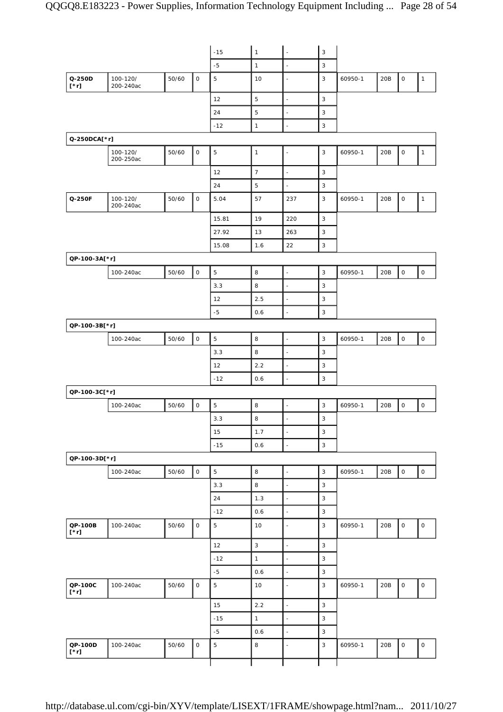|                        |                       |       |                     | $-15$          | $\mathbf{1}$    | ÷,                       | $\mathbf{3}$              |         |     |                     |                     |
|------------------------|-----------------------|-------|---------------------|----------------|-----------------|--------------------------|---------------------------|---------|-----|---------------------|---------------------|
|                        |                       |       |                     | $-5$           | $\mathbf{1}$    | $\overline{\phantom{a}}$ | $\mathbf{3}$              |         |     |                     |                     |
| Q-250D<br>$[\cdot r]$  | 100-120/<br>200-240ac | 50/60 | $\mathsf O$         | 5              | 10              | ÷,                       | 3                         | 60950-1 | 20B | $\mathsf O$         | $\mathbf{1}$        |
|                        |                       |       |                     | 12             | 5               | $\overline{\phantom{a}}$ | $\mathbf{3}$              |         |     |                     |                     |
|                        |                       |       |                     | 24             | 5               | $\overline{\phantom{a}}$ | $\mathbf{3}$              |         |     |                     |                     |
|                        |                       |       |                     | $-12$          | $\mathbf{1}$    | $\overline{a}$           | $\mathbf{3}$              |         |     |                     |                     |
| Q-250DCA[*r]           |                       |       |                     |                |                 |                          |                           |         |     |                     |                     |
|                        | 100-120/<br>200-250ac | 50/60 | $\mathsf O$         | $\mathbf 5$    | $\mathbf{1}$    | $\overline{\phantom{a}}$ | $\mathbf{3}$              | 60950-1 | 20B | $\mathsf{O}\xspace$ | $\mathbf{1}$        |
|                        |                       |       |                     | 12             | $\overline{7}$  | $\Box$                   | $\mathbf{3}$              |         |     |                     |                     |
|                        |                       |       |                     | 24             | $\sqrt{5}$      | $\overline{\phantom{a}}$ | 3                         |         |     |                     |                     |
| Q-250F                 | 100-120/<br>200-240ac | 50/60 | $\mathsf O$         | 5.04           | 57              | 237                      | 3                         | 60950-1 | 20B | $\mathsf O$         | $\mathbf{1}$        |
|                        |                       |       |                     | 15.81          | 19              | 220                      | $\mathsf 3$               |         |     |                     |                     |
|                        |                       |       |                     | 27.92          | 13              | 263                      | 3                         |         |     |                     |                     |
|                        |                       |       |                     | 15.08          | 1.6             | 22                       | 3                         |         |     |                     |                     |
| QP-100-3A[*r]          |                       |       |                     |                |                 |                          |                           |         |     |                     |                     |
|                        | 100-240ac             | 50/60 | $\mathsf{O}\xspace$ | 5              | 8               | $\blacksquare$           | 3                         | 60950-1 | 20B | $\mathsf O$         | $\mathsf O$         |
|                        |                       |       |                     | 3.3            | 8               | $\overline{\phantom{a}}$ | $\mathbf{3}$              |         |     |                     |                     |
|                        |                       |       |                     | 12             | 2.5             | $\overline{\phantom{a}}$ | 3                         |         |     |                     |                     |
|                        |                       |       |                     | $-5$           | 0.6             | $\overline{\phantom{a}}$ | 3                         |         |     |                     |                     |
| QP-100-3B[*r]          |                       |       |                     |                |                 |                          |                           |         |     |                     |                     |
|                        | 100-240ac             | 50/60 | $\mathsf O$         | $\mathbf 5$    | 8               | $\overline{\phantom{a}}$ | $\mathbf{3}$              | 60950-1 | 20B | $\mathsf O$         | $\mathsf O$         |
|                        |                       |       |                     | 3.3            | 8               | $\overline{\phantom{a}}$ | 3                         |         |     |                     |                     |
|                        |                       |       |                     | 12             | 2.2             | $\blacksquare$           | 3                         |         |     |                     |                     |
|                        |                       |       |                     | $-12$          | 0.6             | $\sim$                   | $\mathbf{3}$              |         |     |                     |                     |
| QP-100-3C[*r]          |                       |       |                     |                |                 |                          |                           |         |     |                     |                     |
|                        | 100-240ac             | 50/60 | $\mathsf O$         | 5              | 8               | $\blacksquare$           | $\mathbf{3}$              | 60950-1 | 20B | $\mathsf O$         | $\mathsf O$         |
|                        |                       |       |                     | 3.3            | 8               | ÷,                       | 3                         |         |     |                     |                     |
|                        |                       |       |                     | 15             | 1.7             | $\ddot{\phantom{a}}$     | $\mathsf 3$               |         |     |                     |                     |
|                        |                       |       |                     | $-15$          | 0.6             | ÷,                       | $\ensuremath{\mathsf{3}}$ |         |     |                     |                     |
| QP-100-3D[*r]          |                       |       |                     |                |                 |                          |                           |         |     |                     |                     |
|                        | 100-240ac             | 50/60 | $\mathsf{O}\xspace$ | $\overline{5}$ | 8               | $\Box$                   | $\mathsf 3$               | 60950-1 | 20B | $\mathsf{O}\xspace$ | $\mathsf{O}\xspace$ |
|                        |                       |       |                     | 3.3            | 8               | $\overline{\phantom{a}}$ | $\overline{3}$            |         |     |                     |                     |
|                        |                       |       |                     | 24             | 1.3             | $\overline{a}$           | 3                         |         |     |                     |                     |
|                        |                       |       |                     | $-12$          | 0.6             | $\overline{\phantom{a}}$ | $\mathsf 3$               |         |     |                     |                     |
| QP-100B<br>$[\cdot r]$ | 100-240ac             | 50/60 | $\mathsf O$         | $\mathbf 5$    | 10              | $\sim$                   | 3                         | 60950-1 | 20B | $\mathsf O$         | $\mathsf O$         |
|                        |                       |       |                     | 12             | 3               | $\overline{\phantom{a}}$ | $\mathbf{3}$              |         |     |                     |                     |
|                        |                       |       |                     | $-12$          | $\mathbf{1}$    | $\Box$                   | $\mathsf 3$               |         |     |                     |                     |
|                        |                       |       |                     | $-5$           | 0.6             | $\overline{\phantom{a}}$ | 3                         |         |     |                     |                     |
| QP-100C<br>$[\cdot r]$ | 100-240ac             | 50/60 | $\mathsf O$         | $\mathbf 5$    | 10 <sup>°</sup> | $\sim$                   | 3                         | 60950-1 | 20B | $\mathsf{O}\xspace$ | $\mathsf O$         |
|                        |                       |       |                     | 15             | 2.2             | $\overline{a}$           | $\mathsf 3$               |         |     |                     |                     |
|                        |                       |       |                     | $-15$          | $\mathbf{1}$    | $\Box$                   | 3                         |         |     |                     |                     |
|                        |                       |       |                     | $-5$           | 0.6             | $\overline{a}$           | 3                         |         |     |                     |                     |
| QP-100D<br>$[\cdot r]$ | 100-240ac             | 50/60 | $\mathsf O$         | $\overline{5}$ | 8               | $\ddot{\phantom{a}}$     | $\overline{3}$            | 60950-1 | 20B | $\mathsf O$         | $\mathsf O$         |
|                        |                       |       |                     |                |                 |                          |                           |         |     |                     |                     |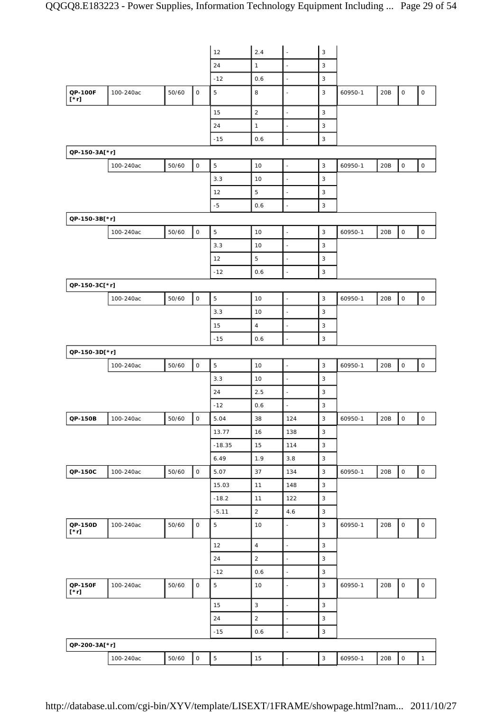|                        |           |       |              | 12             | 2.4            | $\overline{\phantom{a}}$ | $\mathsf 3$               |         |     |                     |                     |
|------------------------|-----------|-------|--------------|----------------|----------------|--------------------------|---------------------------|---------|-----|---------------------|---------------------|
|                        |           |       |              | 24             | $\mathbf{1}$   | $\overline{\phantom{a}}$ | $\mathsf 3$               |         |     |                     |                     |
|                        |           |       |              | $-12$          | 0.6            | $\overline{a}$           | 3                         |         |     |                     |                     |
| QP-100F<br>$[\cdot r]$ | 100-240ac | 50/60 | $\mathsf{O}$ | 5              | 8              | $\ddot{\phantom{a}}$     | 3                         | 60950-1 | 20B | 0                   | $\mathsf{O}\xspace$ |
|                        |           |       |              | 15             | $\sqrt{2}$     | $\overline{\phantom{a}}$ | 3                         |         |     |                     |                     |
|                        |           |       |              | 24             | $\mathbf{1}$   | $\blacksquare$           | $\mathsf 3$               |         |     |                     |                     |
|                        |           |       |              | $-15$          | 0.6            | $\overline{\phantom{a}}$ | $\mathsf 3$               |         |     |                     |                     |
| QP-150-3A[*r]          |           |       |              |                |                |                          |                           |         |     |                     |                     |
|                        | 100-240ac | 50/60 | $\mathsf O$  | $\overline{5}$ | 10             | $\overline{\phantom{a}}$ | $\mathsf 3$               | 60950-1 | 20B | $\mathsf{O}\xspace$ | $\mathsf{O}\xspace$ |
|                        |           |       |              | 3.3            | 10             | $\overline{\phantom{a}}$ | 3                         |         |     |                     |                     |
|                        |           |       |              | 12             | 5              | $\overline{\phantom{a}}$ | $\mathsf 3$               |         |     |                     |                     |
|                        |           |       |              | $-5$           | 0.6            | $\overline{\phantom{a}}$ | 3                         |         |     |                     |                     |
| QP-150-3B[*r]          |           |       |              |                |                |                          |                           |         |     |                     |                     |
|                        | 100-240ac | 50/60 | $\mathsf O$  | 5              | 10             | $\overline{\phantom{a}}$ | 3                         | 60950-1 | 20B | $\mathsf{O}\xspace$ | $\mathsf O$         |
|                        |           |       |              | 3.3            | 10             | $\overline{\phantom{a}}$ | $\mathsf 3$               |         |     |                     |                     |
|                        |           |       |              | 12             | 5              | $\blacksquare$           | 3                         |         |     |                     |                     |
|                        |           |       |              | $-12$          | 0.6            | ÷,                       | 3                         |         |     |                     |                     |
| QP-150-3C[*r]          |           |       |              |                |                |                          |                           |         |     |                     |                     |
|                        | 100-240ac | 50/60 | $\mathsf O$  | 5              | 10             | $\overline{\phantom{a}}$ | $\mathsf 3$               | 60950-1 | 20B | $\mathsf{O}\xspace$ | $\mathsf O$         |
|                        |           |       |              | 3.3            | 10             | $\overline{\phantom{a}}$ | 3                         |         |     |                     |                     |
|                        |           |       |              | 15             | $\overline{4}$ | $\overline{\phantom{a}}$ | 3                         |         |     |                     |                     |
|                        |           |       |              | $-15$          | 0.6            | ÷,                       | $\mathsf 3$               |         |     |                     |                     |
| QP-150-3D[*r]          |           |       |              |                |                |                          |                           |         |     |                     |                     |
|                        | 100-240ac | 50/60 | $\mathsf O$  | 5              | 10             | $\blacksquare$           | 3                         | 60950-1 | 20B | 0                   | $\mathsf{O}\xspace$ |
|                        |           |       |              | 3.3            | 10             | $\overline{\phantom{a}}$ | 3                         |         |     |                     |                     |
|                        |           |       |              | 24             | 2.5            | $\overline{\phantom{a}}$ | $\mathsf 3$               |         |     |                     |                     |
|                        |           |       |              | $-12$          | 0.6            | $\sim$                   | 3                         |         |     |                     |                     |
| QP-150B                | 100-240ac | 50/60 | $\mathsf O$  | 5.04           | 38             | 124                      | 3                         | 60950-1 | 20B | 0                   | $\mathsf O$         |
|                        |           |       |              | 13.77          | 16             | 138                      | $\mathsf 3$               |         |     |                     |                     |
|                        |           |       |              | $-18.35$       | 15             | 114                      | $\mathbf{3}$              |         |     |                     |                     |
|                        |           |       |              | 6.49           | 1.9            | 3.8                      | $\mathsf 3$               |         |     |                     |                     |
| QP-150C                | 100-240ac | 50/60 | $\mathsf O$  | 5.07           | 37             | 134                      | $\mathsf 3$               | 60950-1 | 20B | $\mathsf O$         | $\mathsf{O}\xspace$ |
|                        |           |       |              | 15.03          | 11             | 148                      | $\mathsf 3$               |         |     |                     |                     |
|                        |           |       |              | $-18.2$        | 11             | 122                      | 3                         |         |     |                     |                     |
|                        |           |       |              | $-5.11$        | $\overline{2}$ | 4.6                      | $\ensuremath{\mathsf{3}}$ |         |     |                     |                     |
| QP-150D<br>$[\cdot r]$ | 100-240ac | 50/60 | $\mathsf{O}$ | 5              | 10             | $\blacksquare$           | 3                         | 60950-1 | 20B | 0                   | $\mathsf{O}\xspace$ |
|                        |           |       |              | 12             | $\overline{4}$ | $\overline{\phantom{a}}$ | $\mathsf 3$               |         |     |                     |                     |
|                        |           |       |              | 24             | $\overline{2}$ | $\bar{\phantom{a}}$      | $\mathsf 3$               |         |     |                     |                     |
|                        |           |       |              | $-12$          | 0.6            | $\overline{a}$           | 3                         |         |     |                     |                     |
| QP-150F<br>$[\cdot r]$ | 100-240ac | 50/60 | $\mathsf O$  | 5              | 10             | $\overline{\phantom{a}}$ | $\mathsf 3$               | 60950-1 | 20B | 0                   | $\mathsf O$         |
|                        |           |       |              | 15             | $\mathbf{3}$   | $\Box$                   | $\mathsf 3$               |         |     |                     |                     |
|                        |           |       |              | 24             | $\overline{2}$ | $\blacksquare$           | $\mathsf 3$               |         |     |                     |                     |
|                        |           |       |              | $-15$          | 0.6            | ÷,                       | $\mathsf 3$               |         |     |                     |                     |
| QP-200-3A[*r]          |           |       |              |                |                |                          |                           |         |     |                     |                     |
|                        | 100-240ac | 50/60 | $\mathsf O$  | $\mathbf 5$    | 15             | $\overline{a}$           | $\mathbf{3}$              | 60950-1 | 20B | $\circ$             | $\mathbf{1}$        |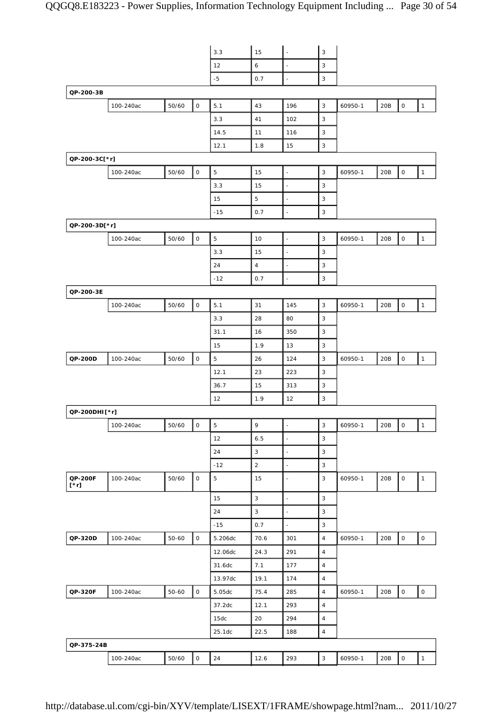|               |           |       |                     | 3.3         | 15             | $\overline{\phantom{a}}$ | 3                         |         |       |                     |                     |
|---------------|-----------|-------|---------------------|-------------|----------------|--------------------------|---------------------------|---------|-------|---------------------|---------------------|
|               |           |       |                     | 12          | 6              | $\overline{\phantom{a}}$ | 3                         |         |       |                     |                     |
|               |           |       |                     | $-5$        | 0.7            | ÷,                       | 3                         |         |       |                     |                     |
| QP-200-3B     |           |       |                     |             |                |                          |                           |         |       |                     |                     |
|               | 100-240ac | 50/60 | $\mathsf O$         | 5.1         | 43             | 196                      | $\mathbf{3}$              | 60950-1 | $20B$ | $\mathsf{O}\xspace$ | $\mathbf{1}$        |
|               |           |       |                     | 3.3         | 41             | 102                      | 3                         |         |       |                     |                     |
|               |           |       |                     | 14.5        | 11             | 116                      | 3                         |         |       |                     |                     |
|               |           |       |                     | 12.1        | 1.8            | 15                       | 3                         |         |       |                     |                     |
| QP-200-3C[*r] |           |       |                     |             |                |                          |                           |         |       |                     |                     |
|               | 100-240ac | 50/60 | $\mathsf{O}\xspace$ | 5           | 15             | $\overline{\phantom{a}}$ | 3                         | 60950-1 | 20B   | $\mathsf{O}\xspace$ | $\mathbf{1}$        |
|               |           |       |                     | 3.3         | 15             | $\overline{\phantom{a}}$ | 3                         |         |       |                     |                     |
|               |           |       |                     | 15          | 5              | $\blacksquare$           | 3                         |         |       |                     |                     |
|               |           |       |                     | $-15$       | 0.7            | $\ddot{\phantom{1}}$     | 3                         |         |       |                     |                     |
| QP-200-3D[*r] |           |       |                     |             |                |                          |                           |         |       |                     |                     |
|               | 100-240ac | 50/60 | $\mathsf O$         | $\mathbf 5$ | 10             | $\overline{\phantom{a}}$ | 3                         | 60950-1 | 20B   | $\mathsf O$         | $\mathbf{1}$        |
|               |           |       |                     | 3.3         | 15             | $\overline{\phantom{a}}$ | 3                         |         |       |                     |                     |
|               |           |       |                     | 24          | $\overline{4}$ | ÷,                       | 3                         |         |       |                     |                     |
|               |           |       |                     | $-12$       | 0.7            | $\overline{\phantom{a}}$ | 3                         |         |       |                     |                     |
| QP-200-3E     |           |       |                     |             |                |                          |                           |         |       |                     |                     |
|               | 100-240ac | 50/60 | $\mathsf O$         | 5.1         | 31             | 145                      | 3                         | 60950-1 | 20B   | $\mathsf{O}\xspace$ | $\mathbf{1}$        |
|               |           |       |                     | 3.3         | 28             | 80                       | 3                         |         |       |                     |                     |
|               |           |       |                     | 31.1        | 16             | 350                      | 3                         |         |       |                     |                     |
|               |           |       |                     | 15          | 1.9            | 13                       | 3                         |         |       |                     |                     |
| QP-200D       | 100-240ac | 50/60 | $\mathsf O$         | 5           | 26             | 124                      | 3                         | 60950-1 | 20B   | $\mathsf O$         | $\mathbf{1}$        |
|               |           |       |                     | 12.1        | 23             | 223                      | 3                         |         |       |                     |                     |
|               |           |       |                     | 36.7        | 15             | 313                      | 3                         |         |       |                     |                     |
|               |           |       |                     | 12          | 1.9            | 12                       | 3                         |         |       |                     |                     |
| QP-200DHI[*r] |           |       |                     |             |                |                          |                           |         |       |                     |                     |
|               | 100-240ac | 50/60 | $\mathsf{O}\xspace$ | $\mathbf 5$ | 9              | $\ddot{\phantom{a}}$     | $\ensuremath{\mathsf{3}}$ | 60950-1 | 20B   | $\mathsf{O}$        | $\mathbf{1}$        |
|               |           |       |                     | 12          | 6.5            | $\overline{\phantom{a}}$ | $\mathbf{3}$              |         |       |                     |                     |
|               |           |       |                     | 24          | 3              | $\overline{\phantom{a}}$ | $\mathsf 3$               |         |       |                     |                     |
|               |           |       |                     | $-12$       | $\overline{2}$ | $\Box$                   | $\mathsf 3$               |         |       |                     |                     |
| QP-200F       | 100-240ac | 50/60 | $\mathsf O$         | $\mathbf 5$ | 15             | $\overline{\phantom{a}}$ | $\mathbf{3}$              | 60950-1 | 20B   | $\mathsf O$         | $\mathbf{1}$        |
| $[\cdot r]$   |           |       |                     |             |                |                          |                           |         |       |                     |                     |
|               |           |       |                     | 15          | $\mathbf{3}$   | $\overline{\phantom{a}}$ | $\mathsf 3$               |         |       |                     |                     |
|               |           |       |                     | 24          | $\mathbf{3}$   | $\overline{\phantom{a}}$ | $\ensuremath{\mathsf{3}}$ |         |       |                     |                     |
|               |           |       |                     | $-15$       | 0.7            | $\overline{\phantom{a}}$ | 3                         |         |       |                     |                     |
| QP-320D       | 100-240ac | 50-60 | $\mathsf{O}\xspace$ | 5.206dc     | 70.6           | 301                      | $\sqrt{4}$                | 60950-1 | 20B   | $\mathsf O$         | $\mathsf{O}\xspace$ |
|               |           |       |                     | 12.06dc     | 24.3           | 291                      | $\overline{4}$            |         |       |                     |                     |
|               |           |       |                     | 31.6dc      | 7.1            | 177                      | $\overline{4}$            |         |       |                     |                     |
|               |           |       |                     | 13.97dc     | 19.1           | 174                      | $\overline{4}$            |         |       |                     |                     |
| QP-320F       | 100-240ac | 50-60 | $\mathsf O$         | 5.05dc      | 75.4           | 285                      | $\sqrt{4}$                | 60950-1 | 20B   | $\mathsf O$         | $\mathsf{O}\xspace$ |
|               |           |       |                     | 37.2dc      | 12.1           | 293                      | $\overline{4}$            |         |       |                     |                     |
|               |           |       |                     | 15dc        | 20             | 294                      | $\overline{4}$            |         |       |                     |                     |
|               |           |       |                     | 25.1dc      | 22.5           | 188                      | $\sqrt{4}$                |         |       |                     |                     |
| QP-375-24B    |           |       |                     |             |                |                          |                           |         |       |                     |                     |
|               | 100-240ac | 50/60 | $\mathsf{O}\xspace$ | $24\,$      | 12.6           | 293                      | $\ensuremath{\mathsf{3}}$ | 60950-1 | 20B   | $\mathsf{O}\xspace$ | $\mathbf{1}$        |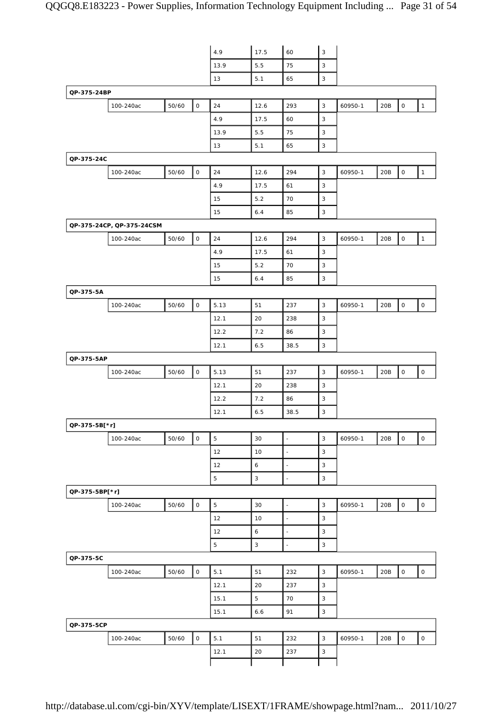|                |                           |       |                     | 4.9  | 17.5 | 60                       | $\mathsf 3$    |         |     |                     |                     |
|----------------|---------------------------|-------|---------------------|------|------|--------------------------|----------------|---------|-----|---------------------|---------------------|
|                |                           |       |                     | 13.9 | 5.5  | 75                       | 3              |         |     |                     |                     |
|                |                           |       |                     | 13   | 5.1  | 65                       | 3              |         |     |                     |                     |
| QP-375-24BP    |                           |       |                     |      |      |                          |                |         |     |                     |                     |
|                | 100-240ac                 | 50/60 | $\mathsf{O}\xspace$ | 24   | 12.6 | 293                      | $\mathsf 3$    | 60950-1 | 20B | $\mathsf{O}\xspace$ | $\mathbf{1}$        |
|                |                           |       |                     | 4.9  | 17.5 | 60                       | 3              |         |     |                     |                     |
|                |                           |       |                     | 13.9 | 5.5  | 75                       | 3              |         |     |                     |                     |
|                |                           |       |                     | 13   | 5.1  | 65                       | $\mathsf 3$    |         |     |                     |                     |
| QP-375-24C     |                           |       |                     |      |      |                          |                |         |     |                     |                     |
|                | 100-240ac                 | 50/60 | $\mathsf O$         | 24   | 12.6 | 294                      | $\mathsf 3$    | 60950-1 | 20B | $\mathsf{O}\xspace$ | $\mathbf{1}$        |
|                |                           |       |                     | 4.9  | 17.5 | 61                       | 3              |         |     |                     |                     |
|                |                           |       |                     | 15   | 5.2  | 70                       | 3              |         |     |                     |                     |
|                |                           |       |                     | 15   | 6.4  | 85                       | $\mathsf 3$    |         |     |                     |                     |
|                | QP-375-24CP, QP-375-24CSM |       |                     |      |      |                          |                |         |     |                     |                     |
|                | 100-240ac                 | 50/60 | $\mathsf O$         | 24   | 12.6 | 294                      | $\mathsf 3$    | 60950-1 | 20B | $\mathsf{O}\xspace$ | $\mathbf{1}$        |
|                |                           |       |                     | 4.9  | 17.5 | 61                       | 3              |         |     |                     |                     |
|                |                           |       |                     | 15   | 5.2  | 70                       | 3              |         |     |                     |                     |
|                |                           |       |                     | 15   | 6.4  | 85                       | 3              |         |     |                     |                     |
| QP-375-5A      |                           |       |                     |      |      |                          |                |         |     |                     |                     |
|                | 100-240ac                 | 50/60 | $\mathsf O$         | 5.13 | 51   | 237                      | 3              | 60950-1 | 20B | $\mathsf{O}\xspace$ | $\mathsf O$         |
|                |                           |       |                     | 12.1 | 20   | 238                      | 3              |         |     |                     |                     |
|                |                           |       |                     | 12.2 | 7.2  | 86                       | 3              |         |     |                     |                     |
|                |                           |       |                     | 12.1 | 6.5  | 38.5                     | $\mathsf 3$    |         |     |                     |                     |
| QP-375-5AP     |                           |       |                     |      |      |                          |                |         |     |                     |                     |
|                | 100-240ac                 | 50/60 | $\mathsf O$         | 5.13 | 51   | 237                      | $\mathsf 3$    | 60950-1 | 20B | $\mathsf O$         | $\mathsf O$         |
|                |                           |       |                     | 12.1 | 20   | 238                      | 3              |         |     |                     |                     |
|                |                           |       |                     | 12.2 | 7.2  | 86                       | 3              |         |     |                     |                     |
|                |                           |       |                     | 12.1 | 6.5  | 38.5                     | 3              |         |     |                     |                     |
| QP-375-5B[*r]  |                           |       |                     |      |      |                          |                |         |     |                     |                     |
|                | 100-240ac                 | 50/60 | $\circ$             | 5    | 30   | $\overline{\phantom{a}}$ | $\overline{3}$ | 60950-1 | 20B | $\mathsf O$         | $\mathsf{O}\xspace$ |
|                |                           |       |                     | 12   | 10   | $\overline{\phantom{a}}$ | 3              |         |     |                     |                     |
|                |                           |       |                     | 12   | 6    | $\overline{\phantom{a}}$ | 3              |         |     |                     |                     |
|                |                           |       |                     | 5    | 3    | ÷,                       | $\mathsf 3$    |         |     |                     |                     |
| QP-375-5BP[*r] |                           |       |                     |      |      |                          |                |         |     |                     |                     |
|                | 100-240ac                 | 50/60 | $\mathsf O$         | 5    | 30   | $\blacksquare$           | 3              | 60950-1 | 20B | $\mathsf O$         | $\mathsf O$         |
|                |                           |       |                     | 12   | 10   | $\overline{\phantom{a}}$ | 3              |         |     |                     |                     |
|                |                           |       |                     | 12   | 6    | ÷,                       | $\mathsf 3$    |         |     |                     |                     |
|                |                           |       |                     | 5    | 3    | $\blacksquare$           | 3              |         |     |                     |                     |
| QP-375-5C      |                           |       |                     |      |      |                          |                |         |     |                     |                     |
|                | 100-240ac                 | 50/60 | $\mathsf{O}$        | 5.1  | 51   | 232                      | 3              | 60950-1 | 20B | 0                   | $\mathsf{O}\xspace$ |
|                |                           |       |                     | 12.1 | 20   | 237                      | 3              |         |     |                     |                     |
|                |                           |       |                     | 15.1 | 5    | 70                       | 3              |         |     |                     |                     |
|                |                           |       |                     | 15.1 | 6.6  | 91                       | 3              |         |     |                     |                     |
| QP-375-5CP     |                           |       |                     |      |      |                          |                |         |     |                     |                     |
|                | 100-240ac                 | 50/60 | 0                   | 5.1  | 51   | 232                      | $\mathbf{3}$   | 60950-1 | 20B | $\mathsf{O}\xspace$ | $\mathsf{O}\xspace$ |
|                |                           |       |                     | 12.1 | 20   | 237                      | $\mathsf 3$    |         |     |                     |                     |
|                |                           |       |                     |      |      |                          |                |         |     |                     |                     |
|                |                           |       |                     |      |      |                          |                |         |     |                     |                     |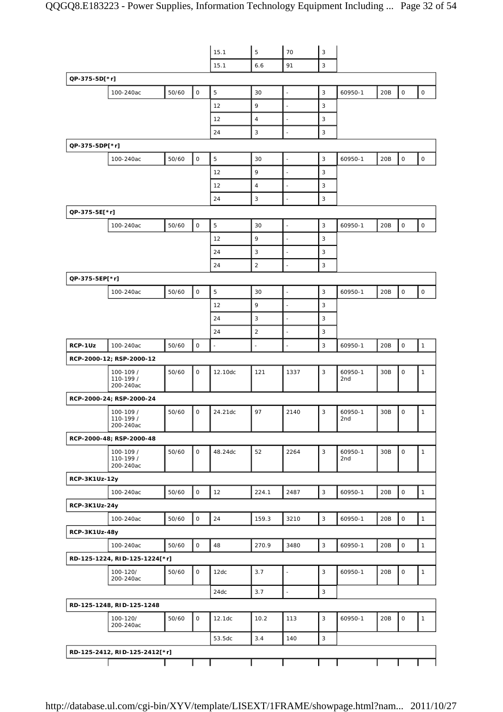|                |                                     |       |              | 15.1    | 5                        | 70                       | $\mathsf 3$    |                |                 |                     |                     |
|----------------|-------------------------------------|-------|--------------|---------|--------------------------|--------------------------|----------------|----------------|-----------------|---------------------|---------------------|
|                |                                     |       |              | 15.1    | 6.6                      | 91                       | 3              |                |                 |                     |                     |
| QP-375-5D[*r]  |                                     |       |              |         |                          |                          |                |                |                 |                     |                     |
|                | 100-240ac                           | 50/60 | $\mathsf O$  | 5       | 30                       | $\overline{\phantom{a}}$ | 3              | 60950-1        | 20B             | $\mathsf{O}$        | $\mathsf{O}\xspace$ |
|                |                                     |       |              | 12      | 9                        | L.                       | 3              |                |                 |                     |                     |
|                |                                     |       |              | 12      | $\overline{4}$           | ä,                       | 3              |                |                 |                     |                     |
|                |                                     |       |              | 24      | $\sqrt{3}$               | ÷,                       | 3              |                |                 |                     |                     |
| QP-375-5DP[*r] |                                     |       |              |         |                          |                          |                |                |                 |                     |                     |
|                | 100-240ac                           | 50/60 | $\mathsf O$  | 5       | 30                       | L.                       | 3              | 60950-1        | 20B             | $\mathsf O$         | $\mathsf O$         |
|                |                                     |       |              | 12      | 9                        | $\overline{\phantom{a}}$ | 3              |                |                 |                     |                     |
|                |                                     |       |              | 12      | $\overline{4}$           | ä,                       | 3              |                |                 |                     |                     |
|                |                                     |       |              | 24      | $\mathbf{3}$             | $\overline{\phantom{a}}$ | 3              |                |                 |                     |                     |
| QP-375-5E[*r]  |                                     |       |              |         |                          |                          |                |                |                 |                     |                     |
|                | 100-240ac                           | 50/60 | $\mathsf O$  | 5       | 30                       | $\overline{a}$           | 3              | 60950-1        | 20B             | $\mathsf O$         | $\mathsf O$         |
|                |                                     |       |              | 12      | 9                        | ÷,                       | 3              |                |                 |                     |                     |
|                |                                     |       |              | 24      | 3                        | ä,                       | 3              |                |                 |                     |                     |
|                |                                     |       |              | 24      | $\sqrt{2}$               | ä,                       | 3              |                |                 |                     |                     |
|                |                                     |       |              |         |                          |                          |                |                |                 |                     |                     |
| QP-375-5EP[*r] |                                     |       |              |         |                          |                          | 3              |                |                 | 0                   |                     |
|                | 100-240ac                           | 50/60 | $\mathsf O$  | 5       | 30                       | ä,                       |                | 60950-1        | 20B             |                     | $\mathsf{O}\xspace$ |
|                |                                     |       |              | 12      | 9                        | ÷,                       | 3              |                |                 |                     |                     |
|                |                                     |       |              | 24      | 3                        | ÷,                       | 3              |                |                 |                     |                     |
|                |                                     |       |              | 24      | $\overline{2}$           | ä,                       | 3              |                |                 |                     |                     |
| RCP-1Uz        | 100-240ac                           | 50/60 | $\mathsf O$  | $\Box$  | $\overline{\phantom{a}}$ | ä,                       | 3              | 60950-1        | 20B             | $\mathsf{O}\xspace$ | $\mathbf{1}$        |
|                | RCP-2000-12; RSP-2000-12            |       |              |         |                          |                          |                |                |                 |                     |                     |
|                | 100-109 /<br>110-199 /<br>200-240ac | 50/60 | 0            | 12.10dc | 121                      | 1337                     | 3              | 60950-1<br>2nd | 30B             | 0                   | 1                   |
|                | RCP-2000-24; RSP-2000-24            |       |              |         |                          |                          |                |                |                 |                     |                     |
|                | 100-109 /<br>110-199 /<br>200-240ac | 50/60 | $\mathsf{O}$ | 24.21dc | 97                       | 2140                     | 3              | 60950-1<br>2nd | 30 <sub>B</sub> | 0                   | 1                   |
|                | RCP-2000-48; RSP-2000-48            |       |              |         |                          |                          |                |                |                 |                     |                     |
|                | 100-109 /<br>110-199 /<br>200-240ac | 50/60 | 0            | 48.24dc | 52                       | 2264                     | 3              | 60950-1<br>2nd | 30B             | 0                   | $\mathbf{1}$        |
| RCP-3K1Uz-12y  |                                     |       |              |         |                          |                          |                |                |                 |                     |                     |
|                | 100-240ac                           | 50/60 | $\mathsf O$  | 12      | 224.1                    | 2487                     | $\mathsf 3$    | 60950-1        | 20B             | 0                   | $\mathbf{1}$        |
| RCP-3K1Uz-24y  |                                     |       |              |         |                          |                          |                |                |                 |                     |                     |
|                | 100-240ac                           | 50/60 | $\mathsf{O}$ | 24      | 159.3                    | 3210                     | $\mathsf 3$    | 60950-1        | 20B             | $\mathsf{O}$        | $\mathbf{1}$        |
| RCP-3K1Uz-48y  |                                     |       |              |         |                          |                          |                |                |                 |                     |                     |
|                | 100-240ac                           | 50/60 | $\mathsf{O}$ | 48      | 270.9                    | 3480                     | $\mathbf{3}$   | 60950-1        | 20B             | $\mathsf O$         | $\mathbf{1}$        |
|                | RD-125-1224, RID-125-1224[*r]       |       |              |         |                          |                          |                |                |                 |                     |                     |
|                |                                     | 50/60 | $\mathsf{O}$ | 12dc    | 3.7                      |                          | 3              | 60950-1        | 20B             | 0                   | $\mathbf{1}$        |
|                | 100-120/<br>200-240ac               |       |              |         |                          | ÷,                       |                |                |                 |                     |                     |
|                |                                     |       |              | 24dc    | 3.7                      | $\overline{a}$           | $\overline{3}$ |                |                 |                     |                     |
|                | RD-125-1248, RID-125-1248           |       |              |         |                          |                          |                |                |                 |                     |                     |
|                | 100-120/<br>200-240ac               | 50/60 | $\mathsf{O}$ | 12.1dc  | 10.2                     | 113                      | 3              | 60950-1        | 20B             | 0                   | $\mathbf{1}$        |
|                |                                     |       |              | 53.5dc  | 3.4                      | 140                      | 3              |                |                 |                     |                     |
|                | RD-125-2412, RID-125-2412[*r]       |       |              |         |                          |                          |                |                |                 |                     |                     |
|                |                                     |       |              |         |                          |                          |                |                |                 |                     |                     |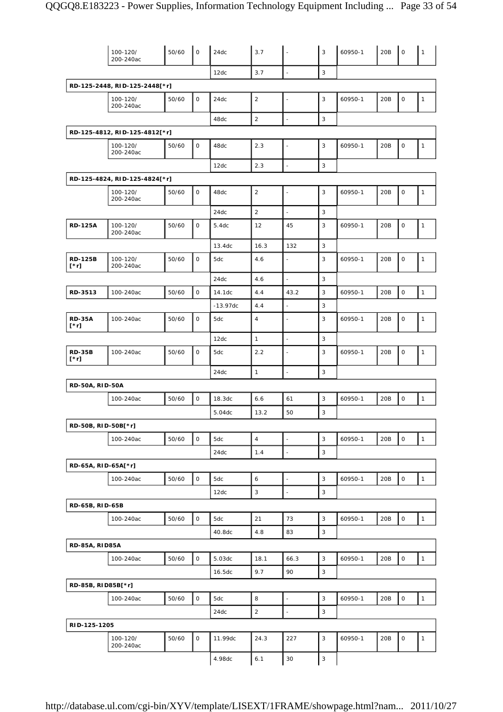|                        | 100-120/<br>200-240ac         | 50/60 | $\mathsf O$  | 24dc       | 3.7              |                          | $\mathbf{3}$              | 60950-1 | 20B | $\mathsf O$         | $\mathbf{1}$ |
|------------------------|-------------------------------|-------|--------------|------------|------------------|--------------------------|---------------------------|---------|-----|---------------------|--------------|
|                        |                               |       |              | 12dc       | 3.7              | $\overline{\phantom{a}}$ | $\mathsf 3$               |         |     |                     |              |
|                        | RD-125-2448, RID-125-2448[*r] |       |              |            |                  |                          |                           |         |     |                     |              |
|                        | 100-120/<br>200-240ac         | 50/60 | $\mathsf{O}$ | 24dc       | $\sqrt{2}$       |                          | 3                         | 60950-1 | 20B | $\mathsf O$         | $\mathbf{1}$ |
|                        |                               |       |              | 48dc       | $\overline{2}$   | $\overline{\phantom{a}}$ | 3                         |         |     |                     |              |
|                        | RD-125-4812, RID-125-4812[*r] |       |              |            |                  |                          |                           |         |     |                     |              |
|                        | 100-120/<br>200-240ac         | 50/60 | $\mathsf O$  | 48dc       | 2.3              | $\overline{\phantom{a}}$ | 3                         | 60950-1 | 20B | $\mathsf{O}\xspace$ | $\mathbf{1}$ |
|                        |                               |       |              | 12dc       | 2.3              |                          | $\mathbf{3}$              |         |     |                     |              |
|                        | RD-125-4824, RID-125-4824[*r] |       |              |            |                  |                          |                           |         |     |                     |              |
|                        | 100-120/<br>200-240ac         | 50/60 | $\mathsf O$  | 48dc       | $\sqrt{2}$       |                          | 3                         | 60950-1 | 20B | $\mathsf O$         | $\mathbf{1}$ |
|                        |                               |       |              | 24dc       | $\sqrt{2}$       |                          | $\mathbf{3}$              |         |     |                     |              |
| <b>RD-125A</b>         | 100-120/<br>200-240ac         | 50/60 | $\mathsf O$  | 5.4dc      | 12               | 45                       | 3                         | 60950-1 | 20B | $\mathsf O$         | $\mathbf{1}$ |
|                        |                               |       |              | 13.4dc     | 16.3             | 132                      | $\mathbf{3}$              |         |     |                     |              |
| <b>RD-125B</b><br>[*r] | 100-120/<br>200-240ac         | 50/60 | $\mathsf O$  | 5dc        | 4.6              | $\blacksquare$           | 3                         | 60950-1 | 20B | $\mathsf O$         | $\mathbf{1}$ |
|                        |                               |       |              | 24dc       | 4.6              |                          | 3                         |         |     |                     |              |
| RD-3513                | 100-240ac                     | 50/60 | $\mathsf O$  | 14.1dc     | 4.4              | 43.2                     | $\mathbf{3}$              | 60950-1 | 20B | $\mathsf O$         | $\mathbf{1}$ |
|                        |                               |       |              | $-13.97dc$ | 4.4              | $\overline{\phantom{a}}$ | 3                         |         |     |                     |              |
| <b>RD-35A</b><br>[*r]  | 100-240ac                     | 50/60 | $\mathsf O$  | 5dc        | $\overline{4}$   |                          | 3                         | 60950-1 | 20B | $\mathsf O$         | $\mathbf{1}$ |
|                        |                               |       |              | 12dc       | $\mathbf{1}$     | ä,                       | $\mathbf{3}$              |         |     |                     |              |
| <b>RD-35B</b><br>[*r]  | 100-240ac                     | 50/60 | $\mathsf O$  | 5dc        | 2.2              |                          | 3                         | 60950-1 | 20B | $\mathsf{O}\xspace$ | 1            |
|                        |                               |       |              | 24dc       | $\mathbf{1}$     |                          | 3                         |         |     |                     |              |
| <b>RD-50A, RID-50A</b> |                               |       |              |            |                  |                          |                           |         |     |                     |              |
|                        | 100-240ac                     | 50/60 | $\mathsf O$  | 18.3dc     | 6.6              | 61                       | 3                         | 60950-1 | 20B | $\mathsf O$         | $\mathbf{1}$ |
|                        |                               |       |              | 5.04dc     | 13.2             | 50                       | 3                         |         |     |                     |              |
| RD-50B, RID-50B[*r]    |                               |       |              |            |                  |                          |                           |         |     |                     |              |
|                        | 100-240ac                     | 50/60 | $\mathsf{O}$ | 5dc        | $\overline{4}$   |                          | $\mathsf 3$               | 60950-1 | 20B | $\mathbf 0$         | $\mathbf{1}$ |
|                        |                               |       |              | 24dc       | 1.4              | ۰                        | $\ensuremath{\mathsf{3}}$ |         |     |                     |              |
| RD-65A, RID-65A[*r]    |                               |       |              |            |                  |                          |                           |         |     |                     |              |
|                        | 100-240ac                     | 50/60 | $\mathsf O$  | 5dc        | $\boldsymbol{6}$ | $\overline{a}$           | $\mathsf 3$               | 60950-1 | 20B | $\mathsf{O}\xspace$ | $\mathbf{1}$ |
|                        |                               |       |              | 12dc       | 3                | ÷,                       | 3                         |         |     |                     |              |
| RD-65B, RID-65B        |                               |       |              |            |                  |                          |                           |         |     |                     |              |
|                        | 100-240ac                     | 50/60 | $\mathsf O$  | 5dc        | 21               | 73                       | $\mathsf 3$               | 60950-1 | 20B | $\mathsf{O}\xspace$ | $\mathbf{1}$ |
|                        |                               |       |              | 40.8dc     | 4.8              | 83                       | 3                         |         |     |                     |              |
| <b>RD-85A, RID85A</b>  |                               |       |              |            |                  |                          |                           |         |     |                     |              |
|                        | 100-240ac                     | 50/60 | $\mathsf O$  | 5.03dc     | 18.1             | 66.3                     | $\mathsf 3$               | 60950-1 | 20B | $\mathsf{O}\xspace$ | $\mathbf{1}$ |
|                        |                               |       |              | 16.5dc     | 9.7              | 90                       | 3                         |         |     |                     |              |
| RD-85B, RID85B[*r]     |                               |       |              |            |                  |                          |                           |         |     |                     |              |
|                        | 100-240ac                     | 50/60 | $\mathsf O$  | 5dc        | 8                | $\overline{\phantom{a}}$ | 3                         | 60950-1 | 20B | $\mathsf O$         | $\mathbf{1}$ |
|                        |                               |       |              | 24dc       | $\mathbf 2$      |                          | $\mathsf 3$               |         |     |                     |              |
| RID-125-1205           |                               |       |              |            |                  |                          |                           |         |     |                     |              |
|                        | 100-120/<br>200-240ac         | 50/60 | $\mathsf O$  | 11.99dc    | 24.3             | 227                      | 3                         | 60950-1 | 20B | $\mathsf{O}\xspace$ | $\mathbf{1}$ |
|                        |                               |       |              | 4.98dc     | 6.1              | 30                       | $\ensuremath{\mathsf{3}}$ |         |     |                     |              |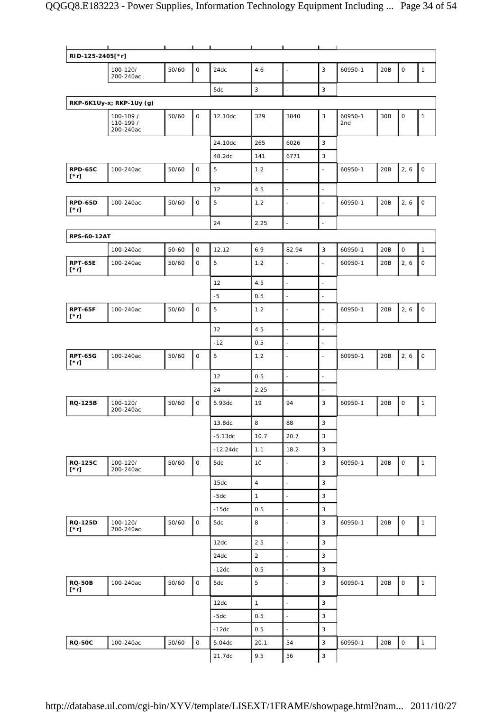| RID-125-2405[*r]              |                                     |       |                     |            |                |                          |                           |                |     |                     |              |
|-------------------------------|-------------------------------------|-------|---------------------|------------|----------------|--------------------------|---------------------------|----------------|-----|---------------------|--------------|
|                               | 100-120/<br>200-240ac               | 50/60 | 0                   | 24dc       | 4.6            | $\blacksquare$           | 3                         | 60950-1        | 20B | 0                   | $\mathbf{1}$ |
|                               |                                     |       |                     | 5dc        | 3              | $\overline{a}$           | $\mathsf 3$               |                |     |                     |              |
|                               | RKP-6K1Uy-x; RKP-1Uy (g)            |       |                     |            |                |                          |                           |                |     |                     |              |
|                               | 100-109 /<br>110-199 /<br>200-240ac | 50/60 | 0                   | 12.10dc    | 329            | 3840                     | $\mathsf 3$               | 60950-1<br>2nd | 30B | 0                   | $\mathbf{1}$ |
|                               |                                     |       |                     | 24.10dc    | 265            | 6026                     | 3                         |                |     |                     |              |
|                               |                                     |       |                     | 48.2dc     | 141            | 6771                     | 3                         |                |     |                     |              |
| <b>RPD-65C</b><br>$[\cdot r]$ | 100-240ac                           | 50/60 | 0                   | 5          | 1.2            | $\blacksquare$           | $\overline{\phantom{a}}$  | 60950-1        | 20B | 2, 6                | $\mathsf O$  |
|                               |                                     |       |                     | 12         | 4.5            | $\overline{\phantom{a}}$ | $\Box$                    |                |     |                     |              |
| <b>RPD-65D</b><br>[*r]        | 100-240ac                           | 50/60 | $\mathsf O$         | 5          | 1.2            |                          | $\overline{\phantom{a}}$  | 60950-1        | 20B | 2, 6                | $\mathsf O$  |
|                               |                                     |       |                     | 24         | 2.25           | $\blacksquare$           | $\overline{\phantom{a}}$  |                |     |                     |              |
| <b>RPS-60-12AT</b>            |                                     |       |                     |            |                |                          |                           |                |     |                     |              |
|                               | 100-240ac                           | 50-60 | $\mathsf{O}$        | 12.12      | 6.9            | 82.94                    | 3                         | 60950-1        | 20B | $\mathsf O$         | $\mathbf{1}$ |
| <b>RPT-65E</b><br>$[\cdot r]$ | 100-240ac                           | 50/60 | $\mathsf O$         | 5          | 1.2            | $\overline{\phantom{a}}$ | $\bar{\phantom{a}}$       | 60950-1        | 20B | 2, 6                | $\mathsf O$  |
|                               |                                     |       |                     | 12         | 4.5            | $\overline{\phantom{a}}$ | $\overline{\phantom{a}}$  |                |     |                     |              |
|                               |                                     |       |                     | $-5$       | 0.5            | $\overline{\phantom{a}}$ | $\overline{\phantom{a}}$  |                |     |                     |              |
| <b>RPT-65F</b><br>[*r]        | 100-240ac                           | 50/60 | $\mathsf O$         | 5          | 1.2            | $\overline{a}$           | $\blacksquare$            | 60950-1        | 20B | 2, 6                | $\mathsf O$  |
|                               |                                     |       |                     | 12         | 4.5            | $\overline{\phantom{a}}$ | $\overline{\phantom{a}}$  |                |     |                     |              |
|                               |                                     |       |                     | $-12$      | 0.5            | ÷,                       | ÷,                        |                |     |                     |              |
| <b>RPT-65G</b><br>[*r]        | 100-240ac                           | 50/60 | $\mathsf O$         | 5          | 1.2            | $\overline{a}$           | $\blacksquare$            | 60950-1        | 20B | 2, 6                | $\mathsf O$  |
|                               |                                     |       |                     | 12         | 0.5            | $\overline{a}$           | $\overline{\phantom{a}}$  |                |     |                     |              |
|                               |                                     |       |                     | 24         | 2.25           | $\blacksquare$           | $\overline{\phantom{a}}$  |                |     |                     |              |
| <b>RQ-125B</b>                | 100-120/<br>200-240ac               | 50/60 | 0                   | 5.93dc     | 19             | 94                       | 3                         | 60950-1        | 20B | 0                   | $\mathbf{1}$ |
|                               |                                     |       |                     | 13.8dc     | 8              | 88                       | $\ensuremath{\mathsf{3}}$ |                |     |                     |              |
|                               |                                     |       |                     | $-5.13dc$  | 10.7           | 20.7                     | $\overline{3}$            |                |     |                     |              |
|                               |                                     |       |                     | $-12.24dc$ | 1.1            | 18.2                     | $\mathbf{3}$              |                |     |                     |              |
| <b>RQ-125C</b><br>$[\cdot r]$ | 100-120/<br>200-240ac               | 50/60 | $\mathsf O$         | 5dc        | 10             | $\blacksquare$           | 3                         | 60950-1        | 20B | $\mathsf O$         | $\mathbf{1}$ |
|                               |                                     |       |                     | 15dc       | $\overline{4}$ | $\overline{\phantom{a}}$ | 3                         |                |     |                     |              |
|                               |                                     |       |                     | $-5dc$     | $\mathbf{1}$   | $\ddot{\phantom{1}}$     | $\mathbf{3}$              |                |     |                     |              |
|                               |                                     |       |                     | $-15dc$    | 0.5            | $\blacksquare$           | $\mathbf{3}$              |                |     |                     |              |
| RQ-125D<br>$[\cdot r]$        | 100-120/<br>200-240ac               | 50/60 | $\mathsf{O}$        | 5dc        | 8              | $\overline{\phantom{a}}$ | 3                         | 60950-1        | 20B | $\mathsf O$         | $\mathbf{1}$ |
|                               |                                     |       |                     | 12dc       | 2.5            | $\overline{\phantom{a}}$ | $\mathbf{3}$              |                |     |                     |              |
|                               |                                     |       |                     | 24dc       | $\overline{2}$ | $\Box$                   | $\mathbf{3}$              |                |     |                     |              |
|                               |                                     |       |                     | $-12dc$    | 0.5            | $\blacksquare$           | $\mathsf 3$               |                |     |                     |              |
| <b>RQ-50B</b><br>$[\cdot r]$  | 100-240ac                           | 50/60 | $\mathsf{O}\xspace$ | 5dc        | $\mathbf 5$    | $\blacksquare$           | $\mathbf{3}$              | 60950-1        | 20B | $\mathsf O$         | $\mathbf{1}$ |
|                               |                                     |       |                     | 12dc       | $\mathbf{1}$   | $\overline{\phantom{a}}$ | $\mathbf{3}$              |                |     |                     |              |
|                               |                                     |       |                     | $-5dc$     | 0.5            | $\overline{\phantom{a}}$ | $\overline{3}$            |                |     |                     |              |
|                               |                                     |       |                     | $-12dc$    | 0.5            | $\overline{\phantom{a}}$ | 3                         |                |     |                     |              |
| <b>RQ-50C</b>                 | 100-240ac                           | 50/60 | $\mathsf O$         | 5.04dc     | 20.1           | 54                       | $\mathbf{3}$              | 60950-1        | 20B | $\mathsf{O}\xspace$ | $\mathbf{1}$ |
|                               |                                     |       |                     | 21.7dc     | 9.5            | 56                       | $\mathbf{3}$              |                |     |                     |              |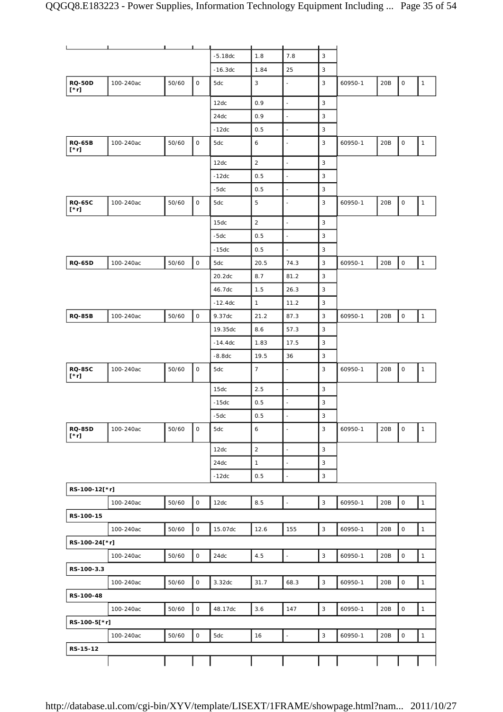|                              |           |       |                     | $-5.18dc$ | 1.8            | 7.8                      | $\mathsf 3$               |         |     |             |              |
|------------------------------|-----------|-------|---------------------|-----------|----------------|--------------------------|---------------------------|---------|-----|-------------|--------------|
|                              |           |       |                     | $-16.3dc$ | 1.84           | 25                       | 3                         |         |     |             |              |
| <b>RQ-50D</b><br>[*r]        | 100-240ac | 50/60 | $\mathsf O$         | 5dc       | 3              | ÷,                       | 3                         | 60950-1 | 20B | 0           | $\mathbf{1}$ |
|                              |           |       |                     | 12dc      | 0.9            | $\frac{1}{2}$            | $\mathbf{3}$              |         |     |             |              |
|                              |           |       |                     | 24dc      | 0.9            | $\blacksquare$           | 3                         |         |     |             |              |
|                              |           |       |                     | $-12dc$   | 0.5            | $\overline{a}$           | 3                         |         |     |             |              |
| <b>RQ-65B</b><br>$[\cdot r]$ | 100-240ac | 50/60 | $\mathsf O$         | 5dc       | 6              | $\blacksquare$           | $\mathsf 3$               | 60950-1 | 20B | $\mathsf O$ | $\mathbf{1}$ |
|                              |           |       |                     | 12dc      | $\overline{2}$ | $\overline{\phantom{a}}$ | 3                         |         |     |             |              |
|                              |           |       |                     | $-12dc$   | 0.5            | $\overline{\phantom{a}}$ | $\mathsf 3$               |         |     |             |              |
|                              |           |       |                     | $-5dc$    | 0.5            | $\frac{1}{2}$            | 3                         |         |     |             |              |
| <b>RQ-65C</b><br>[*r]        | 100-240ac | 50/60 | $\mathsf O$         | 5dc       | $\mathbf 5$    | $\overline{\phantom{a}}$ | 3                         | 60950-1 | 20B | 0           | $\mathbf{1}$ |
|                              |           |       |                     | 15dc      | $\sqrt{2}$     | $\frac{1}{2}$            | $\mathsf 3$               |         |     |             |              |
|                              |           |       |                     | $-5dc$    | 0.5            | $\blacksquare$           | 3                         |         |     |             |              |
|                              |           |       |                     | $-15dc$   | 0.5            | $\omega$                 | 3                         |         |     |             |              |
| <b>RQ-65D</b>                | 100-240ac | 50/60 | $\mathsf O$         | 5dc       | 20.5           | 74.3                     | $\mathsf 3$               | 60950-1 | 20B | 0           | $\mathbf{1}$ |
|                              |           |       |                     | 20.2dc    | 8.7            | 81.2                     | 3                         |         |     |             |              |
|                              |           |       |                     | 46.7dc    | 1.5            | 26.3                     | $\mathsf 3$               |         |     |             |              |
|                              |           |       |                     | $-12.4dc$ | $\mathbf{1}$   | 11.2                     | 3                         |         |     |             |              |
| <b>RQ-85B</b>                | 100-240ac | 50/60 | $\mathsf O$         | 9.37dc    | 21.2           | 87.3                     | 3                         | 60950-1 | 20B | $\mathsf O$ | $\mathbf{1}$ |
|                              |           |       |                     | 19.35dc   | 8.6            | 57.3                     | 3                         |         |     |             |              |
|                              |           |       |                     | $-14.4dc$ | 1.83           | 17.5                     | 3                         |         |     |             |              |
|                              |           |       |                     | $-8.8dc$  | 19.5           | 36                       | 3                         |         |     |             |              |
| <b>RQ-85C</b><br>[*r]        | 100-240ac | 50/60 | $\mathsf O$         | 5dc       | $\overline{7}$ |                          | 3                         | 60950-1 | 20B | 0           | $\mathbf{1}$ |
|                              |           |       |                     | 15dc      | 2.5            | $\blacksquare$           | 3                         |         |     |             |              |
|                              |           |       |                     | $-15dc$   | 0.5            | ÷,                       | 3                         |         |     |             |              |
|                              |           |       |                     | $-5dc$    | 0.5            | $\overline{a}$           | 3                         |         |     |             |              |
| <b>RQ-85D</b><br>$[\cdot r]$ | 100-240ac | 50/60 | $\mathsf O$         | 5dc       | 6              | $\overline{\phantom{a}}$ | $\mathsf 3$               | 60950-1 | 20B | 0           | $\mathbf{1}$ |
|                              |           |       |                     | 12dc      | $\sqrt{2}$     | $\overline{\phantom{a}}$ | 3                         |         |     |             |              |
|                              |           |       |                     | 24dc      | $\mathbf{1}$   | $\overline{\phantom{a}}$ | $\mathbf{3}$              |         |     |             |              |
|                              |           |       |                     | $-12dc$   | 0.5            | ÷,                       | $\mathsf 3$               |         |     |             |              |
| RS-100-12[*r]                |           |       |                     |           |                |                          |                           |         |     |             |              |
|                              | 100-240ac | 50/60 | $\mathsf O$         | 12dc      | 8.5            | $\blacksquare$           | $\ensuremath{\mathsf{3}}$ | 60950-1 | 20B | $\mathsf O$ | $\mathbf{1}$ |
| RS-100-15                    |           |       |                     |           |                |                          |                           |         |     |             |              |
|                              | 100-240ac | 50/60 | $\mathsf O$         | 15.07dc   | 12.6           | 155                      | $\mathbf{3}$              | 60950-1 | 20B | $\mathsf O$ | $\mathbf{1}$ |
| RS-100-24[*r]                |           |       |                     |           |                |                          |                           |         |     |             |              |
|                              | 100-240ac | 50/60 | $\mathsf{O}\xspace$ | 24dc      | 4.5            | $\blacksquare$           | $\mathsf 3$               | 60950-1 | 20B | $\mathsf O$ | $\mathbf{1}$ |
| RS-100-3.3                   |           |       |                     |           |                |                          |                           |         |     |             |              |
|                              | 100-240ac | 50/60 | $\mathsf{O}\xspace$ | 3.32dc    | 31.7           | 68.3                     | $\mathsf 3$               | 60950-1 | 20B | 0           | $\mathbf{1}$ |
| RS-100-48                    |           |       |                     |           |                |                          |                           |         |     |             |              |
|                              | 100-240ac | 50/60 | $\mathsf O$         | 48.17dc   | 3.6            | 147                      | $\ensuremath{\mathsf{3}}$ | 60950-1 | 20B | $\mathsf O$ | $\mathbf{1}$ |
| RS-100-5[*r]                 |           |       |                     |           |                |                          |                           |         |     |             |              |
|                              | 100-240ac | 50/60 | $\mathsf O$         | 5dc       | 16             | ÷,                       | $\mathbf{3}$              | 60950-1 | 20B | $\mathsf O$ | $\mathbf{1}$ |
| RS-15-12                     |           |       |                     |           |                |                          |                           |         |     |             |              |
|                              |           |       |                     |           |                |                          |                           |         |     |             |              |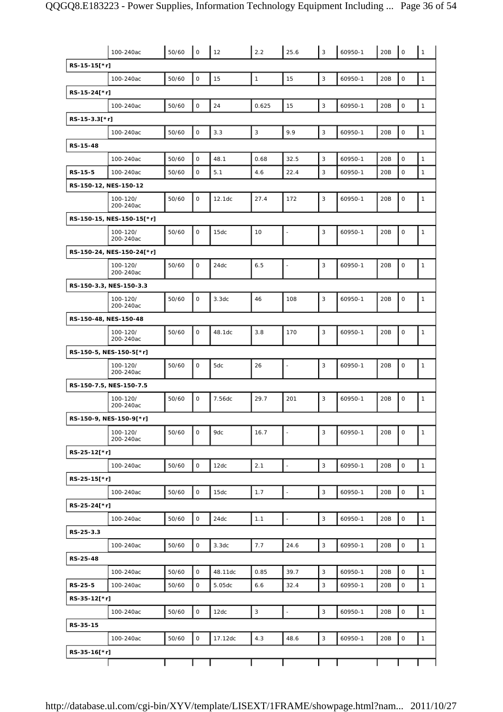|                       | 100-240ac                 | 50/60 | $\mathsf O$  | 12      | 2.2          | 25.6                     | $\mathbf{3}$ | 60950-1 | 20B | $\mathbf 0$         | $\mathbf{1}$ |
|-----------------------|---------------------------|-------|--------------|---------|--------------|--------------------------|--------------|---------|-----|---------------------|--------------|
| RS-15-15[*r]          |                           |       |              |         |              |                          |              |         |     |                     |              |
|                       | 100-240ac                 | 50/60 | $\mathsf O$  | 15      | $\mathbf{1}$ | 15                       | 3            | 60950-1 | 20B | $\mathbf 0$         | $\mathbf{1}$ |
| RS-15-24[*r]          |                           |       |              |         |              |                          |              |         |     |                     |              |
|                       | 100-240ac                 | 50/60 | $\mathsf O$  | 24      | 0.625        | 15                       | $\mathbf{3}$ | 60950-1 | 20B | $\mathsf{O}\xspace$ | $\mathbf{1}$ |
| RS-15-3.3[*r]         |                           |       |              |         |              |                          |              |         |     |                     |              |
|                       | 100-240ac                 | 50/60 | $\mathsf O$  | 3.3     | $\mathbf{3}$ | 9.9                      | 3            | 60950-1 | 20B | $\mathsf{O}\xspace$ | $\mathbf{1}$ |
| RS-15-48              |                           |       |              |         |              |                          |              |         |     |                     |              |
|                       | 100-240ac                 | 50/60 | $\mathsf O$  | 48.1    | 0.68         | 32.5                     | 3            | 60950-1 | 20B | $\mathbf 0$         | $\mathbf{1}$ |
| RS-15-5               | 100-240ac                 | 50/60 | $\mathsf O$  | 5.1     | 4.6          | 22.4                     | 3            | 60950-1 | 20B | $\mathbf 0$         | $\mathbf{1}$ |
| RS-150-12, NES-150-12 |                           |       |              |         |              |                          |              |         |     |                     |              |
|                       | 100-120/<br>200-240ac     | 50/60 | $\mathsf O$  | 12.1dc  | 27.4         | 172                      | 3            | 60950-1 | 20B | $\mathbf 0$         | $\mathbf{1}$ |
|                       | RS-150-15, NES-150-15[*r] |       |              |         |              |                          |              |         |     |                     |              |
|                       | 100-120/<br>200-240ac     | 50/60 | $\mathsf O$  | 15dc    | 10           | ÷,                       | 3            | 60950-1 | 20B | $\mathbf 0$         | $\mathbf{1}$ |
|                       | RS-150-24, NES-150-24[*r] |       |              |         |              |                          |              |         |     |                     |              |
|                       | 100-120/<br>200-240ac     | 50/60 | $\mathbf 0$  | 24dc    | 6.5          | L,                       | 3            | 60950-1 | 20B | 0                   | $\mathbf{1}$ |
|                       | RS-150-3.3, NES-150-3.3   |       |              |         |              |                          |              |         |     |                     |              |
|                       | 100-120/<br>200-240ac     | 50/60 | $\mathsf O$  | 3.3dc   | 46           | 108                      | 3            | 60950-1 | 20B | $\mathbf 0$         | $\mathbf{1}$ |
| RS-150-48, NES-150-48 |                           |       |              |         |              |                          |              |         |     |                     |              |
|                       | 100-120/<br>200-240ac     | 50/60 | $\mathsf O$  | 48.1dc  | 3.8          | 170                      | 3            | 60950-1 | 20B | $\mathbf 0$         | $\mathbf{1}$ |
|                       | RS-150-5, NES-150-5[*r]   |       |              |         |              |                          |              |         |     |                     |              |
|                       | 100-120/<br>200-240ac     | 50/60 | $\mathsf O$  | 5dc     | 26           | $\overline{\phantom{a}}$ | 3            | 60950-1 | 20B | $\mathsf{O}\xspace$ | $\mathbf{1}$ |
|                       | RS-150-7.5, NES-150-7.5   |       |              |         |              |                          |              |         |     |                     |              |
|                       | 100-120/<br>200-240ac     | 50/60 | $\mathsf O$  | 7.56dc  | 29.7         | 201                      | 3            | 60950-1 | 20B | $\mathbf 0$         | $\mathbf{1}$ |
|                       | RS-150-9, NES-150-9[*r]   |       |              |         |              |                          |              |         |     |                     |              |
|                       | 100-120/<br>200-240ac     | 50/60 | $\mathsf O$  | 9dc     | 16.7         | $\overline{\phantom{a}}$ | 3            | 60950-1 | 20B | $\mathsf O$         | $\mathbf{1}$ |
| RS-25-12[*r]          |                           |       |              |         |              |                          |              |         |     |                     |              |
|                       | 100-240ac                 | 50/60 | $\mathsf{O}$ | 12dc    | 2.1          | $\blacksquare$           | $\mathbf{3}$ | 60950-1 | 20B | $\mathbf 0$         | $\mathbf{1}$ |
| RS-25-15[*r]          |                           |       |              |         |              |                          |              |         |     |                     |              |
|                       | 100-240ac                 | 50/60 | $\mathsf O$  | 15dc    | 1.7          |                          | 3            | 60950-1 | 20B | $\mathsf{O}\xspace$ | $\mathbf{1}$ |
| RS-25-24[*r]          |                           |       |              |         |              |                          |              |         |     |                     |              |
|                       | 100-240ac                 | 50/60 | $\mathsf O$  | 24dc    | 1.1          | L,                       | $\mathsf 3$  | 60950-1 | 20B | $\mathbf 0$         | $\mathbf{1}$ |
| RS-25-3.3             |                           |       |              |         |              |                          |              |         |     |                     |              |
|                       | 100-240ac                 | 50/60 | $\mathsf O$  | 3.3dc   | 7.7          | 24.6                     | 3            | 60950-1 | 20B | $\mathsf O$         | $\mathbf{1}$ |
| RS-25-48              |                           |       |              |         |              |                          |              |         |     |                     |              |
|                       | 100-240ac                 | 50/60 | $\mathsf O$  | 48.11dc | 0.85         | 39.7                     | $\mathsf 3$  | 60950-1 | 20B | $\mathbf 0$         | $\mathbf{1}$ |
| RS-25-5               | 100-240ac                 | 50/60 | $\mathsf O$  | 5.05dc  | 6.6          | 32.4                     | 3            | 60950-1 | 20B | 0                   | $\mathbf{1}$ |
| RS-35-12[*r]          |                           |       |              |         |              |                          |              |         |     |                     |              |
|                       | 100-240ac                 | 50/60 | $\mathsf O$  | 12dc    | $\mathbf{3}$ | $\blacksquare$           | 3            | 60950-1 | 20B | $\mathbf 0$         | $\mathbf{1}$ |
| RS-35-15              |                           |       |              |         |              |                          |              |         |     |                     |              |
|                       | 100-240ac                 | 50/60 | $\mathsf O$  | 17.12dc | 4.3          | 48.6                     | $\mathbf{3}$ | 60950-1 | 20B | $\mathsf{O}\xspace$ | $\mathbf{1}$ |
| RS-35-16[*r]          |                           |       |              |         |              |                          |              |         |     |                     |              |
|                       |                           |       |              |         |              |                          |              |         |     |                     |              |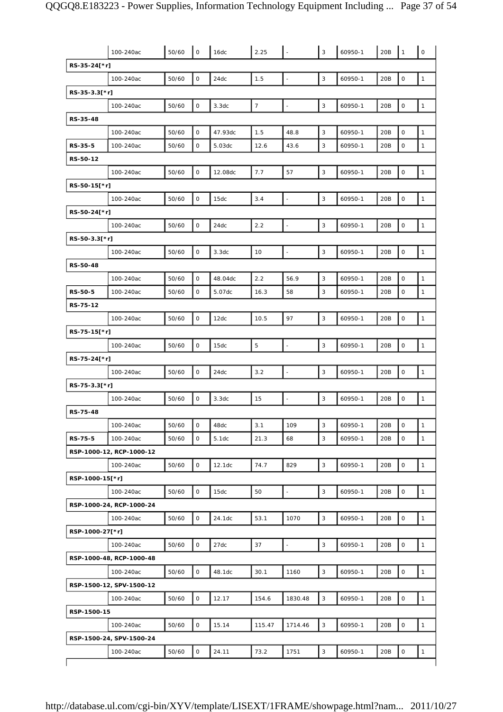|                 | 100-240ac                | 50/60 | $\mathbf 0$         | 16dc    | 2.25           |                          | 3                         | 60950-1 | 20B | $\mathbf{1}$        | $\mathsf O$  |
|-----------------|--------------------------|-------|---------------------|---------|----------------|--------------------------|---------------------------|---------|-----|---------------------|--------------|
| RS-35-24[*r]    |                          |       |                     |         |                |                          |                           |         |     |                     |              |
|                 | 100-240ac                | 50/60 | 0                   | 24dc    | 1.5            | $\overline{a}$           | 3                         | 60950-1 | 20B | $\mathsf O$         | $\mathbf{1}$ |
| RS-35-3.3[*r]   |                          |       |                     |         |                |                          |                           |         |     |                     |              |
|                 | 100-240ac                | 50/60 | $\mathsf{O}$        | 3.3dc   | $\overline{7}$ | $\frac{1}{2}$            | 3                         | 60950-1 | 20B | $\mathsf O$         | $\mathbf{1}$ |
| RS-35-48        |                          |       |                     |         |                |                          |                           |         |     |                     |              |
|                 | 100-240ac                | 50/60 | 0                   | 47.93dc | 1.5            | 48.8                     | 3                         | 60950-1 | 20B | $\mathsf O$         | $\mathbf{1}$ |
| RS-35-5         | 100-240ac                | 50/60 | 0                   | 5.03dc  | 12.6           | 43.6                     | 3                         | 60950-1 | 20B | 0                   | $\mathbf{1}$ |
| RS-50-12        |                          |       |                     |         |                |                          |                           |         |     |                     |              |
|                 | 100-240ac                | 50/60 | $\mathsf{O}\xspace$ | 12.08dc | 7.7            | 57                       | $\mathsf 3$               | 60950-1 | 20B | $\mathsf{O}\xspace$ | $\mathbf{1}$ |
| RS-50-15[*r]    |                          |       |                     |         |                |                          |                           |         |     |                     |              |
|                 | 100-240ac                | 50/60 | $\mathsf O$         | 15dc    | 3.4            | $\overline{a}$           | 3                         | 60950-1 | 20B | $\mathsf O$         | $\mathbf{1}$ |
| RS-50-24[*r]    |                          |       |                     |         |                |                          |                           |         |     |                     |              |
|                 | 100-240ac                | 50/60 | $\mathsf{O}$        | 24dc    | 2.2            | $\overline{a}$           | $\mathsf 3$               | 60950-1 | 20B | $\mathsf{O}\xspace$ | $\mathbf{1}$ |
| RS-50-3.3[*r]   |                          |       |                     |         |                |                          |                           |         |     |                     |              |
|                 | 100-240ac                | 50/60 | 0                   | 3.3dc   | 10             | L,                       | 3                         | 60950-1 | 20B | $\mathsf O$         | $\mathbf{1}$ |
| RS-50-48        |                          |       |                     |         |                |                          |                           |         |     |                     |              |
|                 | 100-240ac                | 50/60 | 0                   | 48.04dc | 2.2            | 56.9                     | $\mathsf 3$               | 60950-1 | 20B | 0                   | $\mathbf{1}$ |
| RS-50-5         | 100-240ac                | 50/60 | 0                   | 5.07dc  | 16.3           | 58                       | 3                         | 60950-1 | 20B | 0                   | 1            |
| RS-75-12        |                          |       |                     |         |                |                          |                           |         |     |                     |              |
|                 | 100-240ac                | 50/60 | $\mathsf{O}$        | 12dc    | 10.5           | 97                       | 3                         | 60950-1 | 20B | $\mathsf O$         | $\mathbf{1}$ |
| RS-75-15[*r]    |                          |       |                     |         |                |                          |                           |         |     |                     |              |
|                 | 100-240ac                | 50/60 | 0                   | 15dc    | 5              | ÷,                       | $\ensuremath{\mathsf{3}}$ | 60950-1 | 20B | $\mathsf{O}\xspace$ | $\mathbf{1}$ |
| RS-75-24[*r]    |                          |       |                     |         |                |                          |                           |         |     |                     |              |
|                 | 100-240ac                | 50/60 | $\mathbf{O}$        | 24dc    | 3.2            | ÷,                       | 3                         | 60950-1 | 20B | $\mathsf O$         | $\mathbf{1}$ |
| RS-75-3.3[*r]   |                          |       |                     |         |                |                          |                           |         |     |                     |              |
|                 | 100-240ac                | 50/60 | 0                   | 3.3dc   | 15             | ÷,                       | 3                         | 60950-1 | 20B | $\mathsf O$         | $\mathbf{1}$ |
| RS-75-48        |                          |       |                     |         |                |                          |                           |         |     |                     |              |
|                 | 100-240ac                | 50/60 | 0                   | 48dc    | 3.1            | 109                      | 3                         | 60950-1 | 20B | 0                   | $\mathbf{1}$ |
| RS-75-5         | 100-240ac                | 50/60 | $\mathsf{O}$        | 5.1dc   | 21.3           | 68                       | 3                         | 60950-1 | 20B | $\mathsf{O}$        | $\mathbf{1}$ |
|                 | RSP-1000-12, RCP-1000-12 |       |                     |         |                |                          |                           |         |     |                     |              |
|                 | 100-240ac                | 50/60 | 0                   | 12.1dc  | 74.7           | 829                      | 3                         | 60950-1 | 20B | $\mathsf O$         | $\mathbf{1}$ |
| RSP-1000-15[*r] |                          |       |                     |         |                |                          |                           |         |     |                     |              |
|                 | 100-240ac                | 50/60 | $\mathsf O$         | 15dc    | 50             | $\overline{\phantom{a}}$ | $\mathsf 3$               | 60950-1 | 20B | $\mathsf{O}\xspace$ | $\mathbf{1}$ |
|                 | RSP-1000-24, RCP-1000-24 |       |                     |         |                |                          |                           |         |     |                     |              |
|                 | 100-240ac                | 50/60 | $\mathsf{O}$        | 24.1dc  | 53.1           | 1070                     | 3                         | 60950-1 | 20B | $\mathsf O$         | $\mathbf{1}$ |
| RSP-1000-27[*r] |                          |       |                     |         |                |                          |                           |         |     |                     |              |
|                 | 100-240ac                | 50/60 | $\mathsf O$         | 27dc    | 37             | $\overline{a}$           | $\mathsf 3$               | 60950-1 | 20B | $\mathbf 0$         | $\mathbf{1}$ |
|                 | RSP-1000-48, RCP-1000-48 |       |                     |         |                |                          |                           |         |     |                     |              |
|                 | 100-240ac                | 50/60 | $\mathsf{O}$        | 48.1dc  | 30.1           | 1160                     | $\mathsf 3$               | 60950-1 | 20B | $\mathbf 0$         | $\mathbf{1}$ |
|                 | RSP-1500-12, SPV-1500-12 |       |                     |         |                |                          |                           |         |     |                     |              |
|                 | 100-240ac                | 50/60 | 0                   | 12.17   | 154.6          | 1830.48                  | $\mathsf 3$               | 60950-1 | 20B | $\mathsf{O}\xspace$ | $\mathbf{1}$ |
| RSP-1500-15     |                          |       |                     |         |                |                          |                           |         |     |                     |              |
|                 | 100-240ac                | 50/60 | 0                   | 15.14   | 115.47         | 1714.46                  | 3                         | 60950-1 | 20B | $\mathsf O$         | $\mathbf{1}$ |
|                 | RSP-1500-24, SPV-1500-24 |       |                     |         |                |                          |                           |         |     |                     |              |
|                 | 100-240ac                | 50/60 | $\mathsf O$         | 24.11   | 73.2           | 1751                     | $\mathsf 3$               | 60950-1 | 20B | $\mathbf 0$         | $\mathbf{1}$ |
|                 |                          |       |                     |         |                |                          |                           |         |     |                     |              |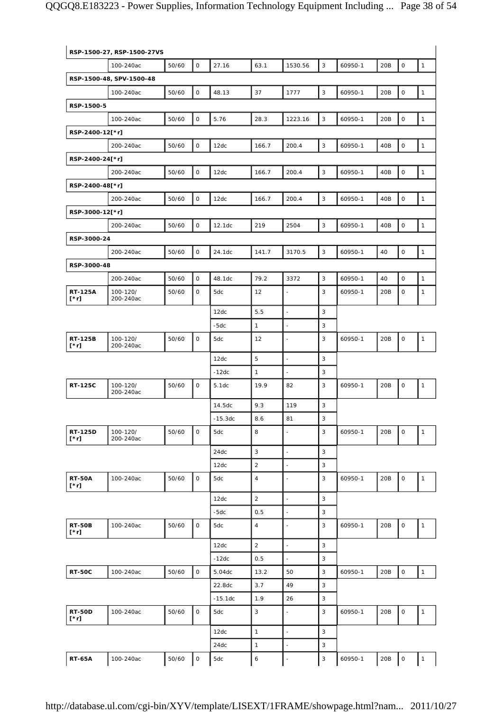|                        | RSP-1500-27, RSP-1500-27VS |       |              |           |                  |                          |              |         |     |                     |              |
|------------------------|----------------------------|-------|--------------|-----------|------------------|--------------------------|--------------|---------|-----|---------------------|--------------|
|                        | 100-240ac                  | 50/60 | 0            | 27.16     | 63.1             | 1530.56                  | 3            | 60950-1 | 20B | $\mathsf O$         | $\mathbf{1}$ |
|                        | RSP-1500-48, SPV-1500-48   |       |              |           |                  |                          |              |         |     |                     |              |
|                        | 100-240ac                  | 50/60 | 0            | 48.13     | 37               | 1777                     | $\mathbf{3}$ | 60950-1 | 20B | $\mathsf{O}\xspace$ | $\mathbf{1}$ |
| RSP-1500-5             |                            |       |              |           |                  |                          |              |         |     |                     |              |
|                        | 100-240ac                  | 50/60 | 0            | 5.76      | 28.3             | 1223.16                  | 3            | 60950-1 | 20B | $\mathsf O$         | $\mathbf{1}$ |
| RSP-2400-12[*r]        |                            |       |              |           |                  |                          |              |         |     |                     |              |
|                        | 200-240ac                  | 50/60 | O            | 12dc      | 166.7            | 200.4                    | 3            | 60950-1 | 40B | $\mathsf{O}\xspace$ | $\mathbf{1}$ |
| RSP-2400-24[*r]        |                            |       |              |           |                  |                          |              |         |     |                     |              |
|                        | 200-240ac                  | 50/60 | 0            | 12dc      | 166.7            | 200.4                    | 3            | 60950-1 | 40B | $\mathsf O$         | $\mathbf{1}$ |
| RSP-2400-48[*r]        |                            |       |              |           |                  |                          |              |         |     |                     |              |
|                        | 200-240ac                  | 50/60 | 0            | 12dc      | 166.7            | 200.4                    | $\mathbf{3}$ | 60950-1 | 40B | $\mathsf O$         | $\mathbf{1}$ |
| RSP-3000-12[*r]        |                            |       |              |           |                  |                          |              |         |     |                     |              |
|                        | 200-240ac                  | 50/60 | 0            | 12.1dc    | 219              | 2504                     | 3            | 60950-1 | 40B | $\mathsf O$         | $\mathbf{1}$ |
| RSP-3000-24            |                            |       |              |           |                  |                          |              |         |     |                     |              |
|                        | 200-240ac                  | 50/60 | 0            | 24.1dc    | 141.7            | 3170.5                   | $\mathsf 3$  | 60950-1 | 40  | $\mathsf O$         | $\mathbf{1}$ |
| RSP-3000-48            |                            |       |              |           |                  |                          |              |         |     |                     |              |
|                        | 200-240ac                  | 50/60 | $\mathsf{O}$ | 48.1dc    | 79.2             | 3372                     | 3            | 60950-1 | 40  | $\mathsf O$         | $\mathbf{1}$ |
| <b>RT-125A</b><br>[*r] | 100-120/<br>200-240ac      | 50/60 | 0            | 5dc       | 12               |                          | 3            | 60950-1 | 20B | 0                   | 1            |
|                        |                            |       |              | 12dc      | 5.5              | $\overline{a}$           | 3            |         |     |                     |              |
|                        |                            |       |              | -5dc      | $\mathbf{1}$     | ÷,                       | 3            |         |     |                     |              |
| <b>RT-125B</b><br>[*r] | 100-120/<br>200-240ac      | 50/60 | 0            | 5dc       | 12               | $\overline{\phantom{a}}$ | 3            | 60950-1 | 20B | $\mathsf O$         | $\mathbf{1}$ |
|                        |                            |       |              | 12dc      | 5                | ÷,                       | 3            |         |     |                     |              |
|                        |                            |       |              | $-12dc$   | $\mathbf{1}$     |                          | 3            |         |     |                     |              |
| <b>RT-125C</b>         | 100-120/<br>200-240ac      | 50/60 | 0            | 5.1dc     | 19.9             | 82                       | 3            | 60950-1 | 20B | $\mathsf{O}\xspace$ | $\mathbf{1}$ |
|                        |                            |       |              | 14.5dc    | 9.3              | 119                      | 3            |         |     |                     |              |
|                        |                            |       |              | $-15.3dc$ | 8.6              | 81                       | 3            |         |     |                     |              |
| RT-125D<br>$[\cdot r]$ | 100-120/<br>200-240ac      | 50/60 | 0            | 5dc       | 8                | $\blacksquare$           | 3            | 60950-1 | 20B | 0                   | $\mathbf{1}$ |
|                        |                            |       |              | 24dc      | $\sqrt{3}$       | $\overline{\phantom{a}}$ | $\sqrt{3}$   |         |     |                     |              |
|                        |                            |       |              | 12dc      | 2                | $\blacksquare$           | 3            |         |     |                     |              |
| <b>RT-50A</b><br>[*r]  | 100-240ac                  | 50/60 | $\mathsf{O}$ | 5dc       | $\sqrt{4}$       | ÷,                       | 3            | 60950-1 | 20B | $\mathsf{O}\xspace$ | $\mathbf{1}$ |
|                        |                            |       |              | 12dc      | $\overline{2}$   | L                        | 3            |         |     |                     |              |
|                        |                            |       |              | $-5dc$    | 0.5              | $\overline{a}$           | 3            |         |     |                     |              |
| <b>RT-50B</b><br>[*r]  | 100-240ac                  | 50/60 | $\mathsf{O}$ | 5dc       | $\sqrt{4}$       | ÷,                       | 3            | 60950-1 | 20B | 0                   | $\mathbf{1}$ |
|                        |                            |       |              | 12dc      | $\overline{2}$   | $\overline{a}$           | 3            |         |     |                     |              |
|                        |                            |       |              | $-12dc$   | 0.5              | $\overline{\phantom{a}}$ | 3            |         |     |                     |              |
| <b>RT-50C</b>          | 100-240ac                  | 50/60 | $\mathsf{O}$ | 5.04dc    | 13.2             | 50                       | 3            | 60950-1 | 20B | $\mathsf O$         | $\mathbf{1}$ |
|                        |                            |       |              | 22.8dc    | 3.7              | 49                       | 3            |         |     |                     |              |
|                        |                            |       |              | $-15.1dc$ | 1.9              | 26                       | 3            |         |     |                     |              |
| <b>RT-50D</b><br>[*r]  | 100-240ac                  | 50/60 | $\mathsf{O}$ | 5dc       | 3                | L,                       | 3            | 60950-1 | 20B | $\mathsf{O}\xspace$ | $\mathbf{1}$ |
|                        |                            |       |              | 12dc      | $\mathbf{1}$     | $\overline{a}$           | 3            |         |     |                     |              |
|                        |                            |       |              | 24dc      | $\mathbf{1}$     | ÷,                       | 3            |         |     |                     |              |
| <b>RT-65A</b>          | 100-240ac                  | 50/60 | 0            | 5dc       | $\boldsymbol{6}$ |                          | $\mathsf 3$  | 60950-1 | 20B | $\mathsf{O}\xspace$ | $\mathbf{1}$ |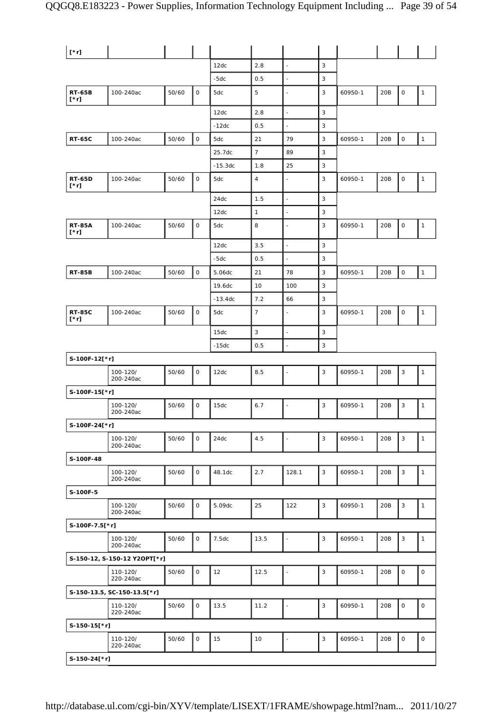| $[\cdot r]$                  |                              |       |                     |           |                |                          |             |         |     |                     |              |
|------------------------------|------------------------------|-------|---------------------|-----------|----------------|--------------------------|-------------|---------|-----|---------------------|--------------|
|                              |                              |       |                     | 12dc      | 2.8            | $\blacksquare$           | 3           |         |     |                     |              |
|                              |                              |       |                     | $-5dc$    | 0.5            | ÷,                       | 3           |         |     |                     |              |
| <b>RT-65B</b><br>[*r]        | 100-240ac                    | 50/60 | $\mathsf{O}$        | 5dc       | 5              | $\overline{\phantom{a}}$ | 3           | 60950-1 | 20B | $\mathsf O$         | $\mathbf{1}$ |
|                              |                              |       |                     | 12dc      | $2.8\,$        | $\frac{1}{2}$            | $\mathsf 3$ |         |     |                     |              |
|                              |                              |       |                     | $-12dc$   | 0.5            |                          | 3           |         |     |                     |              |
| <b>RT-65C</b>                | 100-240ac                    | 50/60 | $\mathsf{O}\xspace$ | 5dc       | 21             | 79                       | 3           | 60950-1 | 20B | $\mathsf O$         | $\mathbf{1}$ |
|                              |                              |       |                     | 25.7dc    | $\overline{7}$ | 89                       | $\sqrt{3}$  |         |     |                     |              |
|                              |                              |       |                     | $-15.3dc$ | 1.8            | 25                       | 3           |         |     |                     |              |
| <b>RT-65D</b><br>$[\cdot r]$ | 100-240ac                    | 50/60 | 0                   | 5dc       | $\sqrt{4}$     |                          | 3           | 60950-1 | 20B | $\mathsf{O}\xspace$ | $\mathbf{1}$ |
|                              |                              |       |                     | 24dc      | 1.5            | $\overline{\phantom{a}}$ | 3           |         |     |                     |              |
|                              |                              |       |                     | 12dc      | $\mathbf{1}$   | $\overline{\phantom{a}}$ | 3           |         |     |                     |              |
| <b>RT-85A</b><br>[*r]        | 100-240ac                    | 50/60 | $\mathsf{O}$        | 5dc       | 8              |                          | 3           | 60950-1 | 20B | $\mathsf O$         | $\mathbf{1}$ |
|                              |                              |       |                     | 12dc      | 3.5            | $\overline{a}$           | 3           |         |     |                     |              |
|                              |                              |       |                     | $-5dc$    | 0.5            | $\blacksquare$           | 3           |         |     |                     |              |
| <b>RT-85B</b>                | 100-240ac                    | 50/60 | $\mathsf{O}$        | 5.06dc    | 21             | 78                       | 3           | 60950-1 | 20B | $\mathsf O$         | $\mathbf{1}$ |
|                              |                              |       |                     | 19.6dc    | 10             | 100                      | 3           |         |     |                     |              |
|                              |                              |       |                     | $-13.4dc$ | 7.2            | 66                       | 3           |         |     |                     |              |
| <b>RT-85C</b><br>$[\cdot r]$ | 100-240ac                    | 50/60 | 0                   | 5dc       | $\overline{7}$ |                          | 3           | 60950-1 | 20B | $\mathsf O$         | $\mathbf{1}$ |
|                              |                              |       |                     | 15dc      | $\mathbf{3}$   | $\overline{a}$           | 3           |         |     |                     |              |
|                              |                              |       |                     | $-15dc$   | 0.5            | ä,                       | 3           |         |     |                     |              |
| S-100F-12[*r]                |                              |       |                     |           |                |                          |             |         |     |                     |              |
|                              | 100-120/<br>200-240ac        | 50/60 | O                   | 12dc      | 8.5            |                          | 3           | 60950-1 | 20B | 3                   | $\mathbf{1}$ |
| S-100F-15[*r]                |                              |       |                     |           |                |                          |             |         |     |                     |              |
|                              | 100-120/<br>200-240ac        | 50/60 | 0                   | 15dc      | 6.7            | $\overline{\phantom{a}}$ | 3           | 60950-1 | 20B | 3                   | $\mathbf{1}$ |
| S-100F-24[*r]                |                              |       |                     |           |                |                          |             |         |     |                     |              |
|                              | 100-120/<br>200-240ac        | 50/60 | 0                   | 24dc      | 4.5            | ÷,                       | $\mathsf 3$ | 60950-1 | 20B | 3                   | $\mathbf{1}$ |
| S-100F-48                    |                              |       |                     |           |                |                          |             |         |     |                     |              |
|                              | 100-120/<br>200-240ac        | 50/60 | 0                   | 48.1dc    | 2.7            | 128.1                    | $\sqrt{3}$  | 60950-1 | 20B | 3                   | $\mathbf{1}$ |
| S-100F-5                     |                              |       |                     |           |                |                          |             |         |     |                     |              |
|                              | 100-120/<br>200-240ac        | 50/60 | 0                   | 5.09dc    | 25             | 122                      | 3           | 60950-1 | 20B | 3                   | $\mathbf{1}$ |
| S-100F-7.5[*r]               |                              |       |                     |           |                |                          |             |         |     |                     |              |
|                              | 100-120/<br>200-240ac        | 50/60 | 0                   | 7.5dc     | 13.5           | $\overline{\phantom{a}}$ | 3           | 60950-1 | 20B | 3                   | $\mathbf{1}$ |
|                              | S-150-12, S-150-12 Y2OPT[*r] |       |                     |           |                |                          |             |         |     |                     |              |
|                              | 110-120/<br>220-240ac        | 50/60 | $\mathsf{O}$        | 12        | 12.5           | $\overline{a}$           | 3           | 60950-1 | 20B | $\mathbf 0$         | $\mathsf O$  |
|                              | S-150-13.5, SC-150-13.5[*r]  |       |                     |           |                |                          |             |         |     |                     |              |
|                              | 110-120/<br>220-240ac        | 50/60 | 0                   | 13.5      | 11.2           | $\overline{a}$           | 3           | 60950-1 | 20B | $\mathsf{O}\xspace$ | $\mathsf O$  |
| S-150-15[*r]                 |                              |       |                     |           |                |                          |             |         |     |                     |              |
|                              | 110-120/<br>220-240ac        | 50/60 | 0                   | 15        | 10             | $\blacksquare$           | 3           | 60950-1 | 20B | $\mathsf O$         | $\mathsf O$  |
| S-150-24[*r]                 |                              |       |                     |           |                |                          |             |         |     |                     |              |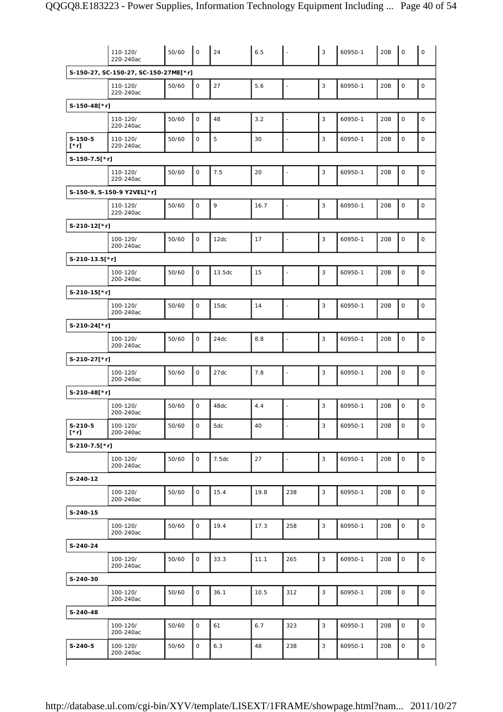|                          | 110-120/<br>220-240ac                | 50/60 | $\circ$      | 24     | 6.5  | $\sim$                   | $\overline{3}$ | 60950-1 | 20B | $\circ$             | $\mathsf{O}$ |
|--------------------------|--------------------------------------|-------|--------------|--------|------|--------------------------|----------------|---------|-----|---------------------|--------------|
|                          | S-150-27, SC-150-27, SC-150-27ME[*r] |       |              |        |      |                          |                |         |     |                     |              |
|                          | 110-120/<br>220-240ac                | 50/60 | 0            | 27     | 5.6  | $\overline{a}$           | 3              | 60950-1 | 20B | $\mathsf O$         | $\mathsf O$  |
| S-150-48[*r]             |                                      |       |              |        |      |                          |                |         |     |                     |              |
|                          | 110-120/<br>220-240ac                | 50/60 | $\mathsf{O}$ | 48     | 3.2  | $\overline{\phantom{a}}$ | $\overline{3}$ | 60950-1 | 20B | $\mathbf 0$         | $\mathsf O$  |
| $S-150-5$<br>$[\cdot r]$ | 110-120/<br>220-240ac                | 50/60 | $\mathsf{O}$ | 5      | 30   | $\overline{\phantom{a}}$ | 3              | 60950-1 | 20B | 0                   | $\mathbf 0$  |
| S-150-7.5[*r]            |                                      |       |              |        |      |                          |                |         |     |                     |              |
|                          | 110-120/<br>220-240ac                | 50/60 | 0            | 7.5    | 20   | $\frac{1}{2}$            | 3              | 60950-1 | 20B | $\mathsf O$         | $\mathsf O$  |
|                          | S-150-9, S-150-9 Y2VEL[*r]           |       |              |        |      |                          |                |         |     |                     |              |
|                          | 110-120/<br>220-240ac                | 50/60 | $\mathsf{O}$ | 9      | 16.7 | $\overline{\phantom{a}}$ | $\sqrt{3}$     | 60950-1 | 20B | $\mathbf 0$         | $\mathsf O$  |
| S-210-12[*r]             |                                      |       |              |        |      |                          |                |         |     |                     |              |
|                          | 100-120/<br>200-240ac                | 50/60 | 0            | 12dc   | 17   | L,                       | 3              | 60950-1 | 20B | 0                   | $\mathsf O$  |
| S-210-13.5[*r]           |                                      |       |              |        |      |                          |                |         |     |                     |              |
|                          | 100-120/<br>200-240ac                | 50/60 | 0            | 13.5dc | 15   | $\blacksquare$           | $\overline{3}$ | 60950-1 | 20B | $\mathsf O$         | $\mathsf O$  |
| S-210-15[*r]             |                                      |       |              |        |      |                          |                |         |     |                     |              |
|                          | 100-120/<br>200-240ac                | 50/60 | $\mathsf{O}$ | 15dc   | 14   | $\overline{\phantom{a}}$ | 3              | 60950-1 | 20B | $\mathsf O$         | $\mathsf O$  |
| S-210-24[*r]             |                                      |       |              |        |      |                          |                |         |     |                     |              |
|                          | 100-120/<br>200-240ac                | 50/60 | 0            | 24dc   | 8.8  | L,                       | 3              | 60950-1 | 20B | $\mathsf O$         | $\mathsf O$  |
| S-210-27[*r]             |                                      |       |              |        |      |                          |                |         |     |                     |              |
|                          | 100-120/<br>200-240ac                | 50/60 | 0            | 27dc   | 7.8  | $\blacksquare$           | 3              | 60950-1 | 20B | $\mathsf O$         | $\mathsf O$  |
| S-210-48[*r]             |                                      |       |              |        |      |                          |                |         |     |                     |              |
|                          | 100-120/<br>200-240ac                | 50/60 | $\mathsf{O}$ | 48dc   | 4.4  | ÷,                       | 3              | 60950-1 | 20B | $\mathsf O$         | $\mathsf O$  |
| $S-210-5$<br>$[\cdot r]$ | 100-120/<br>200-240ac                | 50/60 | 0            | 5dc    | 40   | ÷                        | 3              | 60950-1 | 20B | 0                   | $\mathsf O$  |
| S-210-7.5[*r]            |                                      |       |              |        |      |                          |                |         |     |                     |              |
|                          | 100-120/<br>200-240ac                | 50/60 | $\mathsf{O}$ | 7.5dc  | 27   | $\blacksquare$           | $\sqrt{3}$     | 60950-1 | 20B | $\mathsf O$         | $\mathsf O$  |
| S-240-12                 |                                      |       |              |        |      |                          |                |         |     |                     |              |
|                          | 100-120/<br>200-240ac                | 50/60 | $\mathsf{O}$ | 15.4   | 19.8 | 238                      | $\mathsf 3$    | 60950-1 | 20B | 0                   | 0            |
| $S-240-15$               |                                      |       |              |        |      |                          |                |         |     |                     |              |
|                          | 100-120/<br>200-240ac                | 50/60 | 0            | 19.4   | 17.3 | 258                      | $\sqrt{3}$     | 60950-1 | 20B | 0                   | $\mathsf O$  |
| S-240-24                 |                                      |       |              |        |      |                          |                |         |     |                     |              |
|                          | 100-120/<br>200-240ac                | 50/60 | 0            | 33.3   | 11.1 | 265                      | 3              | 60950-1 | 20B | 0                   | $\mathsf O$  |
| S-240-30                 |                                      |       |              |        |      |                          |                |         |     |                     |              |
|                          | 100-120/<br>200-240ac                | 50/60 | $\mathsf{O}$ | 36.1   | 10.5 | 312                      | 3              | 60950-1 | 20B | $\mathsf{O}\xspace$ | $\mathsf O$  |
| S-240-48                 |                                      |       |              |        |      |                          |                |         |     |                     |              |
|                          | 100-120/<br>200-240ac                | 50/60 | 0            | 61     | 6.7  | 323                      | 3              | 60950-1 | 20B | $\mathsf O$         | $\mathsf O$  |
| $S-240-5$                | 100-120/<br>200-240ac                | 50/60 | $\mathsf{O}$ | 6.3    | 48   | 238                      | 3              | 60950-1 | 20B | $\mathsf{O}$        | $\mathbf 0$  |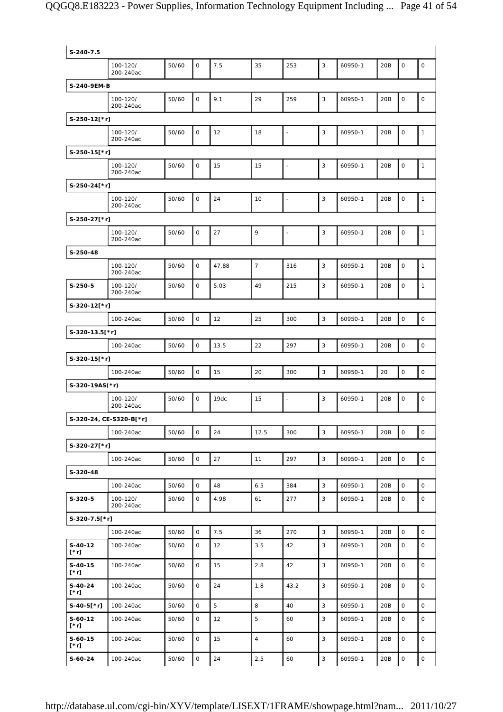| S-240-7.5              |                         |       |              |       |                |                |              |         |     |                     |                        |
|------------------------|-------------------------|-------|--------------|-------|----------------|----------------|--------------|---------|-----|---------------------|------------------------|
|                        | 100-120/<br>200-240ac   | 50/60 | $\mathbf 0$  | 7.5   | 35             | 253            | 3            | 60950-1 | 20B | $\mathsf O$         | 0                      |
| S-240-9EM-B            |                         |       |              |       |                |                |              |         |     |                     |                        |
|                        | 100-120/<br>200-240ac   | 50/60 | $\mathbf 0$  | 9.1   | 29             | 259            | 3            | 60950-1 | 20B | $\mathsf O$         | $\mathsf O$            |
| S-250-12[*r]           |                         |       |              |       |                |                |              |         |     |                     |                        |
|                        | 100-120/<br>200-240ac   | 50/60 | $\mathbf 0$  | 12    | 18             |                | 3            | 60950-1 | 20B | $\mathsf O$         | $\mathbf{1}$           |
| $S-250-15[*r]$         |                         |       |              |       |                |                |              |         |     |                     |                        |
|                        | 100-120/<br>200-240ac   | 50/60 | $\mathsf{O}$ | 15    | 15             |                | 3            | 60950-1 | 20B | $\mathbf 0$         | $\mathbf{1}$           |
| S-250-24[*r]           |                         |       |              |       |                |                |              |         |     |                     |                        |
|                        | 100-120/<br>200-240ac   | 50/60 | $\mathbf 0$  | 24    | 10             |                | 3            | 60950-1 | 20B | $\mathsf O$         | 1                      |
| S-250-27[*r]           |                         |       |              |       |                |                |              |         |     |                     |                        |
|                        | 100-120/<br>200-240ac   | 50/60 | $\mathsf{O}$ | 27    | 9              | $\overline{a}$ | 3            | 60950-1 | 20B | $\mathsf O$         | $\mathbf{1}$           |
| S-250-48               |                         |       |              |       |                |                |              |         |     |                     |                        |
|                        | 100-120/<br>200-240ac   | 50/60 | $\mathbf 0$  | 47.88 | $\overline{7}$ | 316            | 3            | 60950-1 | 20B | $\mathsf O$         | 1                      |
| $S-250-5$              | 100-120/<br>200-240ac   | 50/60 | $\mathbf{O}$ | 5.03  | 49             | 215            | 3            | 60950-1 | 20B | $\mathbf 0$         | $\mathbf{1}$           |
| S-320-12[*r]           |                         |       |              |       |                |                |              |         |     |                     |                        |
|                        | 100-240ac               | 50/60 | $\mathsf{O}$ | 12    | 25             | 300            | 3            | 60950-1 | 20B | $\mathsf O$         | $\mathsf{O}$           |
| S-320-13.5[*r]         |                         |       |              |       |                |                |              |         |     |                     |                        |
|                        | 100-240ac               | 50/60 | $\mathsf{O}$ | 13.5  | 22             | 297            | 3            | 60950-1 | 20B | $\mathsf O$         | $\mathsf O$            |
| S-320-15[*r]           |                         |       |              |       |                |                |              |         |     |                     |                        |
|                        | 100-240ac               | 50/60 | $\mathbf 0$  | 15    | 20             | 300            | 3            | 60950-1 | 20  | $\mathbf 0$         | $\mathbf 0$            |
| S-320-19AS(*r)         |                         |       |              |       |                |                |              |         |     |                     |                        |
|                        | 100-120/                | 50/60 | $\mathbf 0$  | 19dc  | 15             | ä,             | 3            | 60950-1 | 20B | $\mathsf O$         | $\mathsf O$            |
|                        | 200-240ac               |       |              |       |                |                |              |         |     |                     |                        |
|                        | S-320-24, CE-S320-B[*r] |       |              |       |                |                |              |         |     |                     |                        |
|                        | 100-240ac               | 50/60 | $\mathsf{O}$ | 24    | 12.5           | 300            | 3            | 60950-1 | 20B | $\mathbf 0$         | $\circ$                |
| S-320-27[*r]           |                         |       |              |       |                |                |              |         |     |                     |                        |
|                        | 100-240ac               | 50/60 | 0            | 27    | 11             | 297            | 3            | 60950-1 | 20B | $\mathsf{O}\xspace$ | 0                      |
| S-320-48               |                         |       |              |       |                |                |              |         |     |                     |                        |
|                        | 100-240ac               | 50/60 | $\mathsf{O}$ | 48    | 6.5            | 384            | 3            | 60950-1 | 20B | $\mathsf O$         | 0                      |
| $S-320-5$              | 100-120/<br>200-240ac   | 50/60 | 0            | 4.98  | 61             | 277            | 3            | 60950-1 | 20B | $\mathsf O$         | $\mathsf O$            |
| $S-320-7.5$ [*r]       |                         |       |              |       |                |                |              |         |     |                     |                        |
|                        | 100-240ac               | 50/60 | 0            | 7.5   | 36             | 270            | $\mathbf{3}$ | 60950-1 | 20B | $\mathsf O$         | 0                      |
| $S-40-12$<br>[*r]      | 100-240ac               | 50/60 | $\mathbf 0$  | 12    | 3.5            | 42             | 3            | 60950-1 | 20B | $\mathbf 0$         | $\mathsf{O}$           |
| $S-40-15$              |                         |       |              |       |                |                |              |         |     |                     |                        |
| $[\cdot r]$            | 100-240ac               | 50/60 | 0            | 15    | 2.8            | 42             | 3            | 60950-1 | 20B | $\mathsf{O}$        |                        |
| S-40-24<br>$[\cdot r]$ | 100-240ac               | 50/60 | 0            | 24    | 1.8            | 43.2           | 3            | 60950-1 | 20B | $\mathsf O$         |                        |
| $S-40-5$ [*r]          | 100-240ac               | 50/60 | $\mathbf 0$  | 5     | 8              | 40             | 3            | 60950-1 | 20B | $\circ$             | 0<br>0<br>$\mathsf{O}$ |
| $S-60-12$<br>[*r]      | 100-240ac               | 50/60 | 0            | 12    | 5              | 60             | 3            | 60950-1 | 20B | $\mathsf O$         | 0                      |
| $S-60-15$<br>[*r]      | 100-240ac               | 50/60 | 0            | 15    | $\overline{4}$ | 60             | 3            | 60950-1 | 20B | 0                   | 0                      |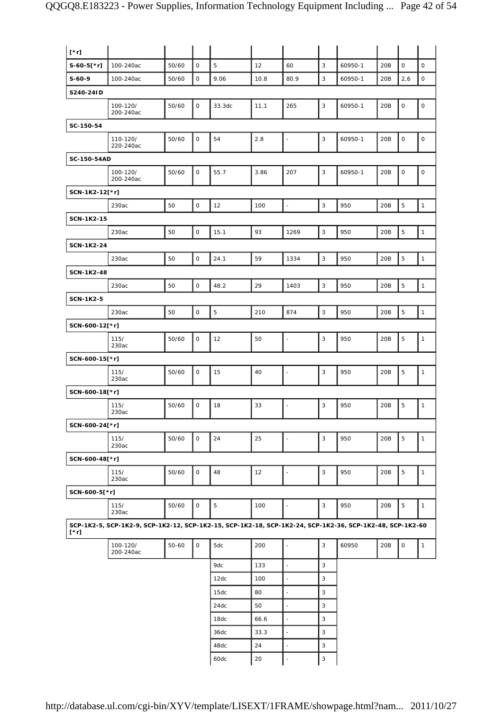| $[\cdot r]$       |                                                                                                          |           |              |        |      |                          |             |         |     |                     |              |
|-------------------|----------------------------------------------------------------------------------------------------------|-----------|--------------|--------|------|--------------------------|-------------|---------|-----|---------------------|--------------|
| $S-60-5[*r]$      | 100-240ac                                                                                                | 50/60     | $\mathbf 0$  | 5      | 12   | 60                       | 3           | 60950-1 | 20B | $\mathbf 0$         | $\mathbf 0$  |
| $S-60-9$          | 100-240ac                                                                                                | 50/60     | $\mathsf O$  | 9.06   | 10.8 | 80.9                     | 3           | 60950-1 | 20B | 2,6                 | $\mathsf O$  |
| S240-24ID         |                                                                                                          |           |              |        |      |                          |             |         |     |                     |              |
|                   | 100-120/<br>200-240ac                                                                                    | 50/60     | $\mathsf{O}$ | 33.3dc | 11.1 | 265                      | 3           | 60950-1 | 20B | $\mathsf O$         | $\mathsf O$  |
| SC-150-54         |                                                                                                          |           |              |        |      |                          |             |         |     |                     |              |
|                   | 110-120/<br>220-240ac                                                                                    | 50/60     | $\mathsf O$  | 54     | 2.8  | $\Box$                   | 3           | 60950-1 | 20B | $\mathsf O$         | $\mathsf O$  |
| SC-150-54AD       |                                                                                                          |           |              |        |      |                          |             |         |     |                     |              |
|                   | 100-120/<br>200-240ac                                                                                    | 50/60     | 0            | 55.7   | 3.86 | 207                      | 3           | 60950-1 | 20B | 0                   | $\mathsf O$  |
| SCN-1K2-12[*r]    |                                                                                                          |           |              |        |      |                          |             |         |     |                     |              |
|                   | 230ac                                                                                                    | 50        | $\mathsf O$  | 12     | 100  | $\overline{\phantom{a}}$ | $\mathsf 3$ | 950     | 20B | 5                   | $\mathbf{1}$ |
| <b>SCN-1K2-15</b> |                                                                                                          |           |              |        |      |                          |             |         |     |                     |              |
|                   | 230ac                                                                                                    | 50        | $\mathsf O$  | 15.1   | 93   | 1269                     | $\mathsf 3$ | 950     | 20B | 5                   | $\mathbf{1}$ |
| <b>SCN-1K2-24</b> |                                                                                                          |           |              |        |      |                          |             |         |     |                     |              |
|                   | 230ac                                                                                                    | 50        | $\mathsf O$  | 24.1   | 59   | 1334                     | 3           | 950     | 20B | 5                   | $\mathbf{1}$ |
| <b>SCN-1K2-48</b> |                                                                                                          |           |              |        |      |                          |             |         |     |                     |              |
|                   | 230ac                                                                                                    | 50        | $\mathsf O$  | 48.2   | 29   | 1403                     | 3           | 950     | 20B | 5                   | $\mathbf{1}$ |
| <b>SCN-1K2-5</b>  |                                                                                                          |           |              |        |      |                          |             |         |     |                     |              |
|                   | 230ac                                                                                                    | 50        | $\mathsf O$  | 5      | 210  | 874                      | 3           | 950     | 20B | 5                   | $\mathbf{1}$ |
| SCN-600-12[*r]    |                                                                                                          |           |              |        |      |                          |             |         |     |                     |              |
|                   | 115/<br>230ac                                                                                            | 50/60     | $\mathsf O$  | 12     | 50   | $\overline{a}$           | 3           | 950     | 20B | 5                   | $\mathbf{1}$ |
| SCN-600-15[*r]    |                                                                                                          |           |              |        |      |                          |             |         |     |                     |              |
|                   | 115/<br>230ac                                                                                            | 50/60     | $\mathsf O$  | 15     | 40   | $\overline{\phantom{a}}$ | 3           | 950     | 20B | 5                   | $\mathbf{1}$ |
| SCN-600-18[*r]    |                                                                                                          |           |              |        |      |                          |             |         |     |                     |              |
|                   | 115/<br>230ac                                                                                            | 50/60     | $\mathsf{O}$ | 18     | 33   | $\frac{1}{2}$            | 3           | 950     | 20B | 5                   | $\mathbf{1}$ |
| SCN-600-24[*r]    |                                                                                                          |           |              |        |      |                          |             |         |     |                     |              |
|                   | 115/<br>230ac                                                                                            | 50/60     | $\mathsf{O}$ | 24     | 25   | $\overline{\phantom{a}}$ | 3           | 950     | 20B | 5                   | $\mathbf{1}$ |
| SCN-600-48[*r]    |                                                                                                          |           |              |        |      |                          |             |         |     |                     |              |
|                   | 115/<br>230ac                                                                                            | 50/60     | $\mathsf{O}$ | 48     | 12   | $\overline{\phantom{a}}$ | 3           | 950     | 20B | 5                   | $\mathbf{1}$ |
| SCN-600-5[*r]     |                                                                                                          |           |              |        |      |                          |             |         |     |                     |              |
|                   | 115/<br>230ac                                                                                            | 50/60     | 0            | 5      | 100  | $\ddot{\phantom{1}}$     | 3           | 950     | 20B | 5                   | $\mathbf{1}$ |
| [*r]              | SCP-1K2-5, SCP-1K2-9, SCP-1K2-12, SCP-1K2-15, SCP-1K2-18, SCP-1K2-24, SCP-1K2-36, SCP-1K2-48, SCP-1K2-60 |           |              |        |      |                          |             |         |     |                     |              |
|                   | 100-120/<br>200-240ac                                                                                    | $50 - 60$ | $\mathsf O$  | 5dc    | 200  | $\overline{\phantom{a}}$ | 3           | 60950   | 20B | $\mathsf{O}\xspace$ | $\mathbf{1}$ |
|                   |                                                                                                          |           |              | 9dc    | 133  | $\Box$                   | 3           |         |     |                     |              |
|                   |                                                                                                          |           |              | 12dc   | 100  | $\overline{\phantom{a}}$ | 3           |         |     |                     |              |
|                   |                                                                                                          |           |              | 15dc   | 80   | ÷,                       | 3           |         |     |                     |              |
|                   |                                                                                                          |           |              | 24dc   | 50   | $\ddot{\phantom{1}}$     | 3           |         |     |                     |              |
|                   |                                                                                                          |           |              | 18dc   | 66.6 | ä,                       | 3           |         |     |                     |              |
|                   |                                                                                                          |           |              | 36dc   | 33.3 | $\overline{\phantom{a}}$ | 3           |         |     |                     |              |
|                   |                                                                                                          |           |              | 48dc   | 24   | $\blacksquare$           | 3           |         |     |                     |              |
|                   |                                                                                                          |           |              | 60dc   | 20   | ÷,                       | 3           |         |     |                     |              |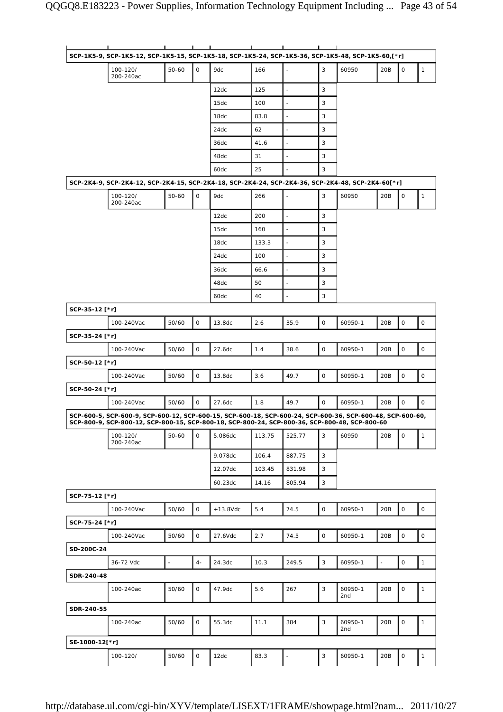|                | SCP-1K5-9, SCP-1K5-12, SCP-1K5-15, SCP-1K5-18, SCP-1K5-24, SCP-1K5-36, SCP-1K5-48, SCP-1K5-60,[*r]                                                                                                         |                     |              |             |        |                          |             |                |                          |             |              |
|----------------|------------------------------------------------------------------------------------------------------------------------------------------------------------------------------------------------------------|---------------------|--------------|-------------|--------|--------------------------|-------------|----------------|--------------------------|-------------|--------------|
|                | 100-120/<br>200-240ac                                                                                                                                                                                      | $50 - 60$           | $\mathsf{O}$ | 9dc         | 166    | ÷,                       | 3           | 60950          | 20B                      | 0           | $\mathbf{1}$ |
|                |                                                                                                                                                                                                            |                     |              | 12dc        | 125    | $\overline{\phantom{a}}$ | 3           |                |                          |             |              |
|                |                                                                                                                                                                                                            |                     |              | 15dc        | 100    | ÷,                       | 3           |                |                          |             |              |
|                |                                                                                                                                                                                                            |                     |              | 18dc        | 83.8   |                          | 3           |                |                          |             |              |
|                |                                                                                                                                                                                                            |                     |              | 24dc        | 62     | $\blacksquare$           | 3           |                |                          |             |              |
|                |                                                                                                                                                                                                            |                     |              | 36dc        | 41.6   | ÷,                       | 3           |                |                          |             |              |
|                |                                                                                                                                                                                                            |                     |              | 48dc        | 31     | ÷,                       | 3           |                |                          |             |              |
|                |                                                                                                                                                                                                            |                     |              | 60dc        | 25     |                          | 3           |                |                          |             |              |
|                | SCP-2K4-9, SCP-2K4-12, SCP-2K4-15, SCP-2K4-18, SCP-2K4-24, SCP-2K4-36, SCP-2K4-48, SCP-2K4-60[*r]                                                                                                          |                     |              |             |        |                          |             |                |                          |             |              |
|                | 100-120/<br>200-240ac                                                                                                                                                                                      | $50 - 60$           | $\mathsf{O}$ | 9dc         | 266    | $\overline{\phantom{a}}$ | 3           | 60950          | 20B                      | 0           | $\mathbf{1}$ |
|                |                                                                                                                                                                                                            |                     |              | 12dc        | 200    | $\overline{\phantom{a}}$ | 3           |                |                          |             |              |
|                |                                                                                                                                                                                                            |                     |              | 15dc        | 160    | $\overline{\phantom{a}}$ | 3           |                |                          |             |              |
|                |                                                                                                                                                                                                            |                     |              | 18dc        | 133.3  | $\blacksquare$           | 3           |                |                          |             |              |
|                |                                                                                                                                                                                                            |                     |              | 24dc        | 100    | $\overline{\phantom{a}}$ | 3           |                |                          |             |              |
|                |                                                                                                                                                                                                            |                     |              | 36dc        | 66.6   | $\overline{\phantom{a}}$ | 3           |                |                          |             |              |
|                |                                                                                                                                                                                                            |                     |              | 48dc        | 50     | ÷,                       | 3           |                |                          |             |              |
|                |                                                                                                                                                                                                            |                     |              | 60dc        | 40     | ÷,                       | 3           |                |                          |             |              |
| SCP-35-12 [*r] |                                                                                                                                                                                                            |                     |              |             |        |                          |             |                |                          |             |              |
|                | 100-240Vac                                                                                                                                                                                                 | 50/60               | 0            | 13.8dc      | 2.6    | 35.9                     | 0           | 60950-1        | 20B                      | 0           | 0            |
| SCP-35-24 [*r] |                                                                                                                                                                                                            |                     |              |             |        |                          |             |                |                          |             |              |
|                | 100-240Vac                                                                                                                                                                                                 | 50/60               | $\mathsf O$  | 27.6dc      | 1.4    | 38.6                     | 0           | 60950-1        | 20B                      | 0           | 0            |
|                |                                                                                                                                                                                                            |                     |              |             |        |                          |             |                |                          |             |              |
| SCP-50-12 [*r] |                                                                                                                                                                                                            |                     |              |             |        |                          |             |                |                          |             |              |
|                | 100-240Vac                                                                                                                                                                                                 | 50/60               | $\mathsf O$  | 13.8dc      | 3.6    | 49.7                     | 0           | 60950-1        | 20B                      | 0           | 0            |
| SCP-50-24 [*r] |                                                                                                                                                                                                            |                     |              |             |        |                          |             |                |                          |             |              |
|                | 100-240Vac                                                                                                                                                                                                 | 50/60               | $\mathsf{O}$ | 27.6dc      | 1.8    | 49.7                     | $\mathsf O$ | 60950-1        | 20B                      | 0           | $\mathsf{O}$ |
|                | SCP-600-5, SCP-600-9, SCP-600-12, SCP-600-15, SCP-600-18, SCP-600-24, SCP-600-36, SCP-600-48, SCP-600-60,<br>SCP-800-9, SCP-800-12, SCP-800-15, SCP-800-18, SCP-800-24, SCP-800-36, SCP-800-48, SCP-800-60 |                     |              |             |        |                          |             |                |                          |             |              |
|                | 100-120/<br>200-240ac                                                                                                                                                                                      | $50 - 60$           | 0            | 5.086dc     | 113.75 | 525.77                   | 3           | 60950          | 20B                      | 0           | $\mathbf{1}$ |
|                |                                                                                                                                                                                                            |                     |              | 9.078dc     | 106.4  | 887.75                   | 3           |                |                          |             |              |
|                |                                                                                                                                                                                                            |                     |              | 12.07dc     | 103.45 | 831.98                   | 3           |                |                          |             |              |
|                |                                                                                                                                                                                                            |                     |              | 60.23dc     | 14.16  | 805.94                   | 3           |                |                          |             |              |
| SCP-75-12 [*r] |                                                                                                                                                                                                            |                     |              |             |        |                          |             |                |                          |             |              |
|                | 100-240Vac                                                                                                                                                                                                 | 50/60               | $\mathsf{O}$ | $+13.8$ Vdc | 5.4    | 74.5                     | 0           | 60950-1        | 20B                      | 0           | $\mathsf{O}$ |
| SCP-75-24 [*r] |                                                                                                                                                                                                            |                     |              |             |        |                          |             |                |                          |             |              |
|                | 100-240Vac                                                                                                                                                                                                 | 50/60               | $\mathsf O$  | 27.6Vdc     | 2.7    | 74.5                     | 0           | 60950-1        | 20B                      | 0           | 0            |
| SD-200C-24     |                                                                                                                                                                                                            |                     |              |             |        |                          |             |                |                          |             |              |
|                | 36-72 Vdc                                                                                                                                                                                                  | $\bar{\phantom{a}}$ | $4-$         | 24.3dc      | 10.3   | 249.5                    | 3           | 60950-1        | $\overline{\phantom{a}}$ | $\mathsf O$ | $\mathbf{1}$ |
| SDR-240-48     |                                                                                                                                                                                                            |                     |              |             |        |                          |             |                |                          |             |              |
|                | 100-240ac                                                                                                                                                                                                  |                     | 0            | 47.9dc      | 5.6    |                          |             |                | 20B                      | 0           |              |
|                |                                                                                                                                                                                                            | 50/60               |              |             |        | 267                      | 3           | 60950-1<br>2nd |                          |             | $\mathbf{1}$ |
| SDR-240-55     |                                                                                                                                                                                                            |                     |              |             |        |                          |             |                |                          |             |              |
|                | 100-240ac                                                                                                                                                                                                  | 50/60               | $\mathsf{O}$ | 55.3dc      | 11.1   | 384                      | 3           | 60950-1        | 20B                      | 0           | $\mathbf{1}$ |
|                |                                                                                                                                                                                                            |                     |              |             |        |                          |             | 2nd            |                          |             |              |
| SE-1000-12[*r] |                                                                                                                                                                                                            |                     |              |             |        |                          |             |                |                          |             |              |
|                | 100-120/                                                                                                                                                                                                   | 50/60               | $\mathsf O$  | 12dc        | 83.3   | $\overline{\phantom{a}}$ | 3           | 60950-1        | 20B                      | $\mathsf O$ | $\mathbf{1}$ |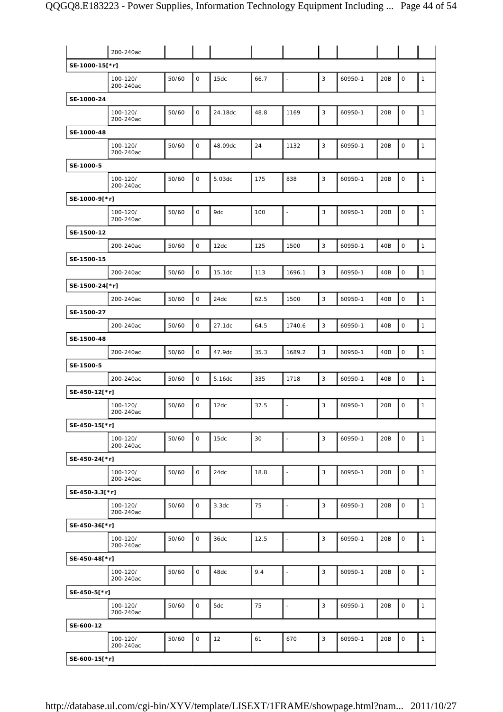|                | 200-240ac             |       |              |         |      |                          |   |         |     |             |              |
|----------------|-----------------------|-------|--------------|---------|------|--------------------------|---|---------|-----|-------------|--------------|
| SE-1000-15[*r] |                       |       |              |         |      |                          |   |         |     |             |              |
|                | 100-120/<br>200-240ac | 50/60 | 0            | 15dc    | 66.7 | $\ddot{\phantom{a}}$     | 3 | 60950-1 | 20B | $\mathsf O$ | $\mathbf{1}$ |
| SE-1000-24     |                       |       |              |         |      |                          |   |         |     |             |              |
|                | 100-120/<br>200-240ac | 50/60 | 0            | 24.18dc | 48.8 | 1169                     | 3 | 60950-1 | 20B | 0           | $\mathbf{1}$ |
| SE-1000-48     |                       |       |              |         |      |                          |   |         |     |             |              |
|                | 100-120/<br>200-240ac | 50/60 | 0            | 48.09dc | 24   | 1132                     | 3 | 60950-1 | 20B | 0           | $\mathbf{1}$ |
| SE-1000-5      |                       |       |              |         |      |                          |   |         |     |             |              |
|                | 100-120/<br>200-240ac | 50/60 | 0            | 5.03dc  | 175  | 838                      | 3 | 60950-1 | 20B | $\mathsf O$ | $\mathbf{1}$ |
| SE-1000-9[*r]  |                       |       |              |         |      |                          |   |         |     |             |              |
|                | 100-120/<br>200-240ac | 50/60 | 0            | 9dc     | 100  | $\ddot{\phantom{1}}$     | 3 | 60950-1 | 20B | 0           | $\mathbf{1}$ |
| SE-1500-12     |                       |       |              |         |      |                          |   |         |     |             |              |
|                | 200-240ac             | 50/60 | O            | 12dc    | 125  | 1500                     | 3 | 60950-1 | 40B | 0           | $\mathbf{1}$ |
| SE-1500-15     |                       |       |              |         |      |                          |   |         |     |             |              |
|                | 200-240ac             | 50/60 | 0            | 15.1dc  | 113  | 1696.1                   | 3 | 60950-1 | 40B | $\mathsf O$ | $\mathbf{1}$ |
| SE-1500-24[*r] |                       |       |              |         |      |                          |   |         |     |             |              |
|                | 200-240ac             | 50/60 | 0            | 24dc    | 62.5 | 1500                     | 3 | 60950-1 | 40B | 0           | $\mathbf{1}$ |
| SE-1500-27     |                       |       |              |         |      |                          |   |         |     |             |              |
|                | 200-240ac             | 50/60 | 0            | 27.1dc  | 64.5 | 1740.6                   | 3 | 60950-1 | 40B | $\mathsf O$ | $\mathbf{1}$ |
| SE-1500-48     |                       |       |              |         |      |                          |   |         |     |             |              |
|                | 200-240ac             | 50/60 | 0            | 47.9dc  | 35.3 | 1689.2                   | 3 | 60950-1 | 40B | 0           | $\mathbf{1}$ |
| SE-1500-5      |                       |       |              |         |      |                          |   |         |     |             |              |
|                | 200-240ac             | 50/60 | 0            | 5.16dc  | 335  | 1718                     | 3 | 60950-1 | 40B | 0           | $\mathbf{1}$ |
| SE-450-12[*r]  |                       |       |              |         |      |                          |   |         |     |             |              |
|                | 100-120/<br>200-240ac | 50/60 | 0            | 12dc    | 37.5 | $\ddot{\phantom{1}}$     | 3 | 60950-1 | 20B | 0           | $\mathbf{1}$ |
| SE-450-15[*r]  |                       |       |              |         |      |                          |   |         |     |             |              |
|                | 100-120/<br>200-240ac | 50/60 | 0            | 15dc    | 30   | $\overline{\phantom{a}}$ | 3 | 60950-1 | 20B | 0           | $\mathbf{1}$ |
| SE-450-24[*r]  |                       |       |              |         |      |                          |   |         |     |             |              |
|                | 100-120/<br>200-240ac | 50/60 | 0            | 24dc    | 18.8 | $\overline{\phantom{a}}$ | 3 | 60950-1 | 20B | 0           | $\mathbf{1}$ |
| SE-450-3.3[*r] |                       |       |              |         |      |                          |   |         |     |             |              |
|                | 100-120/<br>200-240ac | 50/60 | $\mathsf{O}$ | 3.3dc   | 75   | $\overline{\phantom{a}}$ | 3 | 60950-1 | 20B | 0           | $\mathbf{1}$ |
| SE-450-36[*r]  |                       |       |              |         |      |                          |   |         |     |             |              |
|                | 100-120/<br>200-240ac | 50/60 | 0            | 36dc    | 12.5 | $\overline{\phantom{a}}$ | 3 | 60950-1 | 20B | 0           | $\mathbf{1}$ |
| SE-450-48[*r]  |                       |       |              |         |      |                          |   |         |     |             |              |
|                | 100-120/<br>200-240ac | 50/60 | 0            | 48dc    | 9.4  | $\overline{\phantom{a}}$ | 3 | 60950-1 | 20B | $\mathsf O$ | $\mathbf{1}$ |
| SE-450-5[*r]   |                       |       |              |         |      |                          |   |         |     |             |              |
|                | 100-120/<br>200-240ac | 50/60 | 0            | 5dc     | 75   | $\overline{\phantom{a}}$ | 3 | 60950-1 | 20B | 0           | $\mathbf{1}$ |
| SE-600-12      |                       |       |              |         |      |                          |   |         |     |             |              |
|                | 100-120/<br>200-240ac | 50/60 | 0            | 12      | 61   | 670                      | 3 | 60950-1 | 20B | 0           | $\mathbf{1}$ |
| SE-600-15[*r]  |                       |       |              |         |      |                          |   |         |     |             |              |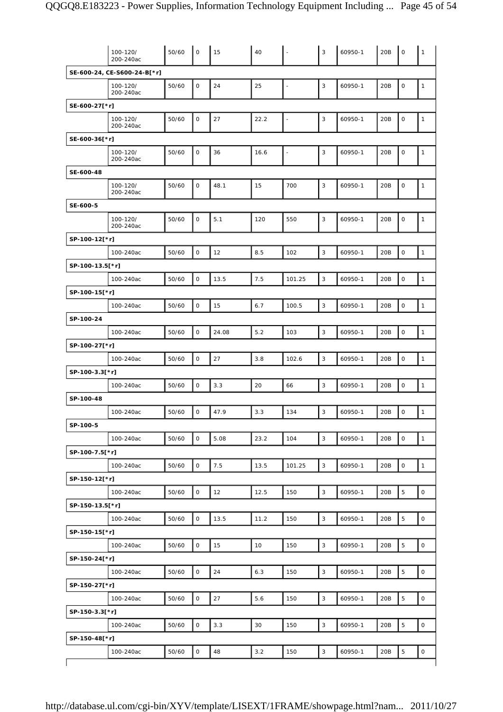| SE-600-24, CE-S600-24-B[*r]<br>3<br>0<br>24<br>25<br>$\mathsf O$<br>100-120/<br>50/60<br>20B<br>60950-1<br>$\mathbf{1}$<br>$\overline{a}$<br>200-240ac<br>SE-600-27[*r]<br>3<br>0<br>27<br>22.2<br>20B<br>0<br>50/60<br>60950-1<br>$\mathbf{1}$<br>100-120/<br>÷,<br>200-240ac<br>SE-600-36[*r]<br>0<br>36<br>3<br>$\mathsf O$<br>100-120/<br>50/60<br>16.6<br>60950-1<br>20B<br>$\mathbf{1}$<br>÷,<br>200-240ac<br>SE-600-48<br>$\mathsf 3$<br>50/60<br>0<br>15<br>700<br>20B<br>$\mathsf O$<br>48.1<br>60950-1<br>$\mathbf{1}$<br>100-120/<br>200-240ac<br>SE-600-5<br>$\sqrt{3}$<br>0<br>5.1<br>0<br>50/60<br>550<br>20B<br>100-120/<br>120<br>60950-1<br>$\mathbf{1}$<br>200-240ac<br>SP-100-12[*r]<br>$\mathsf 3$<br>0<br>12<br>8.5<br>20B<br>$\mathsf{O}\xspace$<br>100-240ac<br>50/60<br>102<br>60950-1<br>$\mathbf{1}$<br>SP-100-13.5[*r]<br>7.5<br>3<br>$\mathbf 0$<br>$\mathsf{O}$<br>$\mathbf{1}$<br>100-240ac<br>50/60<br>13.5<br>101.25<br>60950-1<br>20B<br>SP-100-15[*r]<br>$\mathsf 3$<br>O<br>6.7<br>$\mathsf{O}\xspace$<br>100-240ac<br>50/60<br>15<br>100.5<br>60950-1<br>20B<br>$\mathbf{1}$<br>SP-100-24<br>$\mathsf 3$<br>0<br>5.2<br>$\mathsf O$<br>$\mathbf{1}$<br>100-240ac<br>50/60<br>24.08<br>103<br>60950-1<br>20B<br>SP-100-27[*r]<br>$\mathsf 3$<br>0<br>27<br>3.8<br>20B<br>$\mathsf{O}\xspace$<br>100-240ac<br>50/60<br>102.6<br>60950-1<br>$\mathbf{1}$<br>SP-100-3.3[*r]<br>3<br>0<br>3.3<br>20<br>66<br>$\mathsf{O}\xspace$<br>100-240ac<br>50/60<br>60950-1<br>20B<br>$\mathbf{1}$<br>SP-100-48<br>3<br>0<br>50/60<br>0<br>47.9<br>3.3<br>60950-1<br>20B<br>$\mathbf{1}$<br>100-240ac<br>134<br>SP-100-5<br>$\mathsf 3$<br>0<br>5.08<br>23.2<br>$\mathsf O$<br>$\mathbf{1}$<br>100-240ac<br>50/60<br>104<br>60950-1<br>20B<br>SP-100-7.5[*r]<br>$\mathbf{3}$<br>0<br>7.5<br>20B<br>$\mathsf O$<br>100-240ac<br>50/60<br>13.5<br>101.25<br>60950-1<br>$\mathbf{1}$<br>SP-150-12[*r]<br>$\mathsf 3$<br>$\overline{5}$<br>$\mathsf{O}$<br>$\mathsf O$<br>100-240ac<br>50/60<br>12<br>12.5<br>150<br>60950-1<br>20B<br>SP-150-13.5[*r]<br>$\mathsf 3$<br>5<br>O<br>100-240ac<br>50/60<br>13.5<br>11.2<br>150<br>60950-1<br>20B<br>$\mathsf{O}\xspace$<br>SP-150-15[*r]<br>0<br>3<br>5<br>$\mathsf{O}\xspace$<br>100-240ac<br>50/60<br>15<br>10<br>150<br>60950-1<br>20B<br>SP-150-24[*r]<br>$\mathbf{3}$<br>5<br>0<br>24<br>6.3<br>20B<br>100-240ac<br>50/60<br>150<br>60950-1<br>0<br>SP-150-27[*r]<br>$\mathsf 3$<br>$\overline{5}$<br>$\mathsf{O}$<br>27<br>5.6<br>$\mathsf O$<br>100-240ac<br>50/60<br>150<br>60950-1<br>20B<br>SP-150-3.3[*r]<br>0<br>3<br>5<br>100-240ac<br>50/60<br>3.3<br>30<br>150<br>60950-1<br>20B<br>$\mathsf{O}\xspace$<br>SP-150-48[*r]<br>5<br>$\mathsf{O}$<br>3.2<br>3<br>100-240ac<br>50/60<br>48<br>150<br>60950-1<br>20B<br>$\mathsf{O}\xspace$ | 100-120/<br>200-240ac | 50/60 | $\mathsf{O}$ | 15 | 40 | $\overline{\phantom{a}}$ | $\mathbf{3}$ | 60950-1 | 20B | $\mathsf O$ | $\mathbf{1}$ |
|---------------------------------------------------------------------------------------------------------------------------------------------------------------------------------------------------------------------------------------------------------------------------------------------------------------------------------------------------------------------------------------------------------------------------------------------------------------------------------------------------------------------------------------------------------------------------------------------------------------------------------------------------------------------------------------------------------------------------------------------------------------------------------------------------------------------------------------------------------------------------------------------------------------------------------------------------------------------------------------------------------------------------------------------------------------------------------------------------------------------------------------------------------------------------------------------------------------------------------------------------------------------------------------------------------------------------------------------------------------------------------------------------------------------------------------------------------------------------------------------------------------------------------------------------------------------------------------------------------------------------------------------------------------------------------------------------------------------------------------------------------------------------------------------------------------------------------------------------------------------------------------------------------------------------------------------------------------------------------------------------------------------------------------------------------------------------------------------------------------------------------------------------------------------------------------------------------------------------------------------------------------------------------------------------------------------------------------------------------------------------------------------------------------------------------------------------------------------------------------------------------------------------------------------------------------------------------------------------------------------------------------------------------------------------------------------------------------------------------------------------------------------------------------------------------------------|-----------------------|-------|--------------|----|----|--------------------------|--------------|---------|-----|-------------|--------------|
|                                                                                                                                                                                                                                                                                                                                                                                                                                                                                                                                                                                                                                                                                                                                                                                                                                                                                                                                                                                                                                                                                                                                                                                                                                                                                                                                                                                                                                                                                                                                                                                                                                                                                                                                                                                                                                                                                                                                                                                                                                                                                                                                                                                                                                                                                                                                                                                                                                                                                                                                                                                                                                                                                                                                                                                                                     |                       |       |              |    |    |                          |              |         |     |             |              |
|                                                                                                                                                                                                                                                                                                                                                                                                                                                                                                                                                                                                                                                                                                                                                                                                                                                                                                                                                                                                                                                                                                                                                                                                                                                                                                                                                                                                                                                                                                                                                                                                                                                                                                                                                                                                                                                                                                                                                                                                                                                                                                                                                                                                                                                                                                                                                                                                                                                                                                                                                                                                                                                                                                                                                                                                                     |                       |       |              |    |    |                          |              |         |     |             |              |
|                                                                                                                                                                                                                                                                                                                                                                                                                                                                                                                                                                                                                                                                                                                                                                                                                                                                                                                                                                                                                                                                                                                                                                                                                                                                                                                                                                                                                                                                                                                                                                                                                                                                                                                                                                                                                                                                                                                                                                                                                                                                                                                                                                                                                                                                                                                                                                                                                                                                                                                                                                                                                                                                                                                                                                                                                     |                       |       |              |    |    |                          |              |         |     |             |              |
|                                                                                                                                                                                                                                                                                                                                                                                                                                                                                                                                                                                                                                                                                                                                                                                                                                                                                                                                                                                                                                                                                                                                                                                                                                                                                                                                                                                                                                                                                                                                                                                                                                                                                                                                                                                                                                                                                                                                                                                                                                                                                                                                                                                                                                                                                                                                                                                                                                                                                                                                                                                                                                                                                                                                                                                                                     |                       |       |              |    |    |                          |              |         |     |             |              |
|                                                                                                                                                                                                                                                                                                                                                                                                                                                                                                                                                                                                                                                                                                                                                                                                                                                                                                                                                                                                                                                                                                                                                                                                                                                                                                                                                                                                                                                                                                                                                                                                                                                                                                                                                                                                                                                                                                                                                                                                                                                                                                                                                                                                                                                                                                                                                                                                                                                                                                                                                                                                                                                                                                                                                                                                                     |                       |       |              |    |    |                          |              |         |     |             |              |
|                                                                                                                                                                                                                                                                                                                                                                                                                                                                                                                                                                                                                                                                                                                                                                                                                                                                                                                                                                                                                                                                                                                                                                                                                                                                                                                                                                                                                                                                                                                                                                                                                                                                                                                                                                                                                                                                                                                                                                                                                                                                                                                                                                                                                                                                                                                                                                                                                                                                                                                                                                                                                                                                                                                                                                                                                     |                       |       |              |    |    |                          |              |         |     |             |              |
|                                                                                                                                                                                                                                                                                                                                                                                                                                                                                                                                                                                                                                                                                                                                                                                                                                                                                                                                                                                                                                                                                                                                                                                                                                                                                                                                                                                                                                                                                                                                                                                                                                                                                                                                                                                                                                                                                                                                                                                                                                                                                                                                                                                                                                                                                                                                                                                                                                                                                                                                                                                                                                                                                                                                                                                                                     |                       |       |              |    |    |                          |              |         |     |             |              |
|                                                                                                                                                                                                                                                                                                                                                                                                                                                                                                                                                                                                                                                                                                                                                                                                                                                                                                                                                                                                                                                                                                                                                                                                                                                                                                                                                                                                                                                                                                                                                                                                                                                                                                                                                                                                                                                                                                                                                                                                                                                                                                                                                                                                                                                                                                                                                                                                                                                                                                                                                                                                                                                                                                                                                                                                                     |                       |       |              |    |    |                          |              |         |     |             |              |
|                                                                                                                                                                                                                                                                                                                                                                                                                                                                                                                                                                                                                                                                                                                                                                                                                                                                                                                                                                                                                                                                                                                                                                                                                                                                                                                                                                                                                                                                                                                                                                                                                                                                                                                                                                                                                                                                                                                                                                                                                                                                                                                                                                                                                                                                                                                                                                                                                                                                                                                                                                                                                                                                                                                                                                                                                     |                       |       |              |    |    |                          |              |         |     |             |              |
|                                                                                                                                                                                                                                                                                                                                                                                                                                                                                                                                                                                                                                                                                                                                                                                                                                                                                                                                                                                                                                                                                                                                                                                                                                                                                                                                                                                                                                                                                                                                                                                                                                                                                                                                                                                                                                                                                                                                                                                                                                                                                                                                                                                                                                                                                                                                                                                                                                                                                                                                                                                                                                                                                                                                                                                                                     |                       |       |              |    |    |                          |              |         |     |             |              |
|                                                                                                                                                                                                                                                                                                                                                                                                                                                                                                                                                                                                                                                                                                                                                                                                                                                                                                                                                                                                                                                                                                                                                                                                                                                                                                                                                                                                                                                                                                                                                                                                                                                                                                                                                                                                                                                                                                                                                                                                                                                                                                                                                                                                                                                                                                                                                                                                                                                                                                                                                                                                                                                                                                                                                                                                                     |                       |       |              |    |    |                          |              |         |     |             |              |
|                                                                                                                                                                                                                                                                                                                                                                                                                                                                                                                                                                                                                                                                                                                                                                                                                                                                                                                                                                                                                                                                                                                                                                                                                                                                                                                                                                                                                                                                                                                                                                                                                                                                                                                                                                                                                                                                                                                                                                                                                                                                                                                                                                                                                                                                                                                                                                                                                                                                                                                                                                                                                                                                                                                                                                                                                     |                       |       |              |    |    |                          |              |         |     |             |              |
|                                                                                                                                                                                                                                                                                                                                                                                                                                                                                                                                                                                                                                                                                                                                                                                                                                                                                                                                                                                                                                                                                                                                                                                                                                                                                                                                                                                                                                                                                                                                                                                                                                                                                                                                                                                                                                                                                                                                                                                                                                                                                                                                                                                                                                                                                                                                                                                                                                                                                                                                                                                                                                                                                                                                                                                                                     |                       |       |              |    |    |                          |              |         |     |             |              |
|                                                                                                                                                                                                                                                                                                                                                                                                                                                                                                                                                                                                                                                                                                                                                                                                                                                                                                                                                                                                                                                                                                                                                                                                                                                                                                                                                                                                                                                                                                                                                                                                                                                                                                                                                                                                                                                                                                                                                                                                                                                                                                                                                                                                                                                                                                                                                                                                                                                                                                                                                                                                                                                                                                                                                                                                                     |                       |       |              |    |    |                          |              |         |     |             |              |
|                                                                                                                                                                                                                                                                                                                                                                                                                                                                                                                                                                                                                                                                                                                                                                                                                                                                                                                                                                                                                                                                                                                                                                                                                                                                                                                                                                                                                                                                                                                                                                                                                                                                                                                                                                                                                                                                                                                                                                                                                                                                                                                                                                                                                                                                                                                                                                                                                                                                                                                                                                                                                                                                                                                                                                                                                     |                       |       |              |    |    |                          |              |         |     |             |              |
|                                                                                                                                                                                                                                                                                                                                                                                                                                                                                                                                                                                                                                                                                                                                                                                                                                                                                                                                                                                                                                                                                                                                                                                                                                                                                                                                                                                                                                                                                                                                                                                                                                                                                                                                                                                                                                                                                                                                                                                                                                                                                                                                                                                                                                                                                                                                                                                                                                                                                                                                                                                                                                                                                                                                                                                                                     |                       |       |              |    |    |                          |              |         |     |             |              |
|                                                                                                                                                                                                                                                                                                                                                                                                                                                                                                                                                                                                                                                                                                                                                                                                                                                                                                                                                                                                                                                                                                                                                                                                                                                                                                                                                                                                                                                                                                                                                                                                                                                                                                                                                                                                                                                                                                                                                                                                                                                                                                                                                                                                                                                                                                                                                                                                                                                                                                                                                                                                                                                                                                                                                                                                                     |                       |       |              |    |    |                          |              |         |     |             |              |
|                                                                                                                                                                                                                                                                                                                                                                                                                                                                                                                                                                                                                                                                                                                                                                                                                                                                                                                                                                                                                                                                                                                                                                                                                                                                                                                                                                                                                                                                                                                                                                                                                                                                                                                                                                                                                                                                                                                                                                                                                                                                                                                                                                                                                                                                                                                                                                                                                                                                                                                                                                                                                                                                                                                                                                                                                     |                       |       |              |    |    |                          |              |         |     |             |              |
|                                                                                                                                                                                                                                                                                                                                                                                                                                                                                                                                                                                                                                                                                                                                                                                                                                                                                                                                                                                                                                                                                                                                                                                                                                                                                                                                                                                                                                                                                                                                                                                                                                                                                                                                                                                                                                                                                                                                                                                                                                                                                                                                                                                                                                                                                                                                                                                                                                                                                                                                                                                                                                                                                                                                                                                                                     |                       |       |              |    |    |                          |              |         |     |             |              |
|                                                                                                                                                                                                                                                                                                                                                                                                                                                                                                                                                                                                                                                                                                                                                                                                                                                                                                                                                                                                                                                                                                                                                                                                                                                                                                                                                                                                                                                                                                                                                                                                                                                                                                                                                                                                                                                                                                                                                                                                                                                                                                                                                                                                                                                                                                                                                                                                                                                                                                                                                                                                                                                                                                                                                                                                                     |                       |       |              |    |    |                          |              |         |     |             |              |
|                                                                                                                                                                                                                                                                                                                                                                                                                                                                                                                                                                                                                                                                                                                                                                                                                                                                                                                                                                                                                                                                                                                                                                                                                                                                                                                                                                                                                                                                                                                                                                                                                                                                                                                                                                                                                                                                                                                                                                                                                                                                                                                                                                                                                                                                                                                                                                                                                                                                                                                                                                                                                                                                                                                                                                                                                     |                       |       |              |    |    |                          |              |         |     |             |              |
|                                                                                                                                                                                                                                                                                                                                                                                                                                                                                                                                                                                                                                                                                                                                                                                                                                                                                                                                                                                                                                                                                                                                                                                                                                                                                                                                                                                                                                                                                                                                                                                                                                                                                                                                                                                                                                                                                                                                                                                                                                                                                                                                                                                                                                                                                                                                                                                                                                                                                                                                                                                                                                                                                                                                                                                                                     |                       |       |              |    |    |                          |              |         |     |             |              |
|                                                                                                                                                                                                                                                                                                                                                                                                                                                                                                                                                                                                                                                                                                                                                                                                                                                                                                                                                                                                                                                                                                                                                                                                                                                                                                                                                                                                                                                                                                                                                                                                                                                                                                                                                                                                                                                                                                                                                                                                                                                                                                                                                                                                                                                                                                                                                                                                                                                                                                                                                                                                                                                                                                                                                                                                                     |                       |       |              |    |    |                          |              |         |     |             |              |
|                                                                                                                                                                                                                                                                                                                                                                                                                                                                                                                                                                                                                                                                                                                                                                                                                                                                                                                                                                                                                                                                                                                                                                                                                                                                                                                                                                                                                                                                                                                                                                                                                                                                                                                                                                                                                                                                                                                                                                                                                                                                                                                                                                                                                                                                                                                                                                                                                                                                                                                                                                                                                                                                                                                                                                                                                     |                       |       |              |    |    |                          |              |         |     |             |              |
|                                                                                                                                                                                                                                                                                                                                                                                                                                                                                                                                                                                                                                                                                                                                                                                                                                                                                                                                                                                                                                                                                                                                                                                                                                                                                                                                                                                                                                                                                                                                                                                                                                                                                                                                                                                                                                                                                                                                                                                                                                                                                                                                                                                                                                                                                                                                                                                                                                                                                                                                                                                                                                                                                                                                                                                                                     |                       |       |              |    |    |                          |              |         |     |             |              |
|                                                                                                                                                                                                                                                                                                                                                                                                                                                                                                                                                                                                                                                                                                                                                                                                                                                                                                                                                                                                                                                                                                                                                                                                                                                                                                                                                                                                                                                                                                                                                                                                                                                                                                                                                                                                                                                                                                                                                                                                                                                                                                                                                                                                                                                                                                                                                                                                                                                                                                                                                                                                                                                                                                                                                                                                                     |                       |       |              |    |    |                          |              |         |     |             |              |
|                                                                                                                                                                                                                                                                                                                                                                                                                                                                                                                                                                                                                                                                                                                                                                                                                                                                                                                                                                                                                                                                                                                                                                                                                                                                                                                                                                                                                                                                                                                                                                                                                                                                                                                                                                                                                                                                                                                                                                                                                                                                                                                                                                                                                                                                                                                                                                                                                                                                                                                                                                                                                                                                                                                                                                                                                     |                       |       |              |    |    |                          |              |         |     |             |              |
|                                                                                                                                                                                                                                                                                                                                                                                                                                                                                                                                                                                                                                                                                                                                                                                                                                                                                                                                                                                                                                                                                                                                                                                                                                                                                                                                                                                                                                                                                                                                                                                                                                                                                                                                                                                                                                                                                                                                                                                                                                                                                                                                                                                                                                                                                                                                                                                                                                                                                                                                                                                                                                                                                                                                                                                                                     |                       |       |              |    |    |                          |              |         |     |             |              |
|                                                                                                                                                                                                                                                                                                                                                                                                                                                                                                                                                                                                                                                                                                                                                                                                                                                                                                                                                                                                                                                                                                                                                                                                                                                                                                                                                                                                                                                                                                                                                                                                                                                                                                                                                                                                                                                                                                                                                                                                                                                                                                                                                                                                                                                                                                                                                                                                                                                                                                                                                                                                                                                                                                                                                                                                                     |                       |       |              |    |    |                          |              |         |     |             |              |
|                                                                                                                                                                                                                                                                                                                                                                                                                                                                                                                                                                                                                                                                                                                                                                                                                                                                                                                                                                                                                                                                                                                                                                                                                                                                                                                                                                                                                                                                                                                                                                                                                                                                                                                                                                                                                                                                                                                                                                                                                                                                                                                                                                                                                                                                                                                                                                                                                                                                                                                                                                                                                                                                                                                                                                                                                     |                       |       |              |    |    |                          |              |         |     |             |              |
|                                                                                                                                                                                                                                                                                                                                                                                                                                                                                                                                                                                                                                                                                                                                                                                                                                                                                                                                                                                                                                                                                                                                                                                                                                                                                                                                                                                                                                                                                                                                                                                                                                                                                                                                                                                                                                                                                                                                                                                                                                                                                                                                                                                                                                                                                                                                                                                                                                                                                                                                                                                                                                                                                                                                                                                                                     |                       |       |              |    |    |                          |              |         |     |             |              |
|                                                                                                                                                                                                                                                                                                                                                                                                                                                                                                                                                                                                                                                                                                                                                                                                                                                                                                                                                                                                                                                                                                                                                                                                                                                                                                                                                                                                                                                                                                                                                                                                                                                                                                                                                                                                                                                                                                                                                                                                                                                                                                                                                                                                                                                                                                                                                                                                                                                                                                                                                                                                                                                                                                                                                                                                                     |                       |       |              |    |    |                          |              |         |     |             |              |
|                                                                                                                                                                                                                                                                                                                                                                                                                                                                                                                                                                                                                                                                                                                                                                                                                                                                                                                                                                                                                                                                                                                                                                                                                                                                                                                                                                                                                                                                                                                                                                                                                                                                                                                                                                                                                                                                                                                                                                                                                                                                                                                                                                                                                                                                                                                                                                                                                                                                                                                                                                                                                                                                                                                                                                                                                     |                       |       |              |    |    |                          |              |         |     |             |              |
|                                                                                                                                                                                                                                                                                                                                                                                                                                                                                                                                                                                                                                                                                                                                                                                                                                                                                                                                                                                                                                                                                                                                                                                                                                                                                                                                                                                                                                                                                                                                                                                                                                                                                                                                                                                                                                                                                                                                                                                                                                                                                                                                                                                                                                                                                                                                                                                                                                                                                                                                                                                                                                                                                                                                                                                                                     |                       |       |              |    |    |                          |              |         |     |             |              |
|                                                                                                                                                                                                                                                                                                                                                                                                                                                                                                                                                                                                                                                                                                                                                                                                                                                                                                                                                                                                                                                                                                                                                                                                                                                                                                                                                                                                                                                                                                                                                                                                                                                                                                                                                                                                                                                                                                                                                                                                                                                                                                                                                                                                                                                                                                                                                                                                                                                                                                                                                                                                                                                                                                                                                                                                                     |                       |       |              |    |    |                          |              |         |     |             |              |
|                                                                                                                                                                                                                                                                                                                                                                                                                                                                                                                                                                                                                                                                                                                                                                                                                                                                                                                                                                                                                                                                                                                                                                                                                                                                                                                                                                                                                                                                                                                                                                                                                                                                                                                                                                                                                                                                                                                                                                                                                                                                                                                                                                                                                                                                                                                                                                                                                                                                                                                                                                                                                                                                                                                                                                                                                     |                       |       |              |    |    |                          |              |         |     |             |              |
|                                                                                                                                                                                                                                                                                                                                                                                                                                                                                                                                                                                                                                                                                                                                                                                                                                                                                                                                                                                                                                                                                                                                                                                                                                                                                                                                                                                                                                                                                                                                                                                                                                                                                                                                                                                                                                                                                                                                                                                                                                                                                                                                                                                                                                                                                                                                                                                                                                                                                                                                                                                                                                                                                                                                                                                                                     |                       |       |              |    |    |                          |              |         |     |             |              |
|                                                                                                                                                                                                                                                                                                                                                                                                                                                                                                                                                                                                                                                                                                                                                                                                                                                                                                                                                                                                                                                                                                                                                                                                                                                                                                                                                                                                                                                                                                                                                                                                                                                                                                                                                                                                                                                                                                                                                                                                                                                                                                                                                                                                                                                                                                                                                                                                                                                                                                                                                                                                                                                                                                                                                                                                                     |                       |       |              |    |    |                          |              |         |     |             |              |
|                                                                                                                                                                                                                                                                                                                                                                                                                                                                                                                                                                                                                                                                                                                                                                                                                                                                                                                                                                                                                                                                                                                                                                                                                                                                                                                                                                                                                                                                                                                                                                                                                                                                                                                                                                                                                                                                                                                                                                                                                                                                                                                                                                                                                                                                                                                                                                                                                                                                                                                                                                                                                                                                                                                                                                                                                     |                       |       |              |    |    |                          |              |         |     |             |              |
|                                                                                                                                                                                                                                                                                                                                                                                                                                                                                                                                                                                                                                                                                                                                                                                                                                                                                                                                                                                                                                                                                                                                                                                                                                                                                                                                                                                                                                                                                                                                                                                                                                                                                                                                                                                                                                                                                                                                                                                                                                                                                                                                                                                                                                                                                                                                                                                                                                                                                                                                                                                                                                                                                                                                                                                                                     |                       |       |              |    |    |                          |              |         |     |             |              |
|                                                                                                                                                                                                                                                                                                                                                                                                                                                                                                                                                                                                                                                                                                                                                                                                                                                                                                                                                                                                                                                                                                                                                                                                                                                                                                                                                                                                                                                                                                                                                                                                                                                                                                                                                                                                                                                                                                                                                                                                                                                                                                                                                                                                                                                                                                                                                                                                                                                                                                                                                                                                                                                                                                                                                                                                                     |                       |       |              |    |    |                          |              |         |     |             |              |
|                                                                                                                                                                                                                                                                                                                                                                                                                                                                                                                                                                                                                                                                                                                                                                                                                                                                                                                                                                                                                                                                                                                                                                                                                                                                                                                                                                                                                                                                                                                                                                                                                                                                                                                                                                                                                                                                                                                                                                                                                                                                                                                                                                                                                                                                                                                                                                                                                                                                                                                                                                                                                                                                                                                                                                                                                     |                       |       |              |    |    |                          |              |         |     |             |              |
|                                                                                                                                                                                                                                                                                                                                                                                                                                                                                                                                                                                                                                                                                                                                                                                                                                                                                                                                                                                                                                                                                                                                                                                                                                                                                                                                                                                                                                                                                                                                                                                                                                                                                                                                                                                                                                                                                                                                                                                                                                                                                                                                                                                                                                                                                                                                                                                                                                                                                                                                                                                                                                                                                                                                                                                                                     |                       |       |              |    |    |                          |              |         |     |             |              |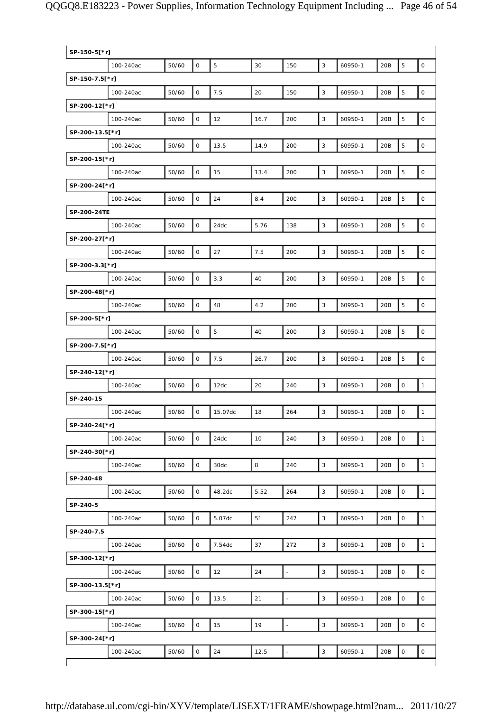| SP-150-5[*r]    |           |       |                     |                |      |                |              |         |     |                |                     |
|-----------------|-----------|-------|---------------------|----------------|------|----------------|--------------|---------|-----|----------------|---------------------|
|                 | 100-240ac | 50/60 | $\mathsf O$         | $\overline{5}$ | 30   | 150            | $\mathbf{3}$ | 60950-1 | 20B | $\overline{5}$ | $\mathsf{O}\xspace$ |
| SP-150-7.5[*r]  |           |       |                     |                |      |                |              |         |     |                |                     |
|                 | 100-240ac | 50/60 | $\mathsf O$         | $7.5\,$        | 20   | 150            | 3            | 60950-1 | 20B | $\overline{5}$ | $\mathsf{O}\xspace$ |
| SP-200-12[*r]   |           |       |                     |                |      |                |              |         |     |                |                     |
|                 | 100-240ac | 50/60 | $\mathsf O$         | 12             | 16.7 | 200            | $\mathsf 3$  | 60950-1 | 20B | 5              | $\mathsf O$         |
| SP-200-13.5[*r] |           |       |                     |                |      |                |              |         |     |                |                     |
|                 | 100-240ac | 50/60 | $\mathsf O$         | 13.5           | 14.9 | 200            | 3            | 60950-1 | 20B | 5              | $\mathsf O$         |
| SP-200-15[*r]   |           |       |                     |                |      |                |              |         |     |                |                     |
|                 | 100-240ac | 50/60 | $\mathsf{O}$        | 15             | 13.4 | 200            | $\mathsf 3$  | 60950-1 | 20B | 5              | $\mathsf O$         |
| SP-200-24[*r]   |           |       |                     |                |      |                |              |         |     |                |                     |
|                 | 100-240ac | 50/60 | $\mathsf{O}$        | 24             | 8.4  | 200            | 3            | 60950-1 | 20B | $\overline{5}$ | $\mathsf{O}\xspace$ |
| SP-200-24TE     |           |       |                     |                |      |                |              |         |     |                |                     |
|                 | 100-240ac | 50/60 | $\mathsf O$         | 24dc           | 5.76 | 138            | $\mathsf 3$  | 60950-1 | 20B | 5              | $\mathsf O$         |
| SP-200-27[*r]   |           |       |                     |                |      |                |              |         |     |                |                     |
|                 | 100-240ac | 50/60 | $\mathsf O$         | 27             | 7.5  | 200            | 3            | 60950-1 | 20B | 5              | $\mathsf O$         |
| SP-200-3.3[*r]  |           |       |                     |                |      |                |              |         |     |                |                     |
|                 | 100-240ac | 50/60 | $\mathsf O$         | 3.3            | 40   | 200            | $\mathbf{3}$ | 60950-1 | 20B | $\overline{5}$ | $\mathsf O$         |
| SP-200-48[*r]   |           |       |                     |                |      |                |              |         |     |                |                     |
|                 | 100-240ac | 50/60 | $\mathsf O$         | 48             | 4.2  | 200            | 3            | 60950-1 | 20B | $\overline{5}$ | $\mathsf{O}\xspace$ |
| SP-200-5[*r]    |           |       |                     |                |      |                |              |         |     |                |                     |
|                 | 100-240ac | 50/60 | $\mathsf O$         | 5              | 40   | 200            | 3            | 60950-1 | 20B | 5              | $\mathsf O$         |
| SP-200-7.5[*r]  |           |       |                     |                |      |                |              |         |     |                |                     |
|                 | 100-240ac | 50/60 | 0                   | 7.5            | 26.7 | 200            | $\mathbf{3}$ | 60950-1 | 20B | 5              | $\mathsf O$         |
| SP-240-12[*r]   |           |       |                     |                |      |                |              |         |     |                |                     |
|                 | 100-240ac | 50/60 | $\mathsf{O}$        | 12dc           | 20   | 240            | $\mathsf 3$  | 60950-1 | 20B | $\mathsf O$    | $\mathbf{1}$        |
| SP-240-15       |           |       |                     |                |      |                |              |         |     |                |                     |
|                 | 100-240ac | 50/60 | $\mathsf{O}$        | 15.07dc        | 18   | 264            | 3            | 60950-1 | 20B | $\mathsf O$    | $\mathbf{1}$        |
| SP-240-24[*r]   |           |       |                     |                |      |                |              |         |     |                |                     |
|                 | 100-240ac | 50/60 | $\mathsf O$         | 24dc           | 10   | 240            | 3            | 60950-1 | 20B | $\mathbf 0$    | $\mathbf{1}$        |
| SP-240-30[*r]   |           |       |                     |                |      |                |              |         |     |                |                     |
|                 | 100-240ac | 50/60 | $\mathsf O$         | 30dc           | 8    | 240            | 3            | 60950-1 | 20B | $\mathsf O$    | $\mathbf{1}$        |
| SP-240-48       |           |       |                     |                |      |                |              |         |     |                |                     |
|                 | 100-240ac | 50/60 | $\mathsf{O}$        | 48.2dc         | 5.52 | 264            | $\mathbf{3}$ | 60950-1 | 20B | $\mathsf O$    | $\mathbf{1}$        |
| SP-240-5        |           |       |                     |                |      |                |              |         |     |                |                     |
|                 | 100-240ac | 50/60 | $\mathsf O$         | 5.07dc         | 51   | 247            | 3            | 60950-1 | 20B | $\mathsf O$    | $\mathbf{1}$        |
| SP-240-7.5      |           |       |                     |                |      |                |              |         |     |                |                     |
|                 | 100-240ac | 50/60 | $\mathsf O$         | 7.54dc         | 37   | 272            | 3            | 60950-1 | 20B | $\mathsf O$    | $\mathbf{1}$        |
| SP-300-12[*r]   |           |       |                     |                |      |                |              |         |     |                |                     |
|                 | 100-240ac | 50/60 | $\mathsf O$         | 12             | 24   | $\overline{a}$ | 3            | 60950-1 | 20B | $\mathbf 0$    | $\mathbf 0$         |
| SP-300-13.5[*r] |           |       |                     |                |      |                |              |         |     |                |                     |
|                 | 100-240ac | 50/60 | $\mathsf O$         | 13.5           | 21   | $\blacksquare$ | $\mathbf{3}$ | 60950-1 | 20B | $\mathsf O$    | $\mathsf{O}\xspace$ |
| SP-300-15[*r]   |           |       |                     |                |      |                |              |         |     |                |                     |
|                 | 100-240ac | 50/60 | $\mathsf O$         | 15             | 19   | $\overline{a}$ | 3            | 60950-1 | 20B | $\mathsf O$    | $\mathsf{O}\xspace$ |
| SP-300-24[*r]   |           |       |                     |                |      |                |              |         |     |                |                     |
|                 | 100-240ac | 50/60 | $\mathsf{O}\xspace$ | 24             | 12.5 | L,             | $\mathsf 3$  | 60950-1 | 20B | $\mathbf 0$    | $\mathsf O$         |
|                 |           |       |                     |                |      |                |              |         |     |                |                     |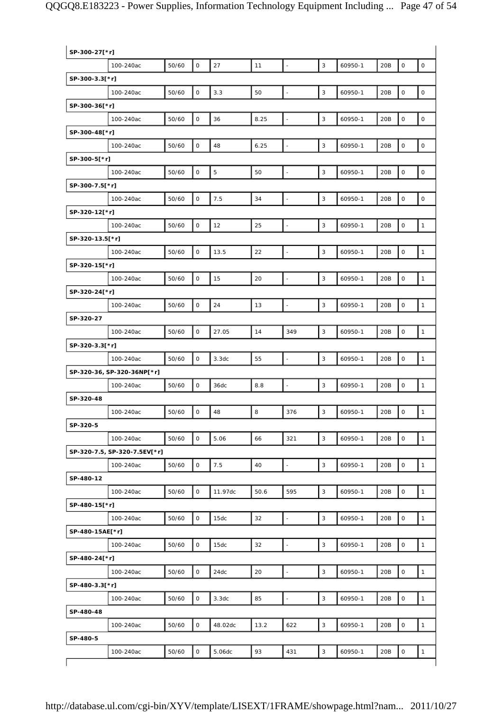| SP-300-27[*r]   |                              |       |              |         |      |                          |              |         |     |             |                     |
|-----------------|------------------------------|-------|--------------|---------|------|--------------------------|--------------|---------|-----|-------------|---------------------|
|                 | 100-240ac                    | 50/60 | $\mathsf{O}$ | 27      | 11   | $\overline{\phantom{a}}$ | 3            | 60950-1 | 20B | $\mathbf 0$ | $\mathsf O$         |
| SP-300-3.3[*r]  |                              |       |              |         |      |                          |              |         |     |             |                     |
|                 | 100-240ac                    | 50/60 | $\mathsf{O}$ | 3.3     | 50   | L,                       | 3            | 60950-1 | 20B | $\mathsf O$ | $\mathsf{O}\xspace$ |
| SP-300-36[*r]   |                              |       |              |         |      |                          |              |         |     |             |                     |
|                 | 100-240ac                    | 50/60 | $\mathsf O$  | 36      | 8.25 | $\blacksquare$           | 3            | 60950-1 | 20B | $\mathsf O$ | $\mathsf O$         |
| SP-300-48[*r]   |                              |       |              |         |      |                          |              |         |     |             |                     |
|                 | 100-240ac                    | 50/60 | $\mathsf O$  | 48      | 6.25 | L,                       | 3            | 60950-1 | 20B | $\mathsf O$ | $\mathsf O$         |
| SP-300-5[*r]    |                              |       |              |         |      |                          |              |         |     |             |                     |
|                 | 100-240ac                    | 50/60 | $\mathsf O$  | 5       | 50   | $\blacksquare$           | 3            | 60950-1 | 20B | $\mathbf 0$ | $\mathsf O$         |
| SP-300-7.5[*r]  |                              |       |              |         |      |                          |              |         |     |             |                     |
|                 | 100-240ac                    | 50/60 | $\mathsf{O}$ | 7.5     | 34   | $\overline{\phantom{a}}$ | 3            | 60950-1 | 20B | $\mathsf O$ | $\mathsf{O}\xspace$ |
| SP-320-12[*r]   |                              |       |              |         |      |                          |              |         |     |             |                     |
|                 | 100-240ac                    | 50/60 | $\mathsf O$  | 12      | 25   | ÷,                       | 3            | 60950-1 | 20B | $\mathsf O$ | $\mathbf{1}$        |
| SP-320-13.5[*r] |                              |       |              |         |      |                          |              |         |     |             |                     |
|                 | 100-240ac                    | 50/60 | $\mathsf O$  | 13.5    | 22   | L,                       | 3            | 60950-1 | 20B | $\mathbf 0$ | $\mathbf{1}$        |
| SP-320-15[*r]   |                              |       |              |         |      |                          |              |         |     |             |                     |
|                 | 100-240ac                    | 50/60 | $\mathsf O$  | 15      | 20   | $\ddot{\phantom{1}}$     | 3            | 60950-1 | 20B | $\mathsf O$ | $\mathbf{1}$        |
| SP-320-24[*r]   |                              |       |              |         |      |                          |              |         |     |             |                     |
|                 | 100-240ac                    | 50/60 | $\mathsf{O}$ | 24      | 13   | ä,                       | 3            | 60950-1 | 20B | $\mathsf O$ | $\mathbf{1}$        |
| SP-320-27       |                              |       |              |         |      |                          |              |         |     |             |                     |
|                 | 100-240ac                    | 50/60 | $\mathbf{O}$ | 27.05   | 14   | 349                      | 3            | 60950-1 | 20B | $\mathbf 0$ | $\mathbf{1}$        |
| SP-320-3.3[*r]  |                              |       |              |         |      |                          |              |         |     |             |                     |
|                 | 100-240ac                    | 50/60 | 0            | 3.3dc   | 55   | $\blacksquare$           | 3            | 60950-1 | 20B | $\mathsf O$ | $\mathbf{1}$        |
|                 | SP-320-36, SP-320-36NP[*r]   |       |              |         |      |                          |              |         |     |             |                     |
|                 | 100-240ac                    | 50/60 | $\mathsf O$  | 36dc    | 8.8  | $\blacksquare$           | 3            | 60950-1 | 20B | $\mathbf 0$ | $\mathbf{1}$        |
| SP-320-48       |                              |       |              |         |      |                          |              |         |     |             |                     |
|                 | 100-240ac                    | 50/60 | $\mathsf{O}$ | 48      | 8    | 376                      | 3            | 60950-1 | 20B | $\mathsf O$ | $\mathbf{1}$        |
| SP-320-5        |                              |       |              |         |      |                          |              |         |     |             |                     |
|                 | 100-240ac                    | 50/60 | $\mathbf 0$  | 5.06    | 66   | 321                      | $\mathbf{3}$ | 60950-1 | 20B | $\mathsf O$ | $\mathbf{1}$        |
|                 | SP-320-7.5, SP-320-7.5EV[*r] |       |              |         |      |                          |              |         |     |             |                     |
|                 | 100-240ac                    | 50/60 | $\mathsf O$  | 7.5     | 40   | $\blacksquare$           | 3            | 60950-1 | 20B | $\mathsf O$ | $\mathbf{1}$        |
| SP-480-12       |                              |       |              |         |      |                          |              |         |     |             |                     |
|                 | 100-240ac                    | 50/60 | $\mathsf O$  | 11.97dc | 50.6 | 595                      | 3            | 60950-1 | 20B | $\mathsf O$ | $\mathbf{1}$        |
| SP-480-15[*r]   |                              |       |              |         |      |                          |              |         |     |             |                     |
|                 | 100-240ac                    | 50/60 | 0            | 15dc    | 32   | $\Box$                   | 3            | 60950-1 | 20B | $\mathsf O$ | $\mathbf{1}$        |
| SP-480-15AE[*r] |                              |       |              |         |      |                          |              |         |     |             |                     |
|                 | 100-240ac                    | 50/60 | $\mathsf O$  | 15dc    | 32   | $\blacksquare$           | 3            | 60950-1 | 20B | $\mathsf O$ | $\mathbf{1}$        |
| SP-480-24[*r]   |                              |       |              |         |      |                          |              |         |     |             |                     |
|                 | 100-240ac                    | 50/60 | 0            | 24dc    | 20   | $\blacksquare$           | 3            | 60950-1 | 20B | $\mathsf O$ | $\mathbf{1}$        |
| SP-480-3.3[*r]  |                              |       |              |         |      |                          |              |         |     |             |                     |
|                 | 100-240ac                    | 50/60 | $\mathsf{O}$ | 3.3dc   | 85   | $\Box$                   | 3            | 60950-1 | 20B | $\mathsf O$ | $\mathbf{1}$        |
| SP-480-48       |                              |       |              |         |      |                          |              |         |     |             |                     |
|                 | 100-240ac                    | 50/60 | 0            | 48.02dc | 13.2 | 622                      | 3            | 60950-1 | 20B | $\mathsf O$ | $\mathbf{1}$        |
| SP-480-5        |                              |       |              |         |      |                          |              |         |     |             |                     |
|                 | 100-240ac                    | 50/60 | $\mathsf O$  | 5.06dc  | 93   | 431                      | 3            | 60950-1 | 20B | $\mathsf O$ | $\mathbf{1}$        |
|                 |                              |       |              |         |      |                          |              |         |     |             |                     |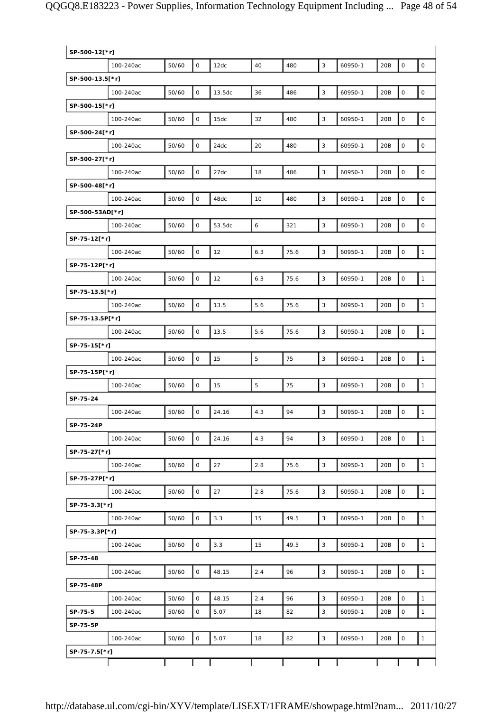| SP-500-12[*r]   |           |       |              |        |     |      |             |         |     |                     |              |
|-----------------|-----------|-------|--------------|--------|-----|------|-------------|---------|-----|---------------------|--------------|
|                 | 100-240ac | 50/60 | $\mathsf{O}$ | 12dc   | 40  | 480  | 3           | 60950-1 | 20B | $\mathsf O$         | $\mathsf O$  |
| SP-500-13.5[*r] |           |       |              |        |     |      |             |         |     |                     |              |
|                 | 100-240ac | 50/60 | O            | 13.5dc | 36  | 486  | $\sqrt{3}$  | 60950-1 | 20B | $\mathsf{O}\xspace$ | $\mathsf O$  |
| SP-500-15[*r]   |           |       |              |        |     |      |             |         |     |                     |              |
|                 | 100-240ac | 50/60 | $\mathsf{O}$ | 15dc   | 32  | 480  | 3           | 60950-1 | 20B | $\mathsf O$         | $\mathsf O$  |
| SP-500-24[*r]   |           |       |              |        |     |      |             |         |     |                     |              |
|                 | 100-240ac | 50/60 | $\mathsf O$  | 24dc   | 20  | 480  | 3           | 60950-1 | 20B | $\mathsf{O}\xspace$ | $\mathsf O$  |
| SP-500-27[*r]   |           |       |              |        |     |      |             |         |     |                     |              |
|                 | 100-240ac | 50/60 | 0            | 27dc   | 18  | 486  | 3           | 60950-1 | 20B | $\mathsf O$         | $\mathsf O$  |
| SP-500-48[*r]   |           |       |              |        |     |      |             |         |     |                     |              |
|                 | 100-240ac | 50/60 | $\mathsf O$  | 48dc   | 10  | 480  | $\mathsf 3$ | 60950-1 | 20B | $\mathsf{O}\xspace$ | $\mathsf{O}$ |
| SP-500-53AD[*r] |           |       |              |        |     |      |             |         |     |                     |              |
|                 | 100-240ac | 50/60 | $\mathsf{O}$ | 53.5dc | 6   | 321  | 3           | 60950-1 | 20B | $\mathsf O$         | $\mathsf O$  |
| SP-75-12[*r]    |           |       |              |        |     |      |             |         |     |                     |              |
|                 | 100-240ac | 50/60 | $\mathsf O$  | 12     | 6.3 | 75.6 | 3           | 60950-1 | 20B | $\mathsf{O}\xspace$ | $\mathbf{1}$ |
| SP-75-12P[*r]   |           |       |              |        |     |      |             |         |     |                     |              |
|                 | 100-240ac | 50/60 | 0            | 12     | 6.3 | 75.6 | 3           | 60950-1 | 20B | $\mathsf O$         | $\mathbf{1}$ |
| SP-75-13.5[*r]  |           |       |              |        |     |      |             |         |     |                     |              |
|                 | 100-240ac | 50/60 | O            | 13.5   | 5.6 | 75.6 | 3           | 60950-1 | 20B | $\mathsf{O}\xspace$ | $\mathbf{1}$ |
| SP-75-13.5P[*r] |           |       |              |        |     |      |             |         |     |                     |              |
|                 | 100-240ac | 50/60 | 0            | 13.5   | 5.6 | 75.6 | 3           | 60950-1 | 20B | $\mathsf{O}\xspace$ | $\mathbf{1}$ |
| SP-75-15[*r]    |           |       |              |        |     |      |             |         |     |                     |              |
|                 | 100-240ac | 50/60 | $\mathsf{O}$ | 15     | 5   | 75   | 3           | 60950-1 | 20B | $\mathsf{O}\xspace$ | $\mathbf{1}$ |
| SP-75-15P[*r]   |           |       |              |        |     |      |             |         |     |                     |              |
|                 | 100-240ac | 50/60 | 0            | 15     | 5   | 75   | 3           | 60950-1 | 20B | 0                   | $\mathbf{1}$ |
| SP-75-24        |           |       |              |        |     |      |             |         |     |                     |              |
|                 | 100-240ac | 50/60 | 0            | 24.16  | 4.3 | 94   | 3           | 60950-1 | 20B | $\mathsf O$         | $\mathbf{1}$ |
| SP-75-24P       |           |       |              |        |     |      |             |         |     |                     |              |
|                 | 100-240ac | 50/60 | 0            | 24.16  | 4.3 | 94   | 3           | 60950-1 | 20B | $\mathsf O$         | $\mathbf{1}$ |
| SP-75-27[*r]    |           |       |              |        |     |      |             |         |     |                     |              |
|                 | 100-240ac | 50/60 | $\mathsf O$  | 27     | 2.8 | 75.6 | 3           | 60950-1 | 20B | $\mathsf O$         | $\mathbf{1}$ |
| SP-75-27P[*r]   |           |       |              |        |     |      |             |         |     |                     |              |
|                 | 100-240ac | 50/60 | O            | 27     | 2.8 | 75.6 | 3           | 60950-1 | 20B | $\mathsf{O}$        | $\mathbf{1}$ |
| SP-75-3.3[*r]   |           |       |              |        |     |      |             |         |     |                     |              |
|                 | 100-240ac | 50/60 | 0            | 3.3    | 15  | 49.5 | $\mathsf 3$ | 60950-1 | 20B | $\mathsf{O}\xspace$ | $\mathbf{1}$ |
| SP-75-3.3P[*r]  |           |       |              |        |     |      |             |         |     |                     |              |
|                 | 100-240ac | 50/60 | $\mathsf O$  | 3.3    | 15  | 49.5 | 3           | 60950-1 | 20B | $\mathsf{O}$        | $\mathbf{1}$ |
| SP-75-48        |           |       |              |        |     |      |             |         |     |                     |              |
|                 | 100-240ac | 50/60 | $\mathsf{O}$ | 48.15  | 2.4 | 96   | $\mathsf 3$ | 60950-1 | 20B | $\mathsf O$         | $\mathbf{1}$ |
| SP-75-48P       |           |       |              |        |     |      |             |         |     |                     |              |
|                 | 100-240ac | 50/60 | 0            | 48.15  | 2.4 | 96   | 3           | 60950-1 | 20B | 0                   | $\mathbf{1}$ |
| SP-75-5         | 100-240ac | 50/60 | $\mathsf{O}$ | 5.07   | 18  | 82   | 3           | 60950-1 | 20B | $\mathsf O$         | $\mathbf{1}$ |
| SP-75-5P        |           |       |              |        |     |      |             |         |     |                     |              |
|                 | 100-240ac | 50/60 | $\mathsf{O}$ | 5.07   | 18  | 82   | 3           | 60950-1 | 20B | $\mathsf O$         | $\mathbf{1}$ |
| SP-75-7.5[*r]   |           |       |              |        |     |      |             |         |     |                     |              |
|                 |           |       |              |        |     |      |             |         |     |                     |              |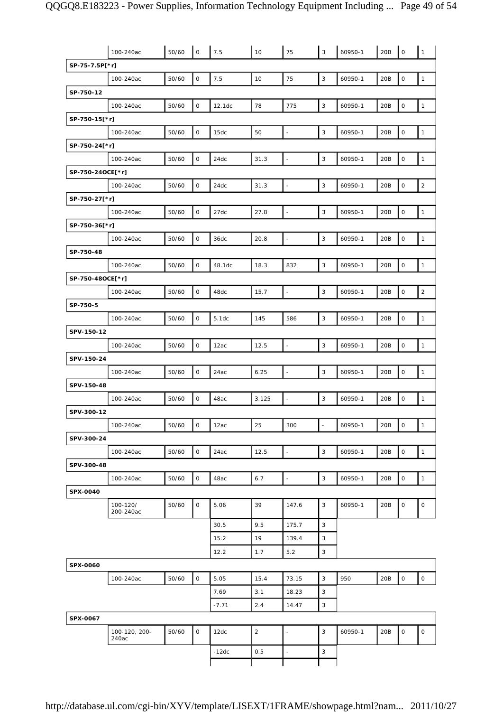|                  | 100-240ac              | 50/60 | $\mathsf O$         | 7.5     | 10             | 75                       | 3                        | 60950-1 | 20B | $\circ$             | $\mathbf{1}$        |
|------------------|------------------------|-------|---------------------|---------|----------------|--------------------------|--------------------------|---------|-----|---------------------|---------------------|
| SP-75-7.5P[*r]   |                        |       |                     |         |                |                          |                          |         |     |                     |                     |
|                  | 100-240ac              | 50/60 | $\mathsf{O}$        | 7.5     | 10             | 75                       | $\mathsf 3$              | 60950-1 | 20B | $\mathsf O$         | $\mathbf{1}$        |
| SP-750-12        |                        |       |                     |         |                |                          |                          |         |     |                     |                     |
|                  | 100-240ac              | 50/60 | $\mathsf O$         | 12.1dc  | 78             | 775                      | 3                        | 60950-1 | 20B | $\mathsf O$         | $\mathbf{1}$        |
| SP-750-15[*r]    |                        |       |                     |         |                |                          |                          |         |     |                     |                     |
|                  | 100-240ac              | 50/60 | $\mathsf O$         | 15dc    | 50             | $\overline{\phantom{a}}$ | $\mathbf{3}$             | 60950-1 | 20B | $\mathsf{O}\xspace$ | $\mathbf{1}$        |
| SP-750-24[*r]    |                        |       |                     |         |                |                          |                          |         |     |                     |                     |
|                  | 100-240ac              | 50/60 | $\mathsf O$         | 24dc    | 31.3           | $\Box$                   | $\mathbf{3}$             | 60950-1 | 20B | $\mathsf{O}\xspace$ | $\mathbf{1}$        |
| SP-750-24OCE[*r] |                        |       |                     |         |                |                          |                          |         |     |                     |                     |
|                  | 100-240ac              | 50/60 | $\mathsf O$         | 24dc    | 31.3           | $\Box$                   | 3                        | 60950-1 | 20B | $\mathsf O$         | $\sqrt{2}$          |
| SP-750-27[*r]    |                        |       |                     |         |                |                          |                          |         |     |                     |                     |
|                  | 100-240ac              | 50/60 | $\mathsf{O}$        | 27dc    | 27.8           | $\overline{\phantom{a}}$ | $\mathsf 3$              | 60950-1 | 20B | $\mathsf{O}\xspace$ | $\mathbf{1}$        |
| SP-750-36[*r]    |                        |       |                     |         |                |                          |                          |         |     |                     |                     |
|                  | 100-240ac              | 50/60 | $\mathsf{O}\xspace$ | 36dc    | 20.8           | $\omega$                 | $\mathbf{3}$             | 60950-1 | 20B | $\mathsf{O}\xspace$ | $\mathbf{1}$        |
| SP-750-48        |                        |       |                     |         |                |                          |                          |         |     |                     |                     |
|                  | 100-240ac              | 50/60 | $\mathsf O$         | 48.1dc  | 18.3           | 832                      | $\mathbf{3}$             | 60950-1 | 20B | $\mathsf O$         | $\mathbf{1}$        |
| SP-750-48OCE[*r] |                        |       |                     |         |                |                          |                          |         |     |                     |                     |
|                  | 100-240ac              | 50/60 | $\mathsf O$         | 48dc    | 15.7           | $\overline{\phantom{a}}$ | $\mathsf 3$              | 60950-1 | 20B | $\mathsf{O}\xspace$ | $\sqrt{2}$          |
| SP-750-5         |                        |       |                     |         |                |                          |                          |         |     |                     |                     |
|                  | 100-240ac              | 50/60 | $\mathsf O$         | 5.1dc   | 145            | 586                      | $\mathbf{3}$             | 60950-1 | 20B | $\mathsf O$         | $\mathbf{1}$        |
| SPV-150-12       |                        |       |                     |         |                |                          |                          |         |     |                     |                     |
|                  | 100-240ac              | 50/60 | $\mathsf O$         | 12ac    | 12.5           | $\Box$                   | $\mathbf{3}$             | 60950-1 | 20B | $\mathsf{O}\xspace$ | $\mathbf{1}$        |
| SPV-150-24       |                        |       |                     |         |                |                          |                          |         |     |                     |                     |
|                  | 100-240ac              | 50/60 | $\mathsf O$         | 24ac    | 6.25           | $\overline{\phantom{a}}$ | 3                        | 60950-1 | 20B | $\mathsf{O}\xspace$ | $\mathbf{1}$        |
| SPV-150-48       |                        |       |                     |         |                |                          |                          |         |     |                     |                     |
|                  | 100-240ac              | 50/60 | $\mathsf O$         | 48ac    | 3.125          | $\overline{\phantom{a}}$ | 3                        | 60950-1 | 20B | $\mathsf O$         | $\mathbf 1$         |
| SPV-300-12       |                        |       |                     |         |                |                          |                          |         |     |                     |                     |
|                  | 100-240ac              | 50/60 | 0                   | 12ac    | 25             | 300                      | $\overline{\phantom{a}}$ | 60950-1 | 20B | $\overline{1}$      | $\sqrt{1}$          |
| SPV-300-24       |                        |       |                     |         |                |                          |                          |         |     |                     |                     |
|                  | 100-240ac              | 50/60 | $\mathsf O$         | 24ac    | 12.5           | $\Box$                   | $\mathbf{3}$             | 60950-1 | 20B | $\mathsf{O}\xspace$ | $\mathbf{1}$        |
| SPV-300-48       |                        |       |                     |         |                |                          |                          |         |     |                     |                     |
|                  | 100-240ac              | 50/60 | $\mathsf O$         | 48ac    | 6.7            | $\overline{\phantom{a}}$ | $\mathbf{3}$             | 60950-1 | 20B | $\mathsf O$         | $\mathbf{1}$        |
| SPX-0040         |                        |       |                     |         |                |                          |                          |         |     |                     |                     |
|                  | 100-120/<br>200-240ac  | 50/60 | $\mathsf{O}$        | 5.06    | 39             | 147.6                    | 3                        | 60950-1 | 20B | 0                   | $\mathsf{O}\xspace$ |
|                  |                        |       |                     | 30.5    | 9.5            | 175.7                    | 3                        |         |     |                     |                     |
|                  |                        |       |                     | 15.2    | 19             | 139.4                    | 3                        |         |     |                     |                     |
|                  |                        |       |                     | 12.2    | 1.7            | 5.2                      | $\mathsf 3$              |         |     |                     |                     |
| SPX-0060         |                        |       |                     |         |                |                          |                          |         |     |                     |                     |
|                  | 100-240ac              | 50/60 | $\mathsf O$         | 5.05    | 15.4           | 73.15                    | 3                        | 950     | 20B | $\circ$             | $\mathsf{O}\xspace$ |
|                  |                        |       |                     | 7.69    | 3.1            | 18.23                    | 3                        |         |     |                     |                     |
|                  |                        |       |                     | $-7.71$ | 2.4            | 14.47                    | 3                        |         |     |                     |                     |
| SPX-0067         |                        |       |                     |         |                |                          |                          |         |     |                     |                     |
|                  | 100-120, 200-<br>240ac | 50/60 | $\mathsf O$         | 12dc    | $\overline{2}$ | ÷,                       | 3                        | 60950-1 | 20B | 0                   | $\mathsf O$         |
|                  |                        |       |                     | $-12dc$ | 0.5            | $\Box$                   | 3                        |         |     |                     |                     |
|                  |                        |       |                     |         |                |                          |                          |         |     |                     |                     |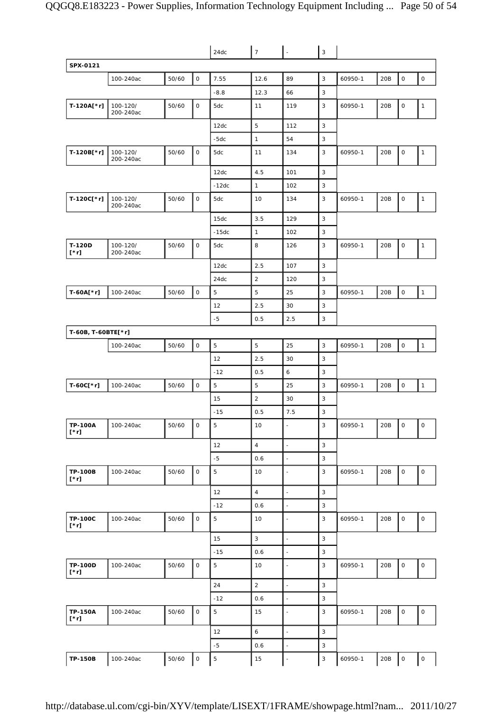|                               |                       |       |                     | 24dc           | $\overline{7}$ | $\overline{\phantom{a}}$ | $\mathbf{3}$ |         |     |                     |              |
|-------------------------------|-----------------------|-------|---------------------|----------------|----------------|--------------------------|--------------|---------|-----|---------------------|--------------|
| SPX-0121                      |                       |       |                     |                |                |                          |              |         |     |                     |              |
|                               | 100-240ac             | 50/60 | $\mathsf O$         | 7.55           | 12.6           | 89                       | $\mathbf{3}$ | 60950-1 | 20B | $\mathsf{O}$        | $\mathsf O$  |
|                               |                       |       |                     | $-8.8$         | 12.3           | 66                       | 3            |         |     |                     |              |
| T-120A[*r]                    | 100-120/<br>200-240ac | 50/60 | $\mathsf O$         | 5dc            | 11             | 119                      | 3            | 60950-1 | 20B | $\mathsf O$         | $\mathbf{1}$ |
|                               |                       |       |                     | 12dc           | 5              | 112                      | 3            |         |     |                     |              |
|                               |                       |       |                     | $-5dc$         | $\mathbf{1}$   | 54                       | 3            |         |     |                     |              |
| T-120B[*r]                    | 100-120/<br>200-240ac | 50/60 | $\mathsf{O}$        | 5dc            | 11             | 134                      | 3            | 60950-1 | 20B | $\mathsf O$         | $\mathbf{1}$ |
|                               |                       |       |                     | 12dc           | 4.5            | 101                      | 3            |         |     |                     |              |
|                               |                       |       |                     | $-12dc$        | $\mathbf{1}$   | 102                      | 3            |         |     |                     |              |
| T-120C[*r]                    | 100-120/<br>200-240ac | 50/60 | $\mathsf{O}$        | 5dc            | 10             | 134                      | 3            | 60950-1 | 20B | $\mathsf O$         | $\mathbf{1}$ |
|                               |                       |       |                     | 15dc           | 3.5            | 129                      | 3            |         |     |                     |              |
|                               |                       |       |                     | $-15dc$        | $\mathbf{1}$   | 102                      | 3            |         |     |                     |              |
| T-120D<br>$[\cdot r]$         | 100-120/<br>200-240ac | 50/60 | $\mathsf{O}$        | 5dc            | 8              | 126                      | 3            | 60950-1 | 20B | $\mathsf O$         | $\mathbf{1}$ |
|                               |                       |       |                     | 12dc           | 2.5            | 107                      | 3            |         |     |                     |              |
|                               |                       |       |                     | 24dc           | $\overline{2}$ | 120                      | 3            |         |     |                     |              |
| T-60A[*r]                     | 100-240ac             | 50/60 | $\mathsf{O}$        | 5              | $\overline{5}$ | 25                       | 3            | 60950-1 | 20B | $\mathsf O$         | $\mathbf{1}$ |
|                               |                       |       |                     | 12             | 2.5            | 30                       | 3            |         |     |                     |              |
|                               |                       |       |                     | $-5$           | 0.5            | 2.5                      | 3            |         |     |                     |              |
| T-60B, T-60BTE[*r]            |                       |       |                     |                |                |                          |              |         |     |                     |              |
|                               | 100-240ac             | 50/60 | $\mathsf O$         | 5              | 5              | 25                       | 3            | 60950-1 | 20B | $\mathsf O$         | $\mathbf{1}$ |
|                               |                       |       |                     | 12             | 2.5            | 30                       | 3            |         |     |                     |              |
|                               |                       |       |                     | $-12$          | 0.5            | 6                        | 3            |         |     |                     |              |
| T-60C[*r]                     | 100-240ac             | 50/60 | $\mathsf O$         | 5              | 5              | 25                       | 3            | 60950-1 | 20B | $\mathsf{O}\xspace$ | $\mathbf{1}$ |
|                               |                       |       |                     | 15             | $\overline{2}$ | 30                       | 3            |         |     |                     |              |
|                               |                       |       |                     | $-15$          | 0.5            | 7.5                      | 3            |         |     |                     |              |
| <b>TP-100A</b><br>$[\cdot r]$ | 100-240ac             | 50/60 | O                   | 5              | 10             |                          | 3            | 60950-1 | 20B | $\mathsf{O}\xspace$ | 0            |
|                               |                       |       |                     | 12             | $\overline{4}$ | $\overline{\phantom{a}}$ | $\mathbf{3}$ |         |     |                     |              |
|                               |                       |       |                     | $-5$           | 0.6            | $\overline{\phantom{a}}$ | $\mathsf 3$  |         |     |                     |              |
| <b>TP-100B</b><br>$[\cdot r]$ | 100-240ac             | 50/60 | $\mathsf O$         | $\overline{5}$ | 10             | $\overline{\phantom{a}}$ | 3            | 60950-1 | 20B | $\mathsf O$         | 0            |
|                               |                       |       |                     | 12             | $\overline{4}$ | $\overline{\phantom{a}}$ | $\mathsf 3$  |         |     |                     |              |
|                               |                       |       |                     | $-12$          | 0.6            | $\overline{\phantom{a}}$ | $\mathbf{3}$ |         |     |                     |              |
| <b>TP-100C</b><br>$[\cdot r]$ | 100-240ac             | 50/60 | $\mathsf{O}$        | $\overline{5}$ | 10             | $\overline{\phantom{a}}$ | 3            | 60950-1 | 20B | $\mathsf O$         | 0            |
|                               |                       |       |                     | 15             | 3              | $\overline{\phantom{a}}$ | 3            |         |     |                     |              |
|                               |                       |       |                     | $-15$          | 0.6            | $\overline{\phantom{a}}$ | $\mathsf 3$  |         |     |                     |              |
| <b>TP-100D</b><br>$[\cdot r]$ | 100-240ac             | 50/60 | $\mathsf{O}$        | 5              | 10             | $\overline{\phantom{a}}$ | $\mathbf{3}$ | 60950-1 | 20B | $\mathsf O$         | $\mathsf O$  |
|                               |                       |       |                     | 24             | $\sqrt{2}$     | $\overline{\phantom{a}}$ | $\mathsf 3$  |         |     |                     |              |
|                               |                       |       |                     | $-12$          | 0.6            | $\overline{\phantom{a}}$ | $\mathsf 3$  |         |     |                     |              |
| <b>TP-150A</b><br>$[\cdot r]$ | 100-240ac             | 50/60 | $\mathsf{O}$        | $\overline{5}$ | 15             | $\blacksquare$           | 3            | 60950-1 | 20B | $\mathsf O$         | $\mathsf O$  |
|                               |                       |       |                     | 12             | 6              | $\overline{\phantom{a}}$ | 3            |         |     |                     |              |
|                               |                       |       |                     | $-5$           | 0.6            | $\blacksquare$           | $\mathsf 3$  |         |     |                     |              |
| <b>TP-150B</b>                | 100-240ac             | 50/60 | $\mathsf{O}\xspace$ | $\mathbf 5$    | 15             | ÷                        | $\mathbf{3}$ | 60950-1 | 20B | $\mathsf{O}\xspace$ | $\mathsf O$  |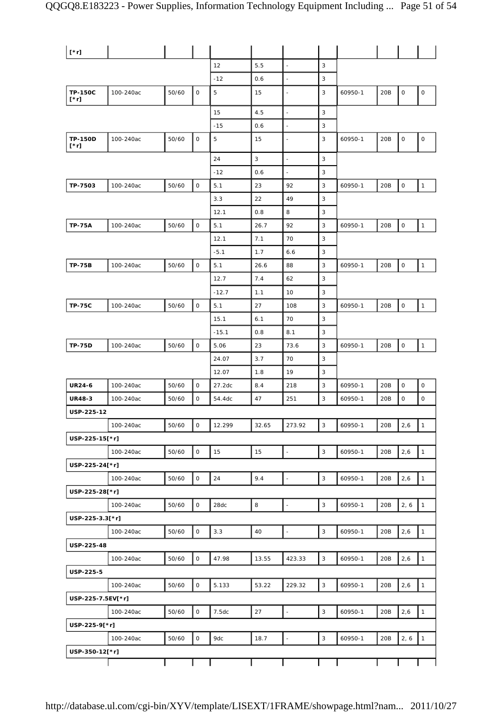| $[*r]$                        |           |       |              |         |       |                          |                |         |     |              |                |
|-------------------------------|-----------|-------|--------------|---------|-------|--------------------------|----------------|---------|-----|--------------|----------------|
|                               |           |       |              | 12      | 5.5   | $\bar{z}$                | 3              |         |     |              |                |
|                               |           |       |              | $-12$   | 0.6   | $\overline{a}$           | 3              |         |     |              |                |
| <b>TP-150C</b><br>$[\cdot r]$ | 100-240ac | 50/60 | $\mathsf O$  | 5       | 15    |                          | 3              | 60950-1 | 20B | $\mathsf O$  | $\mathsf O$    |
|                               |           |       |              | 15      | 4.5   | $\overline{\phantom{a}}$ | $\sqrt{3}$     |         |     |              |                |
|                               |           |       |              | $-15$   | 0.6   | $\overline{\phantom{a}}$ | 3              |         |     |              |                |
| <b>TP-150D</b><br>[*r]        | 100-240ac | 50/60 | $\mathsf O$  | 5       | 15    |                          | 3              | 60950-1 | 20B | $\mathsf O$  | 0              |
|                               |           |       |              | 24      | 3     | $\overline{a}$           | 3              |         |     |              |                |
|                               |           |       |              | $-12$   | 0.6   | ÷,                       | 3              |         |     |              |                |
| TP-7503                       | 100-240ac | 50/60 | $\mathsf O$  | 5.1     | 23    | 92                       | 3              | 60950-1 | 20B | $\mathsf O$  | $\mathbf{1}$   |
|                               |           |       |              | 3.3     | 22    | 49                       | 3              |         |     |              |                |
|                               |           |       |              | 12.1    | 0.8   | 8                        | 3              |         |     |              |                |
| <b>TP-75A</b>                 | 100-240ac | 50/60 | $\mathsf O$  | 5.1     | 26.7  | 92                       | 3              | 60950-1 | 20B | $\mathsf O$  | $\mathbf{1}$   |
|                               |           |       |              | 12.1    | 7.1   | 70                       | 3              |         |     |              |                |
|                               |           |       |              | $-5.1$  | 1.7   | 6.6                      | 3              |         |     |              |                |
| <b>TP-75B</b>                 | 100-240ac | 50/60 | $\mathsf O$  | 5.1     | 26.6  | 88                       | 3              | 60950-1 | 20B | $\mathsf O$  | $\mathbf{1}$   |
|                               |           |       |              | 12.7    | 7.4   | 62                       | 3              |         |     |              |                |
|                               |           |       |              | $-12.7$ | 1.1   | 10                       | 3              |         |     |              |                |
| <b>TP-75C</b>                 | 100-240ac | 50/60 | $\mathsf O$  | 5.1     | 27    | 108                      | 3              | 60950-1 | 20B | $\mathsf{O}$ | $\mathbf{1}$   |
|                               |           |       |              | 15.1    | 6.1   | 70                       | 3              |         |     |              |                |
|                               |           |       |              | $-15.1$ | 0.8   | 8.1                      | 3              |         |     |              |                |
| <b>TP-75D</b>                 | 100-240ac | 50/60 | $\mathsf O$  | 5.06    | 23    | 73.6                     | 3              | 60950-1 | 20B | $\mathsf O$  | $\mathbf{1}$   |
|                               |           |       |              | 24.07   | 3.7   | 70                       | 3              |         |     |              |                |
|                               |           |       |              | 12.07   | 1.8   | 19                       | 3              |         |     |              |                |
| <b>UR24-6</b>                 | 100-240ac | 50/60 | 0            | 27.2dc  | 8.4   | 218                      | 3              | 60950-1 | 20B | 0            | 0              |
| <b>UR48-3</b>                 | 100-240ac | 50/60 | 0            | 54.4dc  | 47    | 251                      | 3              | 60950-1 | 20B | $\mathsf O$  | $\mathsf O$    |
| USP-225-12                    |           |       |              |         |       |                          |                |         |     |              |                |
|                               | 100-240ac | 50/60 | $\mathsf O$  | 12.299  | 32.65 | 273.92                   | 3              | 60950-1 | 20B | 2,6          | $\overline{1}$ |
| USP-225-15[*r]                |           |       |              |         |       |                          |                |         |     |              |                |
|                               | 100-240ac | 50/60 | $\mathsf O$  | 15      | 15    | $\frac{1}{2}$            | $\overline{3}$ | 60950-1 | 20B | 2,6          | $\mathbf{1}$   |
| USP-225-24[*r]                |           |       |              |         |       |                          |                |         |     |              |                |
|                               | 100-240ac | 50/60 | $\mathsf O$  | 24      | 9.4   | $\Box$                   | 3              | 60950-1 | 20B | 2,6          | $\mathbf{1}$   |
| USP-225-28[*r]                |           |       |              |         |       |                          |                |         |     |              |                |
|                               | 100-240ac | 50/60 | $\mathsf O$  | 28dc    | 8     | $\overline{\phantom{a}}$ | $\mathsf 3$    | 60950-1 | 20B | 2, 6         | $\mathbf{1}$   |
| USP-225-3.3[*r]               |           |       |              |         |       |                          |                |         |     |              |                |
|                               | 100-240ac | 50/60 | $\mathsf{O}$ | 3.3     | 40    | $\Box$                   | $\mathbf{3}$   | 60950-1 | 20B | 2,6          | $\mathbf{1}$   |
| USP-225-48                    |           |       |              |         |       |                          |                |         |     |              |                |
|                               | 100-240ac | 50/60 | $\mathsf{O}$ | 47.98   | 13.55 | 423.33                   | 3              | 60950-1 | 20B | 2,6          | $\mathbf{1}$   |
| USP-225-5                     |           |       |              |         |       |                          |                |         |     |              |                |
|                               | 100-240ac | 50/60 | $\mathsf O$  | 5.133   | 53.22 | 229.32                   | $\mathbf{3}$   | 60950-1 | 20B | 2,6          | $\mathbf{1}$   |
| USP-225-7.5EV[*r]             |           |       |              |         |       |                          |                |         |     |              |                |
|                               | 100-240ac | 50/60 | $\mathsf O$  | 7.5dc   | 27    |                          | $\mathbf{3}$   | 60950-1 | 20B | 2,6          | $\mathbf{1}$   |
| USP-225-9[*r]                 |           |       |              |         |       |                          |                |         |     |              |                |
|                               | 100-240ac | 50/60 | 0            | 9dc     | 18.7  | $\Box$                   | $\mathbf{3}$   | 60950-1 | 20B | 2, 6         | $\overline{1}$ |
| USP-350-12[*r]                |           |       |              |         |       |                          |                |         |     |              |                |
|                               |           |       |              |         |       |                          |                |         |     |              |                |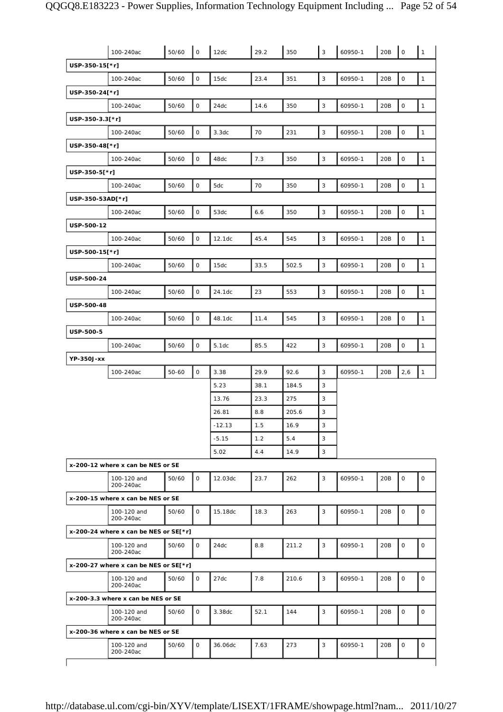|                  | 100-240ac                               | 50/60 | $\mathsf O$  | 12dc    | 29.2 | 350   | 3            | 60950-1 | 20B | $\mathsf{O}$        | $\mathbf{1}$ |
|------------------|-----------------------------------------|-------|--------------|---------|------|-------|--------------|---------|-----|---------------------|--------------|
| USP-350-15[*r]   |                                         |       |              |         |      |       |              |         |     |                     |              |
|                  | 100-240ac                               | 50/60 | $\mathsf O$  | 15dc    | 23.4 | 351   | $\mathsf 3$  | 60950-1 | 20B | $\mathbf 0$         | $\mathbf{1}$ |
| USP-350-24[*r]   |                                         |       |              |         |      |       |              |         |     |                     |              |
|                  | 100-240ac                               | 50/60 | 0            | 24dc    | 14.6 | 350   | 3            | 60950-1 | 20B | $\mathsf O$         | $\mathbf{1}$ |
| USP-350-3.3[*r]  |                                         |       |              |         |      |       |              |         |     |                     |              |
|                  | 100-240ac                               | 50/60 | $\mathsf O$  | 3.3dc   | 70   | 231   | $\mathsf 3$  | 60950-1 | 20B | $\mathsf{O}\xspace$ | $\mathbf{1}$ |
| USP-350-48[*r]   |                                         |       |              |         |      |       |              |         |     |                     |              |
|                  | 100-240ac                               | 50/60 | $\mathsf{O}$ | 48dc    | 7.3  | 350   | $\mathsf 3$  | 60950-1 | 20B | $\mathsf{O}\xspace$ | $\mathbf{1}$ |
| USP-350-5[*r]    |                                         |       |              |         |      |       |              |         |     |                     |              |
|                  | 100-240ac                               | 50/60 | $\mathsf O$  | 5dc     | 70   | 350   | 3            | 60950-1 | 20B | $\mathsf{O}\xspace$ | $\mathbf{1}$ |
| USP-350-53AD[*r] |                                         |       |              |         |      |       |              |         |     |                     |              |
|                  | 100-240ac                               | 50/60 | 0            | 53dc    | 6.6  | 350   | 3            | 60950-1 | 20B | $\mathsf O$         | $\mathbf{1}$ |
| USP-500-12       |                                         |       |              |         |      |       |              |         |     |                     |              |
|                  | 100-240ac                               | 50/60 | $\mathsf{O}$ | 12.1dc  | 45.4 | 545   | $\mathsf 3$  | 60950-1 | 20B | $\mathsf O$         | $\mathbf{1}$ |
| USP-500-15[*r]   |                                         |       |              |         |      |       |              |         |     |                     |              |
|                  | 100-240ac                               | 50/60 | 0            | 15dc    | 33.5 | 502.5 | 3            | 60950-1 | 20B | $\mathsf{O}\xspace$ | $\mathbf{1}$ |
| USP-500-24       |                                         |       |              |         |      |       |              |         |     |                     |              |
|                  | 100-240ac                               | 50/60 | $\mathsf O$  | 24.1dc  | 23   | 553   | $\mathbf{3}$ | 60950-1 | 20B | $\mathbf 0$         | $\mathbf{1}$ |
| USP-500-48       |                                         |       |              |         |      |       |              |         |     |                     |              |
|                  | 100-240ac                               | 50/60 | 0            | 48.1dc  | 11.4 | 545   | 3            | 60950-1 | 20B | $\mathsf O$         | $\mathbf{1}$ |
| USP-500-5        |                                         |       |              |         |      |       |              |         |     |                     |              |
|                  | 100-240ac                               | 50/60 | $\mathsf O$  | 5.1dc   | 85.5 | 422   | $\mathsf 3$  | 60950-1 | 20B | $\mathsf{O}\xspace$ | $\mathbf{1}$ |
| YP-350J-xx       |                                         |       |              |         |      |       |              |         |     |                     |              |
|                  | 100-240ac                               | 50-60 | $\mathsf O$  | 3.38    | 29.9 | 92.6  | 3            | 60950-1 | 20B | 2,6                 | $\mathbf{1}$ |
|                  |                                         |       |              | 5.23    | 38.1 | 184.5 | 3            |         |     |                     |              |
|                  |                                         |       |              | 13.76   | 23.3 | 275   | 3            |         |     |                     |              |
|                  |                                         |       |              | 26.81   | 8.8  | 205.6 | 3            |         |     |                     |              |
|                  |                                         |       |              | -12.13  | 1.5  | 16.9  | 3            |         |     |                     |              |
|                  |                                         |       |              | $-5.15$ | 1.2  | 5.4   | 3            |         |     |                     |              |
|                  |                                         |       |              | 5.02    | 4.4  | 14.9  | 3            |         |     |                     |              |
|                  | x-200-12 where x can be NES or SE       |       |              |         |      |       |              |         |     |                     |              |
|                  | 100-120 and<br>200-240ac                | 50/60 | $\mathsf{O}$ | 12.03dc | 23.7 | 262   | 3            | 60950-1 | 20B | $\mathsf O$         | $\mathsf O$  |
|                  | x-200-15 where x can be NES or SE       |       |              |         |      |       |              |         |     |                     |              |
|                  | 100-120 and<br>200-240ac                | 50/60 | 0            | 15.18dc | 18.3 | 263   | 3            | 60950-1 | 20B | $\mathbf 0$         | $\mathbf 0$  |
|                  | x-200-24 where x can be NES or $SE[*r]$ |       |              |         |      |       |              |         |     |                     |              |
|                  | 100-120 and<br>200-240ac                | 50/60 | 0            | 24dc    | 8.8  | 211.2 | 3            | 60950-1 | 20B | 0                   | 0            |
|                  | x-200-27 where x can be NES or SE[*r]   |       |              |         |      |       |              |         |     |                     |              |
|                  | 100-120 and<br>200-240ac                | 50/60 | 0            | 27dc    | 7.8  | 210.6 | 3            | 60950-1 | 20B | $\mathbf 0$         | $\mathsf{O}$ |
|                  | x-200-3.3 where x can be NES or SE      |       |              |         |      |       |              |         |     |                     |              |
|                  | 100-120 and<br>200-240ac                | 50/60 | $\mathsf{O}$ | 3.38dc  | 52.1 | 144   | 3            | 60950-1 | 20B | $\mathsf{O}$        | $\mathsf{O}$ |
|                  |                                         |       |              |         |      |       |              |         |     |                     |              |
|                  | x-200-36 where x can be NES or SE       |       |              |         |      |       |              |         |     |                     |              |
|                  | 100-120 and<br>200-240ac                | 50/60 | 0            | 36.06dc | 7.63 | 273   | 3            | 60950-1 | 20B | 0                   | 0            |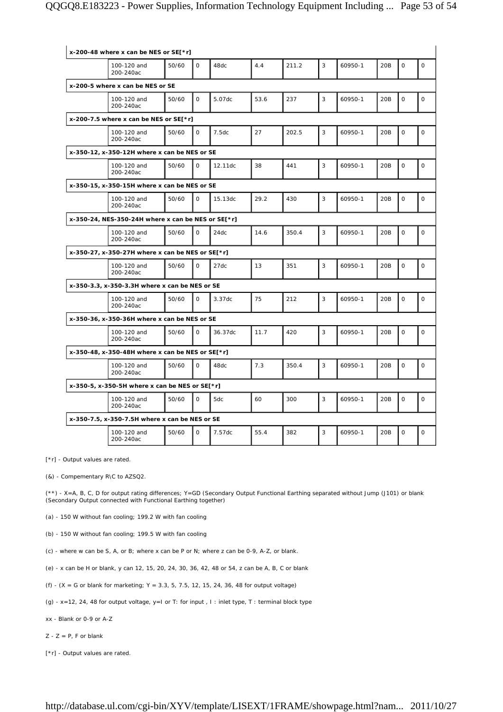| x-200-48 where x can be NES or SE[*r]                   |       |              |         |      |       |   |         |     |              |              |
|---------------------------------------------------------|-------|--------------|---------|------|-------|---|---------|-----|--------------|--------------|
| 100-120 and<br>200-240ac                                | 50/60 | $\Omega$     | 48dc    | 4.4  | 211.2 | 3 | 60950-1 | 20B | $\mathsf{O}$ | $\mathbf 0$  |
| x-200-5 where x can be NES or SE                        |       |              |         |      |       |   |         |     |              |              |
| 100-120 and<br>200-240ac                                | 50/60 | $\Omega$     | 5.07dc  | 53.6 | 237   | 3 | 60950-1 | 20B | $\mathsf{O}$ | $\circ$      |
| x-200-7.5 where x can be NES or $SE[*r]$                |       |              |         |      |       |   |         |     |              |              |
| 100-120 and<br>200-240ac                                | 50/60 | $\Omega$     | 7.5dc   | 27   | 202.5 | 3 | 60950-1 | 20B | $\mathbf 0$  | $\circ$      |
| x-350-12, x-350-12H where x can be NES or SE            |       |              |         |      |       |   |         |     |              |              |
| 100-120 and<br>200-240ac                                | 50/60 | $\Omega$     | 12.11dc | 38   | 441   | 3 | 60950-1 | 20B | $\Omega$     | $\mathbf 0$  |
| x-350-15, x-350-15H where x can be NES or SE            |       |              |         |      |       |   |         |     |              |              |
| 100-120 and<br>200-240ac                                | 50/60 | $\mathsf{O}$ | 15.13dc | 29.2 | 430   | 3 | 60950-1 | 20B | $\mathbf 0$  | $\mathsf{O}$ |
| x-350-24, NES-350-24H where x can be NES or SE[*r]      |       |              |         |      |       |   |         |     |              |              |
| 100-120 and<br>200-240ac                                | 50/60 | $\Omega$     | 24dc    | 14.6 | 350.4 | 3 | 60950-1 | 20B | $\Omega$     | $\mathbf 0$  |
| x-350-27, x-350-27H where x can be NES or SE[*r]        |       |              |         |      |       |   |         |     |              |              |
| 100-120 and<br>200-240ac                                | 50/60 | $\mathsf{O}$ | 27dc    | 13   | 351   | 3 | 60950-1 | 20B | $\mathbf 0$  | $\mathbf 0$  |
| x-350-3.3, x-350-3.3H where x can be NES or SE          |       |              |         |      |       |   |         |     |              |              |
| 100-120 and<br>200-240ac                                | 50/60 | $\mathbf{O}$ | 3.37dc  | 75   | 212   | 3 | 60950-1 | 20B | $\mathsf{O}$ | $\mathbf 0$  |
| x-350-36, x-350-36H where x can be NES or SE            |       |              |         |      |       |   |         |     |              |              |
| 100-120 and<br>200-240ac                                | 50/60 | $\Omega$     | 36.37dc | 11.7 | 420   | 3 | 60950-1 | 20B | $\mathbf 0$  | $\mathbf 0$  |
| x-350-48, x-350-48H where x can be NES or SE[*r]        |       |              |         |      |       |   |         |     |              |              |
| 100-120 and<br>200-240ac                                | 50/60 | $\mathbf 0$  | 48dc    | 7.3  | 350.4 | 3 | 60950-1 | 20B | 0            | $\mathsf{O}$ |
| x-350-5, x-350-5H where x can be NES or SE $\lceil$ *r] |       |              |         |      |       |   |         |     |              |              |
| 100-120 and<br>200-240ac                                | 50/60 | $\mathsf{O}$ | 5dc     | 60   | 300   | 3 | 60950-1 | 20B | $\mathbf 0$  | $\mathbf 0$  |
| x-350-7.5, x-350-7.5H where x can be NES or SE          |       |              |         |      |       |   |         |     |              |              |
| 100-120 and<br>200-240ac                                | 50/60 | $\mathsf{O}$ | 7.57dc  | 55.4 | 382   | 3 | 60950-1 | 20B | $\mathbf 0$  | $\mathbf 0$  |

[\*r] - Output values are rated.

(&) - Compementary R\C to AZSQ2.

(\*\*) - X=A, B, C, D for output rating differences; Y=GD (Secondary Output Functional Earthing separated without Jump (J101) or blank (Secondary Output connected with Functional Earthing together)

(a) - 150 W without fan cooling; 199.2 W with fan cooling

(b) - 150 W without fan cooling; 199.5 W with fan cooling

(c) - where w can be S, A, or B; where x can be P or N; where z can be 0-9, A-Z, or blank.

(e) - x can be H or blank, y can 12, 15, 20, 24, 30, 36, 42, 48 or 54, z can be A, B, C or blank

(f) -  $(X = G \text{ or blank for marketing}; Y = 3.3, 5, 7.5, 12, 15, 24, 36, 48 \text{ for output voltage})$ 

(g) - x=12, 24, 48 for output voltage, y=I or T: for input , I : inlet type, T : terminal block type

xx - Blank or 0-9 or A-Z

 $Z - Z = P$ , F or blank

[\*r] - Output values are rated.